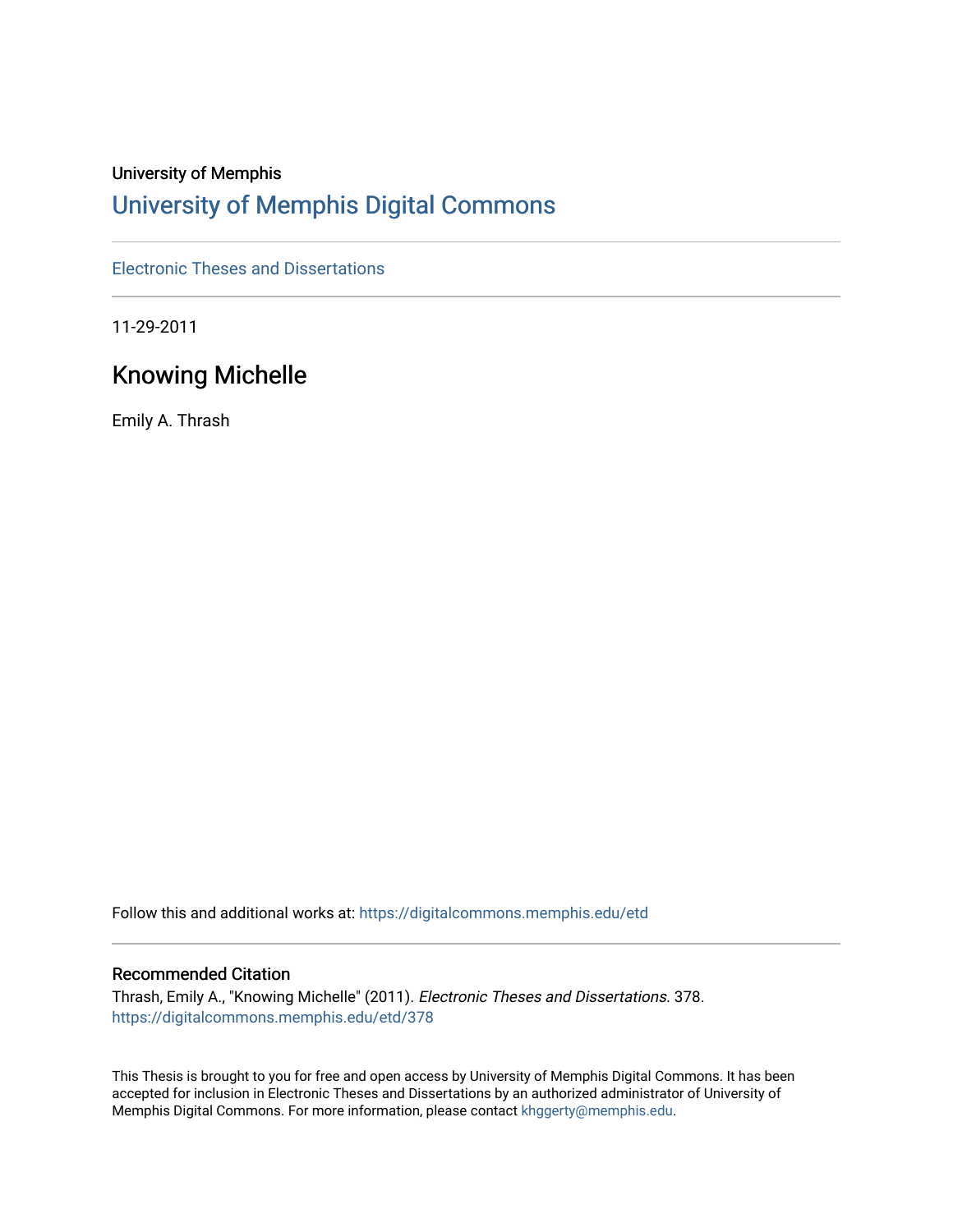## University of Memphis

# [University of Memphis Digital Commons](https://digitalcommons.memphis.edu/)

[Electronic Theses and Dissertations](https://digitalcommons.memphis.edu/etd)

11-29-2011

# Knowing Michelle

Emily A. Thrash

Follow this and additional works at: [https://digitalcommons.memphis.edu/etd](https://digitalcommons.memphis.edu/etd?utm_source=digitalcommons.memphis.edu%2Fetd%2F378&utm_medium=PDF&utm_campaign=PDFCoverPages) 

### Recommended Citation

Thrash, Emily A., "Knowing Michelle" (2011). Electronic Theses and Dissertations. 378. [https://digitalcommons.memphis.edu/etd/378](https://digitalcommons.memphis.edu/etd/378?utm_source=digitalcommons.memphis.edu%2Fetd%2F378&utm_medium=PDF&utm_campaign=PDFCoverPages) 

This Thesis is brought to you for free and open access by University of Memphis Digital Commons. It has been accepted for inclusion in Electronic Theses and Dissertations by an authorized administrator of University of Memphis Digital Commons. For more information, please contact [khggerty@memphis.edu.](mailto:khggerty@memphis.edu)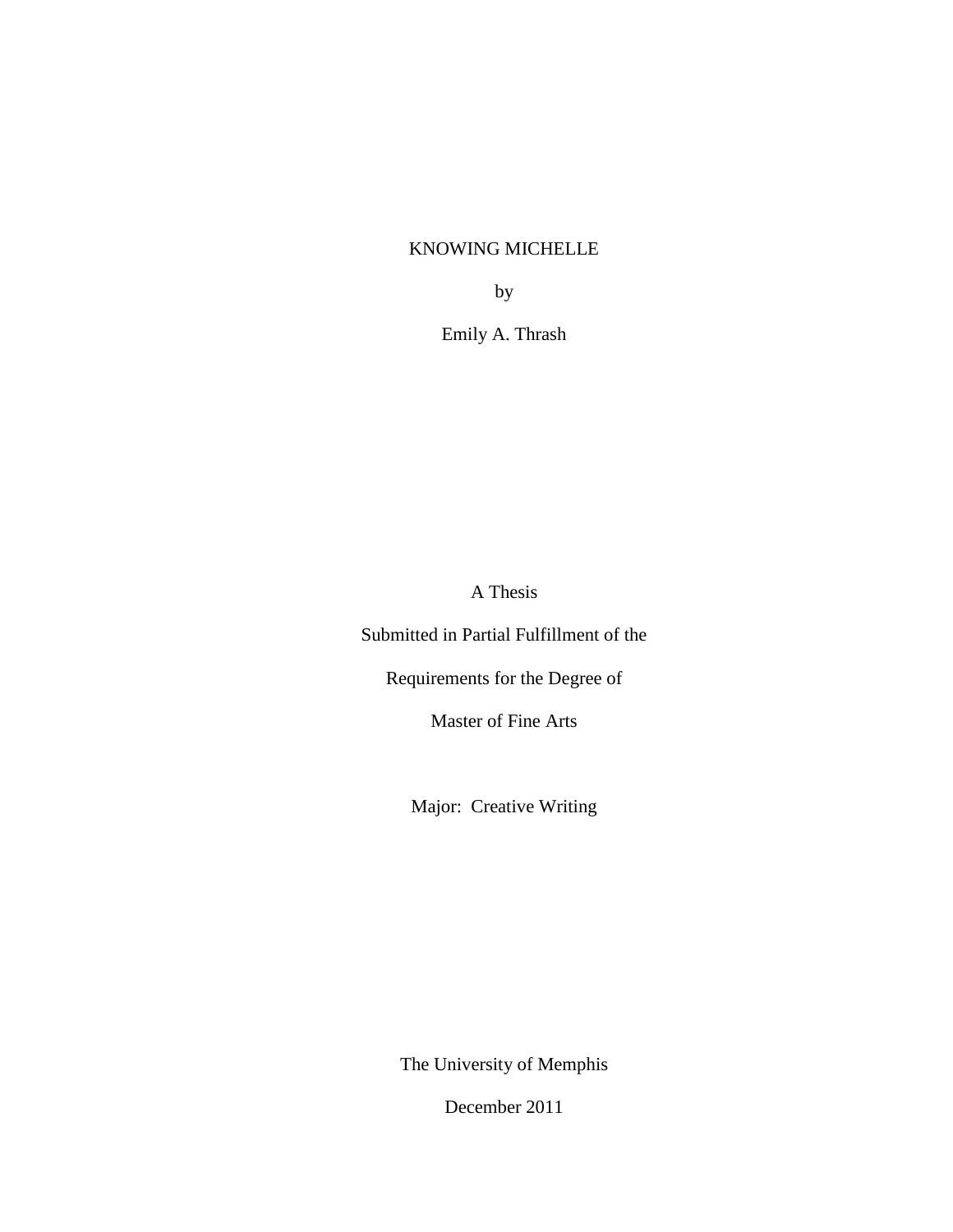### KNOWING MICHELLE

by

Emily A. Thrash

A Thesis

Submitted in Partial Fulfillment of the

Requirements for the Degree of

Master of Fine Arts

Major: Creative Writing

The University of Memphis

December 2011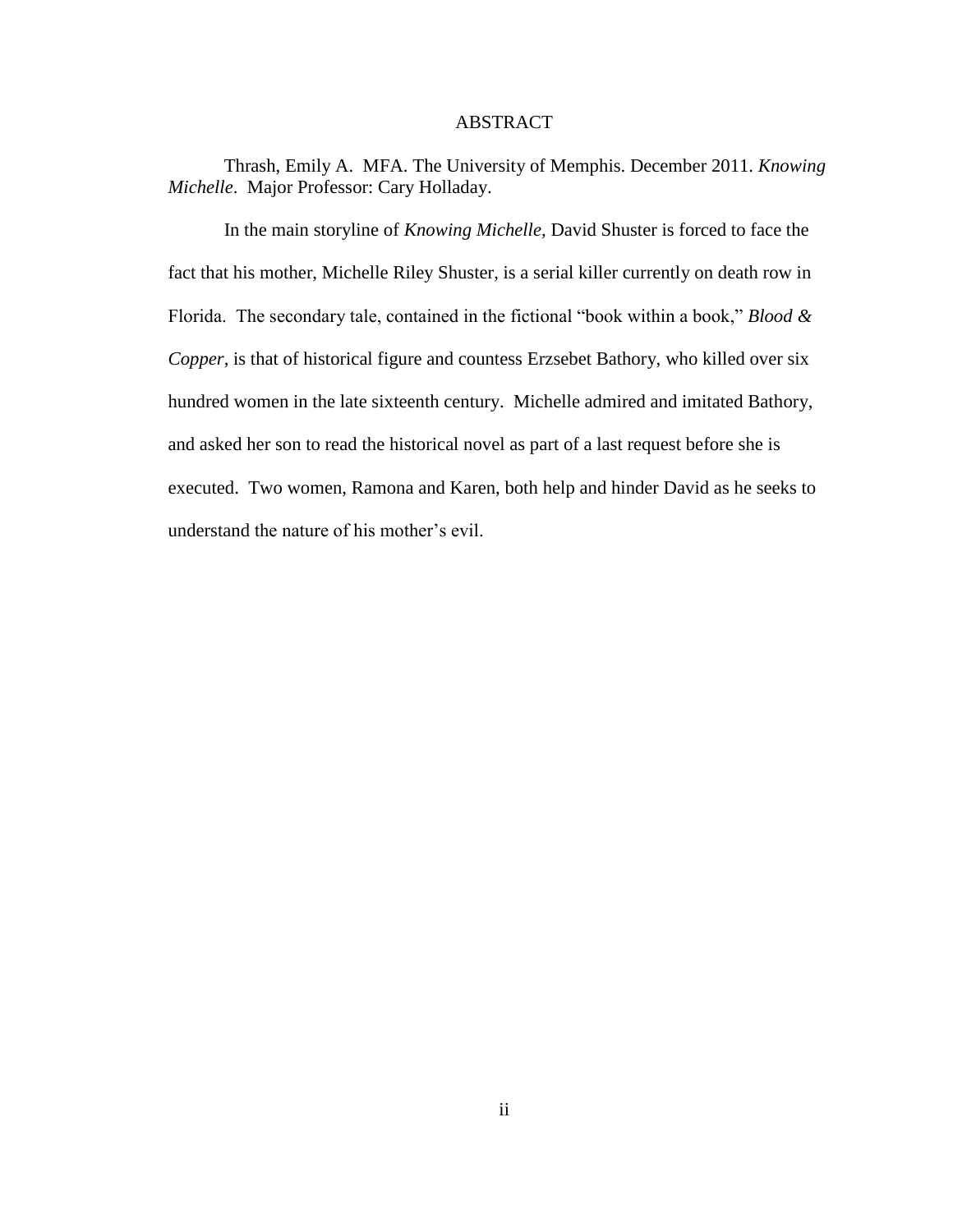### ABSTRACT

Thrash, Emily A. MFA. The University of Memphis. December 2011. *Knowing Michelle*. Major Professor: Cary Holladay.

In the main storyline of *Knowing Michelle,* David Shuster is forced to face the fact that his mother, Michelle Riley Shuster, is a serial killer currently on death row in Florida. The secondary tale, contained in the fictional "book within a book," *Blood & Copper*, is that of historical figure and countess Erzsebet Bathory, who killed over six hundred women in the late sixteenth century. Michelle admired and imitated Bathory, and asked her son to read the historical novel as part of a last request before she is executed. Two women, Ramona and Karen, both help and hinder David as he seeks to understand the nature of his mother"s evil.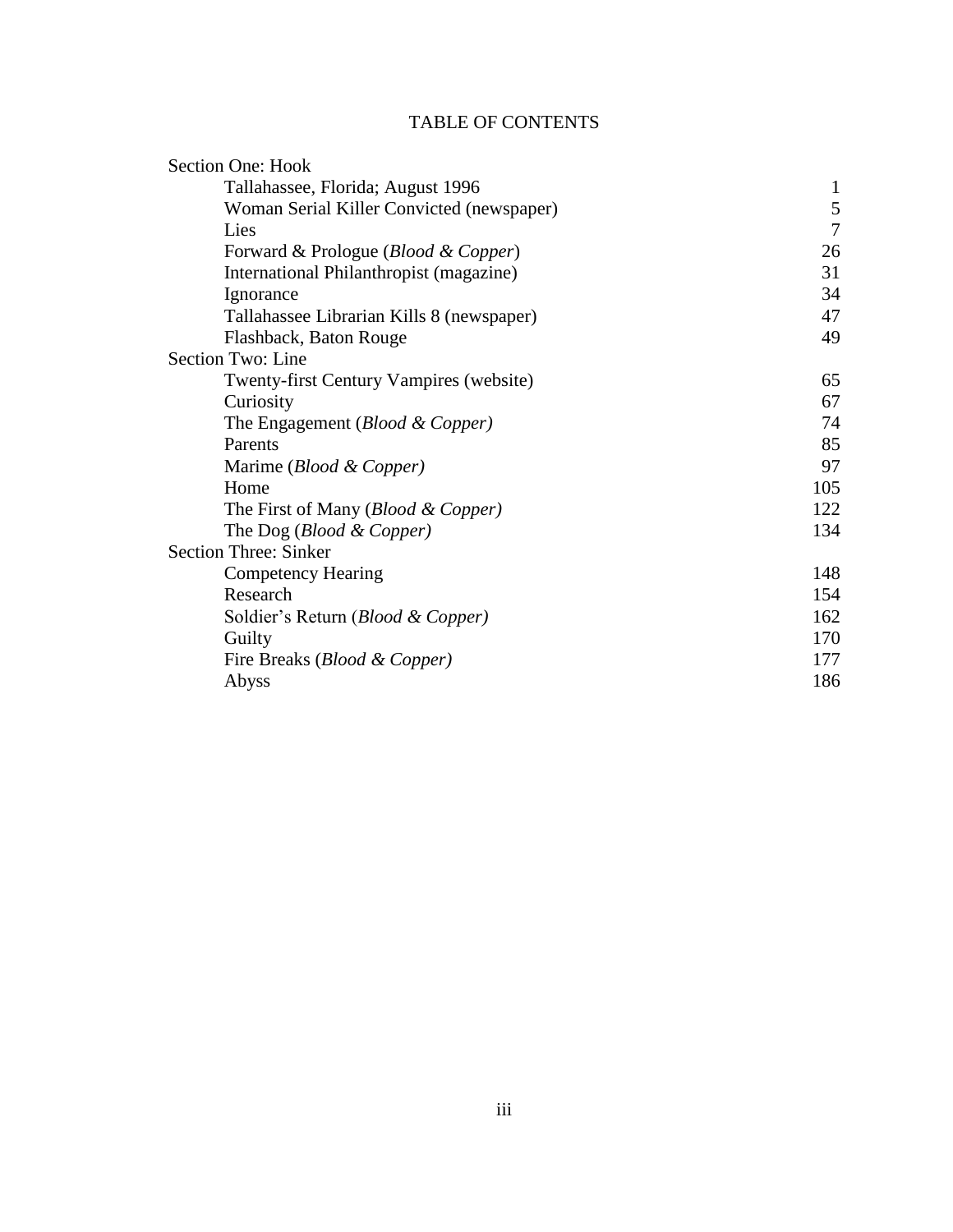## TABLE OF CONTENTS

| <b>Section One: Hook</b>                         |                |
|--------------------------------------------------|----------------|
| Tallahassee, Florida; August 1996                | $\mathbf{1}$   |
| Woman Serial Killer Convicted (newspaper)        | 5              |
| Lies                                             | $\overline{7}$ |
| Forward & Prologue ( <i>Blood &amp; Copper</i> ) | 26             |
| International Philanthropist (magazine)          | 31             |
| Ignorance                                        | 34             |
| Tallahassee Librarian Kills 8 (newspaper)        | 47             |
| Flashback, Baton Rouge                           | 49             |
| Section Two: Line                                |                |
| <b>Twenty-first Century Vampires (website)</b>   | 65             |
| Curiosity                                        | 67             |
| The Engagement (Blood & Copper)                  | 74             |
| Parents                                          | 85             |
| Marime ( <i>Blood &amp; Copper</i> )             | 97             |
| Home                                             | 105            |
| The First of Many ( <i>Blood &amp; Copper</i> )  | 122            |
| The Dog ( <i>Blood &amp; Copper</i> )            | 134            |
| <b>Section Three: Sinker</b>                     |                |
| Competency Hearing                               | 148            |
| Research                                         | 154            |
| Soldier's Return ( <i>Blood &amp; Copper</i> )   | 162            |
| Guilty                                           | 170            |
| Fire Breaks ( <i>Blood &amp; Copper</i> )        | 177            |
| Abyss                                            | 186            |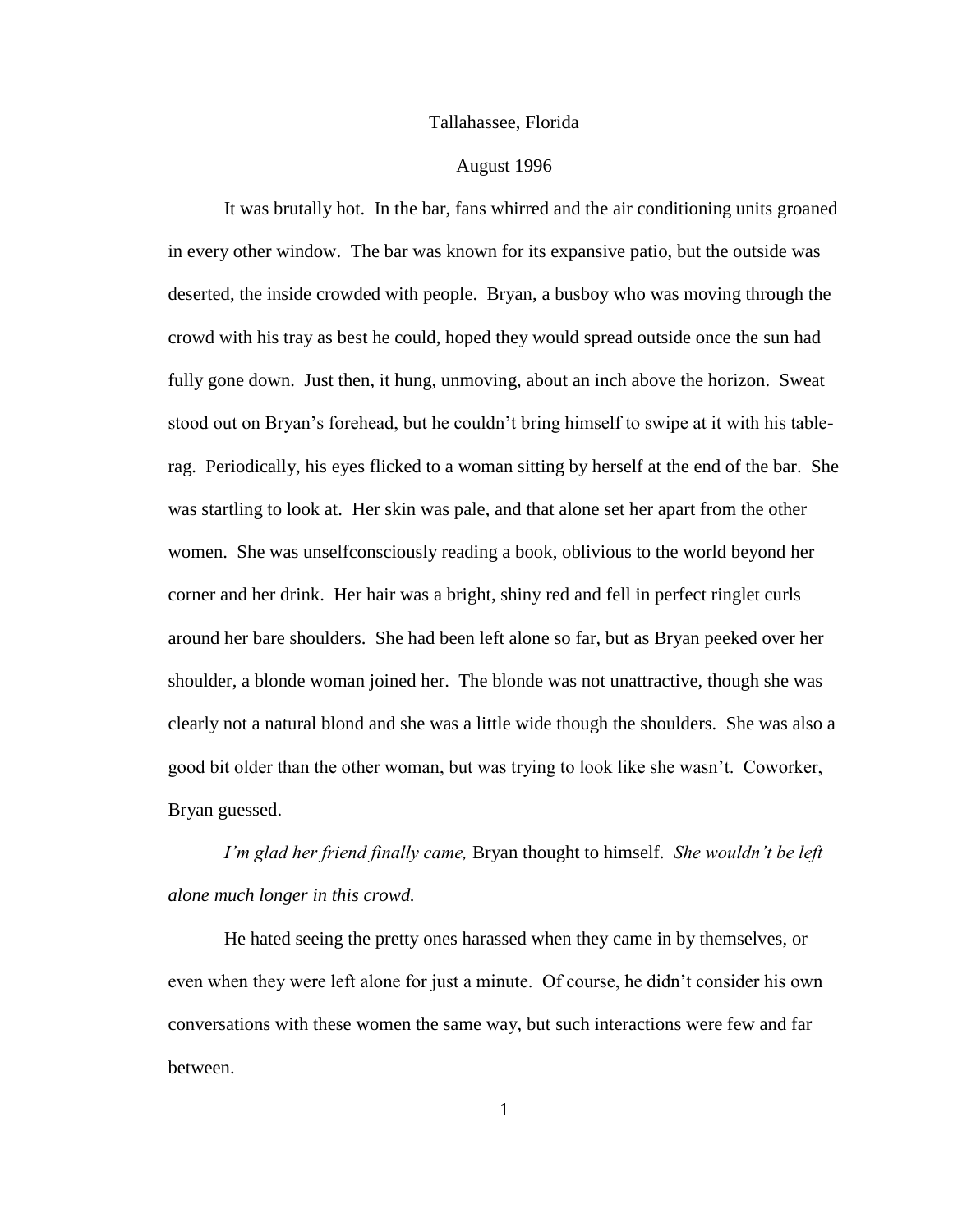### Tallahassee, Florida

### August 1996

It was brutally hot. In the bar, fans whirred and the air conditioning units groaned in every other window. The bar was known for its expansive patio, but the outside was deserted, the inside crowded with people. Bryan, a busboy who was moving through the crowd with his tray as best he could, hoped they would spread outside once the sun had fully gone down. Just then, it hung, unmoving, about an inch above the horizon. Sweat stood out on Bryan"s forehead, but he couldn"t bring himself to swipe at it with his tablerag. Periodically, his eyes flicked to a woman sitting by herself at the end of the bar. She was startling to look at. Her skin was pale, and that alone set her apart from the other women. She was unselfconsciously reading a book, oblivious to the world beyond her corner and her drink. Her hair was a bright, shiny red and fell in perfect ringlet curls around her bare shoulders. She had been left alone so far, but as Bryan peeked over her shoulder, a blonde woman joined her. The blonde was not unattractive, though she was clearly not a natural blond and she was a little wide though the shoulders. She was also a good bit older than the other woman, but was trying to look like she wasn"t. Coworker, Bryan guessed.

*I'm glad her friend finally came,* Bryan thought to himself. *She wouldn't be left alone much longer in this crowd.* 

He hated seeing the pretty ones harassed when they came in by themselves, or even when they were left alone for just a minute. Of course, he didn"t consider his own conversations with these women the same way, but such interactions were few and far between.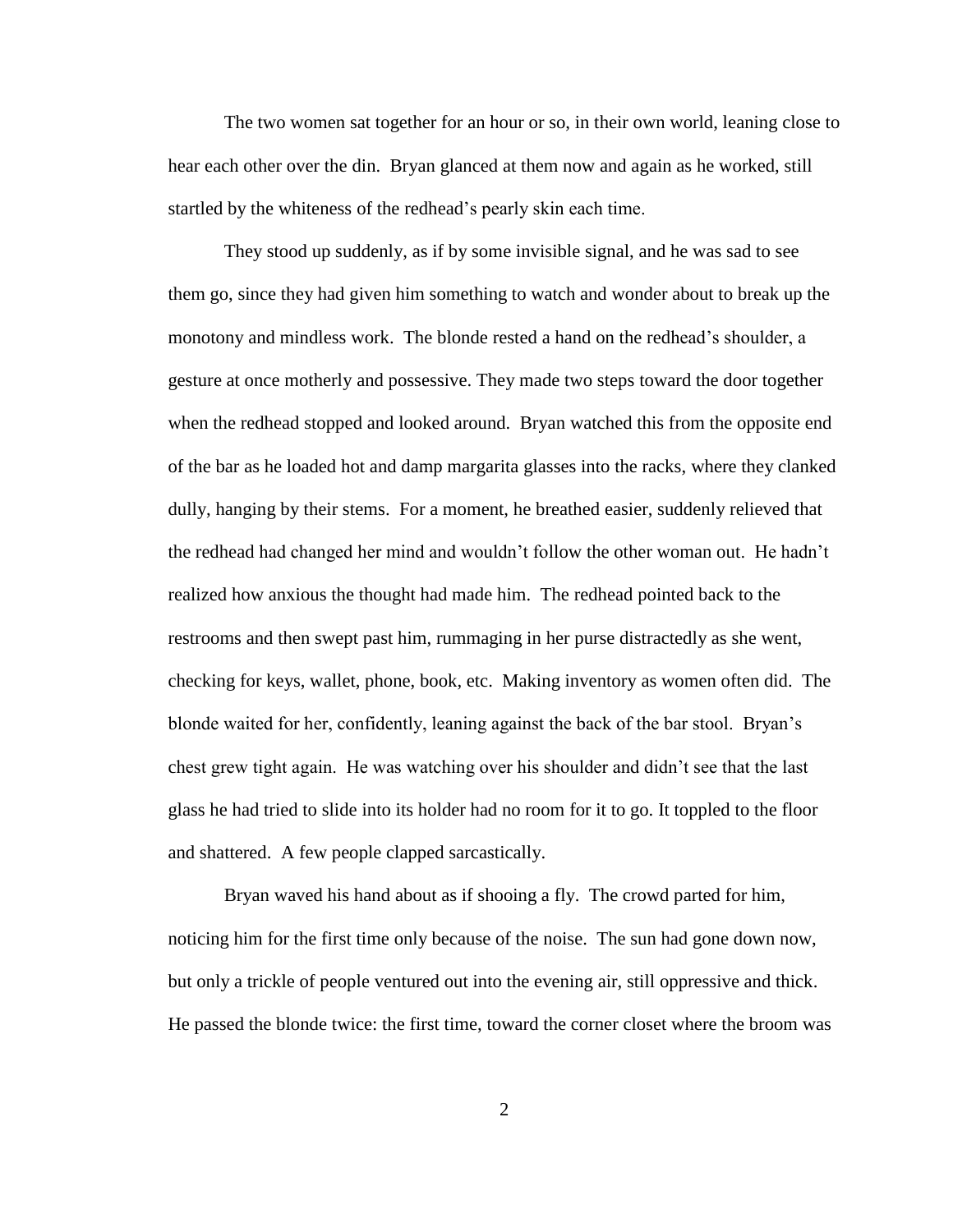The two women sat together for an hour or so, in their own world, leaning close to hear each other over the din. Bryan glanced at them now and again as he worked, still startled by the whiteness of the redhead"s pearly skin each time.

They stood up suddenly, as if by some invisible signal, and he was sad to see them go, since they had given him something to watch and wonder about to break up the monotony and mindless work. The blonde rested a hand on the redhead's shoulder, a gesture at once motherly and possessive. They made two steps toward the door together when the redhead stopped and looked around. Bryan watched this from the opposite end of the bar as he loaded hot and damp margarita glasses into the racks, where they clanked dully, hanging by their stems. For a moment, he breathed easier, suddenly relieved that the redhead had changed her mind and wouldn"t follow the other woman out. He hadn"t realized how anxious the thought had made him. The redhead pointed back to the restrooms and then swept past him, rummaging in her purse distractedly as she went, checking for keys, wallet, phone, book, etc. Making inventory as women often did. The blonde waited for her, confidently, leaning against the back of the bar stool. Bryan"s chest grew tight again. He was watching over his shoulder and didn"t see that the last glass he had tried to slide into its holder had no room for it to go. It toppled to the floor and shattered. A few people clapped sarcastically.

Bryan waved his hand about as if shooing a fly. The crowd parted for him, noticing him for the first time only because of the noise. The sun had gone down now, but only a trickle of people ventured out into the evening air, still oppressive and thick. He passed the blonde twice: the first time, toward the corner closet where the broom was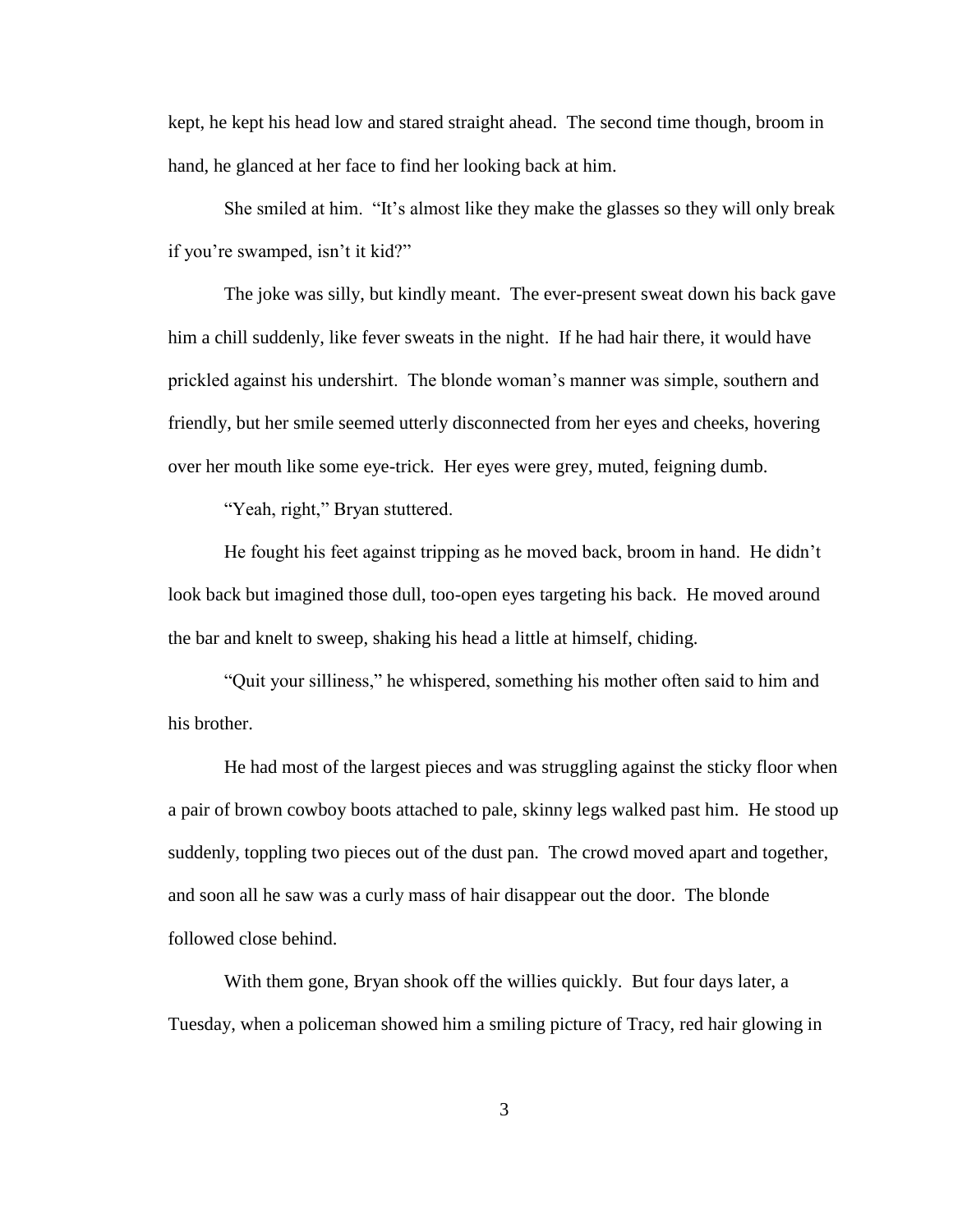kept, he kept his head low and stared straight ahead. The second time though, broom in hand, he glanced at her face to find her looking back at him.

She smiled at him. "It"s almost like they make the glasses so they will only break if you"re swamped, isn"t it kid?"

The joke was silly, but kindly meant. The ever-present sweat down his back gave him a chill suddenly, like fever sweats in the night. If he had hair there, it would have prickled against his undershirt. The blonde woman"s manner was simple, southern and friendly, but her smile seemed utterly disconnected from her eyes and cheeks, hovering over her mouth like some eye-trick. Her eyes were grey, muted, feigning dumb.

"Yeah, right," Bryan stuttered.

He fought his feet against tripping as he moved back, broom in hand. He didn"t look back but imagined those dull, too-open eyes targeting his back. He moved around the bar and knelt to sweep, shaking his head a little at himself, chiding.

"Quit your silliness," he whispered, something his mother often said to him and his brother.

He had most of the largest pieces and was struggling against the sticky floor when a pair of brown cowboy boots attached to pale, skinny legs walked past him. He stood up suddenly, toppling two pieces out of the dust pan. The crowd moved apart and together, and soon all he saw was a curly mass of hair disappear out the door. The blonde followed close behind.

With them gone, Bryan shook off the willies quickly. But four days later, a Tuesday, when a policeman showed him a smiling picture of Tracy, red hair glowing in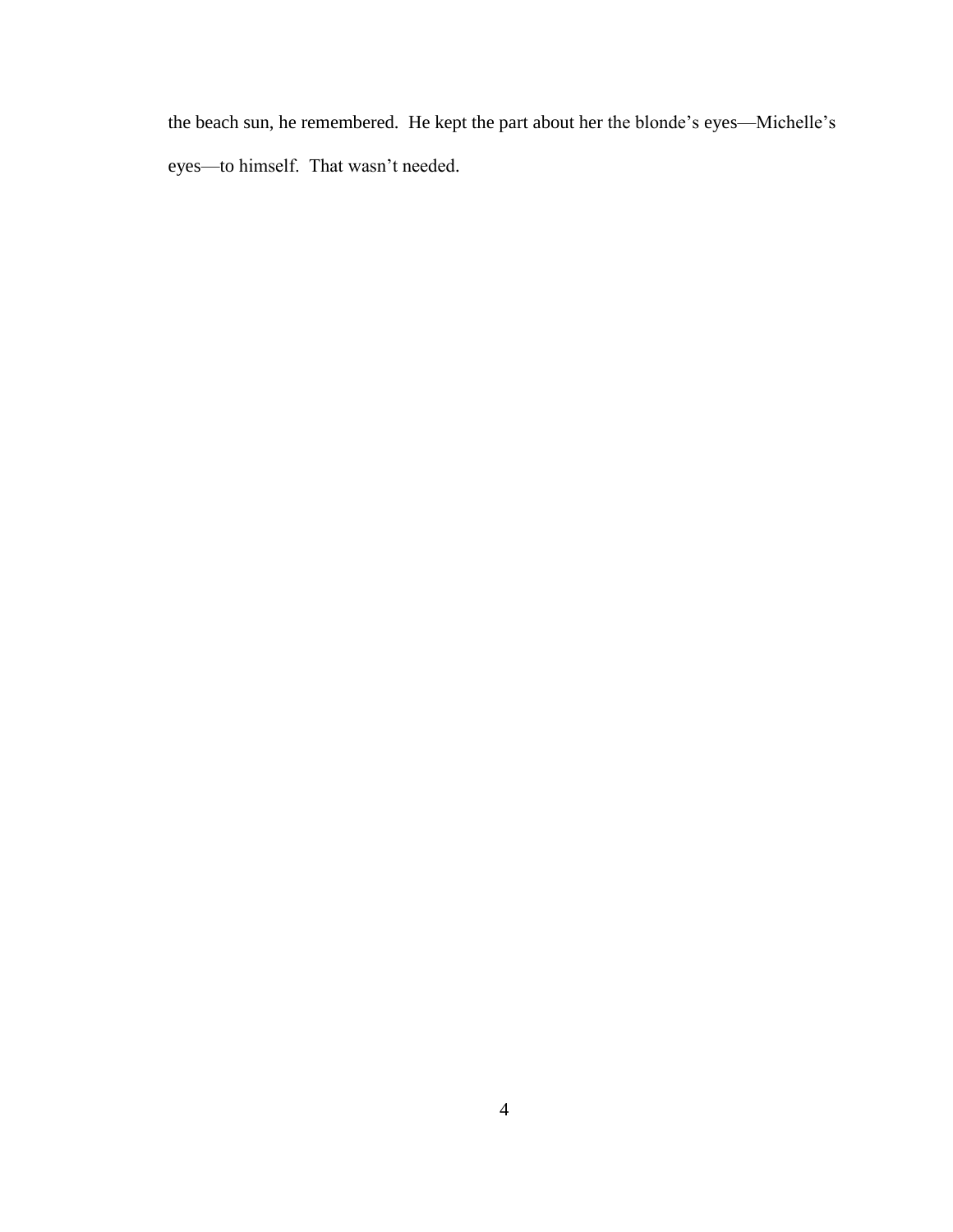the beach sun, he remembered. He kept the part about her the blonde"s eyes—Michelle"s eyes—to himself. That wasn"t needed.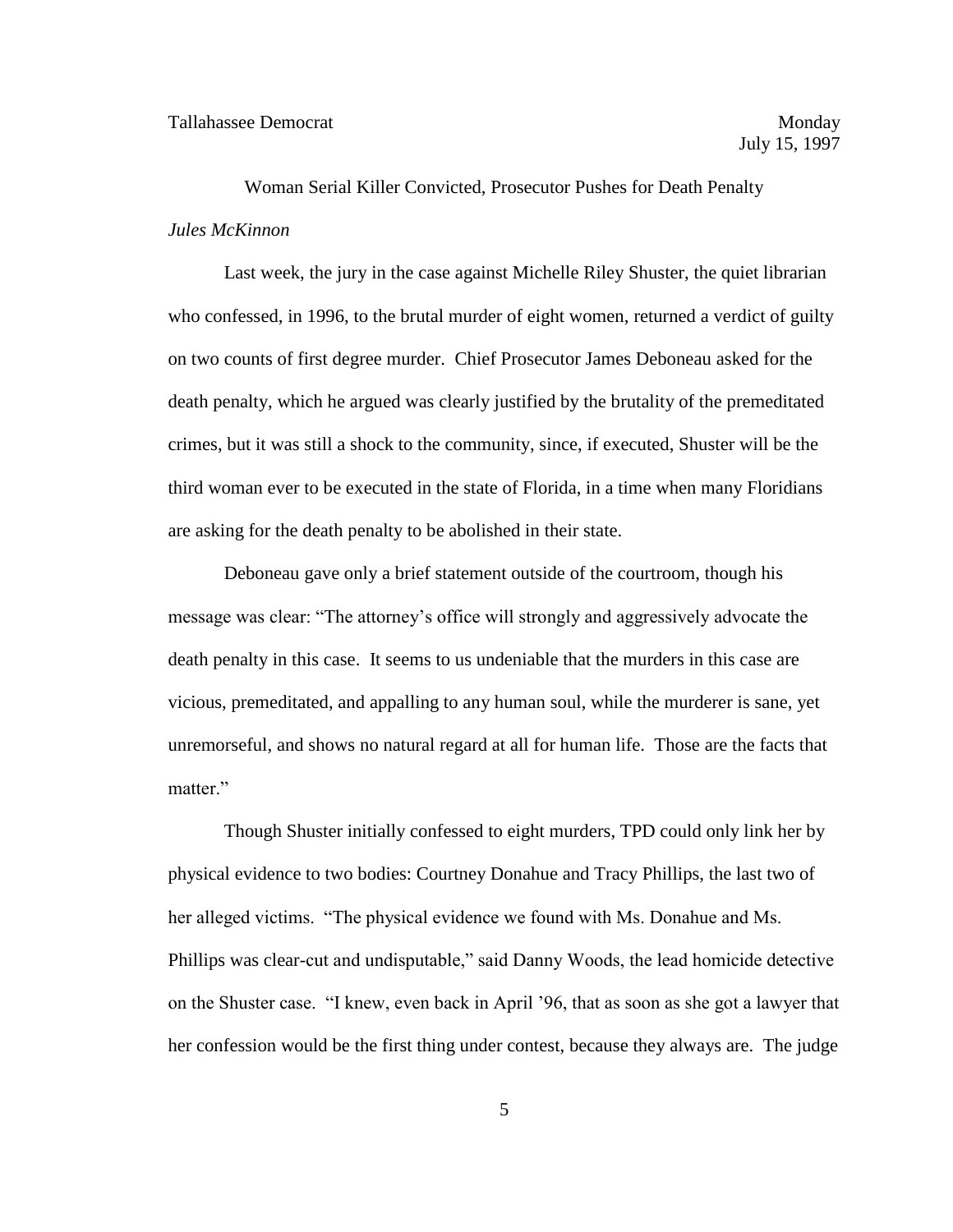Woman Serial Killer Convicted, Prosecutor Pushes for Death Penalty *Jules McKinnon*

Last week, the jury in the case against Michelle Riley Shuster, the quiet librarian who confessed, in 1996, to the brutal murder of eight women, returned a verdict of guilty on two counts of first degree murder. Chief Prosecutor James Deboneau asked for the death penalty, which he argued was clearly justified by the brutality of the premeditated crimes, but it was still a shock to the community, since, if executed, Shuster will be the third woman ever to be executed in the state of Florida, in a time when many Floridians are asking for the death penalty to be abolished in their state.

Deboneau gave only a brief statement outside of the courtroom, though his message was clear: "The attorney"s office will strongly and aggressively advocate the death penalty in this case. It seems to us undeniable that the murders in this case are vicious, premeditated, and appalling to any human soul, while the murderer is sane, yet unremorseful, and shows no natural regard at all for human life. Those are the facts that matter."

Though Shuster initially confessed to eight murders, TPD could only link her by physical evidence to two bodies: Courtney Donahue and Tracy Phillips, the last two of her alleged victims. "The physical evidence we found with Ms. Donahue and Ms. Phillips was clear-cut and undisputable," said Danny Woods, the lead homicide detective on the Shuster case. "I knew, even back in April "96, that as soon as she got a lawyer that her confession would be the first thing under contest, because they always are. The judge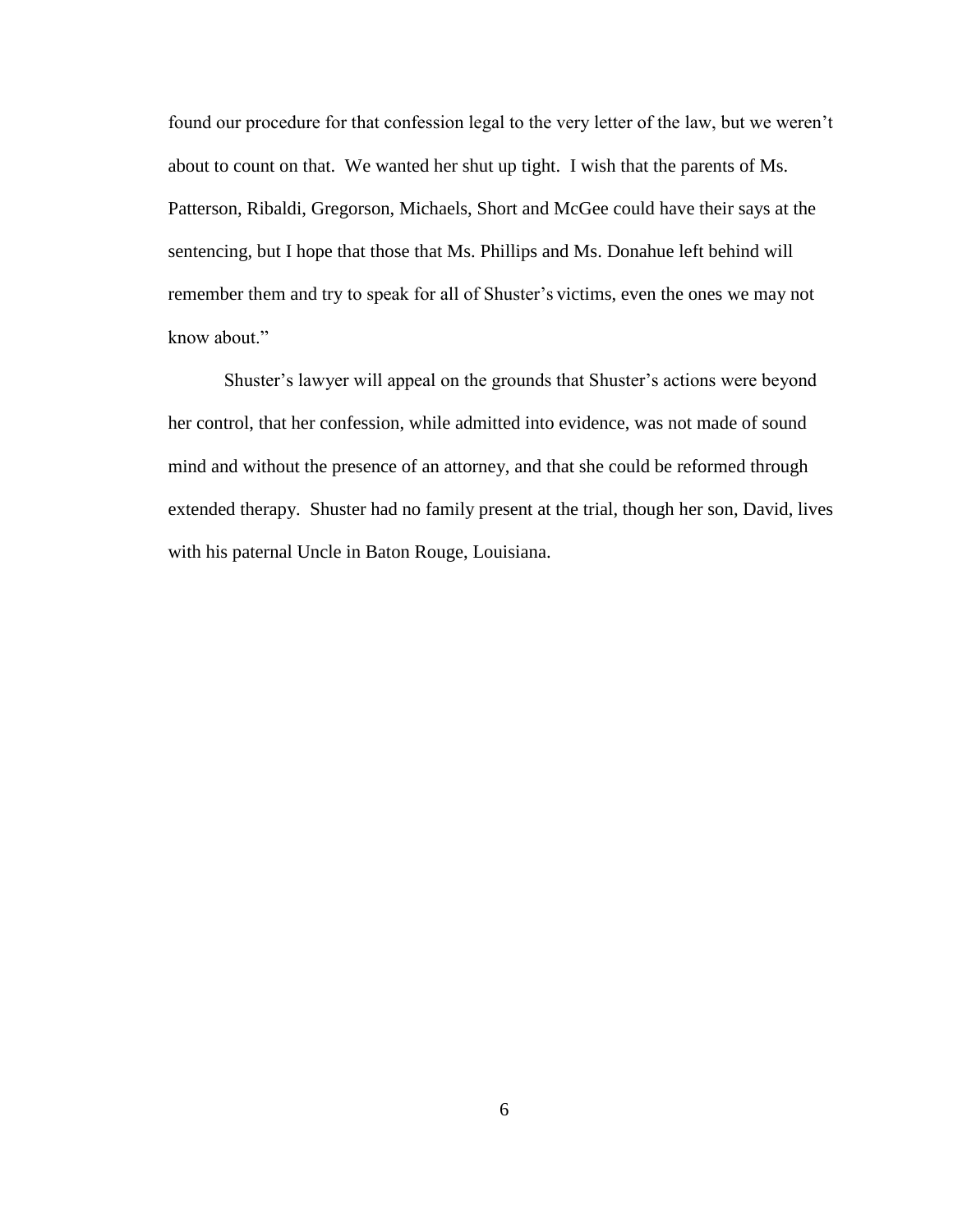found our procedure for that confession legal to the very letter of the law, but we weren"t about to count on that. We wanted her shut up tight. I wish that the parents of Ms. Patterson, Ribaldi, Gregorson, Michaels, Short and McGee could have their says at the sentencing, but I hope that those that Ms. Phillips and Ms. Donahue left behind will remember them and try to speak for all of Shuster's victims, even the ones we may not know about"

Shuster"s lawyer will appeal on the grounds that Shuster"s actions were beyond her control, that her confession, while admitted into evidence, was not made of sound mind and without the presence of an attorney, and that she could be reformed through extended therapy. Shuster had no family present at the trial, though her son, David, lives with his paternal Uncle in Baton Rouge, Louisiana.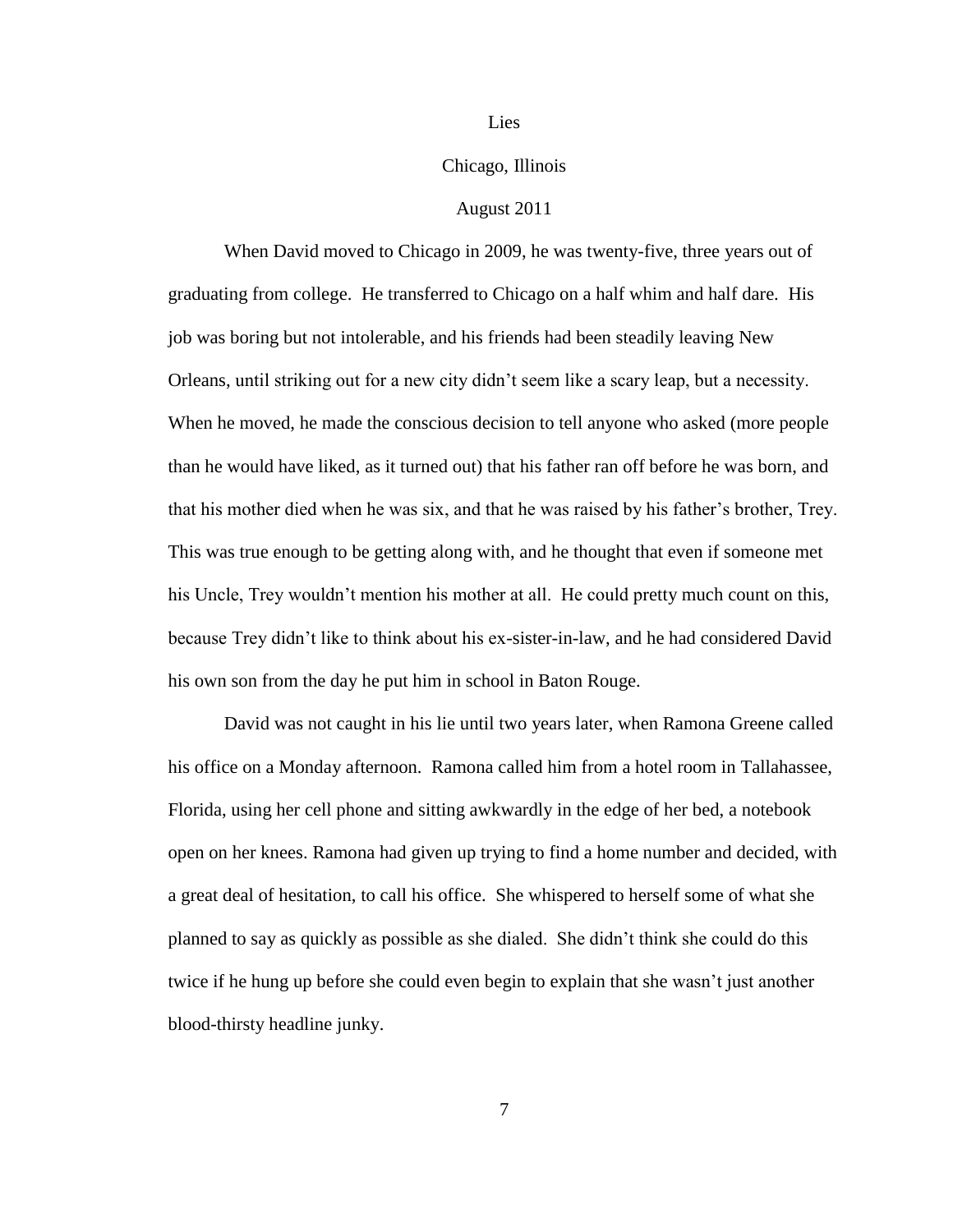## Lies

### Chicago, Illinois

### August 2011

When David moved to Chicago in 2009, he was twenty-five, three years out of graduating from college. He transferred to Chicago on a half whim and half dare. His job was boring but not intolerable, and his friends had been steadily leaving New Orleans, until striking out for a new city didn"t seem like a scary leap, but a necessity. When he moved, he made the conscious decision to tell anyone who asked (more people than he would have liked, as it turned out) that his father ran off before he was born, and that his mother died when he was six, and that he was raised by his father"s brother, Trey. This was true enough to be getting along with, and he thought that even if someone met his Uncle, Trey wouldn"t mention his mother at all. He could pretty much count on this, because Trey didn"t like to think about his ex-sister-in-law, and he had considered David his own son from the day he put him in school in Baton Rouge.

David was not caught in his lie until two years later, when Ramona Greene called his office on a Monday afternoon. Ramona called him from a hotel room in Tallahassee, Florida, using her cell phone and sitting awkwardly in the edge of her bed, a notebook open on her knees. Ramona had given up trying to find a home number and decided, with a great deal of hesitation, to call his office. She whispered to herself some of what she planned to say as quickly as possible as she dialed. She didn"t think she could do this twice if he hung up before she could even begin to explain that she wasn't just another blood-thirsty headline junky.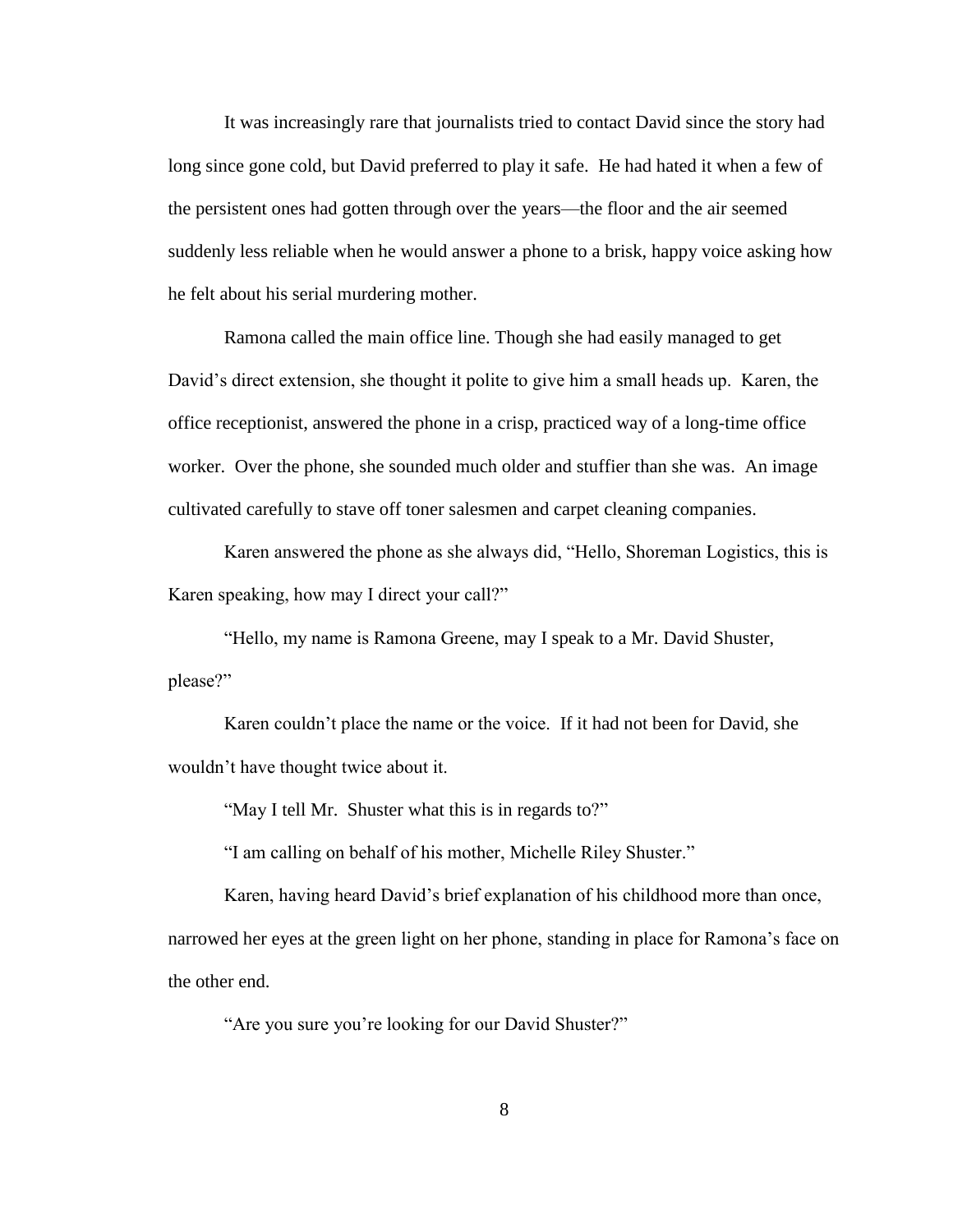It was increasingly rare that journalists tried to contact David since the story had long since gone cold, but David preferred to play it safe. He had hated it when a few of the persistent ones had gotten through over the years—the floor and the air seemed suddenly less reliable when he would answer a phone to a brisk, happy voice asking how he felt about his serial murdering mother.

Ramona called the main office line. Though she had easily managed to get David"s direct extension, she thought it polite to give him a small heads up. Karen, the office receptionist, answered the phone in a crisp, practiced way of a long-time office worker. Over the phone, she sounded much older and stuffier than she was. An image cultivated carefully to stave off toner salesmen and carpet cleaning companies.

Karen answered the phone as she always did, "Hello, Shoreman Logistics, this is Karen speaking, how may I direct your call?"

"Hello, my name is Ramona Greene, may I speak to a Mr. David Shuster, please?"

Karen couldn"t place the name or the voice. If it had not been for David, she wouldn"t have thought twice about it.

"May I tell Mr. Shuster what this is in regards to?"

"I am calling on behalf of his mother, Michelle Riley Shuster."

Karen, having heard David"s brief explanation of his childhood more than once, narrowed her eyes at the green light on her phone, standing in place for Ramona's face on the other end.

"Are you sure you"re looking for our David Shuster?"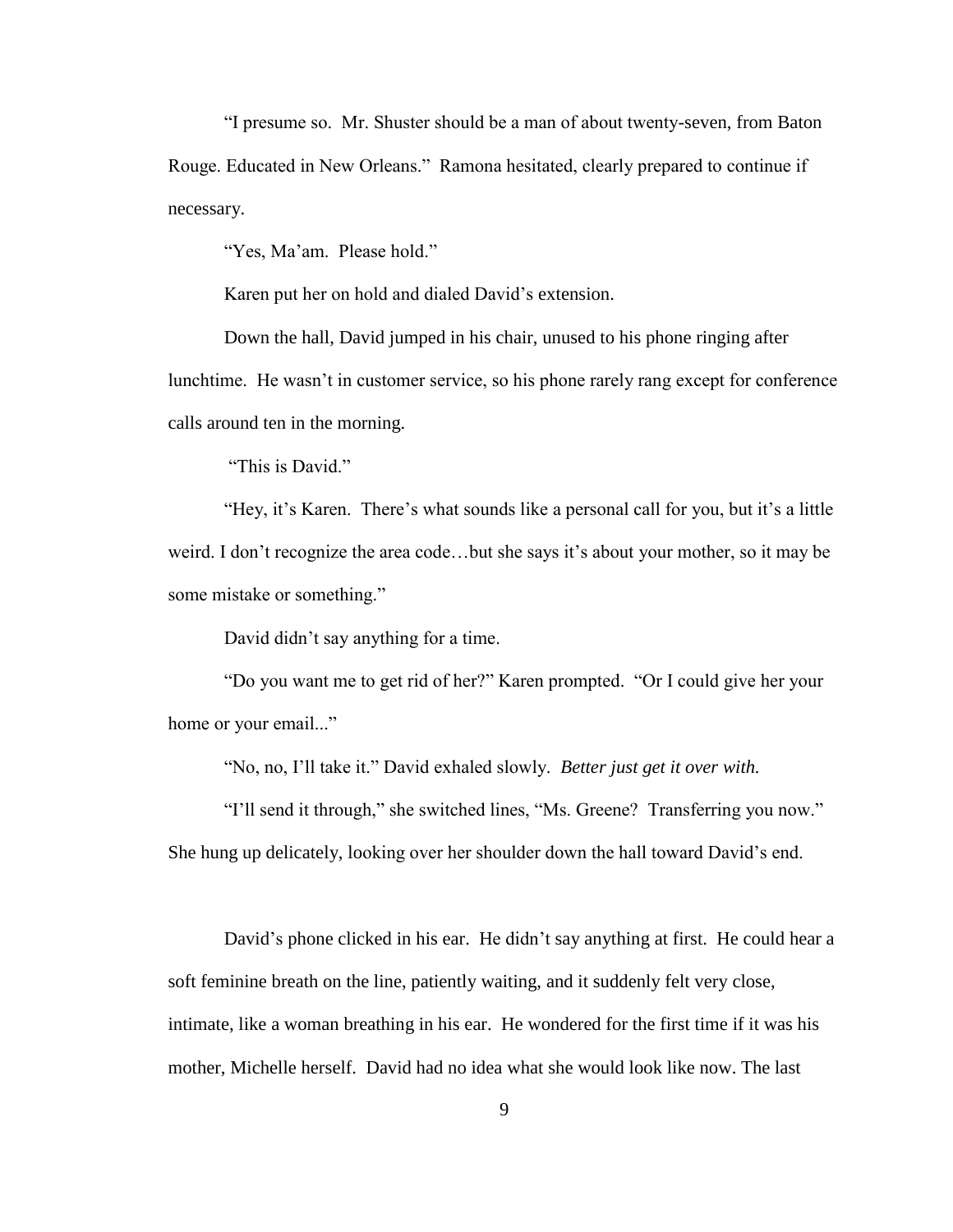"I presume so. Mr. Shuster should be a man of about twenty-seven, from Baton Rouge. Educated in New Orleans." Ramona hesitated, clearly prepared to continue if necessary.

"Yes, Ma'am. Please hold."

Karen put her on hold and dialed David"s extension.

Down the hall, David jumped in his chair, unused to his phone ringing after lunchtime. He wasn"t in customer service, so his phone rarely rang except for conference calls around ten in the morning.

"This is David."

"Hey, it"s Karen. There"s what sounds like a personal call for you, but it"s a little weird. I don't recognize the area code...but she says it's about your mother, so it may be some mistake or something."

David didn"t say anything for a time.

"Do you want me to get rid of her?" Karen prompted. "Or I could give her your home or your email..."

"No, no, I"ll take it." David exhaled slowly. *Better just get it over with.*

"I"ll send it through," she switched lines, "Ms. Greene? Transferring you now." She hung up delicately, looking over her shoulder down the hall toward David"s end.

David's phone clicked in his ear. He didn't say anything at first. He could hear a soft feminine breath on the line, patiently waiting, and it suddenly felt very close, intimate, like a woman breathing in his ear. He wondered for the first time if it was his mother, Michelle herself. David had no idea what she would look like now. The last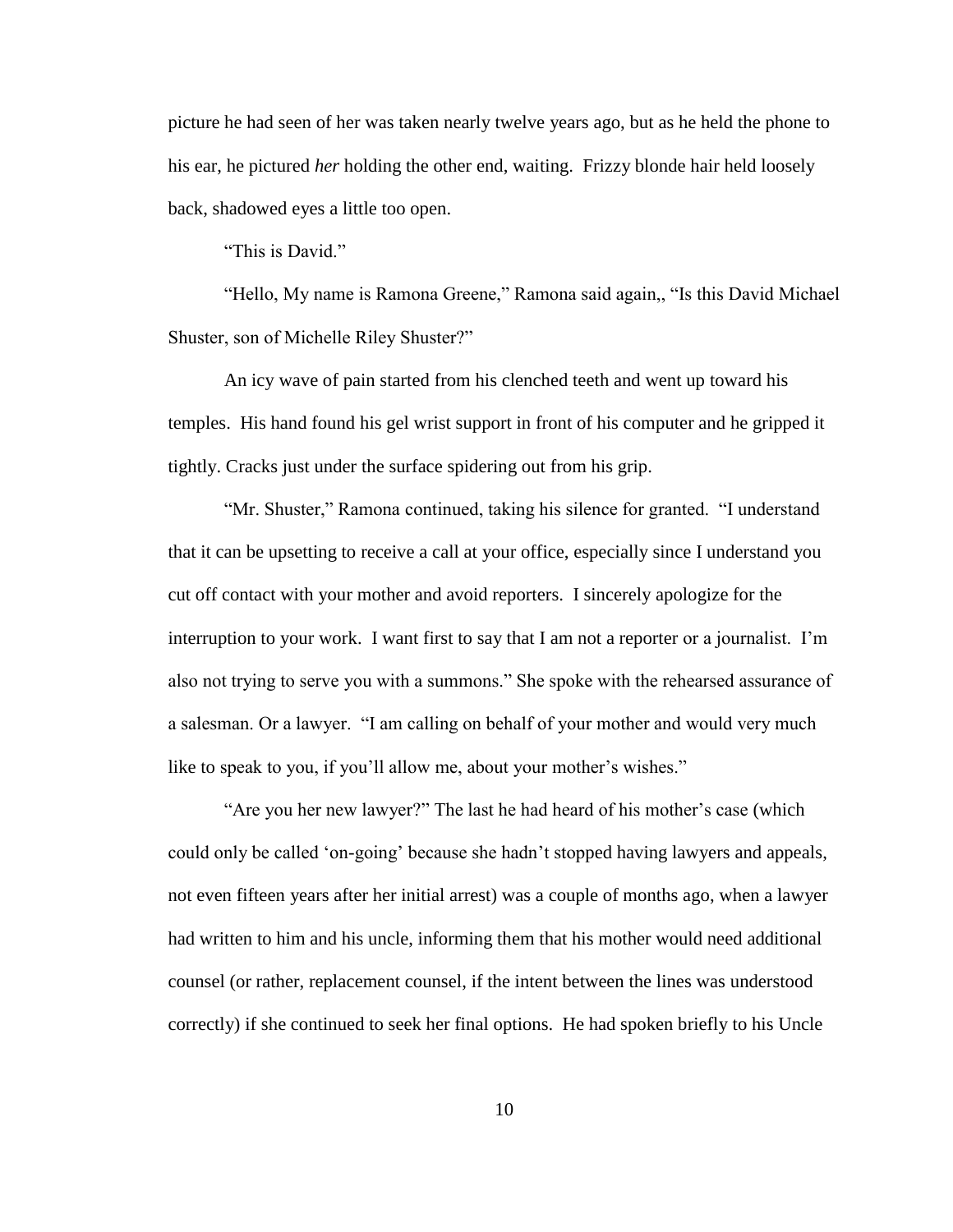picture he had seen of her was taken nearly twelve years ago, but as he held the phone to his ear, he pictured *her* holding the other end, waiting. Frizzy blonde hair held loosely back, shadowed eyes a little too open.

"This is David"

"Hello, My name is Ramona Greene," Ramona said again,, "Is this David Michael Shuster, son of Michelle Riley Shuster?"

An icy wave of pain started from his clenched teeth and went up toward his temples. His hand found his gel wrist support in front of his computer and he gripped it tightly. Cracks just under the surface spidering out from his grip.

"Mr. Shuster," Ramona continued, taking his silence for granted. "I understand that it can be upsetting to receive a call at your office, especially since I understand you cut off contact with your mother and avoid reporters. I sincerely apologize for the interruption to your work. I want first to say that I am not a reporter or a journalist. I"m also not trying to serve you with a summons." She spoke with the rehearsed assurance of a salesman. Or a lawyer. "I am calling on behalf of your mother and would very much like to speak to you, if you'll allow me, about your mother's wishes."

"Are you her new lawyer?" The last he had heard of his mother"s case (which could only be called "on-going" because she hadn"t stopped having lawyers and appeals, not even fifteen years after her initial arrest) was a couple of months ago, when a lawyer had written to him and his uncle, informing them that his mother would need additional counsel (or rather, replacement counsel, if the intent between the lines was understood correctly) if she continued to seek her final options. He had spoken briefly to his Uncle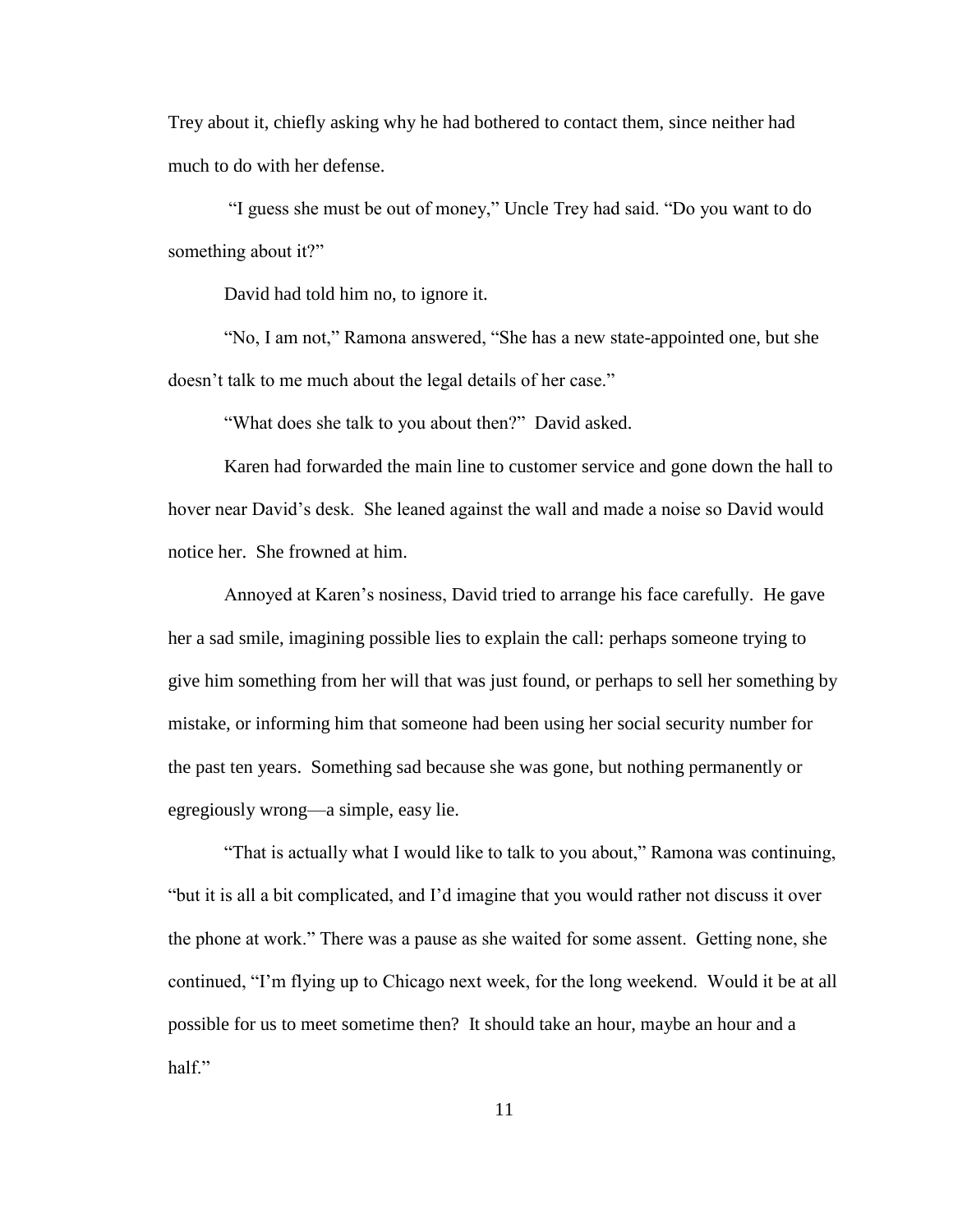Trey about it, chiefly asking why he had bothered to contact them, since neither had much to do with her defense.

"I guess she must be out of money," Uncle Trey had said. "Do you want to do something about it?"

David had told him no, to ignore it.

"No, I am not," Ramona answered, "She has a new state-appointed one, but she doesn't talk to me much about the legal details of her case."

"What does she talk to you about then?" David asked.

Karen had forwarded the main line to customer service and gone down the hall to hover near David's desk. She leaned against the wall and made a noise so David would notice her. She frowned at him.

Annoyed at Karen"s nosiness, David tried to arrange his face carefully. He gave her a sad smile, imagining possible lies to explain the call: perhaps someone trying to give him something from her will that was just found, or perhaps to sell her something by mistake, or informing him that someone had been using her social security number for the past ten years. Something sad because she was gone, but nothing permanently or egregiously wrong—a simple, easy lie.

"That is actually what I would like to talk to you about," Ramona was continuing, "but it is all a bit complicated, and I"d imagine that you would rather not discuss it over the phone at work." There was a pause as she waited for some assent. Getting none, she continued, "I"m flying up to Chicago next week, for the long weekend. Would it be at all possible for us to meet sometime then? It should take an hour, maybe an hour and a half."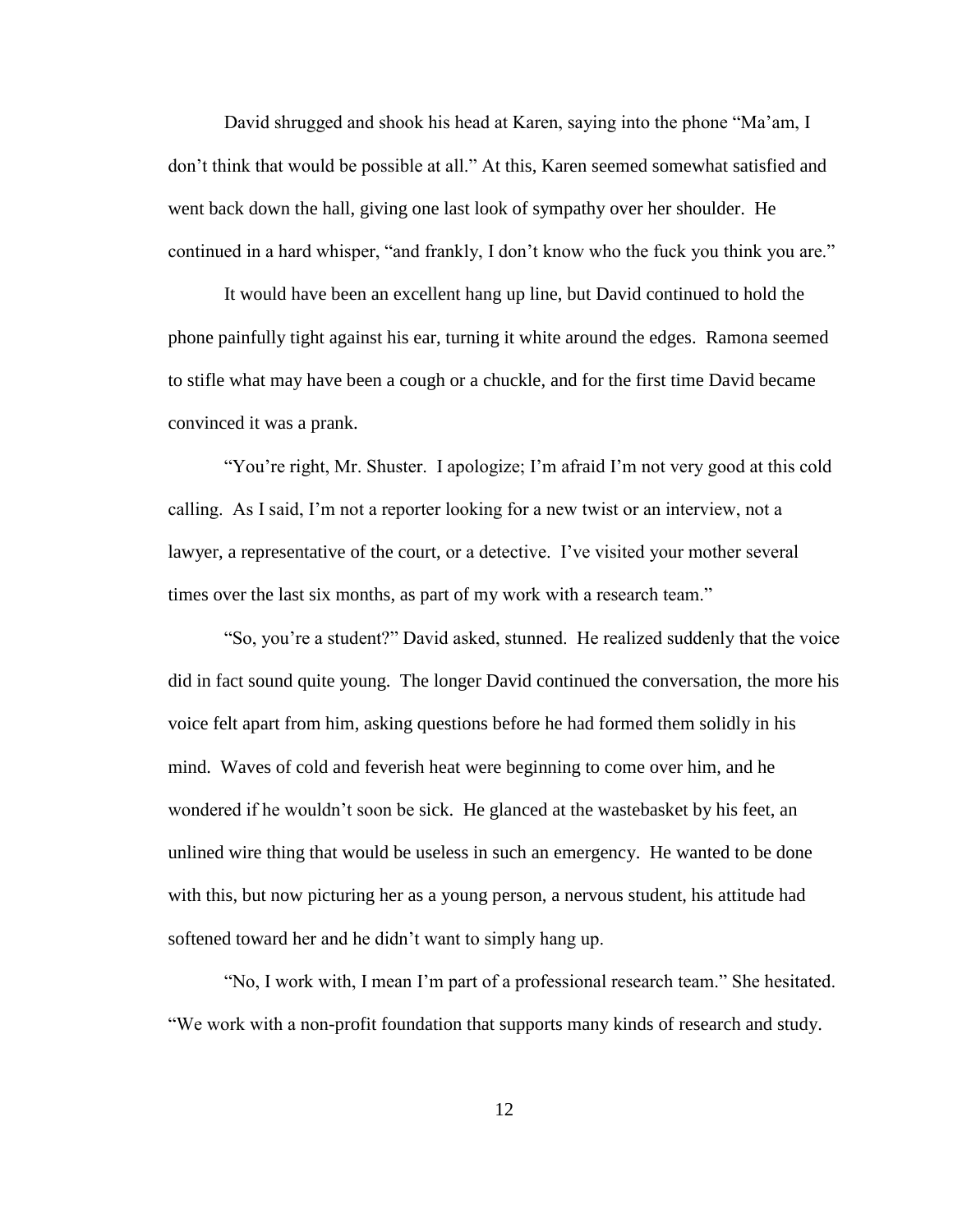David shrugged and shook his head at Karen, saying into the phone "Ma"am, I don"t think that would be possible at all." At this, Karen seemed somewhat satisfied and went back down the hall, giving one last look of sympathy over her shoulder. He continued in a hard whisper, "and frankly, I don"t know who the fuck you think you are."

It would have been an excellent hang up line, but David continued to hold the phone painfully tight against his ear, turning it white around the edges. Ramona seemed to stifle what may have been a cough or a chuckle, and for the first time David became convinced it was a prank.

"You"re right, Mr. Shuster. I apologize; I"m afraid I"m not very good at this cold calling. As I said, I"m not a reporter looking for a new twist or an interview, not a lawyer, a representative of the court, or a detective. I've visited your mother several times over the last six months, as part of my work with a research team."

"So, you"re a student?" David asked, stunned. He realized suddenly that the voice did in fact sound quite young. The longer David continued the conversation, the more his voice felt apart from him, asking questions before he had formed them solidly in his mind. Waves of cold and feverish heat were beginning to come over him, and he wondered if he wouldn"t soon be sick. He glanced at the wastebasket by his feet, an unlined wire thing that would be useless in such an emergency. He wanted to be done with this, but now picturing her as a young person, a nervous student, his attitude had softened toward her and he didn"t want to simply hang up.

"No, I work with, I mean I"m part of a professional research team." She hesitated. "We work with a non-profit foundation that supports many kinds of research and study.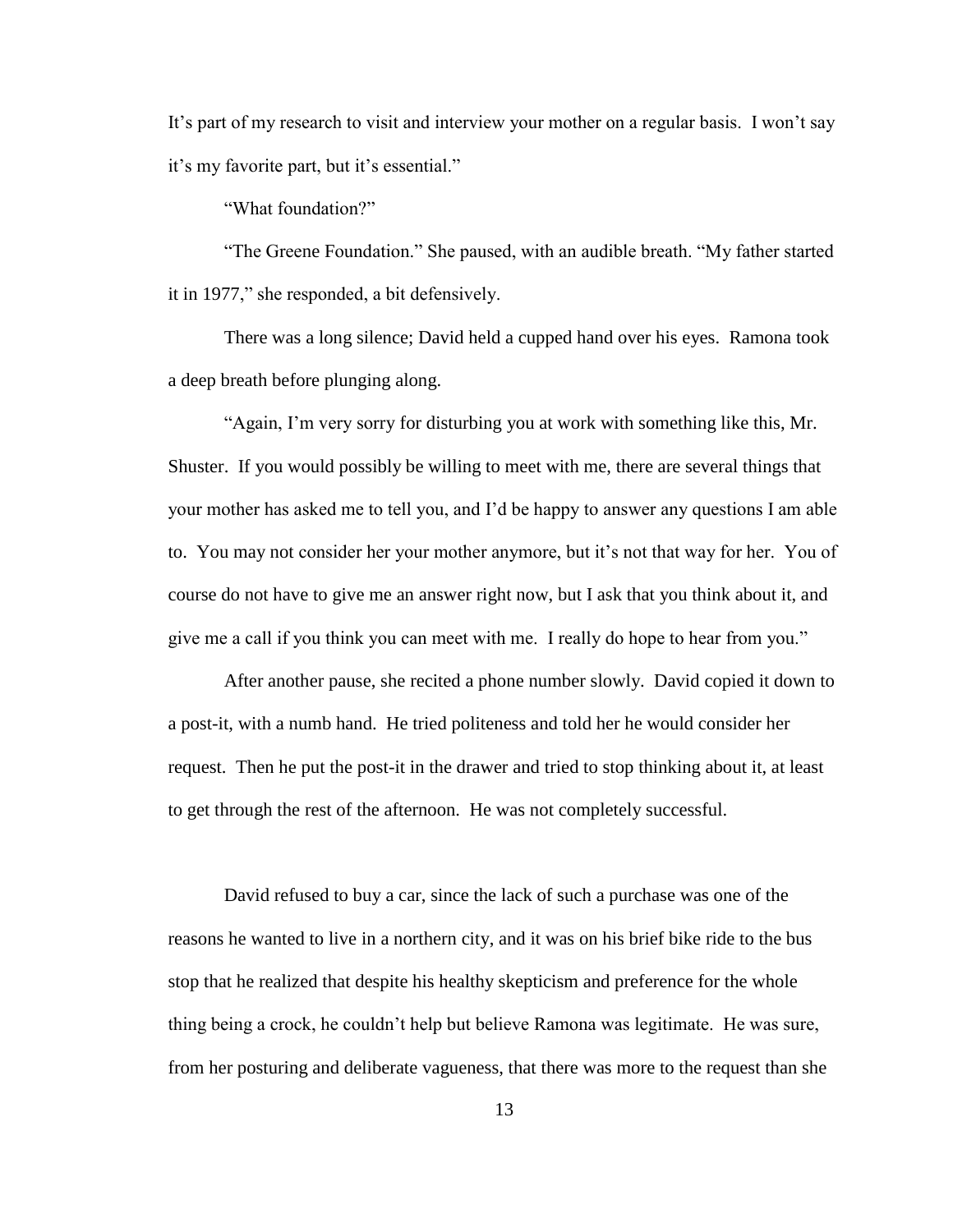It's part of my research to visit and interview your mother on a regular basis. I won't say it's my favorite part, but it's essential."

"What foundation?"

"The Greene Foundation." She paused, with an audible breath. "My father started it in 1977," she responded, a bit defensively.

There was a long silence; David held a cupped hand over his eyes. Ramona took a deep breath before plunging along.

"Again, I"m very sorry for disturbing you at work with something like this, Mr. Shuster. If you would possibly be willing to meet with me, there are several things that your mother has asked me to tell you, and I"d be happy to answer any questions I am able to. You may not consider her your mother anymore, but it's not that way for her. You of course do not have to give me an answer right now, but I ask that you think about it, and give me a call if you think you can meet with me. I really do hope to hear from you."

After another pause, she recited a phone number slowly. David copied it down to a post-it, with a numb hand. He tried politeness and told her he would consider her request. Then he put the post-it in the drawer and tried to stop thinking about it, at least to get through the rest of the afternoon. He was not completely successful.

David refused to buy a car, since the lack of such a purchase was one of the reasons he wanted to live in a northern city, and it was on his brief bike ride to the bus stop that he realized that despite his healthy skepticism and preference for the whole thing being a crock, he couldn"t help but believe Ramona was legitimate. He was sure, from her posturing and deliberate vagueness, that there was more to the request than she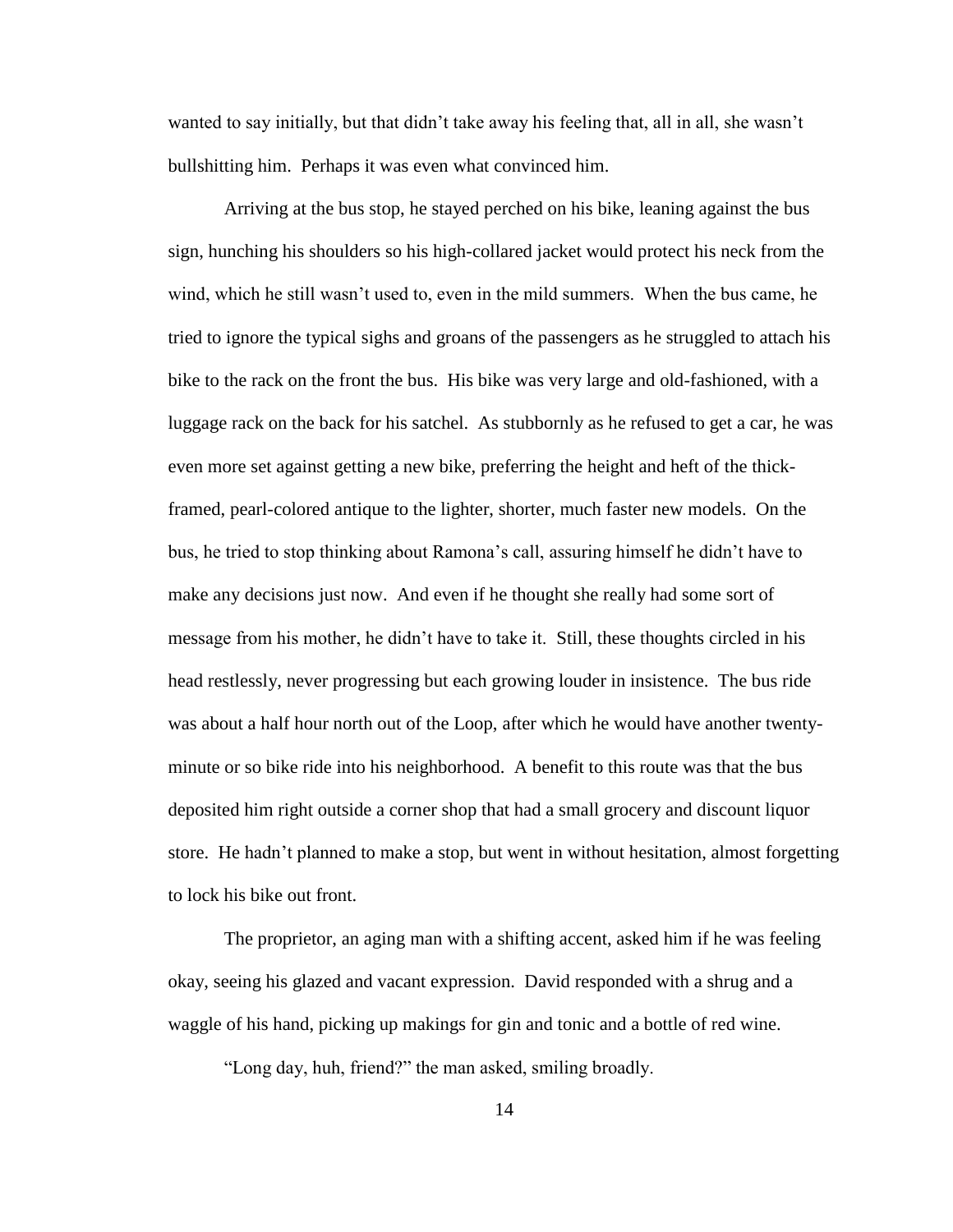wanted to say initially, but that didn"t take away his feeling that, all in all, she wasn"t bullshitting him. Perhaps it was even what convinced him.

Arriving at the bus stop, he stayed perched on his bike, leaning against the bus sign, hunching his shoulders so his high-collared jacket would protect his neck from the wind, which he still wasn"t used to, even in the mild summers. When the bus came, he tried to ignore the typical sighs and groans of the passengers as he struggled to attach his bike to the rack on the front the bus. His bike was very large and old-fashioned, with a luggage rack on the back for his satchel. As stubbornly as he refused to get a car, he was even more set against getting a new bike, preferring the height and heft of the thickframed, pearl-colored antique to the lighter, shorter, much faster new models. On the bus, he tried to stop thinking about Ramona"s call, assuring himself he didn"t have to make any decisions just now. And even if he thought she really had some sort of message from his mother, he didn"t have to take it. Still, these thoughts circled in his head restlessly, never progressing but each growing louder in insistence. The bus ride was about a half hour north out of the Loop, after which he would have another twentyminute or so bike ride into his neighborhood. A benefit to this route was that the bus deposited him right outside a corner shop that had a small grocery and discount liquor store. He hadn"t planned to make a stop, but went in without hesitation, almost forgetting to lock his bike out front.

The proprietor, an aging man with a shifting accent, asked him if he was feeling okay, seeing his glazed and vacant expression. David responded with a shrug and a waggle of his hand, picking up makings for gin and tonic and a bottle of red wine.

"Long day, huh, friend?" the man asked, smiling broadly.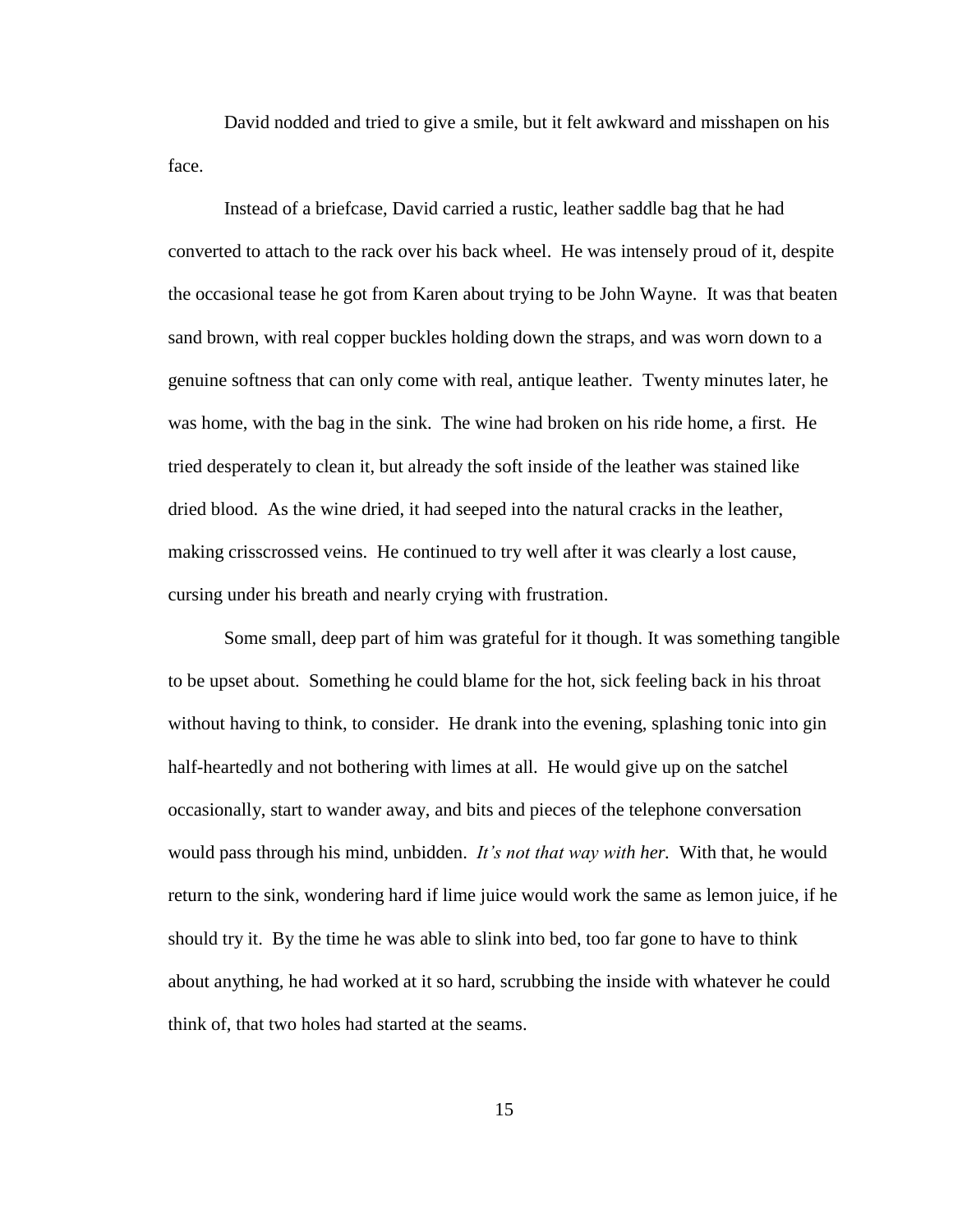David nodded and tried to give a smile, but it felt awkward and misshapen on his face.

Instead of a briefcase, David carried a rustic, leather saddle bag that he had converted to attach to the rack over his back wheel. He was intensely proud of it, despite the occasional tease he got from Karen about trying to be John Wayne. It was that beaten sand brown, with real copper buckles holding down the straps, and was worn down to a genuine softness that can only come with real, antique leather. Twenty minutes later, he was home, with the bag in the sink. The wine had broken on his ride home, a first. He tried desperately to clean it, but already the soft inside of the leather was stained like dried blood. As the wine dried, it had seeped into the natural cracks in the leather, making crisscrossed veins. He continued to try well after it was clearly a lost cause, cursing under his breath and nearly crying with frustration.

Some small, deep part of him was grateful for it though. It was something tangible to be upset about. Something he could blame for the hot, sick feeling back in his throat without having to think, to consider. He drank into the evening, splashing tonic into gin half-heartedly and not bothering with limes at all. He would give up on the satchel occasionally, start to wander away, and bits and pieces of the telephone conversation would pass through his mind, unbidden. *It's not that way with her.* With that, he would return to the sink, wondering hard if lime juice would work the same as lemon juice, if he should try it. By the time he was able to slink into bed, too far gone to have to think about anything, he had worked at it so hard, scrubbing the inside with whatever he could think of, that two holes had started at the seams.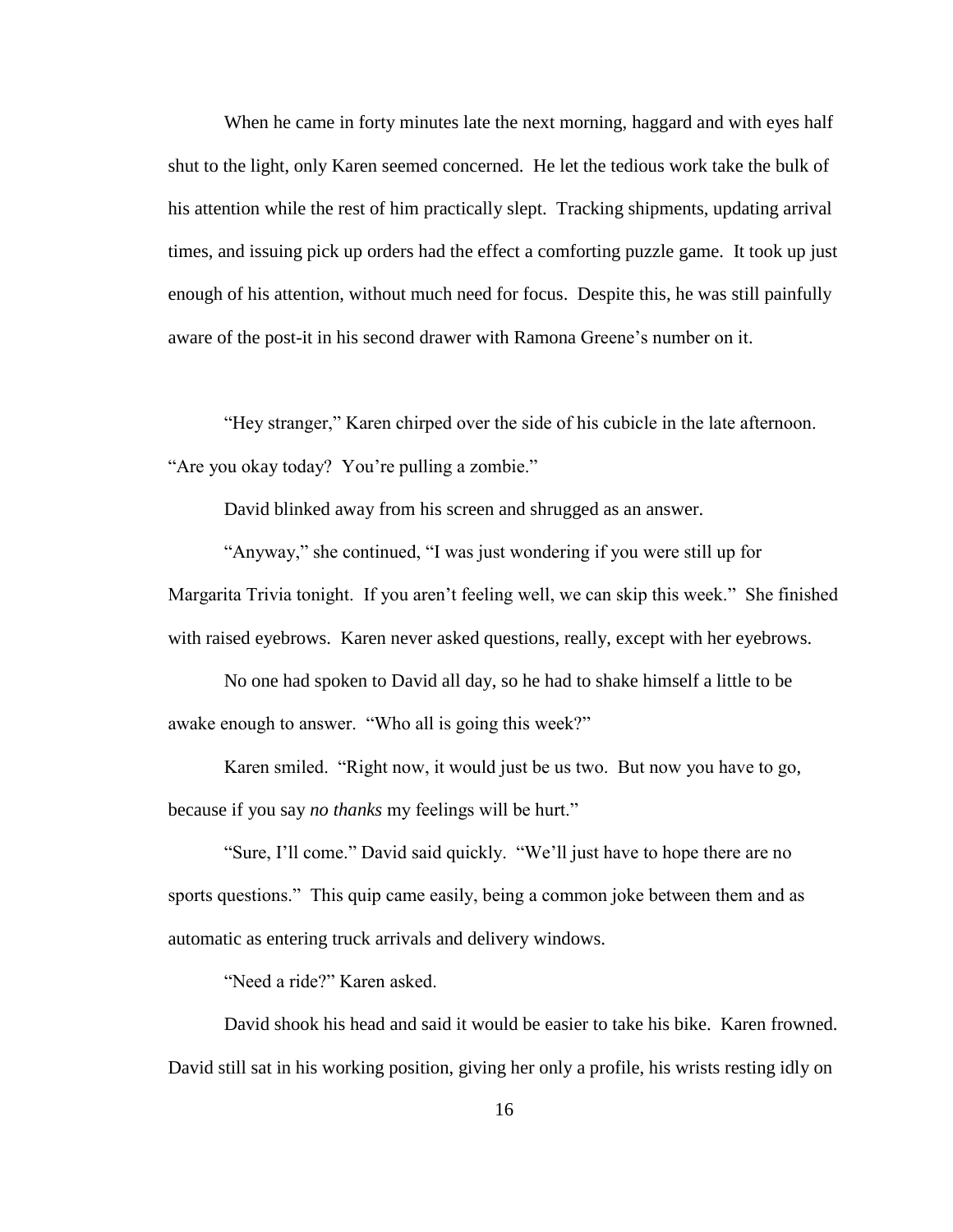When he came in forty minutes late the next morning, haggard and with eyes half shut to the light, only Karen seemed concerned. He let the tedious work take the bulk of his attention while the rest of him practically slept. Tracking shipments, updating arrival times, and issuing pick up orders had the effect a comforting puzzle game. It took up just enough of his attention, without much need for focus. Despite this, he was still painfully aware of the post-it in his second drawer with Ramona Greene's number on it.

"Hey stranger," Karen chirped over the side of his cubicle in the late afternoon. "Are you okay today? You"re pulling a zombie."

David blinked away from his screen and shrugged as an answer.

"Anyway," she continued, "I was just wondering if you were still up for Margarita Trivia tonight. If you aren't feeling well, we can skip this week." She finished with raised eyebrows. Karen never asked questions, really, except with her eyebrows.

No one had spoken to David all day, so he had to shake himself a little to be awake enough to answer. "Who all is going this week?"

Karen smiled. "Right now, it would just be us two. But now you have to go, because if you say *no thanks* my feelings will be hurt."

"Sure, I"ll come." David said quickly. "We"ll just have to hope there are no sports questions." This quip came easily, being a common joke between them and as automatic as entering truck arrivals and delivery windows.

"Need a ride?" Karen asked.

David shook his head and said it would be easier to take his bike. Karen frowned. David still sat in his working position, giving her only a profile, his wrists resting idly on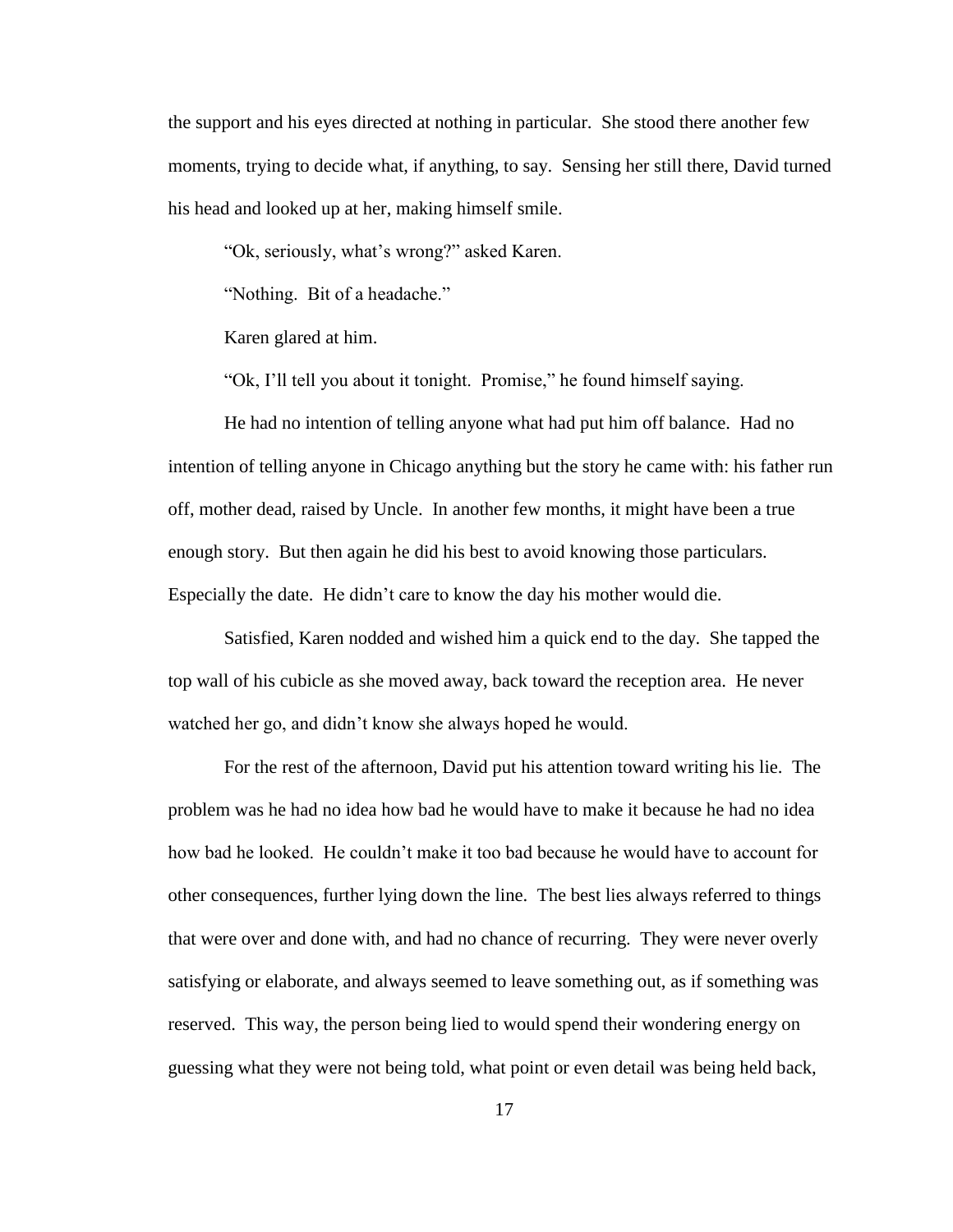the support and his eyes directed at nothing in particular. She stood there another few moments, trying to decide what, if anything, to say. Sensing her still there, David turned his head and looked up at her, making himself smile.

"Ok, seriously, what"s wrong?" asked Karen.

"Nothing. Bit of a headache."

Karen glared at him.

"Ok, I"ll tell you about it tonight. Promise," he found himself saying.

He had no intention of telling anyone what had put him off balance. Had no intention of telling anyone in Chicago anything but the story he came with: his father run off, mother dead, raised by Uncle. In another few months, it might have been a true enough story. But then again he did his best to avoid knowing those particulars. Especially the date. He didn"t care to know the day his mother would die.

Satisfied, Karen nodded and wished him a quick end to the day. She tapped the top wall of his cubicle as she moved away, back toward the reception area. He never watched her go, and didn"t know she always hoped he would.

For the rest of the afternoon, David put his attention toward writing his lie. The problem was he had no idea how bad he would have to make it because he had no idea how bad he looked. He couldn"t make it too bad because he would have to account for other consequences, further lying down the line. The best lies always referred to things that were over and done with, and had no chance of recurring. They were never overly satisfying or elaborate, and always seemed to leave something out, as if something was reserved. This way, the person being lied to would spend their wondering energy on guessing what they were not being told, what point or even detail was being held back,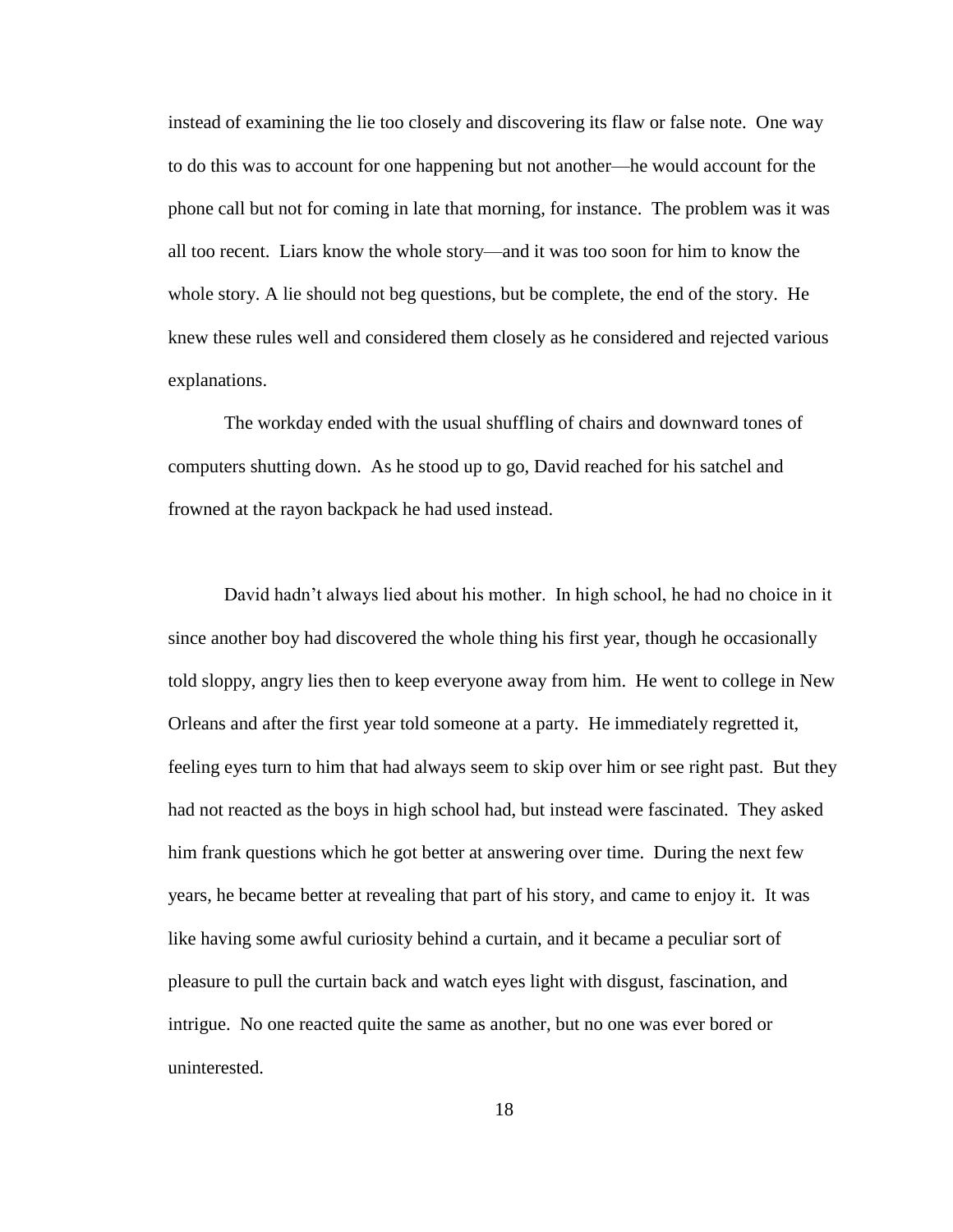instead of examining the lie too closely and discovering its flaw or false note. One way to do this was to account for one happening but not another—he would account for the phone call but not for coming in late that morning, for instance. The problem was it was all too recent. Liars know the whole story—and it was too soon for him to know the whole story. A lie should not beg questions, but be complete, the end of the story. He knew these rules well and considered them closely as he considered and rejected various explanations.

The workday ended with the usual shuffling of chairs and downward tones of computers shutting down. As he stood up to go, David reached for his satchel and frowned at the rayon backpack he had used instead.

David hadn"t always lied about his mother. In high school, he had no choice in it since another boy had discovered the whole thing his first year, though he occasionally told sloppy, angry lies then to keep everyone away from him. He went to college in New Orleans and after the first year told someone at a party. He immediately regretted it, feeling eyes turn to him that had always seem to skip over him or see right past. But they had not reacted as the boys in high school had, but instead were fascinated. They asked him frank questions which he got better at answering over time. During the next few years, he became better at revealing that part of his story, and came to enjoy it. It was like having some awful curiosity behind a curtain, and it became a peculiar sort of pleasure to pull the curtain back and watch eyes light with disgust, fascination, and intrigue. No one reacted quite the same as another, but no one was ever bored or uninterested.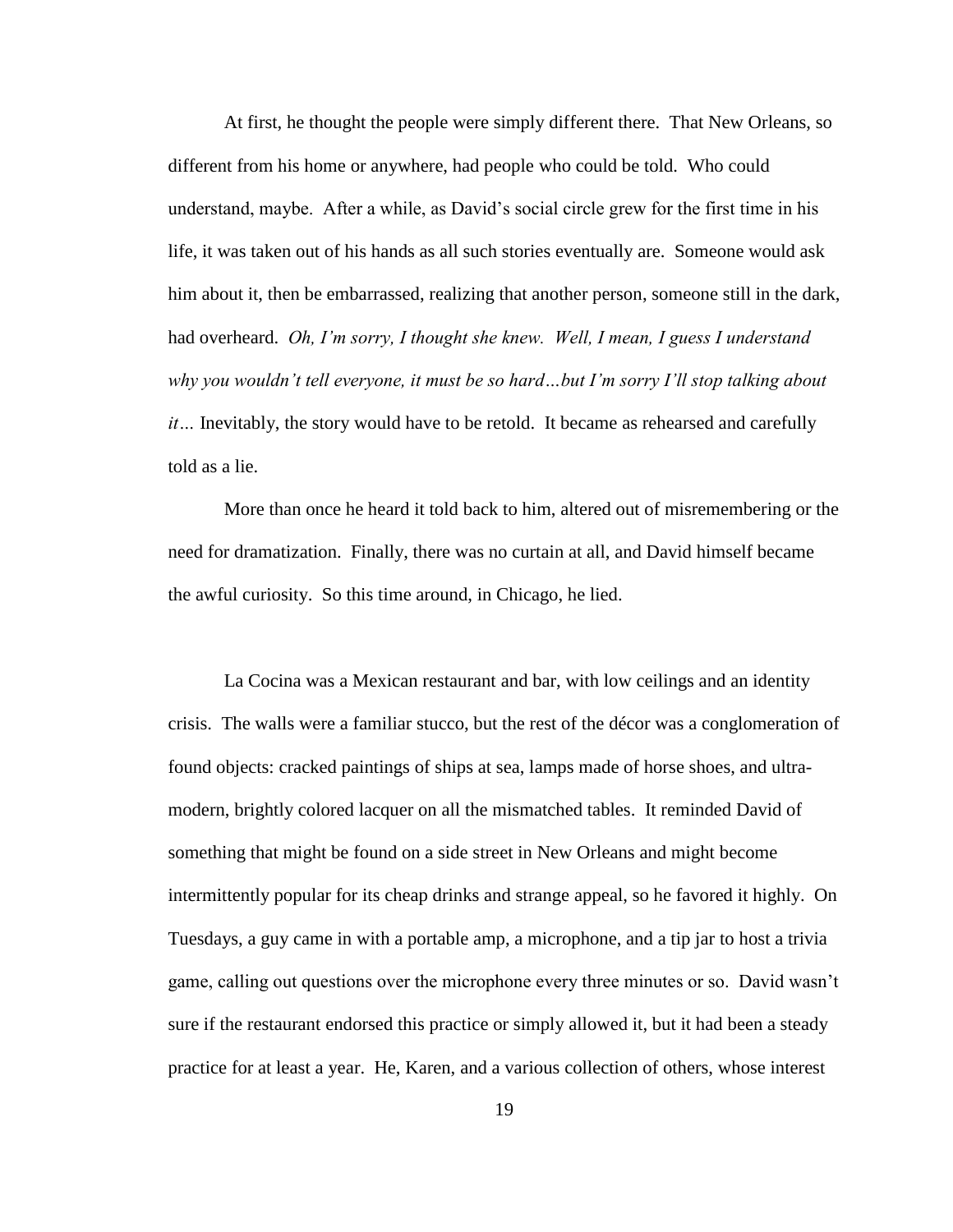At first, he thought the people were simply different there. That New Orleans, so different from his home or anywhere, had people who could be told. Who could understand, maybe. After a while, as David"s social circle grew for the first time in his life, it was taken out of his hands as all such stories eventually are. Someone would ask him about it, then be embarrassed, realizing that another person, someone still in the dark, had overheard. *Oh, I'm sorry, I thought she knew. Well, I mean, I guess I understand why you wouldn't tell everyone, it must be so hard…but I'm sorry I'll stop talking about it…* Inevitably, the story would have to be retold. It became as rehearsed and carefully told as a lie.

More than once he heard it told back to him, altered out of misremembering or the need for dramatization. Finally, there was no curtain at all, and David himself became the awful curiosity. So this time around, in Chicago, he lied.

La Cocina was a Mexican restaurant and bar, with low ceilings and an identity crisis. The walls were a familiar stucco, but the rest of the décor was a conglomeration of found objects: cracked paintings of ships at sea, lamps made of horse shoes, and ultramodern, brightly colored lacquer on all the mismatched tables. It reminded David of something that might be found on a side street in New Orleans and might become intermittently popular for its cheap drinks and strange appeal, so he favored it highly. On Tuesdays, a guy came in with a portable amp, a microphone, and a tip jar to host a trivia game, calling out questions over the microphone every three minutes or so. David wasn"t sure if the restaurant endorsed this practice or simply allowed it, but it had been a steady practice for at least a year. He, Karen, and a various collection of others, whose interest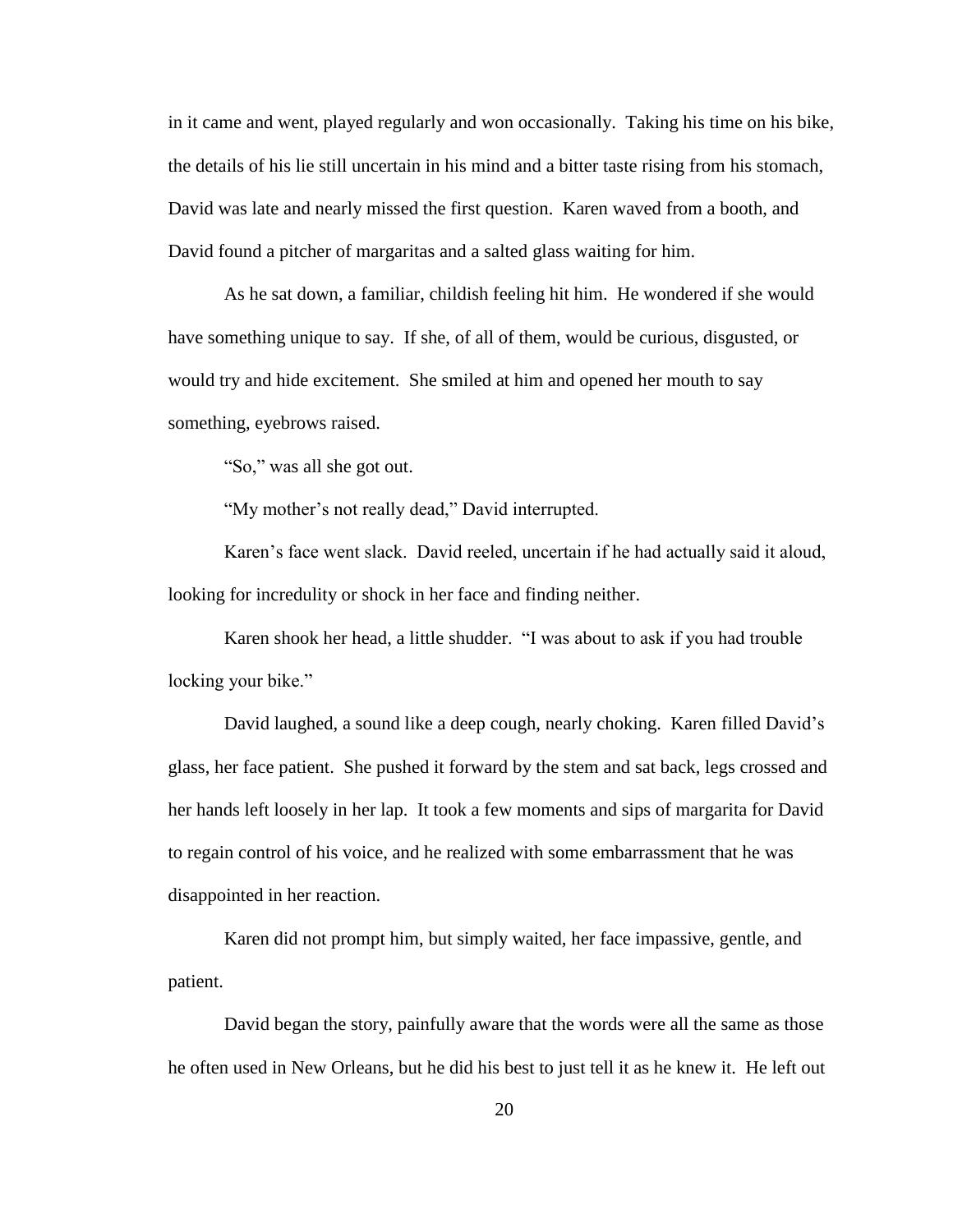in it came and went, played regularly and won occasionally. Taking his time on his bike, the details of his lie still uncertain in his mind and a bitter taste rising from his stomach, David was late and nearly missed the first question. Karen waved from a booth, and David found a pitcher of margaritas and a salted glass waiting for him.

As he sat down, a familiar, childish feeling hit him. He wondered if she would have something unique to say. If she, of all of them, would be curious, disgusted, or would try and hide excitement. She smiled at him and opened her mouth to say something, eyebrows raised.

"So," was all she got out.

"My mother"s not really dead," David interrupted.

Karen"s face went slack. David reeled, uncertain if he had actually said it aloud, looking for incredulity or shock in her face and finding neither.

Karen shook her head, a little shudder. "I was about to ask if you had trouble locking your bike."

David laughed, a sound like a deep cough, nearly choking. Karen filled David"s glass, her face patient. She pushed it forward by the stem and sat back, legs crossed and her hands left loosely in her lap. It took a few moments and sips of margarita for David to regain control of his voice, and he realized with some embarrassment that he was disappointed in her reaction.

Karen did not prompt him, but simply waited, her face impassive, gentle, and patient.

David began the story, painfully aware that the words were all the same as those he often used in New Orleans, but he did his best to just tell it as he knew it. He left out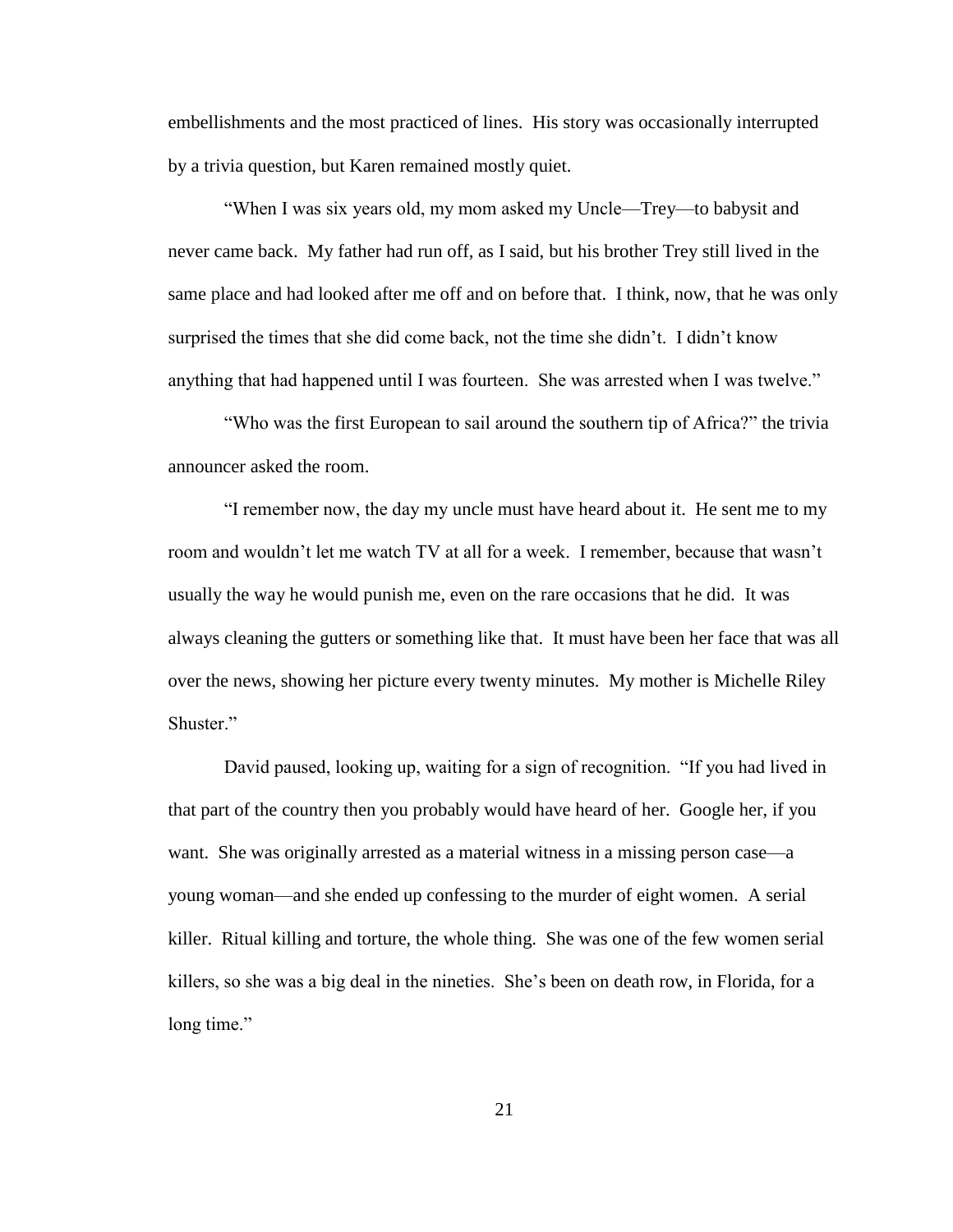embellishments and the most practiced of lines. His story was occasionally interrupted by a trivia question, but Karen remained mostly quiet.

"When I was six years old, my mom asked my Uncle—Trey—to babysit and never came back. My father had run off, as I said, but his brother Trey still lived in the same place and had looked after me off and on before that. I think, now, that he was only surprised the times that she did come back, not the time she didn"t. I didn"t know anything that had happened until I was fourteen. She was arrested when I was twelve."

"Who was the first European to sail around the southern tip of Africa?" the trivia announcer asked the room.

"I remember now, the day my uncle must have heard about it. He sent me to my room and wouldn"t let me watch TV at all for a week. I remember, because that wasn"t usually the way he would punish me, even on the rare occasions that he did. It was always cleaning the gutters or something like that. It must have been her face that was all over the news, showing her picture every twenty minutes. My mother is Michelle Riley Shuster."

David paused, looking up, waiting for a sign of recognition. "If you had lived in that part of the country then you probably would have heard of her. Google her, if you want. She was originally arrested as a material witness in a missing person case—a young woman—and she ended up confessing to the murder of eight women. A serial killer. Ritual killing and torture, the whole thing. She was one of the few women serial killers, so she was a big deal in the nineties. She"s been on death row, in Florida, for a long time."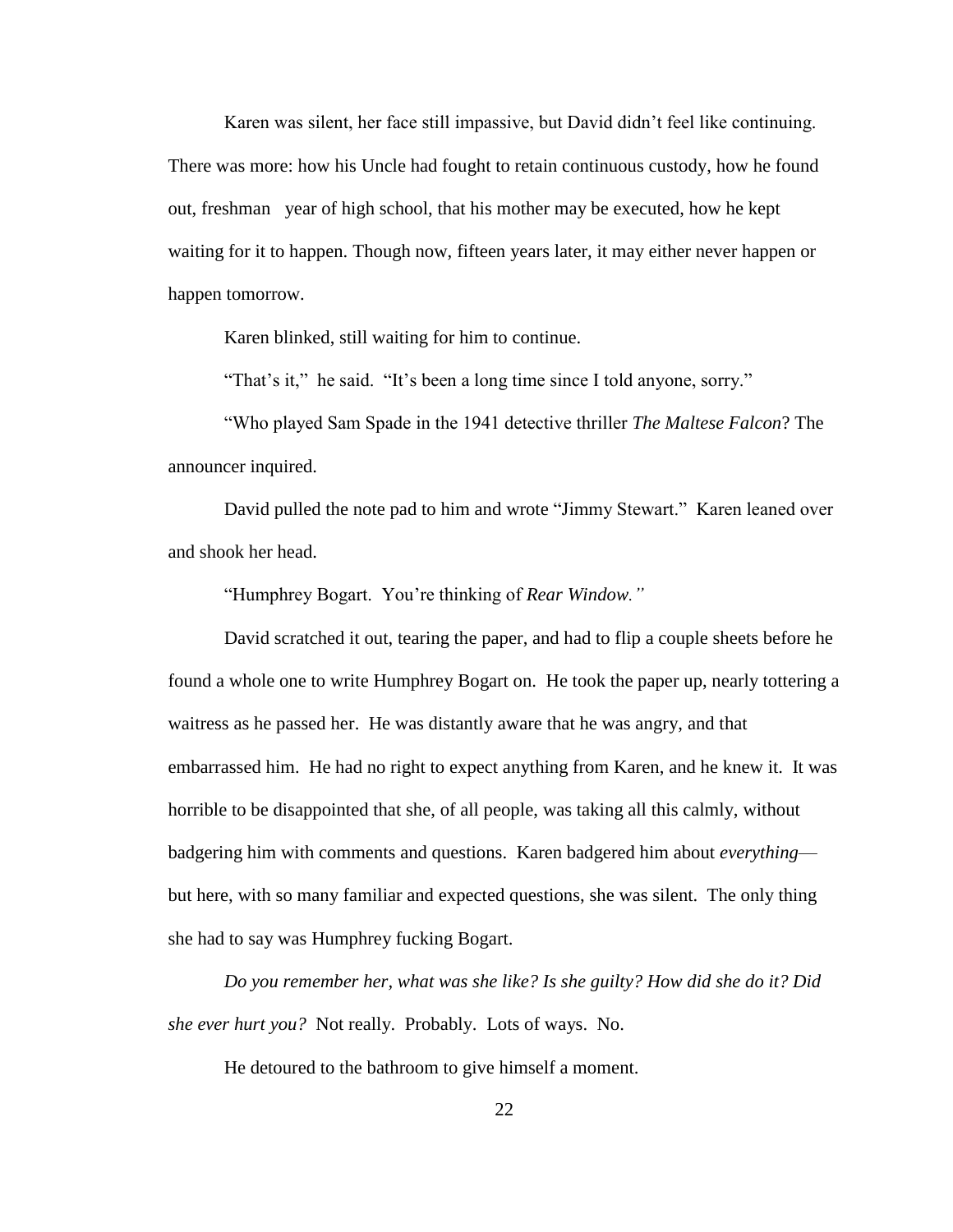Karen was silent, her face still impassive, but David didn"t feel like continuing. There was more: how his Uncle had fought to retain continuous custody, how he found out, freshman year of high school, that his mother may be executed, how he kept waiting for it to happen. Though now, fifteen years later, it may either never happen or happen tomorrow.

Karen blinked, still waiting for him to continue.

"That's it," he said. "It's been a long time since I told anyone, sorry."

"Who played Sam Spade in the 1941 detective thriller *The Maltese Falcon*? The announcer inquired.

David pulled the note pad to him and wrote "Jimmy Stewart." Karen leaned over and shook her head.

"Humphrey Bogart. You"re thinking of *Rear Window."*

David scratched it out, tearing the paper, and had to flip a couple sheets before he found a whole one to write Humphrey Bogart on. He took the paper up, nearly tottering a waitress as he passed her. He was distantly aware that he was angry, and that embarrassed him. He had no right to expect anything from Karen, and he knew it. It was horrible to be disappointed that she, of all people, was taking all this calmly, without badgering him with comments and questions. Karen badgered him about *everything* but here, with so many familiar and expected questions, she was silent. The only thing she had to say was Humphrey fucking Bogart.

*Do you remember her, what was she like? Is she guilty? How did she do it? Did she ever hurt you?* Not really. Probably. Lots of ways. No.

He detoured to the bathroom to give himself a moment.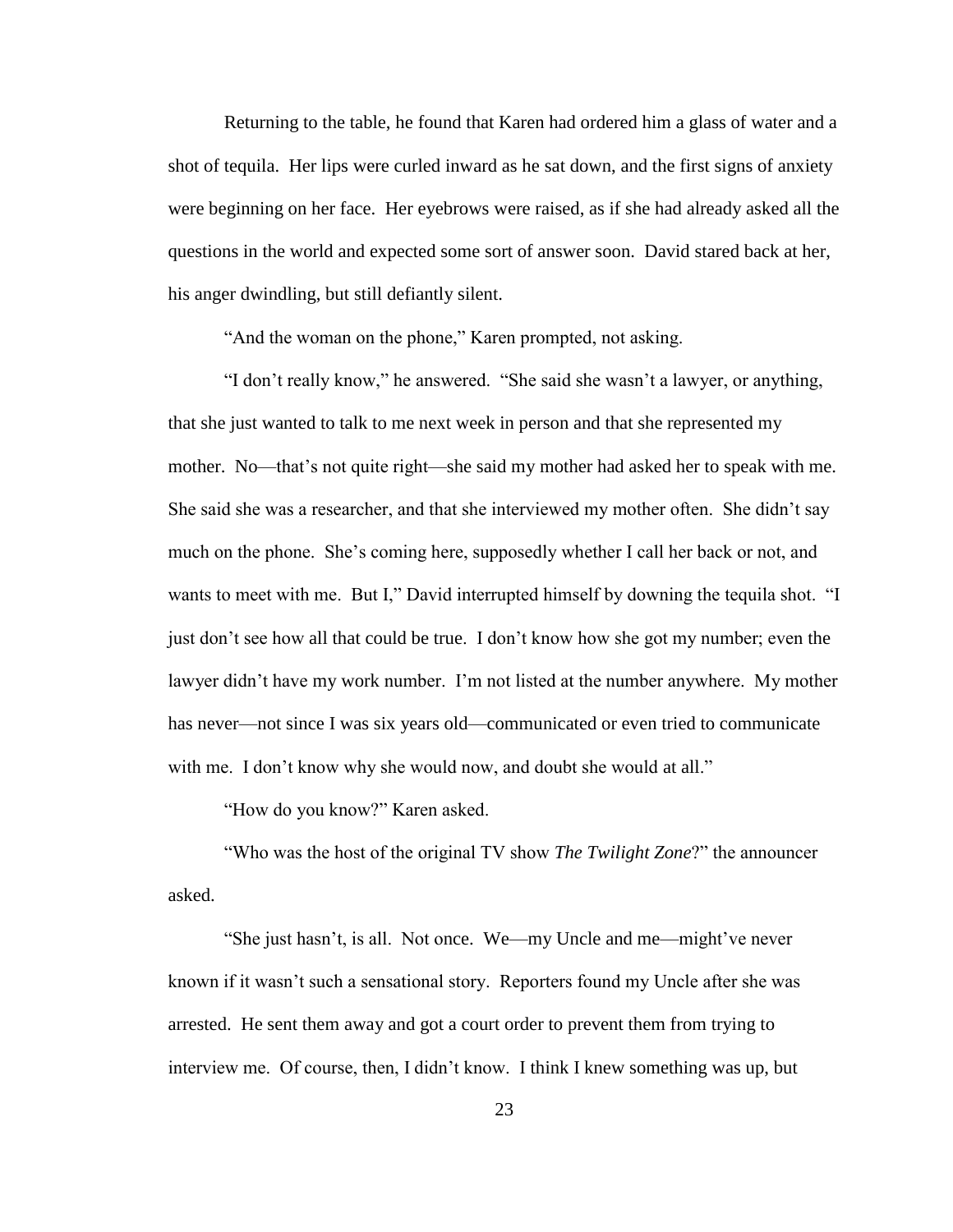Returning to the table, he found that Karen had ordered him a glass of water and a shot of tequila. Her lips were curled inward as he sat down, and the first signs of anxiety were beginning on her face. Her eyebrows were raised, as if she had already asked all the questions in the world and expected some sort of answer soon. David stared back at her, his anger dwindling, but still defiantly silent.

"And the woman on the phone," Karen prompted, not asking.

"I don"t really know," he answered. "She said she wasn"t a lawyer, or anything, that she just wanted to talk to me next week in person and that she represented my mother. No—that"s not quite right—she said my mother had asked her to speak with me. She said she was a researcher, and that she interviewed my mother often. She didn"t say much on the phone. She"s coming here, supposedly whether I call her back or not, and wants to meet with me. But I," David interrupted himself by downing the tequila shot. "I just don"t see how all that could be true. I don"t know how she got my number; even the lawyer didn't have my work number. I'm not listed at the number anywhere. My mother has never—not since I was six years old—communicated or even tried to communicate with me. I don't know why she would now, and doubt she would at all."

"How do you know?" Karen asked.

"Who was the host of the original TV show *The Twilight Zone*?" the announcer asked.

"She just hasn't, is all. Not once. We—my Uncle and me—might've never known if it wasn"t such a sensational story. Reporters found my Uncle after she was arrested. He sent them away and got a court order to prevent them from trying to interview me. Of course, then, I didn"t know. I think I knew something was up, but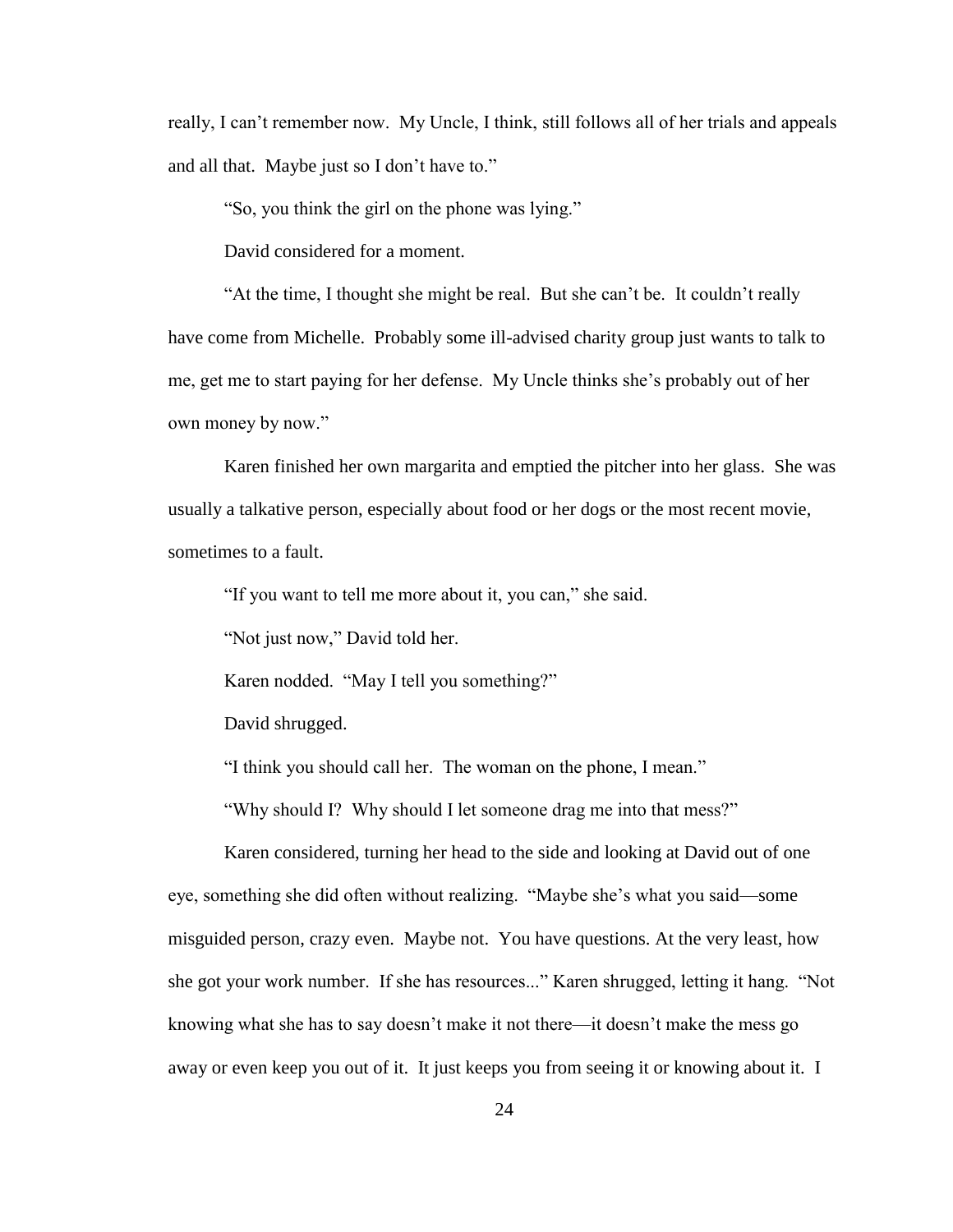really, I can"t remember now. My Uncle, I think, still follows all of her trials and appeals and all that. Maybe just so I don"t have to."

"So, you think the girl on the phone was lying."

David considered for a moment.

"At the time, I thought she might be real. But she can"t be. It couldn"t really have come from Michelle. Probably some ill-advised charity group just wants to talk to me, get me to start paying for her defense. My Uncle thinks she"s probably out of her own money by now."

Karen finished her own margarita and emptied the pitcher into her glass. She was usually a talkative person, especially about food or her dogs or the most recent movie, sometimes to a fault.

"If you want to tell me more about it, you can," she said.

"Not just now," David told her.

Karen nodded. "May I tell you something?"

David shrugged.

"I think you should call her. The woman on the phone, I mean."

"Why should I? Why should I let someone drag me into that mess?"

Karen considered, turning her head to the side and looking at David out of one eye, something she did often without realizing. "Maybe she"s what you said—some misguided person, crazy even. Maybe not. You have questions. At the very least, how she got your work number. If she has resources..." Karen shrugged, letting it hang. "Not knowing what she has to say doesn"t make it not there—it doesn"t make the mess go away or even keep you out of it. It just keeps you from seeing it or knowing about it. I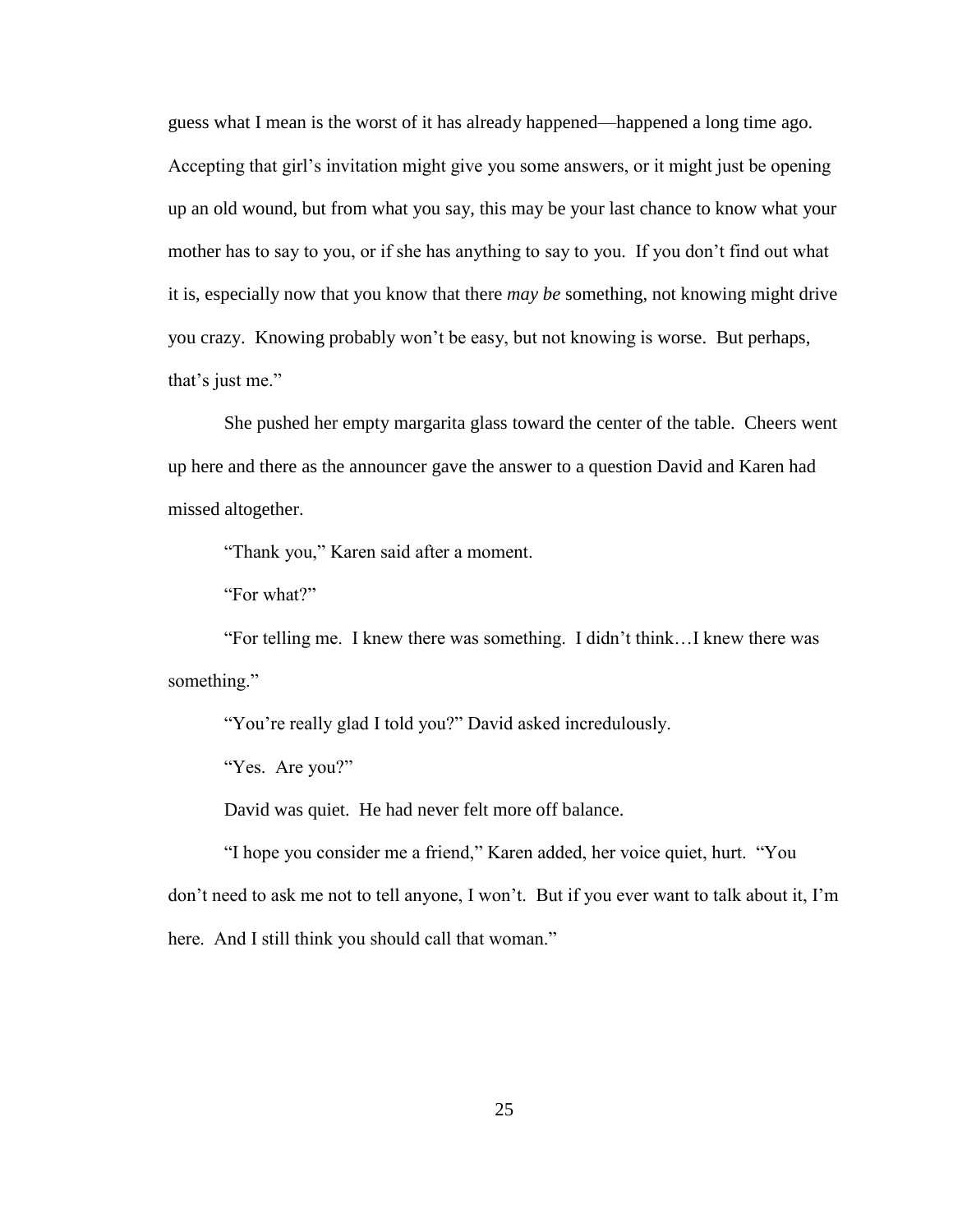guess what I mean is the worst of it has already happened—happened a long time ago. Accepting that girl"s invitation might give you some answers, or it might just be opening up an old wound, but from what you say, this may be your last chance to know what your mother has to say to you, or if she has anything to say to you. If you don"t find out what it is, especially now that you know that there *may be* something, not knowing might drive you crazy. Knowing probably won"t be easy, but not knowing is worse. But perhaps, that's just me."

She pushed her empty margarita glass toward the center of the table. Cheers went up here and there as the announcer gave the answer to a question David and Karen had missed altogether.

"Thank you," Karen said after a moment.

"For what?"

"For telling me. I knew there was something. I didn"t think…I knew there was something."

"You"re really glad I told you?" David asked incredulously.

"Yes. Are you?"

David was quiet. He had never felt more off balance.

"I hope you consider me a friend," Karen added, her voice quiet, hurt. "You don't need to ask me not to tell anyone, I won't. But if you ever want to talk about it, I'm here. And I still think you should call that woman."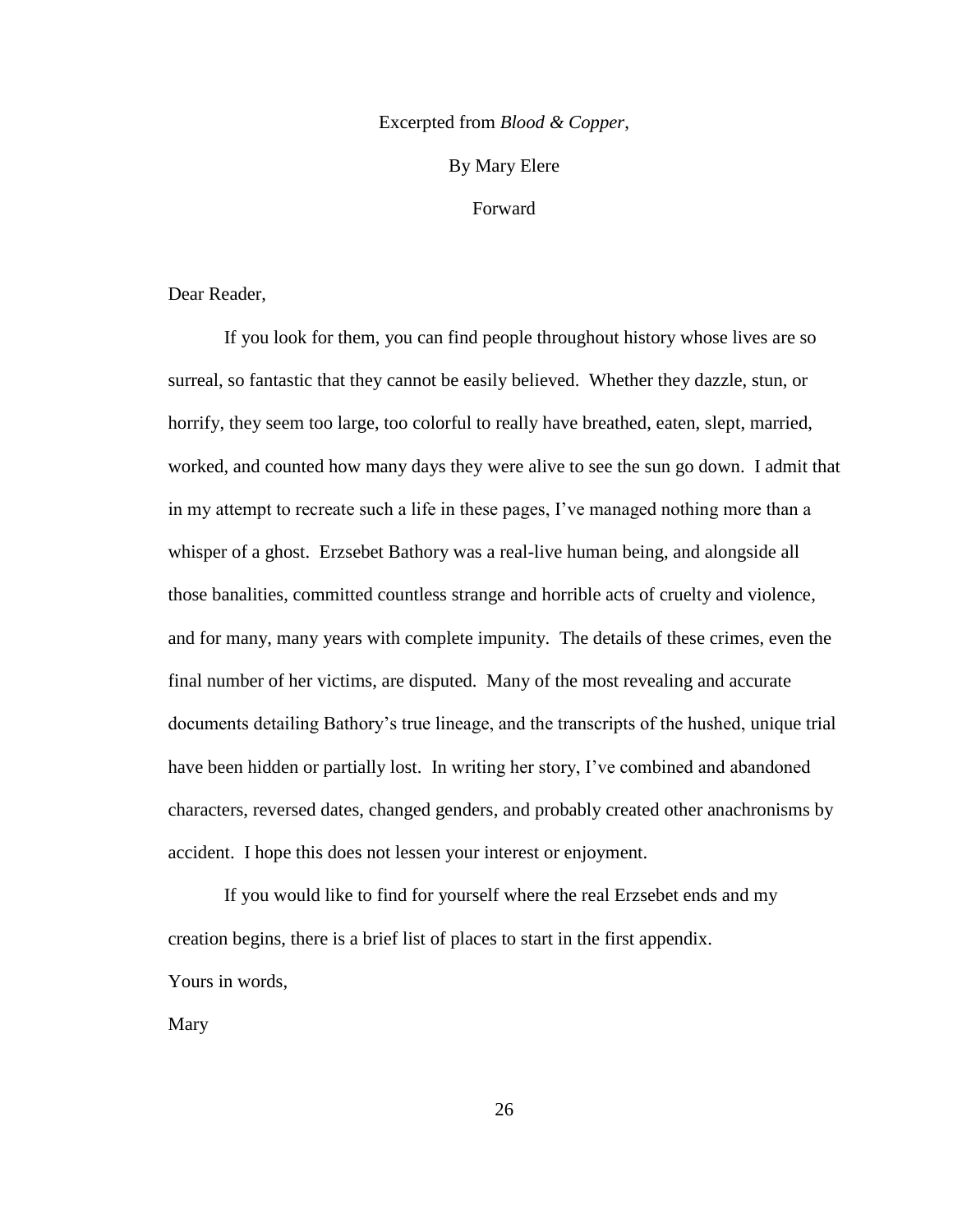### Excerpted from *Blood & Copper*,

### By Mary Elere

### Forward

Dear Reader,

If you look for them, you can find people throughout history whose lives are so surreal, so fantastic that they cannot be easily believed. Whether they dazzle, stun, or horrify, they seem too large, too colorful to really have breathed, eaten, slept, married, worked, and counted how many days they were alive to see the sun go down. I admit that in my attempt to recreate such a life in these pages, I"ve managed nothing more than a whisper of a ghost. Erzsebet Bathory was a real-live human being, and alongside all those banalities, committed countless strange and horrible acts of cruelty and violence, and for many, many years with complete impunity. The details of these crimes, even the final number of her victims, are disputed. Many of the most revealing and accurate documents detailing Bathory"s true lineage, and the transcripts of the hushed, unique trial have been hidden or partially lost. In writing her story, I've combined and abandoned characters, reversed dates, changed genders, and probably created other anachronisms by accident. I hope this does not lessen your interest or enjoyment.

If you would like to find for yourself where the real Erzsebet ends and my creation begins, there is a brief list of places to start in the first appendix. Yours in words,

Mary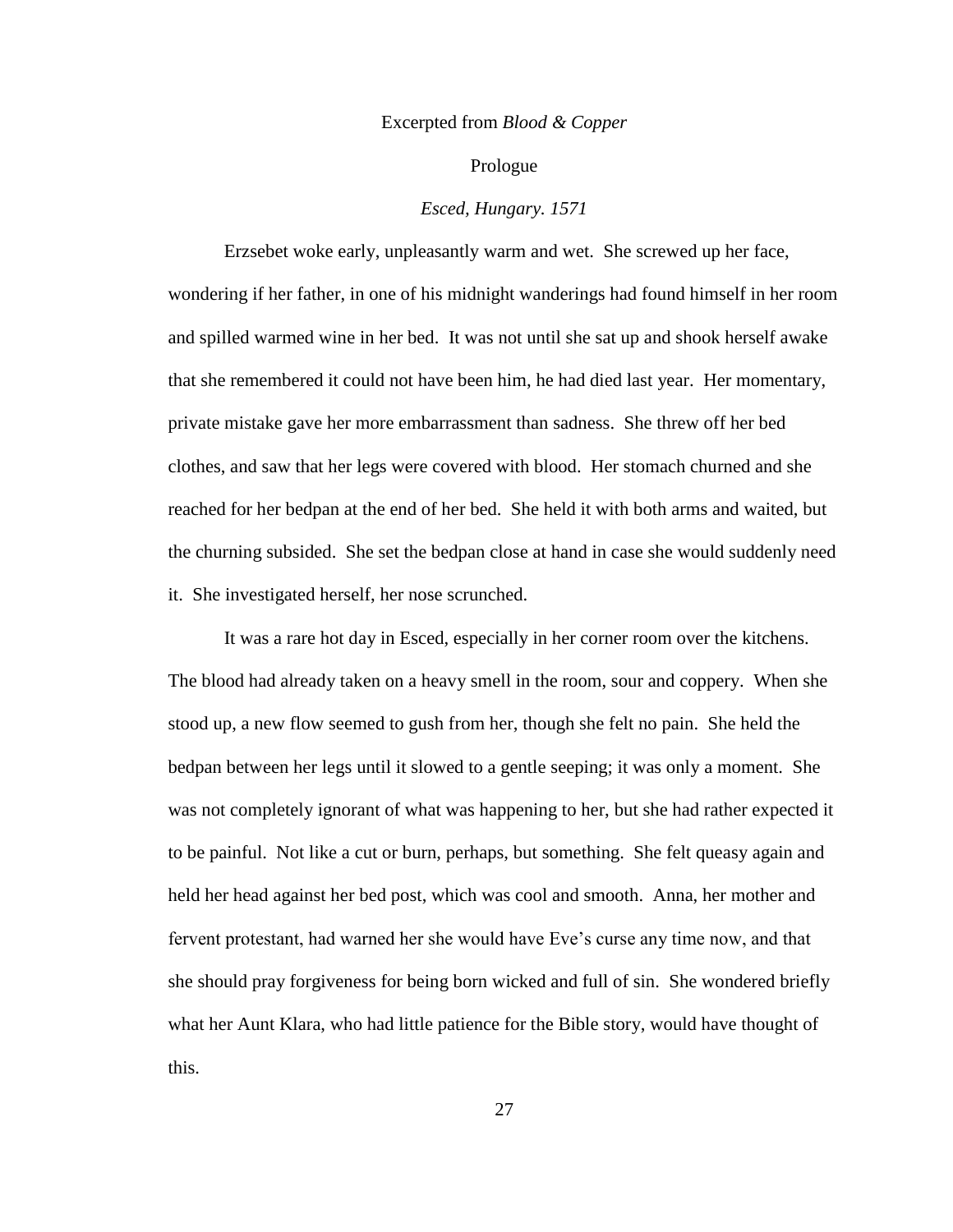### Excerpted from *Blood & Copper*

### Prologue

### *Esced, Hungary. 1571*

Erzsebet woke early, unpleasantly warm and wet. She screwed up her face, wondering if her father, in one of his midnight wanderings had found himself in her room and spilled warmed wine in her bed. It was not until she sat up and shook herself awake that she remembered it could not have been him, he had died last year. Her momentary, private mistake gave her more embarrassment than sadness. She threw off her bed clothes, and saw that her legs were covered with blood. Her stomach churned and she reached for her bedpan at the end of her bed. She held it with both arms and waited, but the churning subsided. She set the bedpan close at hand in case she would suddenly need it. She investigated herself, her nose scrunched.

It was a rare hot day in Esced, especially in her corner room over the kitchens. The blood had already taken on a heavy smell in the room, sour and coppery. When she stood up, a new flow seemed to gush from her, though she felt no pain. She held the bedpan between her legs until it slowed to a gentle seeping; it was only a moment. She was not completely ignorant of what was happening to her, but she had rather expected it to be painful. Not like a cut or burn, perhaps, but something. She felt queasy again and held her head against her bed post, which was cool and smooth. Anna, her mother and fervent protestant, had warned her she would have Eve"s curse any time now, and that she should pray forgiveness for being born wicked and full of sin. She wondered briefly what her Aunt Klara, who had little patience for the Bible story, would have thought of this.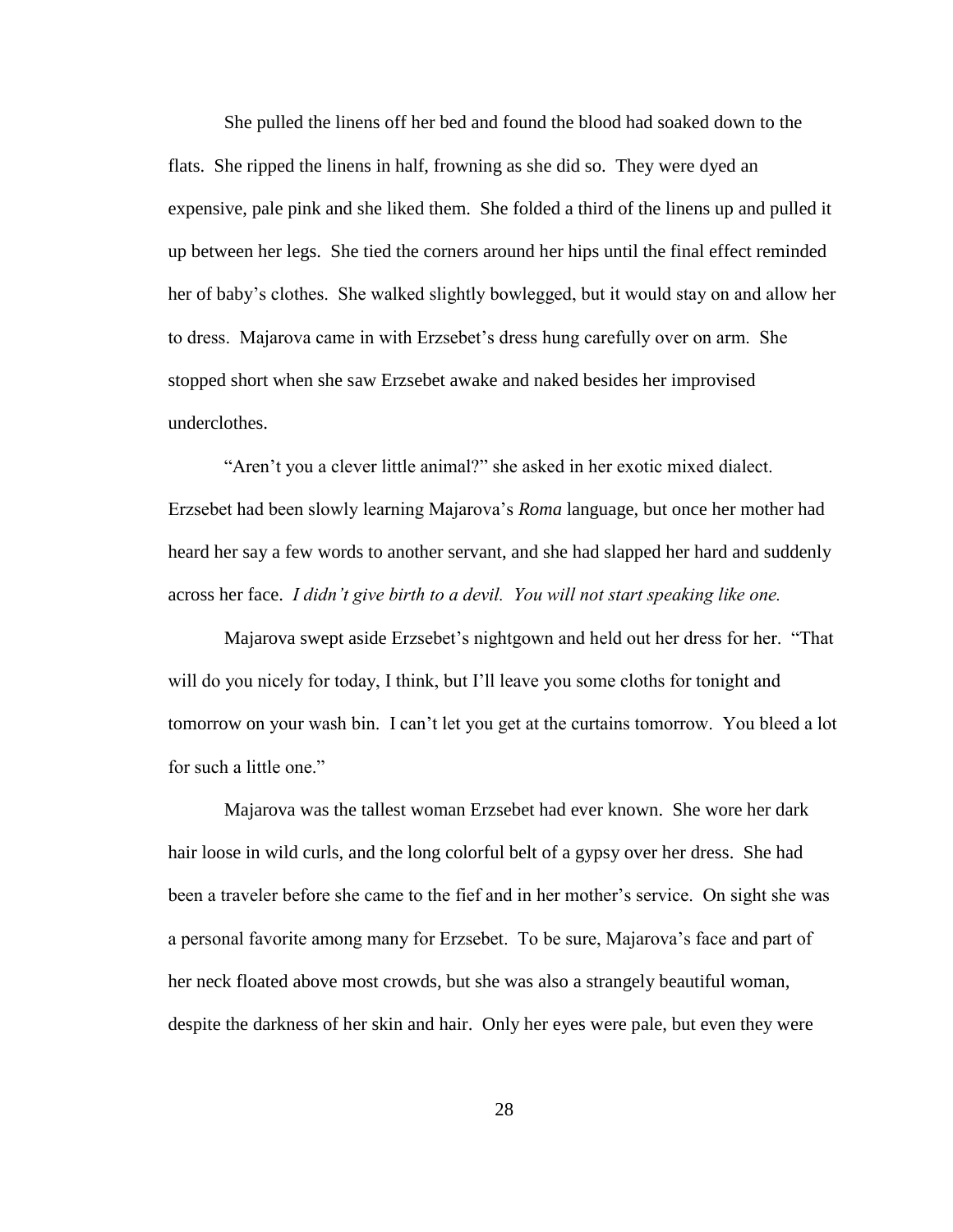She pulled the linens off her bed and found the blood had soaked down to the flats. She ripped the linens in half, frowning as she did so. They were dyed an expensive, pale pink and she liked them. She folded a third of the linens up and pulled it up between her legs. She tied the corners around her hips until the final effect reminded her of baby"s clothes. She walked slightly bowlegged, but it would stay on and allow her to dress. Majarova came in with Erzsebet"s dress hung carefully over on arm. She stopped short when she saw Erzsebet awake and naked besides her improvised underclothes.

"Aren"t you a clever little animal?" she asked in her exotic mixed dialect. Erzsebet had been slowly learning Majarova"s *Roma* language, but once her mother had heard her say a few words to another servant, and she had slapped her hard and suddenly across her face. *I didn't give birth to a devil. You will not start speaking like one.*

Majarova swept aside Erzsebet"s nightgown and held out her dress for her. "That will do you nicely for today, I think, but I'll leave you some cloths for tonight and tomorrow on your wash bin. I can"t let you get at the curtains tomorrow. You bleed a lot for such a little one."

Majarova was the tallest woman Erzsebet had ever known. She wore her dark hair loose in wild curls, and the long colorful belt of a gypsy over her dress. She had been a traveler before she came to the fief and in her mother"s service. On sight she was a personal favorite among many for Erzsebet. To be sure, Majarova"s face and part of her neck floated above most crowds, but she was also a strangely beautiful woman, despite the darkness of her skin and hair. Only her eyes were pale, but even they were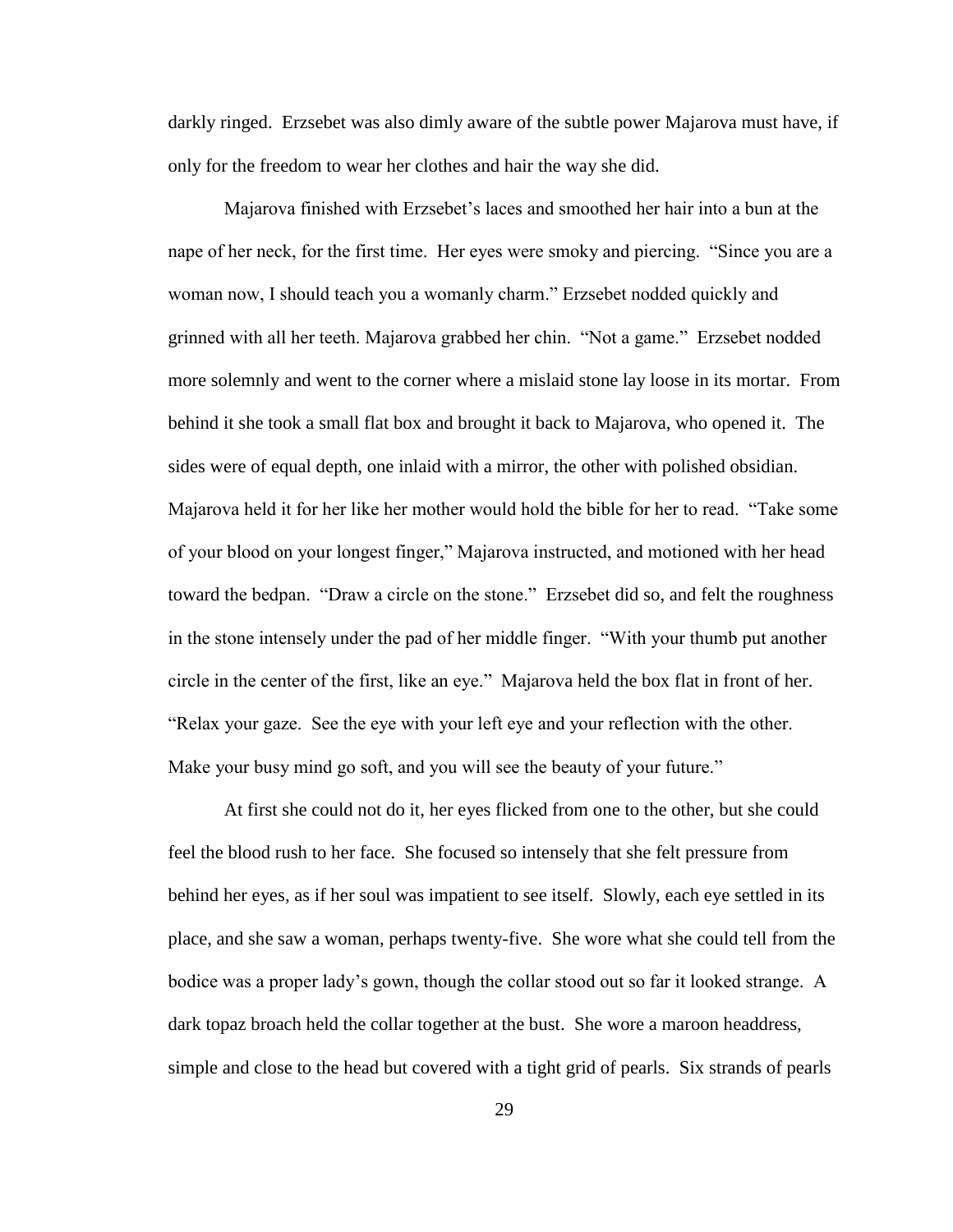darkly ringed. Erzsebet was also dimly aware of the subtle power Majarova must have, if only for the freedom to wear her clothes and hair the way she did.

Majarova finished with Erzsebet"s laces and smoothed her hair into a bun at the nape of her neck, for the first time. Her eyes were smoky and piercing. "Since you are a woman now, I should teach you a womanly charm." Erzsebet nodded quickly and grinned with all her teeth. Majarova grabbed her chin. "Not a game." Erzsebet nodded more solemnly and went to the corner where a mislaid stone lay loose in its mortar. From behind it she took a small flat box and brought it back to Majarova, who opened it. The sides were of equal depth, one inlaid with a mirror, the other with polished obsidian. Majarova held it for her like her mother would hold the bible for her to read. "Take some of your blood on your longest finger," Majarova instructed, and motioned with her head toward the bedpan. "Draw a circle on the stone." Erzsebet did so, and felt the roughness in the stone intensely under the pad of her middle finger. "With your thumb put another circle in the center of the first, like an eye." Majarova held the box flat in front of her. "Relax your gaze. See the eye with your left eye and your reflection with the other. Make your busy mind go soft, and you will see the beauty of your future."

At first she could not do it, her eyes flicked from one to the other, but she could feel the blood rush to her face. She focused so intensely that she felt pressure from behind her eyes, as if her soul was impatient to see itself. Slowly, each eye settled in its place, and she saw a woman, perhaps twenty-five. She wore what she could tell from the bodice was a proper lady"s gown, though the collar stood out so far it looked strange. A dark topaz broach held the collar together at the bust. She wore a maroon headdress, simple and close to the head but covered with a tight grid of pearls. Six strands of pearls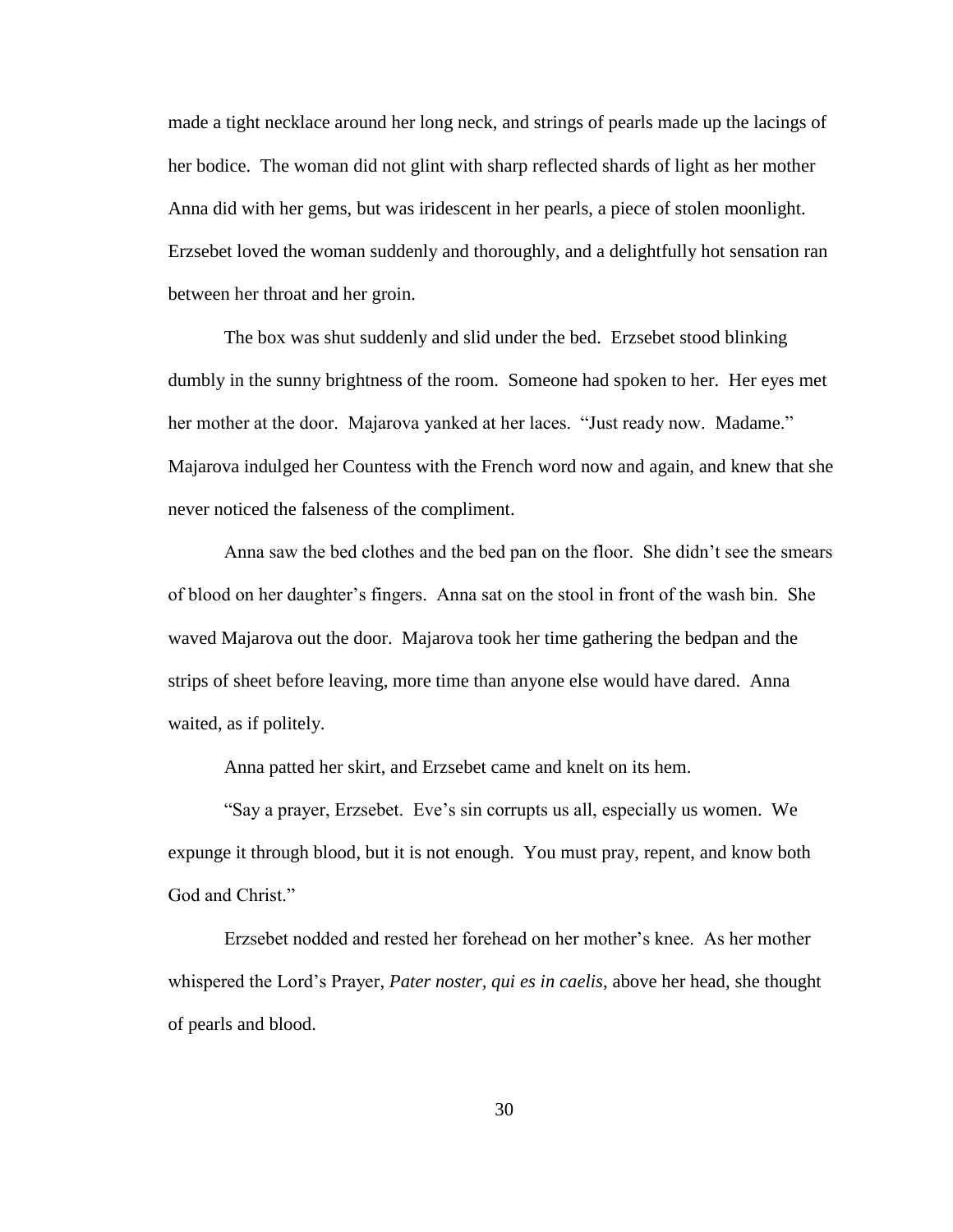made a tight necklace around her long neck, and strings of pearls made up the lacings of her bodice. The woman did not glint with sharp reflected shards of light as her mother Anna did with her gems, but was iridescent in her pearls, a piece of stolen moonlight. Erzsebet loved the woman suddenly and thoroughly, and a delightfully hot sensation ran between her throat and her groin.

The box was shut suddenly and slid under the bed. Erzsebet stood blinking dumbly in the sunny brightness of the room. Someone had spoken to her. Her eyes met her mother at the door. Majarova yanked at her laces. "Just ready now. Madame." Majarova indulged her Countess with the French word now and again, and knew that she never noticed the falseness of the compliment.

Anna saw the bed clothes and the bed pan on the floor. She didn"t see the smears of blood on her daughter"s fingers. Anna sat on the stool in front of the wash bin. She waved Majarova out the door. Majarova took her time gathering the bedpan and the strips of sheet before leaving, more time than anyone else would have dared. Anna waited, as if politely.

Anna patted her skirt, and Erzsebet came and knelt on its hem.

"Say a prayer, Erzsebet. Eve"s sin corrupts us all, especially us women. We expunge it through blood, but it is not enough. You must pray, repent, and know both God and Christ."

Erzsebet nodded and rested her forehead on her mother"s knee. As her mother whispered the Lord"s Prayer, *Pater noster, qui es in caelis*, above her head, she thought of pearls and blood.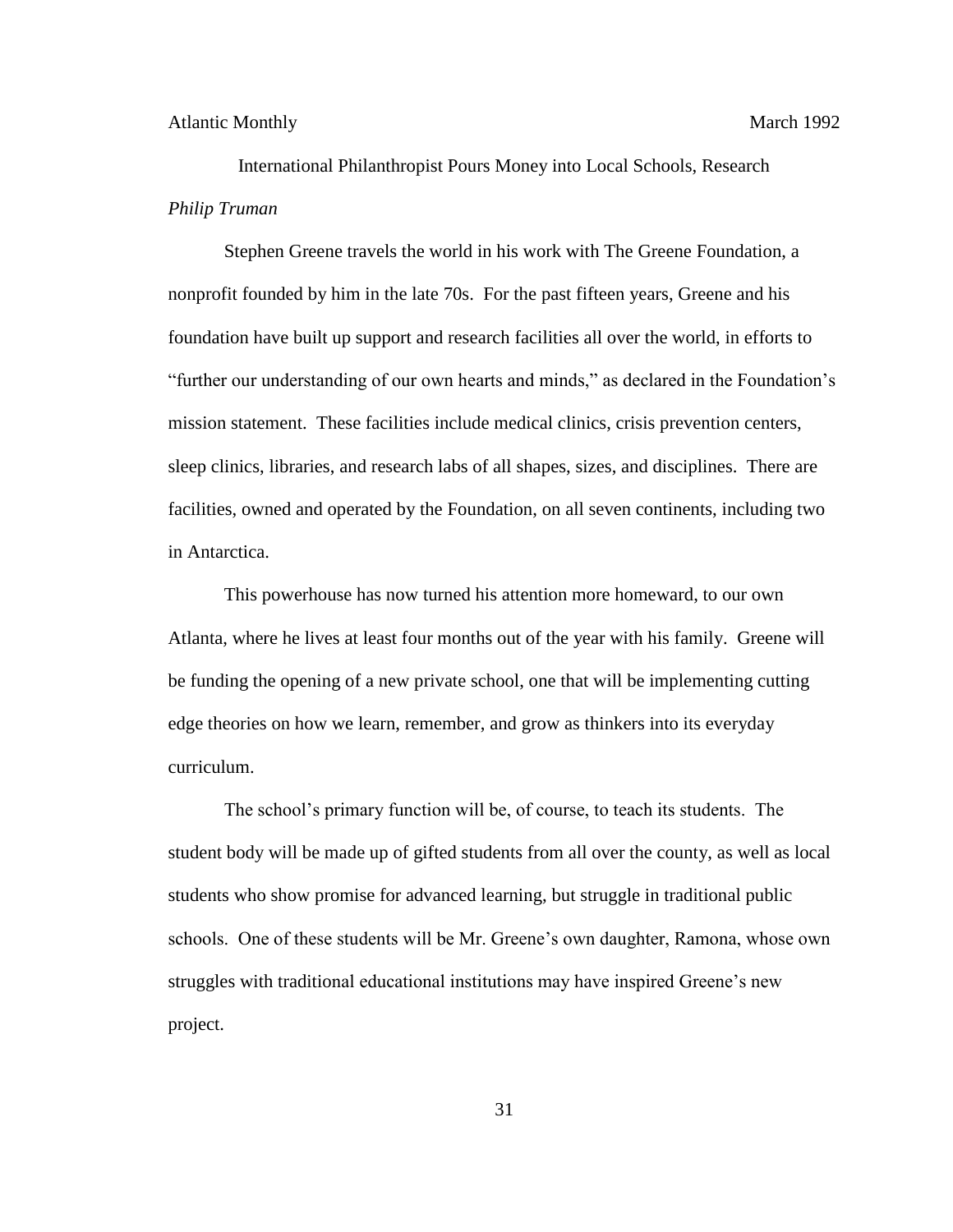International Philanthropist Pours Money into Local Schools, Research *Philip Truman*

Stephen Greene travels the world in his work with The Greene Foundation, a nonprofit founded by him in the late 70s. For the past fifteen years, Greene and his foundation have built up support and research facilities all over the world, in efforts to "further our understanding of our own hearts and minds," as declared in the Foundation"s mission statement. These facilities include medical clinics, crisis prevention centers, sleep clinics, libraries, and research labs of all shapes, sizes, and disciplines. There are facilities, owned and operated by the Foundation, on all seven continents, including two in Antarctica.

This powerhouse has now turned his attention more homeward, to our own Atlanta, where he lives at least four months out of the year with his family. Greene will be funding the opening of a new private school, one that will be implementing cutting edge theories on how we learn, remember, and grow as thinkers into its everyday curriculum.

The school"s primary function will be, of course, to teach its students. The student body will be made up of gifted students from all over the county, as well as local students who show promise for advanced learning, but struggle in traditional public schools. One of these students will be Mr. Greene"s own daughter, Ramona, whose own struggles with traditional educational institutions may have inspired Greene"s new project.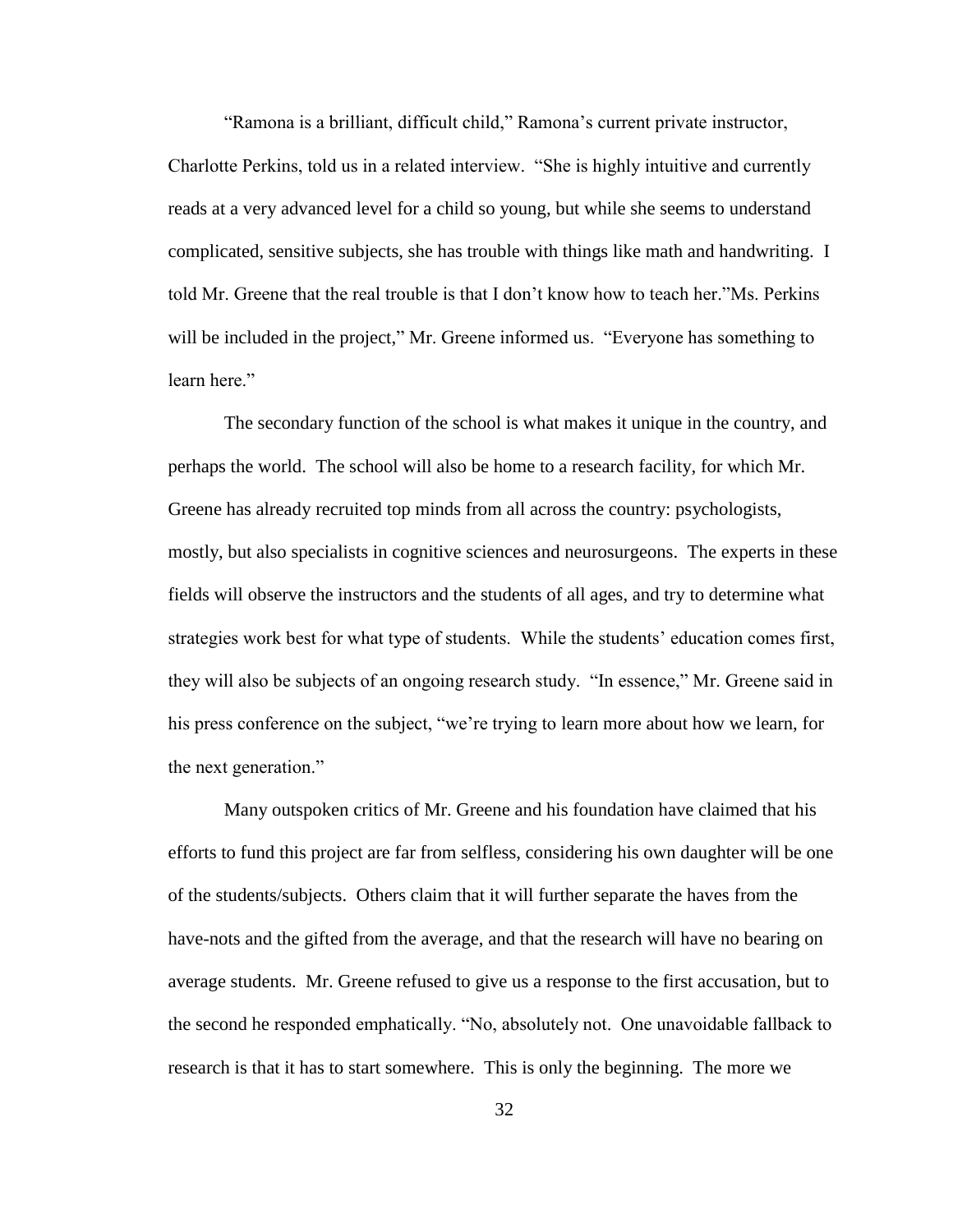"Ramona is a brilliant, difficult child," Ramona"s current private instructor, Charlotte Perkins, told us in a related interview. "She is highly intuitive and currently reads at a very advanced level for a child so young, but while she seems to understand complicated, sensitive subjects, she has trouble with things like math and handwriting. I told Mr. Greene that the real trouble is that I don"t know how to teach her."Ms. Perkins will be included in the project," Mr. Greene informed us. "Everyone has something to learn here."

The secondary function of the school is what makes it unique in the country, and perhaps the world. The school will also be home to a research facility, for which Mr. Greene has already recruited top minds from all across the country: psychologists, mostly, but also specialists in cognitive sciences and neurosurgeons. The experts in these fields will observe the instructors and the students of all ages, and try to determine what strategies work best for what type of students. While the students' education comes first, they will also be subjects of an ongoing research study. "In essence," Mr. Greene said in his press conference on the subject, "we"re trying to learn more about how we learn, for the next generation."

Many outspoken critics of Mr. Greene and his foundation have claimed that his efforts to fund this project are far from selfless, considering his own daughter will be one of the students/subjects. Others claim that it will further separate the haves from the have-nots and the gifted from the average, and that the research will have no bearing on average students. Mr. Greene refused to give us a response to the first accusation, but to the second he responded emphatically. "No, absolutely not. One unavoidable fallback to research is that it has to start somewhere. This is only the beginning. The more we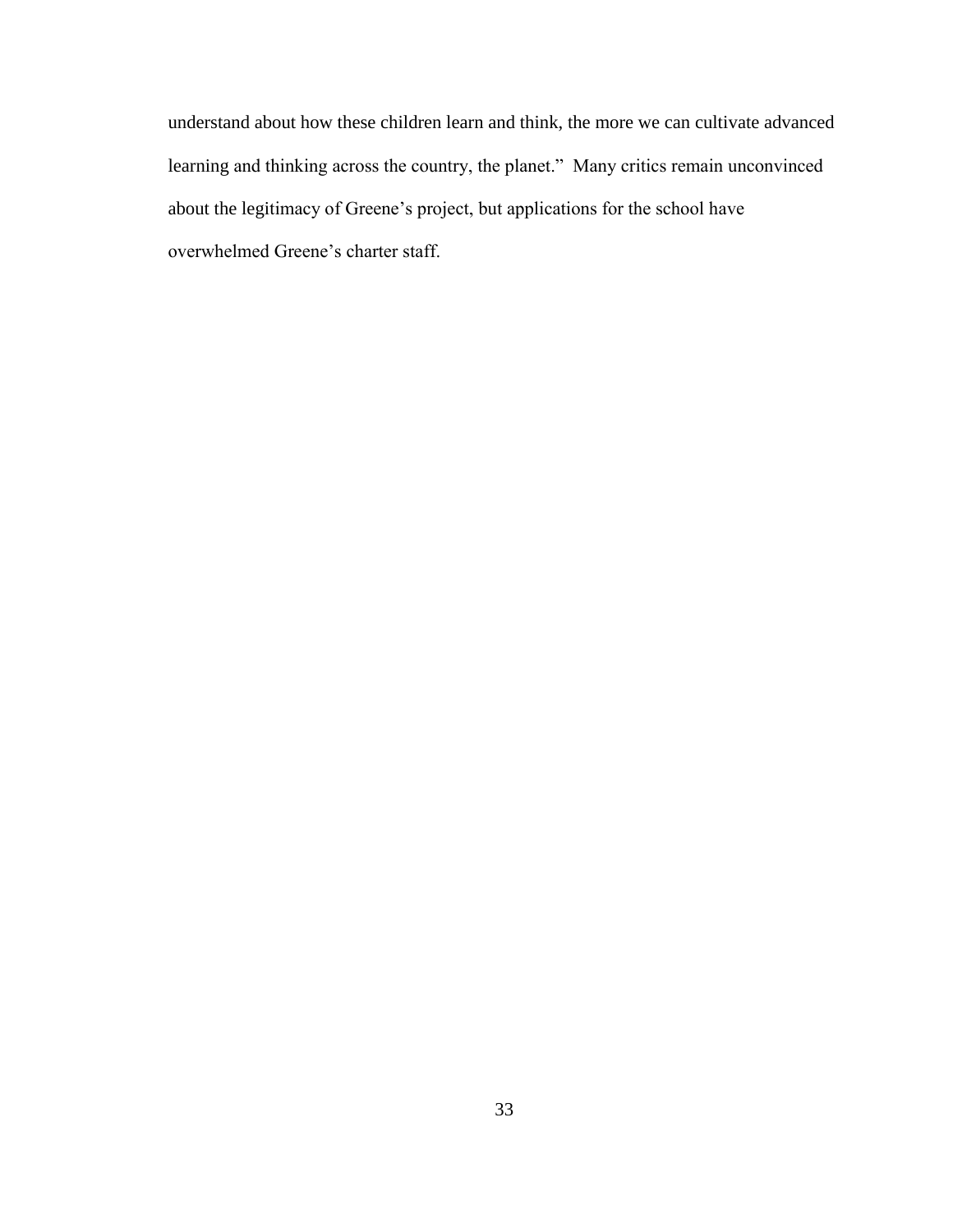understand about how these children learn and think, the more we can cultivate advanced learning and thinking across the country, the planet." Many critics remain unconvinced about the legitimacy of Greene"s project, but applications for the school have overwhelmed Greene"s charter staff.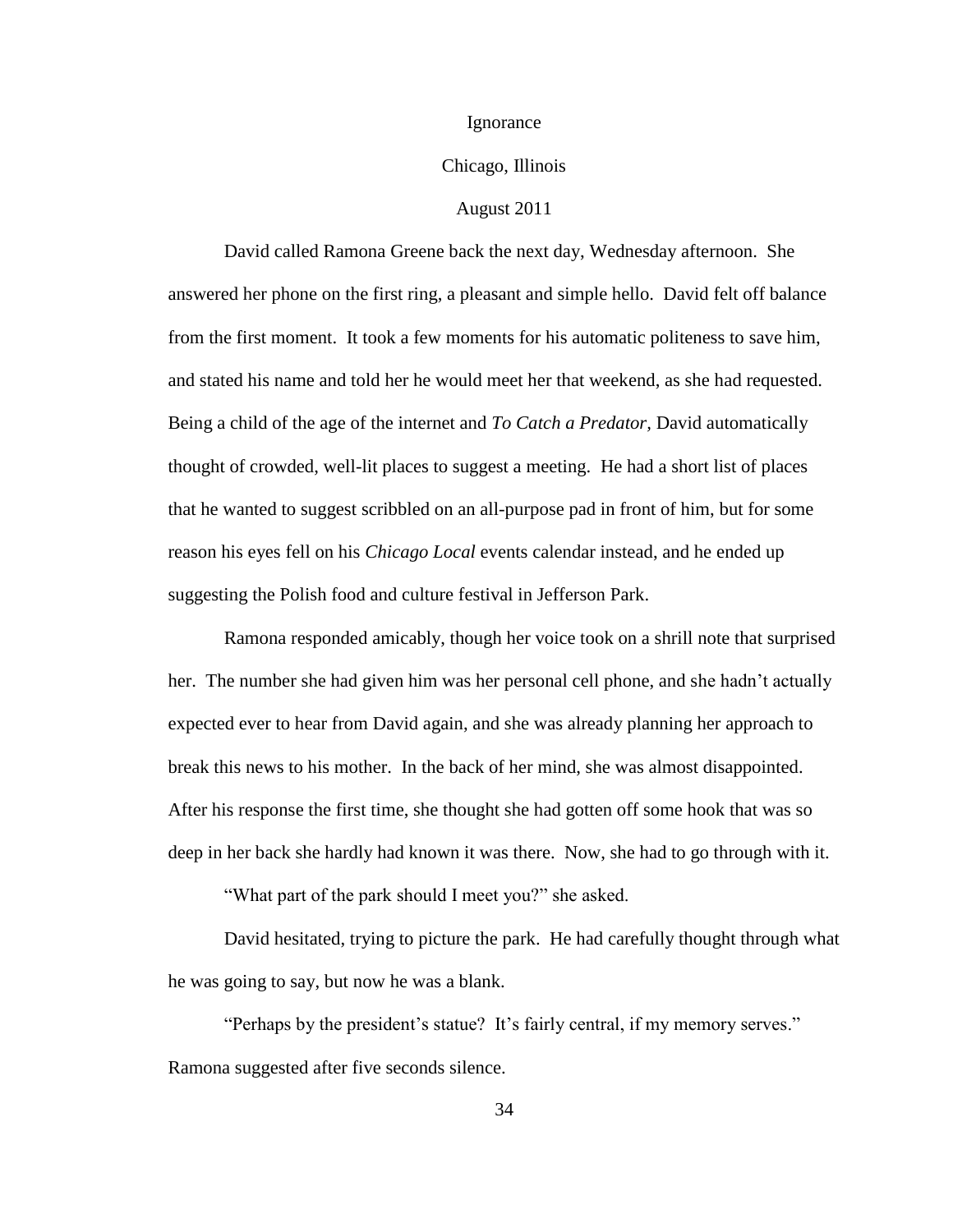#### Ignorance

## Chicago, Illinois

#### August 2011

David called Ramona Greene back the next day, Wednesday afternoon. She answered her phone on the first ring, a pleasant and simple hello. David felt off balance from the first moment. It took a few moments for his automatic politeness to save him, and stated his name and told her he would meet her that weekend, as she had requested. Being a child of the age of the internet and *To Catch a Predator,* David automatically thought of crowded, well-lit places to suggest a meeting. He had a short list of places that he wanted to suggest scribbled on an all-purpose pad in front of him, but for some reason his eyes fell on his *Chicago Local* events calendar instead, and he ended up suggesting the Polish food and culture festival in Jefferson Park.

Ramona responded amicably, though her voice took on a shrill note that surprised her. The number she had given him was her personal cell phone, and she hadn"t actually expected ever to hear from David again, and she was already planning her approach to break this news to his mother. In the back of her mind, she was almost disappointed. After his response the first time, she thought she had gotten off some hook that was so deep in her back she hardly had known it was there. Now, she had to go through with it.

"What part of the park should I meet you?" she asked.

David hesitated, trying to picture the park. He had carefully thought through what he was going to say, but now he was a blank.

"Perhaps by the president's statue? It's fairly central, if my memory serves." Ramona suggested after five seconds silence.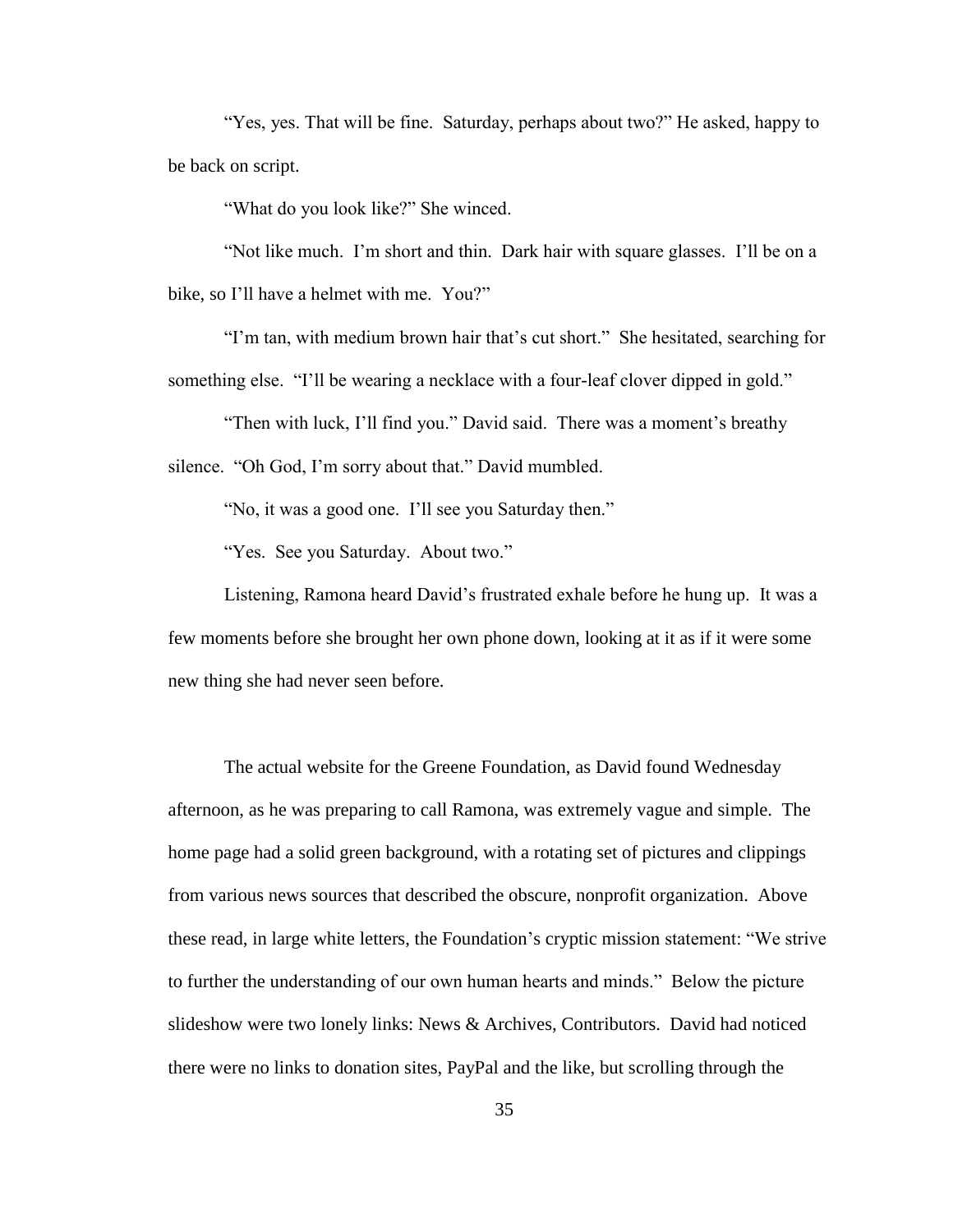"Yes, yes. That will be fine. Saturday, perhaps about two?" He asked, happy to be back on script.

"What do you look like?" She winced.

"Not like much. I"m short and thin. Dark hair with square glasses. I"ll be on a bike, so I'll have a helmet with me. You?"

"I"m tan, with medium brown hair that"s cut short." She hesitated, searching for something else. "I'll be wearing a necklace with a four-leaf clover dipped in gold."

"Then with luck, I'll find you." David said. There was a moment's breathy silence. "Oh God, I'm sorry about that." David mumbled.

"No, it was a good one. I"ll see you Saturday then."

"Yes. See you Saturday. About two."

Listening, Ramona heard David"s frustrated exhale before he hung up. It was a few moments before she brought her own phone down, looking at it as if it were some new thing she had never seen before.

The actual website for the Greene Foundation, as David found Wednesday afternoon, as he was preparing to call Ramona, was extremely vague and simple. The home page had a solid green background, with a rotating set of pictures and clippings from various news sources that described the obscure, nonprofit organization. Above these read, in large white letters, the Foundation"s cryptic mission statement: "We strive to further the understanding of our own human hearts and minds." Below the picture slideshow were two lonely links: News & Archives, Contributors. David had noticed there were no links to donation sites, PayPal and the like, but scrolling through the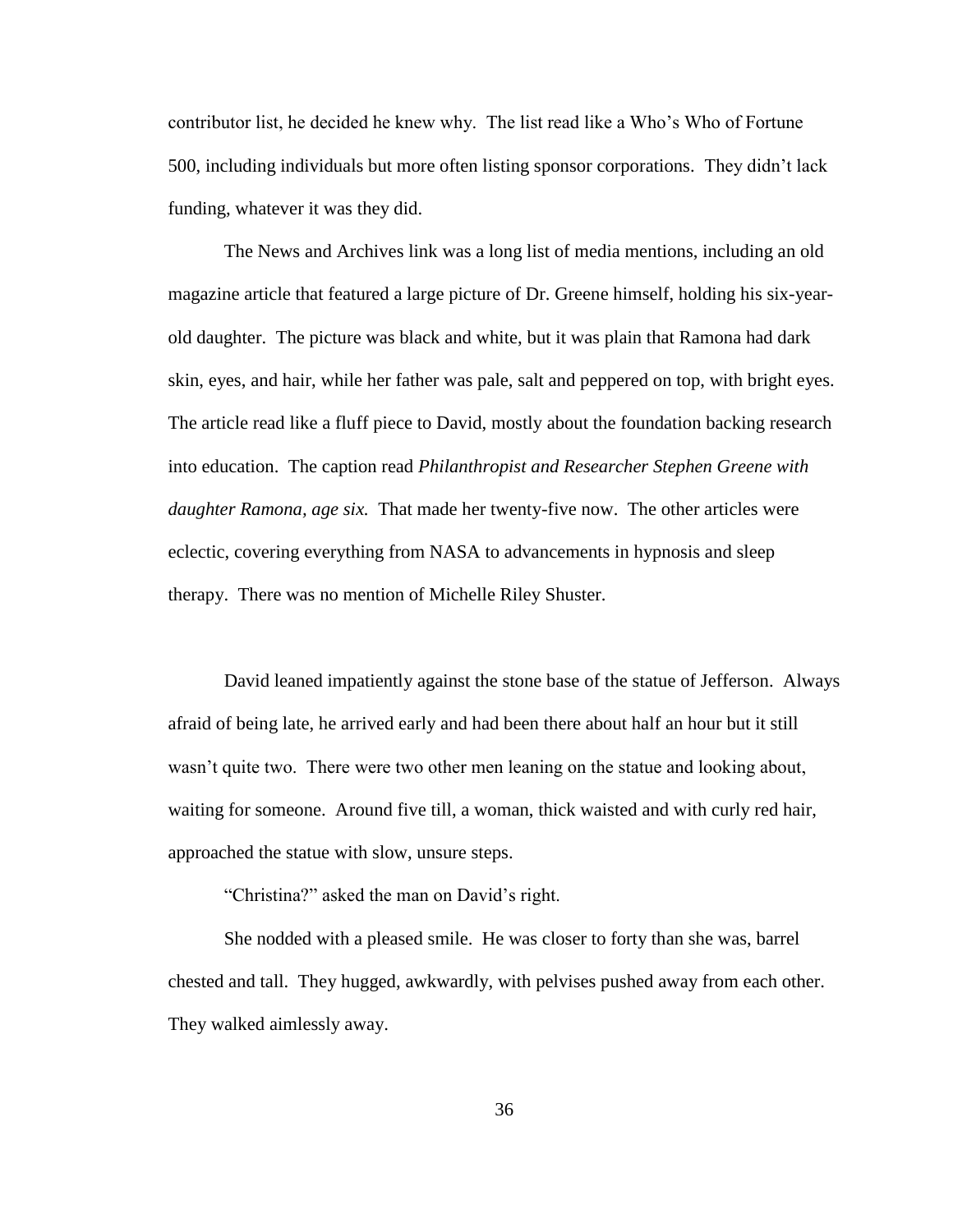contributor list, he decided he knew why. The list read like a Who"s Who of Fortune 500, including individuals but more often listing sponsor corporations. They didn"t lack funding, whatever it was they did.

The News and Archives link was a long list of media mentions, including an old magazine article that featured a large picture of Dr. Greene himself, holding his six-yearold daughter. The picture was black and white, but it was plain that Ramona had dark skin, eyes, and hair, while her father was pale, salt and peppered on top, with bright eyes. The article read like a fluff piece to David, mostly about the foundation backing research into education. The caption read *Philanthropist and Researcher Stephen Greene with daughter Ramona, age six.* That made her twenty-five now. The other articles were eclectic, covering everything from NASA to advancements in hypnosis and sleep therapy. There was no mention of Michelle Riley Shuster.

David leaned impatiently against the stone base of the statue of Jefferson. Always afraid of being late, he arrived early and had been there about half an hour but it still wasn't quite two. There were two other men leaning on the statue and looking about, waiting for someone. Around five till, a woman, thick waisted and with curly red hair, approached the statue with slow, unsure steps.

"Christina?" asked the man on David"s right.

She nodded with a pleased smile. He was closer to forty than she was, barrel chested and tall. They hugged, awkwardly, with pelvises pushed away from each other. They walked aimlessly away.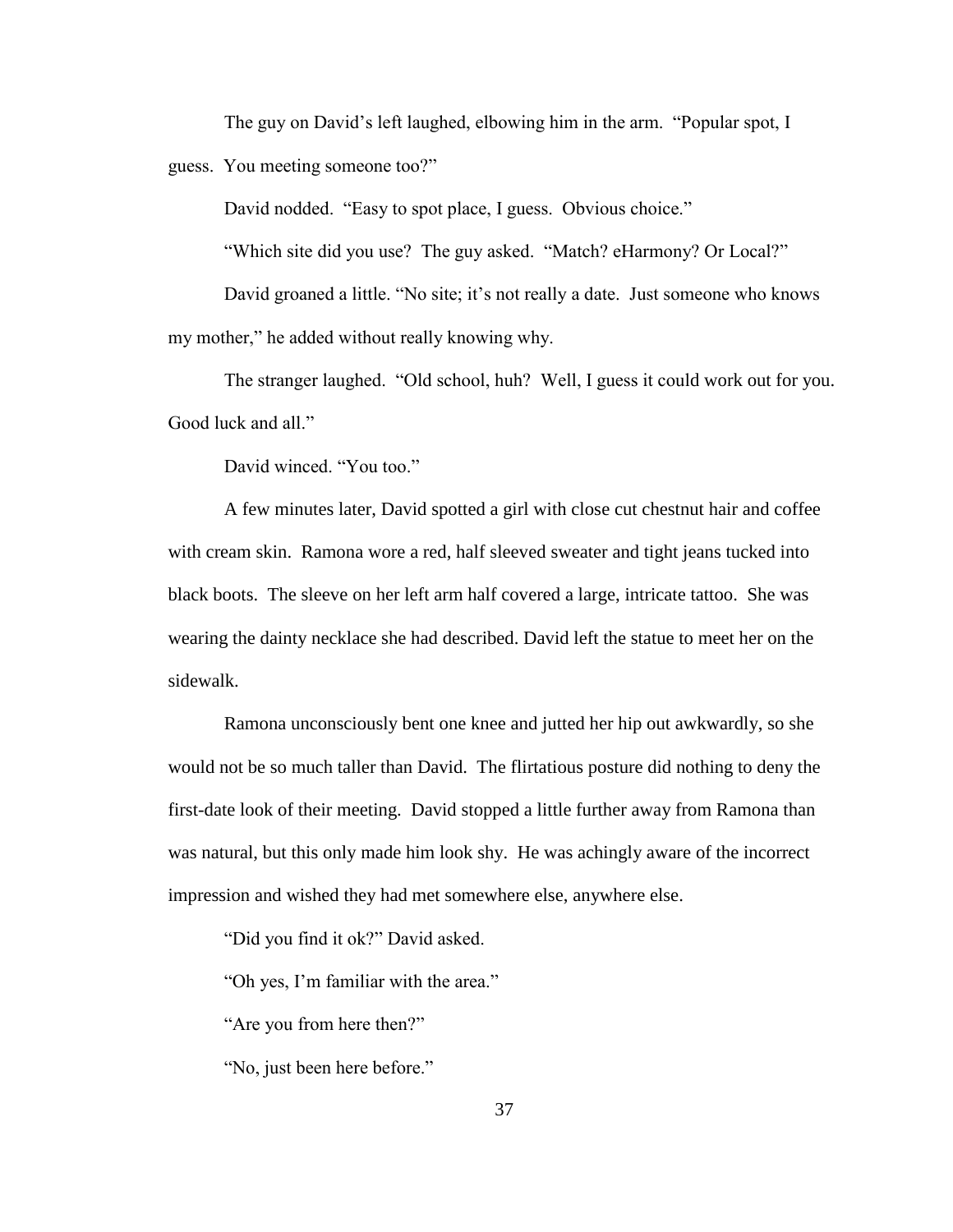The guy on David"s left laughed, elbowing him in the arm. "Popular spot, I

guess. You meeting someone too?"

David nodded. "Easy to spot place, I guess. Obvious choice."

"Which site did you use? The guy asked. "Match? eHarmony? Or Local?"

David groaned a little. "No site; it's not really a date. Just someone who knows my mother," he added without really knowing why.

The stranger laughed. "Old school, huh? Well, I guess it could work out for you. Good luck and all."

David winced. "You too."

A few minutes later, David spotted a girl with close cut chestnut hair and coffee with cream skin. Ramona wore a red, half sleeved sweater and tight jeans tucked into black boots. The sleeve on her left arm half covered a large, intricate tattoo. She was wearing the dainty necklace she had described. David left the statue to meet her on the sidewalk.

Ramona unconsciously bent one knee and jutted her hip out awkwardly, so she would not be so much taller than David. The flirtatious posture did nothing to deny the first-date look of their meeting. David stopped a little further away from Ramona than was natural, but this only made him look shy. He was achingly aware of the incorrect impression and wished they had met somewhere else, anywhere else.

"Did you find it ok?" David asked.

"Oh yes, I"m familiar with the area."

"Are you from here then?"

"No, just been here before."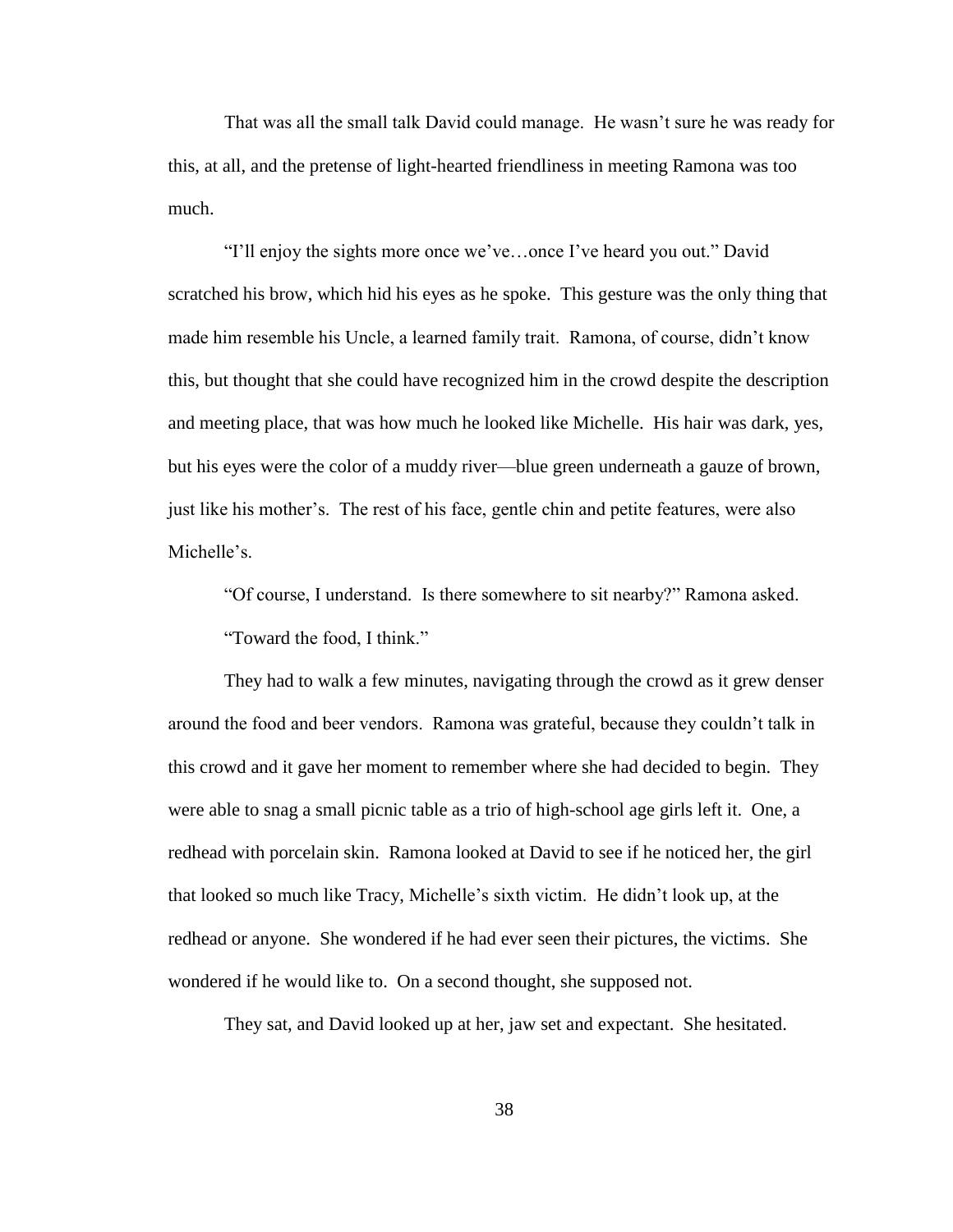That was all the small talk David could manage. He wasn"t sure he was ready for this, at all, and the pretense of light-hearted friendliness in meeting Ramona was too much.

"I"ll enjoy the sights more once we"ve…once I"ve heard you out." David scratched his brow, which hid his eyes as he spoke. This gesture was the only thing that made him resemble his Uncle, a learned family trait. Ramona, of course, didn"t know this, but thought that she could have recognized him in the crowd despite the description and meeting place, that was how much he looked like Michelle. His hair was dark, yes, but his eyes were the color of a muddy river—blue green underneath a gauze of brown, just like his mother's. The rest of his face, gentle chin and petite features, were also Michelle's

"Of course, I understand. Is there somewhere to sit nearby?" Ramona asked.

"Toward the food, I think."

They had to walk a few minutes, navigating through the crowd as it grew denser around the food and beer vendors. Ramona was grateful, because they couldn"t talk in this crowd and it gave her moment to remember where she had decided to begin. They were able to snag a small picnic table as a trio of high-school age girls left it. One, a redhead with porcelain skin. Ramona looked at David to see if he noticed her, the girl that looked so much like Tracy, Michelle"s sixth victim. He didn"t look up, at the redhead or anyone. She wondered if he had ever seen their pictures, the victims. She wondered if he would like to. On a second thought, she supposed not.

They sat, and David looked up at her, jaw set and expectant. She hesitated.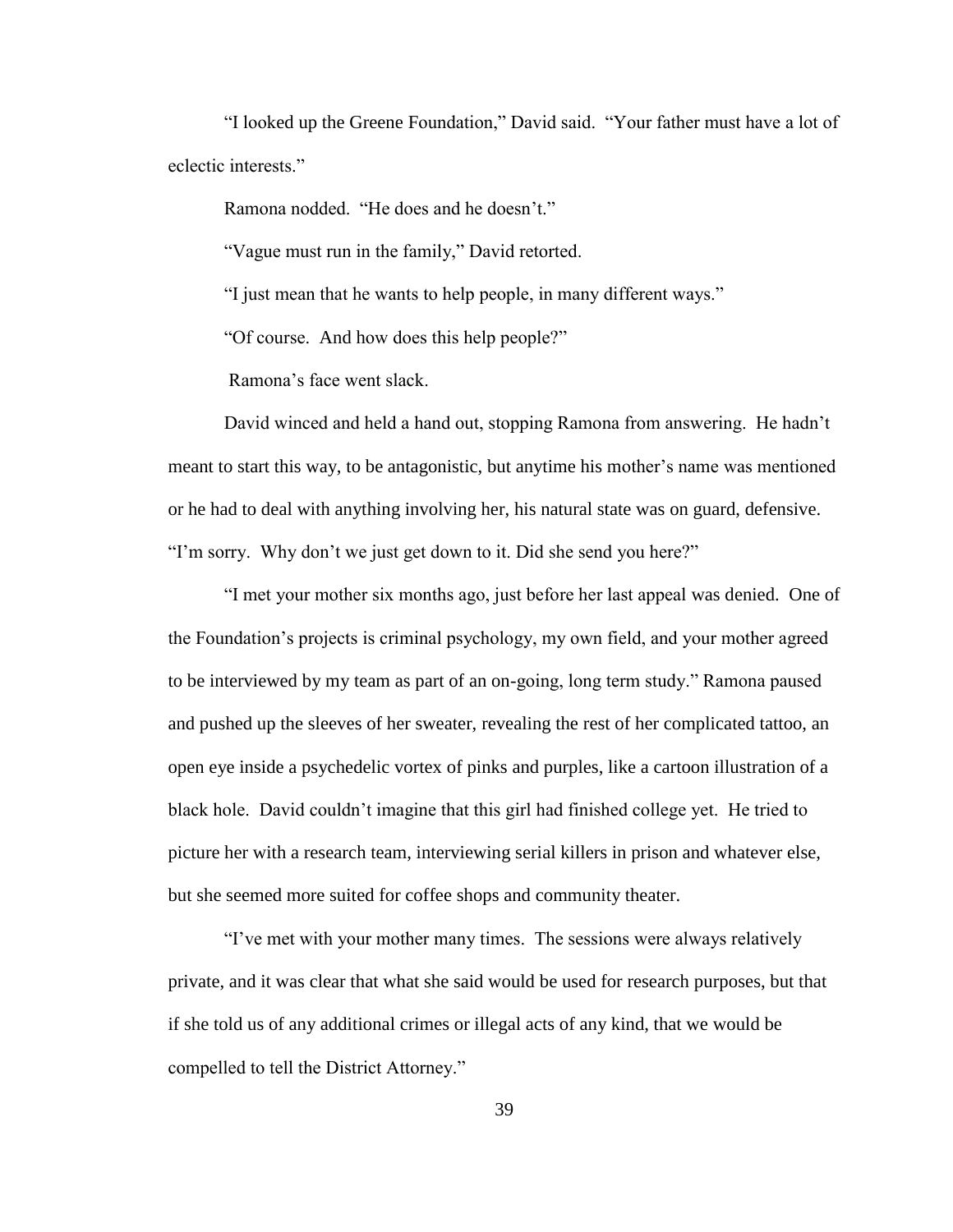"I looked up the Greene Foundation," David said. "Your father must have a lot of eclectic interests."

Ramona nodded. "He does and he doesn't."

"Vague must run in the family," David retorted.

"I just mean that he wants to help people, in many different ways."

"Of course. And how does this help people?"

Ramona"s face went slack.

David winced and held a hand out, stopping Ramona from answering. He hadn"t meant to start this way, to be antagonistic, but anytime his mother"s name was mentioned or he had to deal with anything involving her, his natural state was on guard, defensive. "I'm sorry. Why don't we just get down to it. Did she send you here?"

"I met your mother six months ago, just before her last appeal was denied. One of the Foundation"s projects is criminal psychology, my own field, and your mother agreed to be interviewed by my team as part of an on-going, long term study." Ramona paused and pushed up the sleeves of her sweater, revealing the rest of her complicated tattoo, an open eye inside a psychedelic vortex of pinks and purples, like a cartoon illustration of a black hole. David couldn"t imagine that this girl had finished college yet. He tried to picture her with a research team, interviewing serial killers in prison and whatever else, but she seemed more suited for coffee shops and community theater.

"I"ve met with your mother many times. The sessions were always relatively private, and it was clear that what she said would be used for research purposes, but that if she told us of any additional crimes or illegal acts of any kind, that we would be compelled to tell the District Attorney."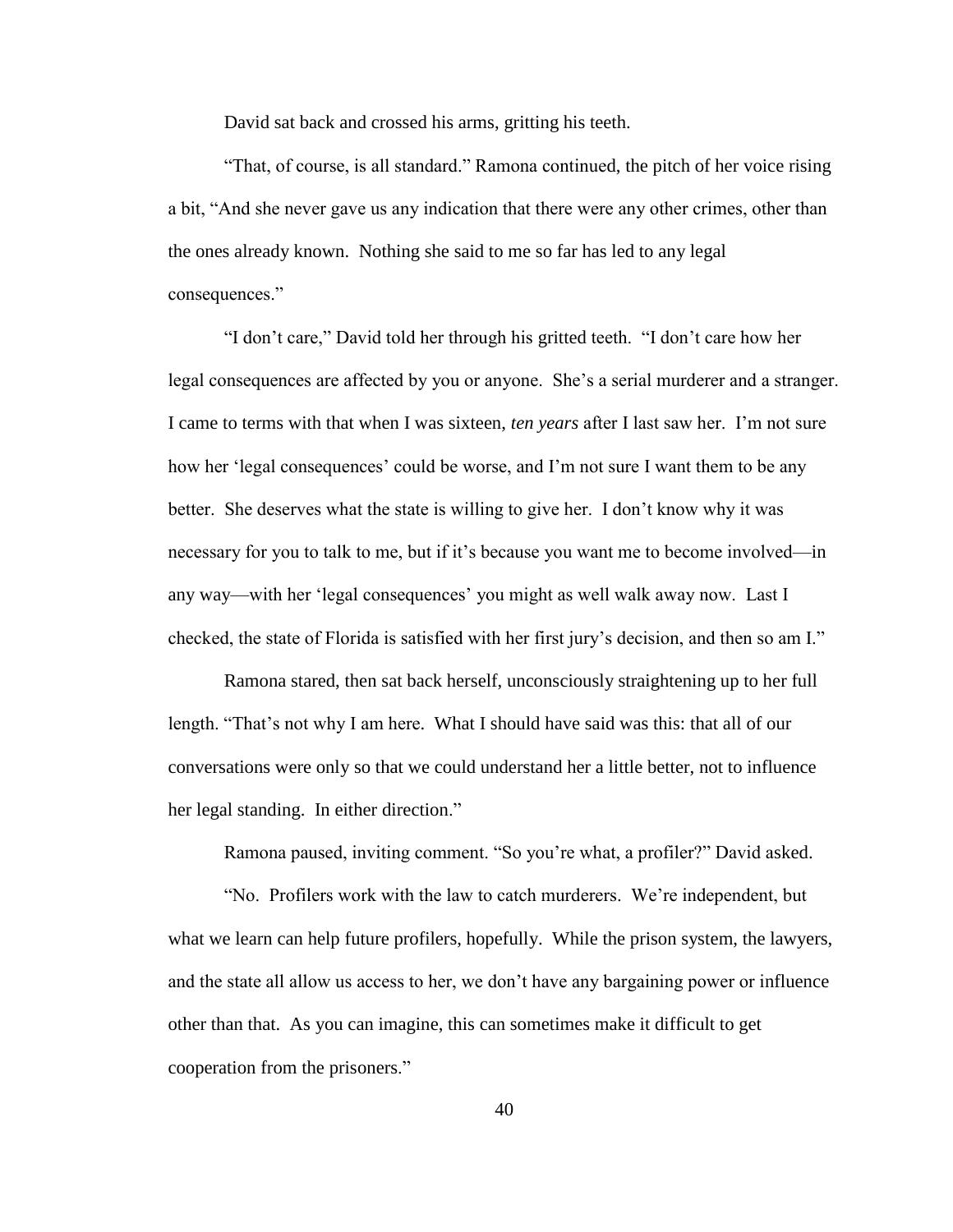David sat back and crossed his arms, gritting his teeth.

"That, of course, is all standard." Ramona continued, the pitch of her voice rising a bit, "And she never gave us any indication that there were any other crimes, other than the ones already known. Nothing she said to me so far has led to any legal consequences."

"I don"t care," David told her through his gritted teeth. "I don"t care how her legal consequences are affected by you or anyone. She's a serial murderer and a stranger. I came to terms with that when I was sixteen, *ten years* after I last saw her. I"m not sure how her "legal consequences" could be worse, and I"m not sure I want them to be any better. She deserves what the state is willing to give her. I don"t know why it was necessary for you to talk to me, but if it's because you want me to become involved—in any way—with her "legal consequences" you might as well walk away now. Last I checked, the state of Florida is satisfied with her first jury"s decision, and then so am I."

Ramona stared, then sat back herself, unconsciously straightening up to her full length. "That's not why I am here. What I should have said was this: that all of our conversations were only so that we could understand her a little better, not to influence her legal standing. In either direction."

Ramona paused, inviting comment. "So you"re what, a profiler?" David asked.

"No. Profilers work with the law to catch murderers. We"re independent, but what we learn can help future profilers, hopefully. While the prison system, the lawyers, and the state all allow us access to her, we don"t have any bargaining power or influence other than that. As you can imagine, this can sometimes make it difficult to get cooperation from the prisoners."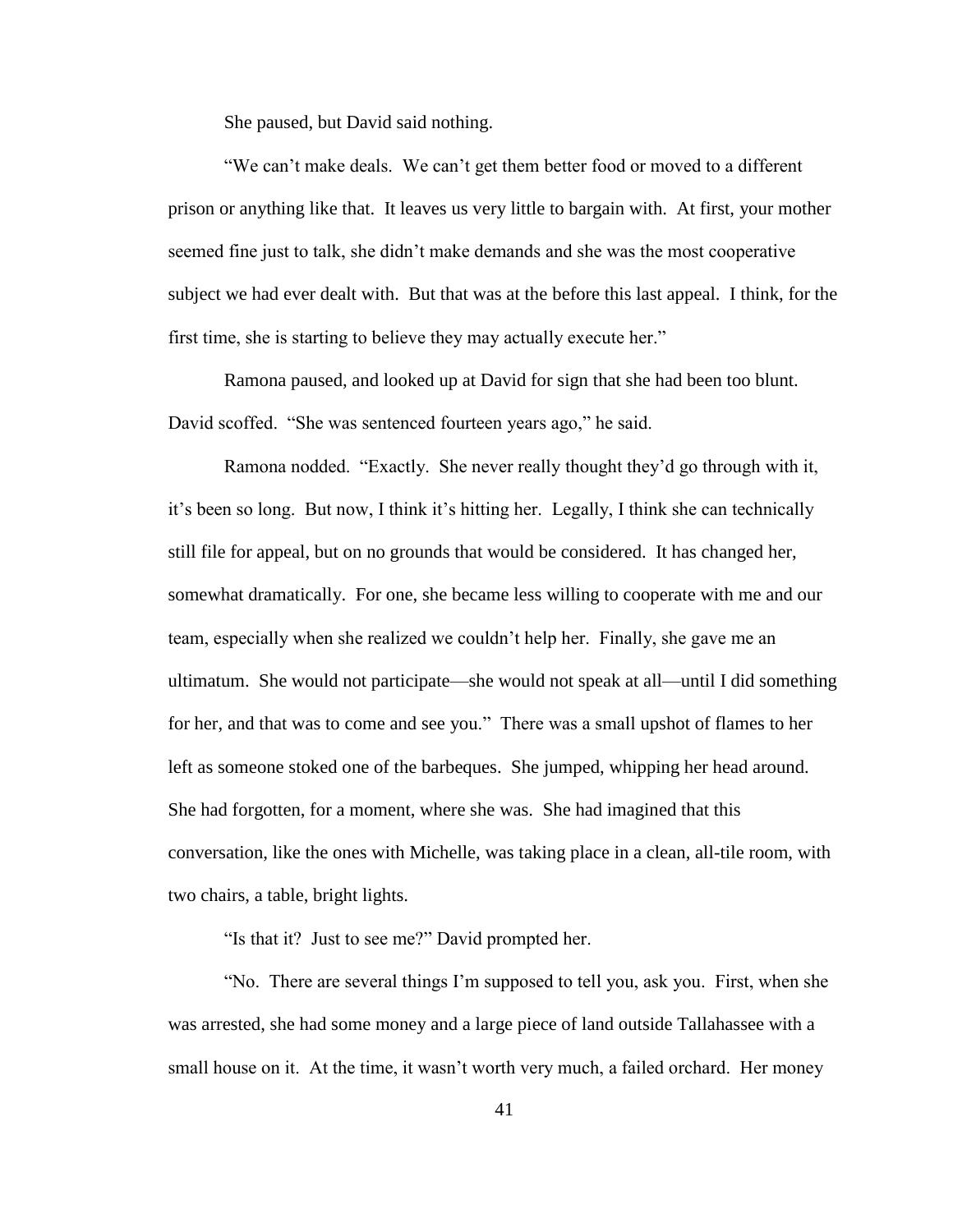She paused, but David said nothing.

"We can"t make deals. We can"t get them better food or moved to a different prison or anything like that. It leaves us very little to bargain with. At first, your mother seemed fine just to talk, she didn"t make demands and she was the most cooperative subject we had ever dealt with. But that was at the before this last appeal. I think, for the first time, she is starting to believe they may actually execute her."

Ramona paused, and looked up at David for sign that she had been too blunt. David scoffed. "She was sentenced fourteen years ago," he said.

Ramona nodded. "Exactly. She never really thought they"d go through with it, it"s been so long. But now, I think it"s hitting her. Legally, I think she can technically still file for appeal, but on no grounds that would be considered. It has changed her, somewhat dramatically. For one, she became less willing to cooperate with me and our team, especially when she realized we couldn"t help her. Finally, she gave me an ultimatum. She would not participate—she would not speak at all—until I did something for her, and that was to come and see you." There was a small upshot of flames to her left as someone stoked one of the barbeques. She jumped, whipping her head around. She had forgotten, for a moment, where she was. She had imagined that this conversation, like the ones with Michelle, was taking place in a clean, all-tile room, with two chairs, a table, bright lights.

"Is that it? Just to see me?" David prompted her.

"No. There are several things I"m supposed to tell you, ask you. First, when she was arrested, she had some money and a large piece of land outside Tallahassee with a small house on it. At the time, it wasn't worth very much, a failed orchard. Her money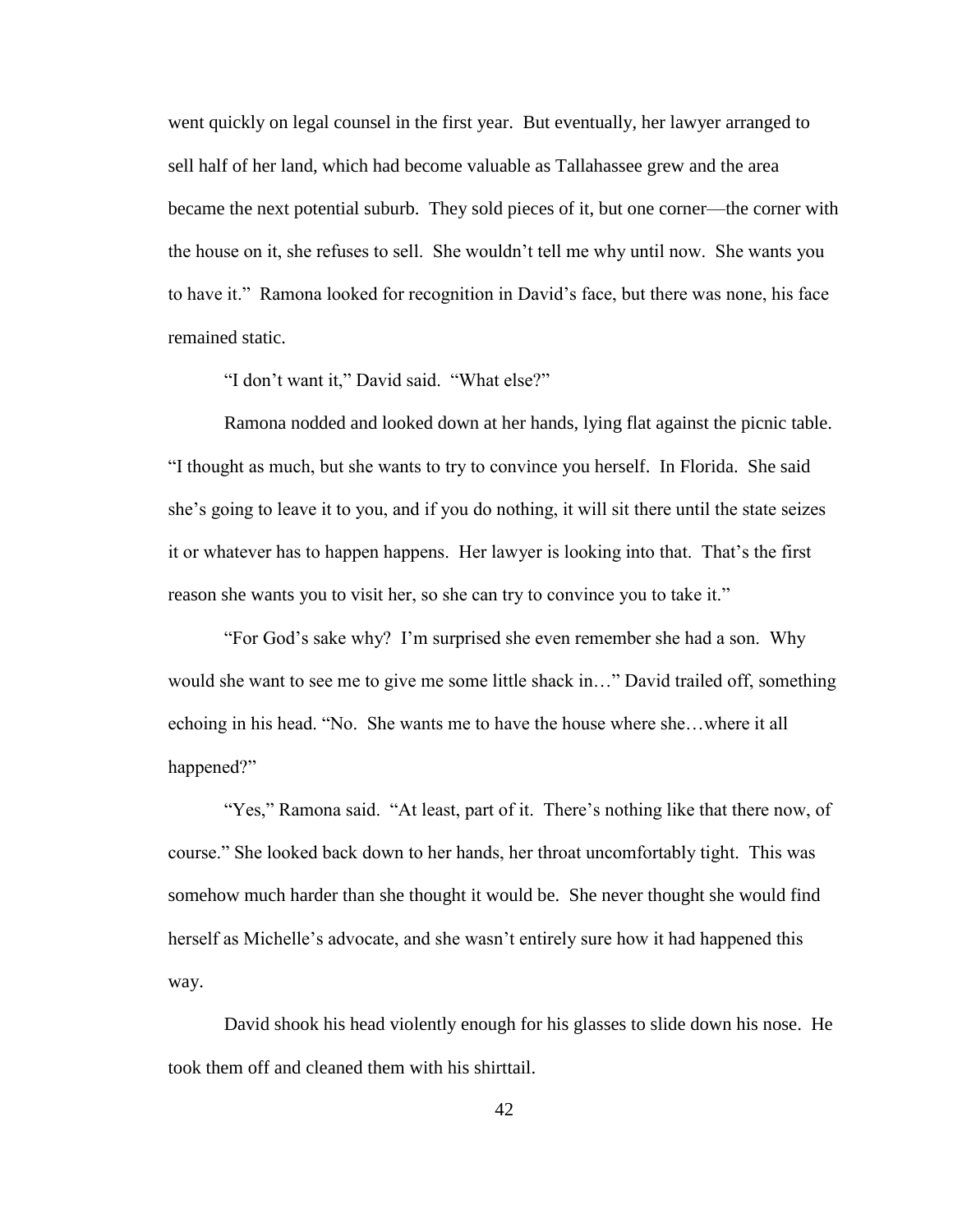went quickly on legal counsel in the first year. But eventually, her lawyer arranged to sell half of her land, which had become valuable as Tallahassee grew and the area became the next potential suburb. They sold pieces of it, but one corner—the corner with the house on it, she refuses to sell. She wouldn"t tell me why until now. She wants you to have it." Ramona looked for recognition in David"s face, but there was none, his face remained static.

"I don"t want it," David said. "What else?"

Ramona nodded and looked down at her hands, lying flat against the picnic table. "I thought as much, but she wants to try to convince you herself. In Florida. She said she"s going to leave it to you, and if you do nothing, it will sit there until the state seizes it or whatever has to happen happens. Her lawyer is looking into that. That"s the first reason she wants you to visit her, so she can try to convince you to take it."

"For God"s sake why? I"m surprised she even remember she had a son. Why would she want to see me to give me some little shack in..." David trailed off, something echoing in his head. "No. She wants me to have the house where she…where it all happened?"

"Yes," Ramona said. "At least, part of it. There"s nothing like that there now, of course." She looked back down to her hands, her throat uncomfortably tight. This was somehow much harder than she thought it would be. She never thought she would find herself as Michelle's advocate, and she wasn't entirely sure how it had happened this way.

David shook his head violently enough for his glasses to slide down his nose. He took them off and cleaned them with his shirttail.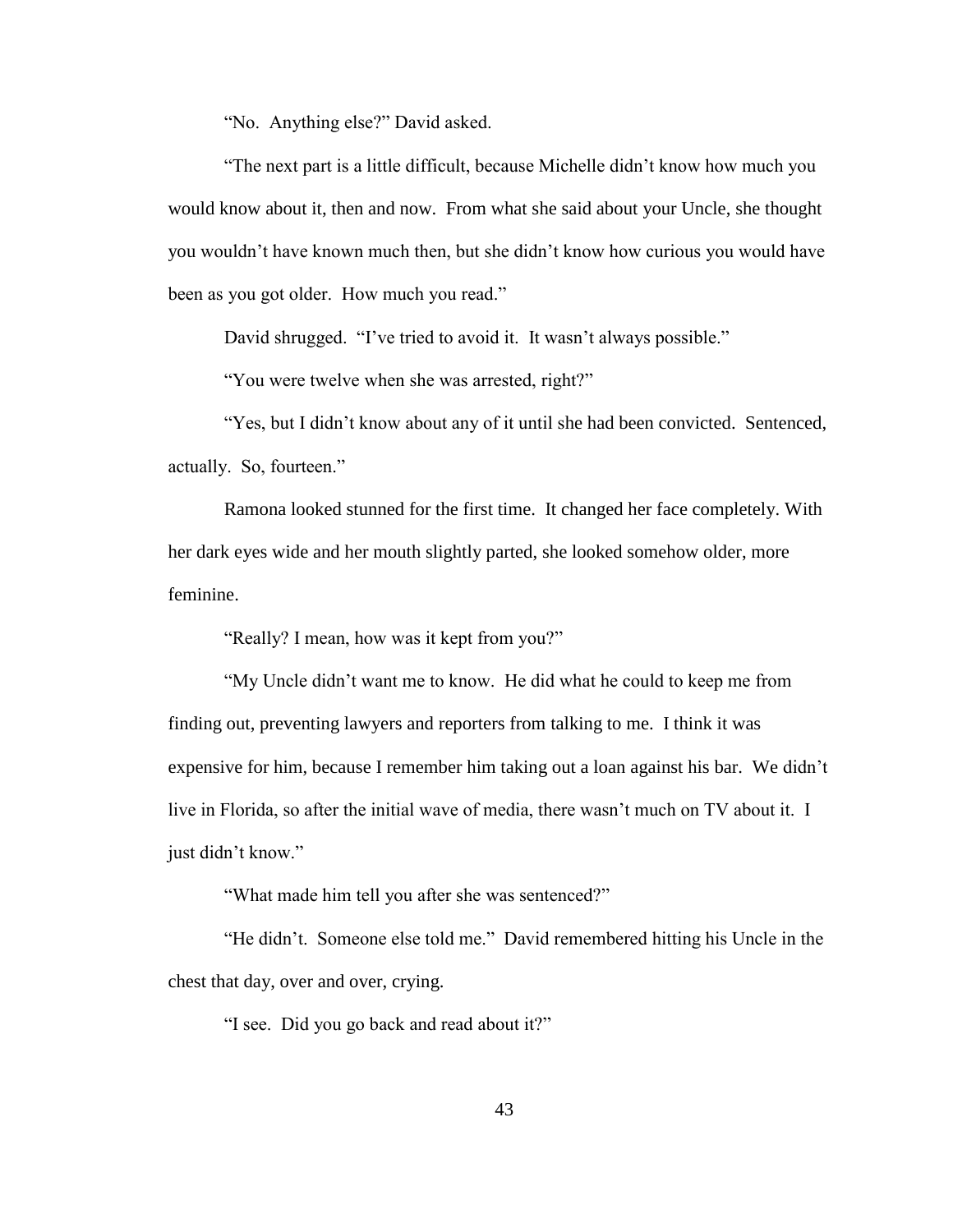"No. Anything else?" David asked.

"The next part is a little difficult, because Michelle didn"t know how much you would know about it, then and now. From what she said about your Uncle, she thought you wouldn"t have known much then, but she didn"t know how curious you would have been as you got older. How much you read."

David shrugged. "I've tried to avoid it. It wasn't always possible."

"You were twelve when she was arrested, right?"

"Yes, but I didn"t know about any of it until she had been convicted. Sentenced, actually. So, fourteen."

Ramona looked stunned for the first time. It changed her face completely. With her dark eyes wide and her mouth slightly parted, she looked somehow older, more feminine.

"Really? I mean, how was it kept from you?"

"My Uncle didn"t want me to know. He did what he could to keep me from finding out, preventing lawyers and reporters from talking to me. I think it was expensive for him, because I remember him taking out a loan against his bar. We didn"t live in Florida, so after the initial wave of media, there wasn"t much on TV about it. I just didn"t know."

"What made him tell you after she was sentenced?"

"He didn"t. Someone else told me." David remembered hitting his Uncle in the chest that day, over and over, crying.

"I see. Did you go back and read about it?"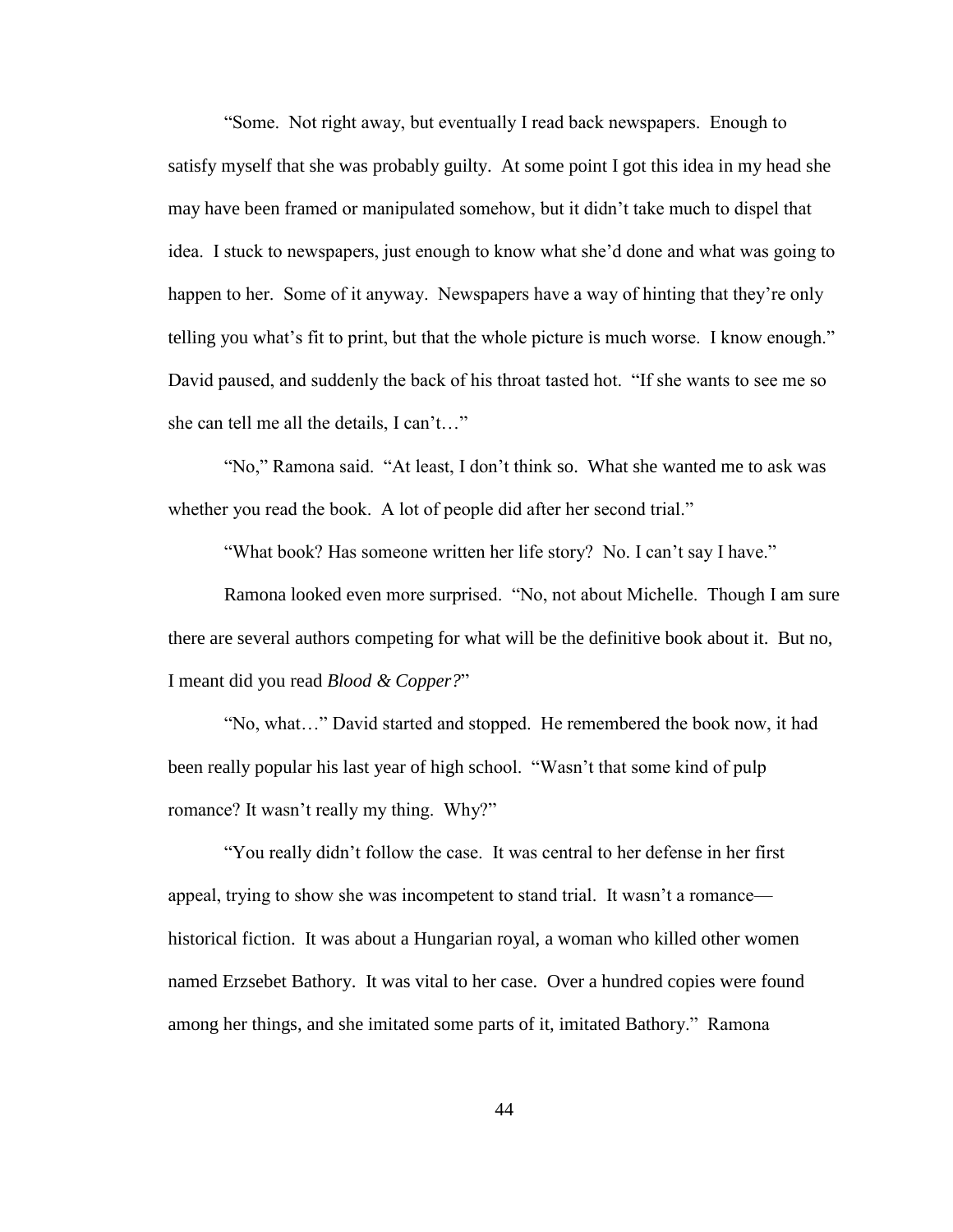"Some. Not right away, but eventually I read back newspapers. Enough to satisfy myself that she was probably guilty. At some point I got this idea in my head she may have been framed or manipulated somehow, but it didn"t take much to dispel that idea. I stuck to newspapers, just enough to know what she"d done and what was going to happen to her. Some of it anyway. Newspapers have a way of hinting that they're only telling you what's fit to print, but that the whole picture is much worse. I know enough." David paused, and suddenly the back of his throat tasted hot. "If she wants to see me so she can tell me all the details, I can't…"

"No," Ramona said. "At least, I don"t think so. What she wanted me to ask was whether you read the book. A lot of people did after her second trial."

"What book? Has someone written her life story? No. I can't say I have."

Ramona looked even more surprised. "No, not about Michelle. Though I am sure there are several authors competing for what will be the definitive book about it. But no, I meant did you read *Blood & Copper?*"

"No, what…" David started and stopped. He remembered the book now, it had been really popular his last year of high school. "Wasn"t that some kind of pulp romance? It wasn't really my thing. Why?"

"You really didn"t follow the case. It was central to her defense in her first appeal, trying to show she was incompetent to stand trial. It wasn"t a romance historical fiction. It was about a Hungarian royal, a woman who killed other women named Erzsebet Bathory. It was vital to her case. Over a hundred copies were found among her things, and she imitated some parts of it, imitated Bathory." Ramona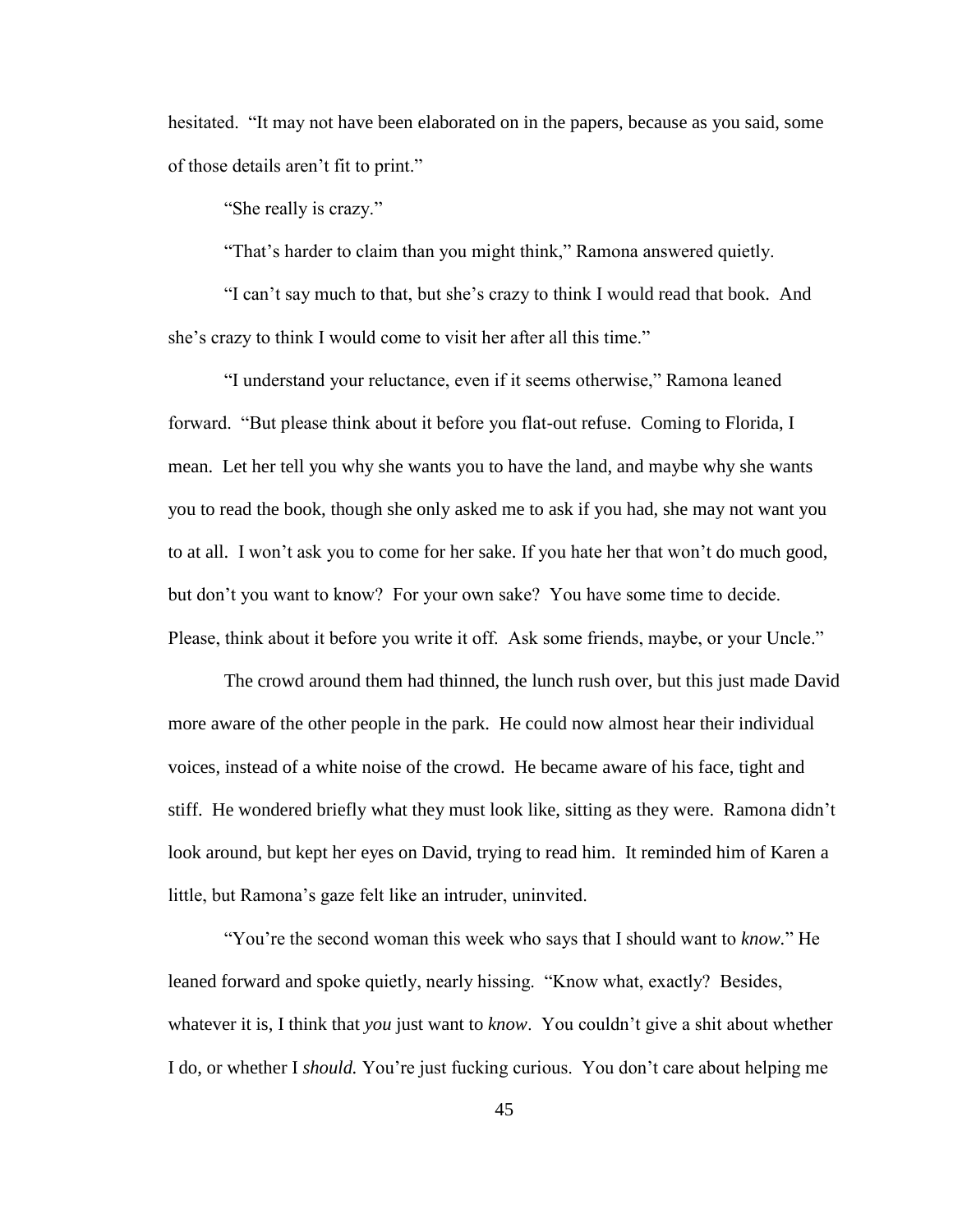hesitated. "It may not have been elaborated on in the papers, because as you said, some of those details aren"t fit to print."

"She really is crazy."

"That"s harder to claim than you might think," Ramona answered quietly.

"I can"t say much to that, but she"s crazy to think I would read that book. And she's crazy to think I would come to visit her after all this time."

"I understand your reluctance, even if it seems otherwise," Ramona leaned forward. "But please think about it before you flat-out refuse. Coming to Florida, I mean. Let her tell you why she wants you to have the land, and maybe why she wants you to read the book, though she only asked me to ask if you had, she may not want you to at all. I won"t ask you to come for her sake. If you hate her that won"t do much good, but don"t you want to know? For your own sake? You have some time to decide. Please, think about it before you write it off. Ask some friends, maybe, or your Uncle."

The crowd around them had thinned, the lunch rush over, but this just made David more aware of the other people in the park. He could now almost hear their individual voices, instead of a white noise of the crowd. He became aware of his face, tight and stiff. He wondered briefly what they must look like, sitting as they were. Ramona didn"t look around, but kept her eyes on David, trying to read him. It reminded him of Karen a little, but Ramona's gaze felt like an intruder, uninvited.

"You"re the second woman this week who says that I should want to *know.*" He leaned forward and spoke quietly, nearly hissing. "Know what, exactly? Besides, whatever it is, I think that *you* just want to *know*. You couldn"t give a shit about whether I do, or whether I *should.* You"re just fucking curious. You don"t care about helping me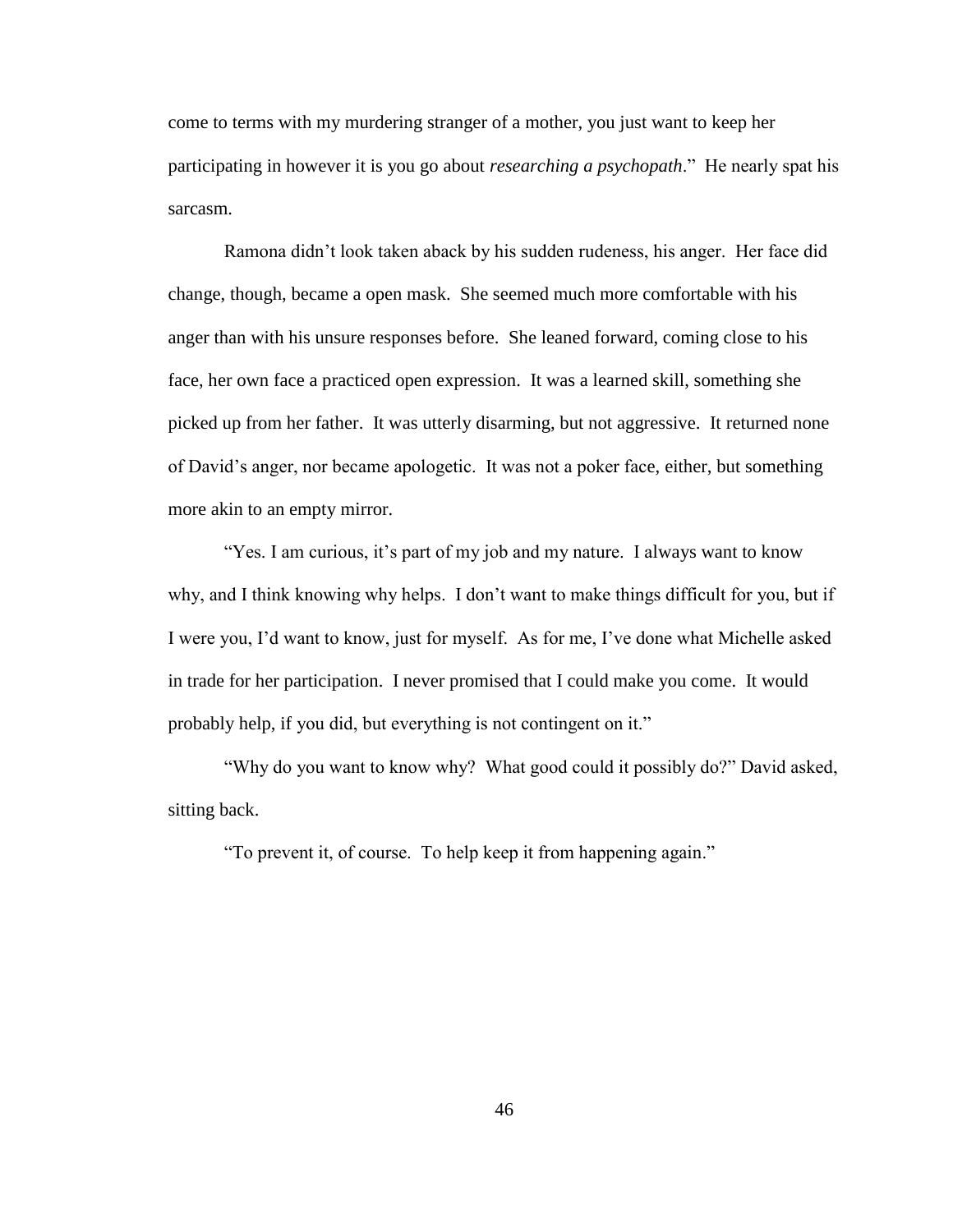come to terms with my murdering stranger of a mother, you just want to keep her participating in however it is you go about *researching a psychopath*." He nearly spat his sarcasm.

Ramona didn"t look taken aback by his sudden rudeness, his anger. Her face did change, though, became a open mask. She seemed much more comfortable with his anger than with his unsure responses before. She leaned forward, coming close to his face, her own face a practiced open expression. It was a learned skill, something she picked up from her father. It was utterly disarming, but not aggressive. It returned none of David"s anger, nor became apologetic. It was not a poker face, either, but something more akin to an empty mirror.

"Yes. I am curious, it's part of my job and my nature. I always want to know why, and I think knowing why helps. I don"t want to make things difficult for you, but if I were you, I"d want to know, just for myself. As for me, I"ve done what Michelle asked in trade for her participation. I never promised that I could make you come. It would probably help, if you did, but everything is not contingent on it."

"Why do you want to know why? What good could it possibly do?" David asked, sitting back.

"To prevent it, of course. To help keep it from happening again."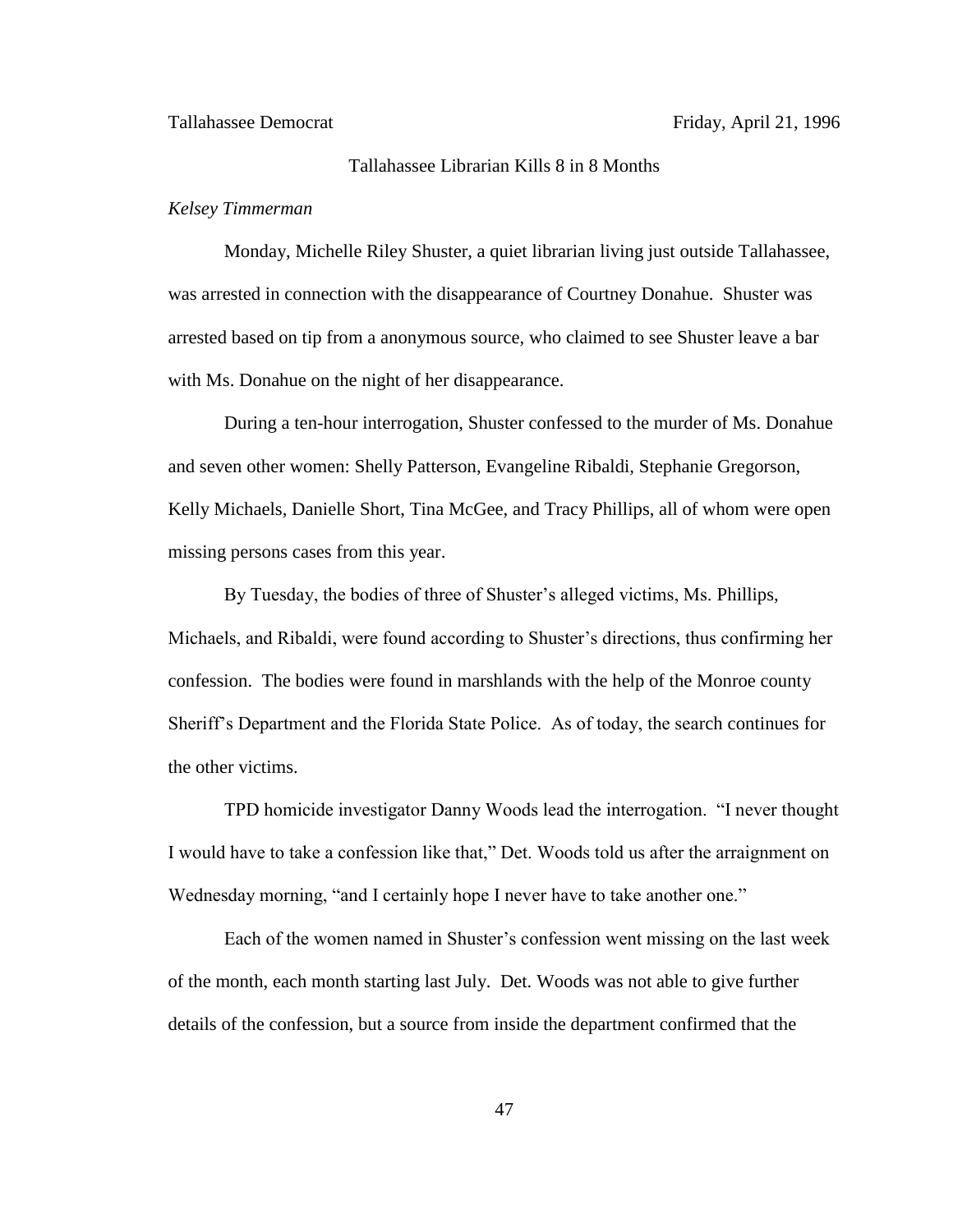# Tallahassee Librarian Kills 8 in 8 Months

## *Kelsey Timmerman*

Monday, Michelle Riley Shuster, a quiet librarian living just outside Tallahassee, was arrested in connection with the disappearance of Courtney Donahue. Shuster was arrested based on tip from a anonymous source, who claimed to see Shuster leave a bar with Ms. Donahue on the night of her disappearance.

During a ten-hour interrogation, Shuster confessed to the murder of Ms. Donahue and seven other women: Shelly Patterson, Evangeline Ribaldi, Stephanie Gregorson, Kelly Michaels, Danielle Short, Tina McGee, and Tracy Phillips, all of whom were open missing persons cases from this year.

By Tuesday, the bodies of three of Shuster's alleged victims, Ms. Phillips, Michaels, and Ribaldi, were found according to Shuster"s directions, thus confirming her confession. The bodies were found in marshlands with the help of the Monroe county Sheriff"s Department and the Florida State Police. As of today, the search continues for the other victims.

TPD homicide investigator Danny Woods lead the interrogation. "I never thought I would have to take a confession like that," Det. Woods told us after the arraignment on Wednesday morning, "and I certainly hope I never have to take another one."

Each of the women named in Shuster's confession went missing on the last week of the month, each month starting last July. Det. Woods was not able to give further details of the confession, but a source from inside the department confirmed that the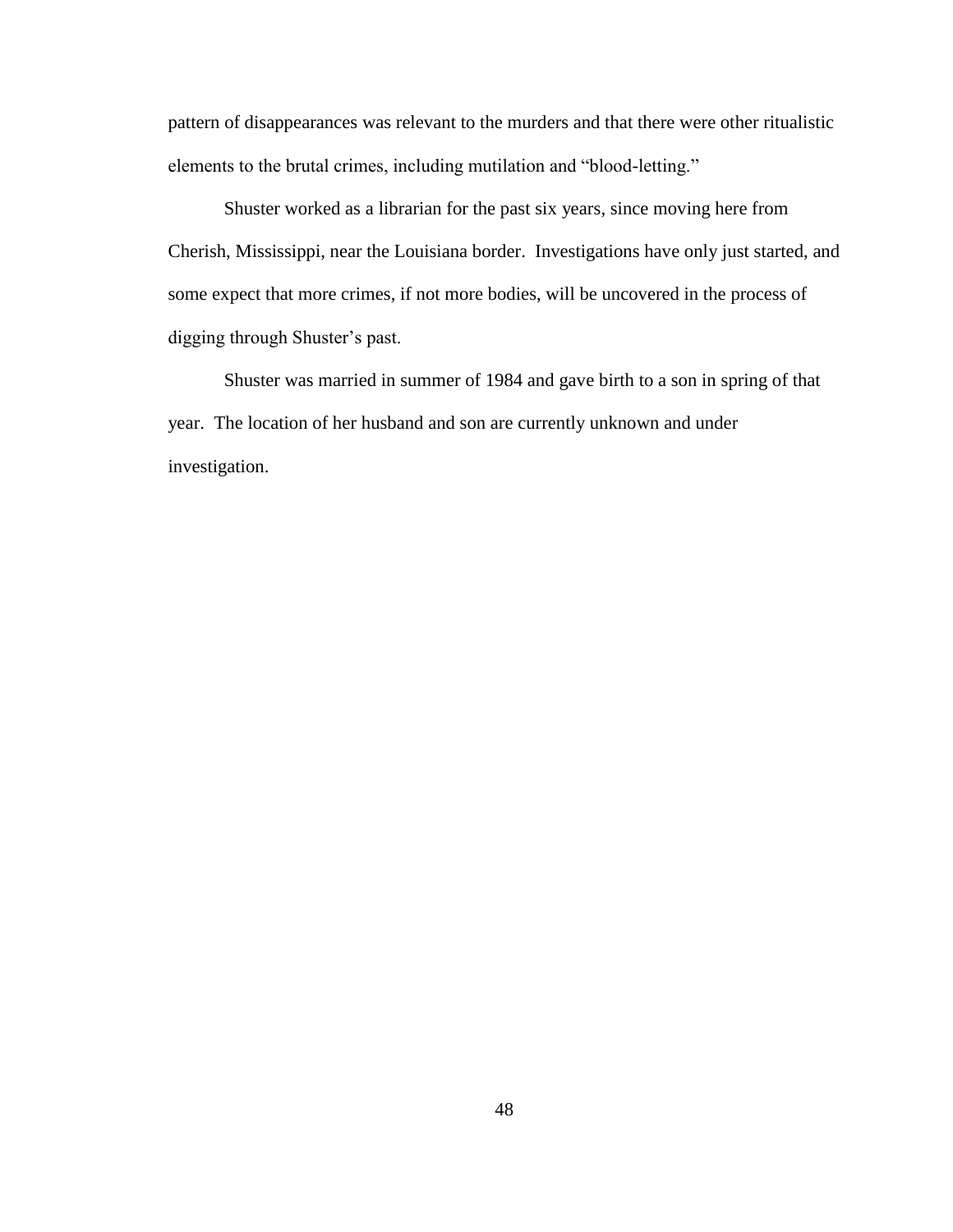pattern of disappearances was relevant to the murders and that there were other ritualistic elements to the brutal crimes, including mutilation and "blood-letting."

Shuster worked as a librarian for the past six years, since moving here from Cherish, Mississippi, near the Louisiana border. Investigations have only just started, and some expect that more crimes, if not more bodies, will be uncovered in the process of digging through Shuster"s past.

Shuster was married in summer of 1984 and gave birth to a son in spring of that year. The location of her husband and son are currently unknown and under investigation.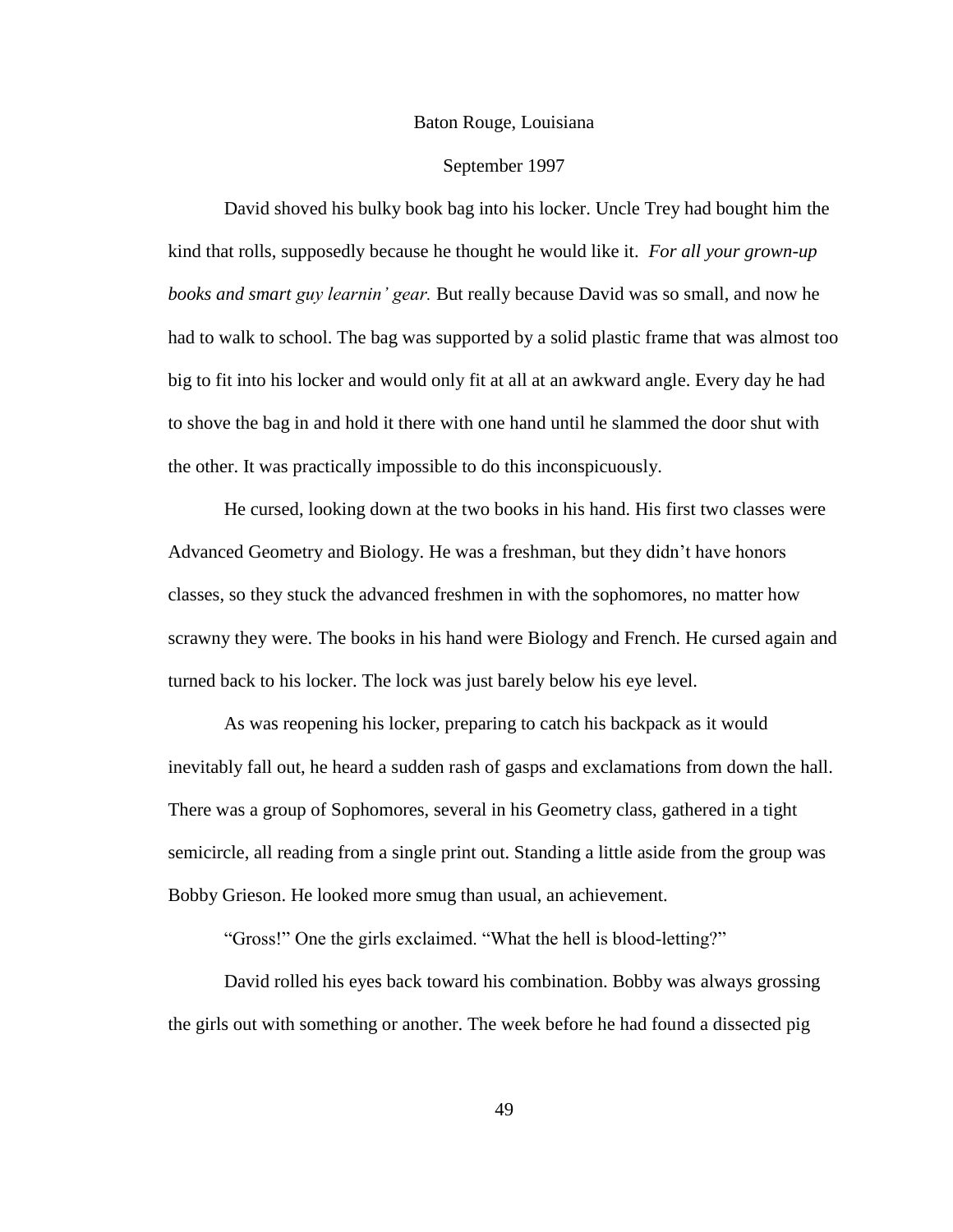#### Baton Rouge, Louisiana

## September 1997

David shoved his bulky book bag into his locker. Uncle Trey had bought him the kind that rolls, supposedly because he thought he would like it. *For all your grown-up books and smart guy learnin' gear.* But really because David was so small, and now he had to walk to school. The bag was supported by a solid plastic frame that was almost too big to fit into his locker and would only fit at all at an awkward angle. Every day he had to shove the bag in and hold it there with one hand until he slammed the door shut with the other. It was practically impossible to do this inconspicuously.

He cursed, looking down at the two books in his hand. His first two classes were Advanced Geometry and Biology. He was a freshman, but they didn"t have honors classes, so they stuck the advanced freshmen in with the sophomores, no matter how scrawny they were. The books in his hand were Biology and French. He cursed again and turned back to his locker. The lock was just barely below his eye level.

As was reopening his locker, preparing to catch his backpack as it would inevitably fall out, he heard a sudden rash of gasps and exclamations from down the hall. There was a group of Sophomores, several in his Geometry class, gathered in a tight semicircle, all reading from a single print out. Standing a little aside from the group was Bobby Grieson. He looked more smug than usual, an achievement.

"Gross!" One the girls exclaimed. "What the hell is blood-letting?"

David rolled his eyes back toward his combination. Bobby was always grossing the girls out with something or another. The week before he had found a dissected pig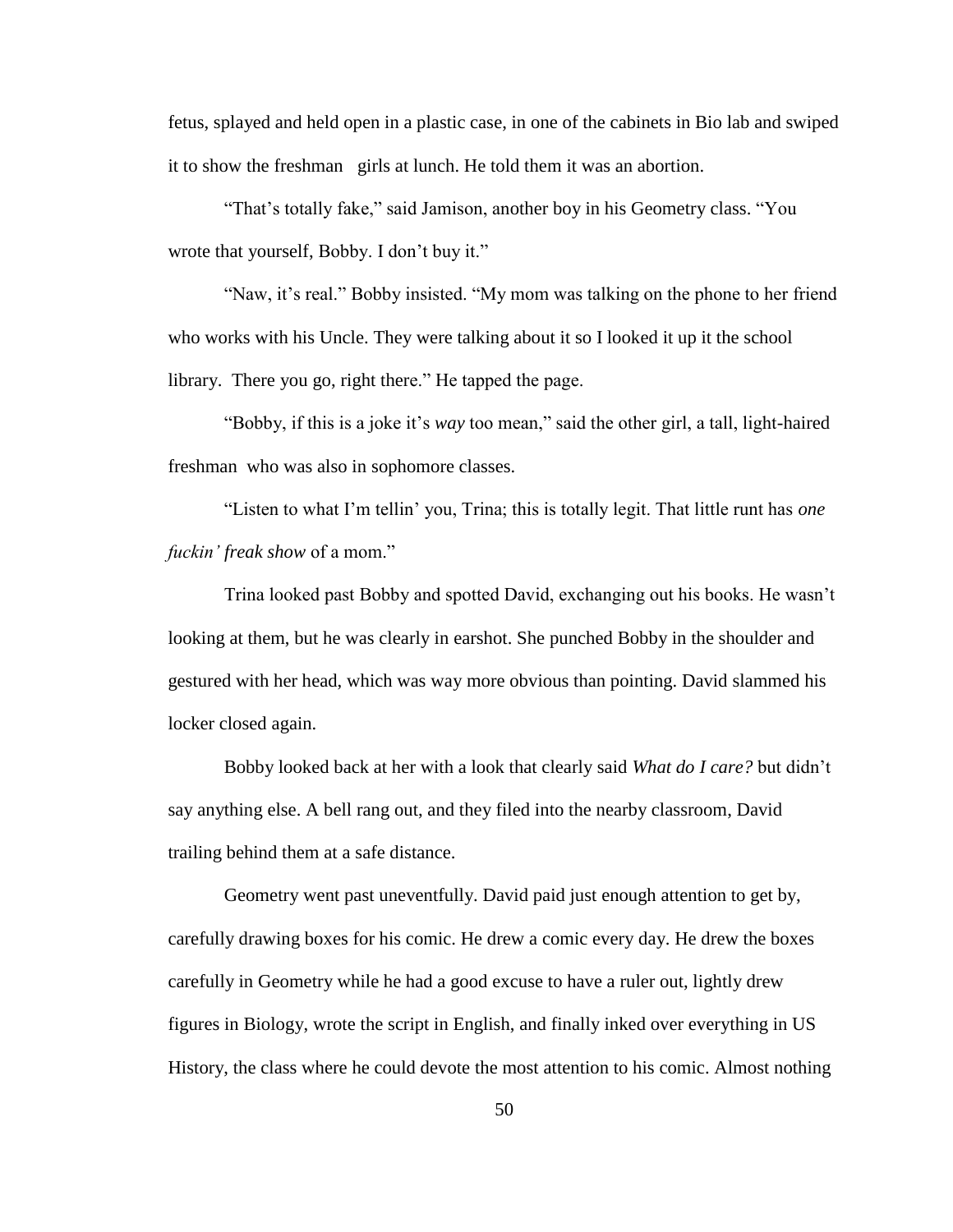fetus, splayed and held open in a plastic case, in one of the cabinets in Bio lab and swiped it to show the freshman girls at lunch. He told them it was an abortion.

"That's totally fake," said Jamison, another boy in his Geometry class. "You wrote that yourself, Bobby. I don't buy it."

"Naw, it's real." Bobby insisted. "My mom was talking on the phone to her friend who works with his Uncle. They were talking about it so I looked it up it the school library. There you go, right there." He tapped the page.

"Bobby, if this is a joke it"s *way* too mean," said the other girl, a tall, light-haired freshman who was also in sophomore classes.

"Listen to what I"m tellin" you, Trina; this is totally legit. That little runt has *one fuckin' freak show* of a mom."

Trina looked past Bobby and spotted David, exchanging out his books. He wasn"t looking at them, but he was clearly in earshot. She punched Bobby in the shoulder and gestured with her head, which was way more obvious than pointing. David slammed his locker closed again.

Bobby looked back at her with a look that clearly said *What do I care?* but didn"t say anything else. A bell rang out, and they filed into the nearby classroom, David trailing behind them at a safe distance.

Geometry went past uneventfully. David paid just enough attention to get by, carefully drawing boxes for his comic. He drew a comic every day. He drew the boxes carefully in Geometry while he had a good excuse to have a ruler out, lightly drew figures in Biology, wrote the script in English, and finally inked over everything in US History, the class where he could devote the most attention to his comic. Almost nothing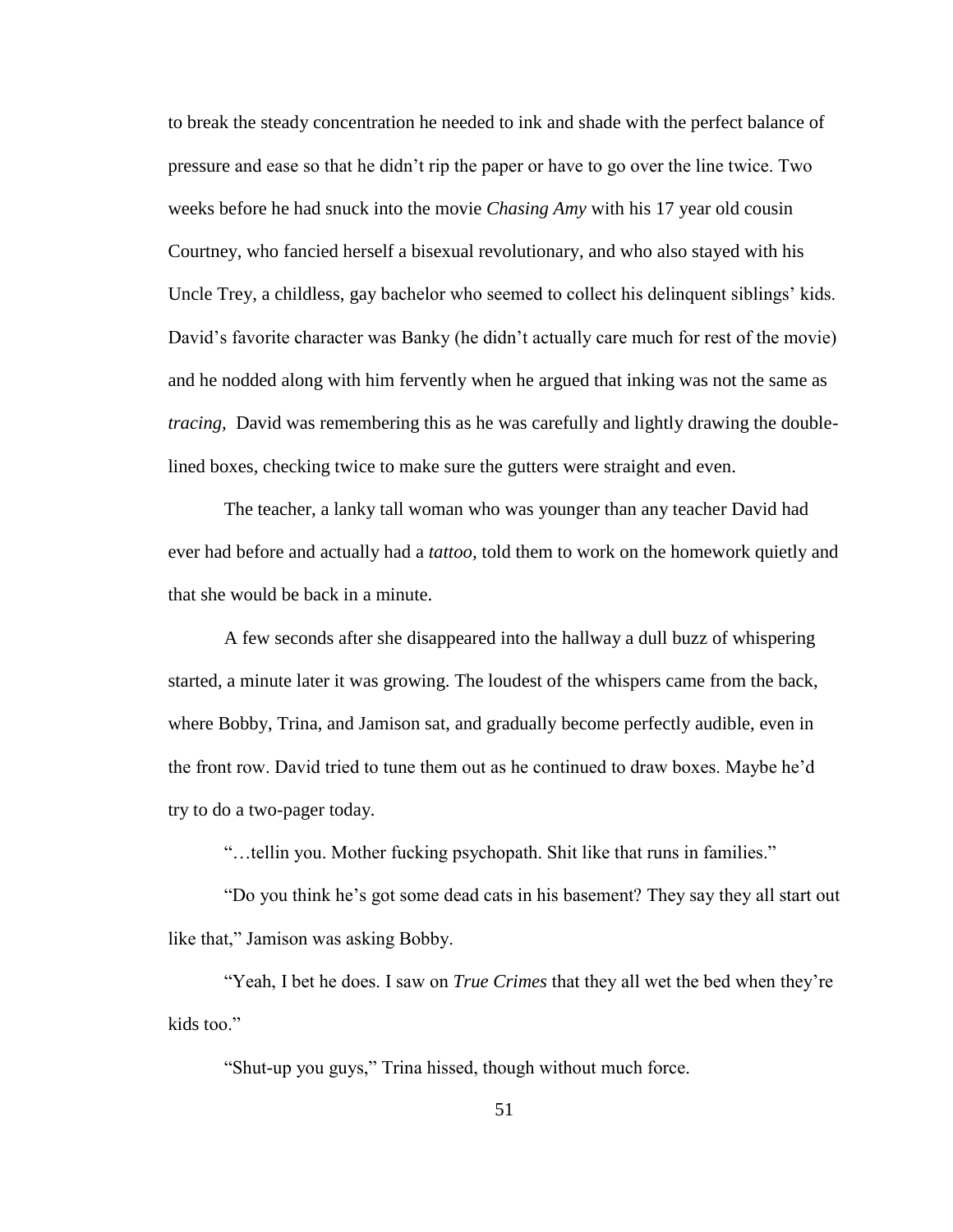to break the steady concentration he needed to ink and shade with the perfect balance of pressure and ease so that he didn"t rip the paper or have to go over the line twice. Two weeks before he had snuck into the movie *Chasing Amy* with his 17 year old cousin Courtney, who fancied herself a bisexual revolutionary, and who also stayed with his Uncle Trey, a childless, gay bachelor who seemed to collect his delinquent siblings' kids. David's favorite character was Banky (he didn't actually care much for rest of the movie) and he nodded along with him fervently when he argued that inking was not the same as *tracing,* David was remembering this as he was carefully and lightly drawing the doublelined boxes, checking twice to make sure the gutters were straight and even.

The teacher, a lanky tall woman who was younger than any teacher David had ever had before and actually had a *tattoo,* told them to work on the homework quietly and that she would be back in a minute.

A few seconds after she disappeared into the hallway a dull buzz of whispering started, a minute later it was growing. The loudest of the whispers came from the back, where Bobby, Trina, and Jamison sat, and gradually become perfectly audible, even in the front row. David tried to tune them out as he continued to draw boxes. Maybe he"d try to do a two-pager today.

"…tellin you. Mother fucking psychopath. Shit like that runs in families."

"Do you think he"s got some dead cats in his basement? They say they all start out like that," Jamison was asking Bobby.

"Yeah, I bet he does. I saw on *True Crimes* that they all wet the bed when they"re kids too."

"Shut-up you guys," Trina hissed, though without much force.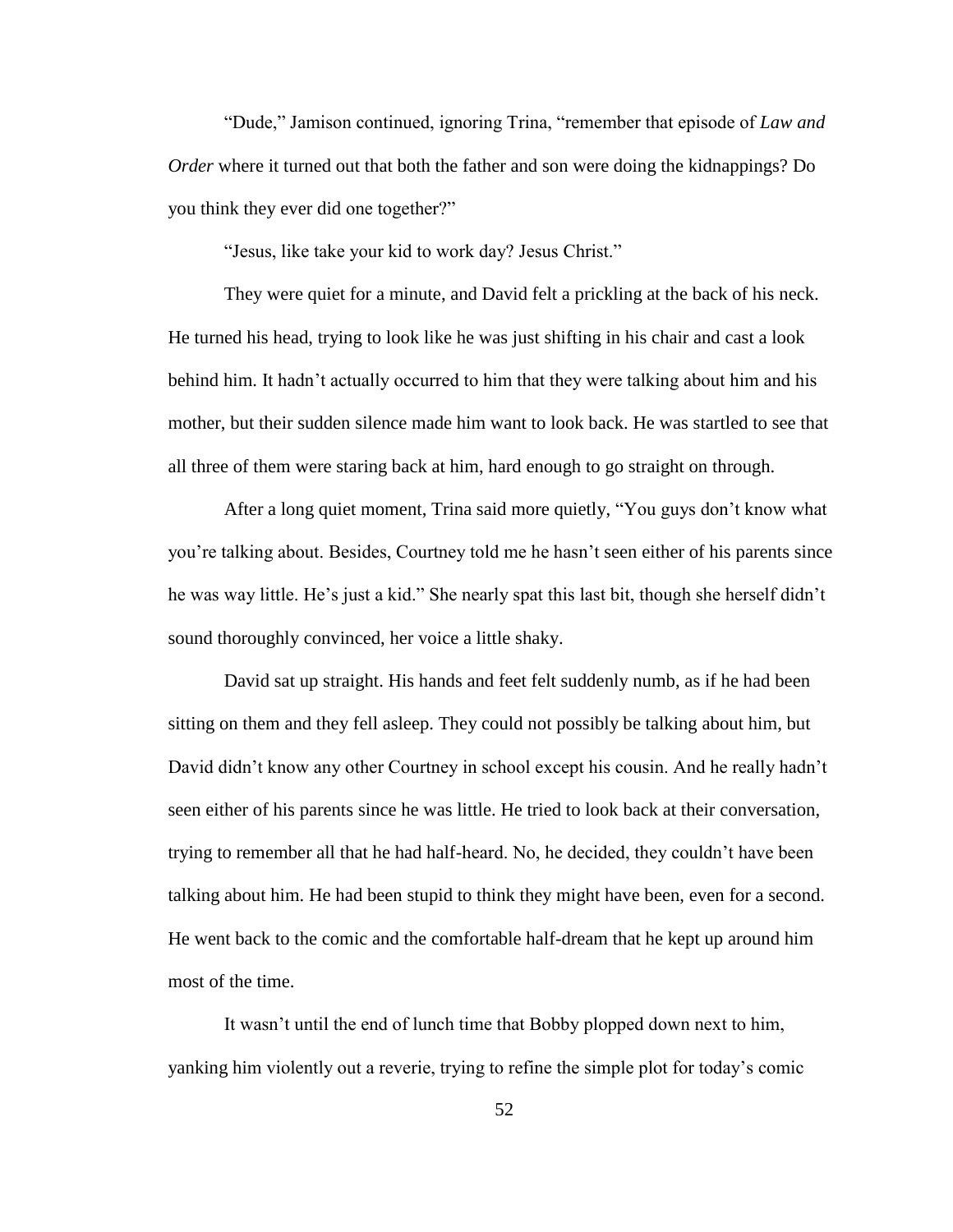"Dude," Jamison continued, ignoring Trina, "remember that episode of *Law and Order* where it turned out that both the father and son were doing the kidnappings? Do you think they ever did one together?"

"Jesus, like take your kid to work day? Jesus Christ."

They were quiet for a minute, and David felt a prickling at the back of his neck. He turned his head, trying to look like he was just shifting in his chair and cast a look behind him. It hadn't actually occurred to him that they were talking about him and his mother, but their sudden silence made him want to look back. He was startled to see that all three of them were staring back at him, hard enough to go straight on through.

After a long quiet moment, Trina said more quietly, "You guys don"t know what you"re talking about. Besides, Courtney told me he hasn"t seen either of his parents since he was way little. He's just a kid." She nearly spat this last bit, though she herself didn't sound thoroughly convinced, her voice a little shaky.

David sat up straight. His hands and feet felt suddenly numb, as if he had been sitting on them and they fell asleep. They could not possibly be talking about him, but David didn't know any other Courtney in school except his cousin. And he really hadn't seen either of his parents since he was little. He tried to look back at their conversation, trying to remember all that he had half-heard. No, he decided, they couldn"t have been talking about him. He had been stupid to think they might have been, even for a second. He went back to the comic and the comfortable half-dream that he kept up around him most of the time.

It wasn"t until the end of lunch time that Bobby plopped down next to him, yanking him violently out a reverie, trying to refine the simple plot for today"s comic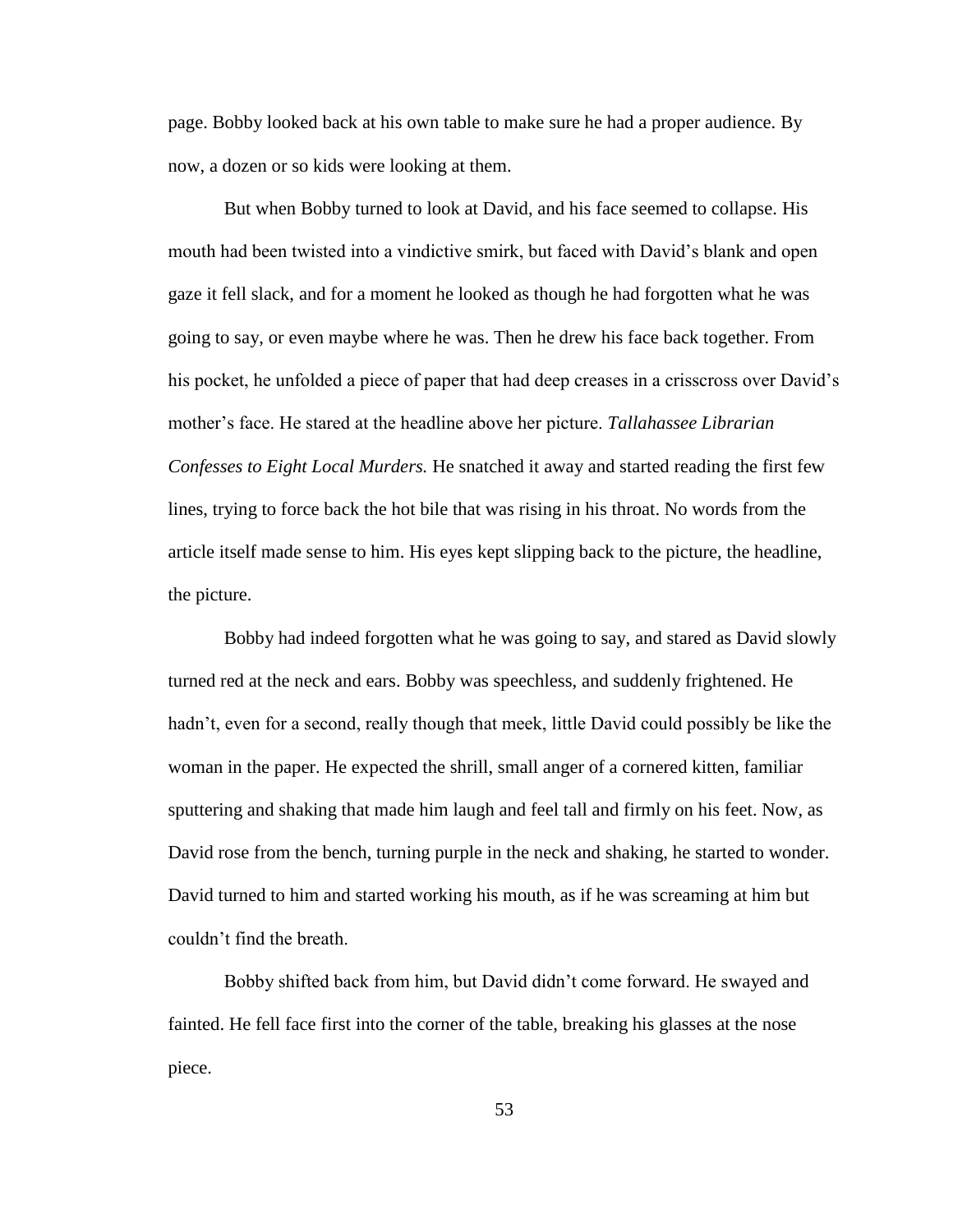page. Bobby looked back at his own table to make sure he had a proper audience. By now, a dozen or so kids were looking at them.

But when Bobby turned to look at David, and his face seemed to collapse. His mouth had been twisted into a vindictive smirk, but faced with David"s blank and open gaze it fell slack, and for a moment he looked as though he had forgotten what he was going to say, or even maybe where he was. Then he drew his face back together. From his pocket, he unfolded a piece of paper that had deep creases in a crisscross over David"s mother"s face. He stared at the headline above her picture. *Tallahassee Librarian Confesses to Eight Local Murders.* He snatched it away and started reading the first few lines, trying to force back the hot bile that was rising in his throat. No words from the article itself made sense to him. His eyes kept slipping back to the picture, the headline, the picture.

Bobby had indeed forgotten what he was going to say, and stared as David slowly turned red at the neck and ears. Bobby was speechless, and suddenly frightened. He hadn't, even for a second, really though that meek, little David could possibly be like the woman in the paper. He expected the shrill, small anger of a cornered kitten, familiar sputtering and shaking that made him laugh and feel tall and firmly on his feet. Now, as David rose from the bench, turning purple in the neck and shaking, he started to wonder. David turned to him and started working his mouth, as if he was screaming at him but couldn"t find the breath.

Bobby shifted back from him, but David didn"t come forward. He swayed and fainted. He fell face first into the corner of the table, breaking his glasses at the nose piece.

53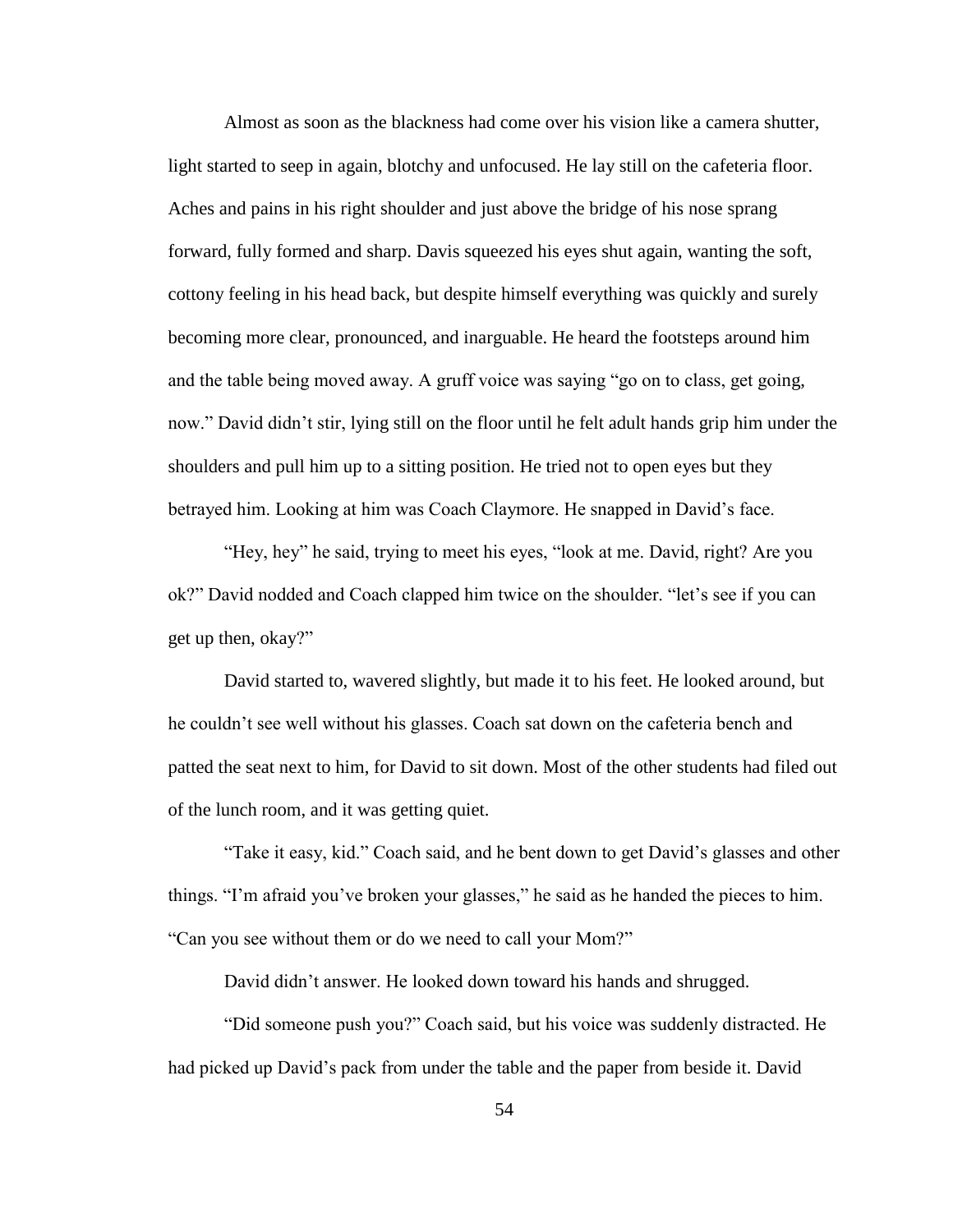Almost as soon as the blackness had come over his vision like a camera shutter, light started to seep in again, blotchy and unfocused. He lay still on the cafeteria floor. Aches and pains in his right shoulder and just above the bridge of his nose sprang forward, fully formed and sharp. Davis squeezed his eyes shut again, wanting the soft, cottony feeling in his head back, but despite himself everything was quickly and surely becoming more clear, pronounced, and inarguable. He heard the footsteps around him and the table being moved away. A gruff voice was saying "go on to class, get going, now." David didn"t stir, lying still on the floor until he felt adult hands grip him under the shoulders and pull him up to a sitting position. He tried not to open eyes but they betrayed him. Looking at him was Coach Claymore. He snapped in David"s face.

"Hey, hey" he said, trying to meet his eyes, "look at me. David, right? Are you ok?" David nodded and Coach clapped him twice on the shoulder. "let"s see if you can get up then, okay?"

David started to, wavered slightly, but made it to his feet. He looked around, but he couldn"t see well without his glasses. Coach sat down on the cafeteria bench and patted the seat next to him, for David to sit down. Most of the other students had filed out of the lunch room, and it was getting quiet.

"Take it easy, kid." Coach said, and he bent down to get David"s glasses and other things. "I"m afraid you"ve broken your glasses," he said as he handed the pieces to him. "Can you see without them or do we need to call your Mom?"

David didn"t answer. He looked down toward his hands and shrugged.

"Did someone push you?" Coach said, but his voice was suddenly distracted. He had picked up David"s pack from under the table and the paper from beside it. David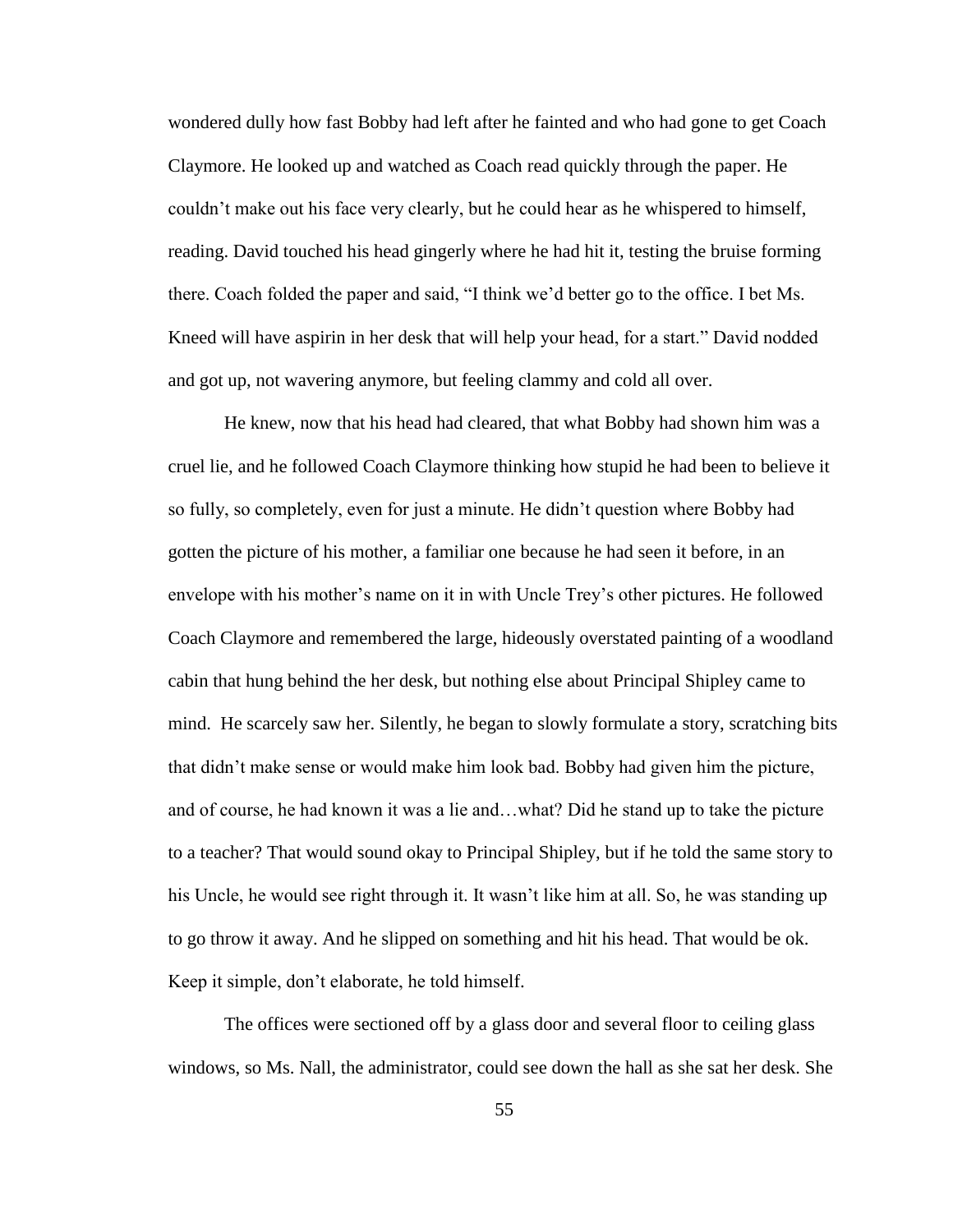wondered dully how fast Bobby had left after he fainted and who had gone to get Coach Claymore. He looked up and watched as Coach read quickly through the paper. He couldn"t make out his face very clearly, but he could hear as he whispered to himself, reading. David touched his head gingerly where he had hit it, testing the bruise forming there. Coach folded the paper and said, "I think we"d better go to the office. I bet Ms. Kneed will have aspirin in her desk that will help your head, for a start." David nodded and got up, not wavering anymore, but feeling clammy and cold all over.

He knew, now that his head had cleared, that what Bobby had shown him was a cruel lie, and he followed Coach Claymore thinking how stupid he had been to believe it so fully, so completely, even for just a minute. He didn"t question where Bobby had gotten the picture of his mother, a familiar one because he had seen it before, in an envelope with his mother"s name on it in with Uncle Trey"s other pictures. He followed Coach Claymore and remembered the large, hideously overstated painting of a woodland cabin that hung behind the her desk, but nothing else about Principal Shipley came to mind. He scarcely saw her. Silently, he began to slowly formulate a story, scratching bits that didn"t make sense or would make him look bad. Bobby had given him the picture, and of course, he had known it was a lie and…what? Did he stand up to take the picture to a teacher? That would sound okay to Principal Shipley, but if he told the same story to his Uncle, he would see right through it. It wasn't like him at all. So, he was standing up to go throw it away. And he slipped on something and hit his head. That would be ok. Keep it simple, don"t elaborate, he told himself.

The offices were sectioned off by a glass door and several floor to ceiling glass windows, so Ms. Nall, the administrator, could see down the hall as she sat her desk. She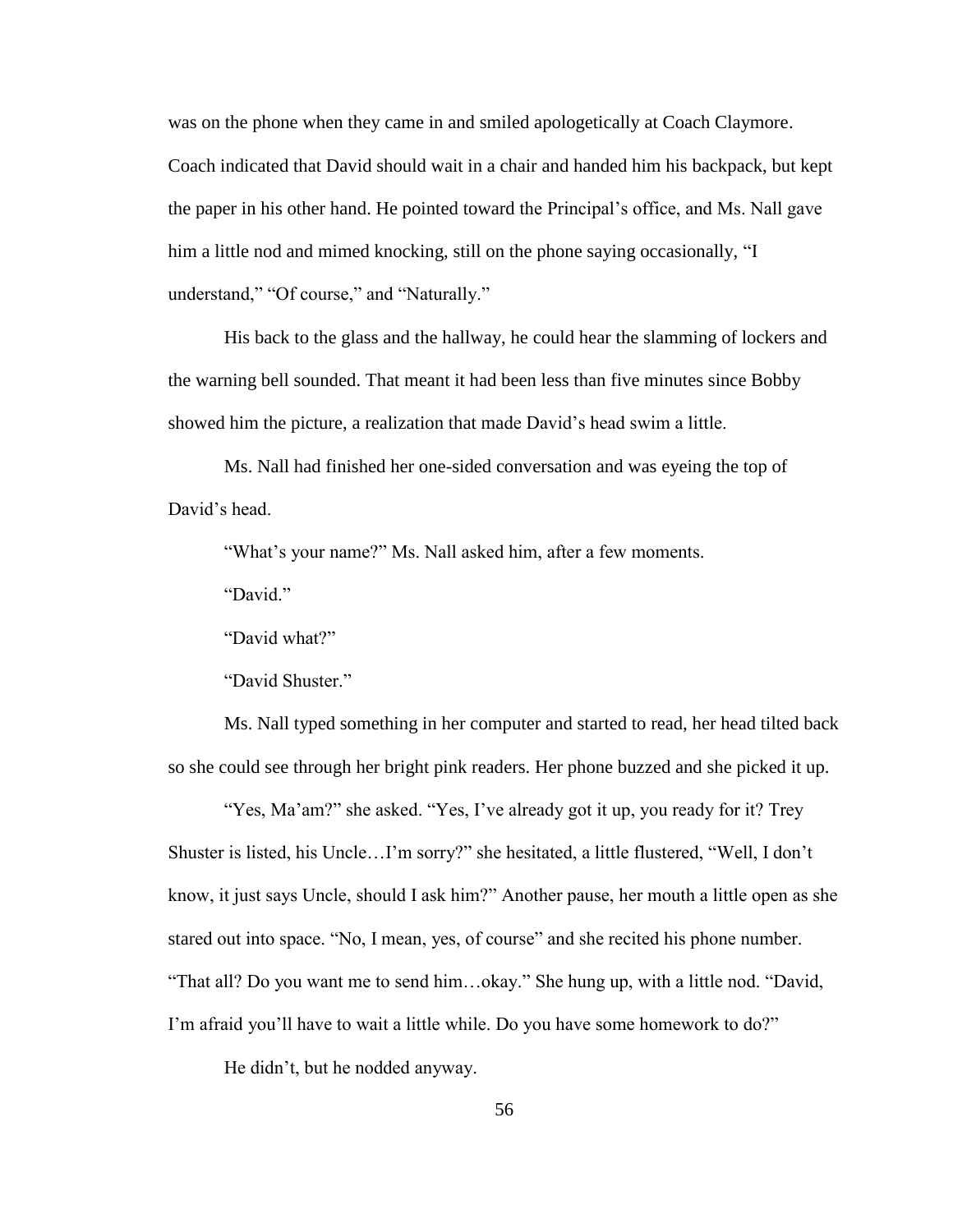was on the phone when they came in and smiled apologetically at Coach Claymore. Coach indicated that David should wait in a chair and handed him his backpack, but kept the paper in his other hand. He pointed toward the Principal"s office, and Ms. Nall gave him a little nod and mimed knocking, still on the phone saying occasionally, "I understand," "Of course," and "Naturally."

His back to the glass and the hallway, he could hear the slamming of lockers and the warning bell sounded. That meant it had been less than five minutes since Bobby showed him the picture, a realization that made David"s head swim a little.

Ms. Nall had finished her one-sided conversation and was eyeing the top of David"s head.

"What's your name?" Ms. Nall asked him, after a few moments.

"David."

"David what?"

"David Shuster."

Ms. Nall typed something in her computer and started to read, her head tilted back so she could see through her bright pink readers. Her phone buzzed and she picked it up.

"Yes, Ma'am?" she asked. "Yes, I've already got it up, you ready for it? Trey Shuster is listed, his Uncle…I"m sorry?" she hesitated, a little flustered, "Well, I don"t know, it just says Uncle, should I ask him?" Another pause, her mouth a little open as she stared out into space. "No, I mean, yes, of course" and she recited his phone number. "That all? Do you want me to send him…okay." She hung up, with a little nod. "David, I'm afraid you'll have to wait a little while. Do you have some homework to do?"

He didn"t, but he nodded anyway.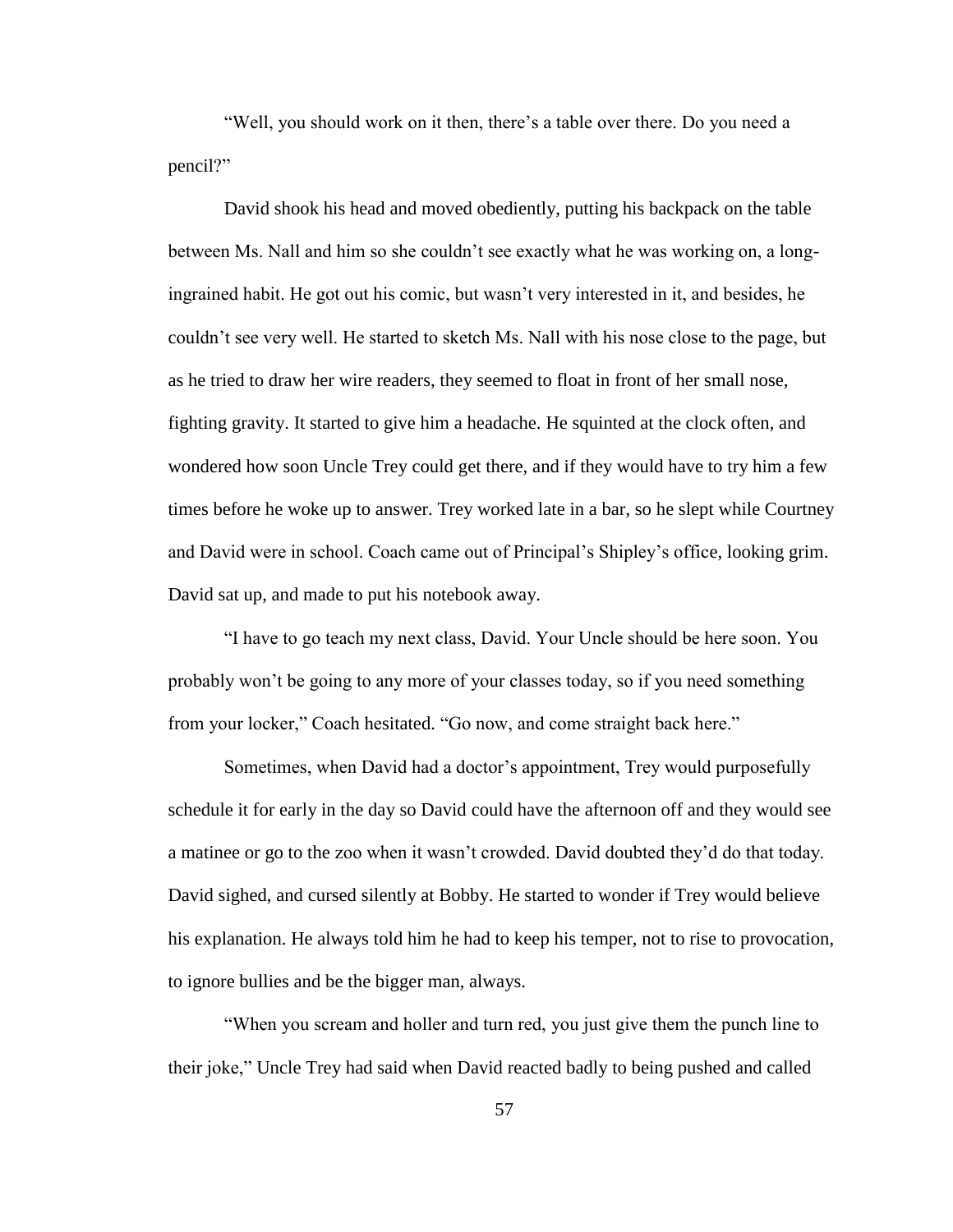"Well, you should work on it then, there"s a table over there. Do you need a pencil?"

David shook his head and moved obediently, putting his backpack on the table between Ms. Nall and him so she couldn"t see exactly what he was working on, a longingrained habit. He got out his comic, but wasn"t very interested in it, and besides, he couldn"t see very well. He started to sketch Ms. Nall with his nose close to the page, but as he tried to draw her wire readers, they seemed to float in front of her small nose, fighting gravity. It started to give him a headache. He squinted at the clock often, and wondered how soon Uncle Trey could get there, and if they would have to try him a few times before he woke up to answer. Trey worked late in a bar, so he slept while Courtney and David were in school. Coach came out of Principal"s Shipley"s office, looking grim. David sat up, and made to put his notebook away.

"I have to go teach my next class, David. Your Uncle should be here soon. You probably won"t be going to any more of your classes today, so if you need something from your locker," Coach hesitated. "Go now, and come straight back here."

Sometimes, when David had a doctor's appointment, Trey would purposefully schedule it for early in the day so David could have the afternoon off and they would see a matinee or go to the zoo when it wasn"t crowded. David doubted they"d do that today. David sighed, and cursed silently at Bobby. He started to wonder if Trey would believe his explanation. He always told him he had to keep his temper, not to rise to provocation, to ignore bullies and be the bigger man, always.

"When you scream and holler and turn red, you just give them the punch line to their joke," Uncle Trey had said when David reacted badly to being pushed and called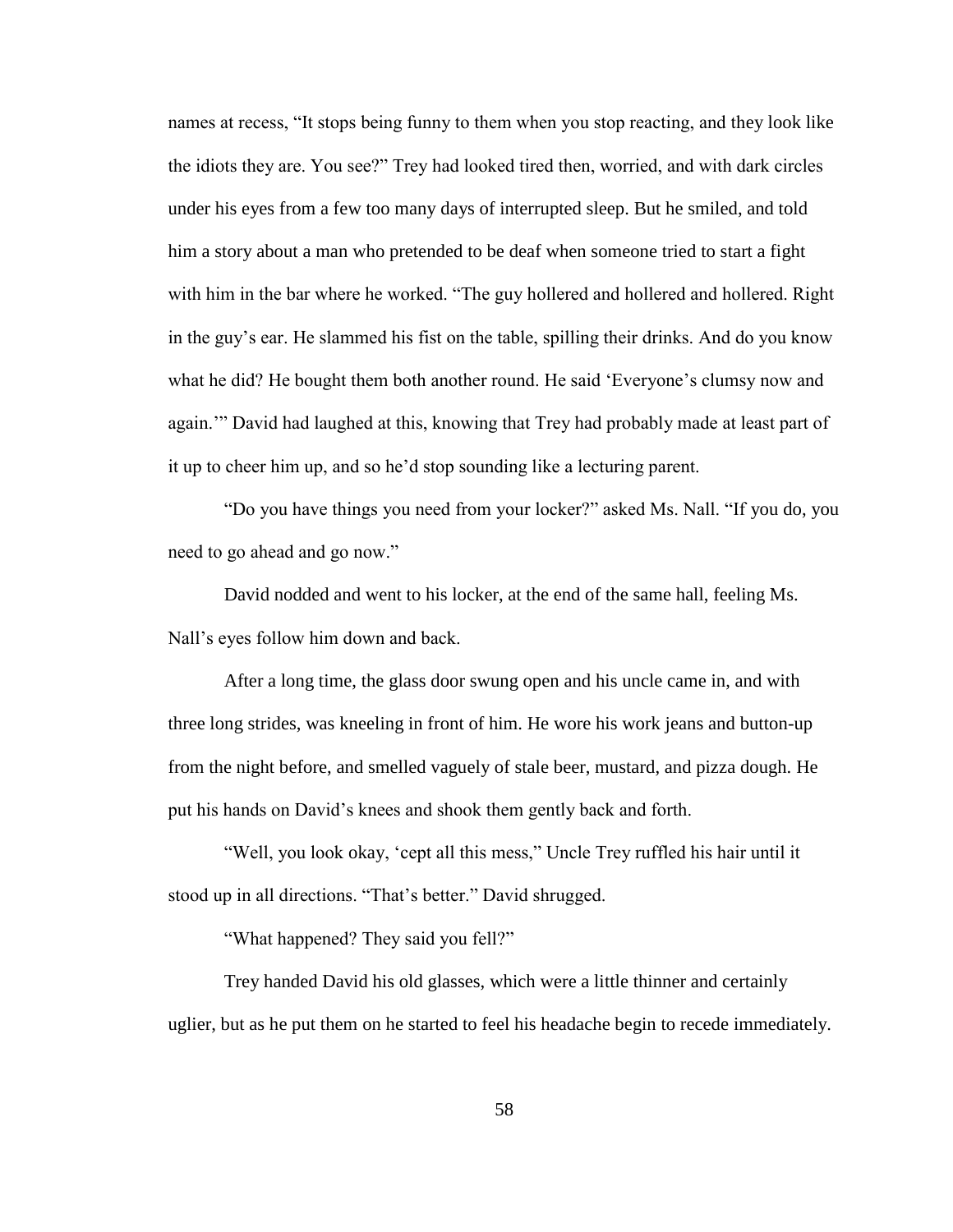names at recess, "It stops being funny to them when you stop reacting, and they look like the idiots they are. You see?" Trey had looked tired then, worried, and with dark circles under his eyes from a few too many days of interrupted sleep. But he smiled, and told him a story about a man who pretended to be deaf when someone tried to start a fight with him in the bar where he worked. "The guy hollered and hollered and hollered. Right in the guy"s ear. He slammed his fist on the table, spilling their drinks. And do you know what he did? He bought them both another round. He said 'Everyone's clumsy now and again."" David had laughed at this, knowing that Trey had probably made at least part of it up to cheer him up, and so he"d stop sounding like a lecturing parent.

"Do you have things you need from your locker?" asked Ms. Nall. "If you do, you need to go ahead and go now."

David nodded and went to his locker, at the end of the same hall, feeling Ms. Nall"s eyes follow him down and back.

After a long time, the glass door swung open and his uncle came in, and with three long strides, was kneeling in front of him. He wore his work jeans and button-up from the night before, and smelled vaguely of stale beer, mustard, and pizza dough. He put his hands on David"s knees and shook them gently back and forth.

"Well, you look okay, "cept all this mess," Uncle Trey ruffled his hair until it stood up in all directions. "That's better." David shrugged.

"What happened? They said you fell?"

Trey handed David his old glasses, which were a little thinner and certainly uglier, but as he put them on he started to feel his headache begin to recede immediately.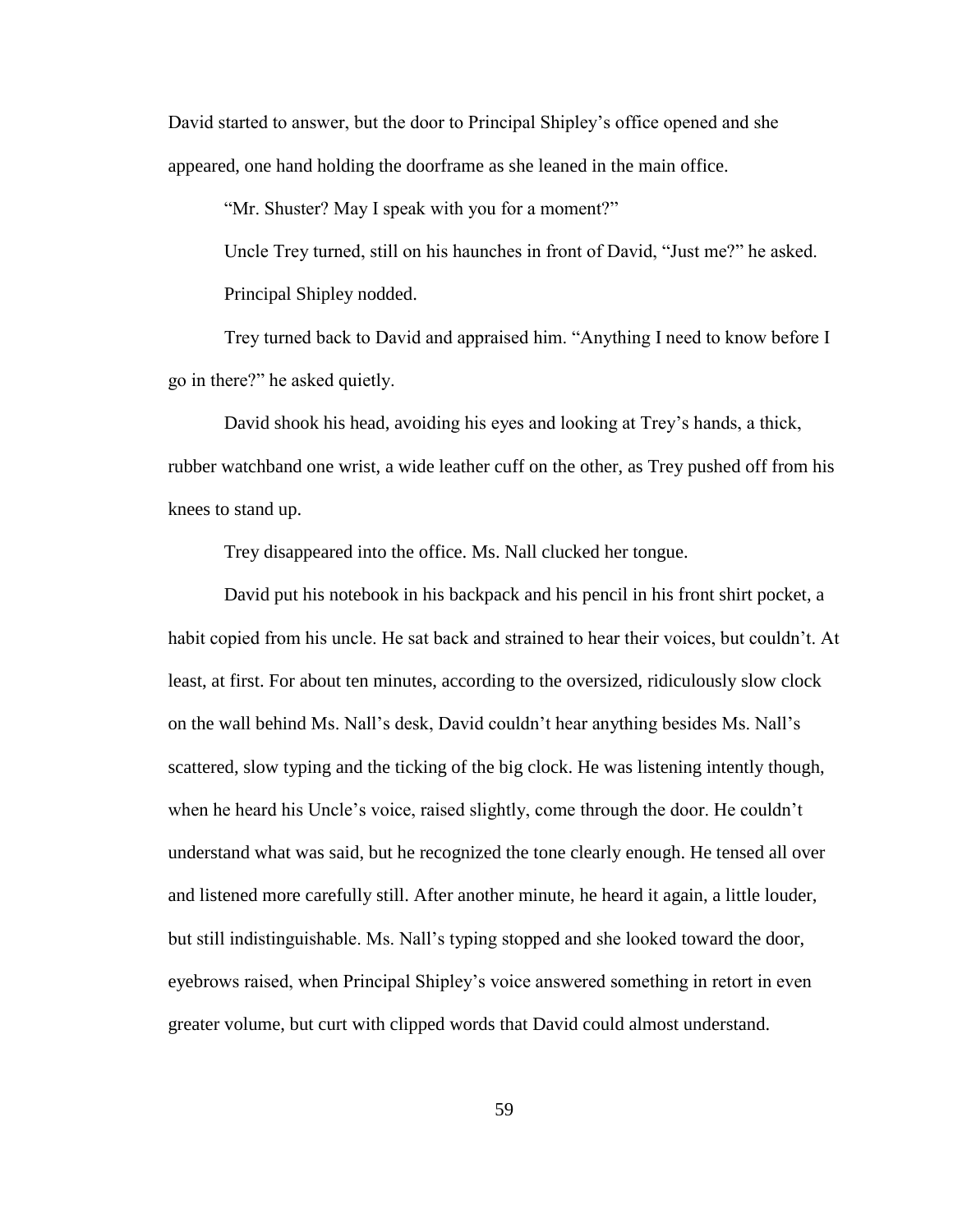David started to answer, but the door to Principal Shipley"s office opened and she appeared, one hand holding the doorframe as she leaned in the main office.

"Mr. Shuster? May I speak with you for a moment?"

Uncle Trey turned, still on his haunches in front of David, "Just me?" he asked. Principal Shipley nodded.

Trey turned back to David and appraised him. "Anything I need to know before I go in there?" he asked quietly.

David shook his head, avoiding his eyes and looking at Trey"s hands, a thick, rubber watchband one wrist, a wide leather cuff on the other, as Trey pushed off from his knees to stand up.

Trey disappeared into the office. Ms. Nall clucked her tongue.

David put his notebook in his backpack and his pencil in his front shirt pocket, a habit copied from his uncle. He sat back and strained to hear their voices, but couldn't. At least, at first. For about ten minutes, according to the oversized, ridiculously slow clock on the wall behind Ms. Nall"s desk, David couldn"t hear anything besides Ms. Nall"s scattered, slow typing and the ticking of the big clock. He was listening intently though, when he heard his Uncle"s voice, raised slightly, come through the door. He couldn"t understand what was said, but he recognized the tone clearly enough. He tensed all over and listened more carefully still. After another minute, he heard it again, a little louder, but still indistinguishable. Ms. Nall"s typing stopped and she looked toward the door, eyebrows raised, when Principal Shipley"s voice answered something in retort in even greater volume, but curt with clipped words that David could almost understand.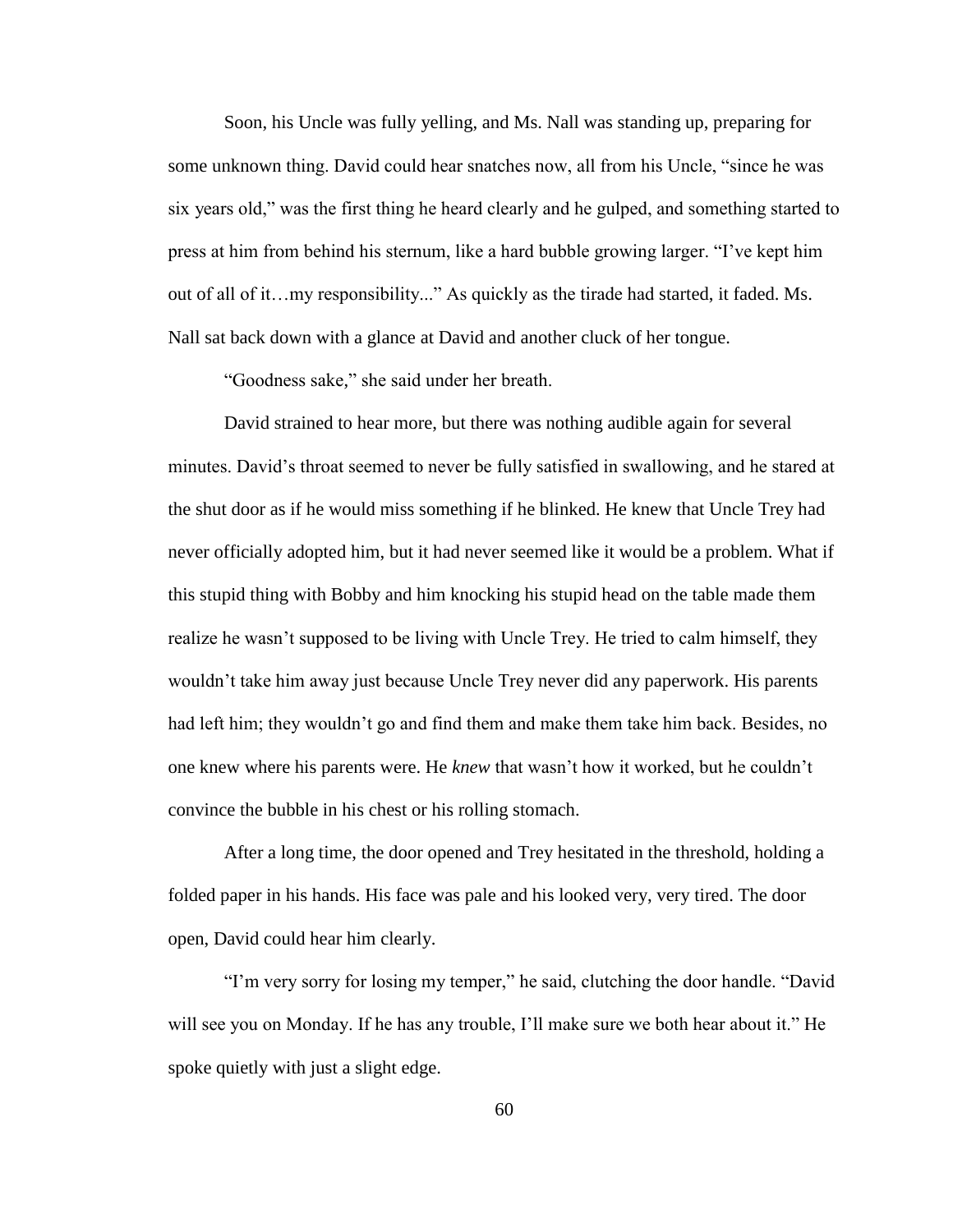Soon, his Uncle was fully yelling, and Ms. Nall was standing up, preparing for some unknown thing. David could hear snatches now, all from his Uncle, "since he was six years old," was the first thing he heard clearly and he gulped, and something started to press at him from behind his sternum, like a hard bubble growing larger. "I"ve kept him out of all of it…my responsibility..." As quickly as the tirade had started, it faded. Ms. Nall sat back down with a glance at David and another cluck of her tongue.

"Goodness sake," she said under her breath.

David strained to hear more, but there was nothing audible again for several minutes. David"s throat seemed to never be fully satisfied in swallowing, and he stared at the shut door as if he would miss something if he blinked. He knew that Uncle Trey had never officially adopted him, but it had never seemed like it would be a problem. What if this stupid thing with Bobby and him knocking his stupid head on the table made them realize he wasn't supposed to be living with Uncle Trey. He tried to calm himself, they wouldn"t take him away just because Uncle Trey never did any paperwork. His parents had left him; they wouldn"t go and find them and make them take him back. Besides, no one knew where his parents were. He *knew* that wasn"t how it worked, but he couldn"t convince the bubble in his chest or his rolling stomach.

After a long time, the door opened and Trey hesitated in the threshold, holding a folded paper in his hands. His face was pale and his looked very, very tired. The door open, David could hear him clearly.

"I"m very sorry for losing my temper," he said, clutching the door handle. "David will see you on Monday. If he has any trouble, I"ll make sure we both hear about it." He spoke quietly with just a slight edge.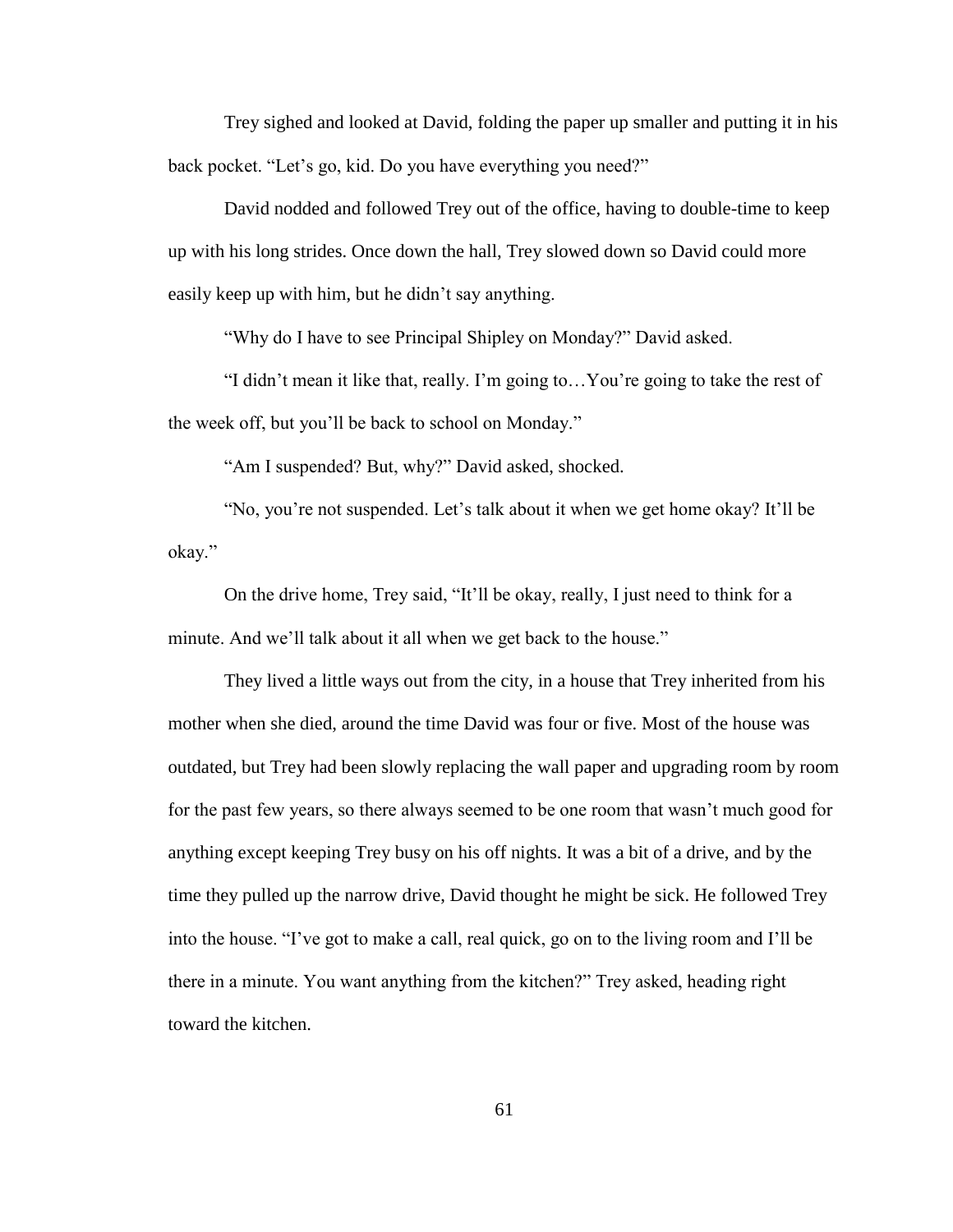Trey sighed and looked at David, folding the paper up smaller and putting it in his back pocket. "Let's go, kid. Do you have everything you need?"

David nodded and followed Trey out of the office, having to double-time to keep up with his long strides. Once down the hall, Trey slowed down so David could more easily keep up with him, but he didn"t say anything.

"Why do I have to see Principal Shipley on Monday?" David asked.

"I didn"t mean it like that, really. I"m going to…You"re going to take the rest of the week off, but you"ll be back to school on Monday."

"Am I suspended? But, why?" David asked, shocked.

"No, you're not suspended. Let's talk about it when we get home okay? It'll be okay."

On the drive home, Trey said, "It"ll be okay, really, I just need to think for a minute. And we'll talk about it all when we get back to the house."

They lived a little ways out from the city, in a house that Trey inherited from his mother when she died, around the time David was four or five. Most of the house was outdated, but Trey had been slowly replacing the wall paper and upgrading room by room for the past few years, so there always seemed to be one room that wasn"t much good for anything except keeping Trey busy on his off nights. It was a bit of a drive, and by the time they pulled up the narrow drive, David thought he might be sick. He followed Trey into the house. "I"ve got to make a call, real quick, go on to the living room and I"ll be there in a minute. You want anything from the kitchen?" Trey asked, heading right toward the kitchen.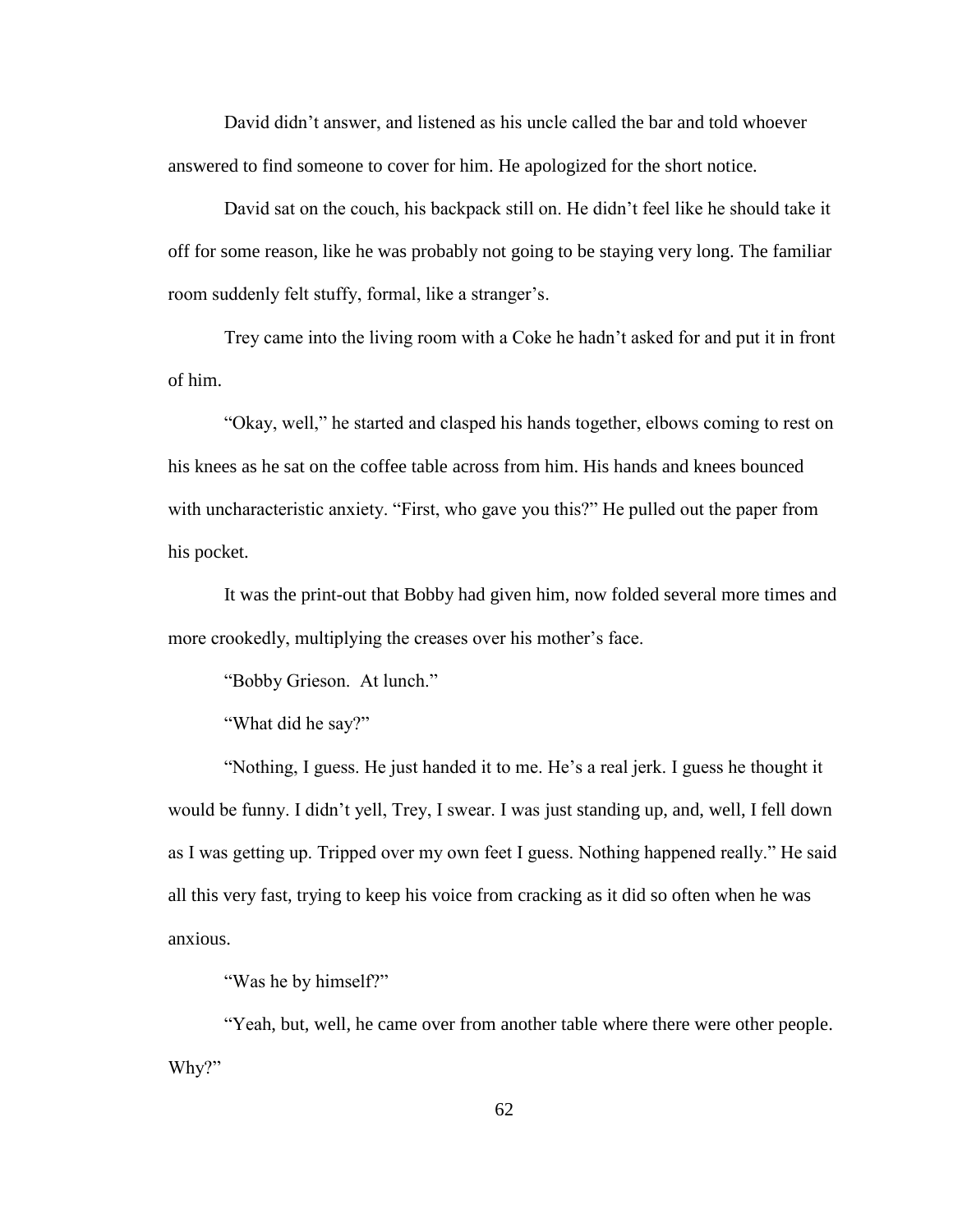David didn"t answer, and listened as his uncle called the bar and told whoever answered to find someone to cover for him. He apologized for the short notice.

David sat on the couch, his backpack still on. He didn"t feel like he should take it off for some reason, like he was probably not going to be staying very long. The familiar room suddenly felt stuffy, formal, like a stranger's.

Trey came into the living room with a Coke he hadn"t asked for and put it in front of him.

"Okay, well," he started and clasped his hands together, elbows coming to rest on his knees as he sat on the coffee table across from him. His hands and knees bounced with uncharacteristic anxiety. "First, who gave you this?" He pulled out the paper from his pocket.

It was the print-out that Bobby had given him, now folded several more times and more crookedly, multiplying the creases over his mother's face.

"Bobby Grieson. At lunch."

"What did he say?"

"Nothing, I guess. He just handed it to me. He"s a real jerk. I guess he thought it would be funny. I didn"t yell, Trey, I swear. I was just standing up, and, well, I fell down as I was getting up. Tripped over my own feet I guess. Nothing happened really." He said all this very fast, trying to keep his voice from cracking as it did so often when he was anxious.

"Was he by himself?"

"Yeah, but, well, he came over from another table where there were other people. Why?"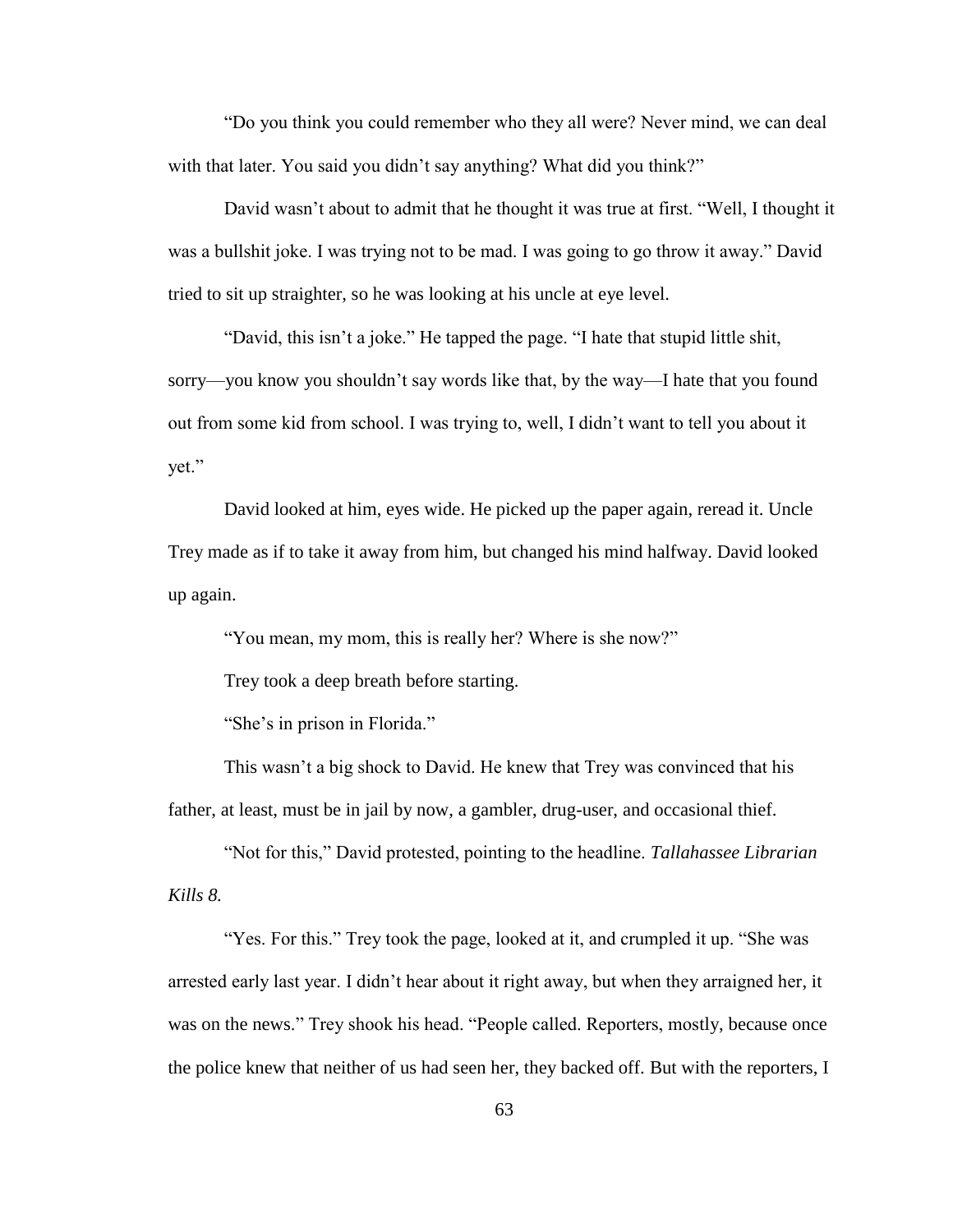"Do you think you could remember who they all were? Never mind, we can deal with that later. You said you didn't say anything? What did you think?"

David wasn't about to admit that he thought it was true at first. "Well, I thought it was a bullshit joke. I was trying not to be mad. I was going to go throw it away." David tried to sit up straighter, so he was looking at his uncle at eye level.

"David, this isn't a joke." He tapped the page. "I hate that stupid little shit, sorry—you know you shouldn"t say words like that, by the way—I hate that you found out from some kid from school. I was trying to, well, I didn"t want to tell you about it yet."

David looked at him, eyes wide. He picked up the paper again, reread it. Uncle Trey made as if to take it away from him, but changed his mind halfway. David looked up again.

"You mean, my mom, this is really her? Where is she now?"

Trey took a deep breath before starting.

"She's in prison in Florida."

This wasn't a big shock to David. He knew that Trey was convinced that his father, at least, must be in jail by now, a gambler, drug-user, and occasional thief.

"Not for this," David protested, pointing to the headline. *Tallahassee Librarian Kills 8.* 

"Yes. For this." Trey took the page, looked at it, and crumpled it up. "She was arrested early last year. I didn"t hear about it right away, but when they arraigned her, it was on the news." Trey shook his head. "People called. Reporters, mostly, because once the police knew that neither of us had seen her, they backed off. But with the reporters, I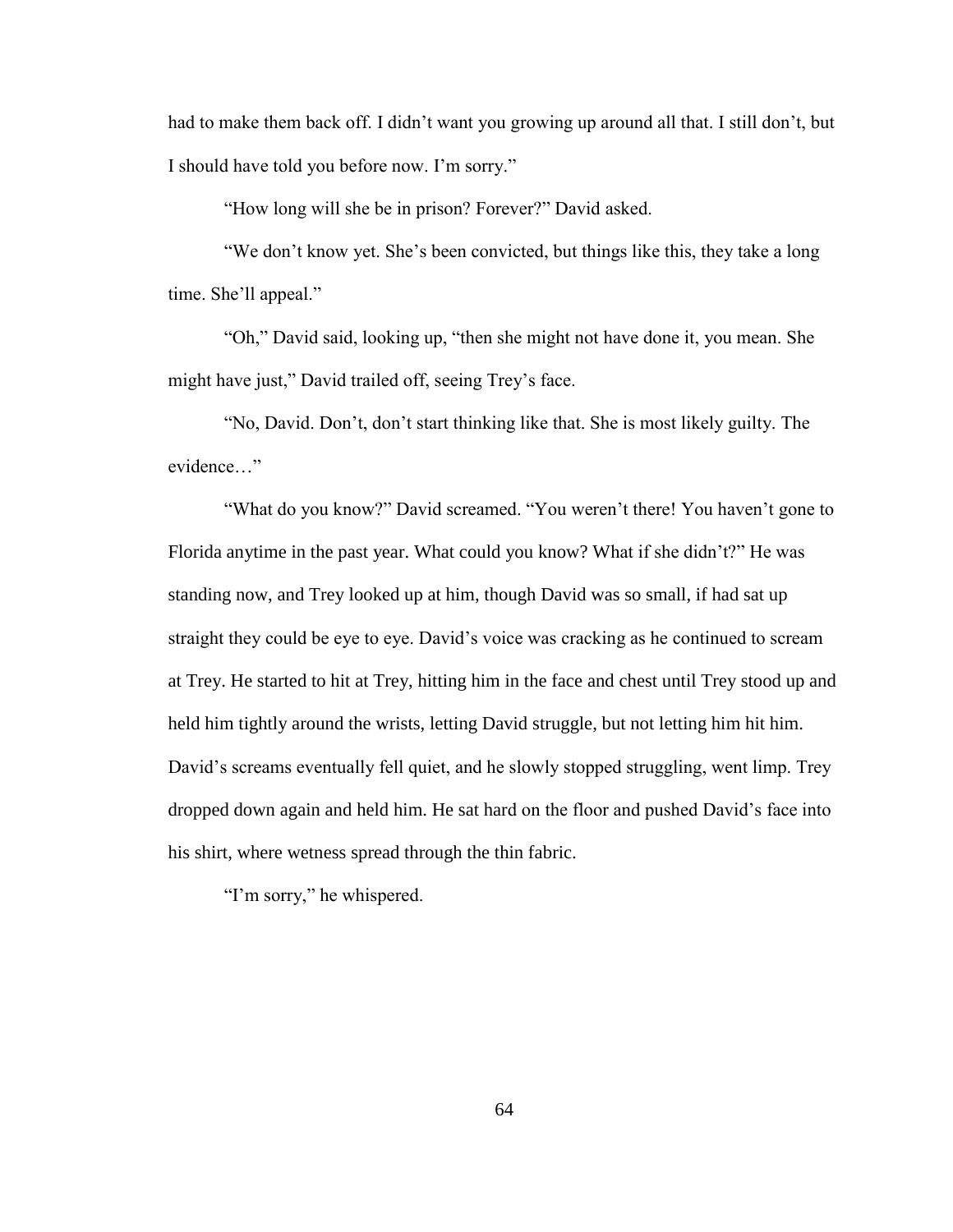had to make them back off. I didn't want you growing up around all that. I still don't, but I should have told you before now. I"m sorry."

"How long will she be in prison? Forever?" David asked.

"We don't know yet. She's been convicted, but things like this, they take a long time. She"ll appeal."

"Oh," David said, looking up, "then she might not have done it, you mean. She might have just," David trailed off, seeing Trey"s face.

"No, David. Don"t, don"t start thinking like that. She is most likely guilty. The evidence…"

"What do you know?" David screamed. "You weren't there! You haven't gone to Florida anytime in the past year. What could you know? What if she didn't?" He was standing now, and Trey looked up at him, though David was so small, if had sat up straight they could be eye to eye. David"s voice was cracking as he continued to scream at Trey. He started to hit at Trey, hitting him in the face and chest until Trey stood up and held him tightly around the wrists, letting David struggle, but not letting him hit him. David's screams eventually fell quiet, and he slowly stopped struggling, went limp. Trey dropped down again and held him. He sat hard on the floor and pushed David"s face into his shirt, where wetness spread through the thin fabric.

"I'm sorry," he whispered.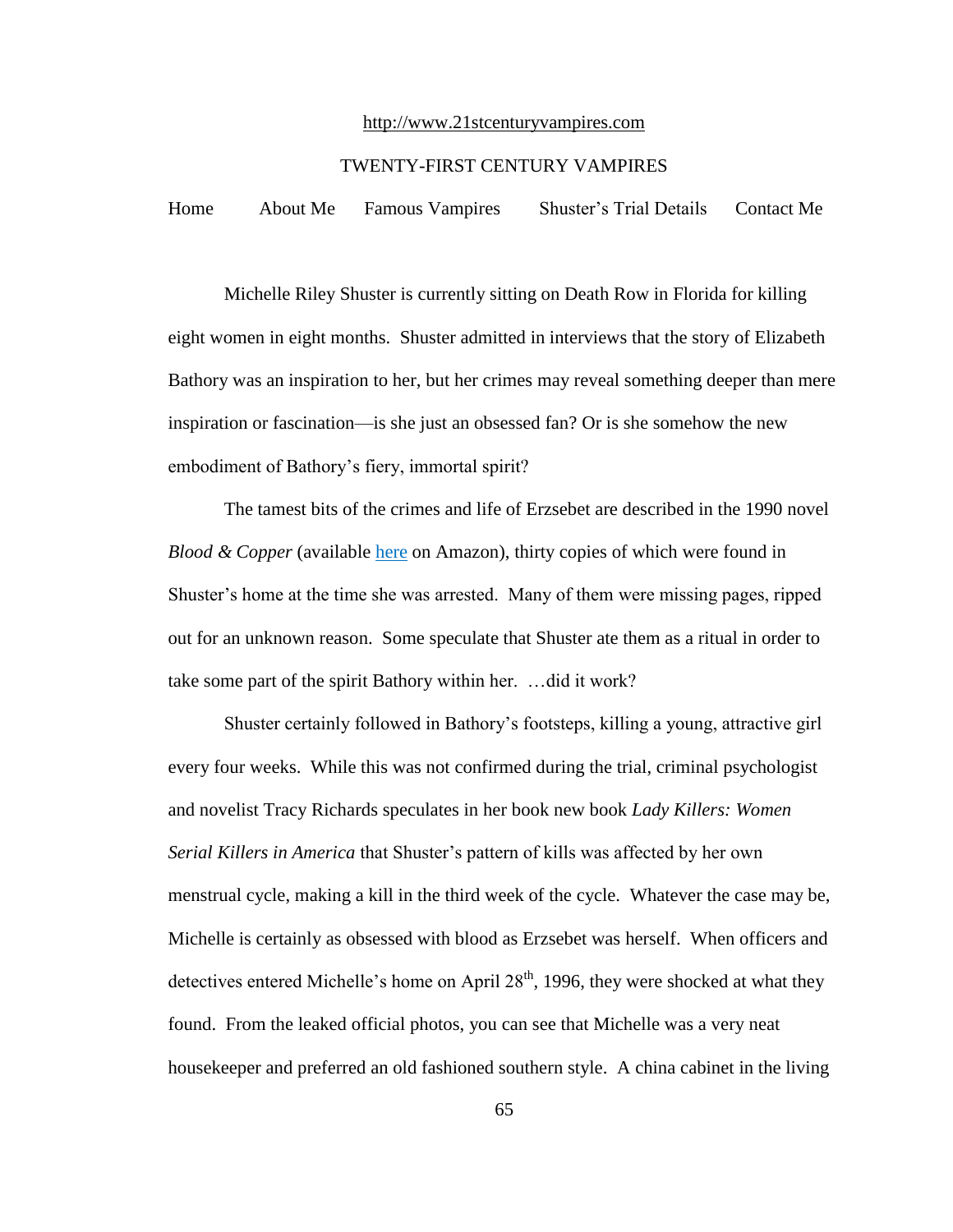#### http://www.21stcenturyvampires.com

## TWENTY-FIRST CENTURY VAMPIRES

Home About Me Famous Vampires Shuster"s Trial Details Contact Me

Michelle Riley Shuster is currently sitting on Death Row in Florida for killing eight women in eight months. Shuster admitted in interviews that the story of Elizabeth Bathory was an inspiration to her, but her crimes may reveal something deeper than mere inspiration or fascination—is she just an obsessed fan? Or is she somehow the new embodiment of Bathory"s fiery, immortal spirit?

The tamest bits of the crimes and life of Erzsebet are described in the 1990 novel *Blood & Copper* (available here on Amazon), thirty copies of which were found in Shuster"s home at the time she was arrested. Many of them were missing pages, ripped out for an unknown reason. Some speculate that Shuster ate them as a ritual in order to take some part of the spirit Bathory within her. …did it work?

Shuster certainly followed in Bathory"s footsteps, killing a young, attractive girl every four weeks. While this was not confirmed during the trial, criminal psychologist and novelist Tracy Richards speculates in her book new book *Lady Killers: Women Serial Killers in America* that Shuster"s pattern of kills was affected by her own menstrual cycle, making a kill in the third week of the cycle. Whatever the case may be, Michelle is certainly as obsessed with blood as Erzsebet was herself. When officers and detectives entered Michelle's home on April  $28<sup>th</sup>$ , 1996, they were shocked at what they found. From the leaked official photos, you can see that Michelle was a very neat housekeeper and preferred an old fashioned southern style. A china cabinet in the living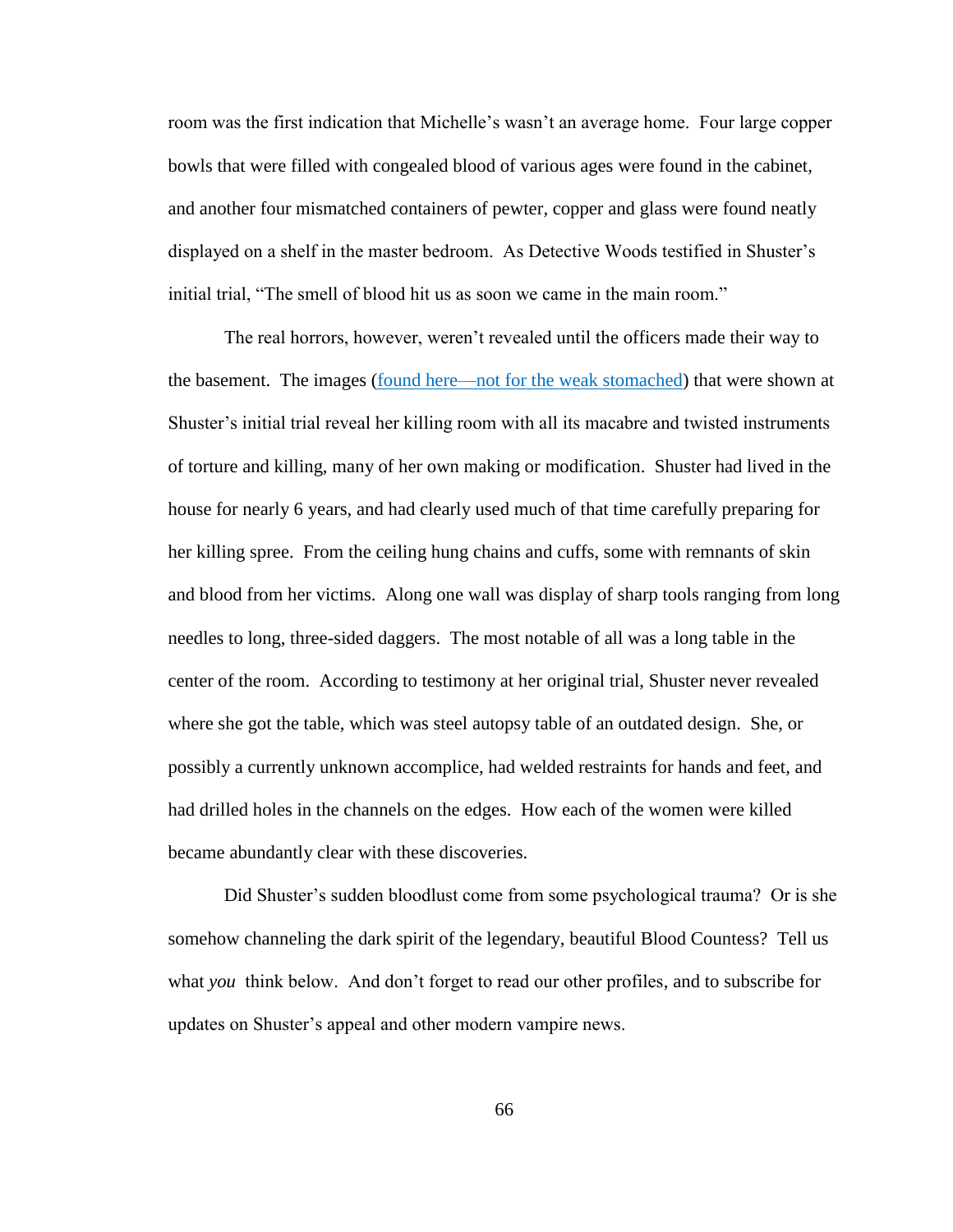room was the first indication that Michelle"s wasn"t an average home. Four large copper bowls that were filled with congealed blood of various ages were found in the cabinet, and another four mismatched containers of pewter, copper and glass were found neatly displayed on a shelf in the master bedroom. As Detective Woods testified in Shuster"s initial trial, "The smell of blood hit us as soon we came in the main room."

The real horrors, however, weren"t revealed until the officers made their way to the basement. The images (found here—not for the weak stomached) that were shown at Shuster"s initial trial reveal her killing room with all its macabre and twisted instruments of torture and killing, many of her own making or modification. Shuster had lived in the house for nearly 6 years, and had clearly used much of that time carefully preparing for her killing spree. From the ceiling hung chains and cuffs, some with remnants of skin and blood from her victims. Along one wall was display of sharp tools ranging from long needles to long, three-sided daggers. The most notable of all was a long table in the center of the room. According to testimony at her original trial, Shuster never revealed where she got the table, which was steel autopsy table of an outdated design. She, or possibly a currently unknown accomplice, had welded restraints for hands and feet, and had drilled holes in the channels on the edges. How each of the women were killed became abundantly clear with these discoveries.

Did Shuster's sudden bloodlust come from some psychological trauma? Or is she somehow channeling the dark spirit of the legendary, beautiful Blood Countess? Tell us what *you* think below. And don"t forget to read our other profiles, and to subscribe for updates on Shuster"s appeal and other modern vampire news.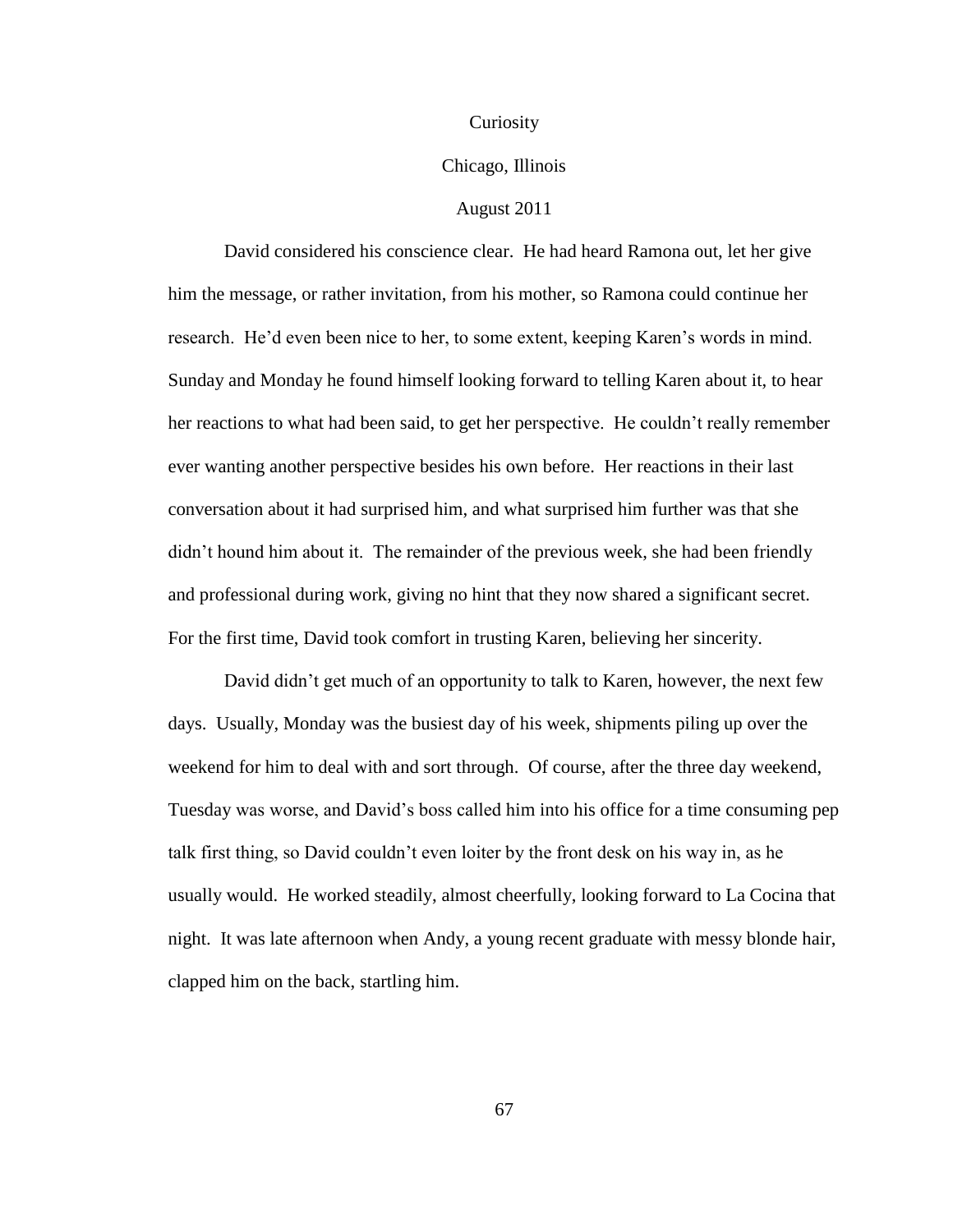#### Curiosity

## Chicago, Illinois

# August 2011

David considered his conscience clear. He had heard Ramona out, let her give him the message, or rather invitation, from his mother, so Ramona could continue her research. He"d even been nice to her, to some extent, keeping Karen"s words in mind. Sunday and Monday he found himself looking forward to telling Karen about it, to hear her reactions to what had been said, to get her perspective. He couldn"t really remember ever wanting another perspective besides his own before. Her reactions in their last conversation about it had surprised him, and what surprised him further was that she didn"t hound him about it. The remainder of the previous week, she had been friendly and professional during work, giving no hint that they now shared a significant secret. For the first time, David took comfort in trusting Karen, believing her sincerity.

David didn"t get much of an opportunity to talk to Karen, however, the next few days. Usually, Monday was the busiest day of his week, shipments piling up over the weekend for him to deal with and sort through. Of course, after the three day weekend, Tuesday was worse, and David"s boss called him into his office for a time consuming pep talk first thing, so David couldn"t even loiter by the front desk on his way in, as he usually would. He worked steadily, almost cheerfully, looking forward to La Cocina that night. It was late afternoon when Andy, a young recent graduate with messy blonde hair, clapped him on the back, startling him.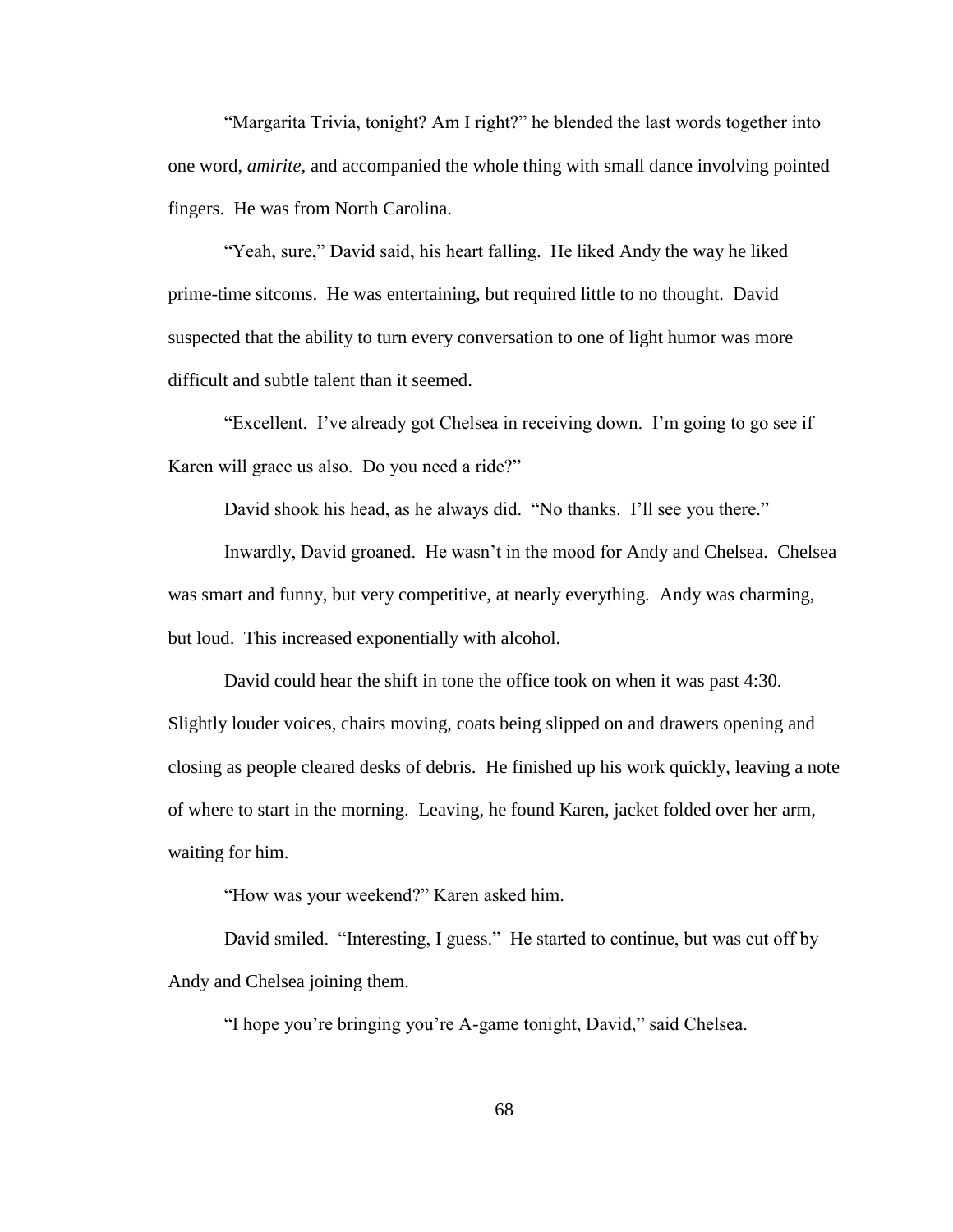"Margarita Trivia, tonight? Am I right?" he blended the last words together into one word, *amirite*, and accompanied the whole thing with small dance involving pointed fingers. He was from North Carolina.

"Yeah, sure," David said, his heart falling. He liked Andy the way he liked prime-time sitcoms. He was entertaining, but required little to no thought. David suspected that the ability to turn every conversation to one of light humor was more difficult and subtle talent than it seemed.

"Excellent. I've already got Chelsea in receiving down. I'm going to go see if Karen will grace us also. Do you need a ride?"

David shook his head, as he always did. "No thanks. I'll see you there."

Inwardly, David groaned. He wasn't in the mood for Andy and Chelsea. Chelsea was smart and funny, but very competitive, at nearly everything. Andy was charming, but loud. This increased exponentially with alcohol.

David could hear the shift in tone the office took on when it was past 4:30. Slightly louder voices, chairs moving, coats being slipped on and drawers opening and closing as people cleared desks of debris. He finished up his work quickly, leaving a note of where to start in the morning. Leaving, he found Karen, jacket folded over her arm, waiting for him.

"How was your weekend?" Karen asked him.

David smiled. "Interesting, I guess." He started to continue, but was cut off by Andy and Chelsea joining them.

"I hope you"re bringing you"re A-game tonight, David," said Chelsea.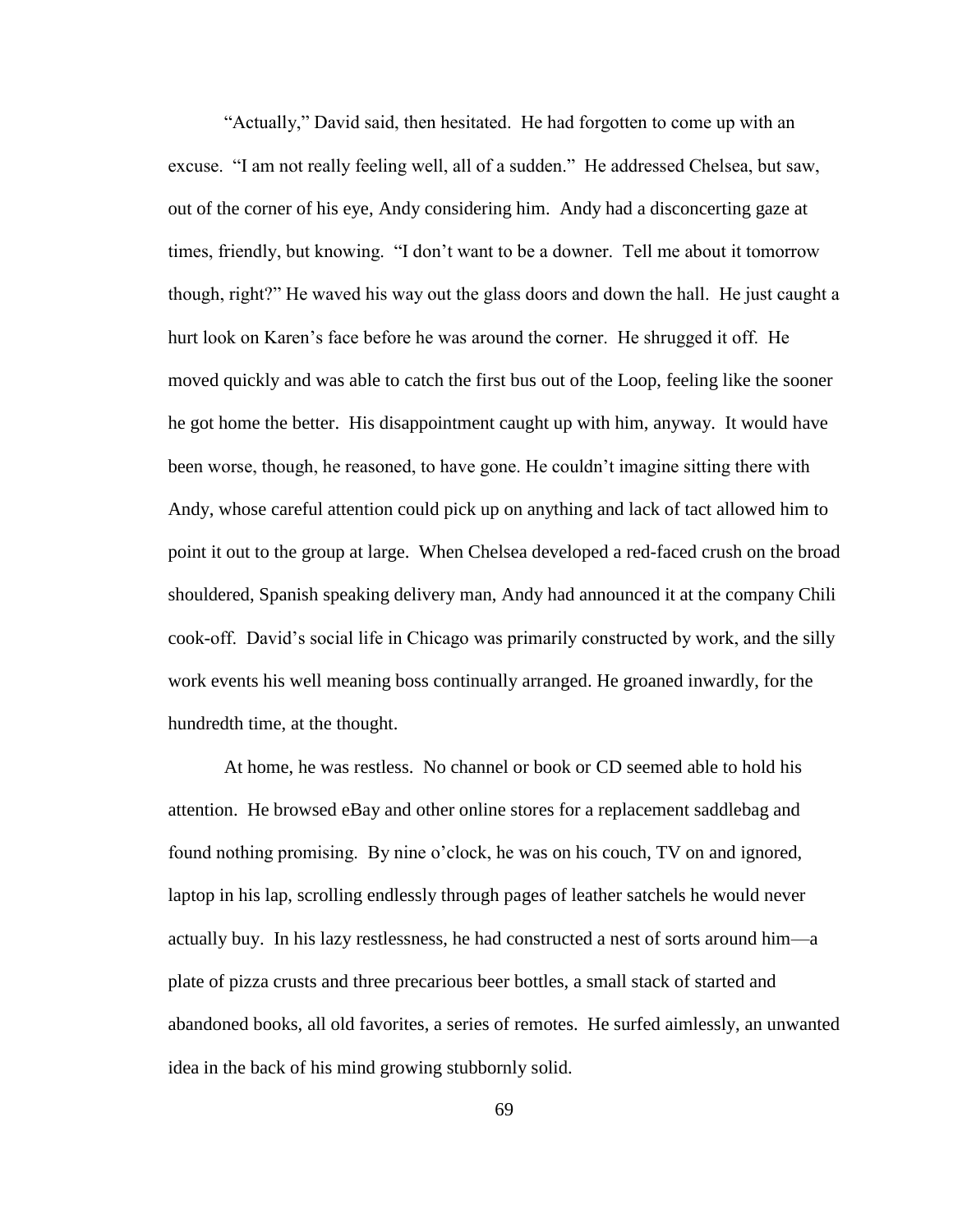"Actually," David said, then hesitated. He had forgotten to come up with an excuse. "I am not really feeling well, all of a sudden." He addressed Chelsea, but saw, out of the corner of his eye, Andy considering him. Andy had a disconcerting gaze at times, friendly, but knowing. "I don"t want to be a downer. Tell me about it tomorrow though, right?" He waved his way out the glass doors and down the hall. He just caught a hurt look on Karen"s face before he was around the corner. He shrugged it off. He moved quickly and was able to catch the first bus out of the Loop, feeling like the sooner he got home the better. His disappointment caught up with him, anyway. It would have been worse, though, he reasoned, to have gone. He couldn"t imagine sitting there with Andy, whose careful attention could pick up on anything and lack of tact allowed him to point it out to the group at large. When Chelsea developed a red-faced crush on the broad shouldered, Spanish speaking delivery man, Andy had announced it at the company Chili cook-off. David"s social life in Chicago was primarily constructed by work, and the silly work events his well meaning boss continually arranged. He groaned inwardly, for the hundredth time, at the thought.

At home, he was restless. No channel or book or CD seemed able to hold his attention. He browsed eBay and other online stores for a replacement saddlebag and found nothing promising. By nine o"clock, he was on his couch, TV on and ignored, laptop in his lap, scrolling endlessly through pages of leather satchels he would never actually buy. In his lazy restlessness, he had constructed a nest of sorts around him—a plate of pizza crusts and three precarious beer bottles, a small stack of started and abandoned books, all old favorites, a series of remotes. He surfed aimlessly, an unwanted idea in the back of his mind growing stubbornly solid.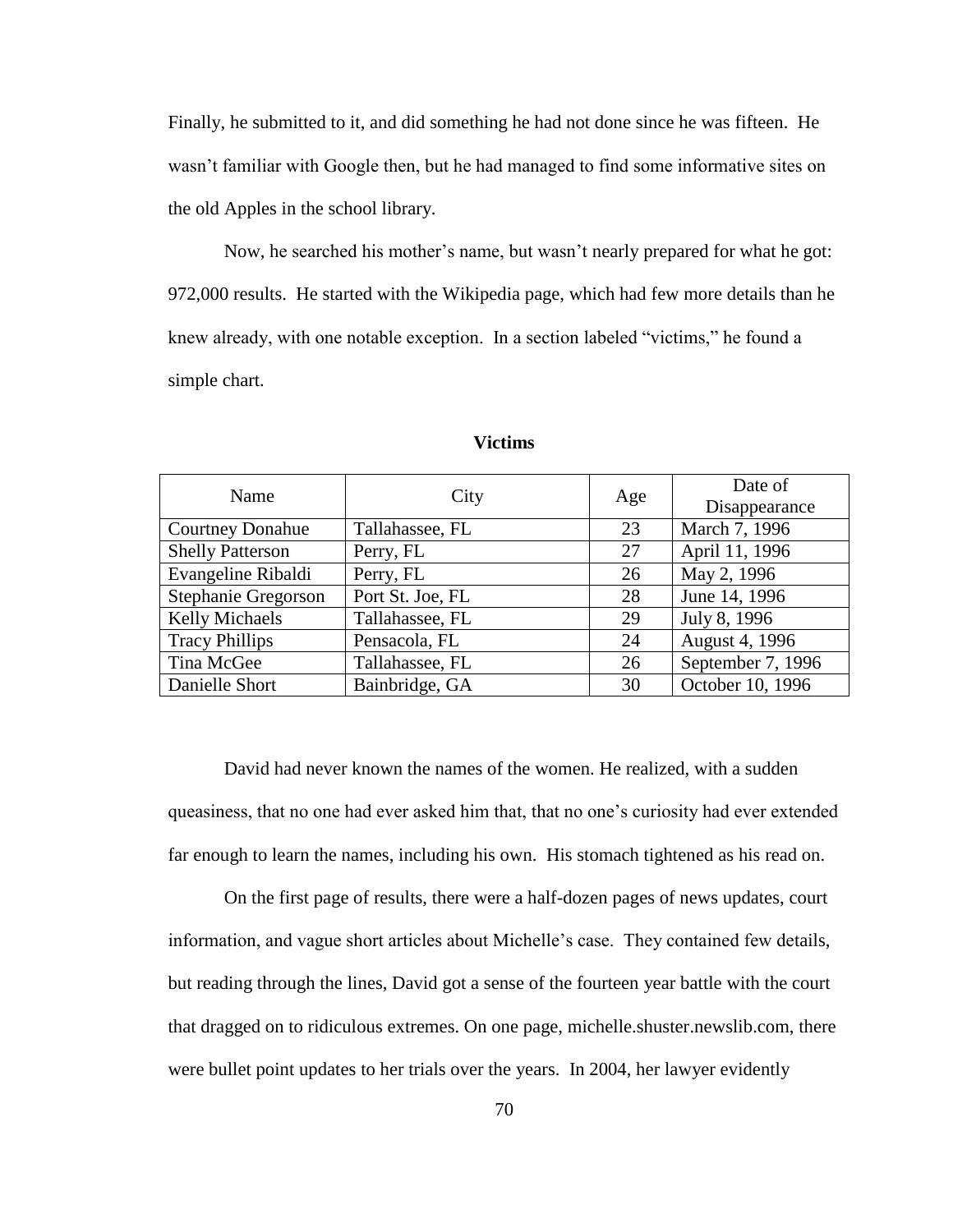Finally, he submitted to it, and did something he had not done since he was fifteen. He wasn"t familiar with Google then, but he had managed to find some informative sites on the old Apples in the school library.

Now, he searched his mother"s name, but wasn"t nearly prepared for what he got: 972,000 results. He started with the Wikipedia page, which had few more details than he knew already, with one notable exception. In a section labeled "victims," he found a simple chart.

| Name                    | City             | Age | Date of           |
|-------------------------|------------------|-----|-------------------|
|                         |                  |     | Disappearance     |
| <b>Courtney Donahue</b> | Tallahassee, FL  | 23  | March 7, 1996     |
| <b>Shelly Patterson</b> | Perry, FL        | 27  | April 11, 1996    |
| Evangeline Ribaldi      | Perry, FL        | 26  | May 2, 1996       |
| Stephanie Gregorson     | Port St. Joe, FL | 28  | June 14, 1996     |
| Kelly Michaels          | Tallahassee, FL  | 29  | July 8, 1996      |
| <b>Tracy Phillips</b>   | Pensacola, FL    | 24  | August 4, 1996    |
| Tina McGee              | Tallahassee, FL  | 26  | September 7, 1996 |
| Danielle Short          | Bainbridge, GA   | 30  | October 10, 1996  |

**Victims**

David had never known the names of the women. He realized, with a sudden queasiness, that no one had ever asked him that, that no one"s curiosity had ever extended far enough to learn the names, including his own. His stomach tightened as his read on.

On the first page of results, there were a half-dozen pages of news updates, court information, and vague short articles about Michelle"s case. They contained few details, but reading through the lines, David got a sense of the fourteen year battle with the court that dragged on to ridiculous extremes. On one page, michelle.shuster.newslib.com, there were bullet point updates to her trials over the years. In 2004, her lawyer evidently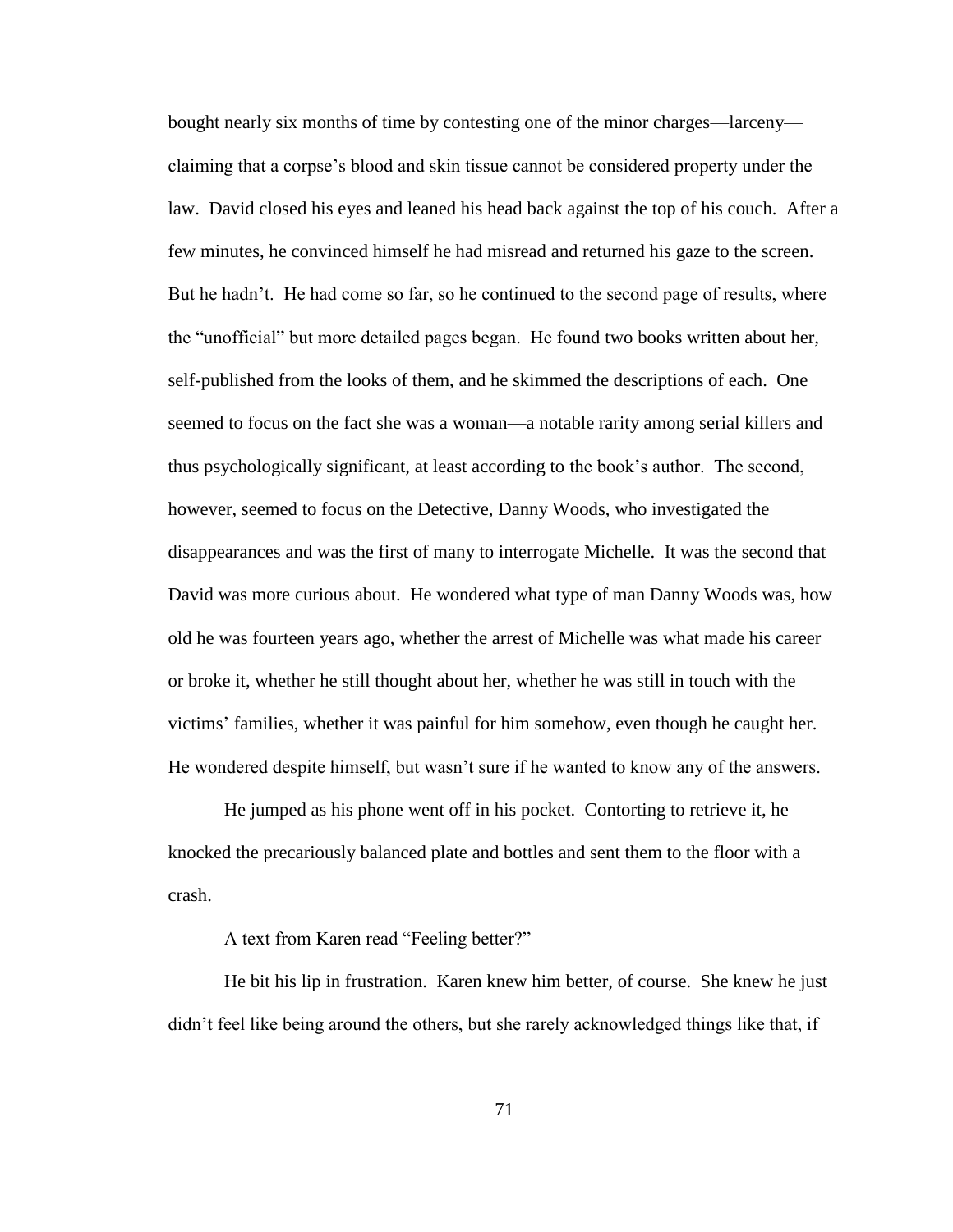bought nearly six months of time by contesting one of the minor charges—larceny claiming that a corpse"s blood and skin tissue cannot be considered property under the law. David closed his eyes and leaned his head back against the top of his couch. After a few minutes, he convinced himself he had misread and returned his gaze to the screen. But he hadn't. He had come so far, so he continued to the second page of results, where the "unofficial" but more detailed pages began. He found two books written about her, self-published from the looks of them, and he skimmed the descriptions of each. One seemed to focus on the fact she was a woman—a notable rarity among serial killers and thus psychologically significant, at least according to the book"s author. The second, however, seemed to focus on the Detective, Danny Woods, who investigated the disappearances and was the first of many to interrogate Michelle. It was the second that David was more curious about. He wondered what type of man Danny Woods was, how old he was fourteen years ago, whether the arrest of Michelle was what made his career or broke it, whether he still thought about her, whether he was still in touch with the victims" families, whether it was painful for him somehow, even though he caught her. He wondered despite himself, but wasn"t sure if he wanted to know any of the answers.

He jumped as his phone went off in his pocket. Contorting to retrieve it, he knocked the precariously balanced plate and bottles and sent them to the floor with a crash.

A text from Karen read "Feeling better?"

He bit his lip in frustration. Karen knew him better, of course. She knew he just didn"t feel like being around the others, but she rarely acknowledged things like that, if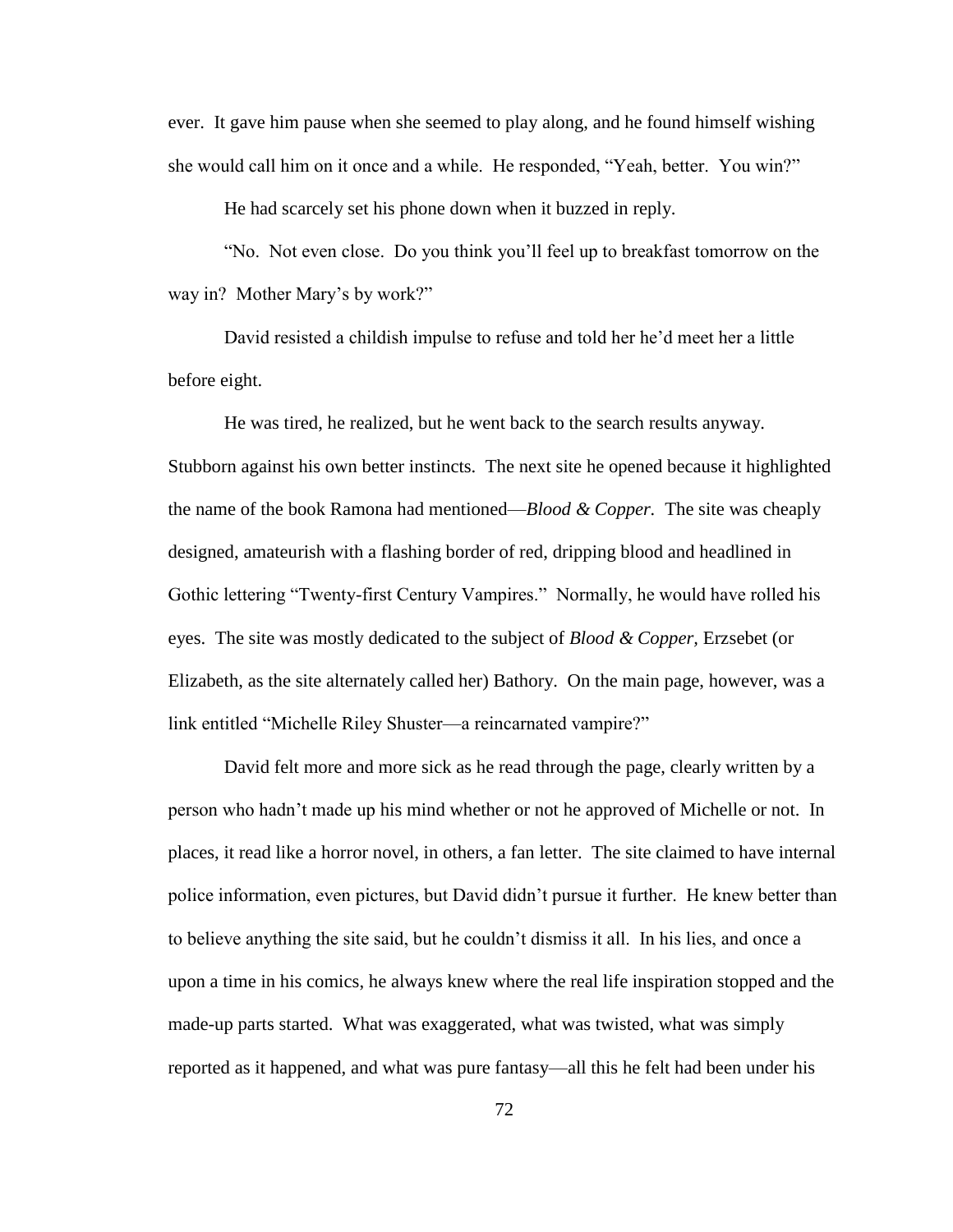ever. It gave him pause when she seemed to play along, and he found himself wishing she would call him on it once and a while. He responded, "Yeah, better. You win?"

He had scarcely set his phone down when it buzzed in reply.

"No. Not even close. Do you think you"ll feel up to breakfast tomorrow on the way in? Mother Mary's by work?"

David resisted a childish impulse to refuse and told her he"d meet her a little before eight.

He was tired, he realized, but he went back to the search results anyway. Stubborn against his own better instincts. The next site he opened because it highlighted the name of the book Ramona had mentioned—*Blood & Copper.* The site was cheaply designed, amateurish with a flashing border of red, dripping blood and headlined in Gothic lettering "Twenty-first Century Vampires." Normally, he would have rolled his eyes. The site was mostly dedicated to the subject of *Blood & Copper,* Erzsebet (or Elizabeth, as the site alternately called her) Bathory. On the main page, however, was a link entitled "Michelle Riley Shuster—a reincarnated vampire?"

David felt more and more sick as he read through the page, clearly written by a person who hadn"t made up his mind whether or not he approved of Michelle or not. In places, it read like a horror novel, in others, a fan letter. The site claimed to have internal police information, even pictures, but David didn"t pursue it further. He knew better than to believe anything the site said, but he couldn"t dismiss it all. In his lies, and once a upon a time in his comics, he always knew where the real life inspiration stopped and the made-up parts started. What was exaggerated, what was twisted, what was simply reported as it happened, and what was pure fantasy—all this he felt had been under his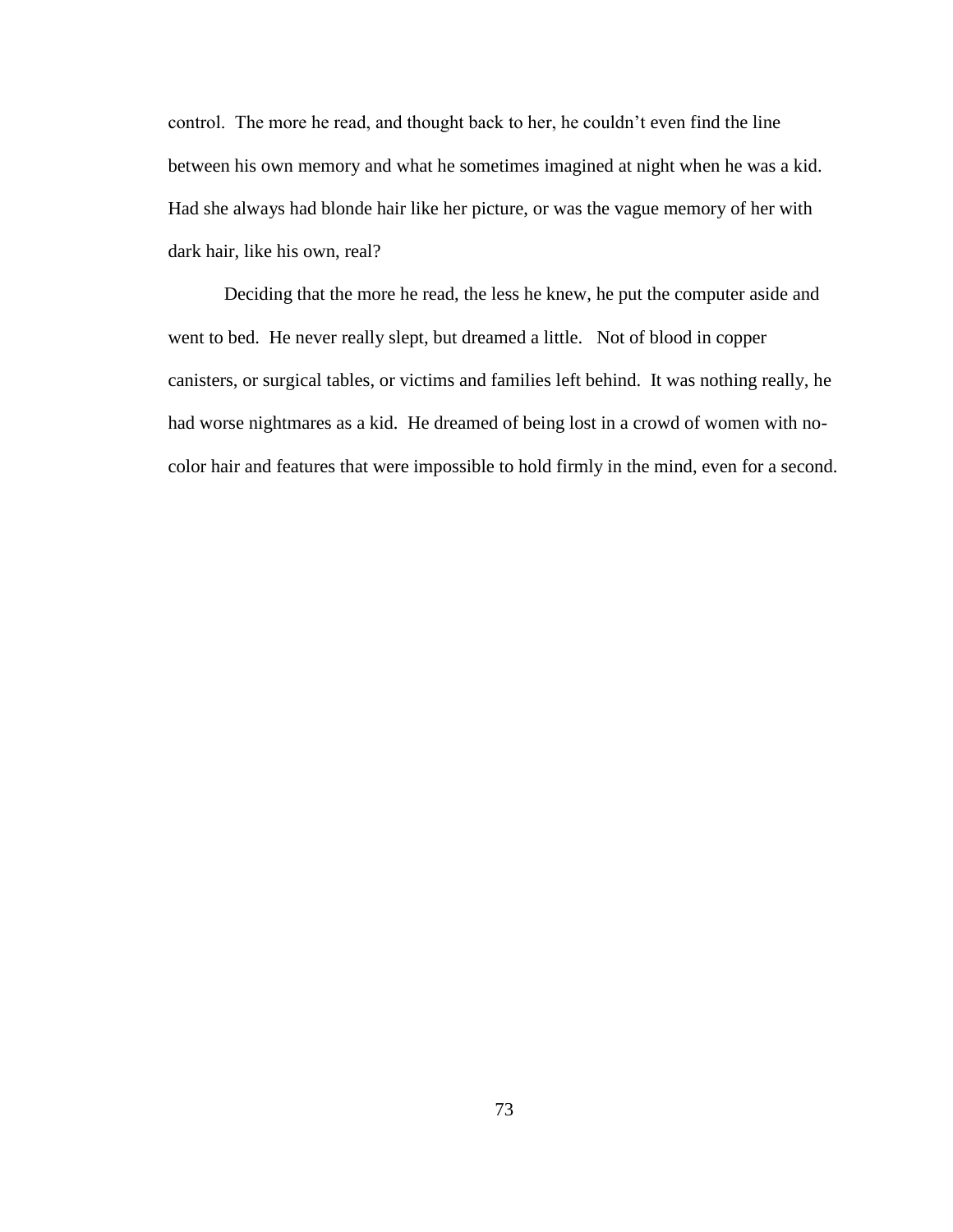control. The more he read, and thought back to her, he couldn"t even find the line between his own memory and what he sometimes imagined at night when he was a kid. Had she always had blonde hair like her picture, or was the vague memory of her with dark hair, like his own, real?

Deciding that the more he read, the less he knew, he put the computer aside and went to bed. He never really slept, but dreamed a little. Not of blood in copper canisters, or surgical tables, or victims and families left behind. It was nothing really, he had worse nightmares as a kid. He dreamed of being lost in a crowd of women with nocolor hair and features that were impossible to hold firmly in the mind, even for a second.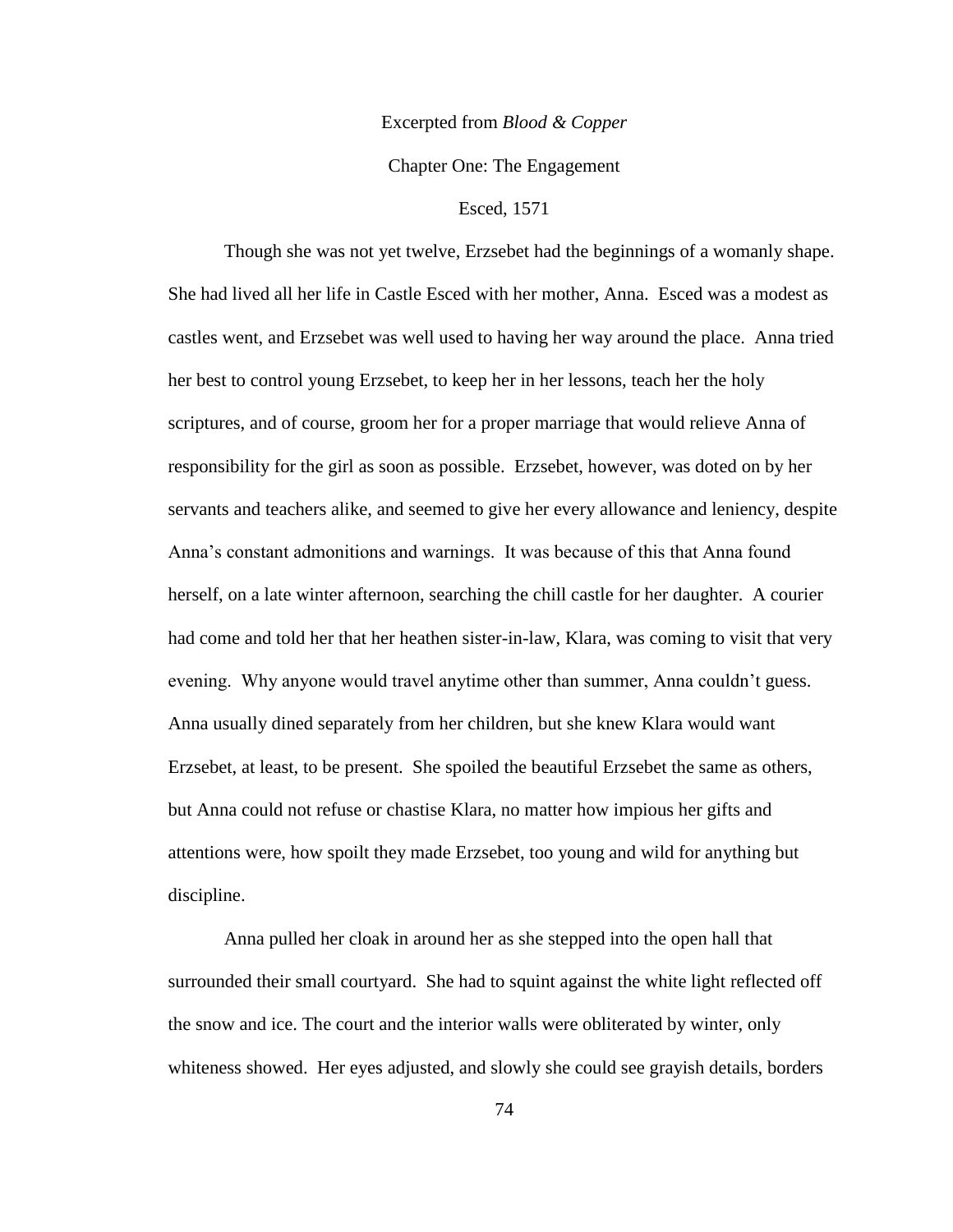### Excerpted from *Blood & Copper*

# Chapter One: The Engagement

# Esced, 1571

Though she was not yet twelve, Erzsebet had the beginnings of a womanly shape. She had lived all her life in Castle Esced with her mother, Anna. Esced was a modest as castles went, and Erzsebet was well used to having her way around the place. Anna tried her best to control young Erzsebet, to keep her in her lessons, teach her the holy scriptures, and of course, groom her for a proper marriage that would relieve Anna of responsibility for the girl as soon as possible. Erzsebet, however, was doted on by her servants and teachers alike, and seemed to give her every allowance and leniency, despite Anna"s constant admonitions and warnings. It was because of this that Anna found herself, on a late winter afternoon, searching the chill castle for her daughter. A courier had come and told her that her heathen sister-in-law, Klara, was coming to visit that very evening. Why anyone would travel anytime other than summer, Anna couldn't guess. Anna usually dined separately from her children, but she knew Klara would want Erzsebet, at least, to be present. She spoiled the beautiful Erzsebet the same as others, but Anna could not refuse or chastise Klara, no matter how impious her gifts and attentions were, how spoilt they made Erzsebet, too young and wild for anything but discipline.

Anna pulled her cloak in around her as she stepped into the open hall that surrounded their small courtyard. She had to squint against the white light reflected off the snow and ice. The court and the interior walls were obliterated by winter, only whiteness showed. Her eyes adjusted, and slowly she could see grayish details, borders

74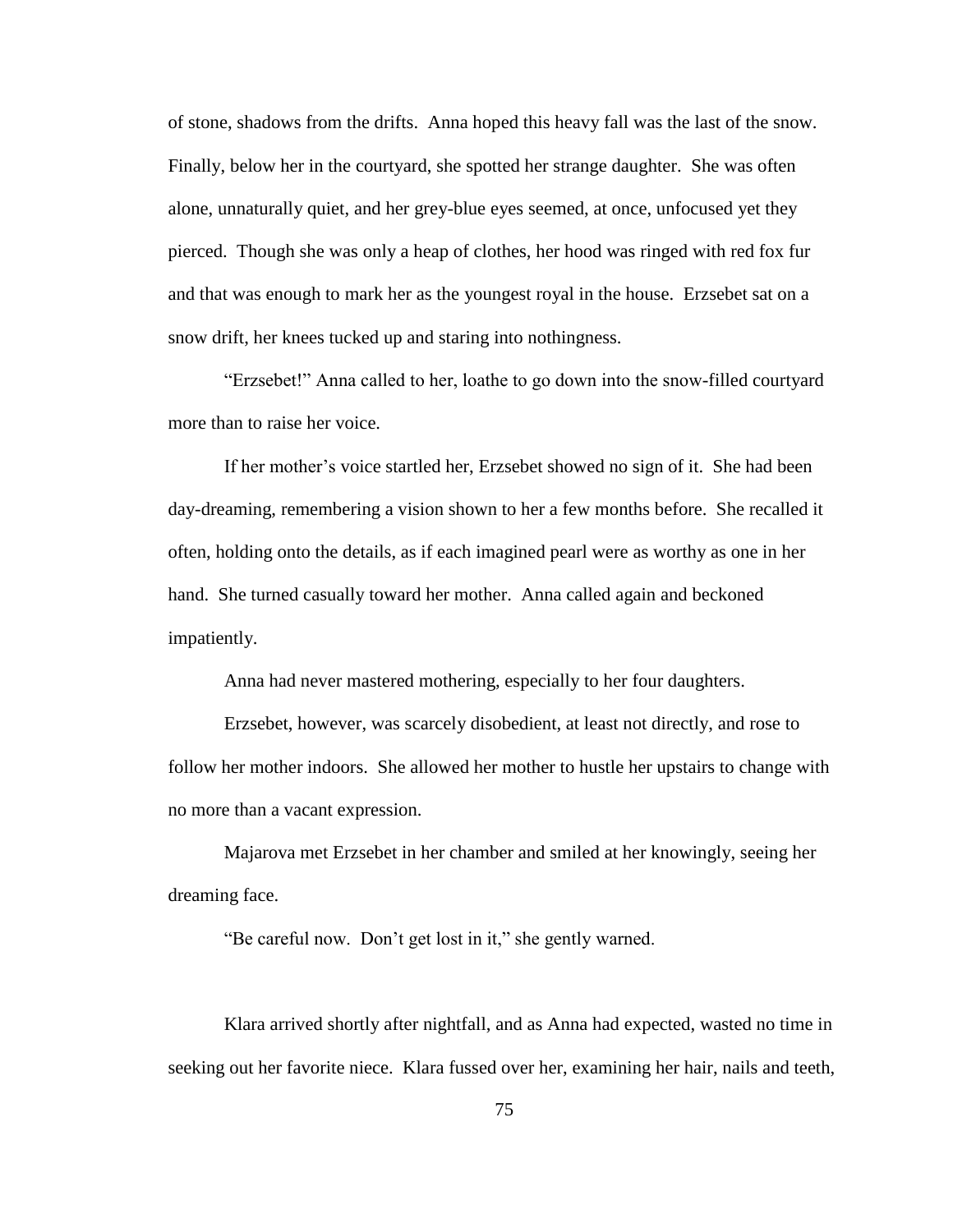of stone, shadows from the drifts. Anna hoped this heavy fall was the last of the snow. Finally, below her in the courtyard, she spotted her strange daughter. She was often alone, unnaturally quiet, and her grey-blue eyes seemed, at once, unfocused yet they pierced. Though she was only a heap of clothes, her hood was ringed with red fox fur and that was enough to mark her as the youngest royal in the house. Erzsebet sat on a snow drift, her knees tucked up and staring into nothingness.

"Erzsebet!" Anna called to her, loathe to go down into the snow-filled courtyard more than to raise her voice.

If her mother"s voice startled her, Erzsebet showed no sign of it. She had been day-dreaming, remembering a vision shown to her a few months before. She recalled it often, holding onto the details, as if each imagined pearl were as worthy as one in her hand. She turned casually toward her mother. Anna called again and beckoned impatiently.

Anna had never mastered mothering, especially to her four daughters.

Erzsebet, however, was scarcely disobedient, at least not directly, and rose to follow her mother indoors. She allowed her mother to hustle her upstairs to change with no more than a vacant expression.

Majarova met Erzsebet in her chamber and smiled at her knowingly, seeing her dreaming face.

"Be careful now. Don"t get lost in it," she gently warned.

Klara arrived shortly after nightfall, and as Anna had expected, wasted no time in seeking out her favorite niece. Klara fussed over her, examining her hair, nails and teeth,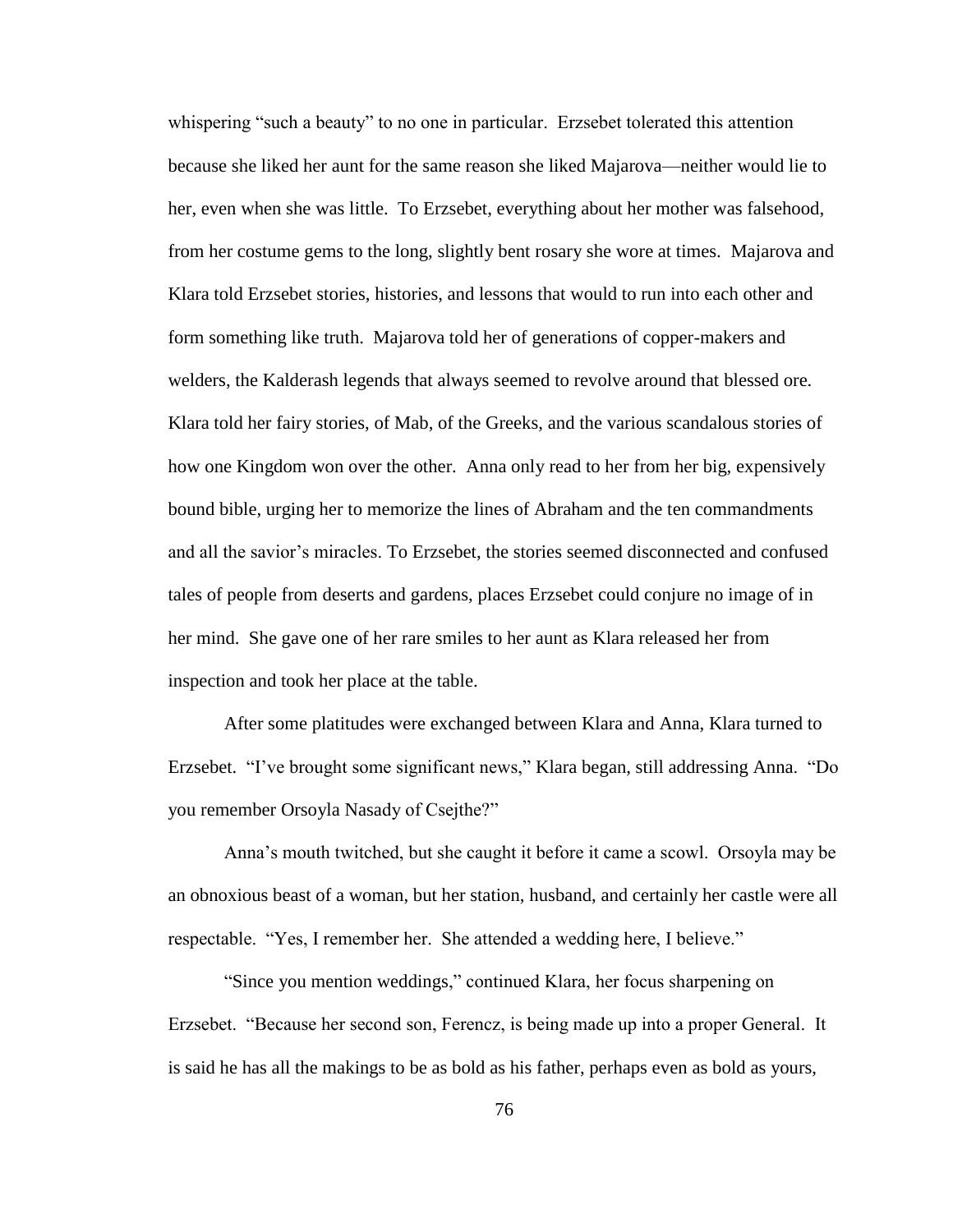whispering "such a beauty" to no one in particular. Erzsebet tolerated this attention because she liked her aunt for the same reason she liked Majarova—neither would lie to her, even when she was little. To Erzsebet, everything about her mother was falsehood, from her costume gems to the long, slightly bent rosary she wore at times. Majarova and Klara told Erzsebet stories, histories, and lessons that would to run into each other and form something like truth. Majarova told her of generations of copper-makers and welders, the Kalderash legends that always seemed to revolve around that blessed ore. Klara told her fairy stories, of Mab, of the Greeks, and the various scandalous stories of how one Kingdom won over the other. Anna only read to her from her big, expensively bound bible, urging her to memorize the lines of Abraham and the ten commandments and all the savior"s miracles. To Erzsebet, the stories seemed disconnected and confused tales of people from deserts and gardens, places Erzsebet could conjure no image of in her mind. She gave one of her rare smiles to her aunt as Klara released her from inspection and took her place at the table.

After some platitudes were exchanged between Klara and Anna, Klara turned to Erzsebet. "I've brought some significant news," Klara began, still addressing Anna. "Do you remember Orsoyla Nasady of Csejthe?"

Anna"s mouth twitched, but she caught it before it came a scowl. Orsoyla may be an obnoxious beast of a woman, but her station, husband, and certainly her castle were all respectable. "Yes, I remember her. She attended a wedding here, I believe."

"Since you mention weddings," continued Klara, her focus sharpening on Erzsebet. "Because her second son, Ferencz, is being made up into a proper General. It is said he has all the makings to be as bold as his father, perhaps even as bold as yours,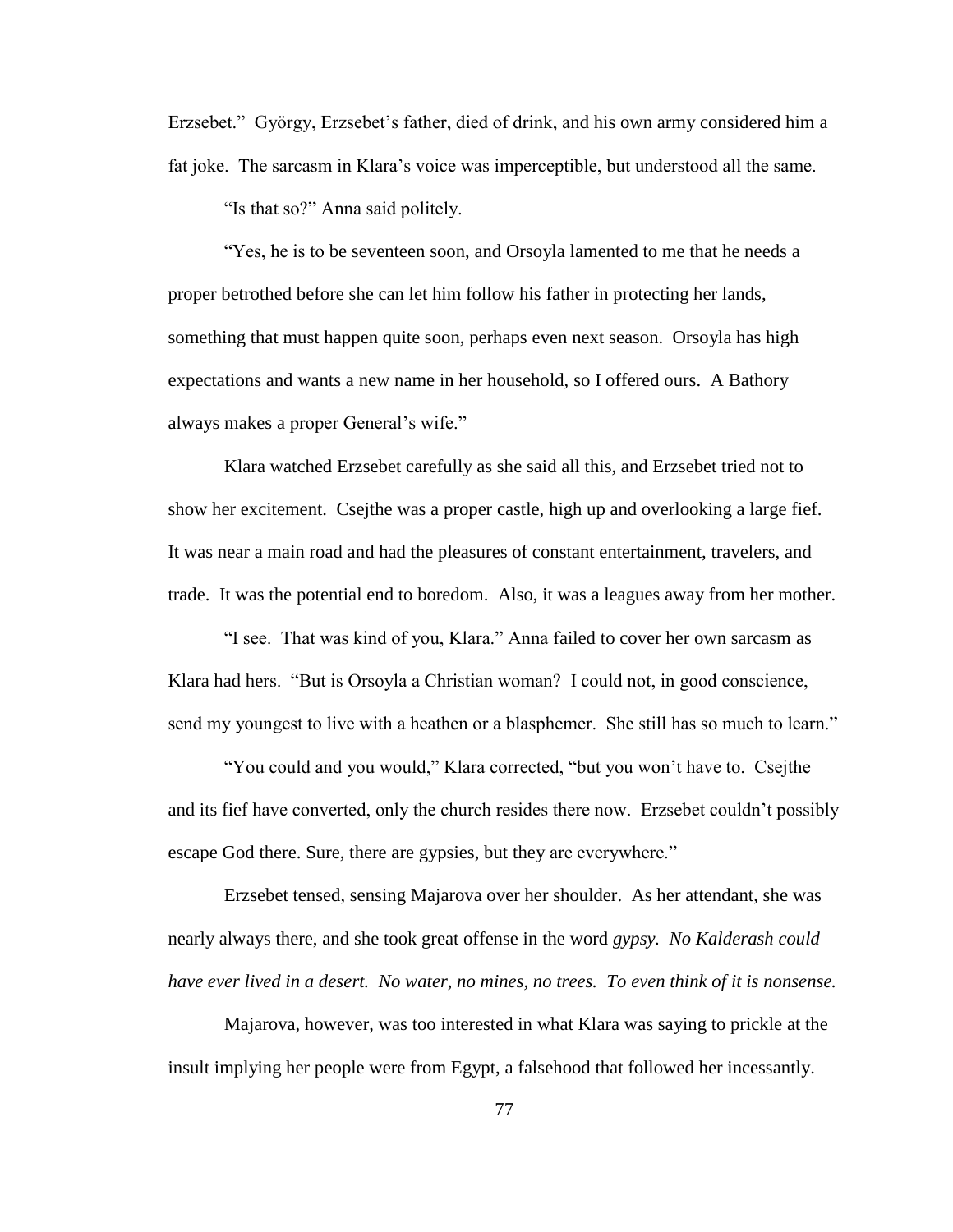Erzsebet." György, Erzsebet"s father, died of drink, and his own army considered him a fat joke. The sarcasm in Klara"s voice was imperceptible, but understood all the same.

"Is that so?" Anna said politely.

"Yes, he is to be seventeen soon, and Orsoyla lamented to me that he needs a proper betrothed before she can let him follow his father in protecting her lands, something that must happen quite soon, perhaps even next season. Orsoyla has high expectations and wants a new name in her household, so I offered ours. A Bathory always makes a proper General's wife."

Klara watched Erzsebet carefully as she said all this, and Erzsebet tried not to show her excitement. Csejthe was a proper castle, high up and overlooking a large fief. It was near a main road and had the pleasures of constant entertainment, travelers, and trade. It was the potential end to boredom. Also, it was a leagues away from her mother.

"I see. That was kind of you, Klara." Anna failed to cover her own sarcasm as Klara had hers. "But is Orsoyla a Christian woman? I could not, in good conscience, send my youngest to live with a heathen or a blasphemer. She still has so much to learn."

"You could and you would," Klara corrected, "but you won"t have to. Csejthe and its fief have converted, only the church resides there now. Erzsebet couldn"t possibly escape God there. Sure, there are gypsies, but they are everywhere."

Erzsebet tensed, sensing Majarova over her shoulder. As her attendant, she was nearly always there, and she took great offense in the word *gypsy. No Kalderash could have ever lived in a desert. No water, no mines, no trees. To even think of it is nonsense.* 

Majarova, however, was too interested in what Klara was saying to prickle at the insult implying her people were from Egypt, a falsehood that followed her incessantly.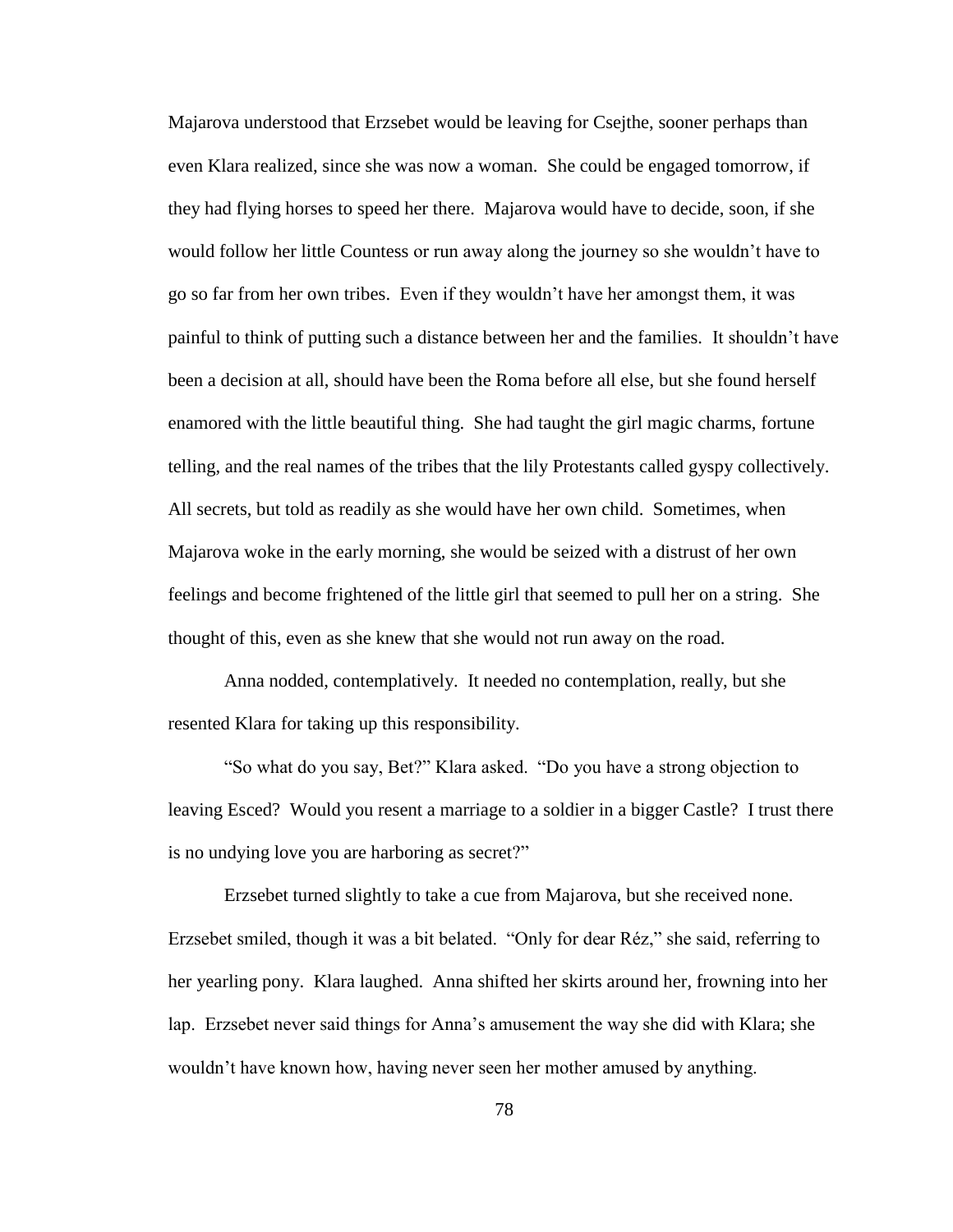Majarova understood that Erzsebet would be leaving for Csejthe, sooner perhaps than even Klara realized, since she was now a woman. She could be engaged tomorrow, if they had flying horses to speed her there. Majarova would have to decide, soon, if she would follow her little Countess or run away along the journey so she wouldn"t have to go so far from her own tribes. Even if they wouldn"t have her amongst them, it was painful to think of putting such a distance between her and the families. It shouldn"t have been a decision at all, should have been the Roma before all else, but she found herself enamored with the little beautiful thing. She had taught the girl magic charms, fortune telling, and the real names of the tribes that the lily Protestants called gyspy collectively. All secrets, but told as readily as she would have her own child. Sometimes, when Majarova woke in the early morning, she would be seized with a distrust of her own feelings and become frightened of the little girl that seemed to pull her on a string. She thought of this, even as she knew that she would not run away on the road.

Anna nodded, contemplatively. It needed no contemplation, really, but she resented Klara for taking up this responsibility.

"So what do you say, Bet?" Klara asked. "Do you have a strong objection to leaving Esced? Would you resent a marriage to a soldier in a bigger Castle? I trust there is no undying love you are harboring as secret?"

Erzsebet turned slightly to take a cue from Majarova, but she received none. Erzsebet smiled, though it was a bit belated. "Only for dear Réz," she said, referring to her yearling pony. Klara laughed. Anna shifted her skirts around her, frowning into her lap. Erzsebet never said things for Anna"s amusement the way she did with Klara; she wouldn"t have known how, having never seen her mother amused by anything.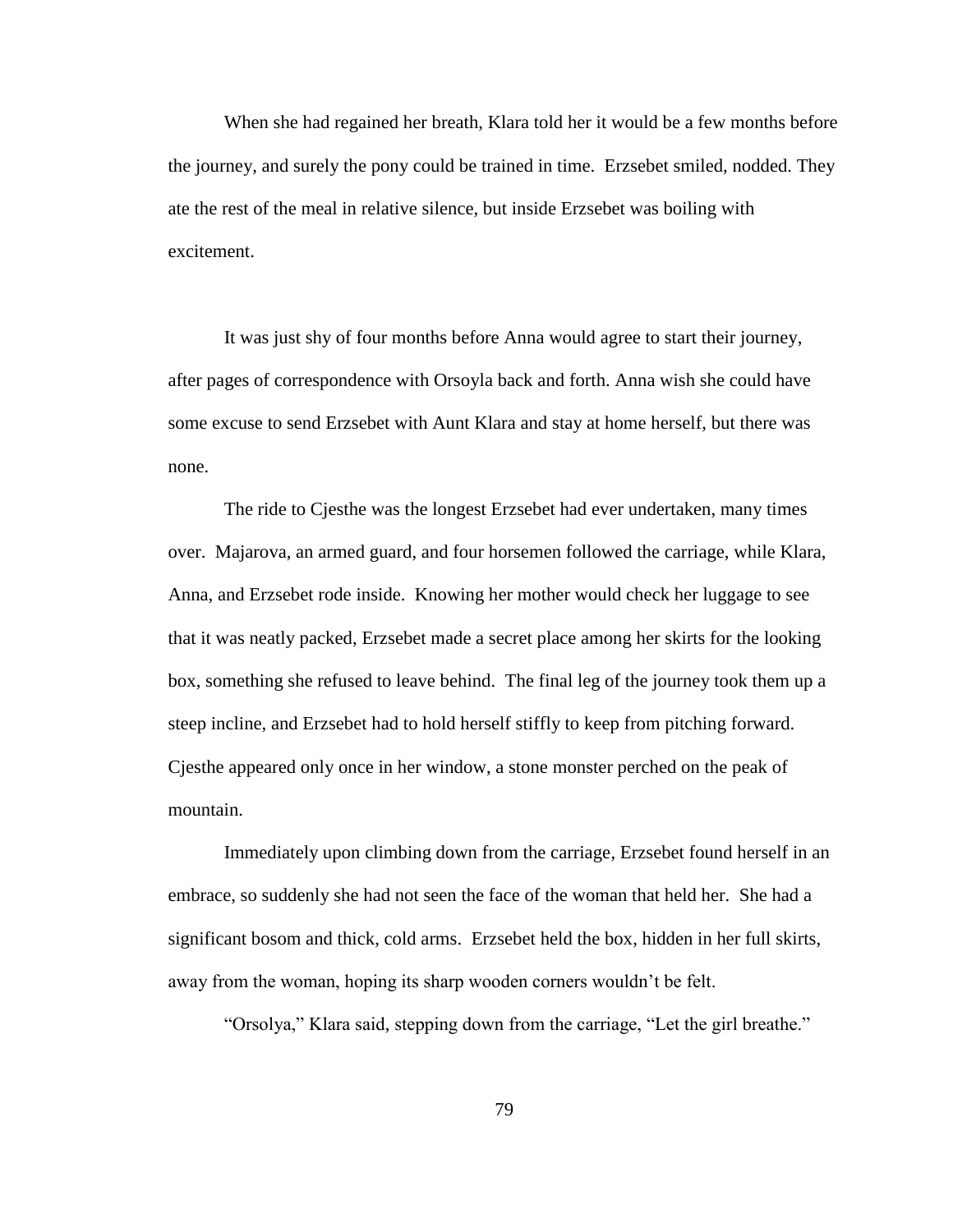When she had regained her breath, Klara told her it would be a few months before the journey, and surely the pony could be trained in time. Erzsebet smiled, nodded. They ate the rest of the meal in relative silence, but inside Erzsebet was boiling with excitement.

It was just shy of four months before Anna would agree to start their journey, after pages of correspondence with Orsoyla back and forth. Anna wish she could have some excuse to send Erzsebet with Aunt Klara and stay at home herself, but there was none.

The ride to Cjesthe was the longest Erzsebet had ever undertaken, many times over. Majarova, an armed guard, and four horsemen followed the carriage, while Klara, Anna, and Erzsebet rode inside. Knowing her mother would check her luggage to see that it was neatly packed, Erzsebet made a secret place among her skirts for the looking box, something she refused to leave behind. The final leg of the journey took them up a steep incline, and Erzsebet had to hold herself stiffly to keep from pitching forward. Cjesthe appeared only once in her window, a stone monster perched on the peak of mountain.

Immediately upon climbing down from the carriage, Erzsebet found herself in an embrace, so suddenly she had not seen the face of the woman that held her. She had a significant bosom and thick, cold arms. Erzsebet held the box, hidden in her full skirts, away from the woman, hoping its sharp wooden corners wouldn"t be felt.

"Orsolya," Klara said, stepping down from the carriage, "Let the girl breathe."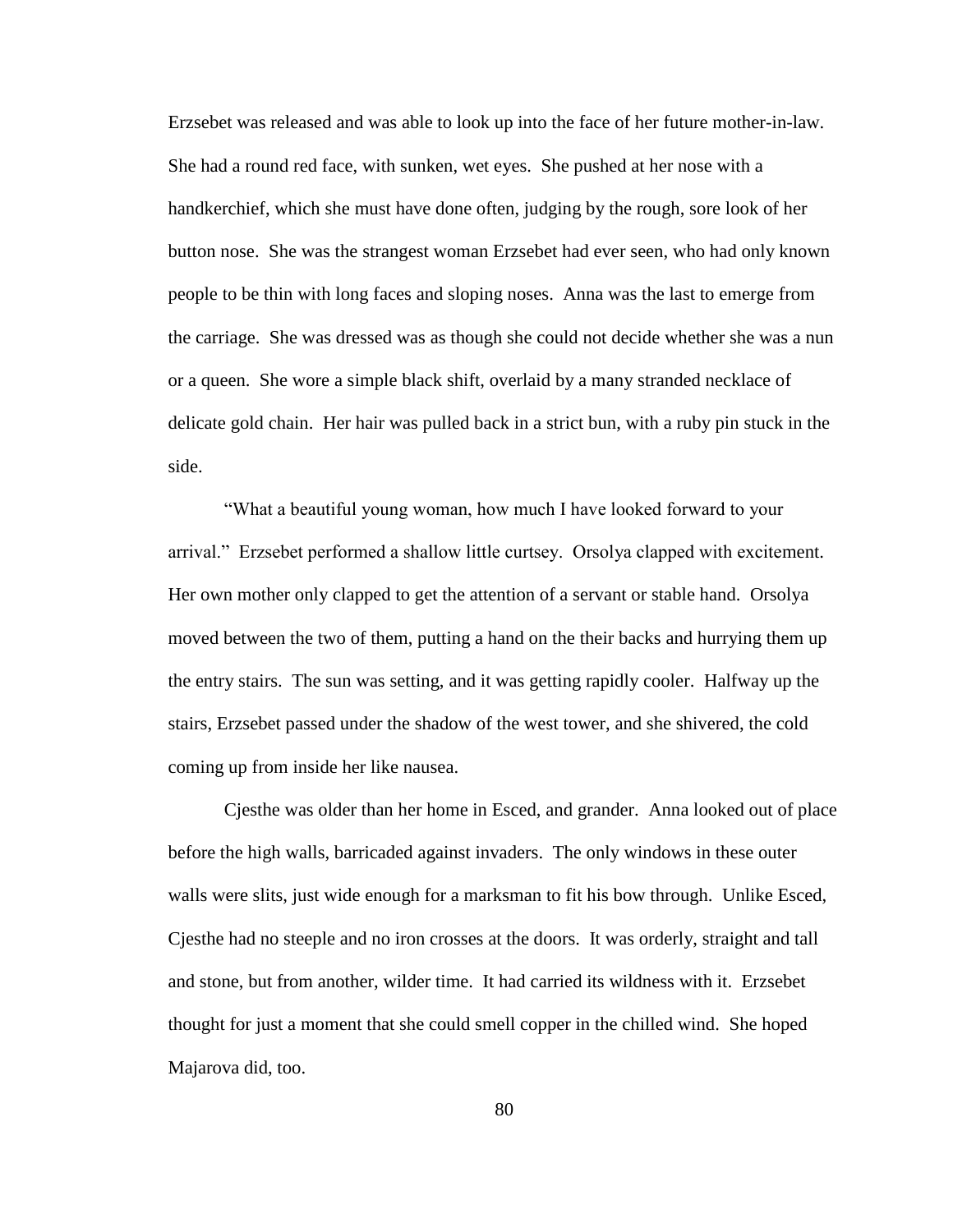Erzsebet was released and was able to look up into the face of her future mother-in-law. She had a round red face, with sunken, wet eyes. She pushed at her nose with a handkerchief, which she must have done often, judging by the rough, sore look of her button nose. She was the strangest woman Erzsebet had ever seen, who had only known people to be thin with long faces and sloping noses. Anna was the last to emerge from the carriage. She was dressed was as though she could not decide whether she was a nun or a queen. She wore a simple black shift, overlaid by a many stranded necklace of delicate gold chain. Her hair was pulled back in a strict bun, with a ruby pin stuck in the side.

"What a beautiful young woman, how much I have looked forward to your arrival." Erzsebet performed a shallow little curtsey. Orsolya clapped with excitement. Her own mother only clapped to get the attention of a servant or stable hand. Orsolya moved between the two of them, putting a hand on the their backs and hurrying them up the entry stairs. The sun was setting, and it was getting rapidly cooler. Halfway up the stairs, Erzsebet passed under the shadow of the west tower, and she shivered, the cold coming up from inside her like nausea.

Cjesthe was older than her home in Esced, and grander. Anna looked out of place before the high walls, barricaded against invaders. The only windows in these outer walls were slits, just wide enough for a marksman to fit his bow through. Unlike Esced, Cjesthe had no steeple and no iron crosses at the doors. It was orderly, straight and tall and stone, but from another, wilder time. It had carried its wildness with it. Erzsebet thought for just a moment that she could smell copper in the chilled wind. She hoped Majarova did, too.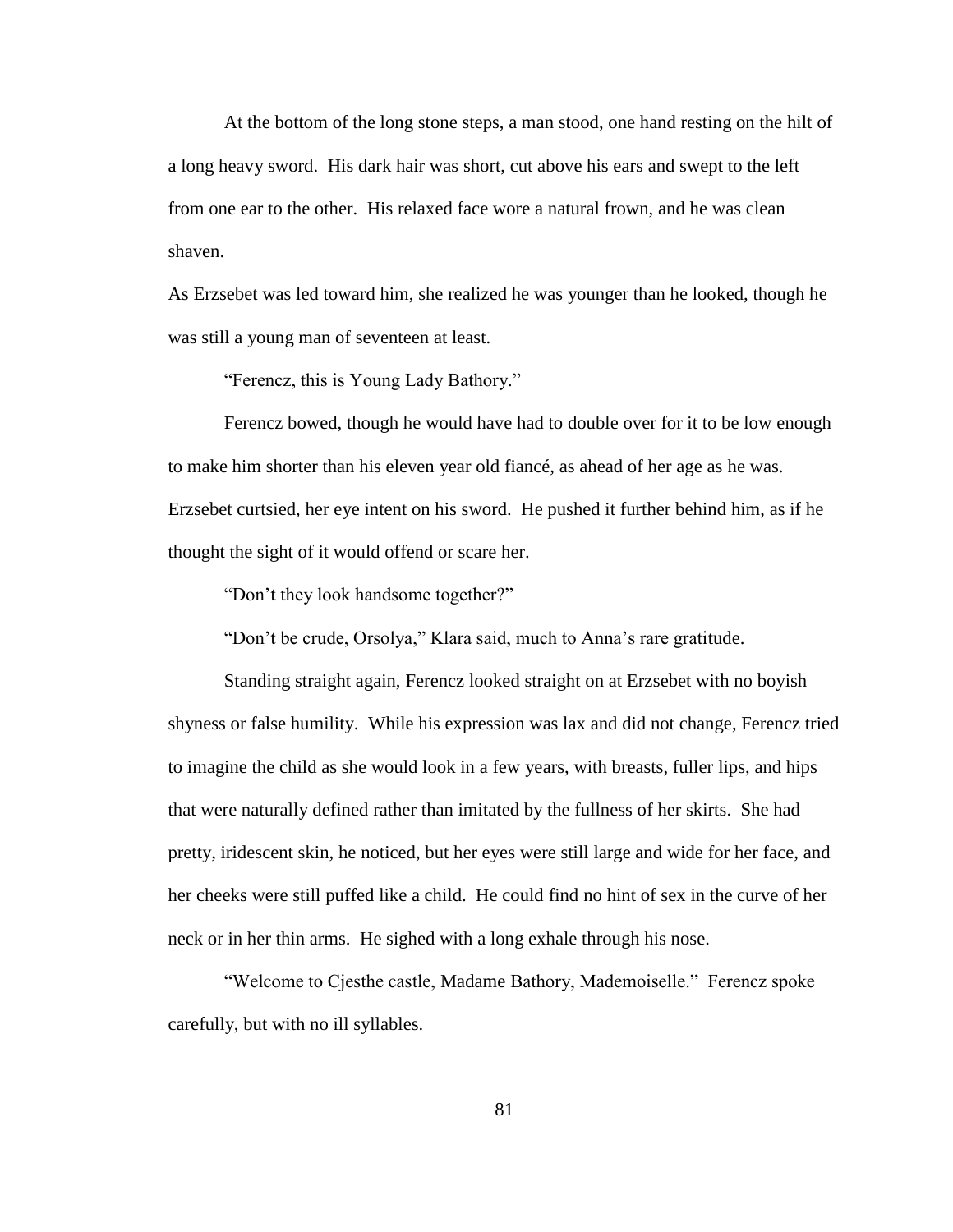At the bottom of the long stone steps, a man stood, one hand resting on the hilt of a long heavy sword. His dark hair was short, cut above his ears and swept to the left from one ear to the other. His relaxed face wore a natural frown, and he was clean shaven.

As Erzsebet was led toward him, she realized he was younger than he looked, though he was still a young man of seventeen at least.

"Ferencz, this is Young Lady Bathory."

Ferencz bowed, though he would have had to double over for it to be low enough to make him shorter than his eleven year old fiancé, as ahead of her age as he was. Erzsebet curtsied, her eye intent on his sword. He pushed it further behind him, as if he thought the sight of it would offend or scare her.

"Don"t they look handsome together?"

"Don"t be crude, Orsolya," Klara said, much to Anna"s rare gratitude.

Standing straight again, Ferencz looked straight on at Erzsebet with no boyish shyness or false humility. While his expression was lax and did not change, Ferencz tried to imagine the child as she would look in a few years, with breasts, fuller lips, and hips that were naturally defined rather than imitated by the fullness of her skirts. She had pretty, iridescent skin, he noticed, but her eyes were still large and wide for her face, and her cheeks were still puffed like a child. He could find no hint of sex in the curve of her neck or in her thin arms. He sighed with a long exhale through his nose.

"Welcome to Cjesthe castle, Madame Bathory, Mademoiselle." Ferencz spoke carefully, but with no ill syllables.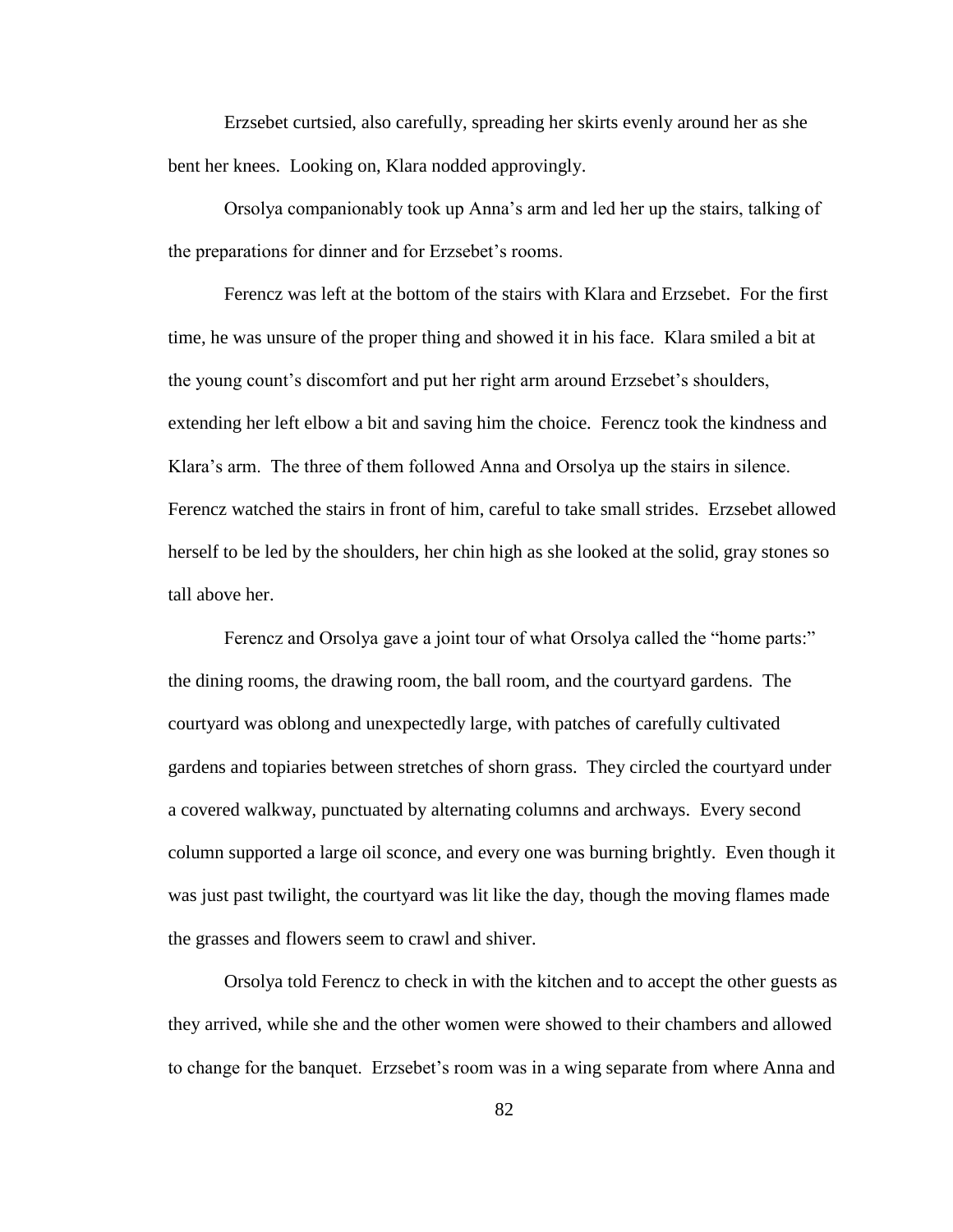Erzsebet curtsied, also carefully, spreading her skirts evenly around her as she bent her knees. Looking on, Klara nodded approvingly.

Orsolya companionably took up Anna"s arm and led her up the stairs, talking of the preparations for dinner and for Erzsebet"s rooms.

Ferencz was left at the bottom of the stairs with Klara and Erzsebet. For the first time, he was unsure of the proper thing and showed it in his face. Klara smiled a bit at the young count"s discomfort and put her right arm around Erzsebet"s shoulders, extending her left elbow a bit and saving him the choice. Ferencz took the kindness and Klara"s arm. The three of them followed Anna and Orsolya up the stairs in silence. Ferencz watched the stairs in front of him, careful to take small strides. Erzsebet allowed herself to be led by the shoulders, her chin high as she looked at the solid, gray stones so tall above her.

Ferencz and Orsolya gave a joint tour of what Orsolya called the "home parts:" the dining rooms, the drawing room, the ball room, and the courtyard gardens. The courtyard was oblong and unexpectedly large, with patches of carefully cultivated gardens and topiaries between stretches of shorn grass. They circled the courtyard under a covered walkway, punctuated by alternating columns and archways. Every second column supported a large oil sconce, and every one was burning brightly. Even though it was just past twilight, the courtyard was lit like the day, though the moving flames made the grasses and flowers seem to crawl and shiver.

Orsolya told Ferencz to check in with the kitchen and to accept the other guests as they arrived, while she and the other women were showed to their chambers and allowed to change for the banquet. Erzsebet"s room was in a wing separate from where Anna and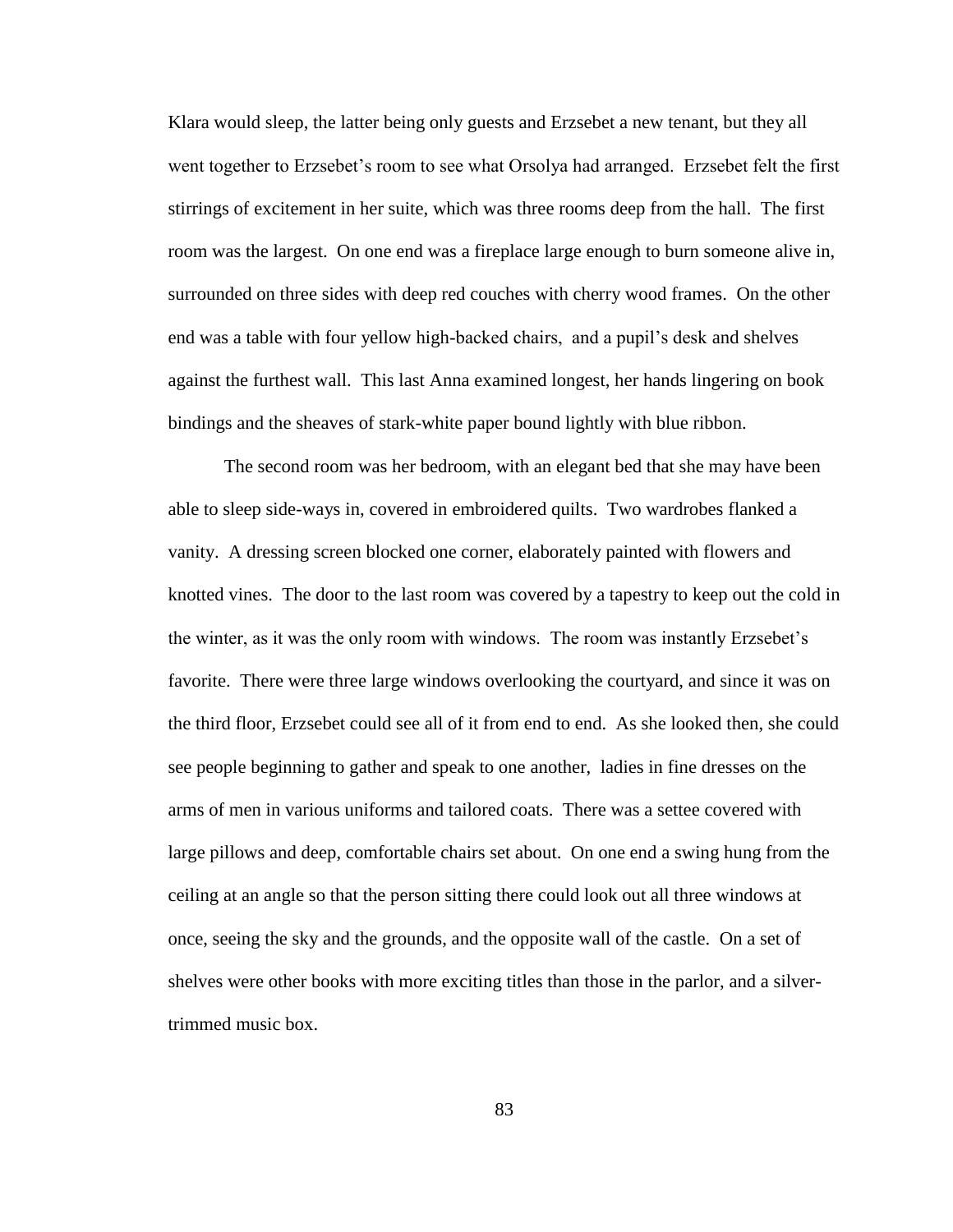Klara would sleep, the latter being only guests and Erzsebet a new tenant, but they all went together to Erzsebet's room to see what Orsolya had arranged. Erzsebet felt the first stirrings of excitement in her suite, which was three rooms deep from the hall. The first room was the largest. On one end was a fireplace large enough to burn someone alive in, surrounded on three sides with deep red couches with cherry wood frames. On the other end was a table with four yellow high-backed chairs, and a pupil"s desk and shelves against the furthest wall. This last Anna examined longest, her hands lingering on book bindings and the sheaves of stark-white paper bound lightly with blue ribbon.

The second room was her bedroom, with an elegant bed that she may have been able to sleep side-ways in, covered in embroidered quilts. Two wardrobes flanked a vanity. A dressing screen blocked one corner, elaborately painted with flowers and knotted vines. The door to the last room was covered by a tapestry to keep out the cold in the winter, as it was the only room with windows. The room was instantly Erzsebet"s favorite. There were three large windows overlooking the courtyard, and since it was on the third floor, Erzsebet could see all of it from end to end. As she looked then, she could see people beginning to gather and speak to one another, ladies in fine dresses on the arms of men in various uniforms and tailored coats. There was a settee covered with large pillows and deep, comfortable chairs set about. On one end a swing hung from the ceiling at an angle so that the person sitting there could look out all three windows at once, seeing the sky and the grounds, and the opposite wall of the castle. On a set of shelves were other books with more exciting titles than those in the parlor, and a silvertrimmed music box.

83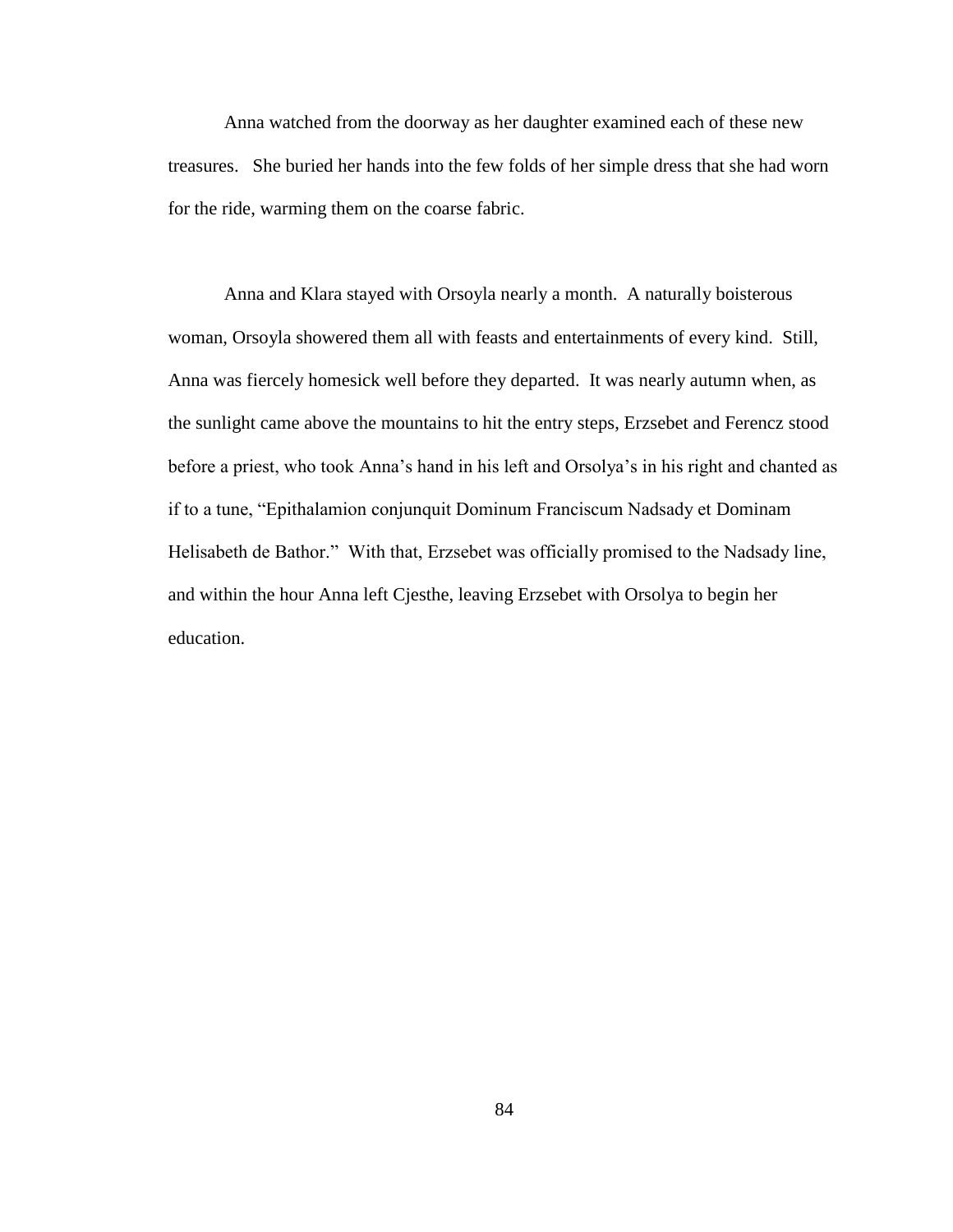Anna watched from the doorway as her daughter examined each of these new treasures. She buried her hands into the few folds of her simple dress that she had worn for the ride, warming them on the coarse fabric.

Anna and Klara stayed with Orsoyla nearly a month. A naturally boisterous woman, Orsoyla showered them all with feasts and entertainments of every kind. Still, Anna was fiercely homesick well before they departed. It was nearly autumn when, as the sunlight came above the mountains to hit the entry steps, Erzsebet and Ferencz stood before a priest, who took Anna"s hand in his left and Orsolya"s in his right and chanted as if to a tune, "Epithalamion conjunquit Dominum Franciscum Nadsady et Dominam Helisabeth de Bathor." With that, Erzsebet was officially promised to the Nadsady line, and within the hour Anna left Cjesthe, leaving Erzsebet with Orsolya to begin her education.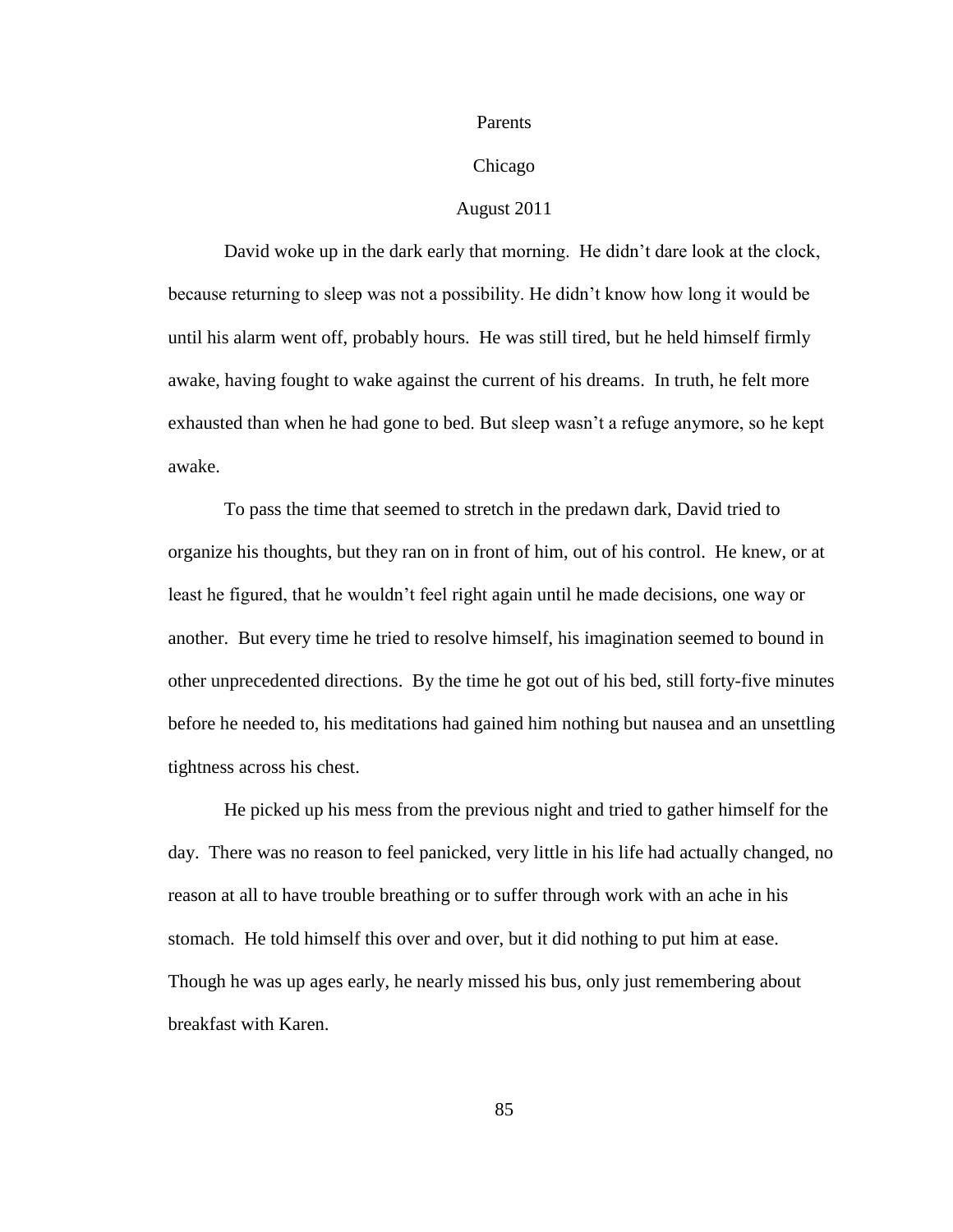#### Parents

## Chicago

## August 2011

David woke up in the dark early that morning. He didn"t dare look at the clock, because returning to sleep was not a possibility. He didn"t know how long it would be until his alarm went off, probably hours. He was still tired, but he held himself firmly awake, having fought to wake against the current of his dreams. In truth, he felt more exhausted than when he had gone to bed. But sleep wasn"t a refuge anymore, so he kept awake.

To pass the time that seemed to stretch in the predawn dark, David tried to organize his thoughts, but they ran on in front of him, out of his control. He knew, or at least he figured, that he wouldn"t feel right again until he made decisions, one way or another. But every time he tried to resolve himself, his imagination seemed to bound in other unprecedented directions. By the time he got out of his bed, still forty-five minutes before he needed to, his meditations had gained him nothing but nausea and an unsettling tightness across his chest.

He picked up his mess from the previous night and tried to gather himself for the day. There was no reason to feel panicked, very little in his life had actually changed, no reason at all to have trouble breathing or to suffer through work with an ache in his stomach. He told himself this over and over, but it did nothing to put him at ease. Though he was up ages early, he nearly missed his bus, only just remembering about breakfast with Karen.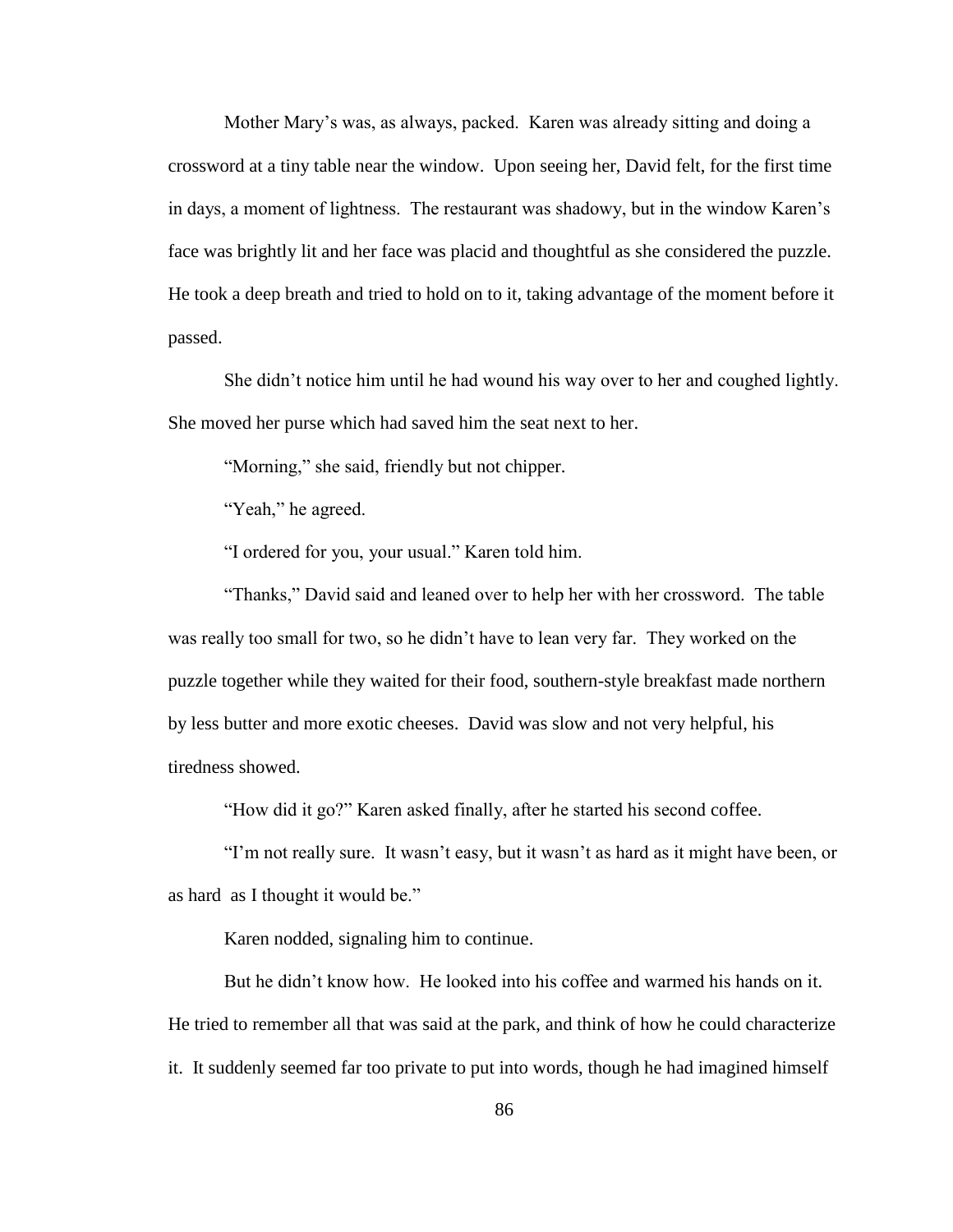Mother Mary"s was, as always, packed. Karen was already sitting and doing a crossword at a tiny table near the window. Upon seeing her, David felt, for the first time in days, a moment of lightness. The restaurant was shadowy, but in the window Karen"s face was brightly lit and her face was placid and thoughtful as she considered the puzzle. He took a deep breath and tried to hold on to it, taking advantage of the moment before it passed.

She didn"t notice him until he had wound his way over to her and coughed lightly. She moved her purse which had saved him the seat next to her.

"Morning," she said, friendly but not chipper.

"Yeah," he agreed.

"I ordered for you, your usual." Karen told him.

"Thanks," David said and leaned over to help her with her crossword. The table was really too small for two, so he didn"t have to lean very far. They worked on the puzzle together while they waited for their food, southern-style breakfast made northern by less butter and more exotic cheeses. David was slow and not very helpful, his tiredness showed.

"How did it go?" Karen asked finally, after he started his second coffee.

"I"m not really sure. It wasn"t easy, but it wasn"t as hard as it might have been, or as hard as I thought it would be."

Karen nodded, signaling him to continue.

But he didn"t know how. He looked into his coffee and warmed his hands on it. He tried to remember all that was said at the park, and think of how he could characterize it. It suddenly seemed far too private to put into words, though he had imagined himself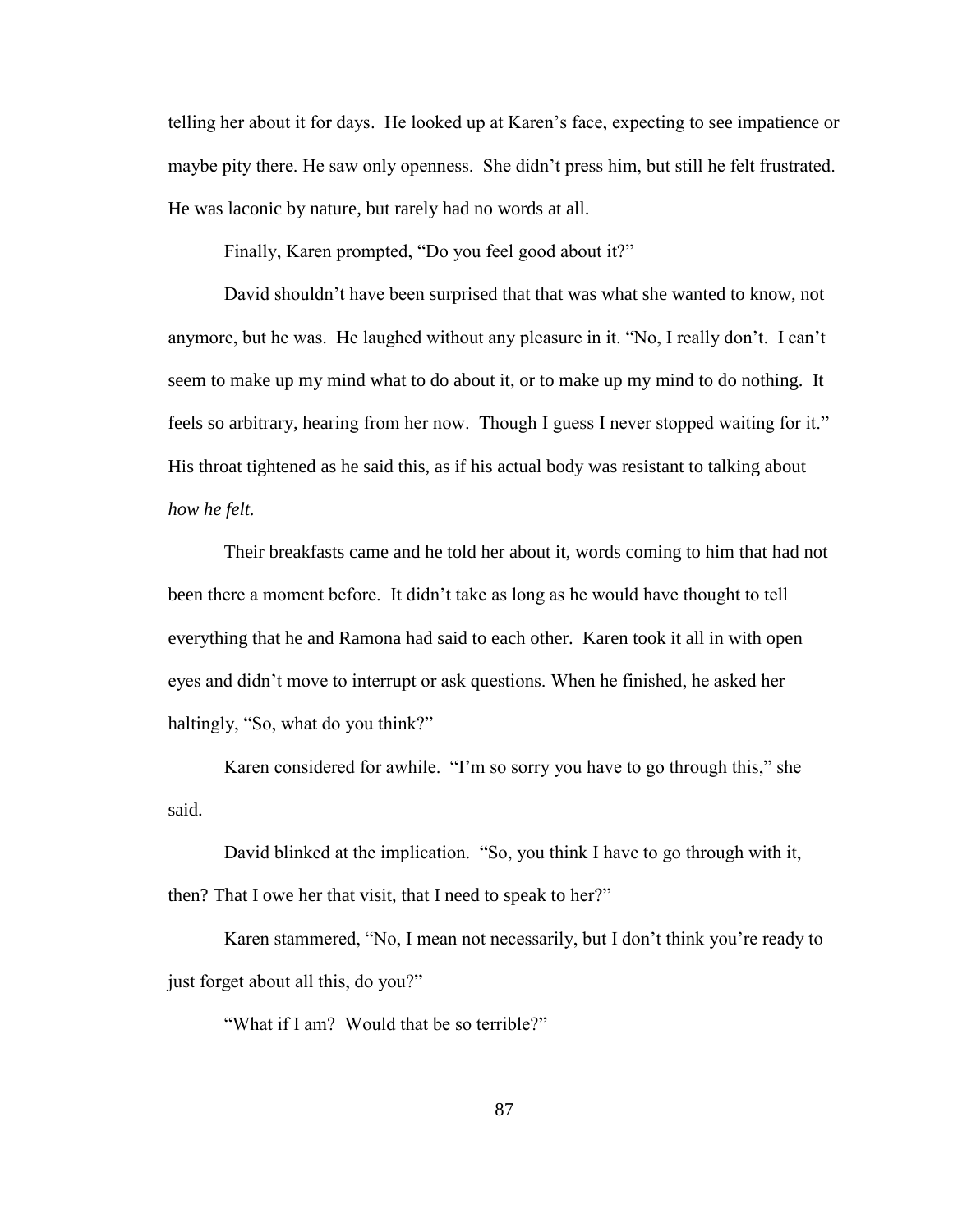telling her about it for days. He looked up at Karen"s face, expecting to see impatience or maybe pity there. He saw only openness. She didn"t press him, but still he felt frustrated. He was laconic by nature, but rarely had no words at all.

Finally, Karen prompted, "Do you feel good about it?"

David shouldn"t have been surprised that that was what she wanted to know, not anymore, but he was. He laughed without any pleasure in it. "No, I really don"t. I can"t seem to make up my mind what to do about it, or to make up my mind to do nothing. It feels so arbitrary, hearing from her now. Though I guess I never stopped waiting for it." His throat tightened as he said this, as if his actual body was resistant to talking about *how he felt.*

Their breakfasts came and he told her about it, words coming to him that had not been there a moment before. It didn"t take as long as he would have thought to tell everything that he and Ramona had said to each other. Karen took it all in with open eyes and didn"t move to interrupt or ask questions. When he finished, he asked her haltingly, "So, what do you think?"

Karen considered for awhile. "I'm so sorry you have to go through this," she said.

David blinked at the implication. "So, you think I have to go through with it, then? That I owe her that visit, that I need to speak to her?"

Karen stammered, "No, I mean not necessarily, but I don"t think you"re ready to just forget about all this, do you?"

"What if I am? Would that be so terrible?"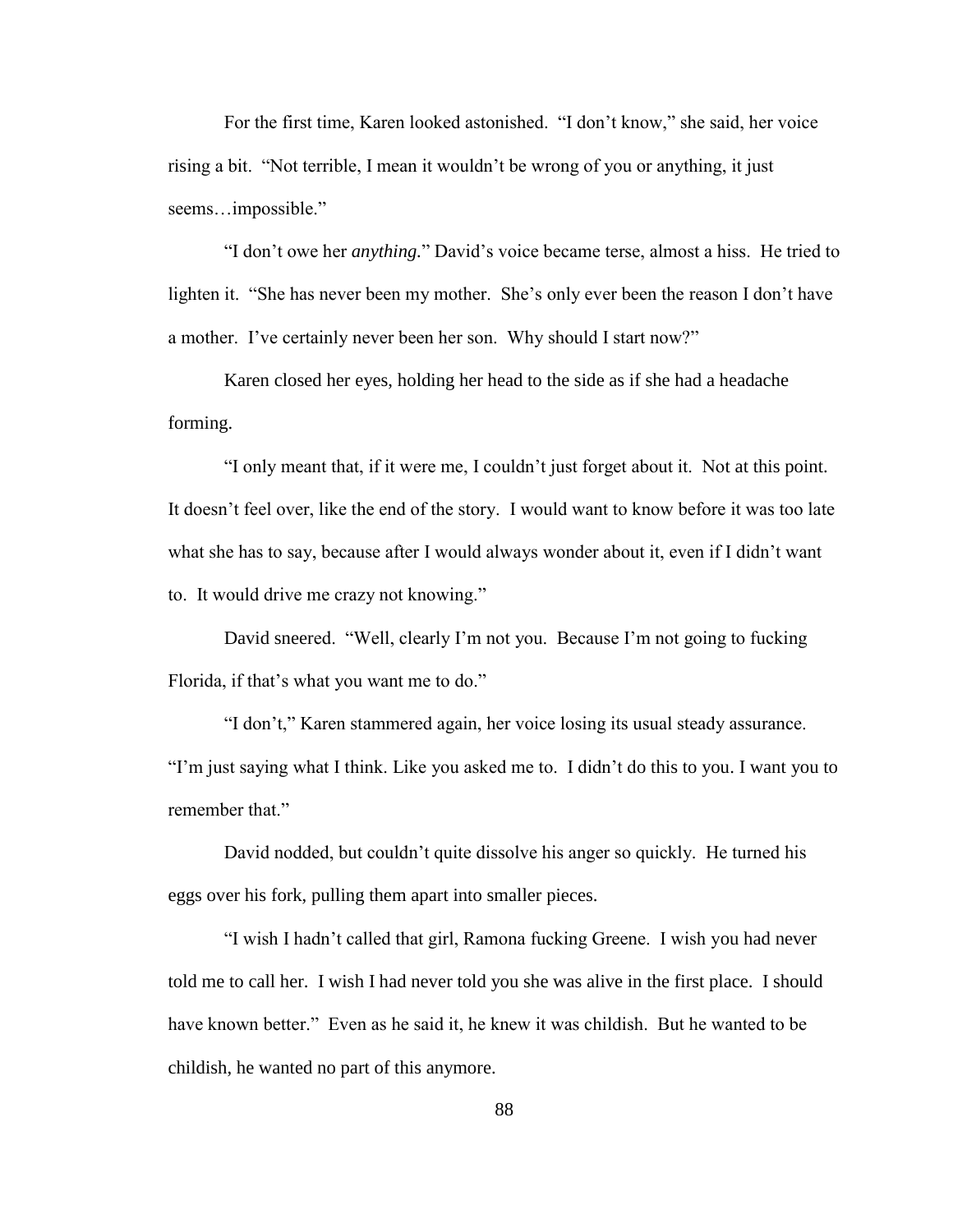For the first time, Karen looked astonished. "I don"t know," she said, her voice rising a bit. "Not terrible, I mean it wouldn"t be wrong of you or anything, it just seems…impossible."

"I don"t owe her *anything.*" David"s voice became terse, almost a hiss. He tried to lighten it. "She has never been my mother. She's only ever been the reason I don't have a mother. I've certainly never been her son. Why should I start now?"

Karen closed her eyes, holding her head to the side as if she had a headache forming.

"I only meant that, if it were me, I couldn"t just forget about it. Not at this point. It doesn"t feel over, like the end of the story. I would want to know before it was too late what she has to say, because after I would always wonder about it, even if I didn't want to. It would drive me crazy not knowing."

David sneered. "Well, clearly I'm not you. Because I'm not going to fucking Florida, if that's what you want me to do."

"I don"t," Karen stammered again, her voice losing its usual steady assurance. "I"m just saying what I think. Like you asked me to. I didn"t do this to you. I want you to remember that."

David nodded, but couldn't quite dissolve his anger so quickly. He turned his eggs over his fork, pulling them apart into smaller pieces.

"I wish I hadn"t called that girl, Ramona fucking Greene. I wish you had never told me to call her. I wish I had never told you she was alive in the first place. I should have known better." Even as he said it, he knew it was childish. But he wanted to be childish, he wanted no part of this anymore.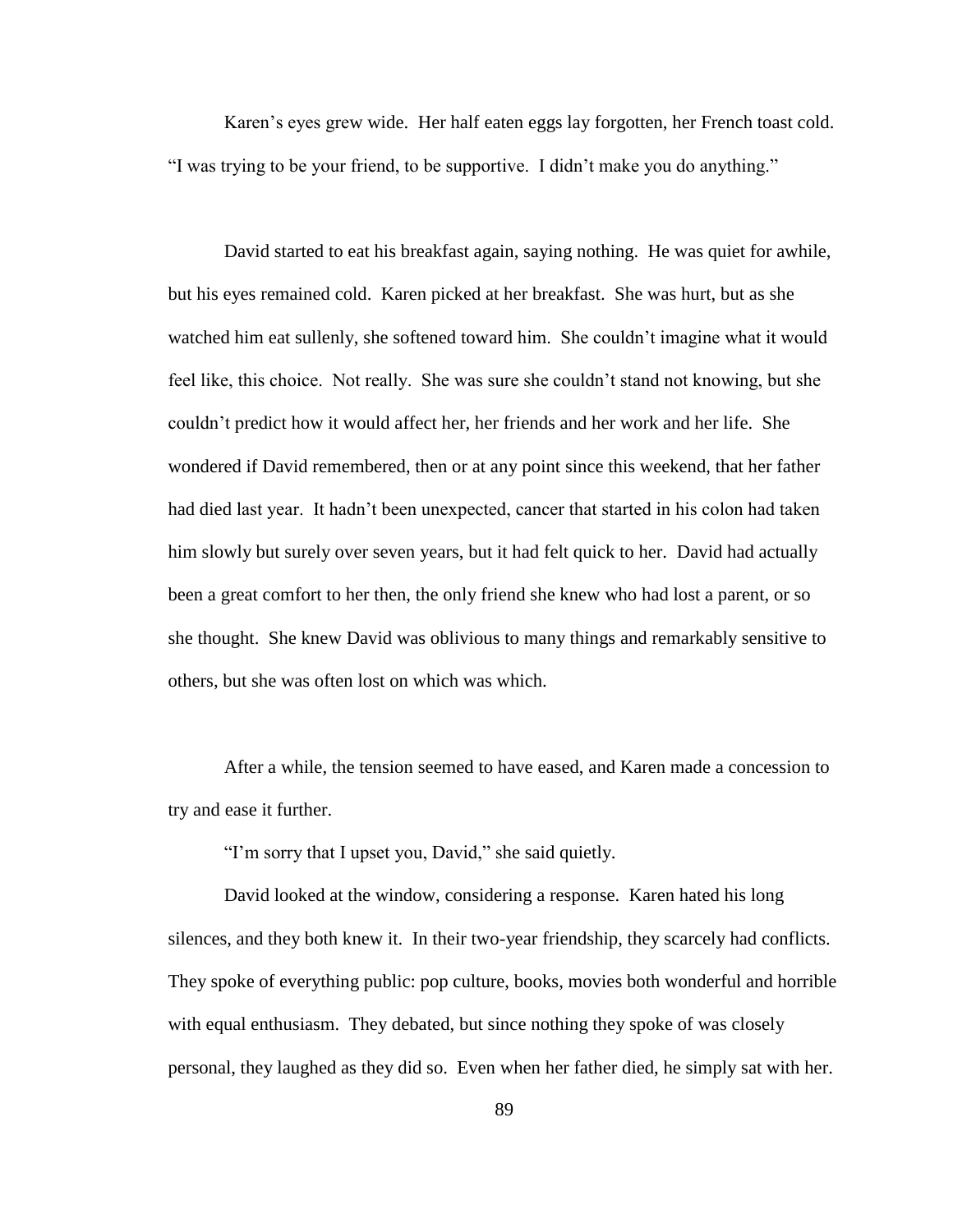Karen"s eyes grew wide. Her half eaten eggs lay forgotten, her French toast cold. "I was trying to be your friend, to be supportive. I didn"t make you do anything."

David started to eat his breakfast again, saying nothing. He was quiet for awhile, but his eyes remained cold. Karen picked at her breakfast. She was hurt, but as she watched him eat sullenly, she softened toward him. She couldn't imagine what it would feel like, this choice. Not really. She was sure she couldn"t stand not knowing, but she couldn"t predict how it would affect her, her friends and her work and her life. She wondered if David remembered, then or at any point since this weekend, that her father had died last year. It hadn"t been unexpected, cancer that started in his colon had taken him slowly but surely over seven years, but it had felt quick to her. David had actually been a great comfort to her then, the only friend she knew who had lost a parent, or so she thought. She knew David was oblivious to many things and remarkably sensitive to others, but she was often lost on which was which.

After a while, the tension seemed to have eased, and Karen made a concession to try and ease it further.

"I"m sorry that I upset you, David," she said quietly.

David looked at the window, considering a response. Karen hated his long silences, and they both knew it. In their two-year friendship, they scarcely had conflicts. They spoke of everything public: pop culture, books, movies both wonderful and horrible with equal enthusiasm. They debated, but since nothing they spoke of was closely personal, they laughed as they did so. Even when her father died, he simply sat with her.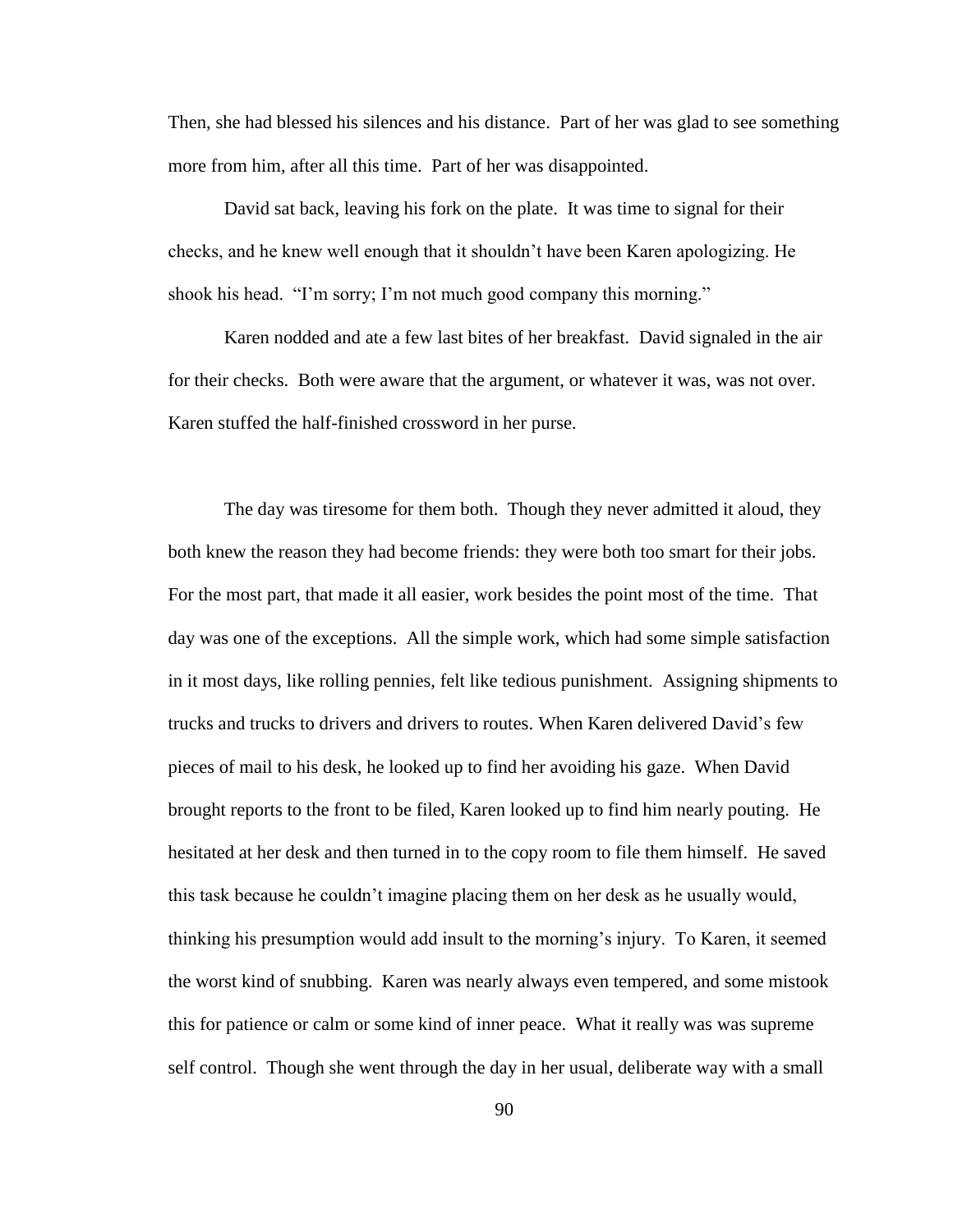Then, she had blessed his silences and his distance. Part of her was glad to see something more from him, after all this time. Part of her was disappointed.

David sat back, leaving his fork on the plate. It was time to signal for their checks, and he knew well enough that it shouldn"t have been Karen apologizing. He shook his head. "I"m sorry; I"m not much good company this morning."

Karen nodded and ate a few last bites of her breakfast. David signaled in the air for their checks. Both were aware that the argument, or whatever it was, was not over. Karen stuffed the half-finished crossword in her purse.

The day was tiresome for them both. Though they never admitted it aloud, they both knew the reason they had become friends: they were both too smart for their jobs. For the most part, that made it all easier, work besides the point most of the time. That day was one of the exceptions. All the simple work, which had some simple satisfaction in it most days, like rolling pennies, felt like tedious punishment. Assigning shipments to trucks and trucks to drivers and drivers to routes. When Karen delivered David"s few pieces of mail to his desk, he looked up to find her avoiding his gaze. When David brought reports to the front to be filed, Karen looked up to find him nearly pouting. He hesitated at her desk and then turned in to the copy room to file them himself. He saved this task because he couldn"t imagine placing them on her desk as he usually would, thinking his presumption would add insult to the morning"s injury. To Karen, it seemed the worst kind of snubbing. Karen was nearly always even tempered, and some mistook this for patience or calm or some kind of inner peace. What it really was was supreme self control. Though she went through the day in her usual, deliberate way with a small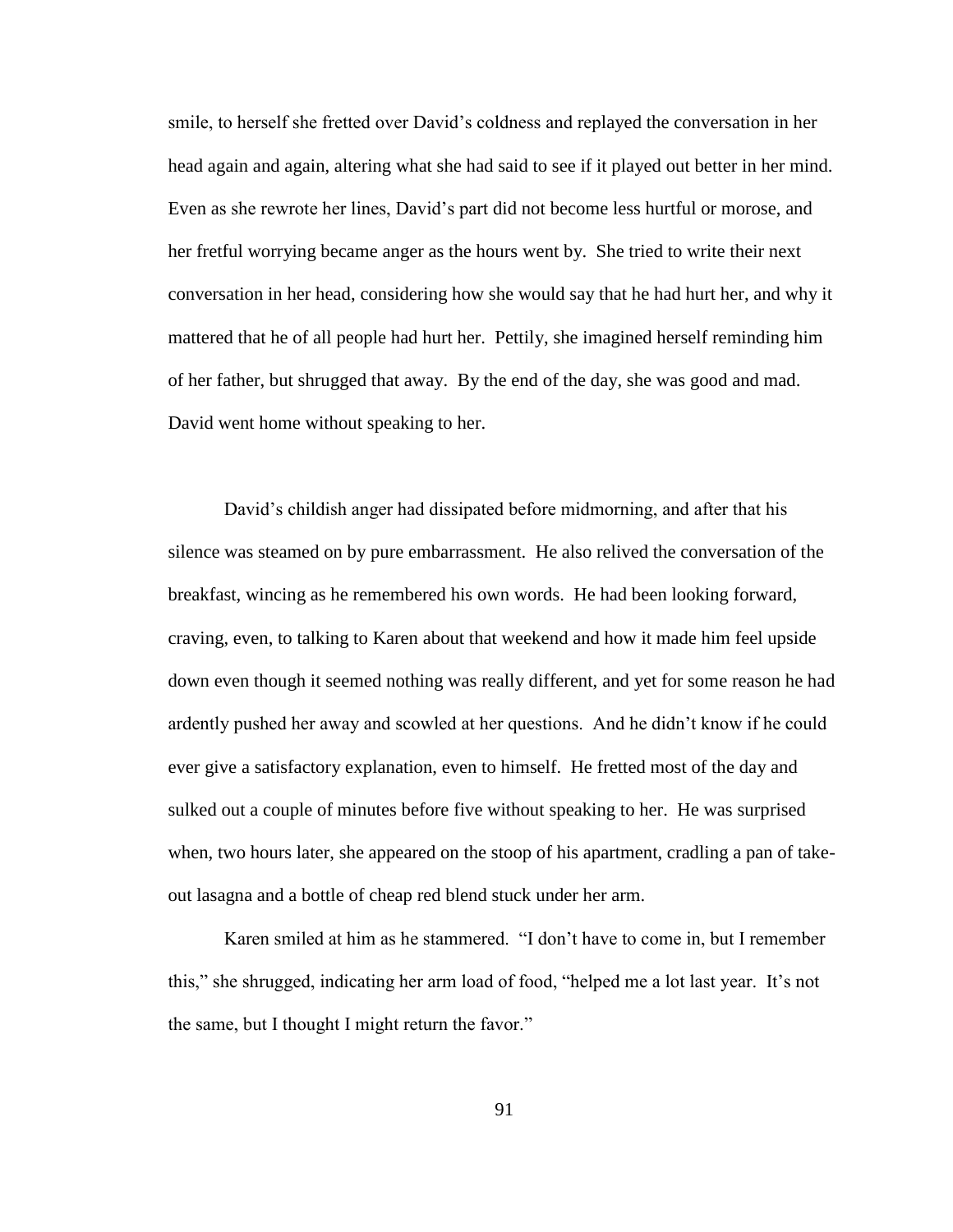smile, to herself she fretted over David"s coldness and replayed the conversation in her head again and again, altering what she had said to see if it played out better in her mind. Even as she rewrote her lines, David"s part did not become less hurtful or morose, and her fretful worrying became anger as the hours went by. She tried to write their next conversation in her head, considering how she would say that he had hurt her, and why it mattered that he of all people had hurt her. Pettily, she imagined herself reminding him of her father, but shrugged that away. By the end of the day, she was good and mad. David went home without speaking to her.

David"s childish anger had dissipated before midmorning, and after that his silence was steamed on by pure embarrassment. He also relived the conversation of the breakfast, wincing as he remembered his own words. He had been looking forward, craving, even, to talking to Karen about that weekend and how it made him feel upside down even though it seemed nothing was really different, and yet for some reason he had ardently pushed her away and scowled at her questions. And he didn"t know if he could ever give a satisfactory explanation, even to himself. He fretted most of the day and sulked out a couple of minutes before five without speaking to her. He was surprised when, two hours later, she appeared on the stoop of his apartment, cradling a pan of takeout lasagna and a bottle of cheap red blend stuck under her arm.

Karen smiled at him as he stammered. "I don"t have to come in, but I remember this," she shrugged, indicating her arm load of food, "helped me a lot last year. It"s not the same, but I thought I might return the favor."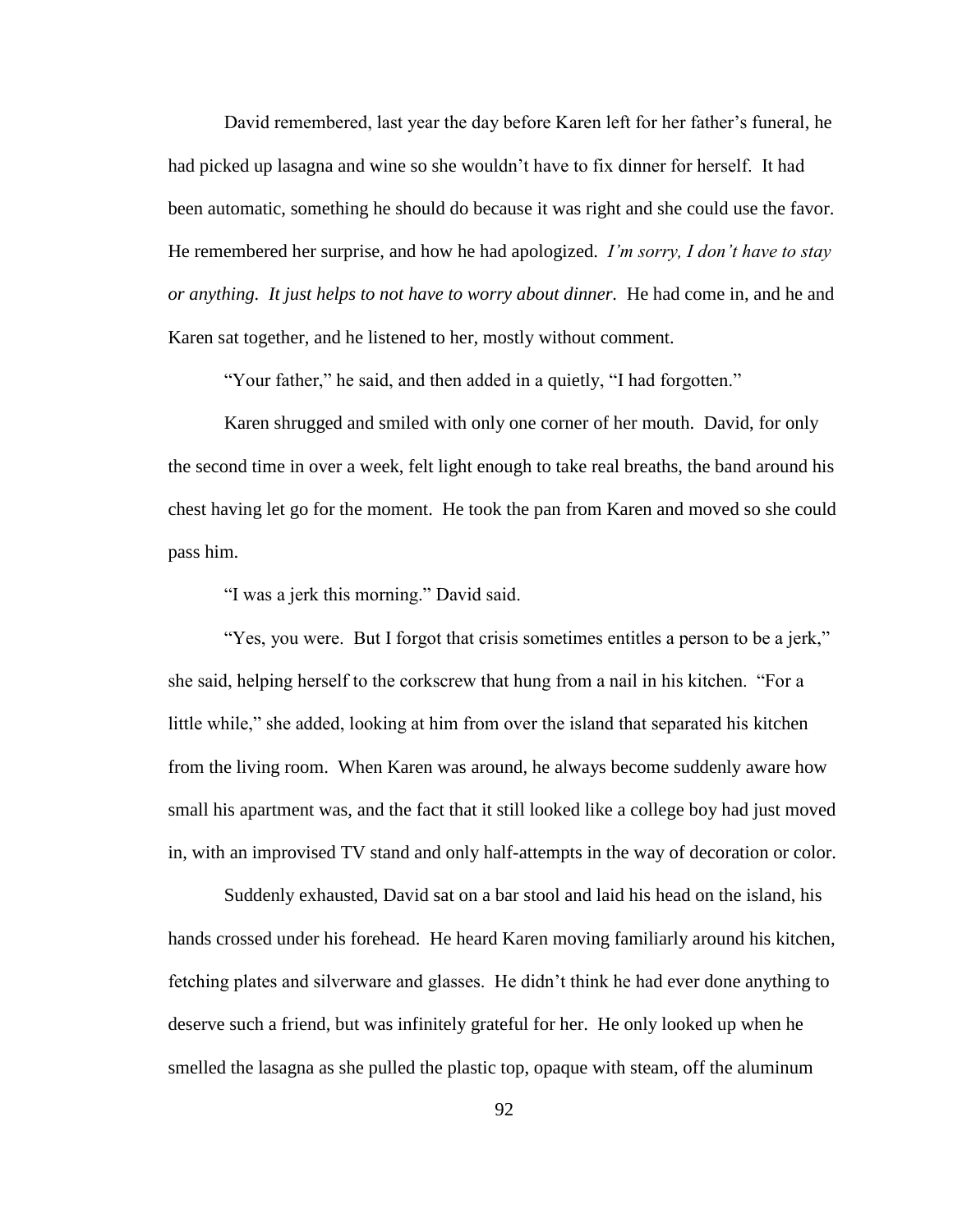David remembered, last year the day before Karen left for her father"s funeral, he had picked up lasagna and wine so she wouldn"t have to fix dinner for herself. It had been automatic, something he should do because it was right and she could use the favor. He remembered her surprise, and how he had apologized. *I'm sorry, I don't have to stay or anything. It just helps to not have to worry about dinner.* He had come in, and he and Karen sat together, and he listened to her, mostly without comment.

"Your father," he said, and then added in a quietly, "I had forgotten."

Karen shrugged and smiled with only one corner of her mouth. David, for only the second time in over a week, felt light enough to take real breaths, the band around his chest having let go for the moment. He took the pan from Karen and moved so she could pass him.

"I was a jerk this morning." David said.

"Yes, you were. But I forgot that crisis sometimes entitles a person to be a jerk," she said, helping herself to the corkscrew that hung from a nail in his kitchen. "For a little while," she added, looking at him from over the island that separated his kitchen from the living room. When Karen was around, he always become suddenly aware how small his apartment was, and the fact that it still looked like a college boy had just moved in, with an improvised TV stand and only half-attempts in the way of decoration or color.

Suddenly exhausted, David sat on a bar stool and laid his head on the island, his hands crossed under his forehead. He heard Karen moving familiarly around his kitchen, fetching plates and silverware and glasses. He didn"t think he had ever done anything to deserve such a friend, but was infinitely grateful for her. He only looked up when he smelled the lasagna as she pulled the plastic top, opaque with steam, off the aluminum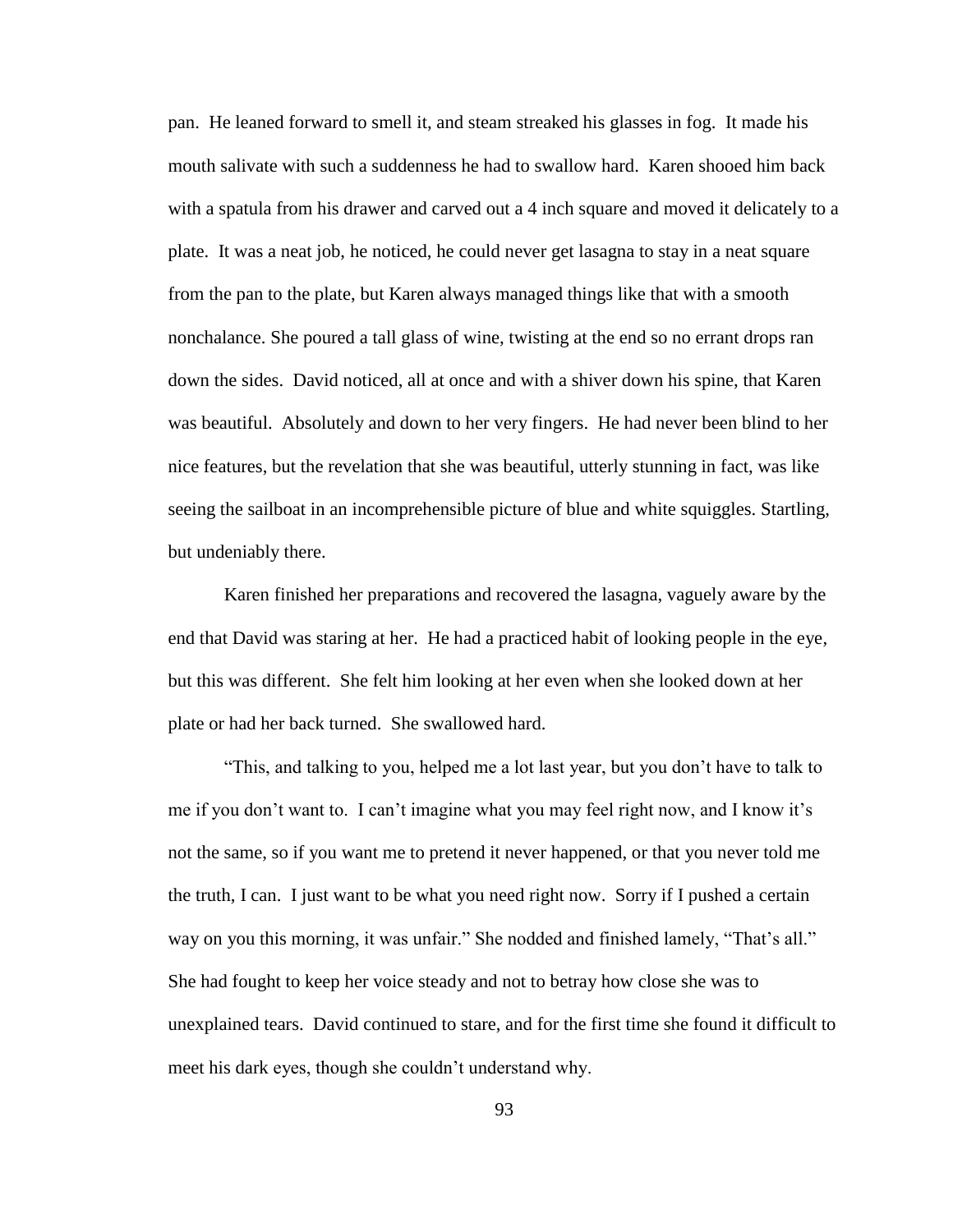pan. He leaned forward to smell it, and steam streaked his glasses in fog. It made his mouth salivate with such a suddenness he had to swallow hard. Karen shooed him back with a spatula from his drawer and carved out a 4 inch square and moved it delicately to a plate. It was a neat job, he noticed, he could never get lasagna to stay in a neat square from the pan to the plate, but Karen always managed things like that with a smooth nonchalance. She poured a tall glass of wine, twisting at the end so no errant drops ran down the sides. David noticed, all at once and with a shiver down his spine, that Karen was beautiful. Absolutely and down to her very fingers. He had never been blind to her nice features, but the revelation that she was beautiful, utterly stunning in fact, was like seeing the sailboat in an incomprehensible picture of blue and white squiggles. Startling, but undeniably there.

Karen finished her preparations and recovered the lasagna, vaguely aware by the end that David was staring at her. He had a practiced habit of looking people in the eye, but this was different. She felt him looking at her even when she looked down at her plate or had her back turned. She swallowed hard.

"This, and talking to you, helped me a lot last year, but you don"t have to talk to me if you don"t want to. I can"t imagine what you may feel right now, and I know it"s not the same, so if you want me to pretend it never happened, or that you never told me the truth, I can. I just want to be what you need right now. Sorry if I pushed a certain way on you this morning, it was unfair." She nodded and finished lamely, "That's all." She had fought to keep her voice steady and not to betray how close she was to unexplained tears. David continued to stare, and for the first time she found it difficult to meet his dark eyes, though she couldn"t understand why.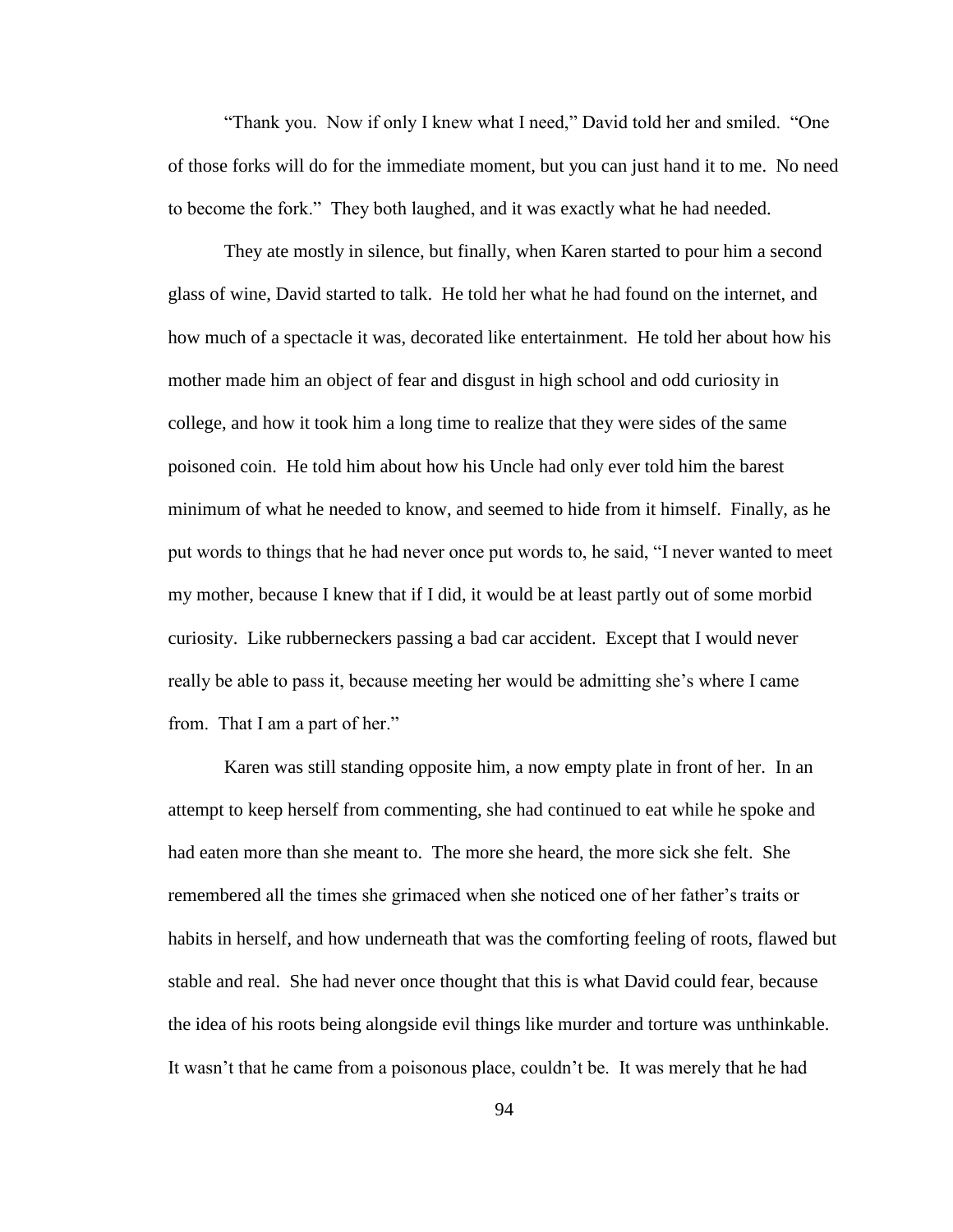"Thank you. Now if only I knew what I need," David told her and smiled. "One of those forks will do for the immediate moment, but you can just hand it to me. No need to become the fork." They both laughed, and it was exactly what he had needed.

They ate mostly in silence, but finally, when Karen started to pour him a second glass of wine, David started to talk. He told her what he had found on the internet, and how much of a spectacle it was, decorated like entertainment. He told her about how his mother made him an object of fear and disgust in high school and odd curiosity in college, and how it took him a long time to realize that they were sides of the same poisoned coin. He told him about how his Uncle had only ever told him the barest minimum of what he needed to know, and seemed to hide from it himself. Finally, as he put words to things that he had never once put words to, he said, "I never wanted to meet my mother, because I knew that if I did, it would be at least partly out of some morbid curiosity. Like rubberneckers passing a bad car accident. Except that I would never really be able to pass it, because meeting her would be admitting she"s where I came from. That I am a part of her."

Karen was still standing opposite him, a now empty plate in front of her. In an attempt to keep herself from commenting, she had continued to eat while he spoke and had eaten more than she meant to. The more she heard, the more sick she felt. She remembered all the times she grimaced when she noticed one of her father"s traits or habits in herself, and how underneath that was the comforting feeling of roots, flawed but stable and real. She had never once thought that this is what David could fear, because the idea of his roots being alongside evil things like murder and torture was unthinkable. It wasn"t that he came from a poisonous place, couldn"t be. It was merely that he had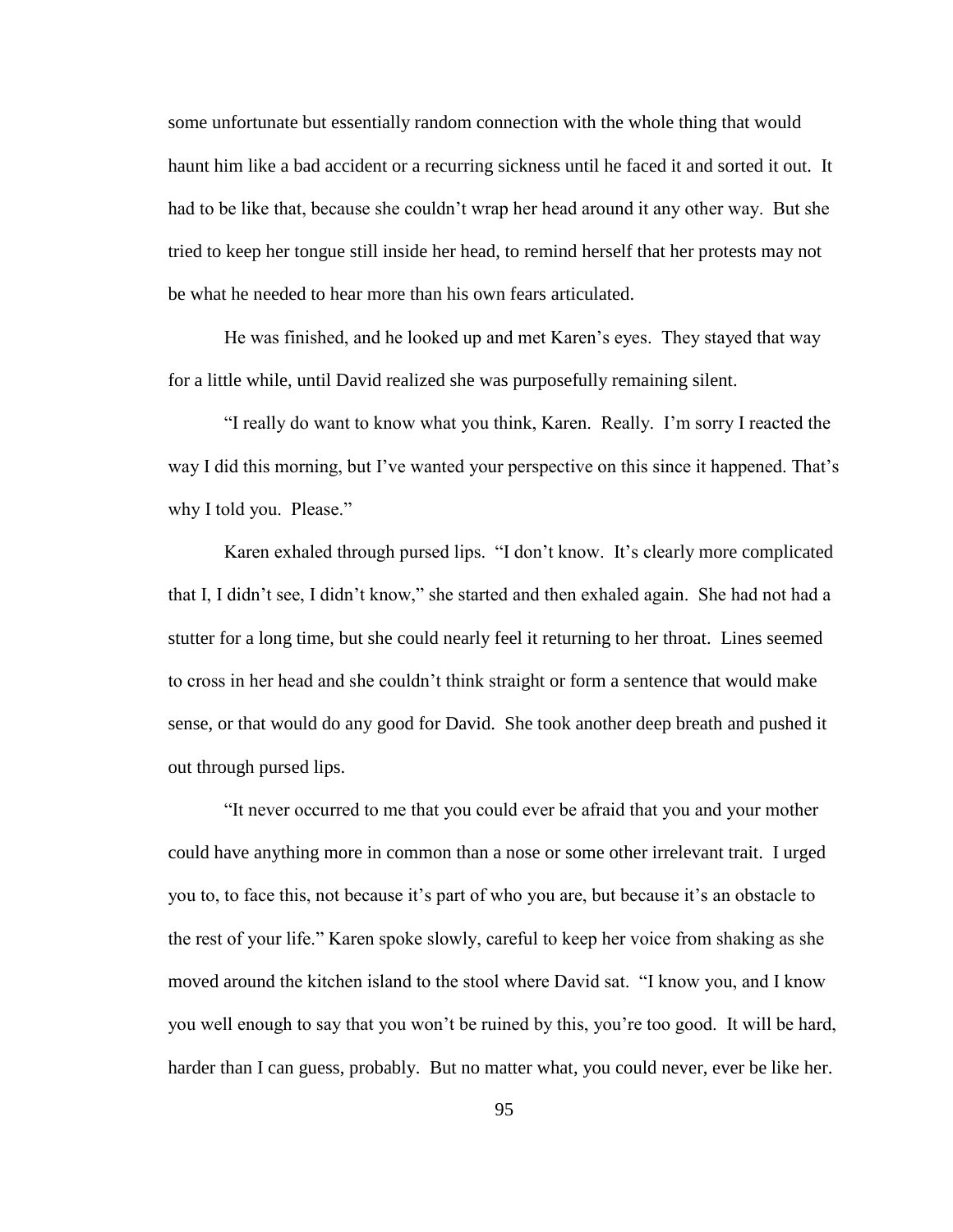some unfortunate but essentially random connection with the whole thing that would haunt him like a bad accident or a recurring sickness until he faced it and sorted it out. It had to be like that, because she couldn"t wrap her head around it any other way. But she tried to keep her tongue still inside her head, to remind herself that her protests may not be what he needed to hear more than his own fears articulated.

He was finished, and he looked up and met Karen"s eyes. They stayed that way for a little while, until David realized she was purposefully remaining silent.

"I really do want to know what you think, Karen. Really. I"m sorry I reacted the way I did this morning, but I've wanted your perspective on this since it happened. That's why I told you. Please."

Karen exhaled through pursed lips. "I don't know. It's clearly more complicated that I, I didn"t see, I didn"t know," she started and then exhaled again. She had not had a stutter for a long time, but she could nearly feel it returning to her throat. Lines seemed to cross in her head and she couldn"t think straight or form a sentence that would make sense, or that would do any good for David. She took another deep breath and pushed it out through pursed lips.

"It never occurred to me that you could ever be afraid that you and your mother could have anything more in common than a nose or some other irrelevant trait. I urged you to, to face this, not because it's part of who you are, but because it's an obstacle to the rest of your life." Karen spoke slowly, careful to keep her voice from shaking as she moved around the kitchen island to the stool where David sat. "I know you, and I know you well enough to say that you won"t be ruined by this, you"re too good. It will be hard, harder than I can guess, probably. But no matter what, you could never, ever be like her.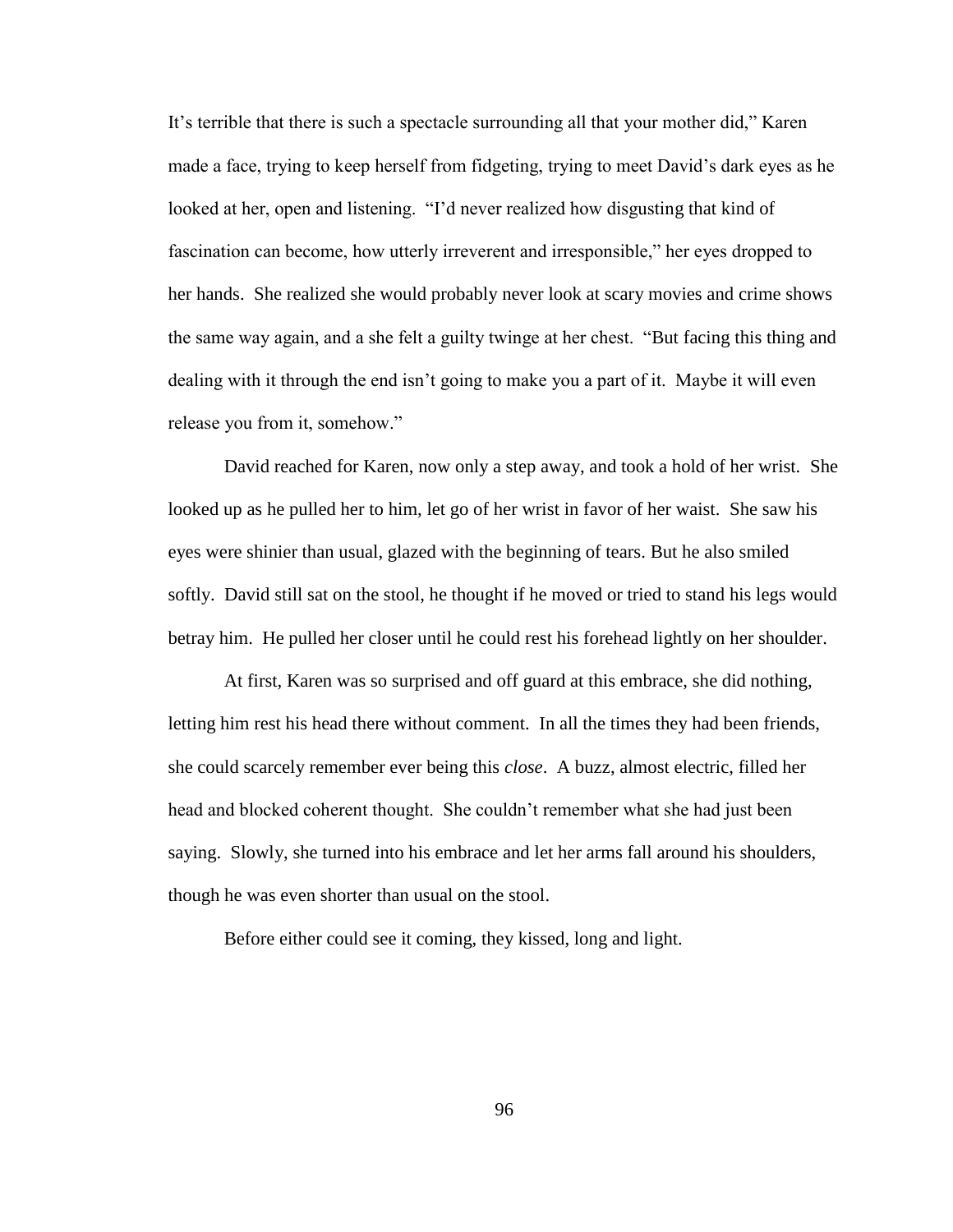It's terrible that there is such a spectacle surrounding all that your mother did," Karen made a face, trying to keep herself from fidgeting, trying to meet David"s dark eyes as he looked at her, open and listening. "I"d never realized how disgusting that kind of fascination can become, how utterly irreverent and irresponsible," her eyes dropped to her hands. She realized she would probably never look at scary movies and crime shows the same way again, and a she felt a guilty twinge at her chest. "But facing this thing and dealing with it through the end isn't going to make you a part of it. Maybe it will even release you from it, somehow."

David reached for Karen, now only a step away, and took a hold of her wrist. She looked up as he pulled her to him, let go of her wrist in favor of her waist. She saw his eyes were shinier than usual, glazed with the beginning of tears. But he also smiled softly. David still sat on the stool, he thought if he moved or tried to stand his legs would betray him. He pulled her closer until he could rest his forehead lightly on her shoulder.

At first, Karen was so surprised and off guard at this embrace, she did nothing, letting him rest his head there without comment. In all the times they had been friends, she could scarcely remember ever being this *close*. A buzz, almost electric, filled her head and blocked coherent thought. She couldn"t remember what she had just been saying. Slowly, she turned into his embrace and let her arms fall around his shoulders, though he was even shorter than usual on the stool.

Before either could see it coming, they kissed, long and light.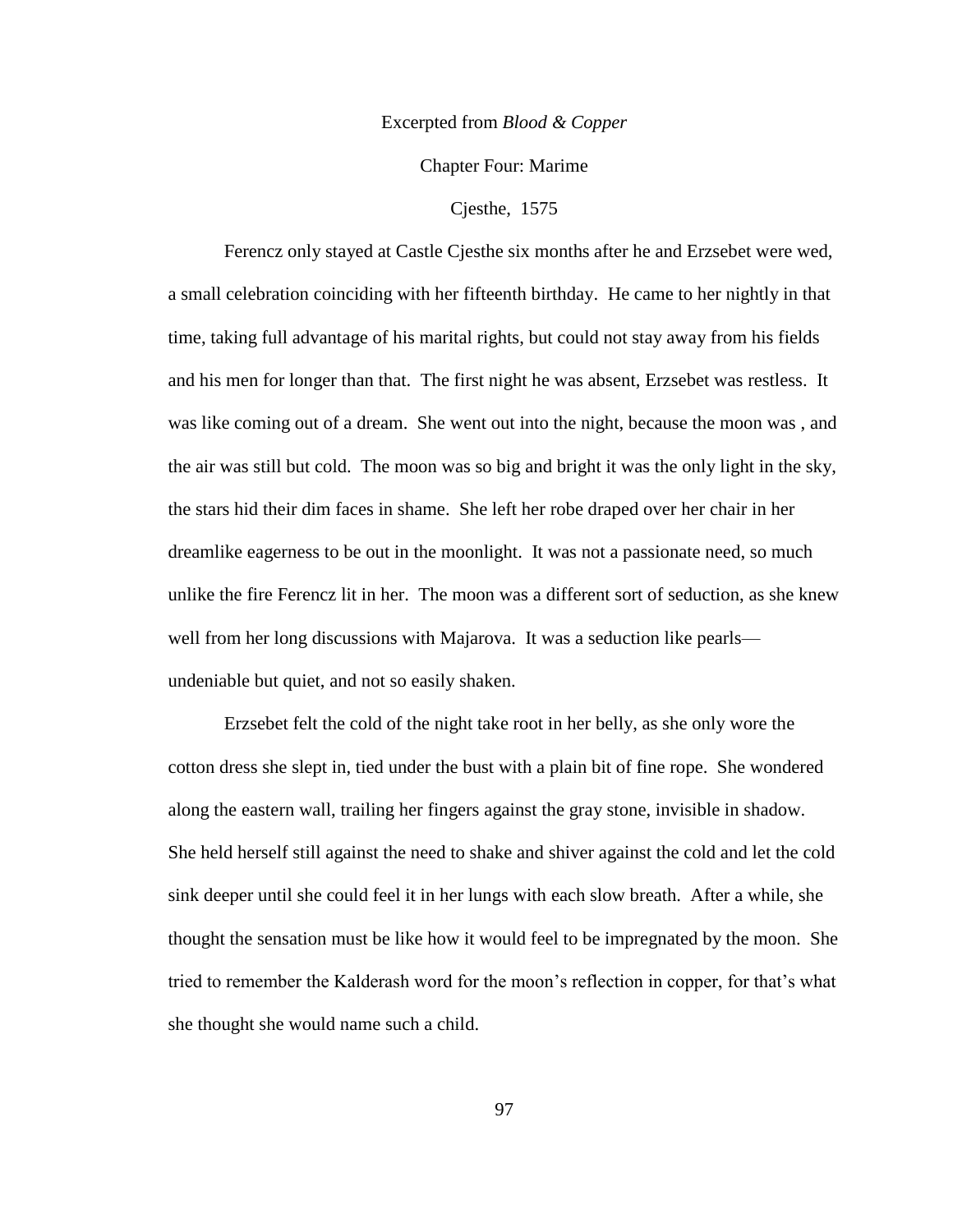### Excerpted from *Blood & Copper*

Chapter Four: Marime

Cjesthe, 1575

Ferencz only stayed at Castle Cjesthe six months after he and Erzsebet were wed, a small celebration coinciding with her fifteenth birthday. He came to her nightly in that time, taking full advantage of his marital rights, but could not stay away from his fields and his men for longer than that. The first night he was absent, Erzsebet was restless. It was like coming out of a dream. She went out into the night, because the moon was , and the air was still but cold. The moon was so big and bright it was the only light in the sky, the stars hid their dim faces in shame. She left her robe draped over her chair in her dreamlike eagerness to be out in the moonlight. It was not a passionate need, so much unlike the fire Ferencz lit in her. The moon was a different sort of seduction, as she knew well from her long discussions with Majarova. It was a seduction like pearls undeniable but quiet, and not so easily shaken.

Erzsebet felt the cold of the night take root in her belly, as she only wore the cotton dress she slept in, tied under the bust with a plain bit of fine rope. She wondered along the eastern wall, trailing her fingers against the gray stone, invisible in shadow. She held herself still against the need to shake and shiver against the cold and let the cold sink deeper until she could feel it in her lungs with each slow breath. After a while, she thought the sensation must be like how it would feel to be impregnated by the moon. She tried to remember the Kalderash word for the moon's reflection in copper, for that's what she thought she would name such a child.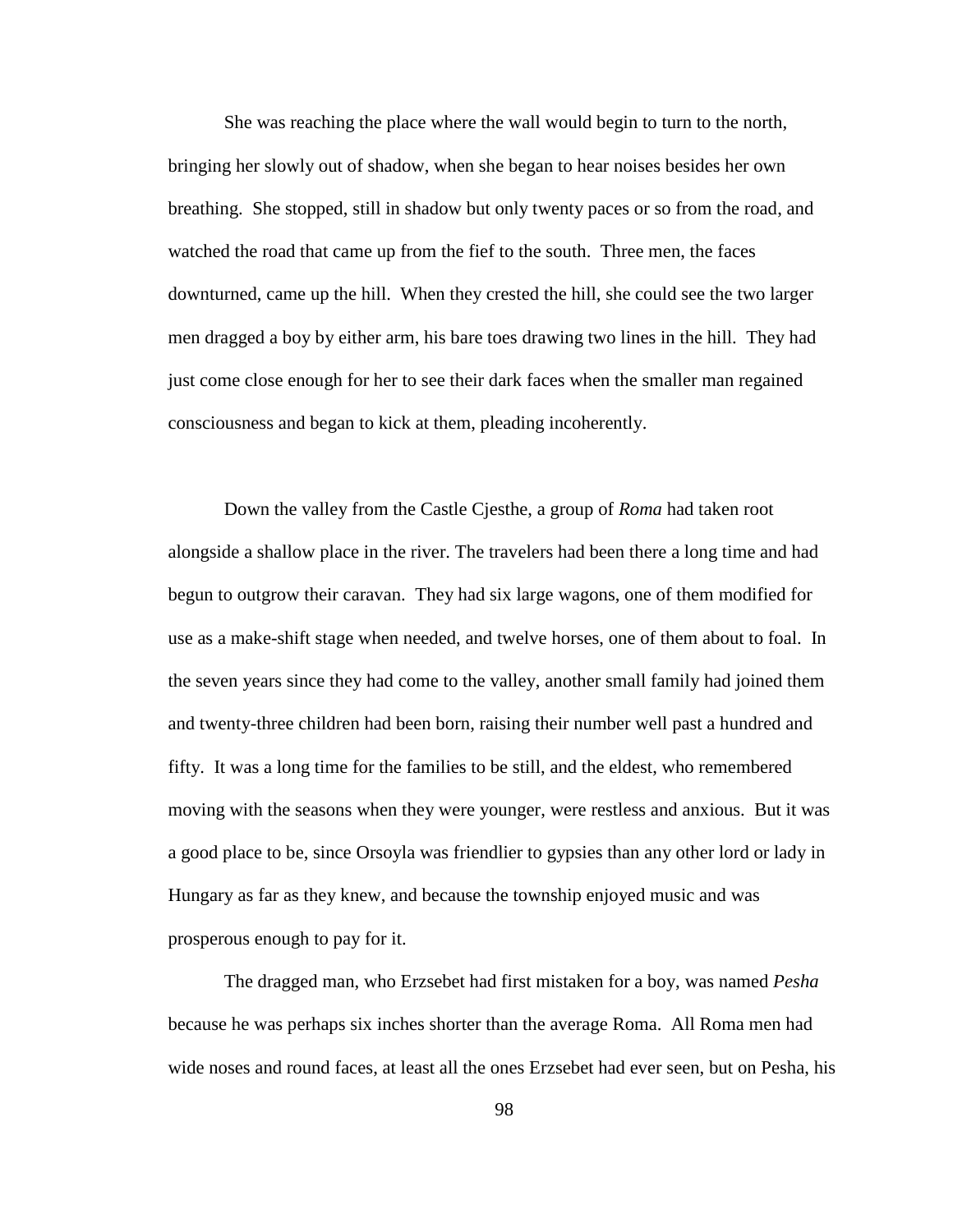She was reaching the place where the wall would begin to turn to the north, bringing her slowly out of shadow, when she began to hear noises besides her own breathing. She stopped, still in shadow but only twenty paces or so from the road, and watched the road that came up from the fief to the south. Three men, the faces downturned, came up the hill. When they crested the hill, she could see the two larger men dragged a boy by either arm, his bare toes drawing two lines in the hill. They had just come close enough for her to see their dark faces when the smaller man regained consciousness and began to kick at them, pleading incoherently.

Down the valley from the Castle Cjesthe, a group of *Roma* had taken root alongside a shallow place in the river. The travelers had been there a long time and had begun to outgrow their caravan. They had six large wagons, one of them modified for use as a make-shift stage when needed, and twelve horses, one of them about to foal. In the seven years since they had come to the valley, another small family had joined them and twenty-three children had been born, raising their number well past a hundred and fifty. It was a long time for the families to be still, and the eldest, who remembered moving with the seasons when they were younger, were restless and anxious. But it was a good place to be, since Orsoyla was friendlier to gypsies than any other lord or lady in Hungary as far as they knew, and because the township enjoyed music and was prosperous enough to pay for it.

The dragged man, who Erzsebet had first mistaken for a boy, was named *Pesha* because he was perhaps six inches shorter than the average Roma. All Roma men had wide noses and round faces, at least all the ones Erzsebet had ever seen, but on Pesha, his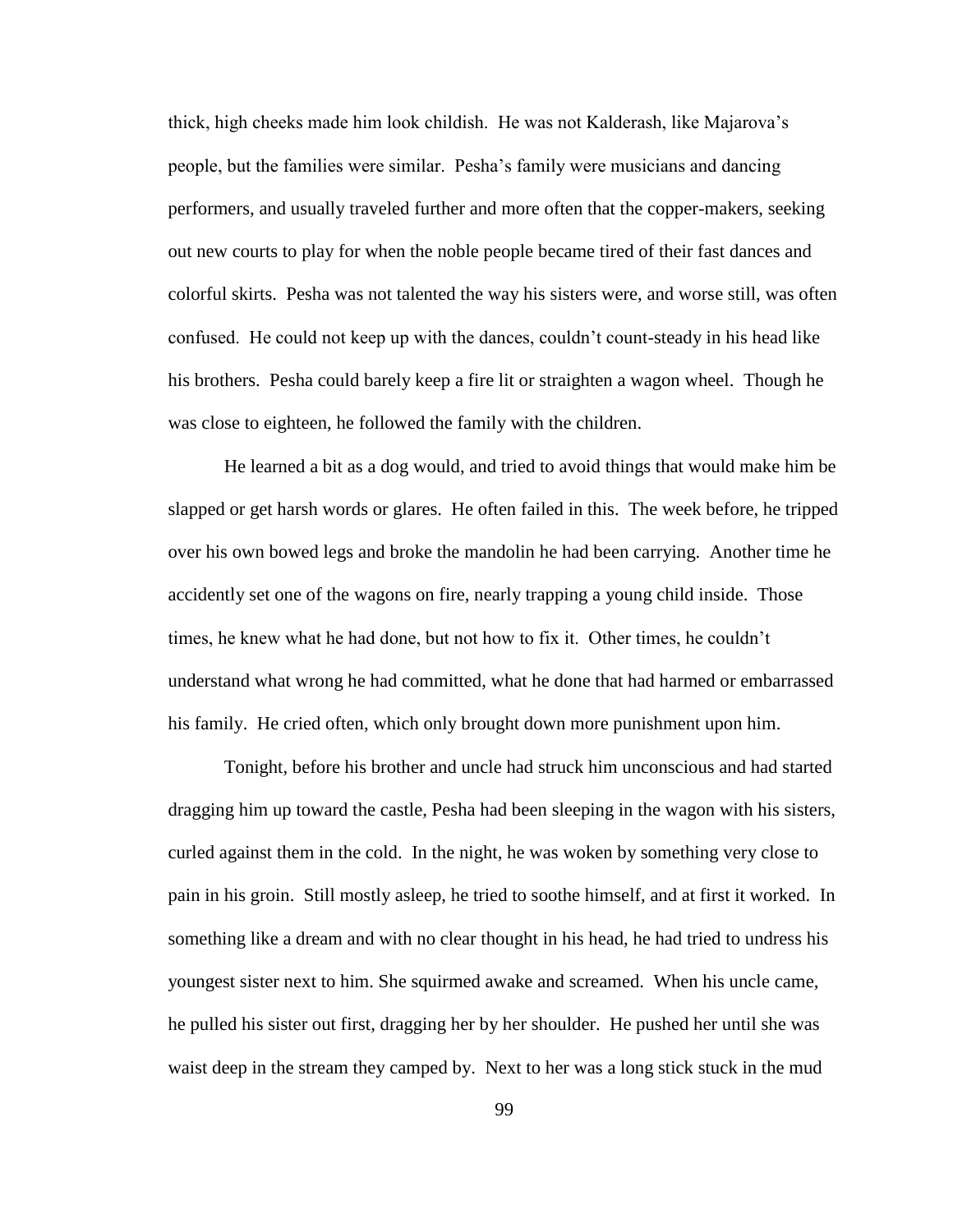thick, high cheeks made him look childish. He was not Kalderash, like Majarova"s people, but the families were similar. Pesha"s family were musicians and dancing performers, and usually traveled further and more often that the copper-makers, seeking out new courts to play for when the noble people became tired of their fast dances and colorful skirts. Pesha was not talented the way his sisters were, and worse still, was often confused. He could not keep up with the dances, couldn"t count-steady in his head like his brothers. Pesha could barely keep a fire lit or straighten a wagon wheel. Though he was close to eighteen, he followed the family with the children.

He learned a bit as a dog would, and tried to avoid things that would make him be slapped or get harsh words or glares. He often failed in this. The week before, he tripped over his own bowed legs and broke the mandolin he had been carrying. Another time he accidently set one of the wagons on fire, nearly trapping a young child inside. Those times, he knew what he had done, but not how to fix it. Other times, he couldn"t understand what wrong he had committed, what he done that had harmed or embarrassed his family. He cried often, which only brought down more punishment upon him.

Tonight, before his brother and uncle had struck him unconscious and had started dragging him up toward the castle, Pesha had been sleeping in the wagon with his sisters, curled against them in the cold. In the night, he was woken by something very close to pain in his groin. Still mostly asleep, he tried to soothe himself, and at first it worked. In something like a dream and with no clear thought in his head, he had tried to undress his youngest sister next to him. She squirmed awake and screamed. When his uncle came, he pulled his sister out first, dragging her by her shoulder. He pushed her until she was waist deep in the stream they camped by. Next to her was a long stick stuck in the mud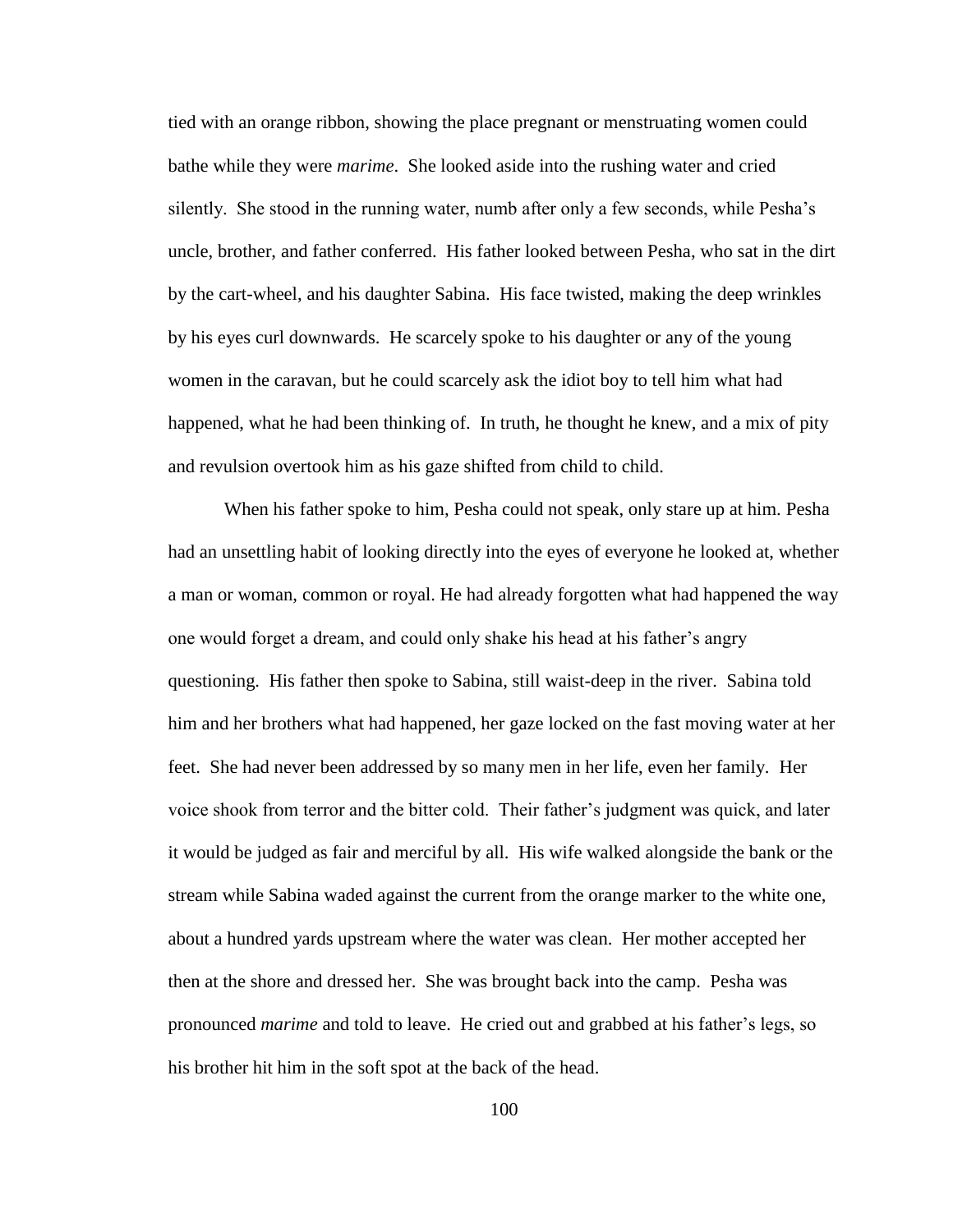tied with an orange ribbon, showing the place pregnant or menstruating women could bathe while they were *marime*. She looked aside into the rushing water and cried silently. She stood in the running water, numb after only a few seconds, while Pesha"s uncle, brother, and father conferred. His father looked between Pesha, who sat in the dirt by the cart-wheel, and his daughter Sabina. His face twisted, making the deep wrinkles by his eyes curl downwards. He scarcely spoke to his daughter or any of the young women in the caravan, but he could scarcely ask the idiot boy to tell him what had happened, what he had been thinking of. In truth, he thought he knew, and a mix of pity and revulsion overtook him as his gaze shifted from child to child.

When his father spoke to him, Pesha could not speak, only stare up at him. Pesha had an unsettling habit of looking directly into the eyes of everyone he looked at, whether a man or woman, common or royal. He had already forgotten what had happened the way one would forget a dream, and could only shake his head at his father"s angry questioning. His father then spoke to Sabina, still waist-deep in the river. Sabina told him and her brothers what had happened, her gaze locked on the fast moving water at her feet. She had never been addressed by so many men in her life, even her family. Her voice shook from terror and the bitter cold. Their father"s judgment was quick, and later it would be judged as fair and merciful by all. His wife walked alongside the bank or the stream while Sabina waded against the current from the orange marker to the white one, about a hundred yards upstream where the water was clean. Her mother accepted her then at the shore and dressed her. She was brought back into the camp. Pesha was pronounced *marime* and told to leave. He cried out and grabbed at his father"s legs, so his brother hit him in the soft spot at the back of the head.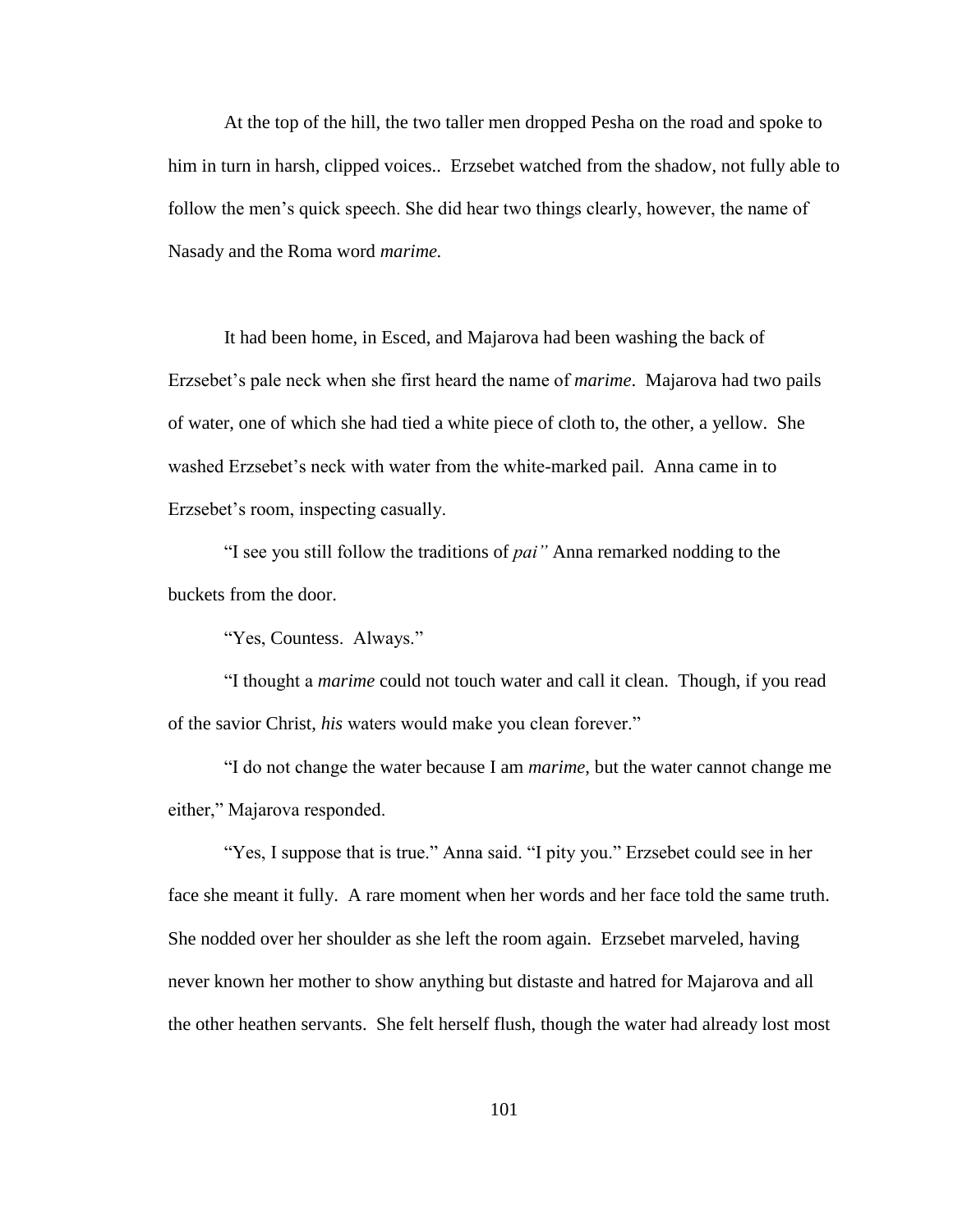At the top of the hill, the two taller men dropped Pesha on the road and spoke to him in turn in harsh, clipped voices.. Erzsebet watched from the shadow, not fully able to follow the men"s quick speech. She did hear two things clearly, however, the name of Nasady and the Roma word *marime.*

It had been home, in Esced, and Majarova had been washing the back of Erzsebet"s pale neck when she first heard the name of *marime*. Majarova had two pails of water, one of which she had tied a white piece of cloth to, the other, a yellow. She washed Erzsebet"s neck with water from the white-marked pail. Anna came in to Erzsebet's room, inspecting casually.

"I see you still follow the traditions of *pai"* Anna remarked nodding to the buckets from the door.

"Yes, Countess. Always."

"I thought a *marime* could not touch water and call it clean. Though, if you read of the savior Christ, *his* waters would make you clean forever."

"I do not change the water because I am *marime*, but the water cannot change me either," Majarova responded.

"Yes, I suppose that is true." Anna said. "I pity you." Erzsebet could see in her face she meant it fully. A rare moment when her words and her face told the same truth. She nodded over her shoulder as she left the room again. Erzsebet marveled, having never known her mother to show anything but distaste and hatred for Majarova and all the other heathen servants. She felt herself flush, though the water had already lost most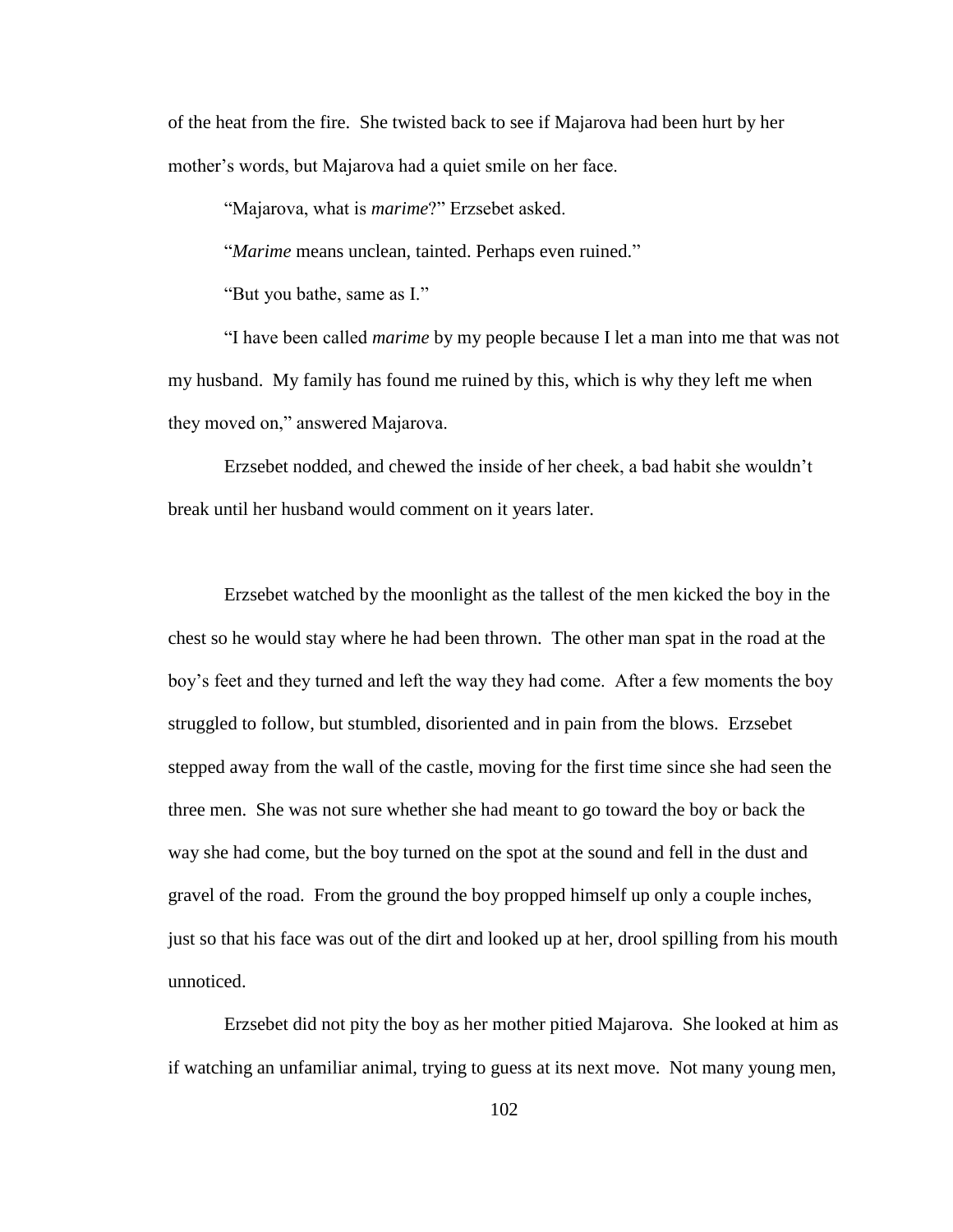of the heat from the fire. She twisted back to see if Majarova had been hurt by her mother"s words, but Majarova had a quiet smile on her face.

"Majarova, what is *marime*?" Erzsebet asked.

"*Marime* means unclean, tainted. Perhaps even ruined."

"But you bathe, same as I."

"I have been called *marime* by my people because I let a man into me that was not my husband. My family has found me ruined by this, which is why they left me when they moved on," answered Majarova.

Erzsebet nodded, and chewed the inside of her cheek, a bad habit she wouldn"t break until her husband would comment on it years later.

Erzsebet watched by the moonlight as the tallest of the men kicked the boy in the chest so he would stay where he had been thrown. The other man spat in the road at the boy"s feet and they turned and left the way they had come. After a few moments the boy struggled to follow, but stumbled, disoriented and in pain from the blows. Erzsebet stepped away from the wall of the castle, moving for the first time since she had seen the three men. She was not sure whether she had meant to go toward the boy or back the way she had come, but the boy turned on the spot at the sound and fell in the dust and gravel of the road. From the ground the boy propped himself up only a couple inches, just so that his face was out of the dirt and looked up at her, drool spilling from his mouth unnoticed.

Erzsebet did not pity the boy as her mother pitied Majarova. She looked at him as if watching an unfamiliar animal, trying to guess at its next move. Not many young men,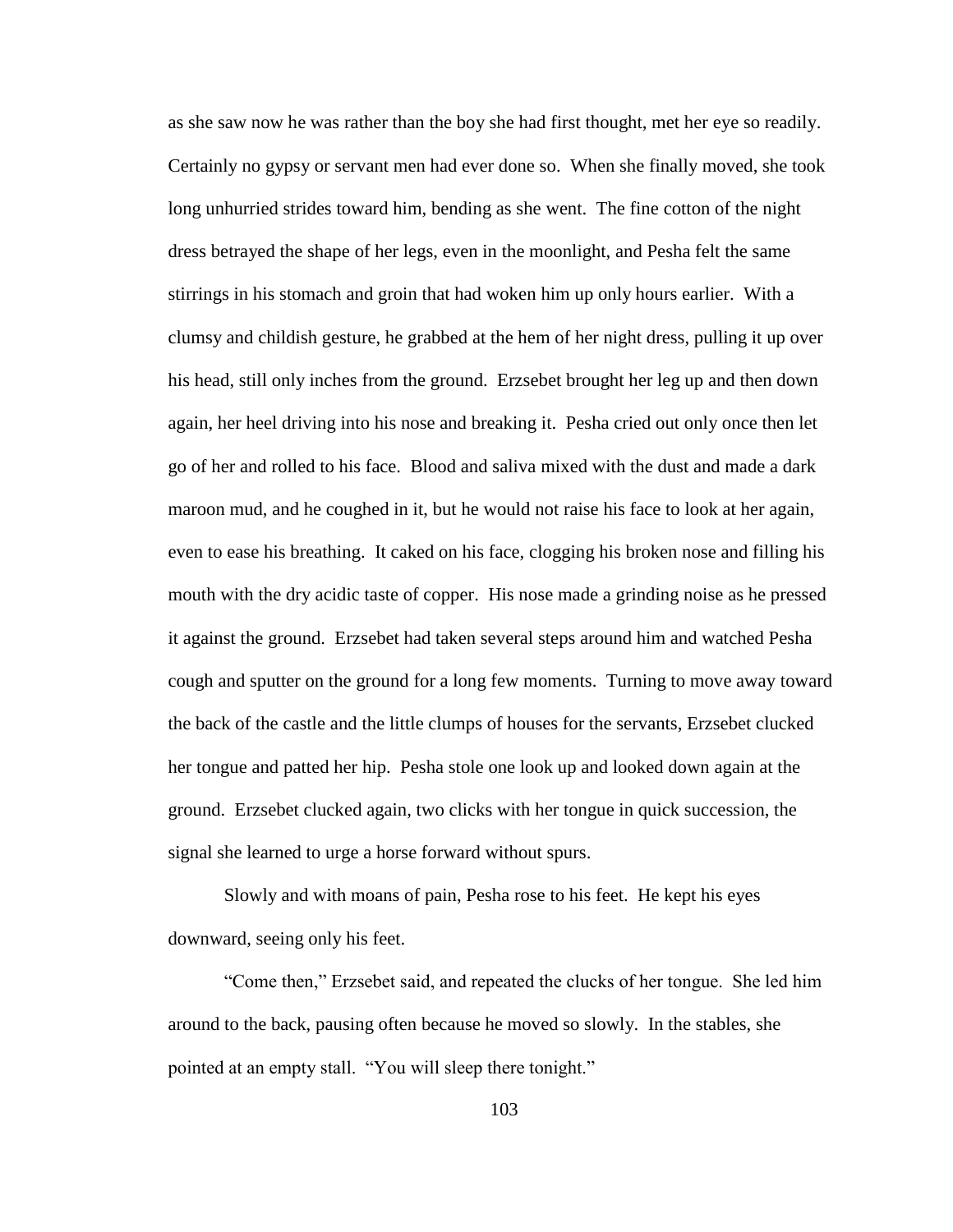as she saw now he was rather than the boy she had first thought, met her eye so readily. Certainly no gypsy or servant men had ever done so. When she finally moved, she took long unhurried strides toward him, bending as she went. The fine cotton of the night dress betrayed the shape of her legs, even in the moonlight, and Pesha felt the same stirrings in his stomach and groin that had woken him up only hours earlier. With a clumsy and childish gesture, he grabbed at the hem of her night dress, pulling it up over his head, still only inches from the ground. Erzsebet brought her leg up and then down again, her heel driving into his nose and breaking it. Pesha cried out only once then let go of her and rolled to his face. Blood and saliva mixed with the dust and made a dark maroon mud, and he coughed in it, but he would not raise his face to look at her again, even to ease his breathing. It caked on his face, clogging his broken nose and filling his mouth with the dry acidic taste of copper. His nose made a grinding noise as he pressed it against the ground. Erzsebet had taken several steps around him and watched Pesha cough and sputter on the ground for a long few moments. Turning to move away toward the back of the castle and the little clumps of houses for the servants, Erzsebet clucked her tongue and patted her hip. Pesha stole one look up and looked down again at the ground. Erzsebet clucked again, two clicks with her tongue in quick succession, the signal she learned to urge a horse forward without spurs.

Slowly and with moans of pain, Pesha rose to his feet. He kept his eyes downward, seeing only his feet.

"Come then," Erzsebet said, and repeated the clucks of her tongue. She led him around to the back, pausing often because he moved so slowly. In the stables, she pointed at an empty stall. "You will sleep there tonight."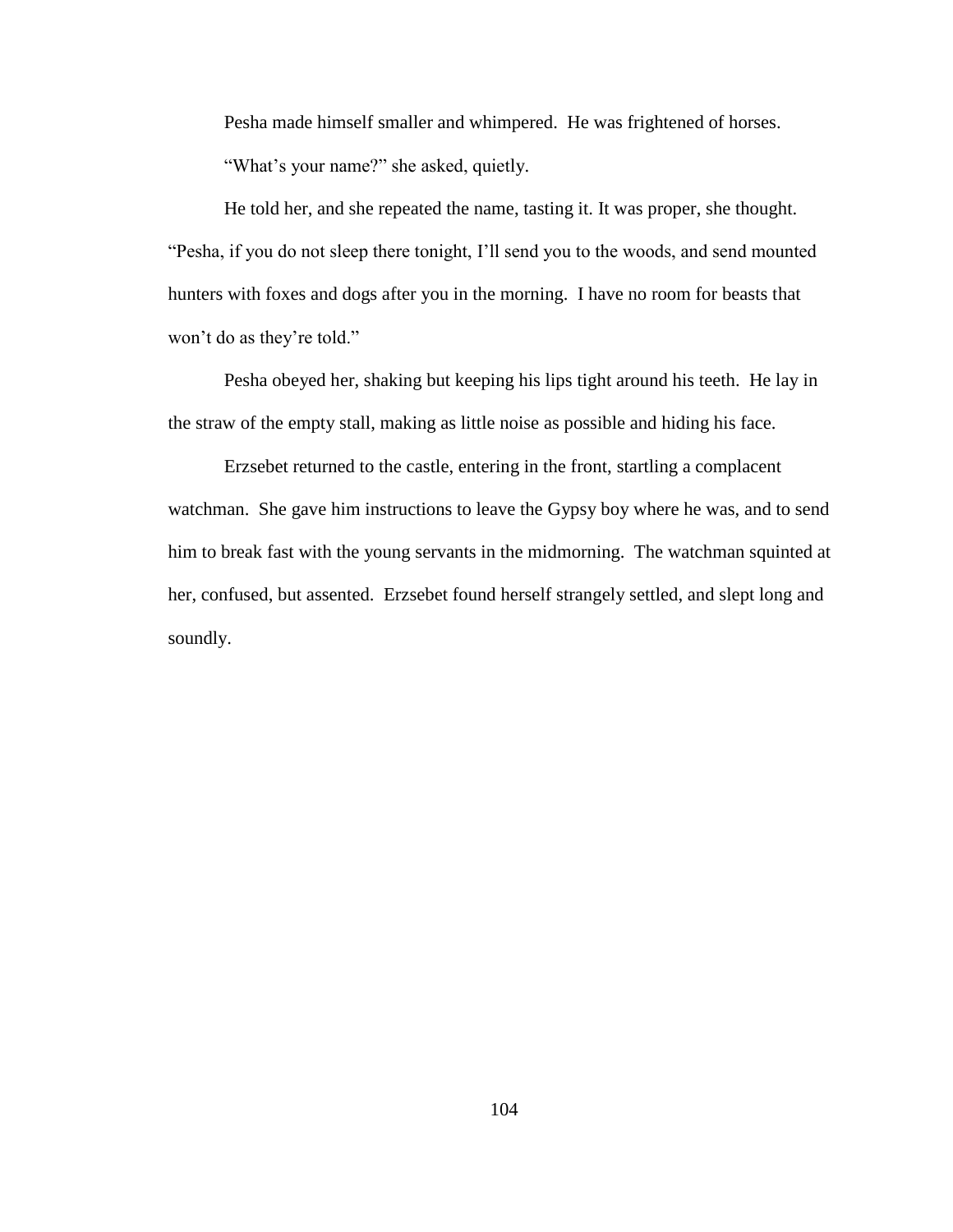Pesha made himself smaller and whimpered. He was frightened of horses. "What's your name?" she asked, quietly.

He told her, and she repeated the name, tasting it. It was proper, she thought. "Pesha, if you do not sleep there tonight, I"ll send you to the woods, and send mounted hunters with foxes and dogs after you in the morning. I have no room for beasts that won't do as they're told."

Pesha obeyed her, shaking but keeping his lips tight around his teeth. He lay in the straw of the empty stall, making as little noise as possible and hiding his face.

Erzsebet returned to the castle, entering in the front, startling a complacent watchman. She gave him instructions to leave the Gypsy boy where he was, and to send him to break fast with the young servants in the midmorning. The watchman squinted at her, confused, but assented. Erzsebet found herself strangely settled, and slept long and soundly.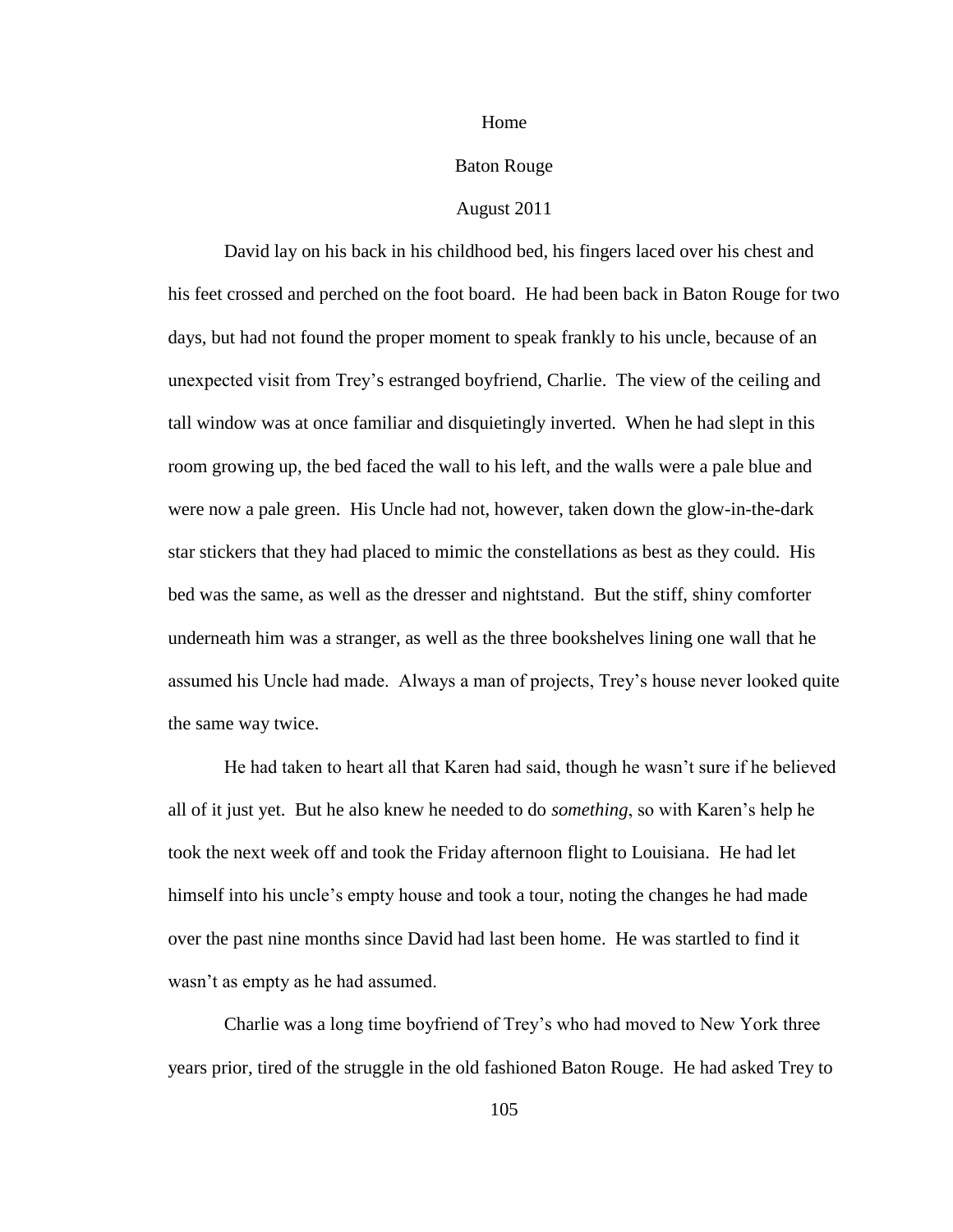#### Home

# Baton Rouge

## August 2011

David lay on his back in his childhood bed, his fingers laced over his chest and his feet crossed and perched on the foot board. He had been back in Baton Rouge for two days, but had not found the proper moment to speak frankly to his uncle, because of an unexpected visit from Trey"s estranged boyfriend, Charlie. The view of the ceiling and tall window was at once familiar and disquietingly inverted. When he had slept in this room growing up, the bed faced the wall to his left, and the walls were a pale blue and were now a pale green. His Uncle had not, however, taken down the glow-in-the-dark star stickers that they had placed to mimic the constellations as best as they could. His bed was the same, as well as the dresser and nightstand. But the stiff, shiny comforter underneath him was a stranger, as well as the three bookshelves lining one wall that he assumed his Uncle had made. Always a man of projects, Trey"s house never looked quite the same way twice.

He had taken to heart all that Karen had said, though he wasn"t sure if he believed all of it just yet. But he also knew he needed to do *something*, so with Karen"s help he took the next week off and took the Friday afternoon flight to Louisiana. He had let himself into his uncle's empty house and took a tour, noting the changes he had made over the past nine months since David had last been home. He was startled to find it wasn't as empty as he had assumed.

Charlie was a long time boyfriend of Trey"s who had moved to New York three years prior, tired of the struggle in the old fashioned Baton Rouge. He had asked Trey to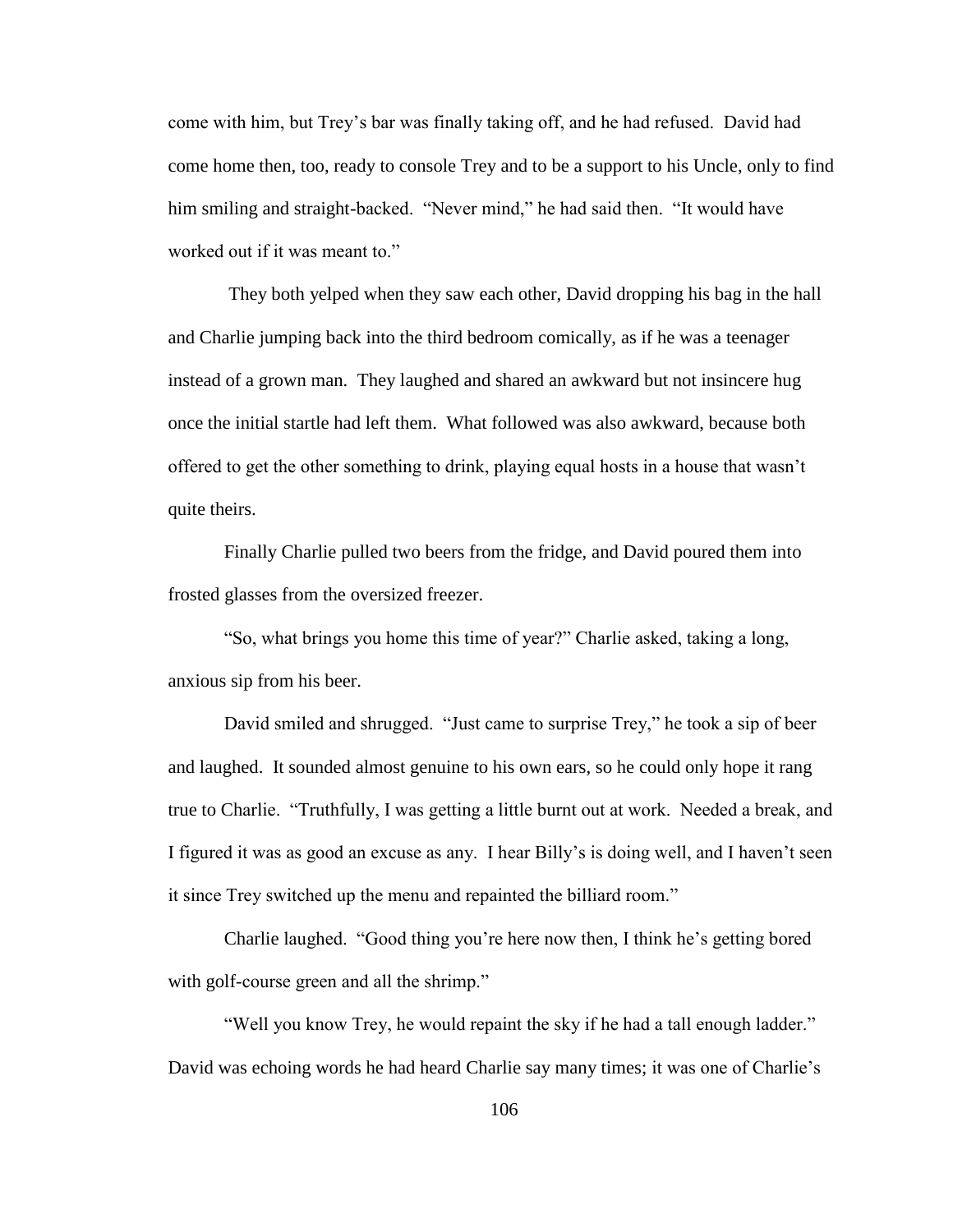come with him, but Trey"s bar was finally taking off, and he had refused. David had come home then, too, ready to console Trey and to be a support to his Uncle, only to find him smiling and straight-backed. "Never mind," he had said then. "It would have worked out if it was meant to."

They both yelped when they saw each other, David dropping his bag in the hall and Charlie jumping back into the third bedroom comically, as if he was a teenager instead of a grown man. They laughed and shared an awkward but not insincere hug once the initial startle had left them. What followed was also awkward, because both offered to get the other something to drink, playing equal hosts in a house that wasn"t quite theirs.

Finally Charlie pulled two beers from the fridge, and David poured them into frosted glasses from the oversized freezer.

"So, what brings you home this time of year?" Charlie asked, taking a long, anxious sip from his beer.

David smiled and shrugged. "Just came to surprise Trey," he took a sip of beer and laughed. It sounded almost genuine to his own ears, so he could only hope it rang true to Charlie. "Truthfully, I was getting a little burnt out at work. Needed a break, and I figured it was as good an excuse as any. I hear Billy"s is doing well, and I haven"t seen it since Trey switched up the menu and repainted the billiard room."

Charlie laughed. "Good thing you"re here now then, I think he"s getting bored with golf-course green and all the shrimp."

"Well you know Trey, he would repaint the sky if he had a tall enough ladder." David was echoing words he had heard Charlie say many times; it was one of Charlie"s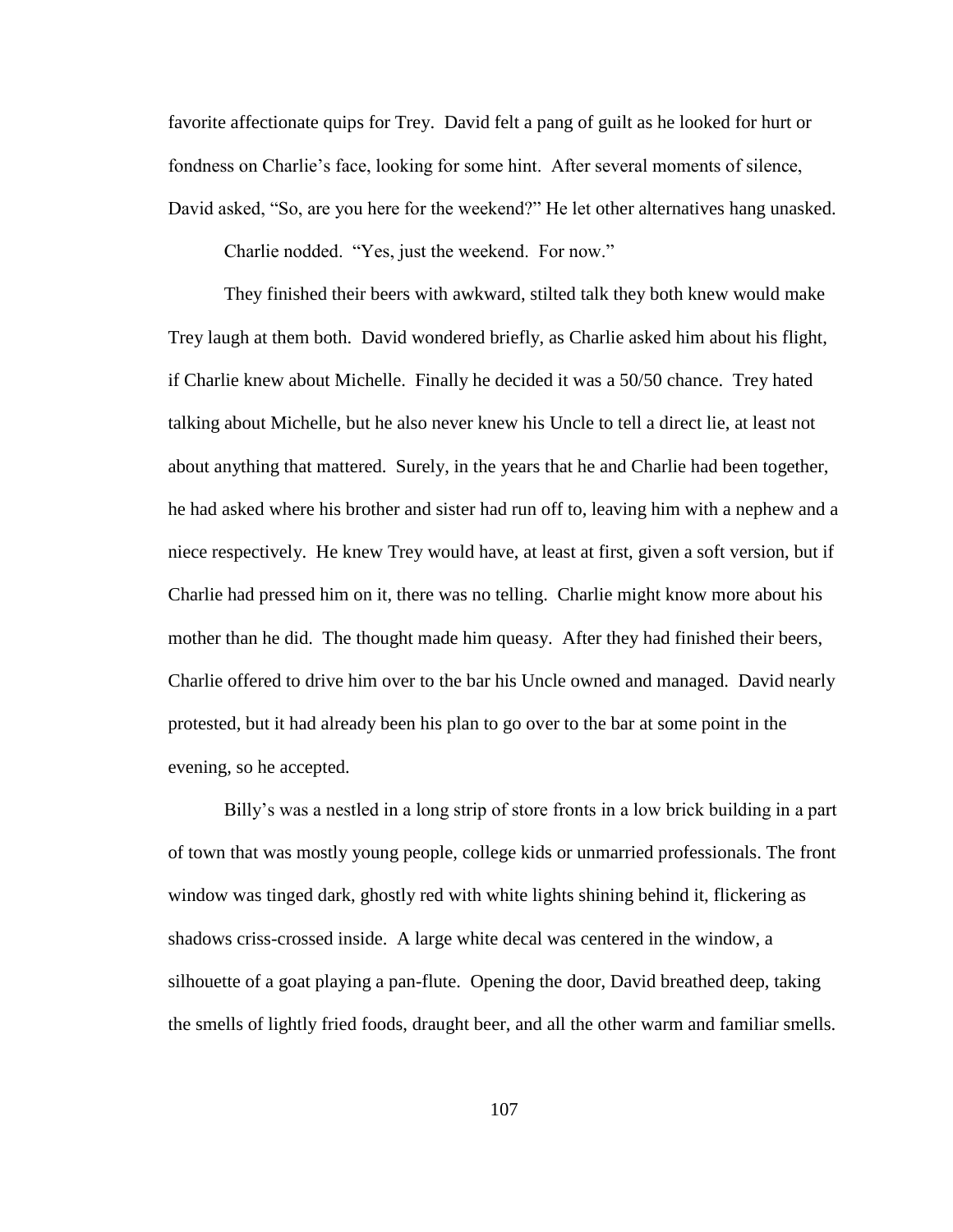favorite affectionate quips for Trey. David felt a pang of guilt as he looked for hurt or fondness on Charlie's face, looking for some hint. After several moments of silence, David asked, "So, are you here for the weekend?" He let other alternatives hang unasked.

Charlie nodded. "Yes, just the weekend. For now."

They finished their beers with awkward, stilted talk they both knew would make Trey laugh at them both. David wondered briefly, as Charlie asked him about his flight, if Charlie knew about Michelle. Finally he decided it was a 50/50 chance. Trey hated talking about Michelle, but he also never knew his Uncle to tell a direct lie, at least not about anything that mattered. Surely, in the years that he and Charlie had been together, he had asked where his brother and sister had run off to, leaving him with a nephew and a niece respectively. He knew Trey would have, at least at first, given a soft version, but if Charlie had pressed him on it, there was no telling. Charlie might know more about his mother than he did. The thought made him queasy. After they had finished their beers, Charlie offered to drive him over to the bar his Uncle owned and managed. David nearly protested, but it had already been his plan to go over to the bar at some point in the evening, so he accepted.

Billy"s was a nestled in a long strip of store fronts in a low brick building in a part of town that was mostly young people, college kids or unmarried professionals. The front window was tinged dark, ghostly red with white lights shining behind it, flickering as shadows criss-crossed inside. A large white decal was centered in the window, a silhouette of a goat playing a pan-flute. Opening the door, David breathed deep, taking the smells of lightly fried foods, draught beer, and all the other warm and familiar smells.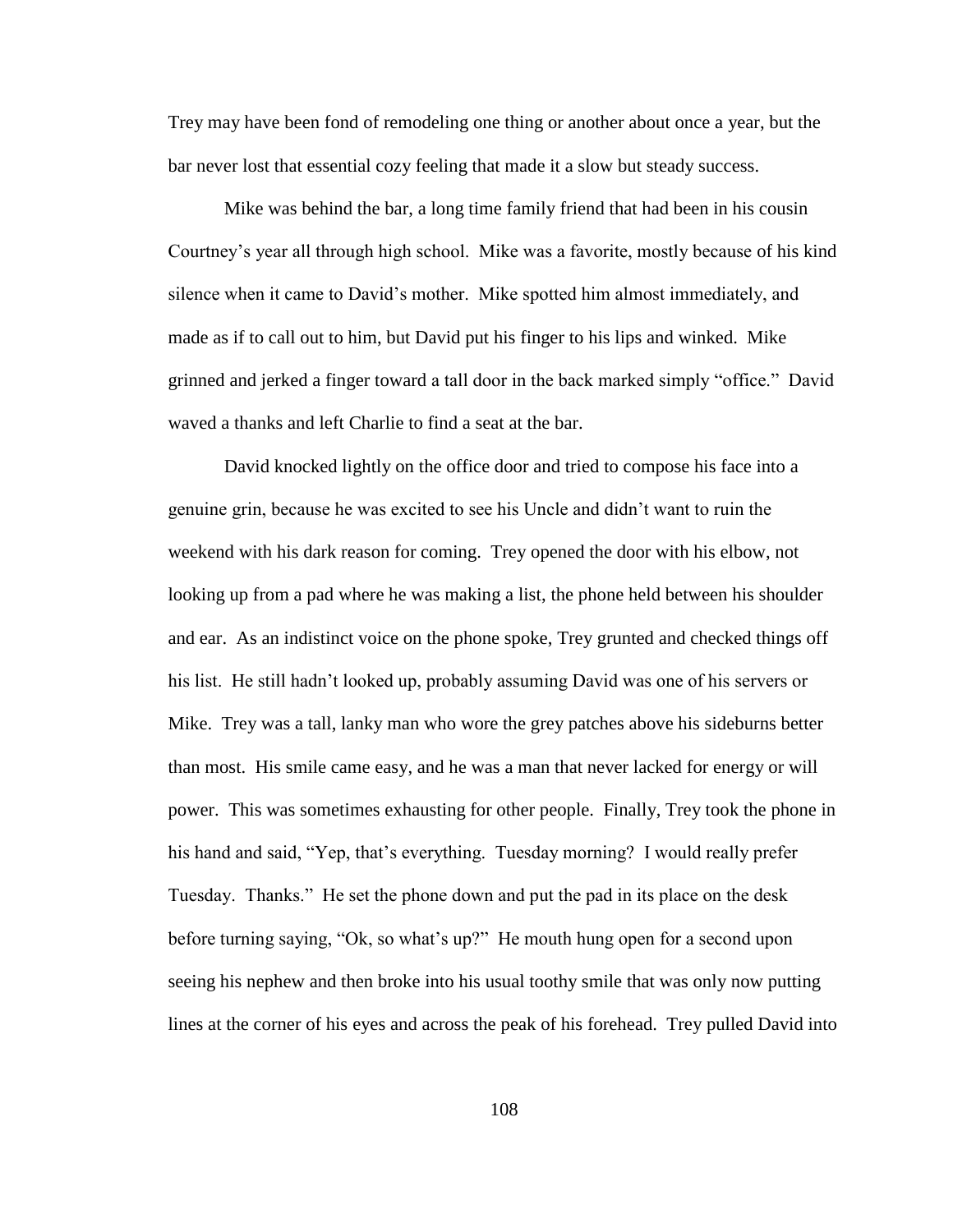Trey may have been fond of remodeling one thing or another about once a year, but the bar never lost that essential cozy feeling that made it a slow but steady success.

Mike was behind the bar, a long time family friend that had been in his cousin Courtney"s year all through high school. Mike was a favorite, mostly because of his kind silence when it came to David"s mother. Mike spotted him almost immediately, and made as if to call out to him, but David put his finger to his lips and winked. Mike grinned and jerked a finger toward a tall door in the back marked simply "office." David waved a thanks and left Charlie to find a seat at the bar.

David knocked lightly on the office door and tried to compose his face into a genuine grin, because he was excited to see his Uncle and didn"t want to ruin the weekend with his dark reason for coming. Trey opened the door with his elbow, not looking up from a pad where he was making a list, the phone held between his shoulder and ear. As an indistinct voice on the phone spoke, Trey grunted and checked things off his list. He still hadn"t looked up, probably assuming David was one of his servers or Mike. Trey was a tall, lanky man who wore the grey patches above his sideburns better than most. His smile came easy, and he was a man that never lacked for energy or will power. This was sometimes exhausting for other people. Finally, Trey took the phone in his hand and said, "Yep, that's everything. Tuesday morning? I would really prefer Tuesday. Thanks." He set the phone down and put the pad in its place on the desk before turning saying, "Ok, so what's up?" He mouth hung open for a second upon seeing his nephew and then broke into his usual toothy smile that was only now putting lines at the corner of his eyes and across the peak of his forehead. Trey pulled David into

108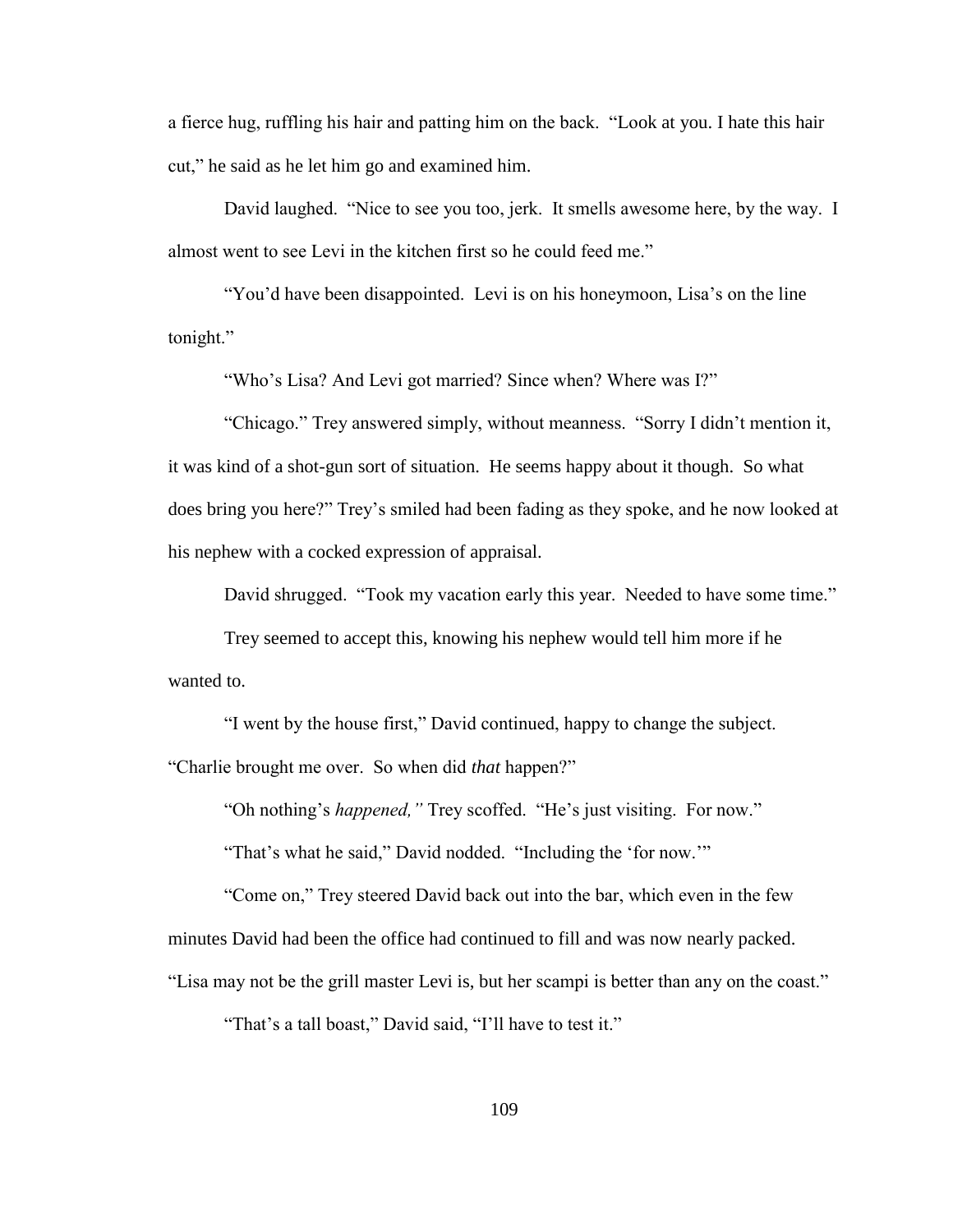a fierce hug, ruffling his hair and patting him on the back. "Look at you. I hate this hair cut," he said as he let him go and examined him.

David laughed. "Nice to see you too, jerk. It smells awesome here, by the way. I almost went to see Levi in the kitchen first so he could feed me."

"You'd have been disappointed. Levi is on his honeymoon, Lisa's on the line tonight."

"Who"s Lisa? And Levi got married? Since when? Where was I?"

"Chicago." Trey answered simply, without meanness. "Sorry I didn"t mention it, it was kind of a shot-gun sort of situation. He seems happy about it though. So what does bring you here?" Trey"s smiled had been fading as they spoke, and he now looked at his nephew with a cocked expression of appraisal.

David shrugged. "Took my vacation early this year. Needed to have some time."

Trey seemed to accept this, knowing his nephew would tell him more if he wanted to.

"I went by the house first," David continued, happy to change the subject. "Charlie brought me over. So when did *that* happen?"

"Oh nothing"s *happened,"* Trey scoffed. "He"s just visiting. For now."

"That's what he said," David nodded. "Including the 'for now.""

"Come on," Trey steered David back out into the bar, which even in the few minutes David had been the office had continued to fill and was now nearly packed.

"Lisa may not be the grill master Levi is, but her scampi is better than any on the coast."

"That's a tall boast," David said, "I'll have to test it."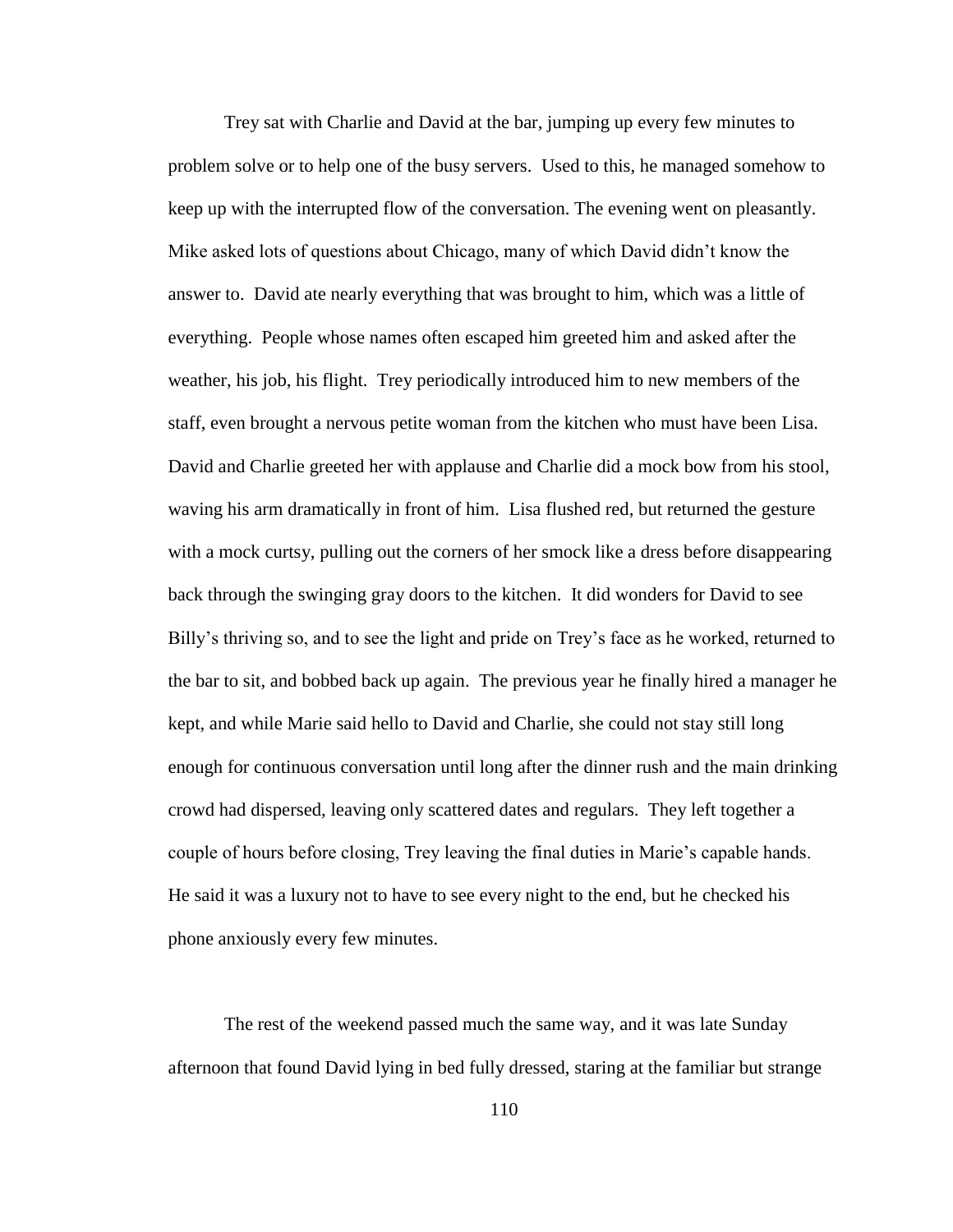Trey sat with Charlie and David at the bar, jumping up every few minutes to problem solve or to help one of the busy servers. Used to this, he managed somehow to keep up with the interrupted flow of the conversation. The evening went on pleasantly. Mike asked lots of questions about Chicago, many of which David didn"t know the answer to. David ate nearly everything that was brought to him, which was a little of everything. People whose names often escaped him greeted him and asked after the weather, his job, his flight. Trey periodically introduced him to new members of the staff, even brought a nervous petite woman from the kitchen who must have been Lisa. David and Charlie greeted her with applause and Charlie did a mock bow from his stool, waving his arm dramatically in front of him. Lisa flushed red, but returned the gesture with a mock curtsy, pulling out the corners of her smock like a dress before disappearing back through the swinging gray doors to the kitchen. It did wonders for David to see Billy's thriving so, and to see the light and pride on Trey's face as he worked, returned to the bar to sit, and bobbed back up again. The previous year he finally hired a manager he kept, and while Marie said hello to David and Charlie, she could not stay still long enough for continuous conversation until long after the dinner rush and the main drinking crowd had dispersed, leaving only scattered dates and regulars. They left together a couple of hours before closing, Trey leaving the final duties in Marie"s capable hands. He said it was a luxury not to have to see every night to the end, but he checked his phone anxiously every few minutes.

The rest of the weekend passed much the same way, and it was late Sunday afternoon that found David lying in bed fully dressed, staring at the familiar but strange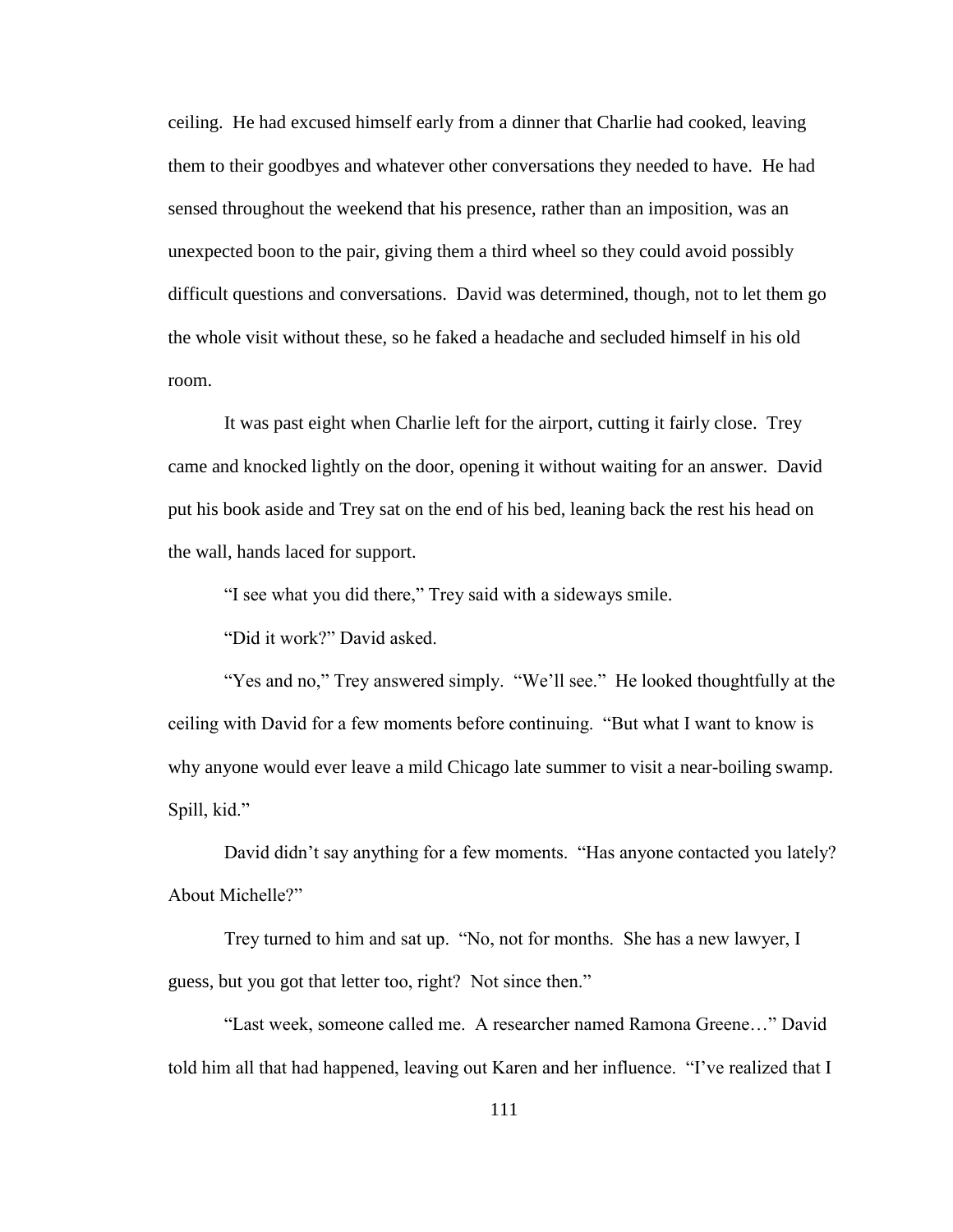ceiling. He had excused himself early from a dinner that Charlie had cooked, leaving them to their goodbyes and whatever other conversations they needed to have. He had sensed throughout the weekend that his presence, rather than an imposition, was an unexpected boon to the pair, giving them a third wheel so they could avoid possibly difficult questions and conversations. David was determined, though, not to let them go the whole visit without these, so he faked a headache and secluded himself in his old room.

It was past eight when Charlie left for the airport, cutting it fairly close. Trey came and knocked lightly on the door, opening it without waiting for an answer. David put his book aside and Trey sat on the end of his bed, leaning back the rest his head on the wall, hands laced for support.

"I see what you did there," Trey said with a sideways smile.

"Did it work?" David asked.

"Yes and no," Trey answered simply. "We"ll see." He looked thoughtfully at the ceiling with David for a few moments before continuing. "But what I want to know is why anyone would ever leave a mild Chicago late summer to visit a near-boiling swamp. Spill, kid."

David didn"t say anything for a few moments. "Has anyone contacted you lately? About Michelle?"

Trey turned to him and sat up. "No, not for months. She has a new lawyer, I guess, but you got that letter too, right? Not since then."

"Last week, someone called me. A researcher named Ramona Greene…" David told him all that had happened, leaving out Karen and her influence. "I"ve realized that I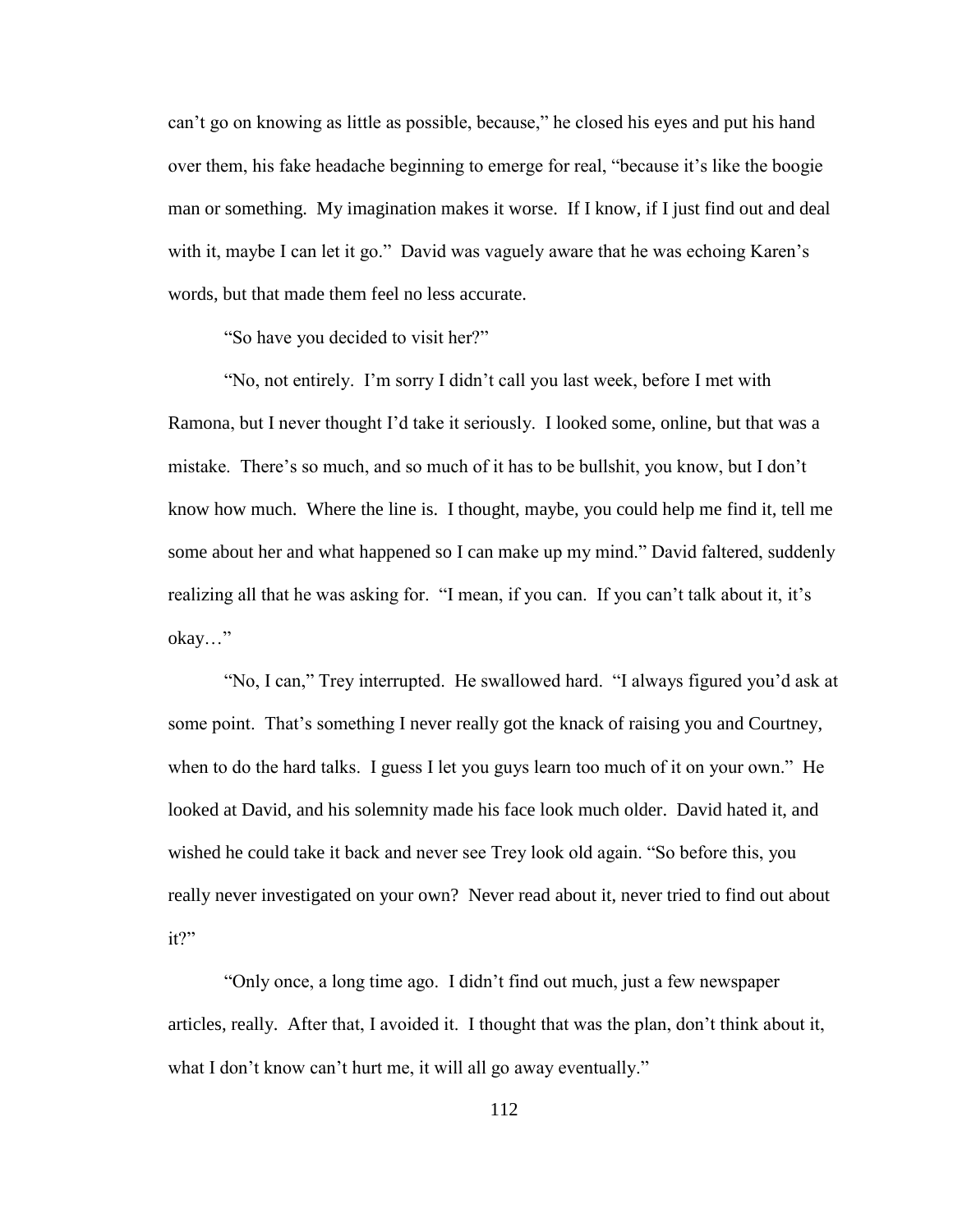can"t go on knowing as little as possible, because," he closed his eyes and put his hand over them, his fake headache beginning to emerge for real, "because it's like the boogie man or something. My imagination makes it worse. If I know, if I just find out and deal with it, maybe I can let it go." David was vaguely aware that he was echoing Karen's words, but that made them feel no less accurate.

"So have you decided to visit her?"

"No, not entirely. I"m sorry I didn"t call you last week, before I met with Ramona, but I never thought I"d take it seriously. I looked some, online, but that was a mistake. There's so much, and so much of it has to be bullshit, you know, but I don't know how much. Where the line is. I thought, maybe, you could help me find it, tell me some about her and what happened so I can make up my mind." David faltered, suddenly realizing all that he was asking for. "I mean, if you can. If you can't talk about it, it's okay…"

"No, I can," Trey interrupted. He swallowed hard. "I always figured you"d ask at some point. That's something I never really got the knack of raising you and Courtney, when to do the hard talks. I guess I let you guys learn too much of it on your own." He looked at David, and his solemnity made his face look much older. David hated it, and wished he could take it back and never see Trey look old again. "So before this, you really never investigated on your own? Never read about it, never tried to find out about it?"

"Only once, a long time ago. I didn"t find out much, just a few newspaper articles, really. After that, I avoided it. I thought that was the plan, don"t think about it, what I don't know can't hurt me, it will all go away eventually."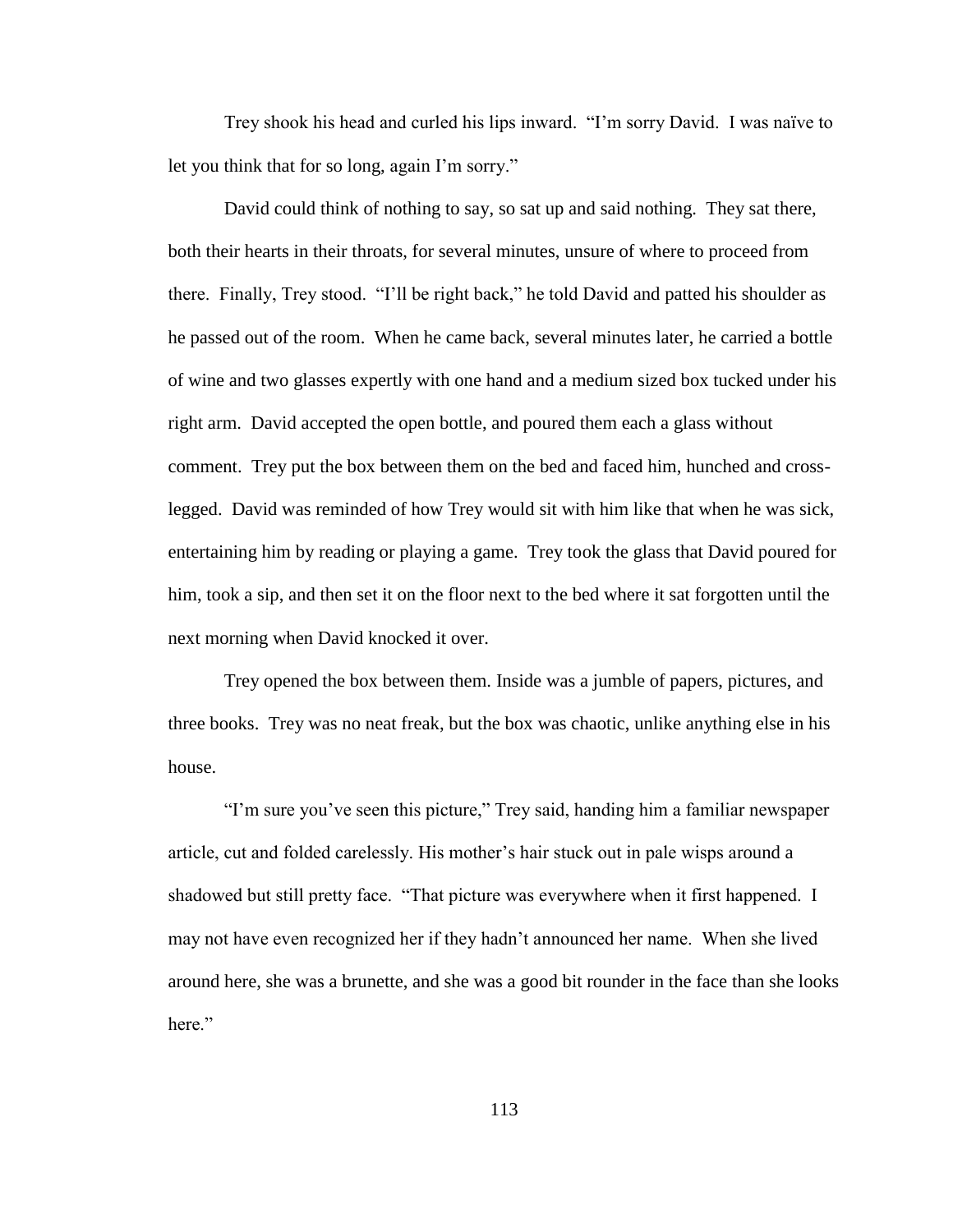Trey shook his head and curled his lips inward. "I"m sorry David. I was naïve to let you think that for so long, again I"m sorry."

David could think of nothing to say, so sat up and said nothing. They sat there, both their hearts in their throats, for several minutes, unsure of where to proceed from there. Finally, Trey stood. "I"ll be right back," he told David and patted his shoulder as he passed out of the room. When he came back, several minutes later, he carried a bottle of wine and two glasses expertly with one hand and a medium sized box tucked under his right arm. David accepted the open bottle, and poured them each a glass without comment. Trey put the box between them on the bed and faced him, hunched and crosslegged. David was reminded of how Trey would sit with him like that when he was sick, entertaining him by reading or playing a game. Trey took the glass that David poured for him, took a sip, and then set it on the floor next to the bed where it sat forgotten until the next morning when David knocked it over.

Trey opened the box between them. Inside was a jumble of papers, pictures, and three books. Trey was no neat freak, but the box was chaotic, unlike anything else in his house.

"I"m sure you"ve seen this picture," Trey said, handing him a familiar newspaper article, cut and folded carelessly. His mother"s hair stuck out in pale wisps around a shadowed but still pretty face. "That picture was everywhere when it first happened. I may not have even recognized her if they hadn"t announced her name. When she lived around here, she was a brunette, and she was a good bit rounder in the face than she looks here."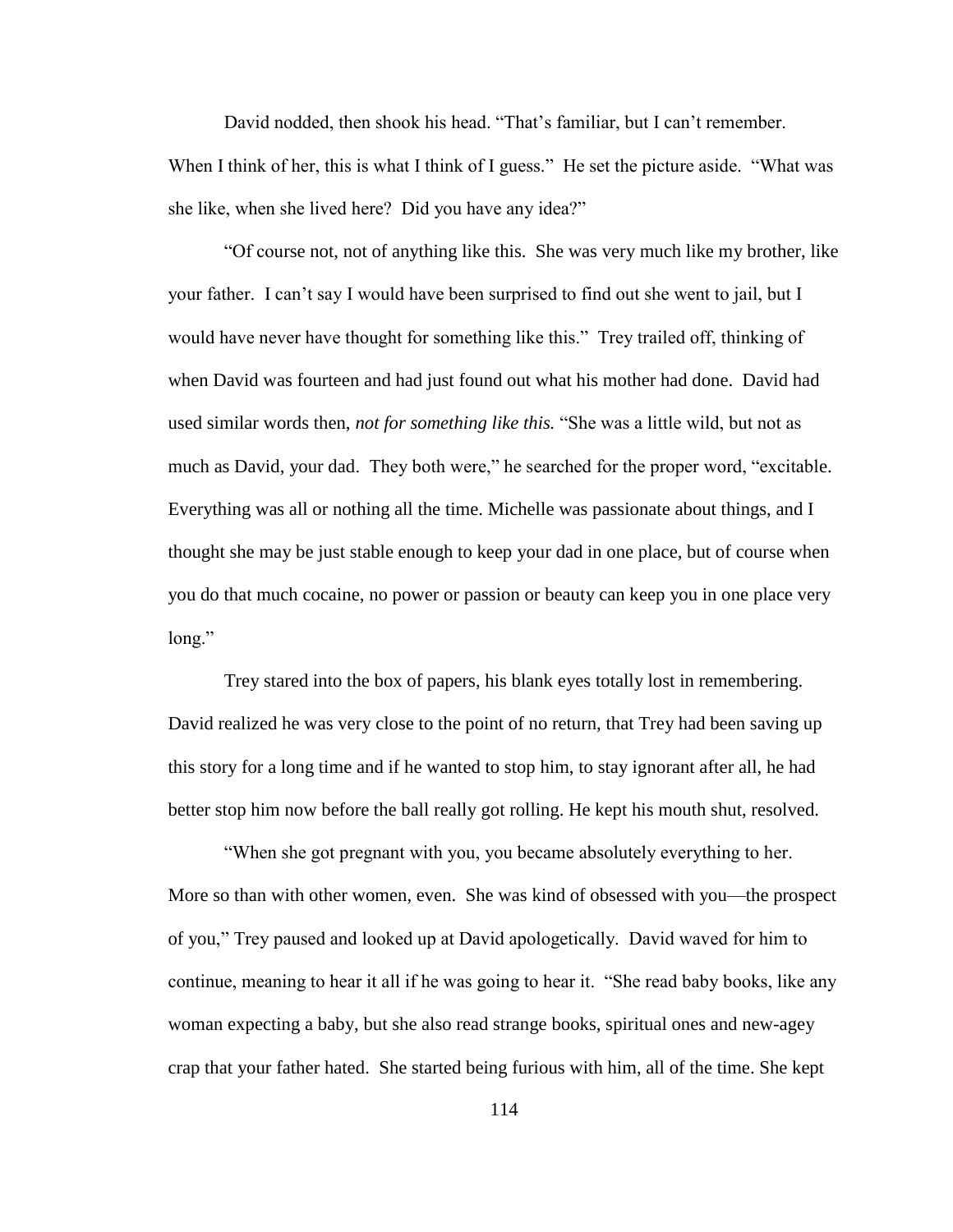David nodded, then shook his head. "That's familiar, but I can't remember. When I think of her, this is what I think of I guess." He set the picture aside. "What was she like, when she lived here? Did you have any idea?"

"Of course not, not of anything like this. She was very much like my brother, like your father. I can"t say I would have been surprised to find out she went to jail, but I would have never have thought for something like this." Trey trailed off, thinking of when David was fourteen and had just found out what his mother had done. David had used similar words then, *not for something like this.* "She was a little wild, but not as much as David, your dad. They both were," he searched for the proper word, "excitable. Everything was all or nothing all the time. Michelle was passionate about things, and I thought she may be just stable enough to keep your dad in one place, but of course when you do that much cocaine, no power or passion or beauty can keep you in one place very long."

Trey stared into the box of papers, his blank eyes totally lost in remembering. David realized he was very close to the point of no return, that Trey had been saving up this story for a long time and if he wanted to stop him, to stay ignorant after all, he had better stop him now before the ball really got rolling. He kept his mouth shut, resolved.

"When she got pregnant with you, you became absolutely everything to her. More so than with other women, even. She was kind of obsessed with you—the prospect of you," Trey paused and looked up at David apologetically. David waved for him to continue, meaning to hear it all if he was going to hear it. "She read baby books, like any woman expecting a baby, but she also read strange books, spiritual ones and new-agey crap that your father hated. She started being furious with him, all of the time. She kept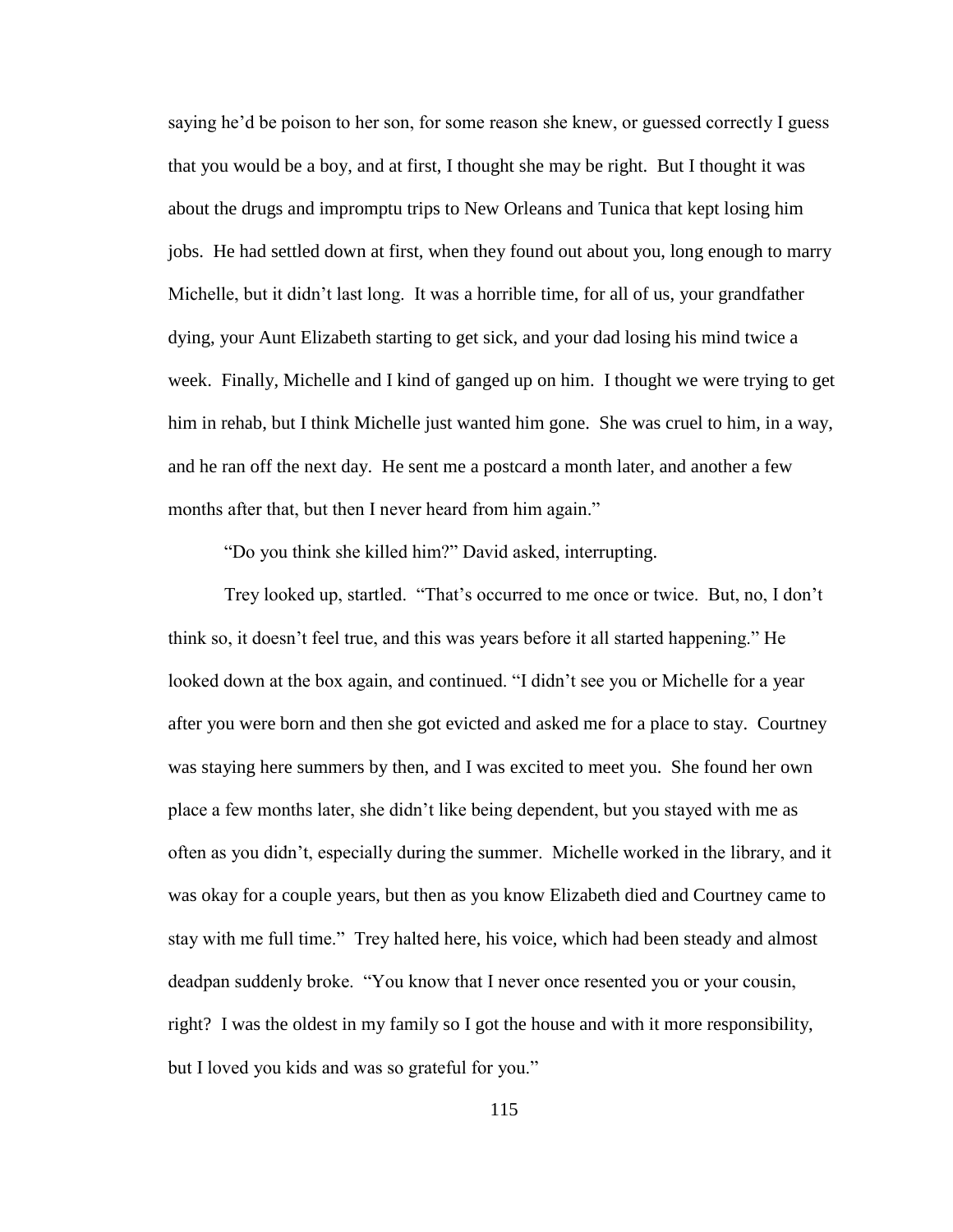saying he'd be poison to her son, for some reason she knew, or guessed correctly I guess that you would be a boy, and at first, I thought she may be right. But I thought it was about the drugs and impromptu trips to New Orleans and Tunica that kept losing him jobs. He had settled down at first, when they found out about you, long enough to marry Michelle, but it didn"t last long. It was a horrible time, for all of us, your grandfather dying, your Aunt Elizabeth starting to get sick, and your dad losing his mind twice a week. Finally, Michelle and I kind of ganged up on him. I thought we were trying to get him in rehab, but I think Michelle just wanted him gone. She was cruel to him, in a way, and he ran off the next day. He sent me a postcard a month later, and another a few months after that, but then I never heard from him again."

"Do you think she killed him?" David asked, interrupting.

Trey looked up, startled. "That"s occurred to me once or twice. But, no, I don"t think so, it doesn"t feel true, and this was years before it all started happening." He looked down at the box again, and continued. "I didn't see you or Michelle for a year after you were born and then she got evicted and asked me for a place to stay. Courtney was staying here summers by then, and I was excited to meet you. She found her own place a few months later, she didn"t like being dependent, but you stayed with me as often as you didn"t, especially during the summer. Michelle worked in the library, and it was okay for a couple years, but then as you know Elizabeth died and Courtney came to stay with me full time." Trey halted here, his voice, which had been steady and almost deadpan suddenly broke. "You know that I never once resented you or your cousin, right? I was the oldest in my family so I got the house and with it more responsibility, but I loved you kids and was so grateful for you."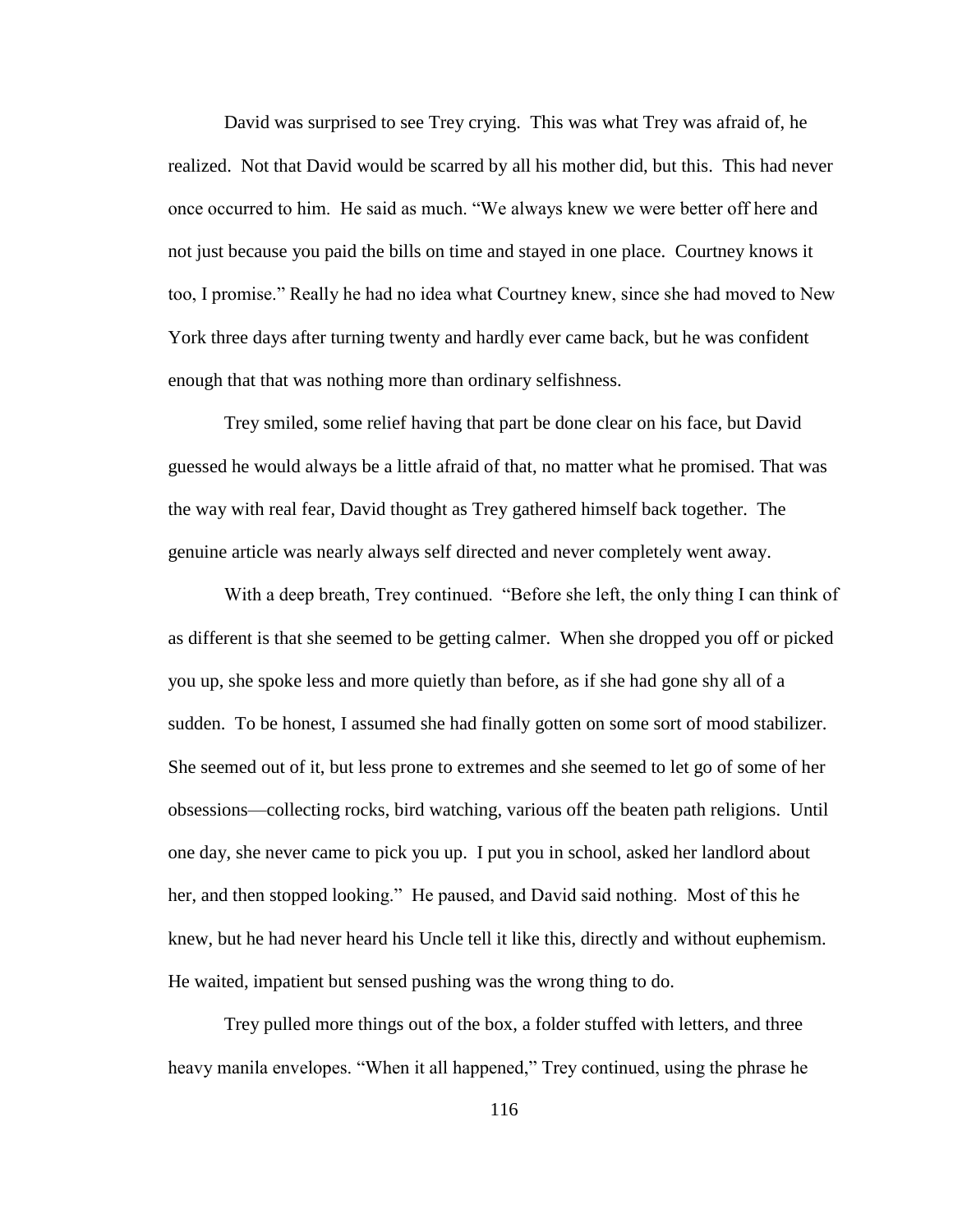David was surprised to see Trey crying. This was what Trey was afraid of, he realized. Not that David would be scarred by all his mother did, but this. This had never once occurred to him. He said as much. "We always knew we were better off here and not just because you paid the bills on time and stayed in one place. Courtney knows it too, I promise." Really he had no idea what Courtney knew, since she had moved to New York three days after turning twenty and hardly ever came back, but he was confident enough that that was nothing more than ordinary selfishness.

Trey smiled, some relief having that part be done clear on his face, but David guessed he would always be a little afraid of that, no matter what he promised. That was the way with real fear, David thought as Trey gathered himself back together. The genuine article was nearly always self directed and never completely went away.

With a deep breath, Trey continued. "Before she left, the only thing I can think of as different is that she seemed to be getting calmer. When she dropped you off or picked you up, she spoke less and more quietly than before, as if she had gone shy all of a sudden. To be honest, I assumed she had finally gotten on some sort of mood stabilizer. She seemed out of it, but less prone to extremes and she seemed to let go of some of her obsessions—collecting rocks, bird watching, various off the beaten path religions. Until one day, she never came to pick you up. I put you in school, asked her landlord about her, and then stopped looking." He paused, and David said nothing. Most of this he knew, but he had never heard his Uncle tell it like this, directly and without euphemism. He waited, impatient but sensed pushing was the wrong thing to do.

Trey pulled more things out of the box, a folder stuffed with letters, and three heavy manila envelopes. "When it all happened," Trey continued, using the phrase he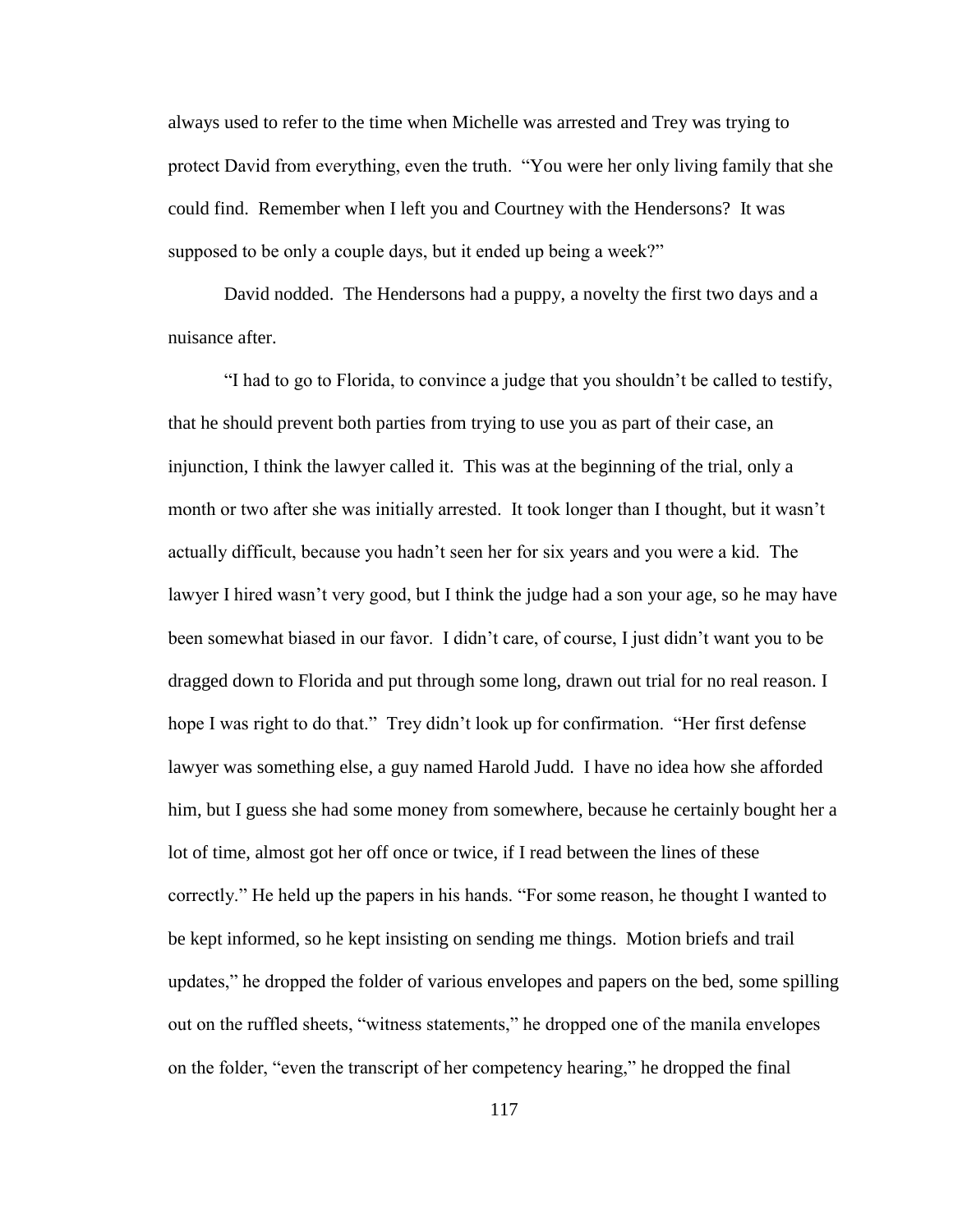always used to refer to the time when Michelle was arrested and Trey was trying to protect David from everything, even the truth. "You were her only living family that she could find. Remember when I left you and Courtney with the Hendersons? It was supposed to be only a couple days, but it ended up being a week?"

David nodded. The Hendersons had a puppy, a novelty the first two days and a nuisance after.

"I had to go to Florida, to convince a judge that you shouldn"t be called to testify, that he should prevent both parties from trying to use you as part of their case, an injunction, I think the lawyer called it. This was at the beginning of the trial, only a month or two after she was initially arrested. It took longer than I thought, but it wasn"t actually difficult, because you hadn"t seen her for six years and you were a kid. The lawyer I hired wasn"t very good, but I think the judge had a son your age, so he may have been somewhat biased in our favor. I didn't care, of course, I just didn't want you to be dragged down to Florida and put through some long, drawn out trial for no real reason. I hope I was right to do that." Trey didn't look up for confirmation. "Her first defense lawyer was something else, a guy named Harold Judd. I have no idea how she afforded him, but I guess she had some money from somewhere, because he certainly bought her a lot of time, almost got her off once or twice, if I read between the lines of these correctly." He held up the papers in his hands. "For some reason, he thought I wanted to be kept informed, so he kept insisting on sending me things. Motion briefs and trail updates," he dropped the folder of various envelopes and papers on the bed, some spilling out on the ruffled sheets, "witness statements," he dropped one of the manila envelopes on the folder, "even the transcript of her competency hearing," he dropped the final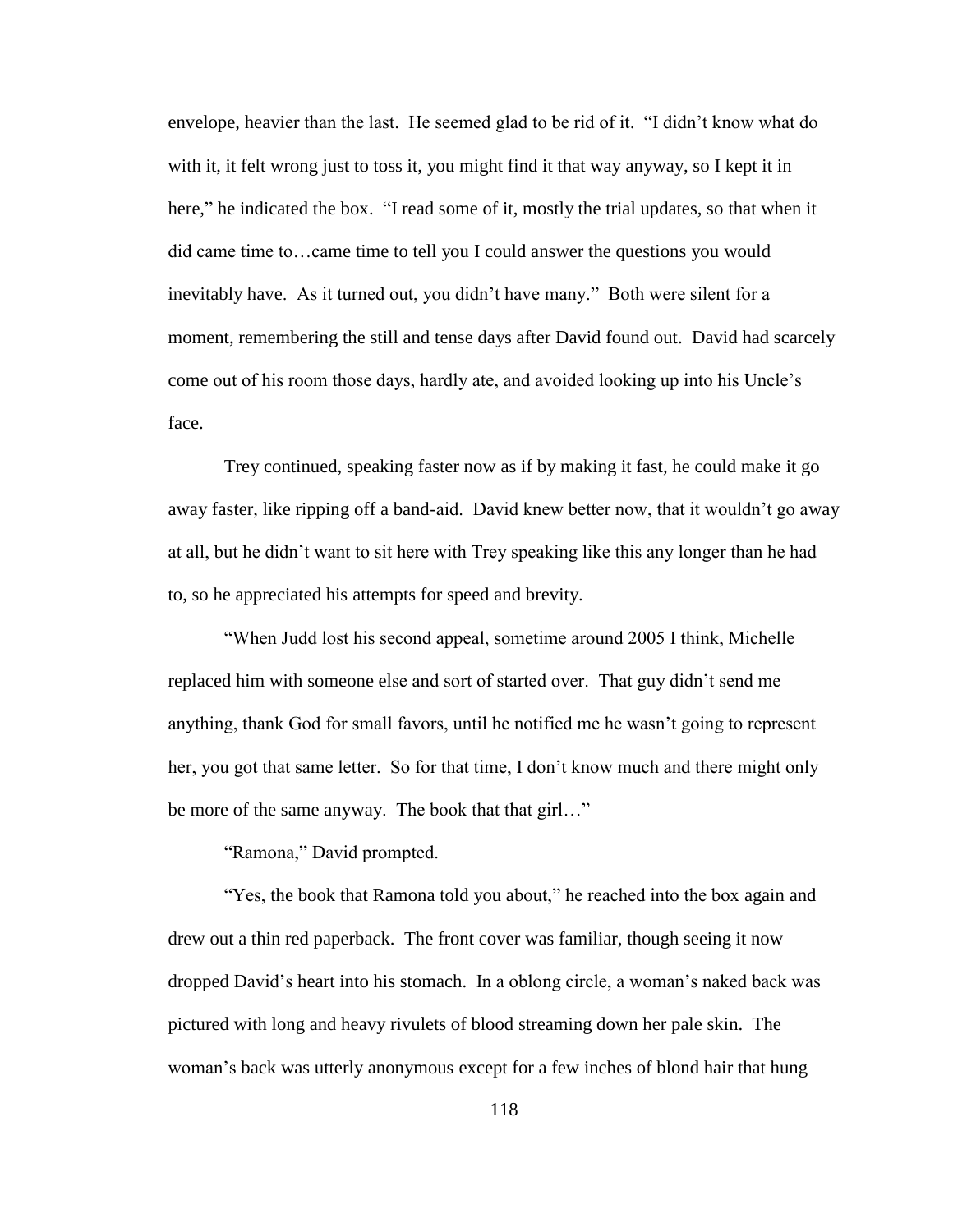envelope, heavier than the last. He seemed glad to be rid of it. "I didn"t know what do with it, it felt wrong just to toss it, you might find it that way anyway, so I kept it in here," he indicated the box. "I read some of it, mostly the trial updates, so that when it did came time to…came time to tell you I could answer the questions you would inevitably have. As it turned out, you didn"t have many." Both were silent for a moment, remembering the still and tense days after David found out. David had scarcely come out of his room those days, hardly ate, and avoided looking up into his Uncle"s face.

Trey continued, speaking faster now as if by making it fast, he could make it go away faster, like ripping off a band-aid. David knew better now, that it wouldn"t go away at all, but he didn"t want to sit here with Trey speaking like this any longer than he had to, so he appreciated his attempts for speed and brevity.

"When Judd lost his second appeal, sometime around 2005 I think, Michelle replaced him with someone else and sort of started over. That guy didn"t send me anything, thank God for small favors, until he notified me he wasn"t going to represent her, you got that same letter. So for that time, I don't know much and there might only be more of the same anyway. The book that that girl…"

"Ramona," David prompted.

"Yes, the book that Ramona told you about," he reached into the box again and drew out a thin red paperback. The front cover was familiar, though seeing it now dropped David"s heart into his stomach. In a oblong circle, a woman"s naked back was pictured with long and heavy rivulets of blood streaming down her pale skin. The woman"s back was utterly anonymous except for a few inches of blond hair that hung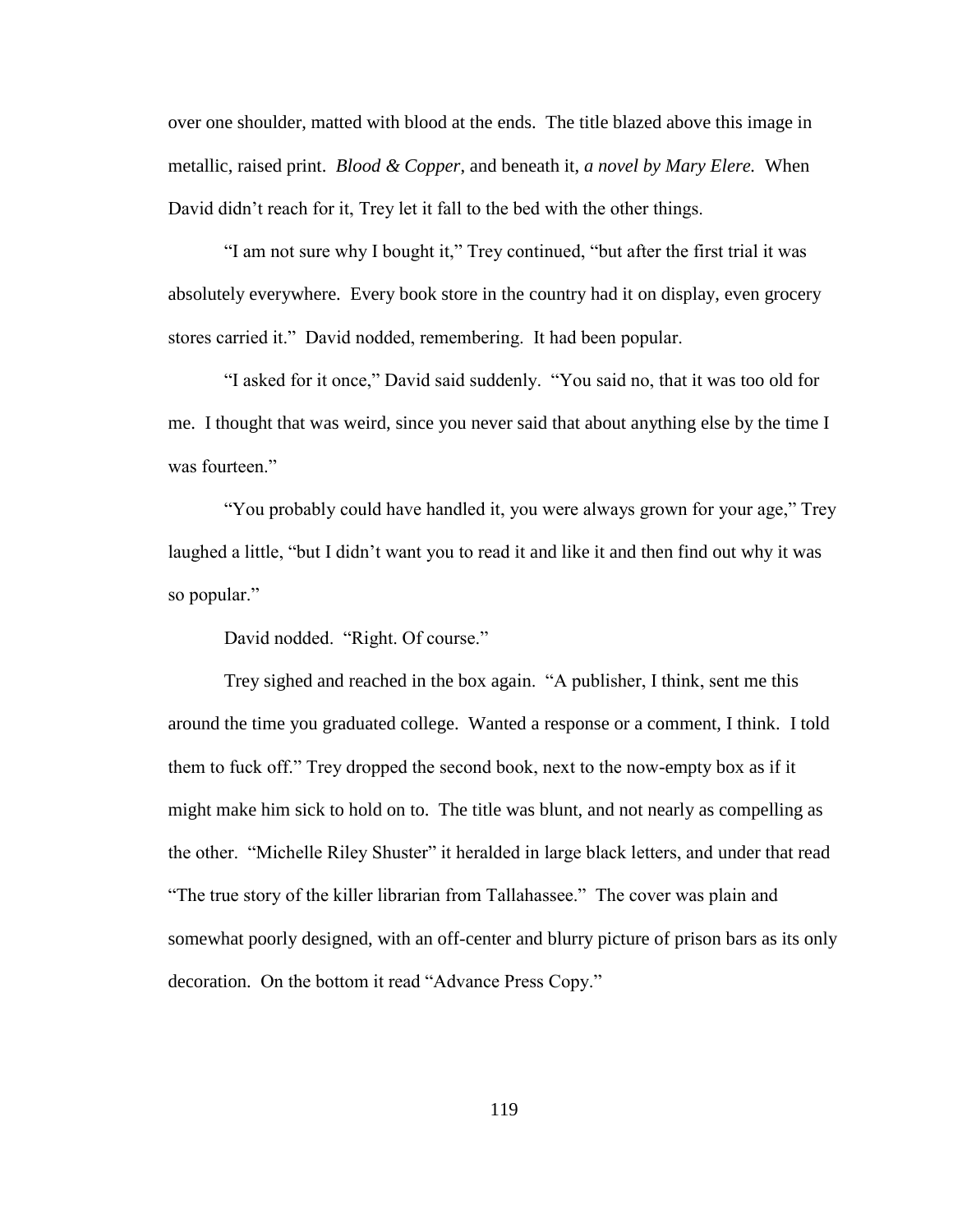over one shoulder, matted with blood at the ends. The title blazed above this image in metallic, raised print. *Blood & Copper*, and beneath it, *a novel by Mary Elere.* When David didn"t reach for it, Trey let it fall to the bed with the other things.

"I am not sure why I bought it," Trey continued, "but after the first trial it was absolutely everywhere. Every book store in the country had it on display, even grocery stores carried it." David nodded, remembering. It had been popular.

"I asked for it once," David said suddenly. "You said no, that it was too old for me. I thought that was weird, since you never said that about anything else by the time I was fourteen."

"You probably could have handled it, you were always grown for your age," Trey laughed a little, "but I didn"t want you to read it and like it and then find out why it was so popular."

David nodded. "Right. Of course."

Trey sighed and reached in the box again. "A publisher, I think, sent me this around the time you graduated college. Wanted a response or a comment, I think. I told them to fuck off." Trey dropped the second book, next to the now-empty box as if it might make him sick to hold on to. The title was blunt, and not nearly as compelling as the other. "Michelle Riley Shuster" it heralded in large black letters, and under that read "The true story of the killer librarian from Tallahassee." The cover was plain and somewhat poorly designed, with an off-center and blurry picture of prison bars as its only decoration. On the bottom it read "Advance Press Copy."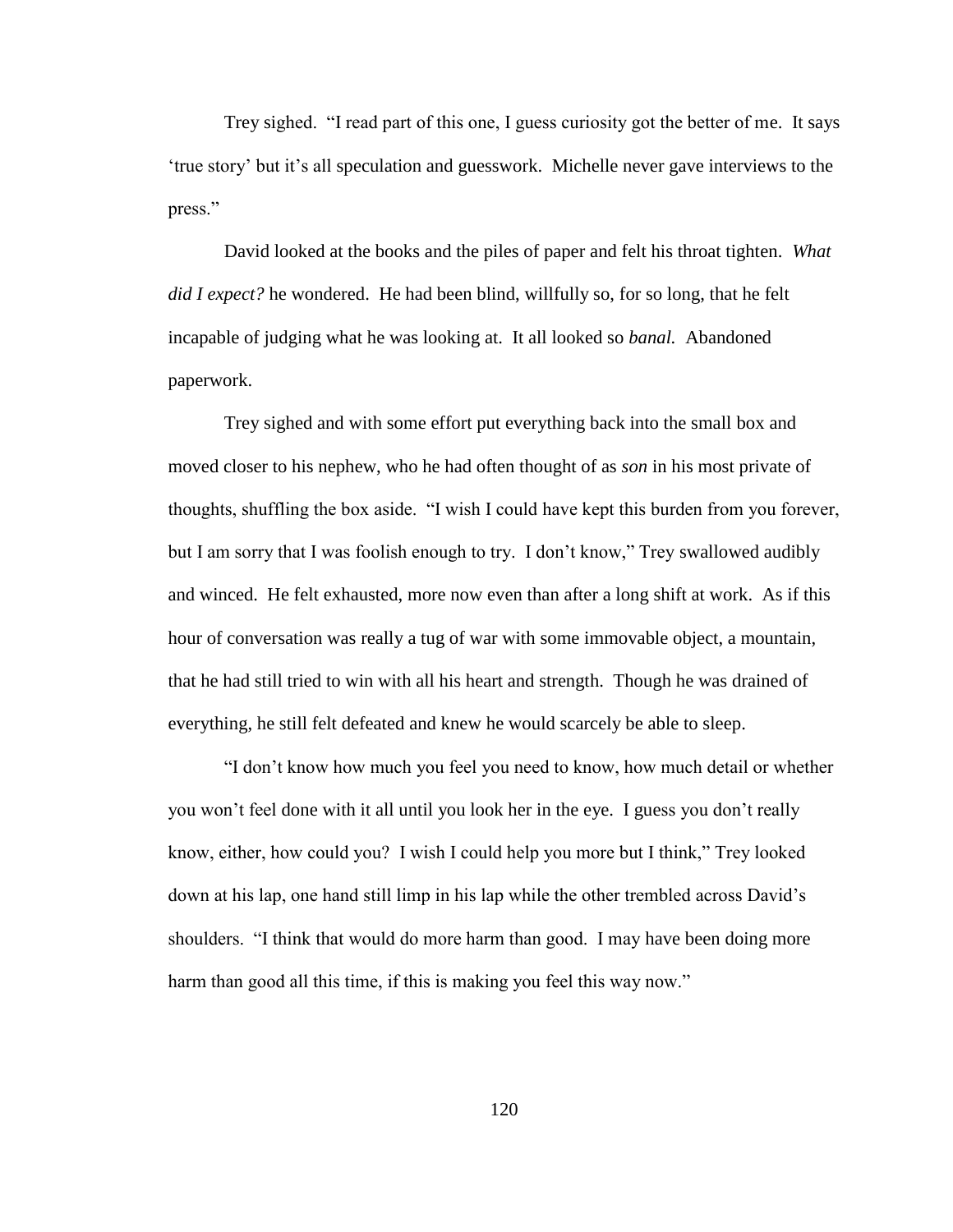Trey sighed. "I read part of this one, I guess curiosity got the better of me. It says "true story" but it"s all speculation and guesswork. Michelle never gave interviews to the press."

David looked at the books and the piles of paper and felt his throat tighten. *What did I expect?* he wondered. He had been blind, willfully so, for so long, that he felt incapable of judging what he was looking at. It all looked so *banal.* Abandoned paperwork.

Trey sighed and with some effort put everything back into the small box and moved closer to his nephew, who he had often thought of as *son* in his most private of thoughts, shuffling the box aside. "I wish I could have kept this burden from you forever, but I am sorry that I was foolish enough to try. I don"t know," Trey swallowed audibly and winced. He felt exhausted, more now even than after a long shift at work. As if this hour of conversation was really a tug of war with some immovable object, a mountain, that he had still tried to win with all his heart and strength. Though he was drained of everything, he still felt defeated and knew he would scarcely be able to sleep.

"I don"t know how much you feel you need to know, how much detail or whether you won"t feel done with it all until you look her in the eye. I guess you don"t really know, either, how could you? I wish I could help you more but I think," Trey looked down at his lap, one hand still limp in his lap while the other trembled across David"s shoulders. "I think that would do more harm than good. I may have been doing more harm than good all this time, if this is making you feel this way now."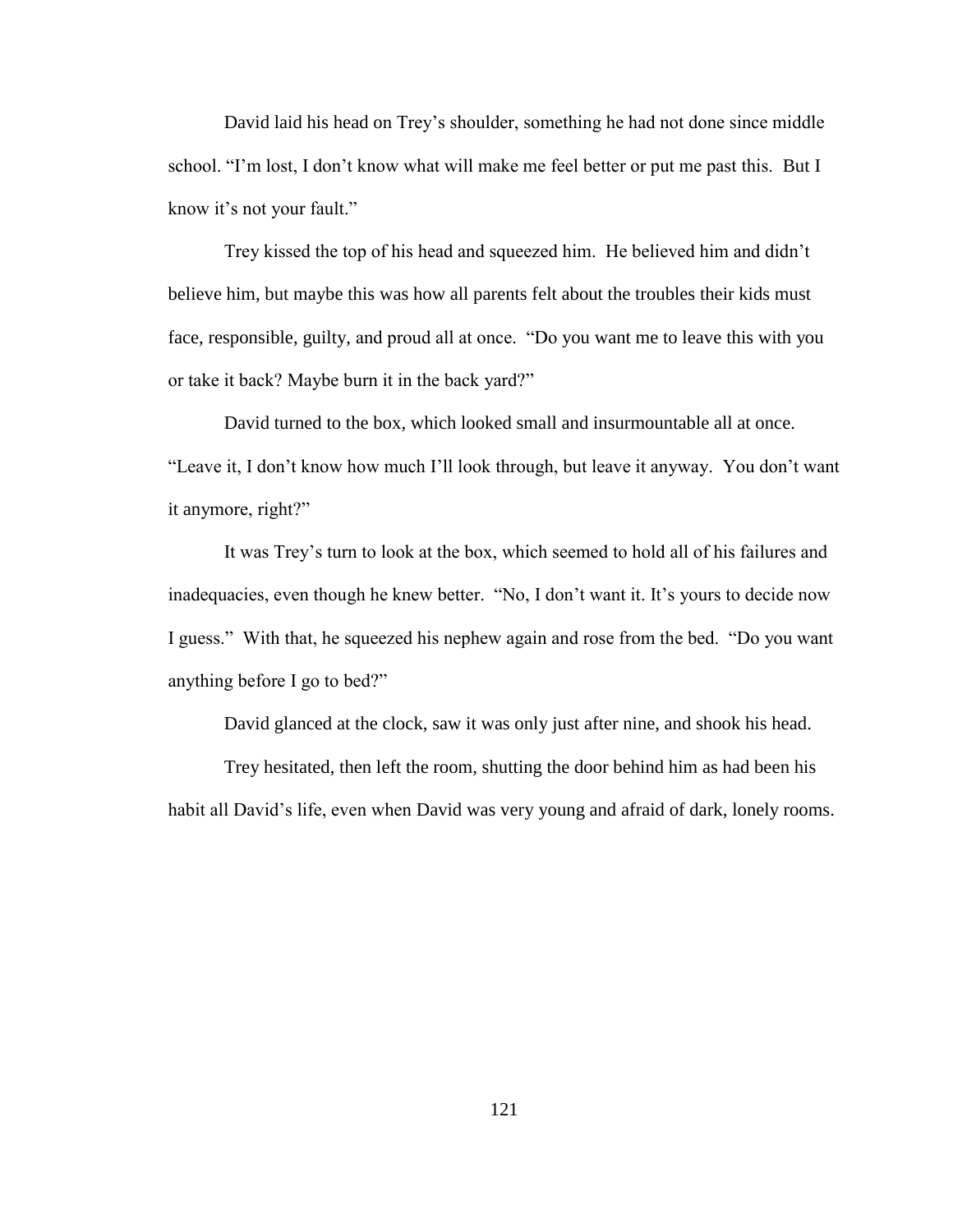David laid his head on Trey"s shoulder, something he had not done since middle school. "I'm lost, I don't know what will make me feel better or put me past this. But I know it's not your fault."

Trey kissed the top of his head and squeezed him. He believed him and didn"t believe him, but maybe this was how all parents felt about the troubles their kids must face, responsible, guilty, and proud all at once. "Do you want me to leave this with you or take it back? Maybe burn it in the back yard?"

David turned to the box, which looked small and insurmountable all at once. "Leave it, I don"t know how much I"ll look through, but leave it anyway. You don"t want it anymore, right?"

It was Trey"s turn to look at the box, which seemed to hold all of his failures and inadequacies, even though he knew better. "No, I don't want it. It's yours to decide now I guess." With that, he squeezed his nephew again and rose from the bed. "Do you want anything before I go to bed?"

David glanced at the clock, saw it was only just after nine, and shook his head.

Trey hesitated, then left the room, shutting the door behind him as had been his habit all David"s life, even when David was very young and afraid of dark, lonely rooms.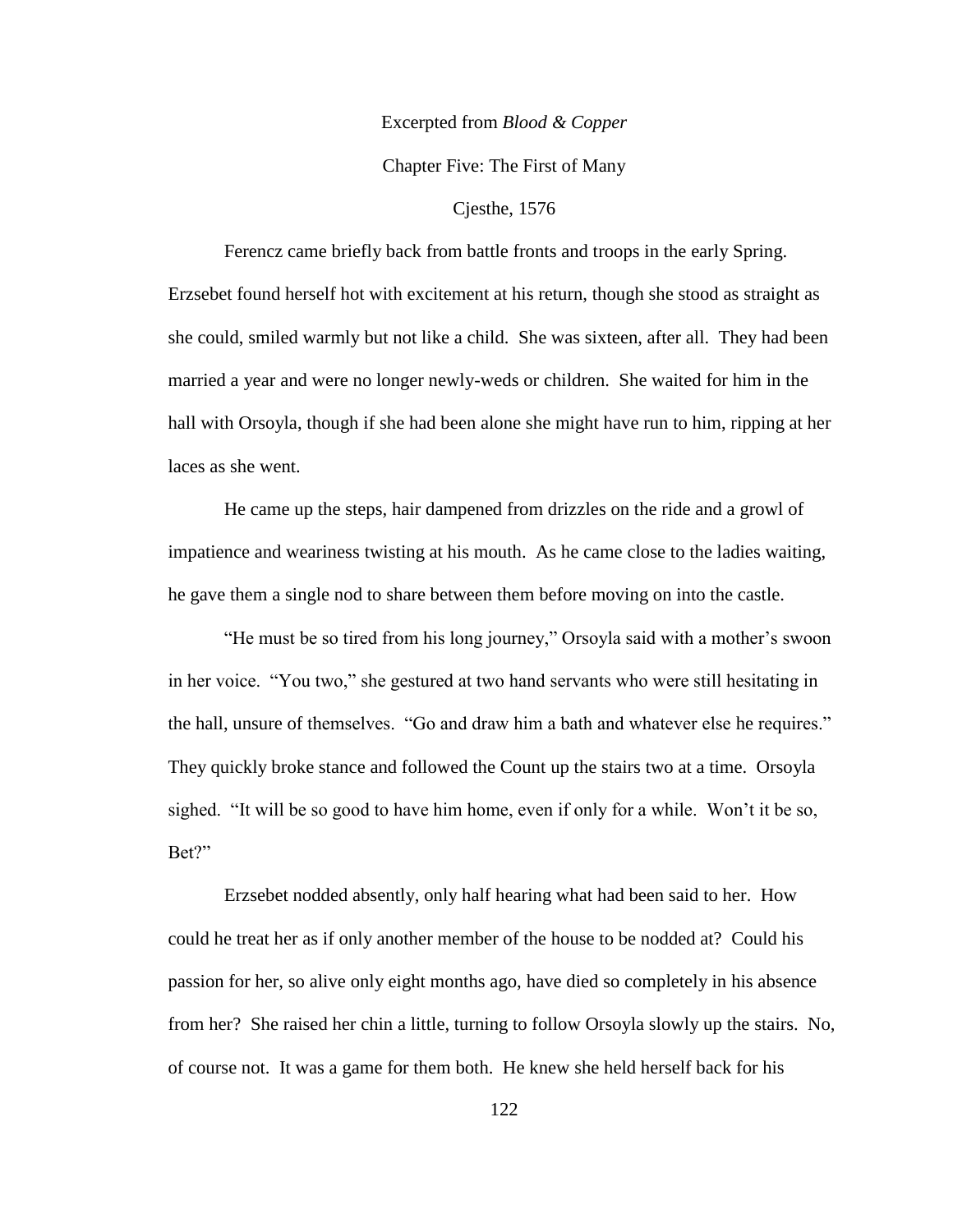# Excerpted from *Blood & Copper*

Chapter Five: The First of Many

## Cjesthe, 1576

Ferencz came briefly back from battle fronts and troops in the early Spring. Erzsebet found herself hot with excitement at his return, though she stood as straight as she could, smiled warmly but not like a child. She was sixteen, after all. They had been married a year and were no longer newly-weds or children. She waited for him in the hall with Orsoyla, though if she had been alone she might have run to him, ripping at her laces as she went.

He came up the steps, hair dampened from drizzles on the ride and a growl of impatience and weariness twisting at his mouth. As he came close to the ladies waiting, he gave them a single nod to share between them before moving on into the castle.

"He must be so tired from his long journey," Orsoyla said with a mother"s swoon in her voice. "You two," she gestured at two hand servants who were still hesitating in the hall, unsure of themselves. "Go and draw him a bath and whatever else he requires." They quickly broke stance and followed the Count up the stairs two at a time. Orsoyla sighed. "It will be so good to have him home, even if only for a while. Won"t it be so, Bet?"

Erzsebet nodded absently, only half hearing what had been said to her. How could he treat her as if only another member of the house to be nodded at? Could his passion for her, so alive only eight months ago, have died so completely in his absence from her? She raised her chin a little, turning to follow Orsoyla slowly up the stairs. No, of course not. It was a game for them both. He knew she held herself back for his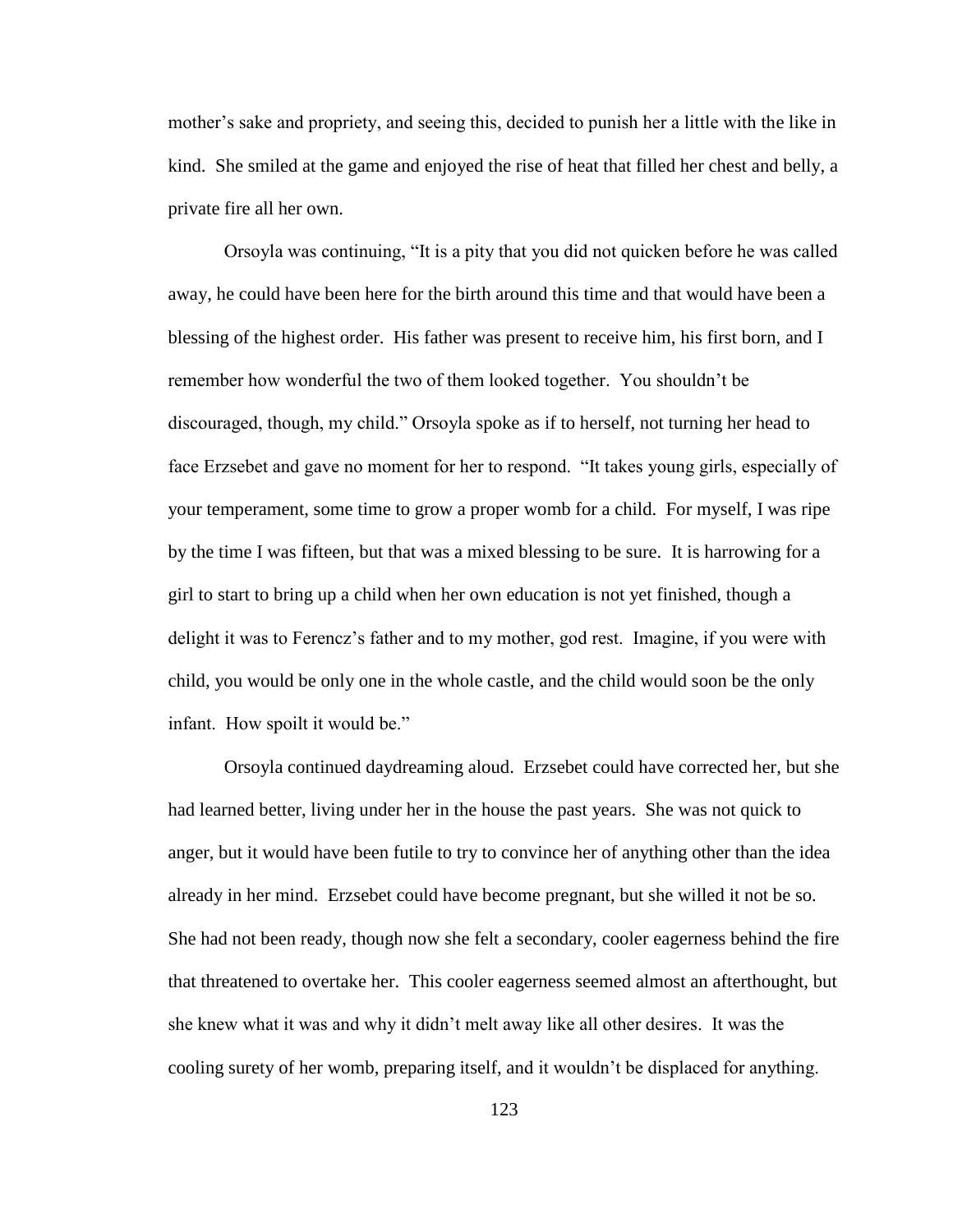mother's sake and propriety, and seeing this, decided to punish her a little with the like in kind. She smiled at the game and enjoyed the rise of heat that filled her chest and belly, a private fire all her own.

Orsoyla was continuing, "It is a pity that you did not quicken before he was called away, he could have been here for the birth around this time and that would have been a blessing of the highest order. His father was present to receive him, his first born, and I remember how wonderful the two of them looked together. You shouldn"t be discouraged, though, my child." Orsoyla spoke as if to herself, not turning her head to face Erzsebet and gave no moment for her to respond. "It takes young girls, especially of your temperament, some time to grow a proper womb for a child. For myself, I was ripe by the time I was fifteen, but that was a mixed blessing to be sure. It is harrowing for a girl to start to bring up a child when her own education is not yet finished, though a delight it was to Ferencz"s father and to my mother, god rest. Imagine, if you were with child, you would be only one in the whole castle, and the child would soon be the only infant. How spoilt it would be."

Orsoyla continued daydreaming aloud. Erzsebet could have corrected her, but she had learned better, living under her in the house the past years. She was not quick to anger, but it would have been futile to try to convince her of anything other than the idea already in her mind. Erzsebet could have become pregnant, but she willed it not be so. She had not been ready, though now she felt a secondary, cooler eagerness behind the fire that threatened to overtake her. This cooler eagerness seemed almost an afterthought, but she knew what it was and why it didn"t melt away like all other desires. It was the cooling surety of her womb, preparing itself, and it wouldn"t be displaced for anything.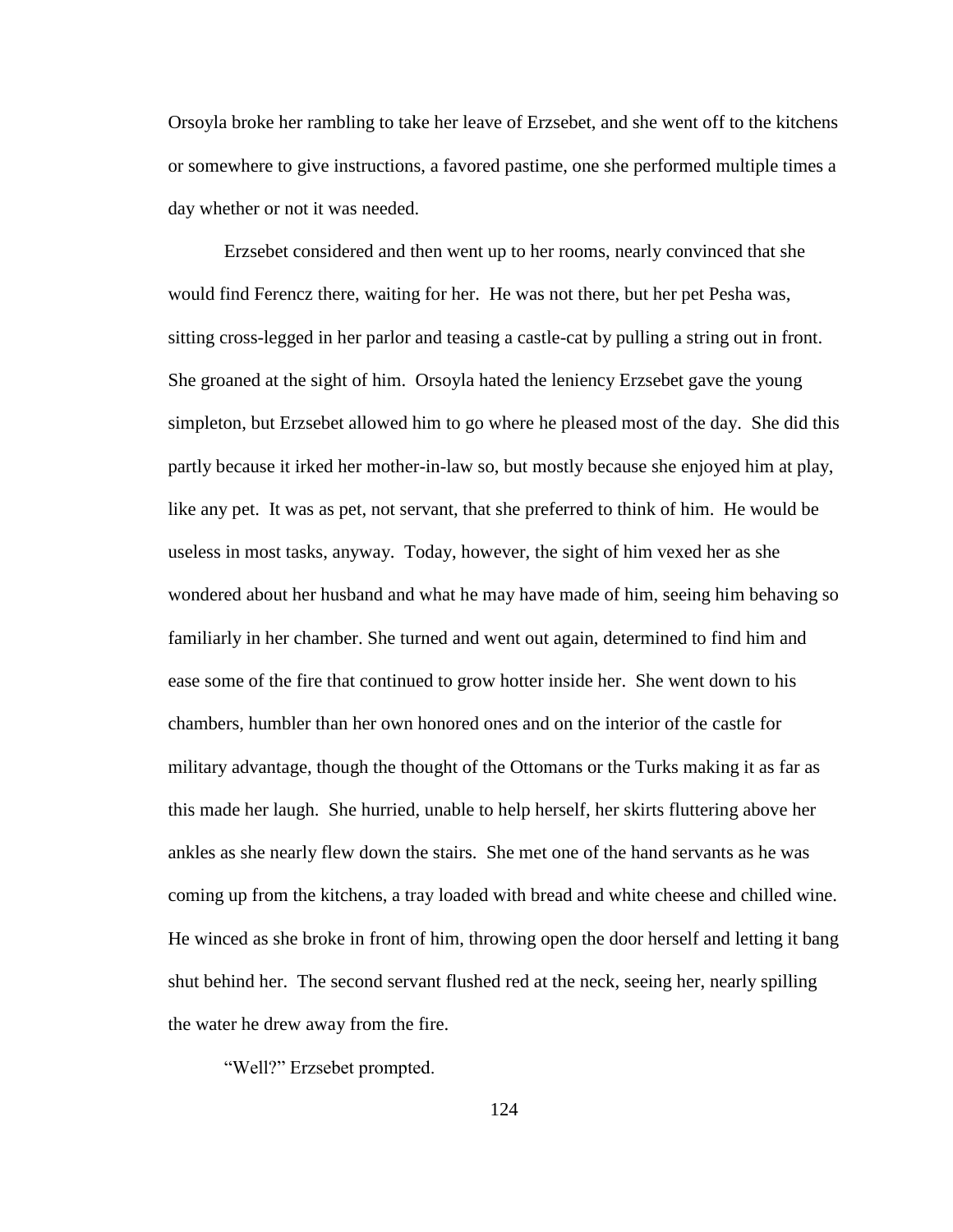Orsoyla broke her rambling to take her leave of Erzsebet, and she went off to the kitchens or somewhere to give instructions, a favored pastime, one she performed multiple times a day whether or not it was needed.

Erzsebet considered and then went up to her rooms, nearly convinced that she would find Ferencz there, waiting for her. He was not there, but her pet Pesha was, sitting cross-legged in her parlor and teasing a castle-cat by pulling a string out in front. She groaned at the sight of him. Orsoyla hated the leniency Erzsebet gave the young simpleton, but Erzsebet allowed him to go where he pleased most of the day. She did this partly because it irked her mother-in-law so, but mostly because she enjoyed him at play, like any pet. It was as pet, not servant, that she preferred to think of him. He would be useless in most tasks, anyway. Today, however, the sight of him vexed her as she wondered about her husband and what he may have made of him, seeing him behaving so familiarly in her chamber. She turned and went out again, determined to find him and ease some of the fire that continued to grow hotter inside her. She went down to his chambers, humbler than her own honored ones and on the interior of the castle for military advantage, though the thought of the Ottomans or the Turks making it as far as this made her laugh. She hurried, unable to help herself, her skirts fluttering above her ankles as she nearly flew down the stairs. She met one of the hand servants as he was coming up from the kitchens, a tray loaded with bread and white cheese and chilled wine. He winced as she broke in front of him, throwing open the door herself and letting it bang shut behind her. The second servant flushed red at the neck, seeing her, nearly spilling the water he drew away from the fire.

"Well?" Erzsebet prompted.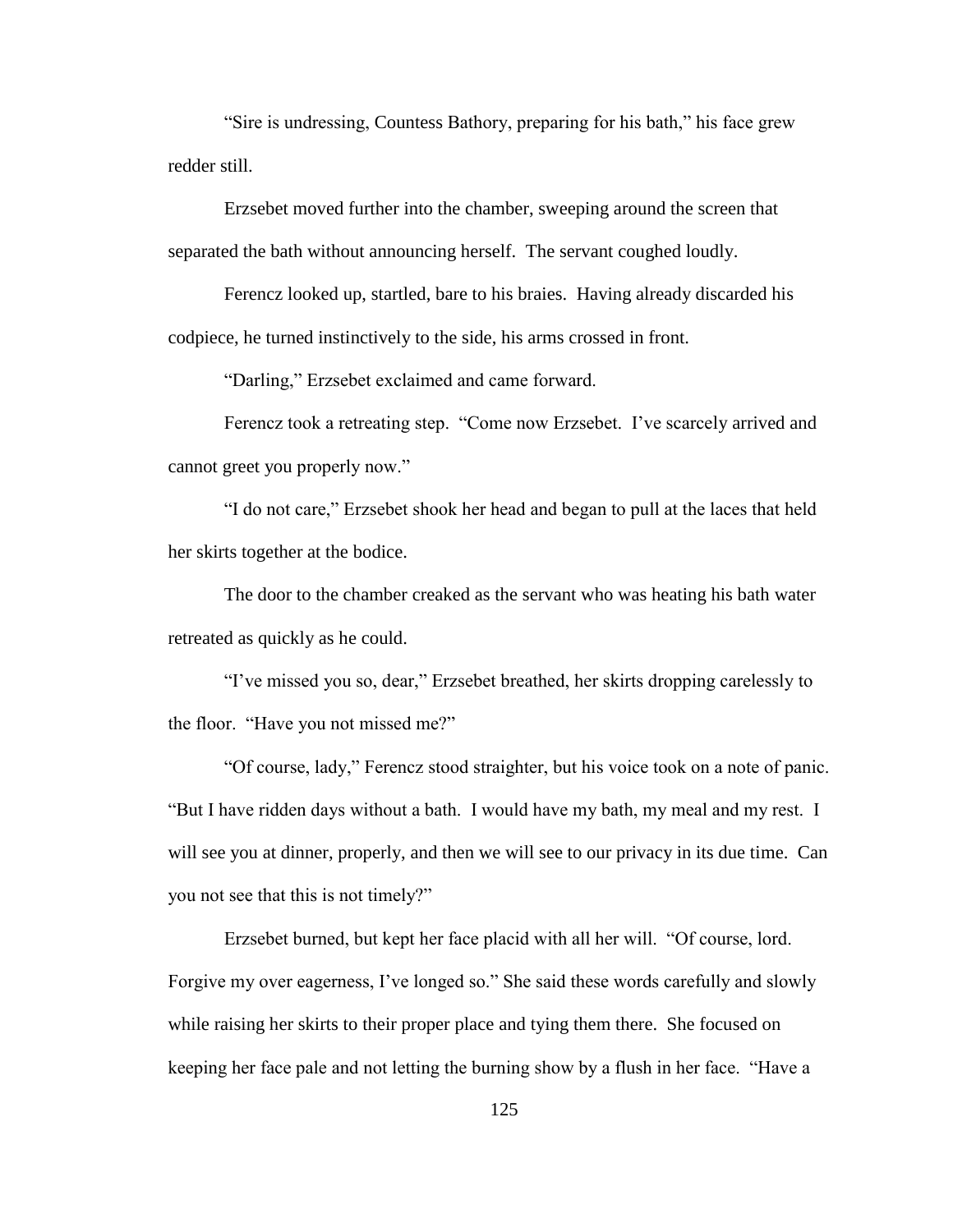"Sire is undressing, Countess Bathory, preparing for his bath," his face grew redder still.

Erzsebet moved further into the chamber, sweeping around the screen that separated the bath without announcing herself. The servant coughed loudly.

Ferencz looked up, startled, bare to his braies. Having already discarded his codpiece, he turned instinctively to the side, his arms crossed in front.

"Darling," Erzsebet exclaimed and came forward.

Ferencz took a retreating step. "Come now Erzsebet. I've scarcely arrived and cannot greet you properly now."

"I do not care," Erzsebet shook her head and began to pull at the laces that held her skirts together at the bodice.

The door to the chamber creaked as the servant who was heating his bath water retreated as quickly as he could.

"I"ve missed you so, dear," Erzsebet breathed, her skirts dropping carelessly to the floor. "Have you not missed me?"

"Of course, lady," Ferencz stood straighter, but his voice took on a note of panic. "But I have ridden days without a bath. I would have my bath, my meal and my rest. I will see you at dinner, properly, and then we will see to our privacy in its due time. Can you not see that this is not timely?"

Erzsebet burned, but kept her face placid with all her will. "Of course, lord. Forgive my over eagerness, I've longed so." She said these words carefully and slowly while raising her skirts to their proper place and tying them there. She focused on keeping her face pale and not letting the burning show by a flush in her face. "Have a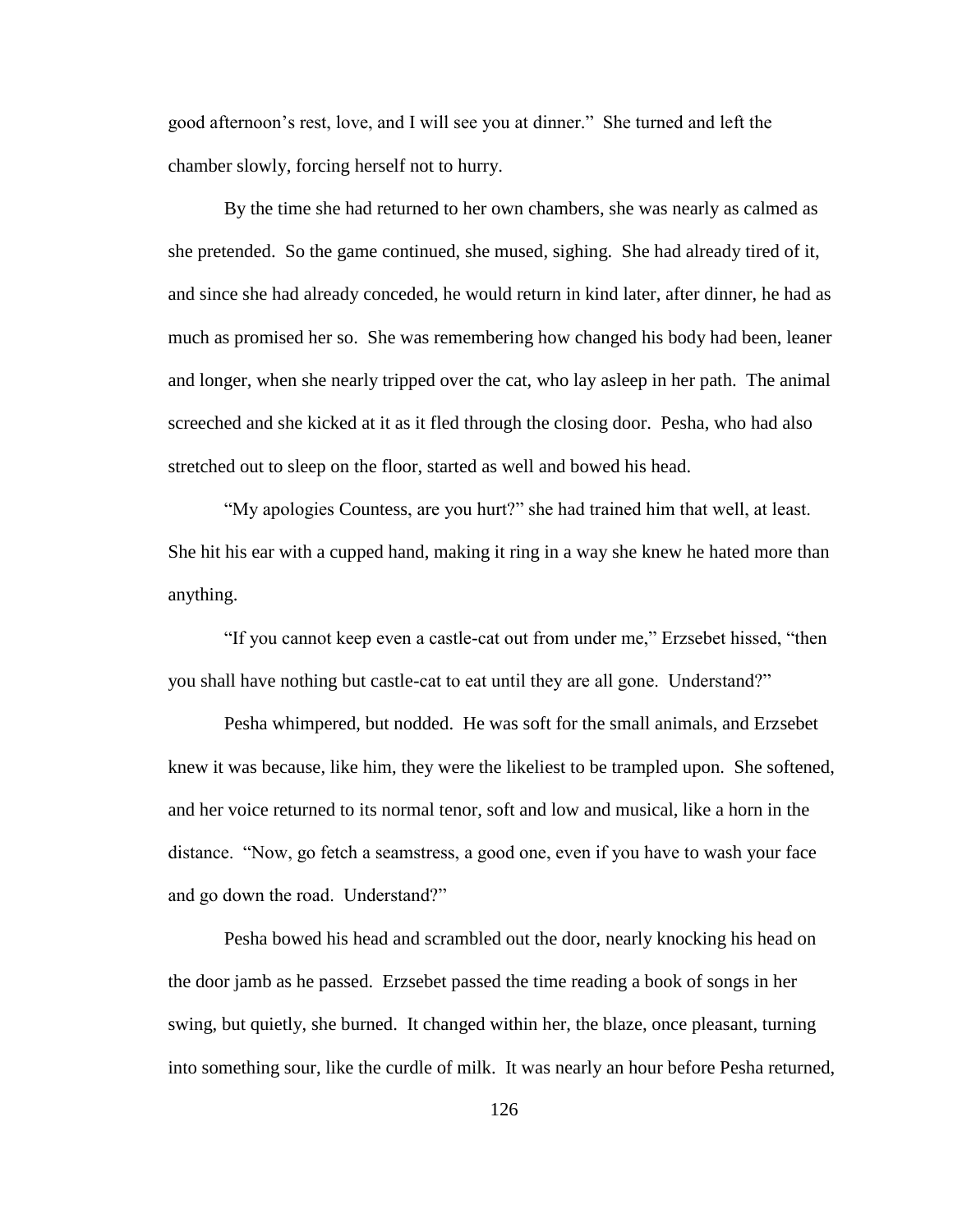good afternoon"s rest, love, and I will see you at dinner." She turned and left the chamber slowly, forcing herself not to hurry.

By the time she had returned to her own chambers, she was nearly as calmed as she pretended. So the game continued, she mused, sighing. She had already tired of it, and since she had already conceded, he would return in kind later, after dinner, he had as much as promised her so. She was remembering how changed his body had been, leaner and longer, when she nearly tripped over the cat, who lay asleep in her path. The animal screeched and she kicked at it as it fled through the closing door. Pesha, who had also stretched out to sleep on the floor, started as well and bowed his head.

"My apologies Countess, are you hurt?" she had trained him that well, at least. She hit his ear with a cupped hand, making it ring in a way she knew he hated more than anything.

"If you cannot keep even a castle-cat out from under me," Erzsebet hissed, "then you shall have nothing but castle-cat to eat until they are all gone. Understand?"

Pesha whimpered, but nodded. He was soft for the small animals, and Erzsebet knew it was because, like him, they were the likeliest to be trampled upon. She softened, and her voice returned to its normal tenor, soft and low and musical, like a horn in the distance. "Now, go fetch a seamstress, a good one, even if you have to wash your face and go down the road. Understand?"

Pesha bowed his head and scrambled out the door, nearly knocking his head on the door jamb as he passed. Erzsebet passed the time reading a book of songs in her swing, but quietly, she burned. It changed within her, the blaze, once pleasant, turning into something sour, like the curdle of milk. It was nearly an hour before Pesha returned,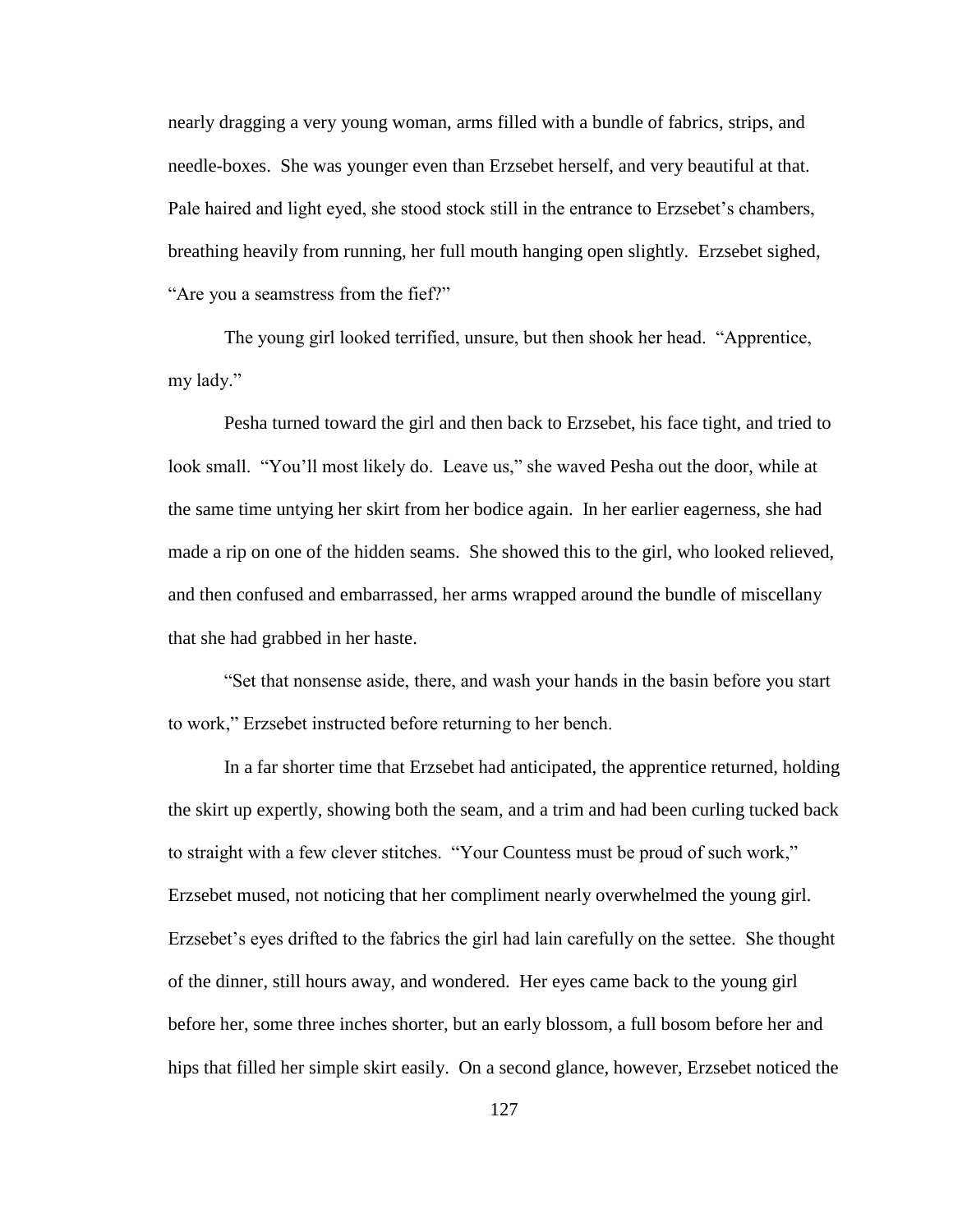nearly dragging a very young woman, arms filled with a bundle of fabrics, strips, and needle-boxes. She was younger even than Erzsebet herself, and very beautiful at that. Pale haired and light eyed, she stood stock still in the entrance to Erzsebet"s chambers, breathing heavily from running, her full mouth hanging open slightly. Erzsebet sighed, "Are you a seamstress from the fief?"

The young girl looked terrified, unsure, but then shook her head. "Apprentice, my lady."

Pesha turned toward the girl and then back to Erzsebet, his face tight, and tried to look small. "You"ll most likely do. Leave us," she waved Pesha out the door, while at the same time untying her skirt from her bodice again. In her earlier eagerness, she had made a rip on one of the hidden seams. She showed this to the girl, who looked relieved, and then confused and embarrassed, her arms wrapped around the bundle of miscellany that she had grabbed in her haste.

"Set that nonsense aside, there, and wash your hands in the basin before you start to work," Erzsebet instructed before returning to her bench.

In a far shorter time that Erzsebet had anticipated, the apprentice returned, holding the skirt up expertly, showing both the seam, and a trim and had been curling tucked back to straight with a few clever stitches. "Your Countess must be proud of such work," Erzsebet mused, not noticing that her compliment nearly overwhelmed the young girl. Erzsebet's eyes drifted to the fabrics the girl had lain carefully on the settee. She thought of the dinner, still hours away, and wondered. Her eyes came back to the young girl before her, some three inches shorter, but an early blossom, a full bosom before her and hips that filled her simple skirt easily. On a second glance, however, Erzsebet noticed the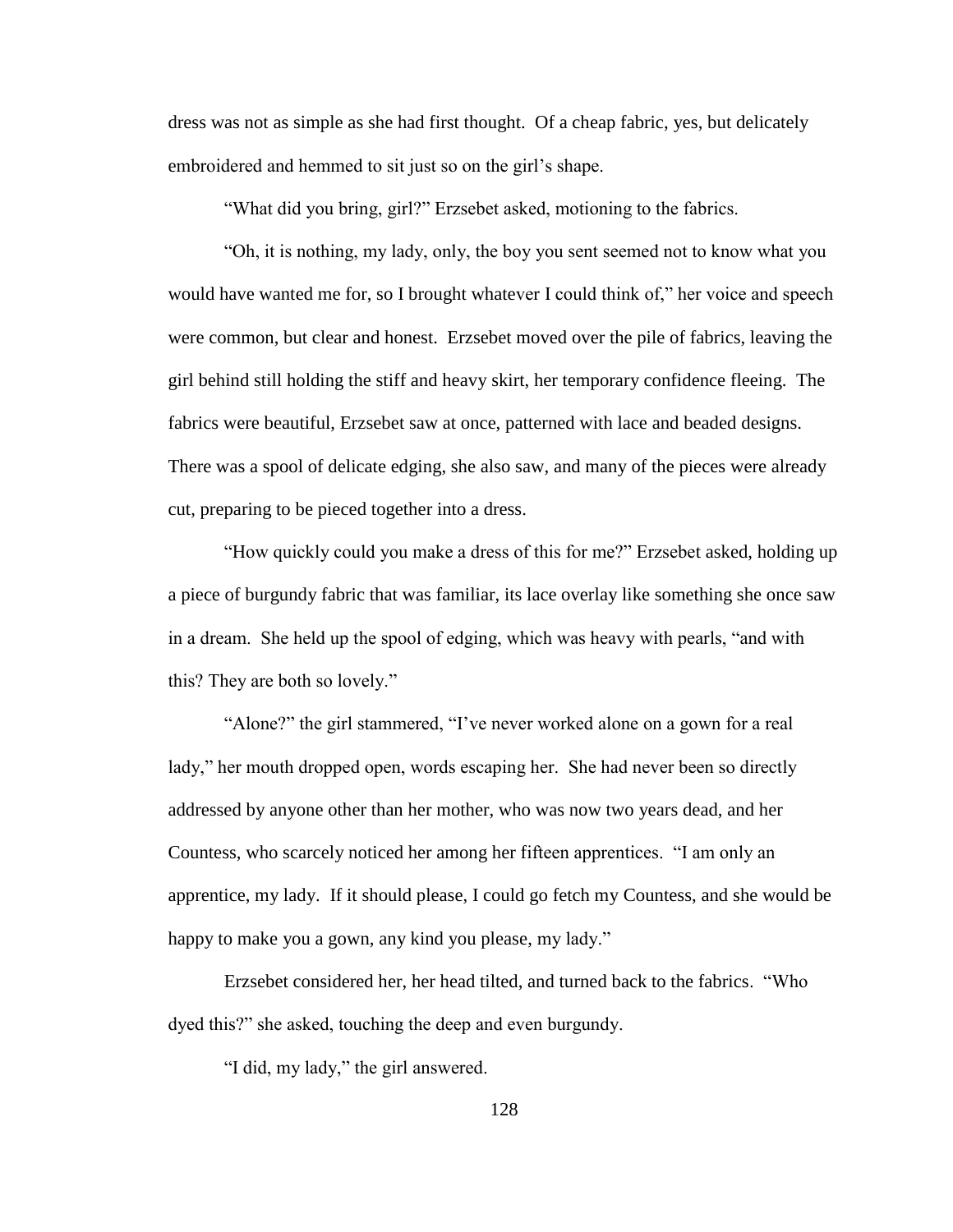dress was not as simple as she had first thought. Of a cheap fabric, yes, but delicately embroidered and hemmed to sit just so on the girl's shape.

"What did you bring, girl?" Erzsebet asked, motioning to the fabrics.

"Oh, it is nothing, my lady, only, the boy you sent seemed not to know what you would have wanted me for, so I brought whatever I could think of," her voice and speech were common, but clear and honest. Erzsebet moved over the pile of fabrics, leaving the girl behind still holding the stiff and heavy skirt, her temporary confidence fleeing. The fabrics were beautiful, Erzsebet saw at once, patterned with lace and beaded designs. There was a spool of delicate edging, she also saw, and many of the pieces were already cut, preparing to be pieced together into a dress.

"How quickly could you make a dress of this for me?" Erzsebet asked, holding up a piece of burgundy fabric that was familiar, its lace overlay like something she once saw in a dream. She held up the spool of edging, which was heavy with pearls, "and with this? They are both so lovely."

"Alone?" the girl stammered, "I've never worked alone on a gown for a real lady," her mouth dropped open, words escaping her. She had never been so directly addressed by anyone other than her mother, who was now two years dead, and her Countess, who scarcely noticed her among her fifteen apprentices. "I am only an apprentice, my lady. If it should please, I could go fetch my Countess, and she would be happy to make you a gown, any kind you please, my lady."

Erzsebet considered her, her head tilted, and turned back to the fabrics. "Who dyed this?" she asked, touching the deep and even burgundy.

"I did, my lady," the girl answered.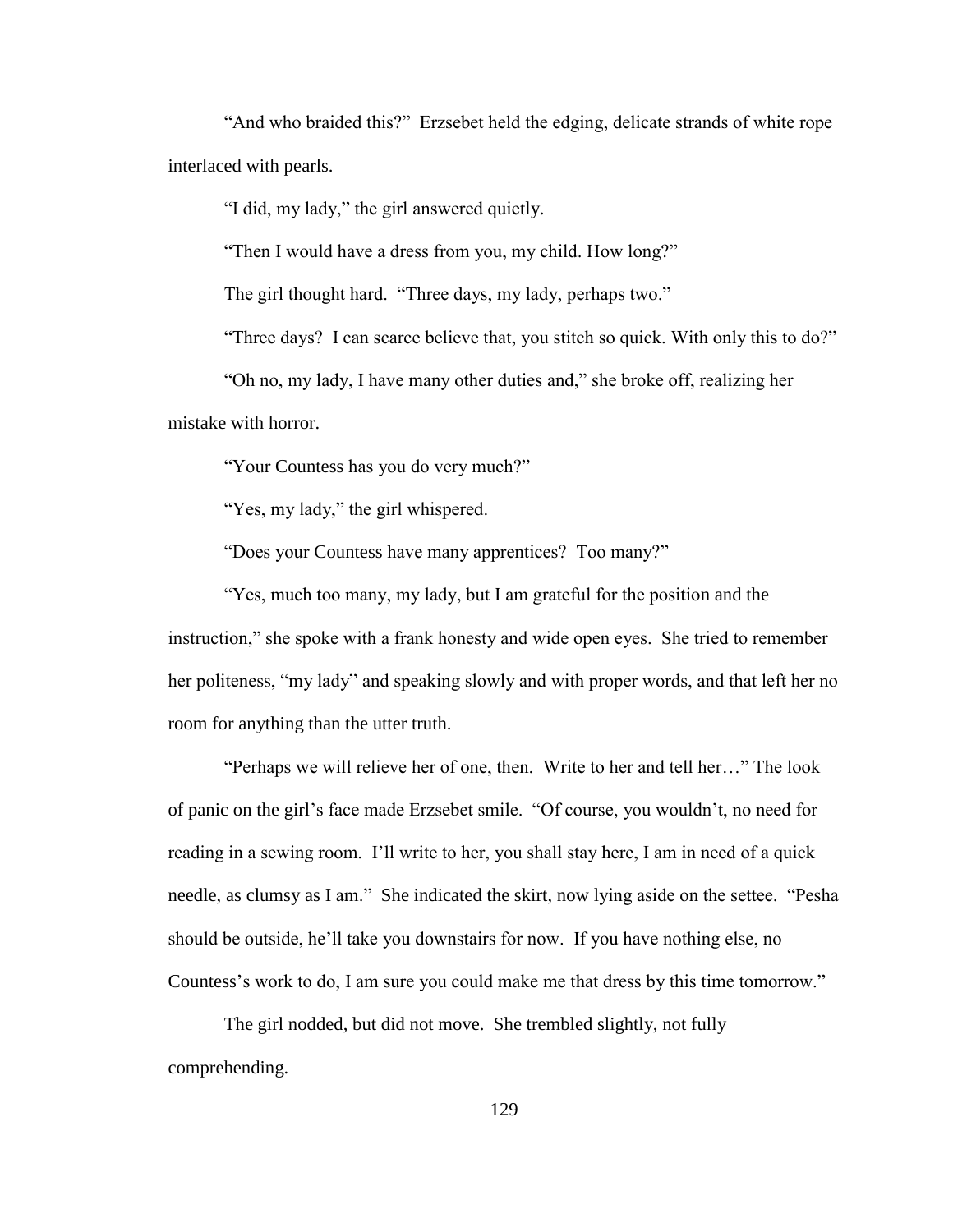"And who braided this?" Erzsebet held the edging, delicate strands of white rope interlaced with pearls.

"I did, my lady," the girl answered quietly.

"Then I would have a dress from you, my child. How long?"

The girl thought hard. "Three days, my lady, perhaps two."

"Three days? I can scarce believe that, you stitch so quick. With only this to do?"

"Oh no, my lady, I have many other duties and," she broke off, realizing her mistake with horror.

"Your Countess has you do very much?"

"Yes, my lady," the girl whispered.

"Does your Countess have many apprentices? Too many?"

"Yes, much too many, my lady, but I am grateful for the position and the instruction," she spoke with a frank honesty and wide open eyes. She tried to remember her politeness, "my lady" and speaking slowly and with proper words, and that left her no room for anything than the utter truth.

"Perhaps we will relieve her of one, then. Write to her and tell her…" The look of panic on the girl"s face made Erzsebet smile. "Of course, you wouldn"t, no need for reading in a sewing room. I"ll write to her, you shall stay here, I am in need of a quick needle, as clumsy as I am." She indicated the skirt, now lying aside on the settee. "Pesha should be outside, he"ll take you downstairs for now. If you have nothing else, no Countess"s work to do, I am sure you could make me that dress by this time tomorrow."

The girl nodded, but did not move. She trembled slightly, not fully comprehending.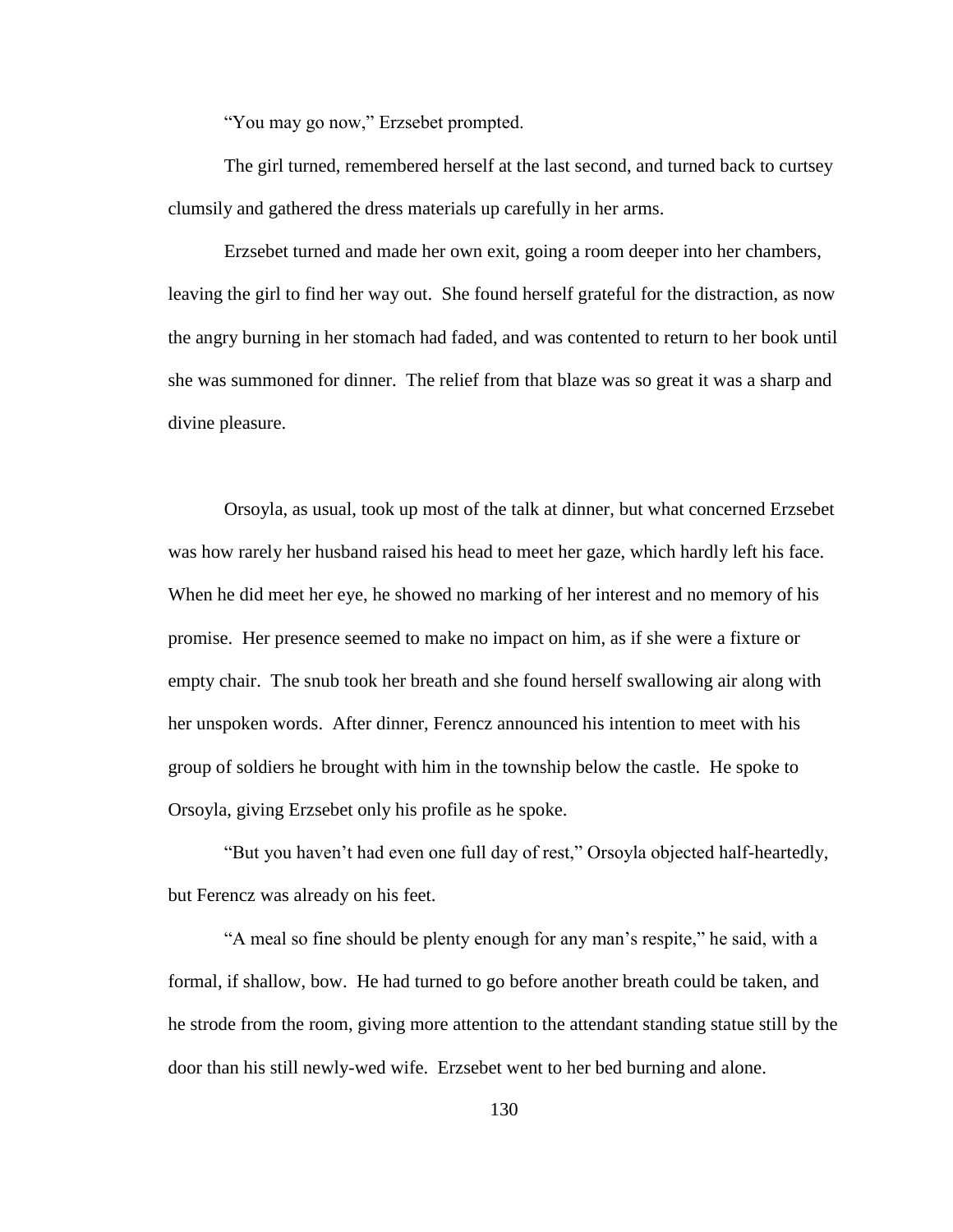"You may go now," Erzsebet prompted.

The girl turned, remembered herself at the last second, and turned back to curtsey clumsily and gathered the dress materials up carefully in her arms.

Erzsebet turned and made her own exit, going a room deeper into her chambers, leaving the girl to find her way out. She found herself grateful for the distraction, as now the angry burning in her stomach had faded, and was contented to return to her book until she was summoned for dinner. The relief from that blaze was so great it was a sharp and divine pleasure.

Orsoyla, as usual, took up most of the talk at dinner, but what concerned Erzsebet was how rarely her husband raised his head to meet her gaze, which hardly left his face. When he did meet her eye, he showed no marking of her interest and no memory of his promise. Her presence seemed to make no impact on him, as if she were a fixture or empty chair. The snub took her breath and she found herself swallowing air along with her unspoken words. After dinner, Ferencz announced his intention to meet with his group of soldiers he brought with him in the township below the castle. He spoke to Orsoyla, giving Erzsebet only his profile as he spoke.

"But you haven"t had even one full day of rest," Orsoyla objected half-heartedly, but Ferencz was already on his feet.

"A meal so fine should be plenty enough for any man"s respite," he said, with a formal, if shallow, bow. He had turned to go before another breath could be taken, and he strode from the room, giving more attention to the attendant standing statue still by the door than his still newly-wed wife. Erzsebet went to her bed burning and alone.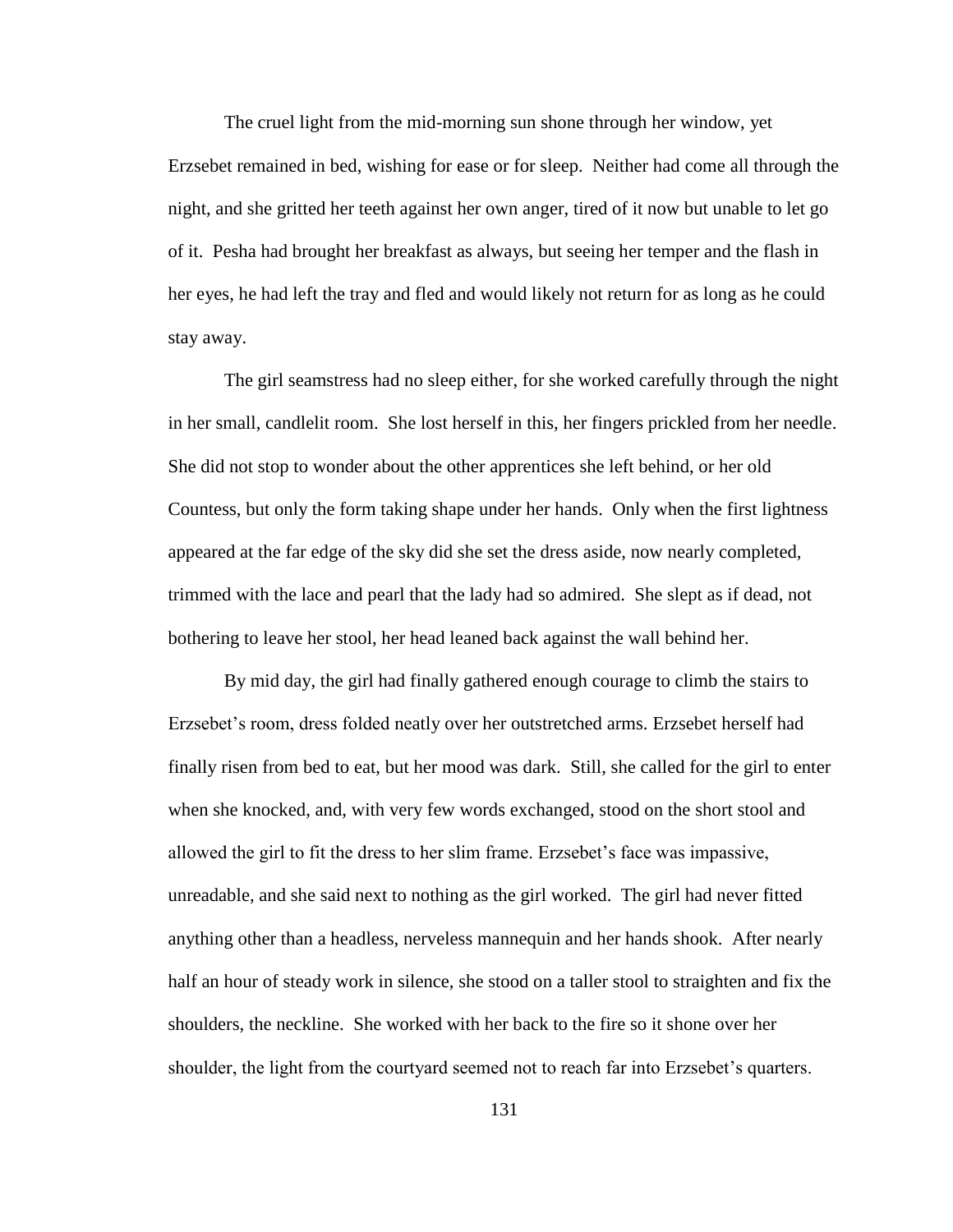The cruel light from the mid-morning sun shone through her window, yet Erzsebet remained in bed, wishing for ease or for sleep. Neither had come all through the night, and she gritted her teeth against her own anger, tired of it now but unable to let go of it. Pesha had brought her breakfast as always, but seeing her temper and the flash in her eyes, he had left the tray and fled and would likely not return for as long as he could stay away.

The girl seamstress had no sleep either, for she worked carefully through the night in her small, candlelit room. She lost herself in this, her fingers prickled from her needle. She did not stop to wonder about the other apprentices she left behind, or her old Countess, but only the form taking shape under her hands. Only when the first lightness appeared at the far edge of the sky did she set the dress aside, now nearly completed, trimmed with the lace and pearl that the lady had so admired. She slept as if dead, not bothering to leave her stool, her head leaned back against the wall behind her.

By mid day, the girl had finally gathered enough courage to climb the stairs to Erzsebet"s room, dress folded neatly over her outstretched arms. Erzsebet herself had finally risen from bed to eat, but her mood was dark. Still, she called for the girl to enter when she knocked, and, with very few words exchanged, stood on the short stool and allowed the girl to fit the dress to her slim frame. Erzsebet"s face was impassive, unreadable, and she said next to nothing as the girl worked. The girl had never fitted anything other than a headless, nerveless mannequin and her hands shook. After nearly half an hour of steady work in silence, she stood on a taller stool to straighten and fix the shoulders, the neckline. She worked with her back to the fire so it shone over her shoulder, the light from the courtyard seemed not to reach far into Erzsebet's quarters.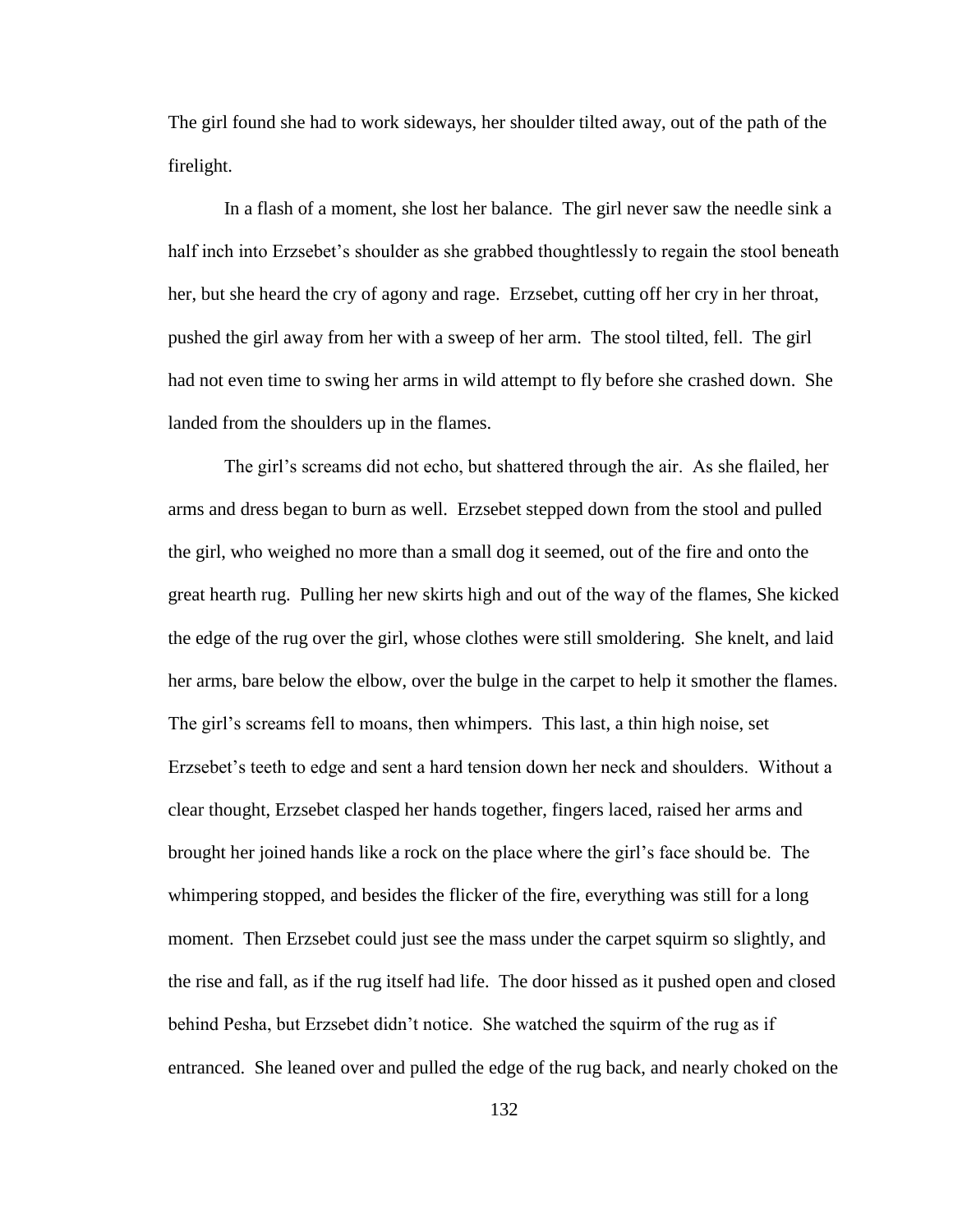The girl found she had to work sideways, her shoulder tilted away, out of the path of the firelight.

In a flash of a moment, she lost her balance. The girl never saw the needle sink a half inch into Erzsebet's shoulder as she grabbed thoughtlessly to regain the stool beneath her, but she heard the cry of agony and rage. Erzsebet, cutting off her cry in her throat, pushed the girl away from her with a sweep of her arm. The stool tilted, fell. The girl had not even time to swing her arms in wild attempt to fly before she crashed down. She landed from the shoulders up in the flames.

The girl"s screams did not echo, but shattered through the air. As she flailed, her arms and dress began to burn as well. Erzsebet stepped down from the stool and pulled the girl, who weighed no more than a small dog it seemed, out of the fire and onto the great hearth rug. Pulling her new skirts high and out of the way of the flames, She kicked the edge of the rug over the girl, whose clothes were still smoldering. She knelt, and laid her arms, bare below the elbow, over the bulge in the carpet to help it smother the flames. The girl's screams fell to moans, then whimpers. This last, a thin high noise, set Erzsebet"s teeth to edge and sent a hard tension down her neck and shoulders. Without a clear thought, Erzsebet clasped her hands together, fingers laced, raised her arms and brought her joined hands like a rock on the place where the girl"s face should be. The whimpering stopped, and besides the flicker of the fire, everything was still for a long moment. Then Erzsebet could just see the mass under the carpet squirm so slightly, and the rise and fall, as if the rug itself had life. The door hissed as it pushed open and closed behind Pesha, but Erzsebet didn"t notice. She watched the squirm of the rug as if entranced. She leaned over and pulled the edge of the rug back, and nearly choked on the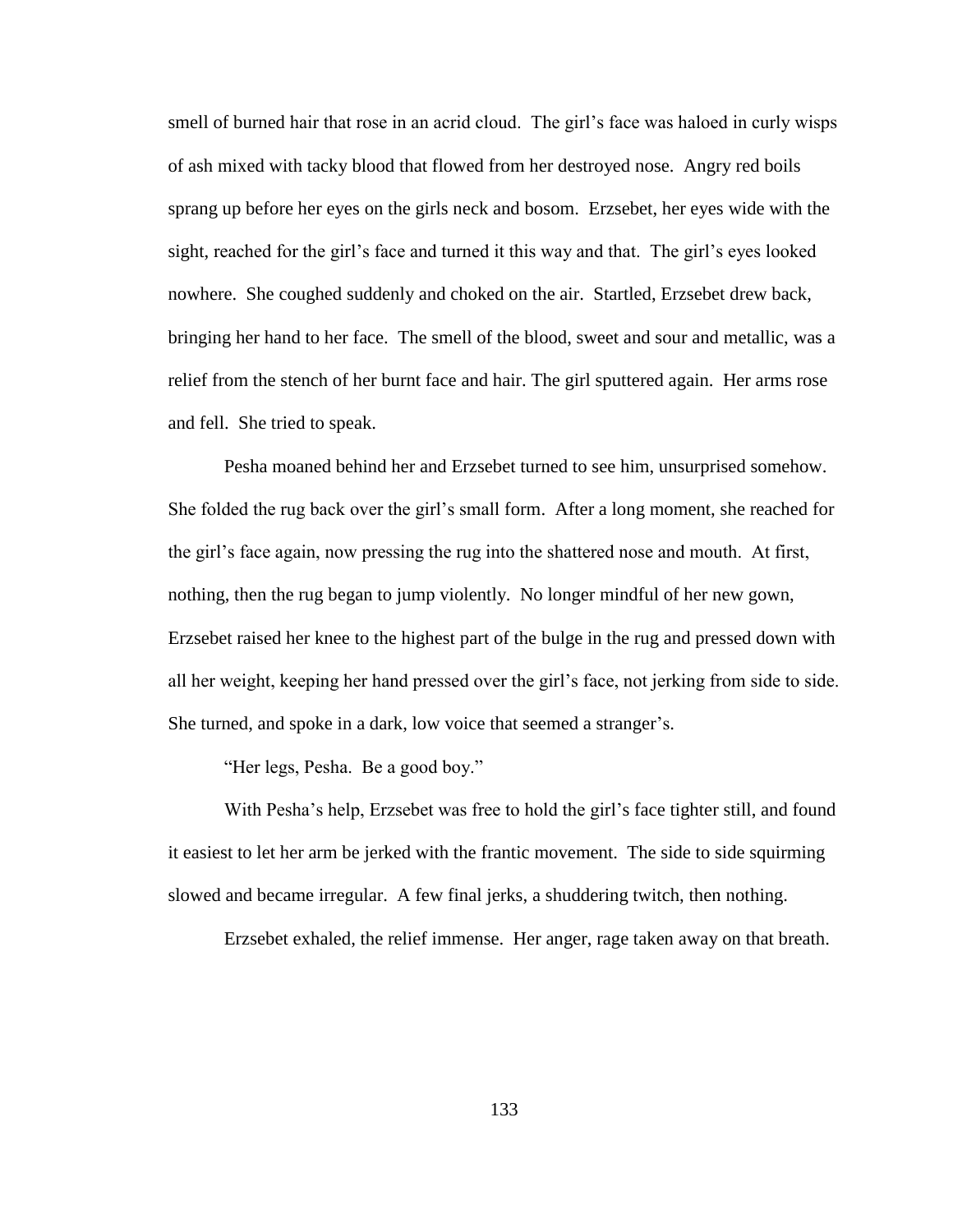smell of burned hair that rose in an acrid cloud. The girl's face was haloed in curly wisps of ash mixed with tacky blood that flowed from her destroyed nose. Angry red boils sprang up before her eyes on the girls neck and bosom. Erzsebet, her eyes wide with the sight, reached for the girl's face and turned it this way and that. The girl's eyes looked nowhere. She coughed suddenly and choked on the air. Startled, Erzsebet drew back, bringing her hand to her face. The smell of the blood, sweet and sour and metallic, was a relief from the stench of her burnt face and hair. The girl sputtered again. Her arms rose and fell. She tried to speak.

Pesha moaned behind her and Erzsebet turned to see him, unsurprised somehow. She folded the rug back over the girl"s small form. After a long moment, she reached for the girl"s face again, now pressing the rug into the shattered nose and mouth. At first, nothing, then the rug began to jump violently. No longer mindful of her new gown, Erzsebet raised her knee to the highest part of the bulge in the rug and pressed down with all her weight, keeping her hand pressed over the girl"s face, not jerking from side to side. She turned, and spoke in a dark, low voice that seemed a stranger's.

"Her legs, Pesha. Be a good boy."

With Pesha's help, Erzsebet was free to hold the girl's face tighter still, and found it easiest to let her arm be jerked with the frantic movement. The side to side squirming slowed and became irregular. A few final jerks, a shuddering twitch, then nothing.

Erzsebet exhaled, the relief immense. Her anger, rage taken away on that breath.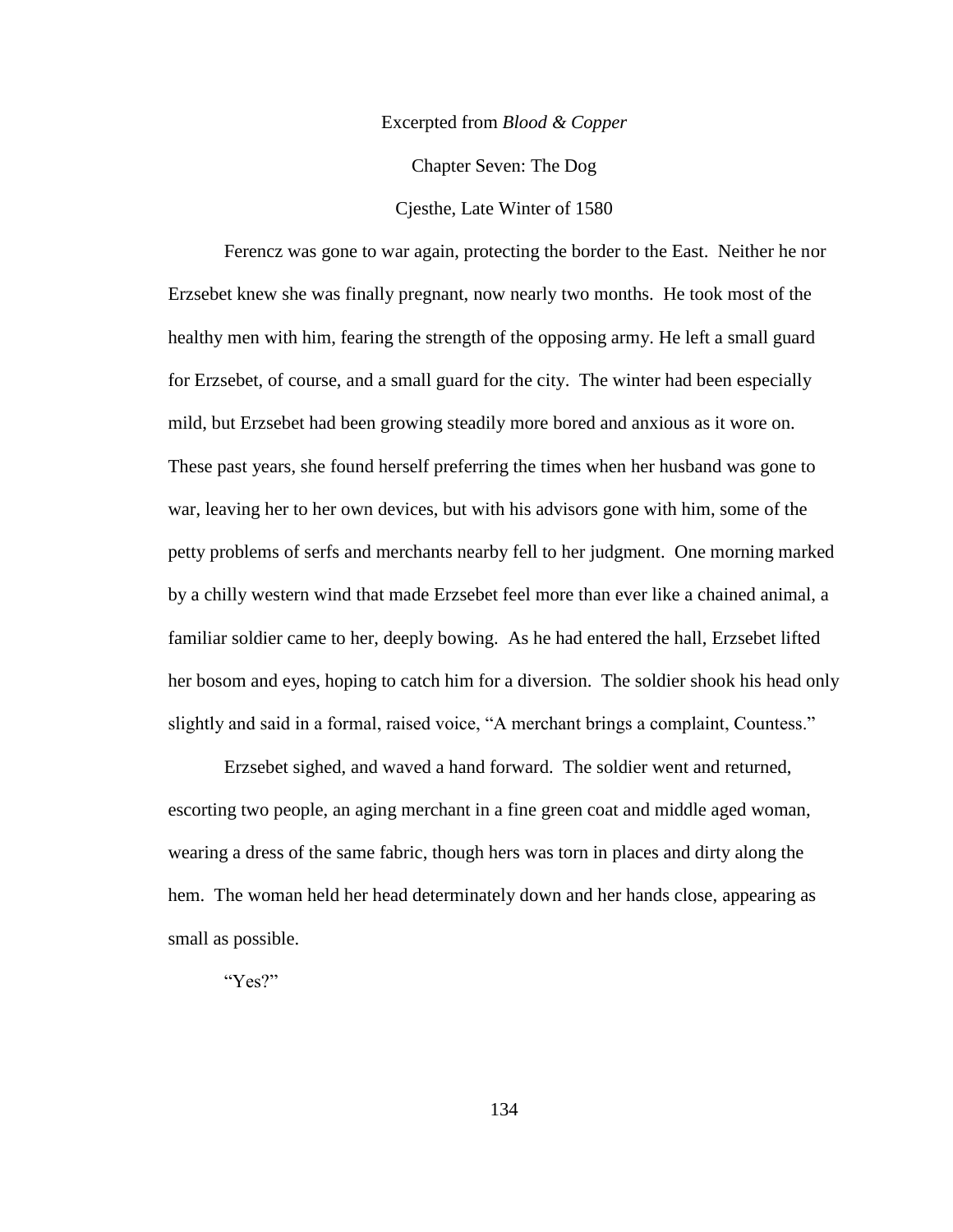#### Excerpted from *Blood & Copper*

Chapter Seven: The Dog

Cjesthe, Late Winter of 1580

Ferencz was gone to war again, protecting the border to the East. Neither he nor Erzsebet knew she was finally pregnant, now nearly two months. He took most of the healthy men with him, fearing the strength of the opposing army. He left a small guard for Erzsebet, of course, and a small guard for the city. The winter had been especially mild, but Erzsebet had been growing steadily more bored and anxious as it wore on. These past years, she found herself preferring the times when her husband was gone to war, leaving her to her own devices, but with his advisors gone with him, some of the petty problems of serfs and merchants nearby fell to her judgment. One morning marked by a chilly western wind that made Erzsebet feel more than ever like a chained animal, a familiar soldier came to her, deeply bowing. As he had entered the hall, Erzsebet lifted her bosom and eyes, hoping to catch him for a diversion. The soldier shook his head only slightly and said in a formal, raised voice, "A merchant brings a complaint, Countess."

Erzsebet sighed, and waved a hand forward. The soldier went and returned, escorting two people, an aging merchant in a fine green coat and middle aged woman, wearing a dress of the same fabric, though hers was torn in places and dirty along the hem. The woman held her head determinately down and her hands close, appearing as small as possible.

"Yes?"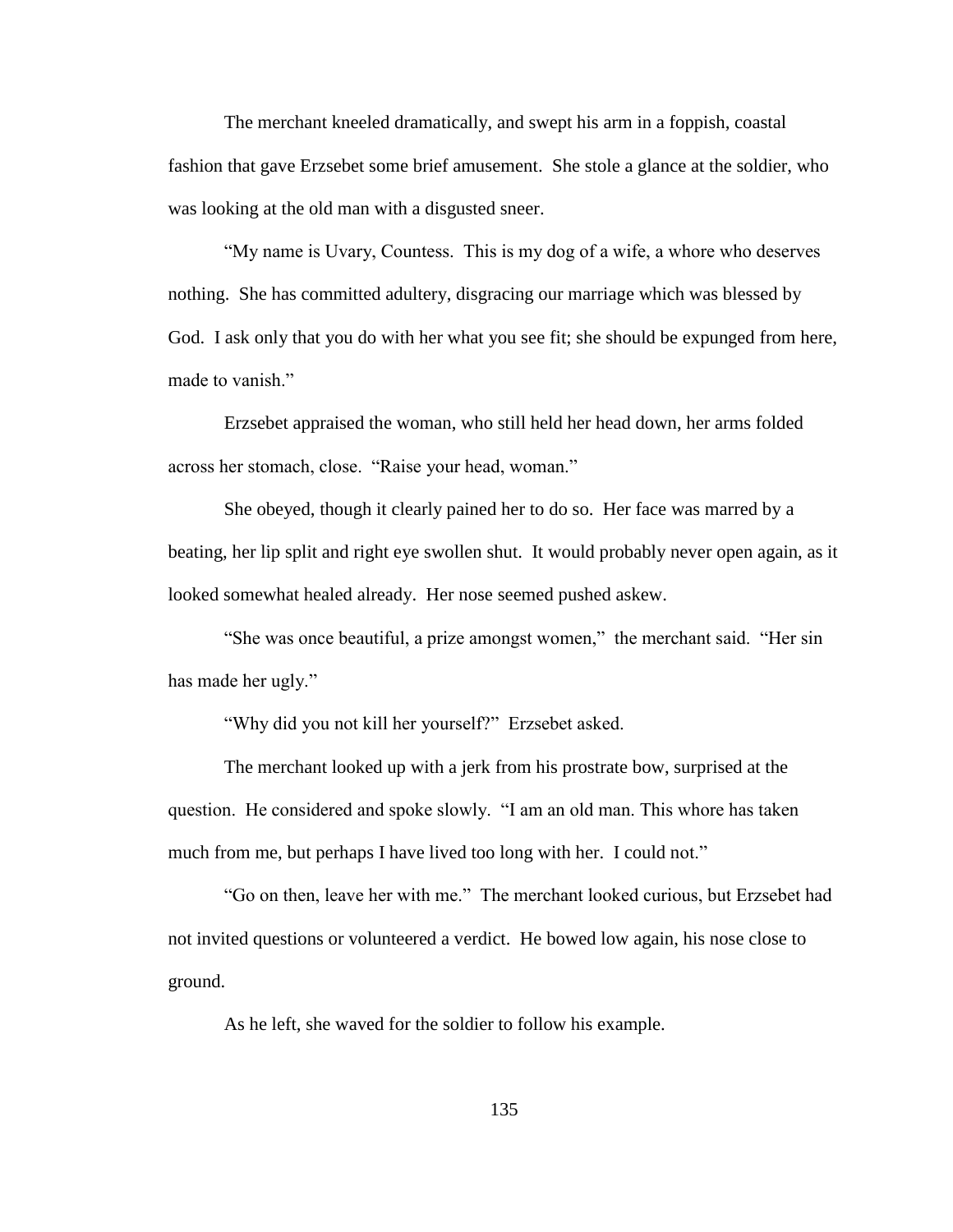The merchant kneeled dramatically, and swept his arm in a foppish, coastal fashion that gave Erzsebet some brief amusement. She stole a glance at the soldier, who was looking at the old man with a disgusted sneer.

"My name is Uvary, Countess. This is my dog of a wife, a whore who deserves nothing. She has committed adultery, disgracing our marriage which was blessed by God. I ask only that you do with her what you see fit; she should be expunged from here, made to vanish."

Erzsebet appraised the woman, who still held her head down, her arms folded across her stomach, close. "Raise your head, woman."

She obeyed, though it clearly pained her to do so. Her face was marred by a beating, her lip split and right eye swollen shut. It would probably never open again, as it looked somewhat healed already. Her nose seemed pushed askew.

"She was once beautiful, a prize amongst women," the merchant said. "Her sin has made her ugly."

"Why did you not kill her yourself?" Erzsebet asked.

The merchant looked up with a jerk from his prostrate bow, surprised at the question. He considered and spoke slowly. "I am an old man. This whore has taken much from me, but perhaps I have lived too long with her. I could not."

"Go on then, leave her with me." The merchant looked curious, but Erzsebet had not invited questions or volunteered a verdict. He bowed low again, his nose close to ground.

As he left, she waved for the soldier to follow his example.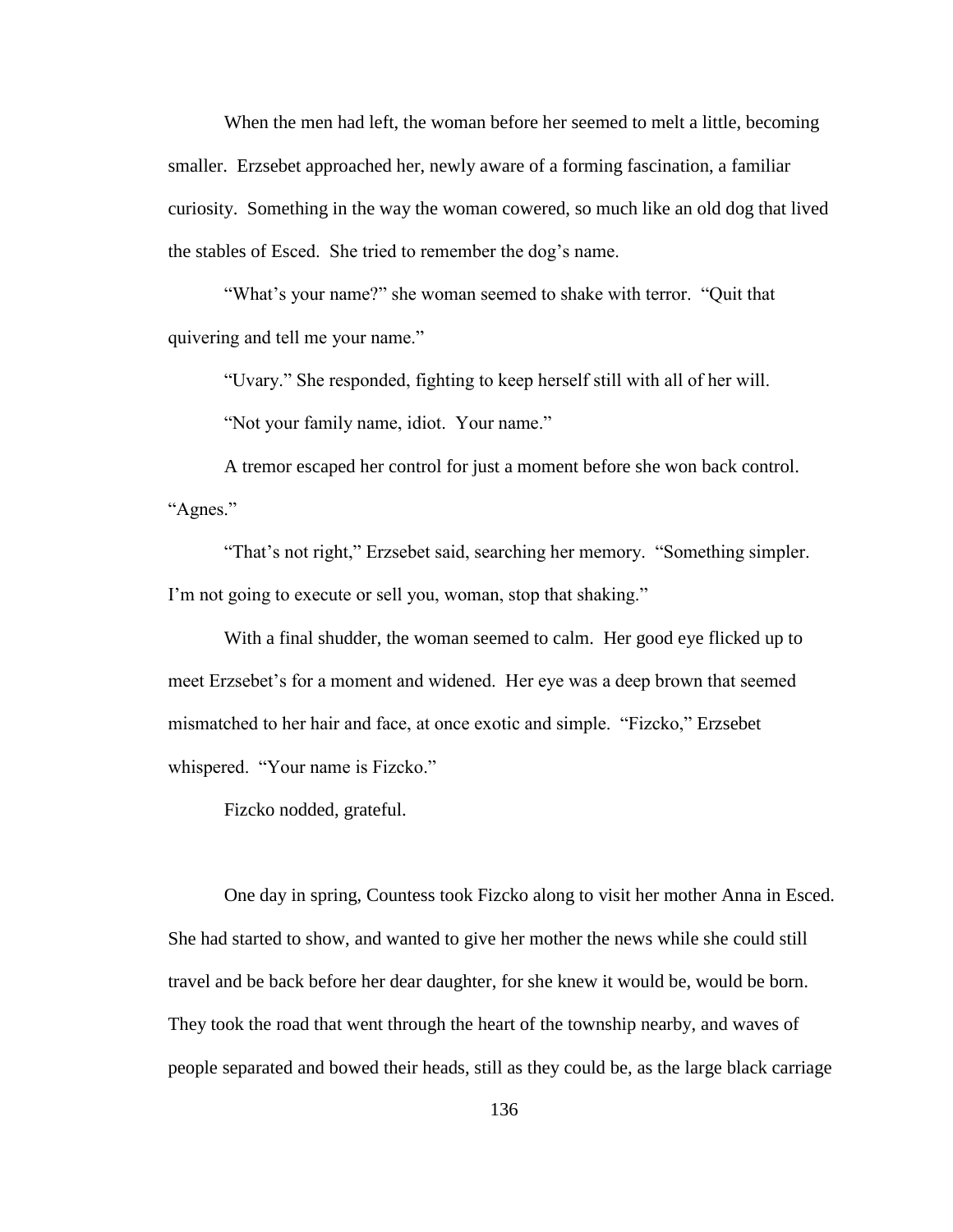When the men had left, the woman before her seemed to melt a little, becoming smaller. Erzsebet approached her, newly aware of a forming fascination, a familiar curiosity. Something in the way the woman cowered, so much like an old dog that lived the stables of Esced. She tried to remember the dog"s name.

"What's your name?" she woman seemed to shake with terror. "Quit that quivering and tell me your name."

"Uvary." She responded, fighting to keep herself still with all of her will.

"Not your family name, idiot. Your name."

A tremor escaped her control for just a moment before she won back control. "Agnes."

"That's not right," Erzsebet said, searching her memory. "Something simpler. I'm not going to execute or sell you, woman, stop that shaking."

With a final shudder, the woman seemed to calm. Her good eye flicked up to meet Erzsebet"s for a moment and widened. Her eye was a deep brown that seemed mismatched to her hair and face, at once exotic and simple. "Fizcko," Erzsebet whispered. "Your name is Fizcko."

Fizcko nodded, grateful.

One day in spring, Countess took Fizcko along to visit her mother Anna in Esced. She had started to show, and wanted to give her mother the news while she could still travel and be back before her dear daughter, for she knew it would be, would be born. They took the road that went through the heart of the township nearby, and waves of people separated and bowed their heads, still as they could be, as the large black carriage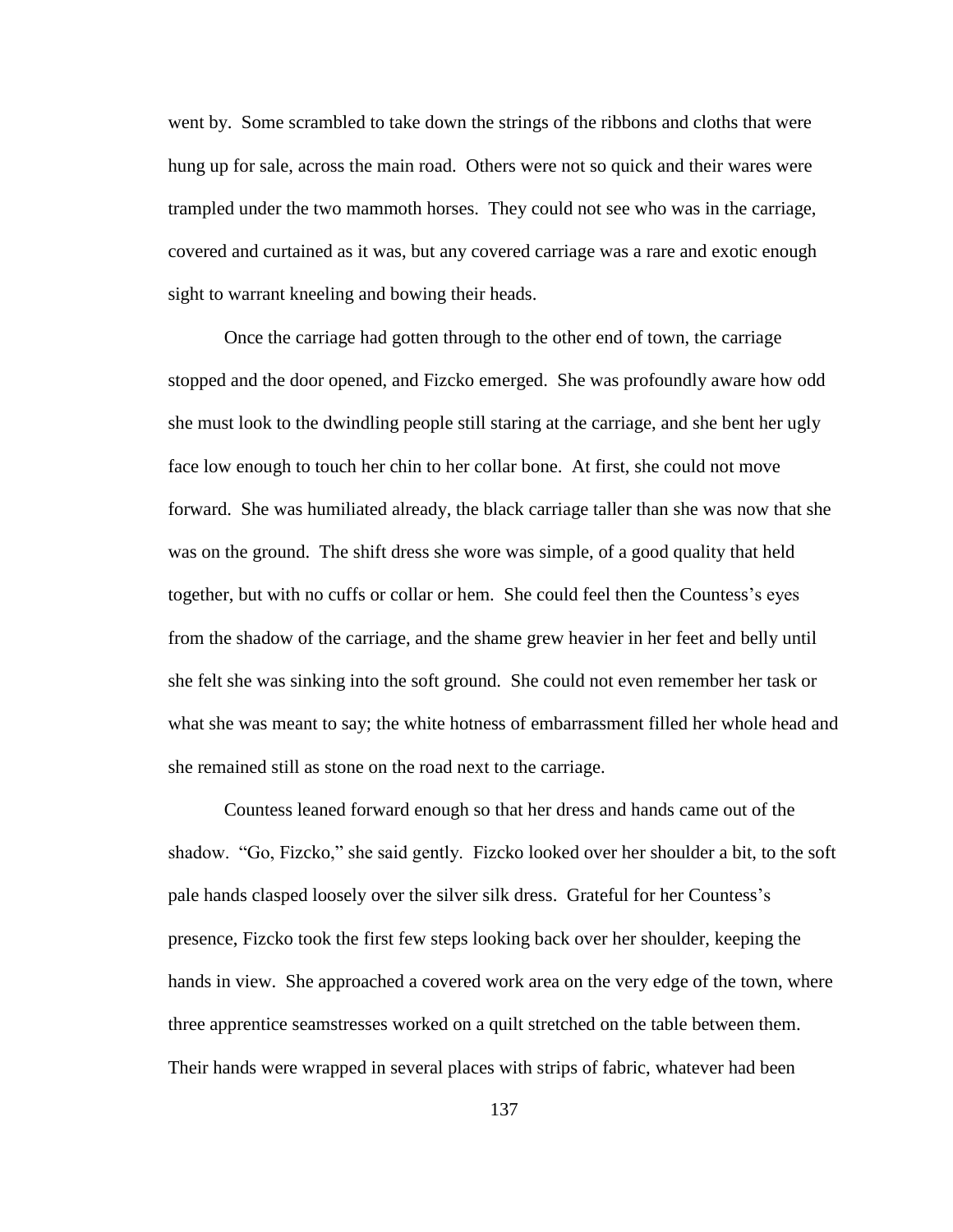went by. Some scrambled to take down the strings of the ribbons and cloths that were hung up for sale, across the main road. Others were not so quick and their wares were trampled under the two mammoth horses. They could not see who was in the carriage, covered and curtained as it was, but any covered carriage was a rare and exotic enough sight to warrant kneeling and bowing their heads.

Once the carriage had gotten through to the other end of town, the carriage stopped and the door opened, and Fizcko emerged. She was profoundly aware how odd she must look to the dwindling people still staring at the carriage, and she bent her ugly face low enough to touch her chin to her collar bone. At first, she could not move forward. She was humiliated already, the black carriage taller than she was now that she was on the ground. The shift dress she wore was simple, of a good quality that held together, but with no cuffs or collar or hem. She could feel then the Countess"s eyes from the shadow of the carriage, and the shame grew heavier in her feet and belly until she felt she was sinking into the soft ground. She could not even remember her task or what she was meant to say; the white hotness of embarrassment filled her whole head and she remained still as stone on the road next to the carriage.

Countess leaned forward enough so that her dress and hands came out of the shadow. "Go, Fizcko," she said gently. Fizcko looked over her shoulder a bit, to the soft pale hands clasped loosely over the silver silk dress. Grateful for her Countess"s presence, Fizcko took the first few steps looking back over her shoulder, keeping the hands in view. She approached a covered work area on the very edge of the town, where three apprentice seamstresses worked on a quilt stretched on the table between them. Their hands were wrapped in several places with strips of fabric, whatever had been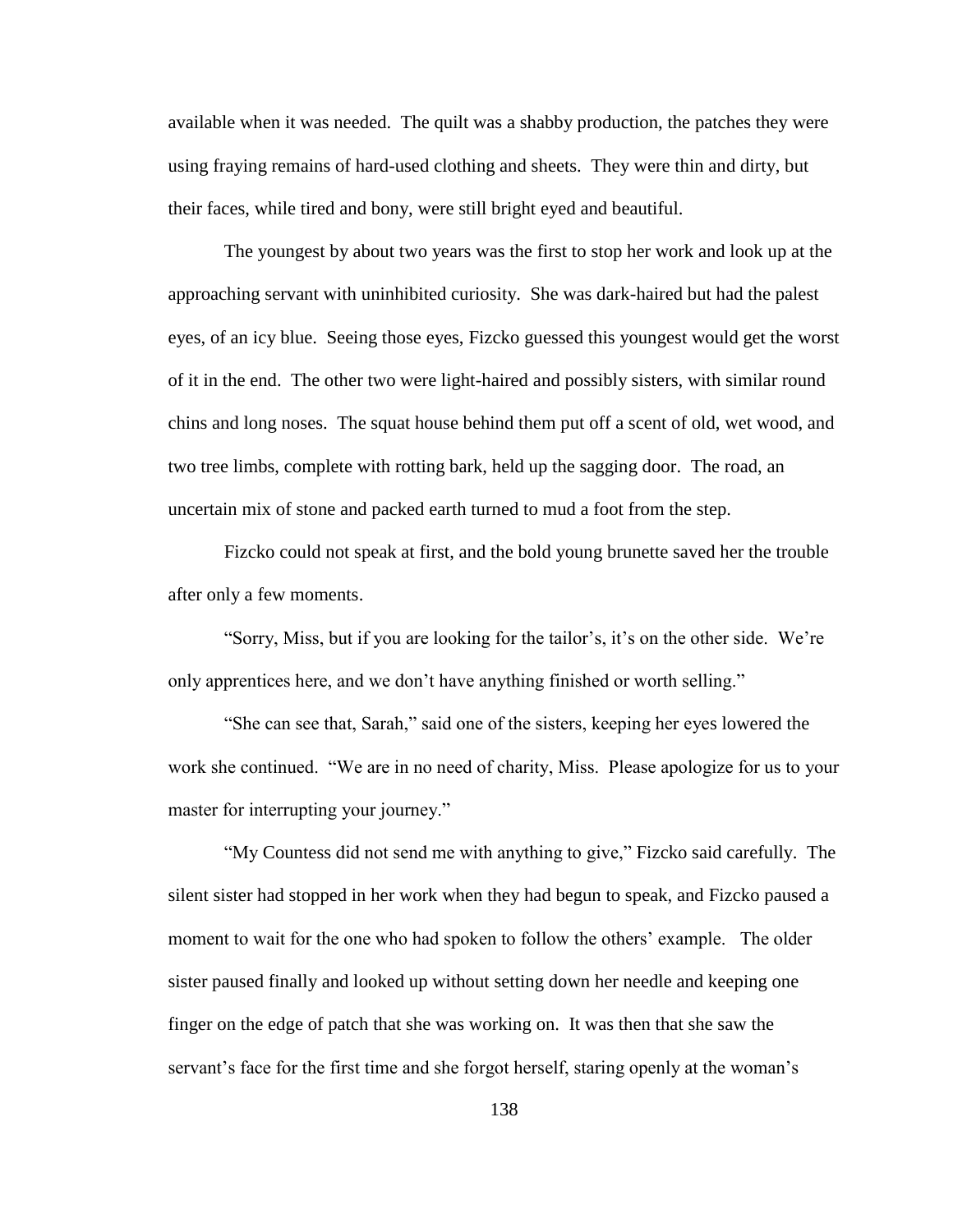available when it was needed. The quilt was a shabby production, the patches they were using fraying remains of hard-used clothing and sheets. They were thin and dirty, but their faces, while tired and bony, were still bright eyed and beautiful.

The youngest by about two years was the first to stop her work and look up at the approaching servant with uninhibited curiosity. She was dark-haired but had the palest eyes, of an icy blue. Seeing those eyes, Fizcko guessed this youngest would get the worst of it in the end. The other two were light-haired and possibly sisters, with similar round chins and long noses. The squat house behind them put off a scent of old, wet wood, and two tree limbs, complete with rotting bark, held up the sagging door. The road, an uncertain mix of stone and packed earth turned to mud a foot from the step.

Fizcko could not speak at first, and the bold young brunette saved her the trouble after only a few moments.

"Sorry, Miss, but if you are looking for the tailor"s, it"s on the other side. We"re only apprentices here, and we don"t have anything finished or worth selling."

"She can see that, Sarah," said one of the sisters, keeping her eyes lowered the work she continued. "We are in no need of charity, Miss. Please apologize for us to your master for interrupting your journey."

"My Countess did not send me with anything to give," Fizcko said carefully. The silent sister had stopped in her work when they had begun to speak, and Fizcko paused a moment to wait for the one who had spoken to follow the others' example. The older sister paused finally and looked up without setting down her needle and keeping one finger on the edge of patch that she was working on. It was then that she saw the servant's face for the first time and she forgot herself, staring openly at the woman's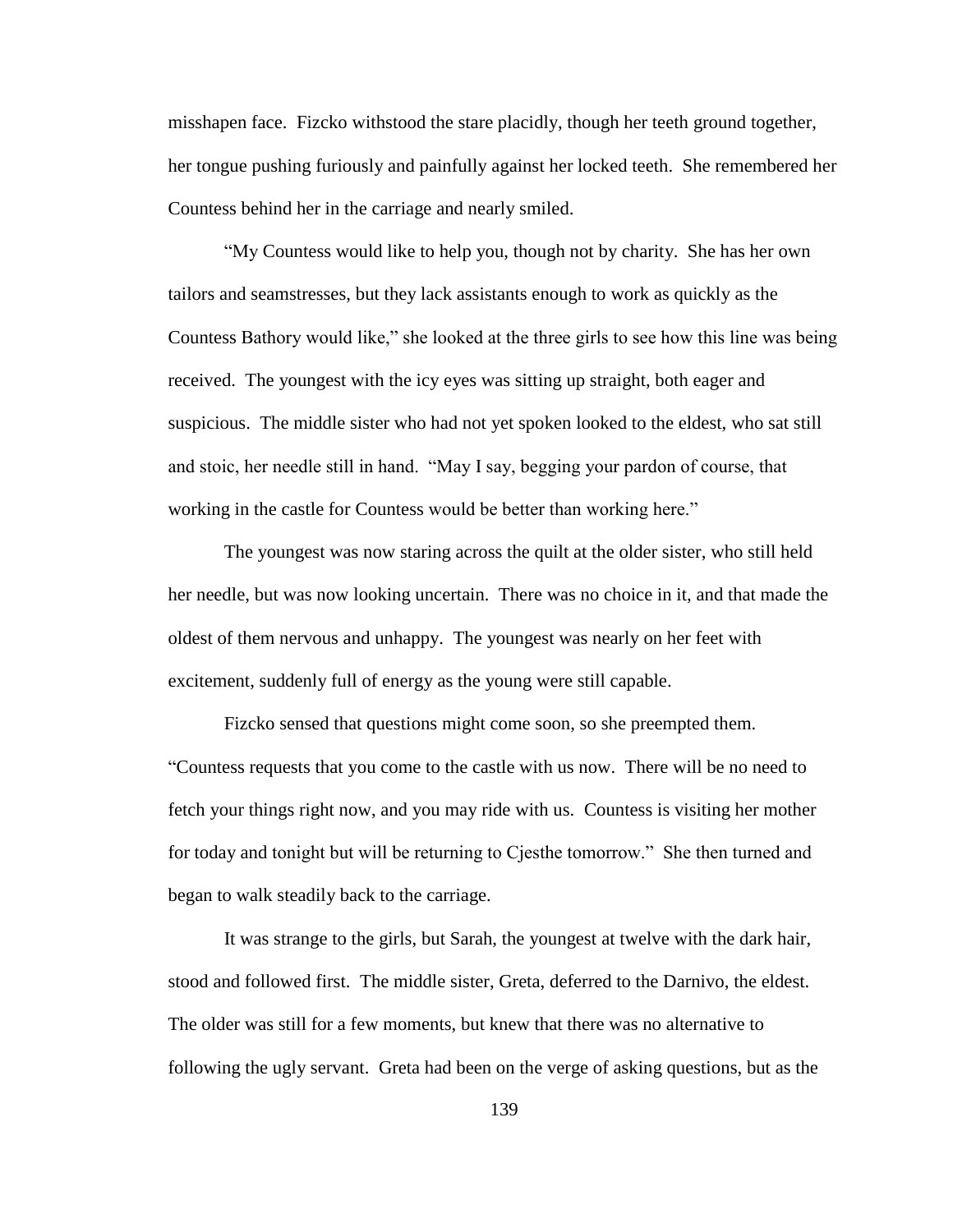misshapen face. Fizcko withstood the stare placidly, though her teeth ground together, her tongue pushing furiously and painfully against her locked teeth. She remembered her Countess behind her in the carriage and nearly smiled.

"My Countess would like to help you, though not by charity. She has her own tailors and seamstresses, but they lack assistants enough to work as quickly as the Countess Bathory would like," she looked at the three girls to see how this line was being received. The youngest with the icy eyes was sitting up straight, both eager and suspicious. The middle sister who had not yet spoken looked to the eldest, who sat still and stoic, her needle still in hand. "May I say, begging your pardon of course, that working in the castle for Countess would be better than working here."

The youngest was now staring across the quilt at the older sister, who still held her needle, but was now looking uncertain. There was no choice in it, and that made the oldest of them nervous and unhappy. The youngest was nearly on her feet with excitement, suddenly full of energy as the young were still capable.

Fizcko sensed that questions might come soon, so she preempted them. "Countess requests that you come to the castle with us now. There will be no need to fetch your things right now, and you may ride with us. Countess is visiting her mother for today and tonight but will be returning to Cjesthe tomorrow." She then turned and began to walk steadily back to the carriage.

It was strange to the girls, but Sarah, the youngest at twelve with the dark hair, stood and followed first. The middle sister, Greta, deferred to the Darnivo, the eldest. The older was still for a few moments, but knew that there was no alternative to following the ugly servant. Greta had been on the verge of asking questions, but as the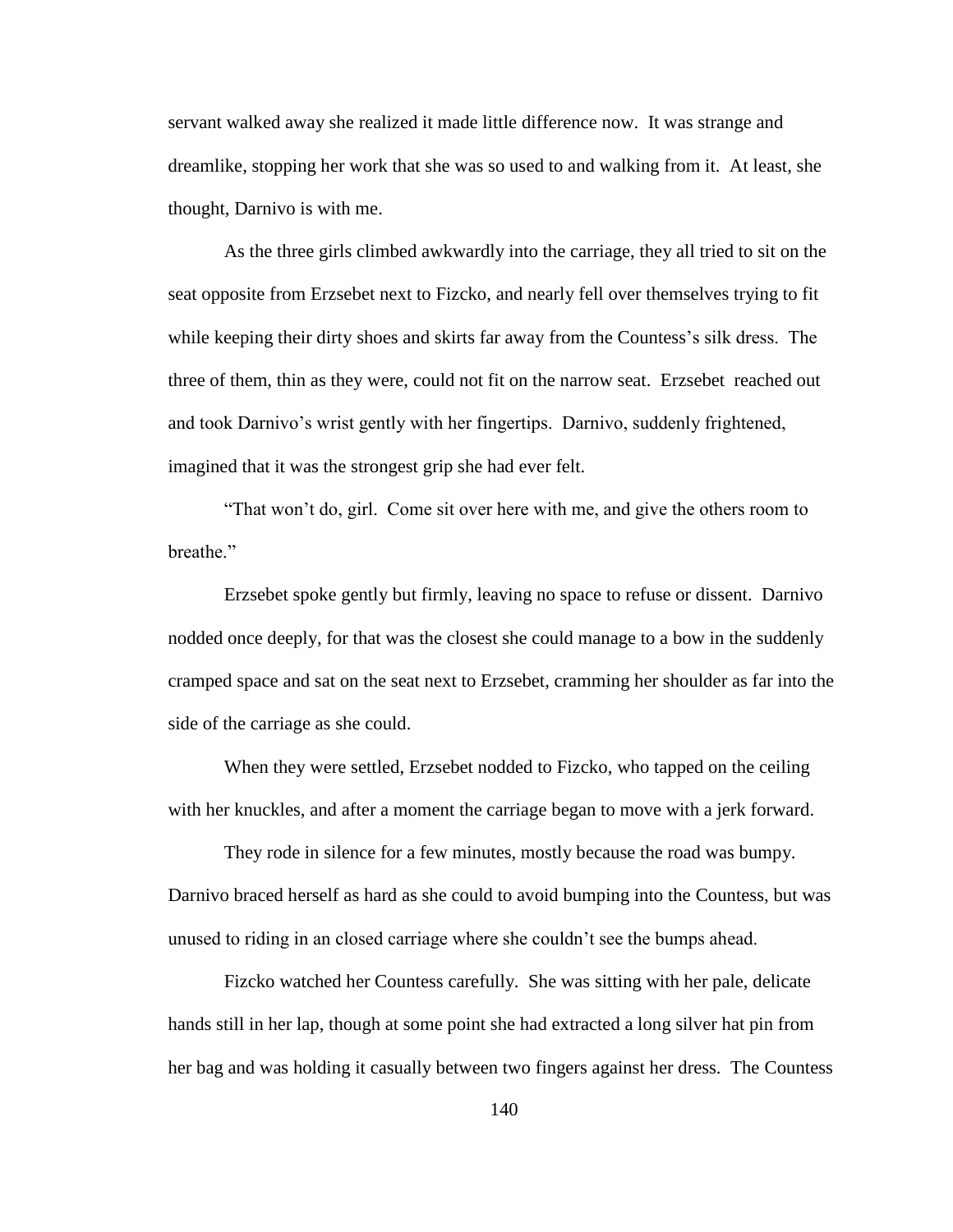servant walked away she realized it made little difference now. It was strange and dreamlike, stopping her work that she was so used to and walking from it. At least, she thought, Darnivo is with me.

As the three girls climbed awkwardly into the carriage, they all tried to sit on the seat opposite from Erzsebet next to Fizcko, and nearly fell over themselves trying to fit while keeping their dirty shoes and skirts far away from the Countess's silk dress. The three of them, thin as they were, could not fit on the narrow seat. Erzsebet reached out and took Darnivo"s wrist gently with her fingertips. Darnivo, suddenly frightened, imagined that it was the strongest grip she had ever felt.

"That won"t do, girl. Come sit over here with me, and give the others room to breathe."

Erzsebet spoke gently but firmly, leaving no space to refuse or dissent. Darnivo nodded once deeply, for that was the closest she could manage to a bow in the suddenly cramped space and sat on the seat next to Erzsebet, cramming her shoulder as far into the side of the carriage as she could.

When they were settled, Erzsebet nodded to Fizcko, who tapped on the ceiling with her knuckles, and after a moment the carriage began to move with a jerk forward.

They rode in silence for a few minutes, mostly because the road was bumpy. Darnivo braced herself as hard as she could to avoid bumping into the Countess, but was unused to riding in an closed carriage where she couldn"t see the bumps ahead.

Fizcko watched her Countess carefully. She was sitting with her pale, delicate hands still in her lap, though at some point she had extracted a long silver hat pin from her bag and was holding it casually between two fingers against her dress. The Countess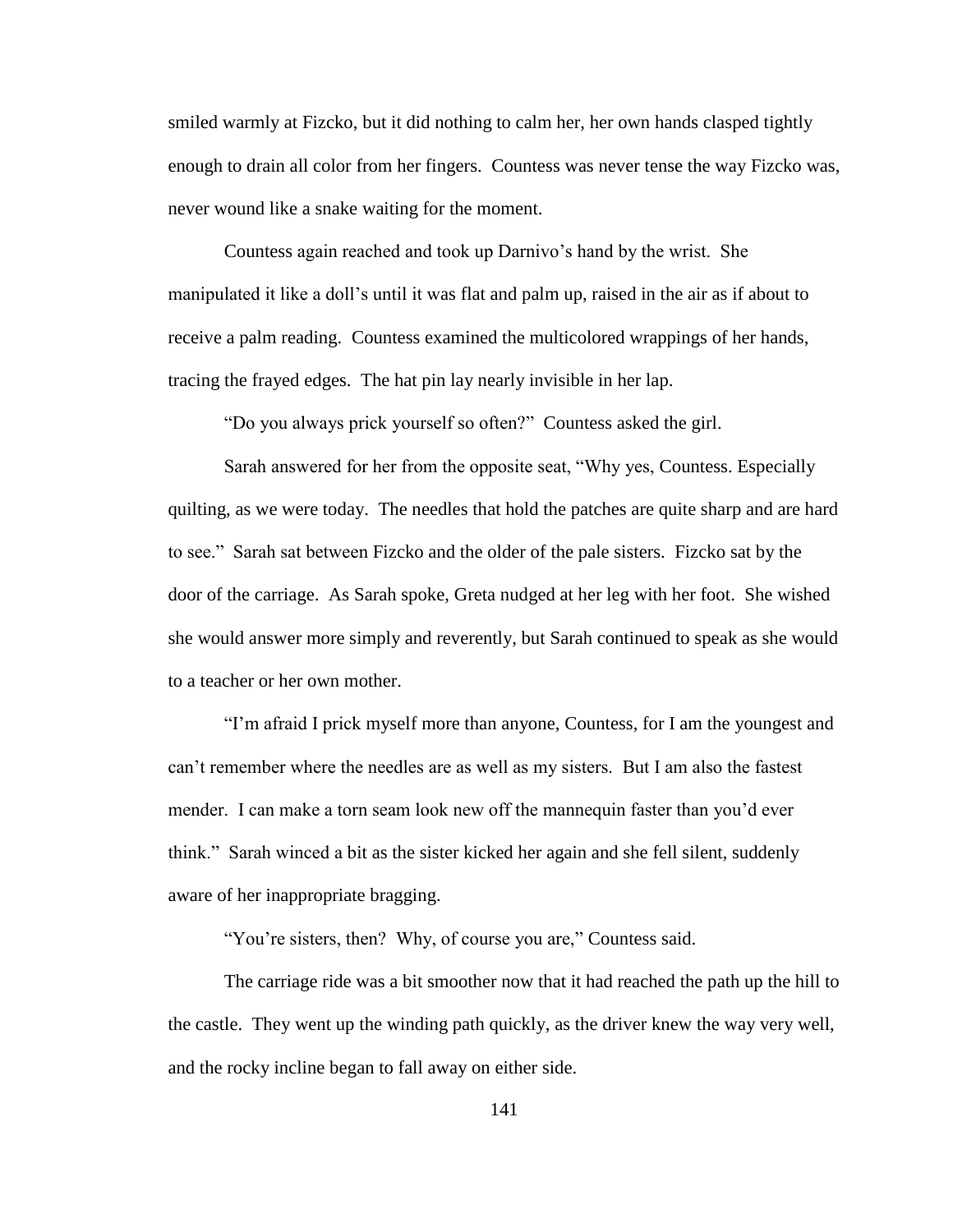smiled warmly at Fizcko, but it did nothing to calm her, her own hands clasped tightly enough to drain all color from her fingers. Countess was never tense the way Fizcko was, never wound like a snake waiting for the moment.

Countess again reached and took up Darnivo"s hand by the wrist. She manipulated it like a doll"s until it was flat and palm up, raised in the air as if about to receive a palm reading. Countess examined the multicolored wrappings of her hands, tracing the frayed edges. The hat pin lay nearly invisible in her lap.

"Do you always prick yourself so often?" Countess asked the girl.

Sarah answered for her from the opposite seat, "Why yes, Countess. Especially quilting, as we were today. The needles that hold the patches are quite sharp and are hard to see." Sarah sat between Fizcko and the older of the pale sisters. Fizcko sat by the door of the carriage. As Sarah spoke, Greta nudged at her leg with her foot. She wished she would answer more simply and reverently, but Sarah continued to speak as she would to a teacher or her own mother.

"I"m afraid I prick myself more than anyone, Countess, for I am the youngest and can"t remember where the needles are as well as my sisters. But I am also the fastest mender. I can make a torn seam look new off the mannequin faster than you'd ever think." Sarah winced a bit as the sister kicked her again and she fell silent, suddenly aware of her inappropriate bragging.

"You're sisters, then? Why, of course you are," Countess said.

The carriage ride was a bit smoother now that it had reached the path up the hill to the castle. They went up the winding path quickly, as the driver knew the way very well, and the rocky incline began to fall away on either side.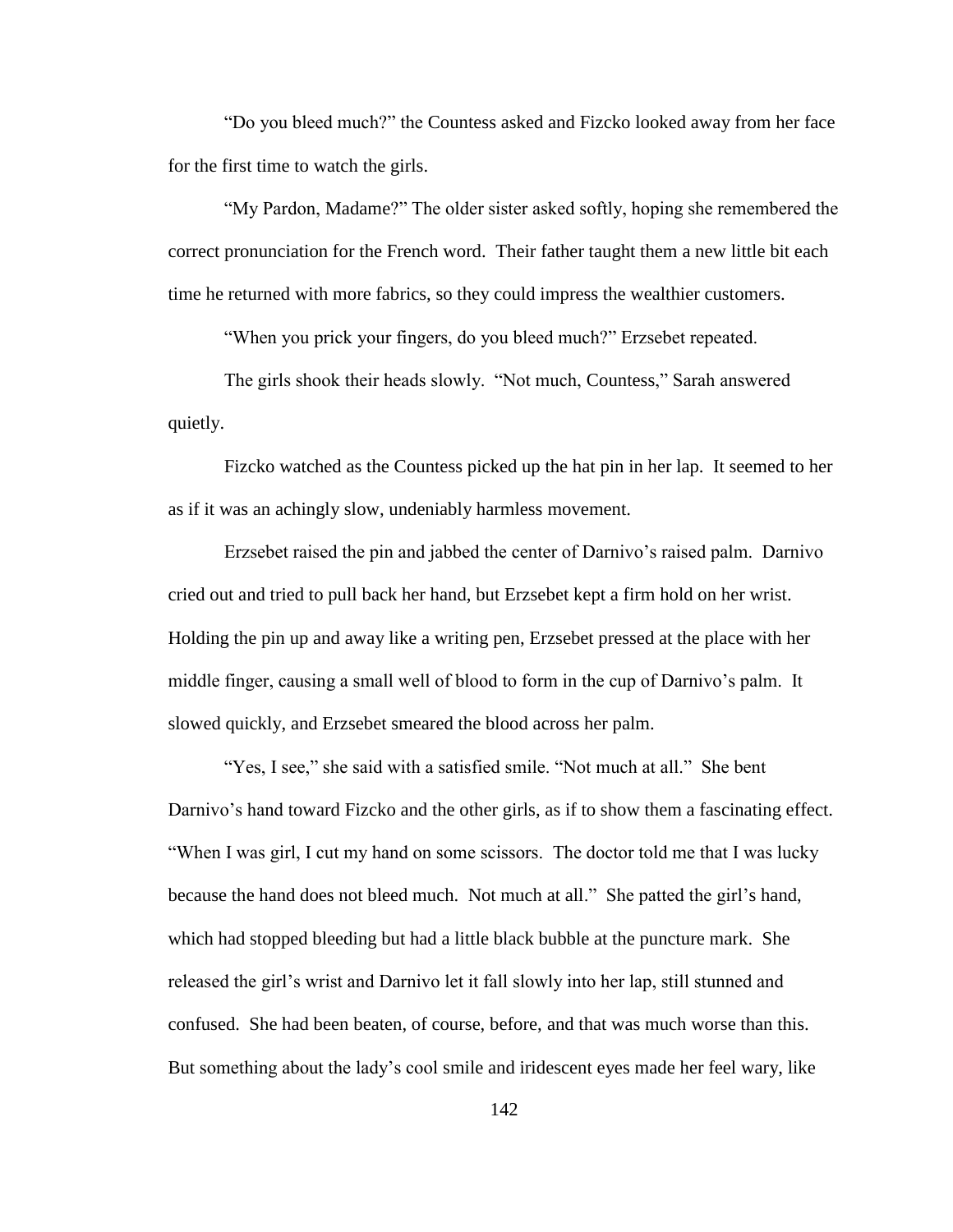"Do you bleed much?" the Countess asked and Fizcko looked away from her face for the first time to watch the girls.

"My Pardon, Madame?" The older sister asked softly, hoping she remembered the correct pronunciation for the French word. Their father taught them a new little bit each time he returned with more fabrics, so they could impress the wealthier customers.

"When you prick your fingers, do you bleed much?" Erzsebet repeated.

The girls shook their heads slowly. "Not much, Countess," Sarah answered quietly.

Fizcko watched as the Countess picked up the hat pin in her lap. It seemed to her as if it was an achingly slow, undeniably harmless movement.

Erzsebet raised the pin and jabbed the center of Darnivo"s raised palm. Darnivo cried out and tried to pull back her hand, but Erzsebet kept a firm hold on her wrist. Holding the pin up and away like a writing pen, Erzsebet pressed at the place with her middle finger, causing a small well of blood to form in the cup of Darnivo"s palm. It slowed quickly, and Erzsebet smeared the blood across her palm.

"Yes, I see," she said with a satisfied smile. "Not much at all." She bent Darnivo's hand toward Fizcko and the other girls, as if to show them a fascinating effect. "When I was girl, I cut my hand on some scissors. The doctor told me that I was lucky because the hand does not bleed much. Not much at all." She patted the girl"s hand, which had stopped bleeding but had a little black bubble at the puncture mark. She released the girl"s wrist and Darnivo let it fall slowly into her lap, still stunned and confused. She had been beaten, of course, before, and that was much worse than this. But something about the lady"s cool smile and iridescent eyes made her feel wary, like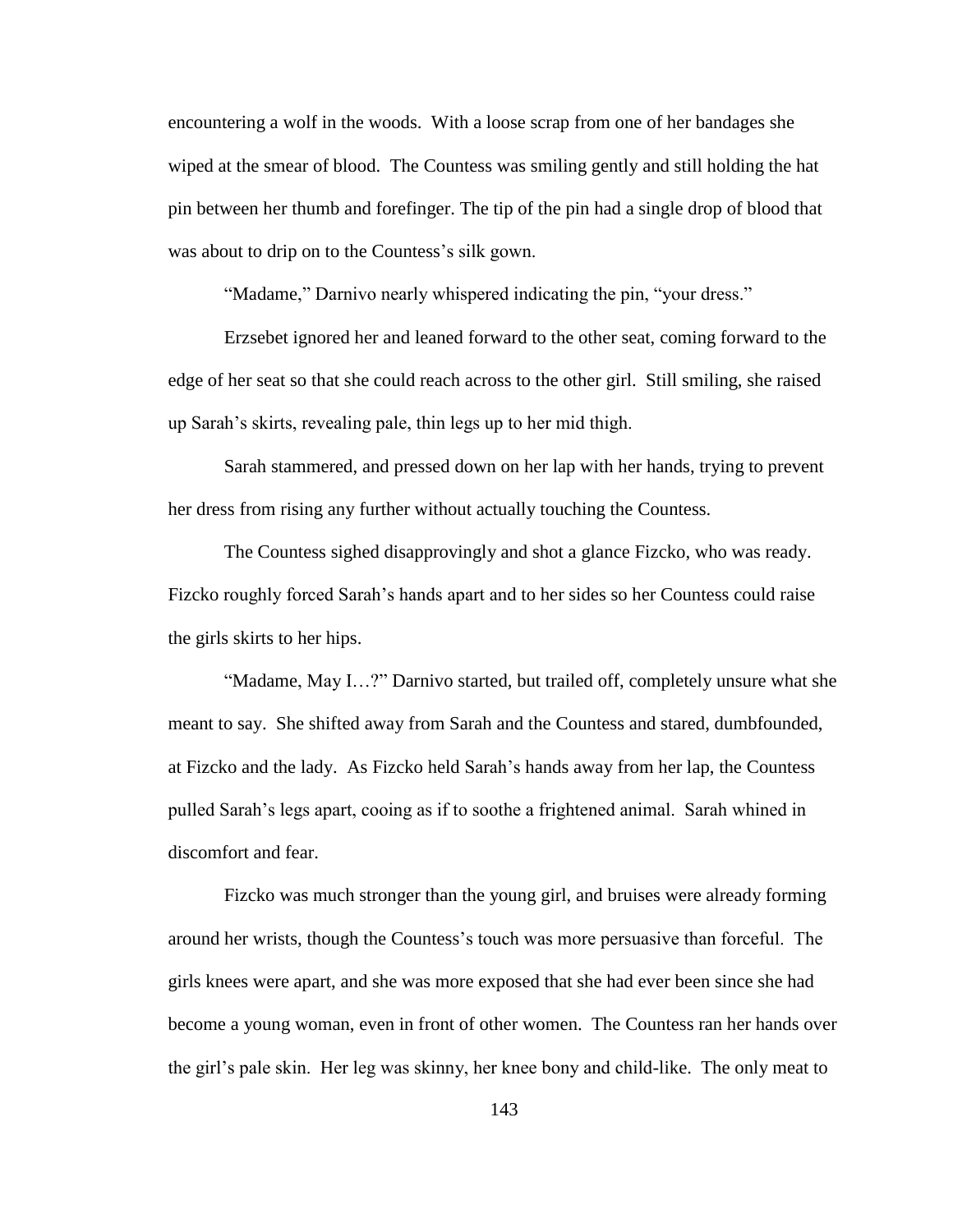encountering a wolf in the woods. With a loose scrap from one of her bandages she wiped at the smear of blood. The Countess was smiling gently and still holding the hat pin between her thumb and forefinger. The tip of the pin had a single drop of blood that was about to drip on to the Countess's silk gown.

"Madame," Darnivo nearly whispered indicating the pin, "your dress."

Erzsebet ignored her and leaned forward to the other seat, coming forward to the edge of her seat so that she could reach across to the other girl. Still smiling, she raised up Sarah"s skirts, revealing pale, thin legs up to her mid thigh.

Sarah stammered, and pressed down on her lap with her hands, trying to prevent her dress from rising any further without actually touching the Countess.

The Countess sighed disapprovingly and shot a glance Fizcko, who was ready. Fizcko roughly forced Sarah"s hands apart and to her sides so her Countess could raise the girls skirts to her hips.

"Madame, May I…?" Darnivo started, but trailed off, completely unsure what she meant to say. She shifted away from Sarah and the Countess and stared, dumbfounded, at Fizcko and the lady. As Fizcko held Sarah"s hands away from her lap, the Countess pulled Sarah"s legs apart, cooing as if to soothe a frightened animal. Sarah whined in discomfort and fear.

Fizcko was much stronger than the young girl, and bruises were already forming around her wrists, though the Countess"s touch was more persuasive than forceful. The girls knees were apart, and she was more exposed that she had ever been since she had become a young woman, even in front of other women. The Countess ran her hands over the girl"s pale skin. Her leg was skinny, her knee bony and child-like. The only meat to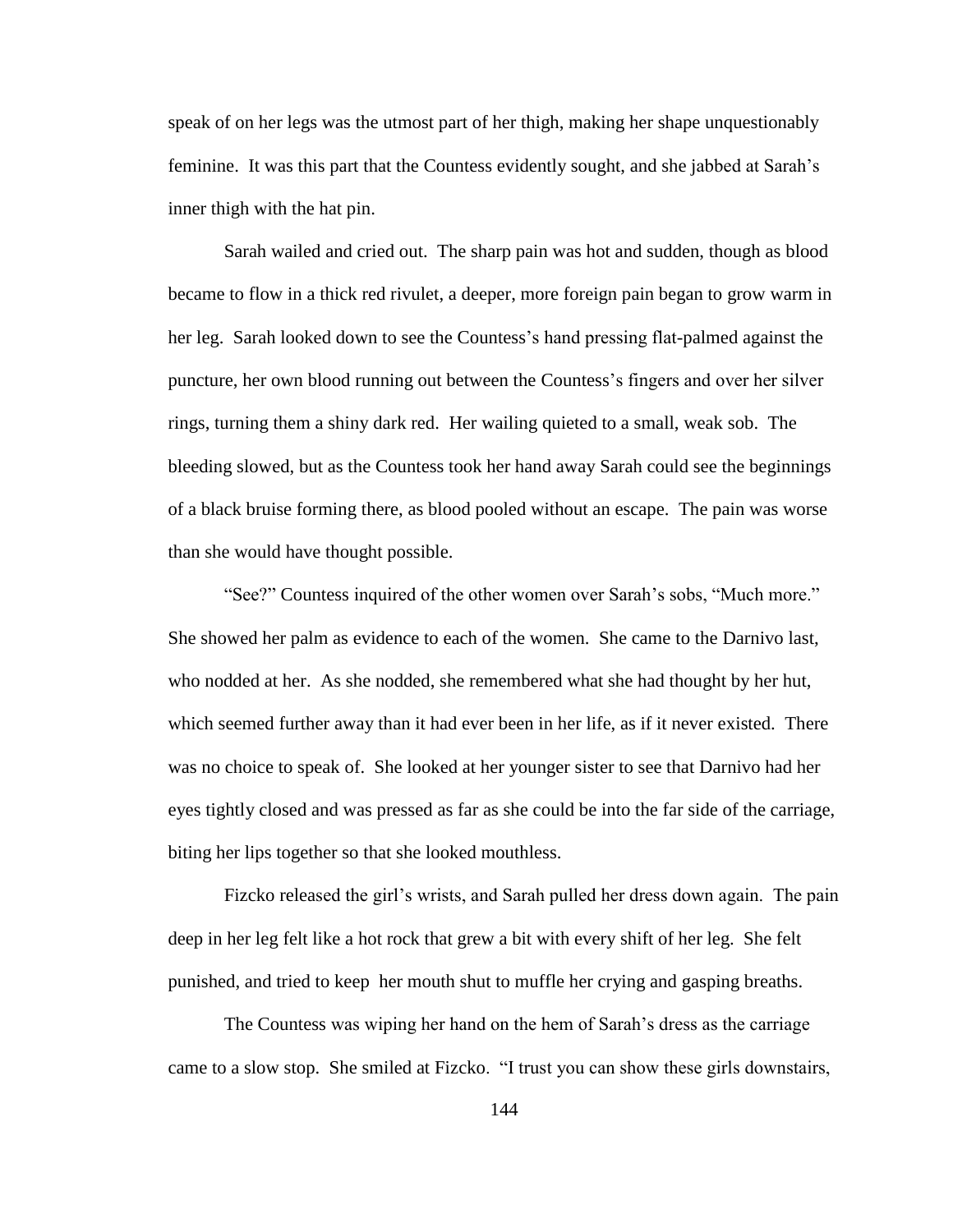speak of on her legs was the utmost part of her thigh, making her shape unquestionably feminine. It was this part that the Countess evidently sought, and she jabbed at Sarah"s inner thigh with the hat pin.

Sarah wailed and cried out. The sharp pain was hot and sudden, though as blood became to flow in a thick red rivulet, a deeper, more foreign pain began to grow warm in her leg. Sarah looked down to see the Countess"s hand pressing flat-palmed against the puncture, her own blood running out between the Countess"s fingers and over her silver rings, turning them a shiny dark red. Her wailing quieted to a small, weak sob. The bleeding slowed, but as the Countess took her hand away Sarah could see the beginnings of a black bruise forming there, as blood pooled without an escape. The pain was worse than she would have thought possible.

"See?" Countess inquired of the other women over Sarah"s sobs, "Much more." She showed her palm as evidence to each of the women. She came to the Darnivo last, who nodded at her. As she nodded, she remembered what she had thought by her hut, which seemed further away than it had ever been in her life, as if it never existed. There was no choice to speak of. She looked at her younger sister to see that Darnivo had her eyes tightly closed and was pressed as far as she could be into the far side of the carriage, biting her lips together so that she looked mouthless.

Fizcko released the girl"s wrists, and Sarah pulled her dress down again. The pain deep in her leg felt like a hot rock that grew a bit with every shift of her leg. She felt punished, and tried to keep her mouth shut to muffle her crying and gasping breaths.

The Countess was wiping her hand on the hem of Sarah"s dress as the carriage came to a slow stop. She smiled at Fizcko. "I trust you can show these girls downstairs,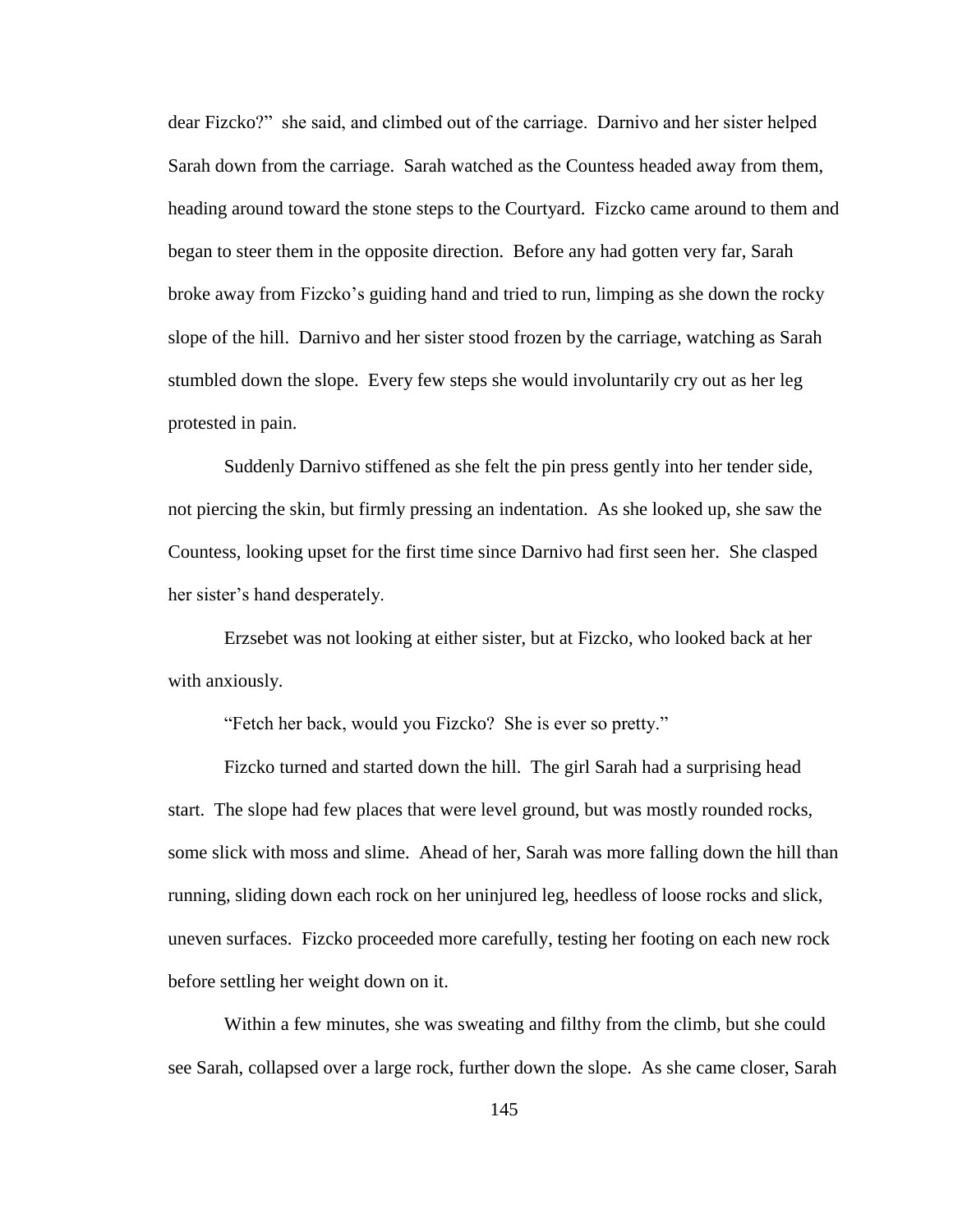dear Fizcko?" she said, and climbed out of the carriage. Darnivo and her sister helped Sarah down from the carriage. Sarah watched as the Countess headed away from them, heading around toward the stone steps to the Courtyard. Fizcko came around to them and began to steer them in the opposite direction. Before any had gotten very far, Sarah broke away from Fizcko"s guiding hand and tried to run, limping as she down the rocky slope of the hill. Darnivo and her sister stood frozen by the carriage, watching as Sarah stumbled down the slope. Every few steps she would involuntarily cry out as her leg protested in pain.

Suddenly Darnivo stiffened as she felt the pin press gently into her tender side, not piercing the skin, but firmly pressing an indentation. As she looked up, she saw the Countess, looking upset for the first time since Darnivo had first seen her. She clasped her sister's hand desperately.

Erzsebet was not looking at either sister, but at Fizcko, who looked back at her with anxiously.

"Fetch her back, would you Fizcko? She is ever so pretty."

Fizcko turned and started down the hill. The girl Sarah had a surprising head start. The slope had few places that were level ground, but was mostly rounded rocks, some slick with moss and slime. Ahead of her, Sarah was more falling down the hill than running, sliding down each rock on her uninjured leg, heedless of loose rocks and slick, uneven surfaces. Fizcko proceeded more carefully, testing her footing on each new rock before settling her weight down on it.

Within a few minutes, she was sweating and filthy from the climb, but she could see Sarah, collapsed over a large rock, further down the slope. As she came closer, Sarah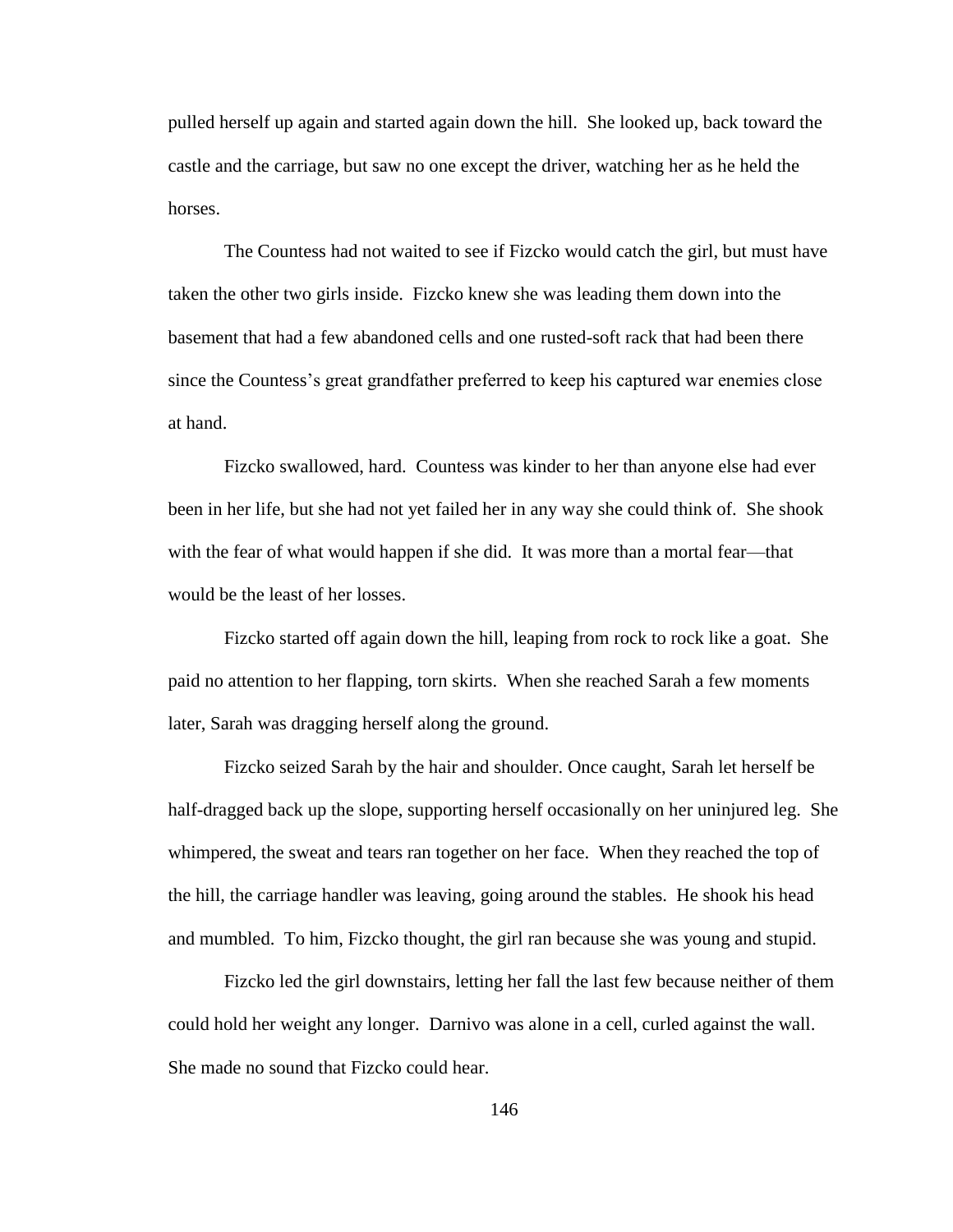pulled herself up again and started again down the hill. She looked up, back toward the castle and the carriage, but saw no one except the driver, watching her as he held the horses.

The Countess had not waited to see if Fizcko would catch the girl, but must have taken the other two girls inside. Fizcko knew she was leading them down into the basement that had a few abandoned cells and one rusted-soft rack that had been there since the Countess"s great grandfather preferred to keep his captured war enemies close at hand.

Fizcko swallowed, hard. Countess was kinder to her than anyone else had ever been in her life, but she had not yet failed her in any way she could think of. She shook with the fear of what would happen if she did. It was more than a mortal fear—that would be the least of her losses.

Fizcko started off again down the hill, leaping from rock to rock like a goat. She paid no attention to her flapping, torn skirts. When she reached Sarah a few moments later, Sarah was dragging herself along the ground.

Fizcko seized Sarah by the hair and shoulder. Once caught, Sarah let herself be half-dragged back up the slope, supporting herself occasionally on her uninjured leg. She whimpered, the sweat and tears ran together on her face. When they reached the top of the hill, the carriage handler was leaving, going around the stables. He shook his head and mumbled. To him, Fizcko thought, the girl ran because she was young and stupid.

Fizcko led the girl downstairs, letting her fall the last few because neither of them could hold her weight any longer. Darnivo was alone in a cell, curled against the wall. She made no sound that Fizcko could hear.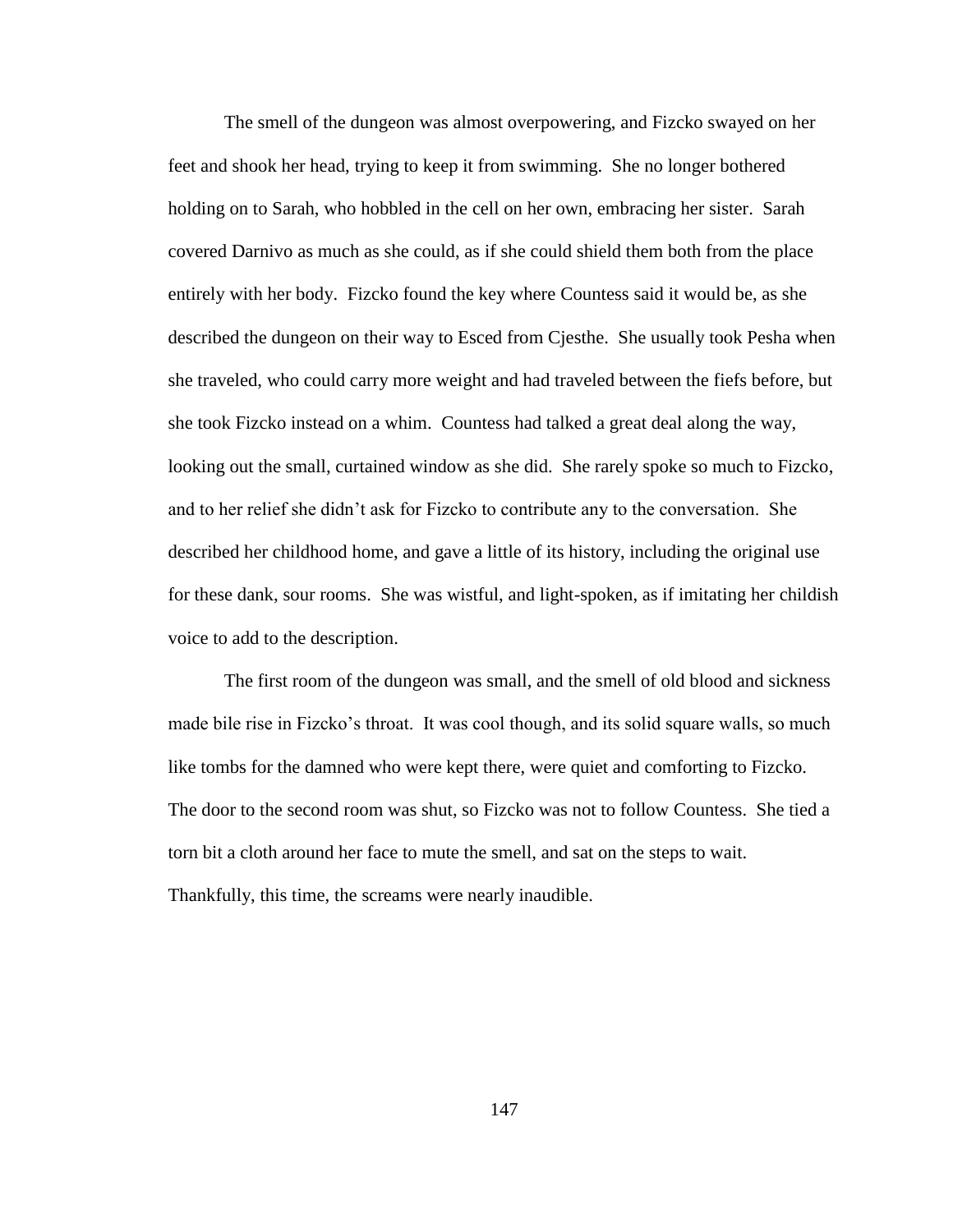The smell of the dungeon was almost overpowering, and Fizcko swayed on her feet and shook her head, trying to keep it from swimming. She no longer bothered holding on to Sarah, who hobbled in the cell on her own, embracing her sister. Sarah covered Darnivo as much as she could, as if she could shield them both from the place entirely with her body. Fizcko found the key where Countess said it would be, as she described the dungeon on their way to Esced from Cjesthe. She usually took Pesha when she traveled, who could carry more weight and had traveled between the fiefs before, but she took Fizcko instead on a whim. Countess had talked a great deal along the way, looking out the small, curtained window as she did. She rarely spoke so much to Fizcko, and to her relief she didn"t ask for Fizcko to contribute any to the conversation. She described her childhood home, and gave a little of its history, including the original use for these dank, sour rooms. She was wistful, and light-spoken, as if imitating her childish voice to add to the description.

The first room of the dungeon was small, and the smell of old blood and sickness made bile rise in Fizcko's throat. It was cool though, and its solid square walls, so much like tombs for the damned who were kept there, were quiet and comforting to Fizcko. The door to the second room was shut, so Fizcko was not to follow Countess. She tied a torn bit a cloth around her face to mute the smell, and sat on the steps to wait. Thankfully, this time, the screams were nearly inaudible.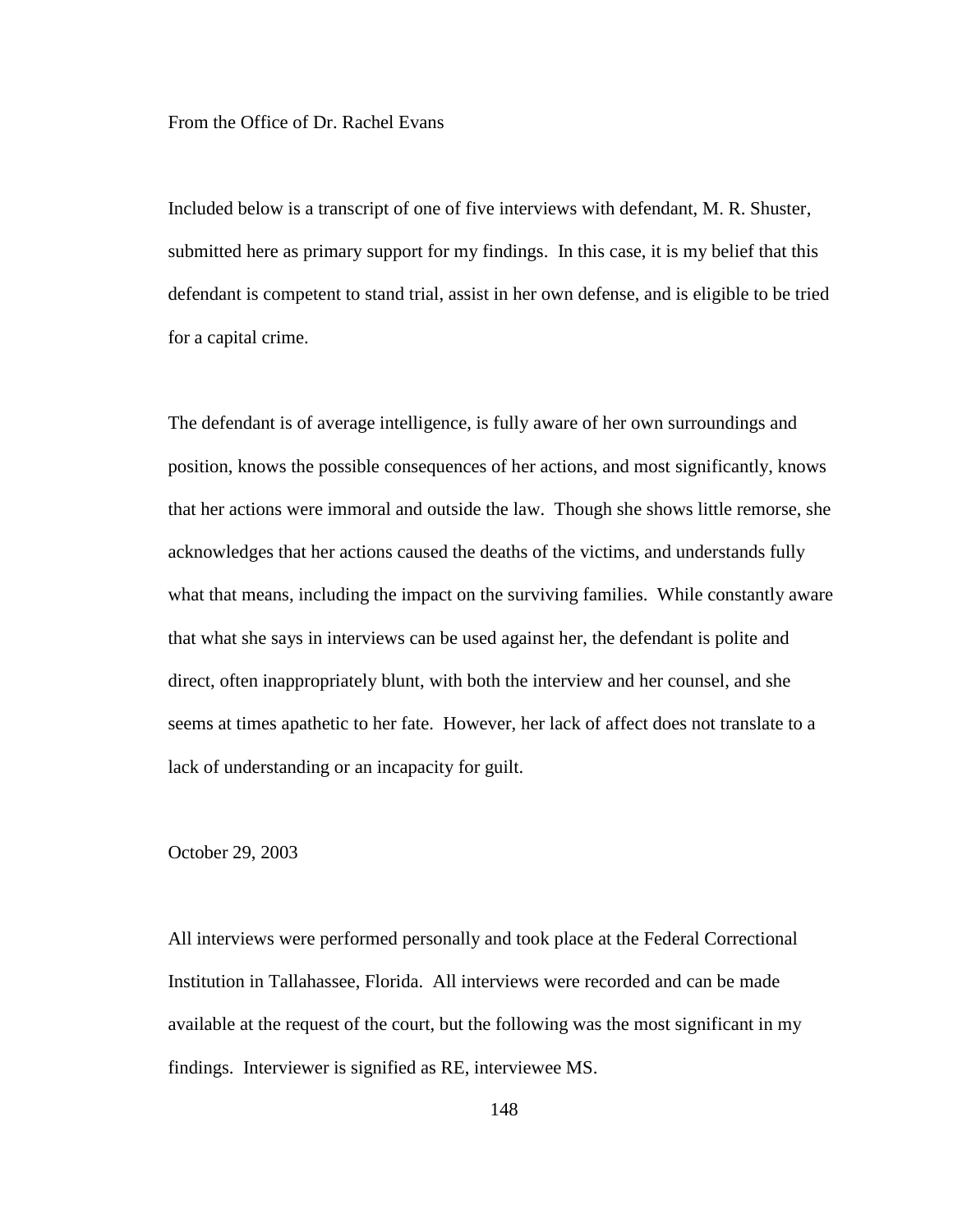From the Office of Dr. Rachel Evans

Included below is a transcript of one of five interviews with defendant, M. R. Shuster, submitted here as primary support for my findings. In this case, it is my belief that this defendant is competent to stand trial, assist in her own defense, and is eligible to be tried for a capital crime.

The defendant is of average intelligence, is fully aware of her own surroundings and position, knows the possible consequences of her actions, and most significantly, knows that her actions were immoral and outside the law. Though she shows little remorse, she acknowledges that her actions caused the deaths of the victims, and understands fully what that means, including the impact on the surviving families. While constantly aware that what she says in interviews can be used against her, the defendant is polite and direct, often inappropriately blunt, with both the interview and her counsel, and she seems at times apathetic to her fate. However, her lack of affect does not translate to a lack of understanding or an incapacity for guilt.

October 29, 2003

All interviews were performed personally and took place at the Federal Correctional Institution in Tallahassee, Florida. All interviews were recorded and can be made available at the request of the court, but the following was the most significant in my findings. Interviewer is signified as RE, interviewee MS.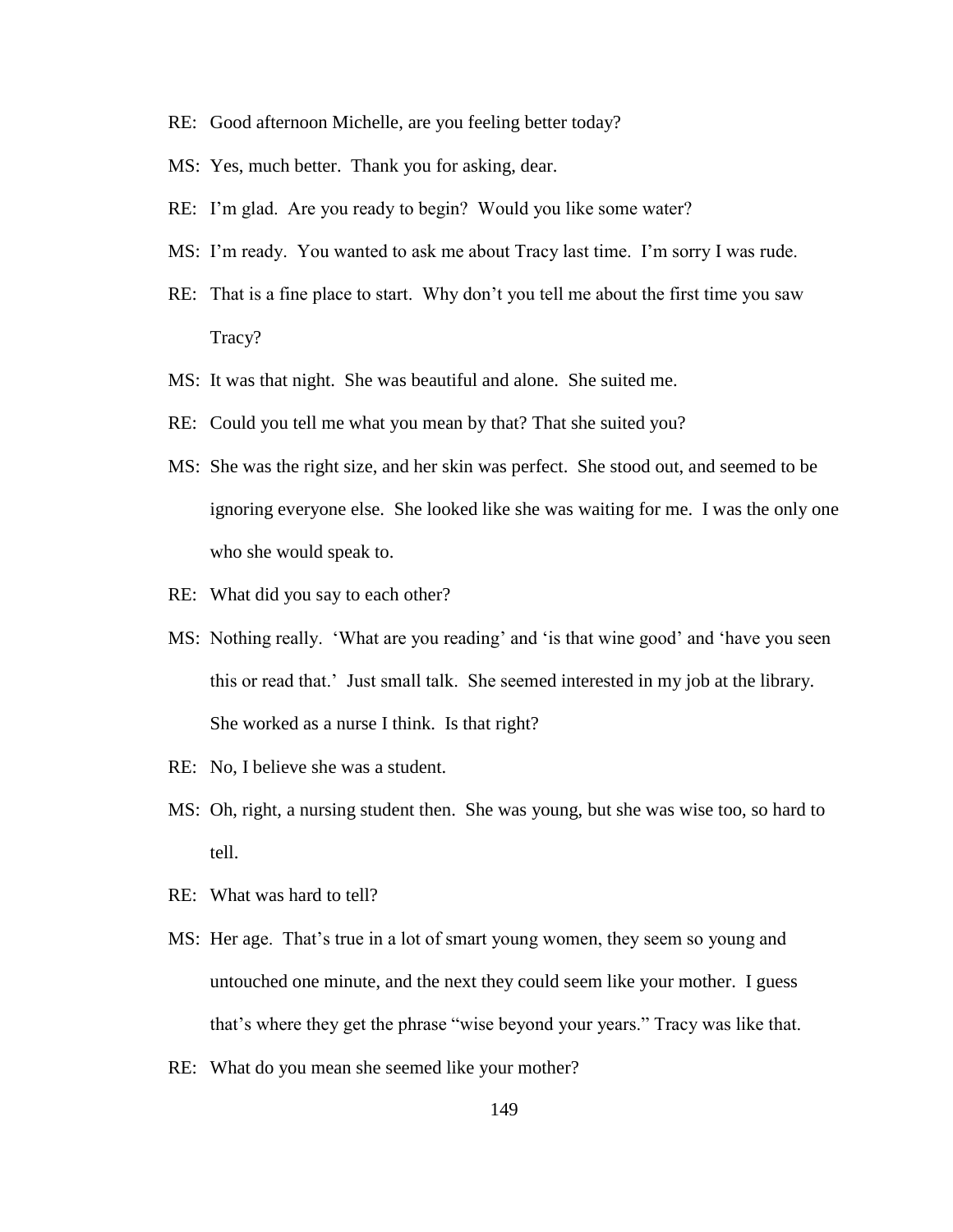- RE: Good afternoon Michelle, are you feeling better today?
- MS: Yes, much better. Thank you for asking, dear.
- RE: I'm glad. Are you ready to begin? Would you like some water?
- MS: I'm ready. You wanted to ask me about Tracy last time. I'm sorry I was rude.
- RE: That is a fine place to start. Why don't you tell me about the first time you saw Tracy?
- MS: It was that night. She was beautiful and alone. She suited me.
- RE: Could you tell me what you mean by that? That she suited you?
- MS: She was the right size, and her skin was perfect. She stood out, and seemed to be ignoring everyone else. She looked like she was waiting for me. I was the only one who she would speak to.
- RE: What did you say to each other?
- MS: Nothing really. 'What are you reading' and 'is that wine good' and 'have you seen this or read that." Just small talk. She seemed interested in my job at the library. She worked as a nurse I think. Is that right?
- RE: No, I believe she was a student.
- MS: Oh, right, a nursing student then. She was young, but she was wise too, so hard to tell.
- RE: What was hard to tell?
- MS: Her age. That's true in a lot of smart young women, they seem so young and untouched one minute, and the next they could seem like your mother. I guess that"s where they get the phrase "wise beyond your years." Tracy was like that.
- RE: What do you mean she seemed like your mother?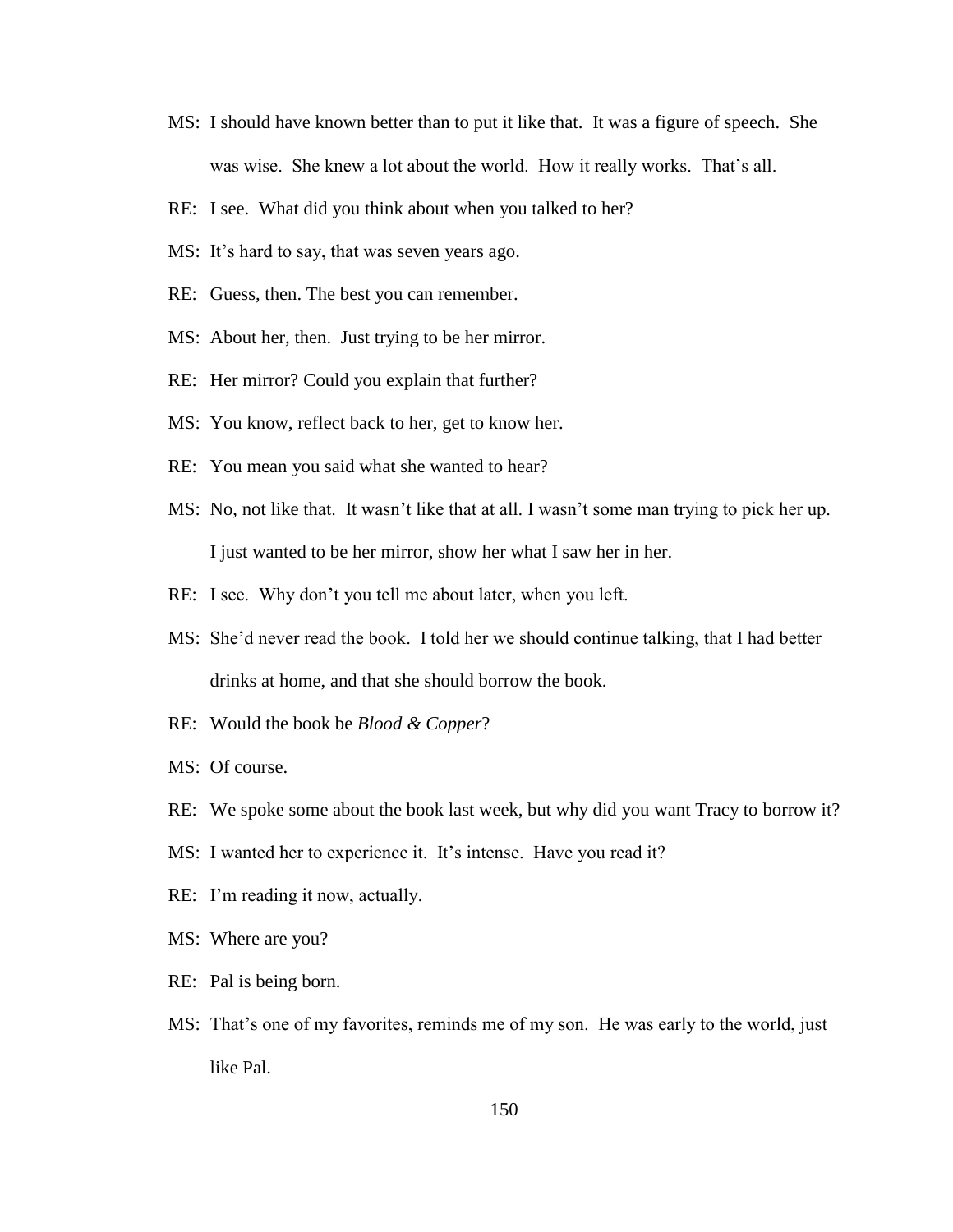- MS: I should have known better than to put it like that. It was a figure of speech. She was wise. She knew a lot about the world. How it really works. That's all.
- RE: I see. What did you think about when you talked to her?
- MS: It's hard to say, that was seven years ago.
- RE: Guess, then. The best you can remember.
- MS: About her, then. Just trying to be her mirror.
- RE: Her mirror? Could you explain that further?
- MS: You know, reflect back to her, get to know her.
- RE: You mean you said what she wanted to hear?
- MS: No, not like that. It wasn't like that at all. I wasn't some man trying to pick her up. I just wanted to be her mirror, show her what I saw her in her.
- RE: I see. Why don't you tell me about later, when you left.
- MS: She"d never read the book. I told her we should continue talking, that I had better drinks at home, and that she should borrow the book.
- RE: Would the book be *Blood & Copper*?
- MS: Of course.
- RE: We spoke some about the book last week, but why did you want Tracy to borrow it?
- MS: I wanted her to experience it. It's intense. Have you read it?
- RE: I'm reading it now, actually.
- MS: Where are you?
- RE: Pal is being born.
- MS: That's one of my favorites, reminds me of my son. He was early to the world, just like Pal.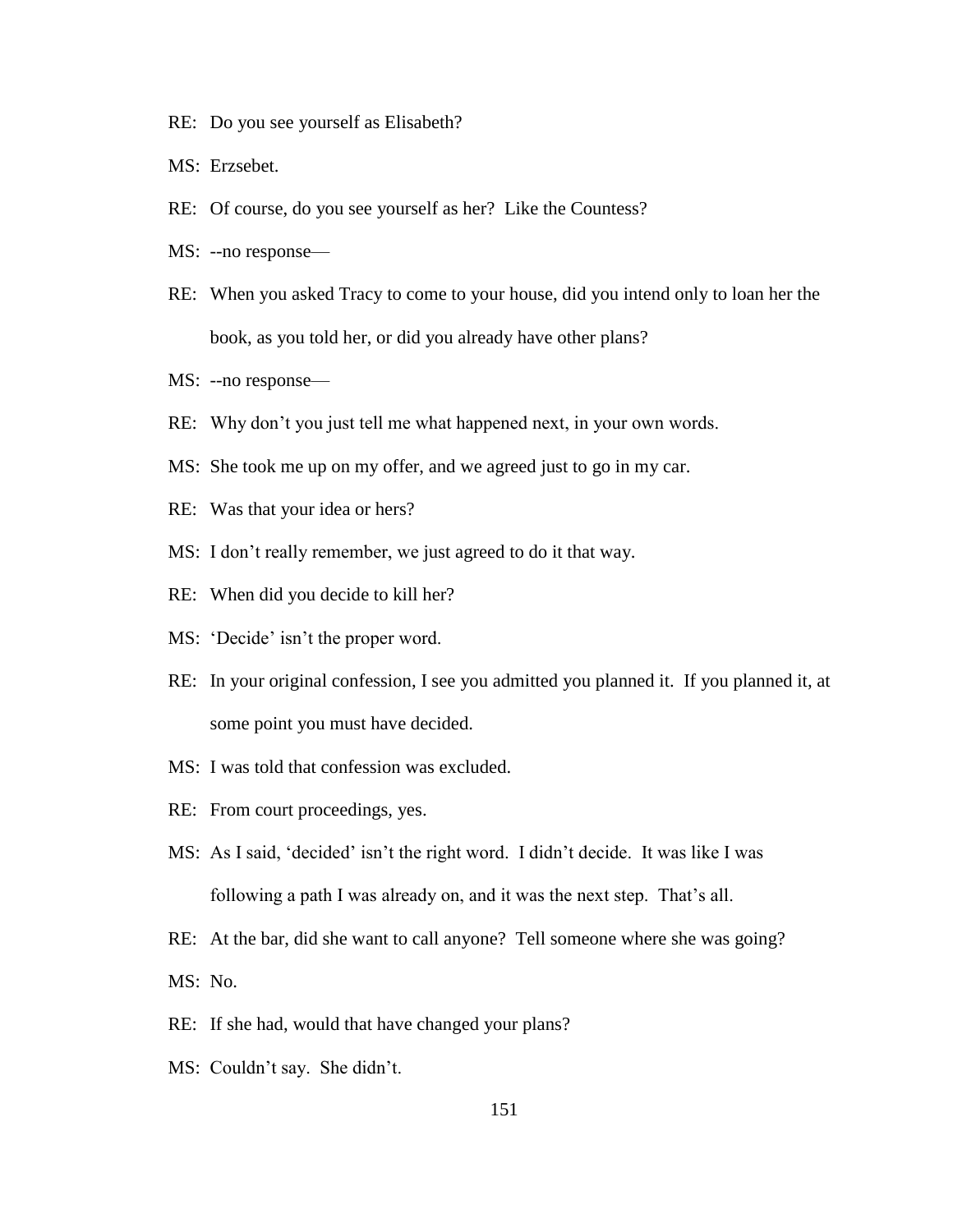- RE: Do you see yourself as Elisabeth?
- MS: Erzsebet.
- RE: Of course, do you see yourself as her? Like the Countess?
- MS: --no response—
- RE: When you asked Tracy to come to your house, did you intend only to loan her the book, as you told her, or did you already have other plans?
- MS: --no response—
- RE: Why don"t you just tell me what happened next, in your own words.
- MS: She took me up on my offer, and we agreed just to go in my car.
- RE: Was that your idea or hers?
- MS: I don"t really remember, we just agreed to do it that way.
- RE: When did you decide to kill her?
- MS: 'Decide' isn't the proper word.
- RE: In your original confession, I see you admitted you planned it. If you planned it, at some point you must have decided.
- MS: I was told that confession was excluded.
- RE: From court proceedings, yes.
- MS: As I said, 'decided' isn't the right word. I didn't decide. It was like I was following a path I was already on, and it was the next step. That's all.
- RE: At the bar, did she want to call anyone? Tell someone where she was going?
- MS: No.
- RE: If she had, would that have changed your plans?
- MS: Couldn"t say. She didn"t.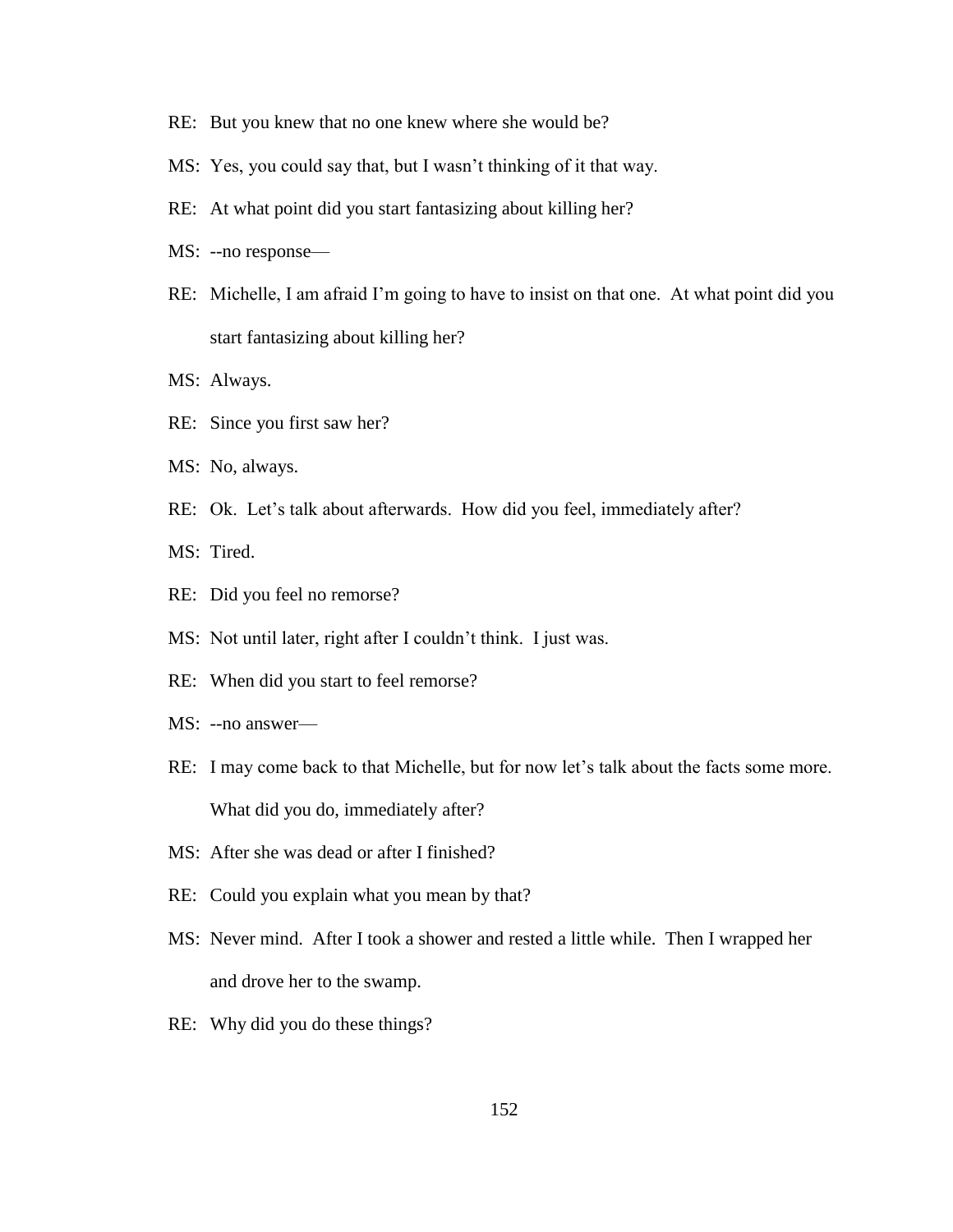- RE: But you knew that no one knew where she would be?
- MS: Yes, you could say that, but I wasn't thinking of it that way.
- RE: At what point did you start fantasizing about killing her?
- MS: --no response—
- RE: Michelle, I am afraid I'm going to have to insist on that one. At what point did you start fantasizing about killing her?
- MS: Always.
- RE: Since you first saw her?
- MS: No, always.
- RE: Ok. Let's talk about afterwards. How did you feel, immediately after?

MS: Tired.

- RE: Did you feel no remorse?
- MS: Not until later, right after I couldn"t think. I just was.
- RE: When did you start to feel remorse?
- MS: --no answer—
- RE: I may come back to that Michelle, but for now let's talk about the facts some more. What did you do, immediately after?
- MS: After she was dead or after I finished?
- RE: Could you explain what you mean by that?
- MS: Never mind. After I took a shower and rested a little while. Then I wrapped her and drove her to the swamp.
- RE: Why did you do these things?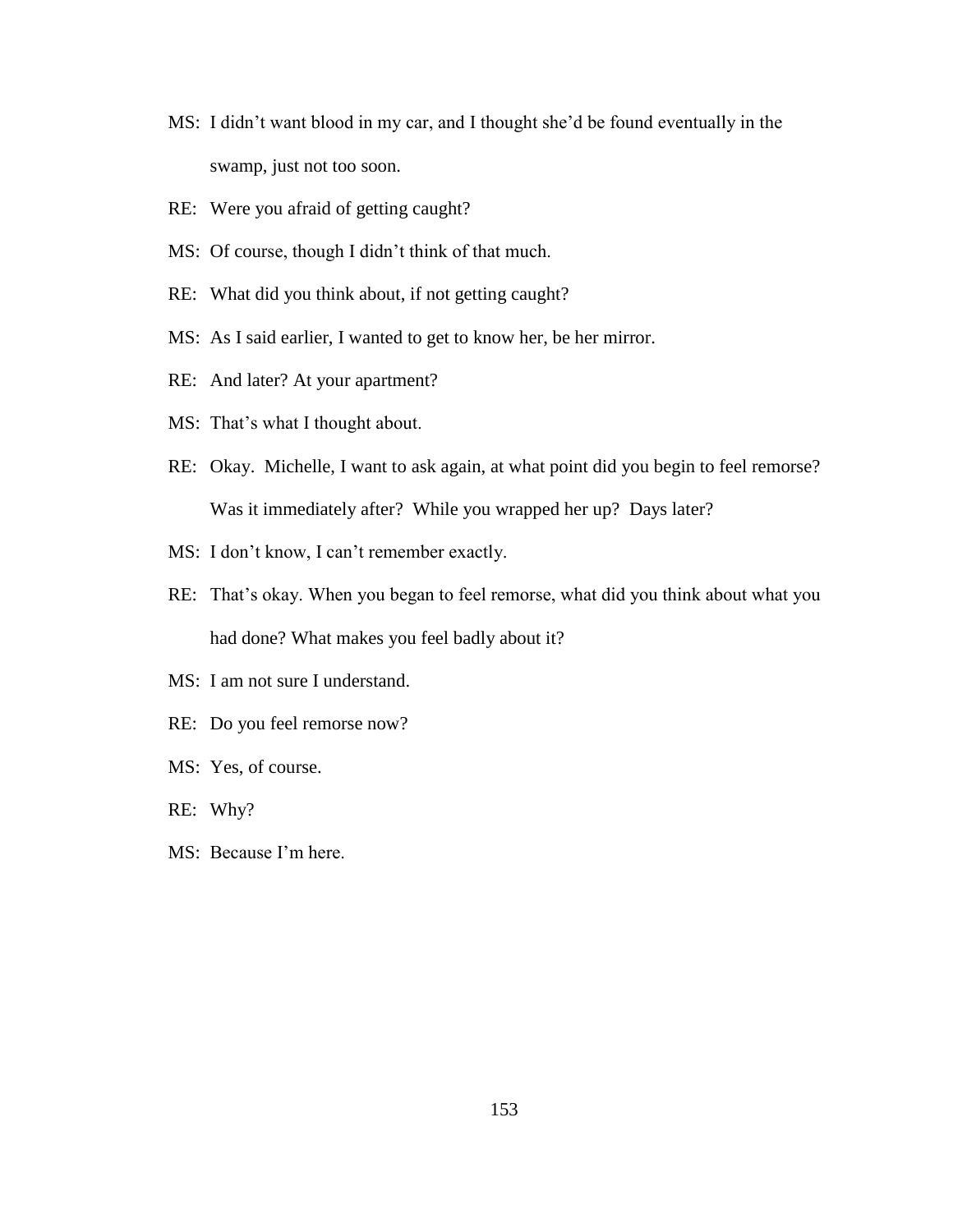- MS: I didn't want blood in my car, and I thought she'd be found eventually in the swamp, just not too soon.
- RE: Were you afraid of getting caught?
- MS: Of course, though I didn"t think of that much.
- RE: What did you think about, if not getting caught?
- MS: As I said earlier, I wanted to get to know her, be her mirror.
- RE: And later? At your apartment?
- MS: That's what I thought about.
- RE: Okay. Michelle, I want to ask again, at what point did you begin to feel remorse? Was it immediately after? While you wrapped her up? Days later?
- MS: I don't know, I can't remember exactly.
- RE: That's okay. When you began to feel remorse, what did you think about what you had done? What makes you feel badly about it?
- MS: I am not sure I understand.
- RE: Do you feel remorse now?
- MS: Yes, of course.
- RE: Why?
- MS: Because I"m here.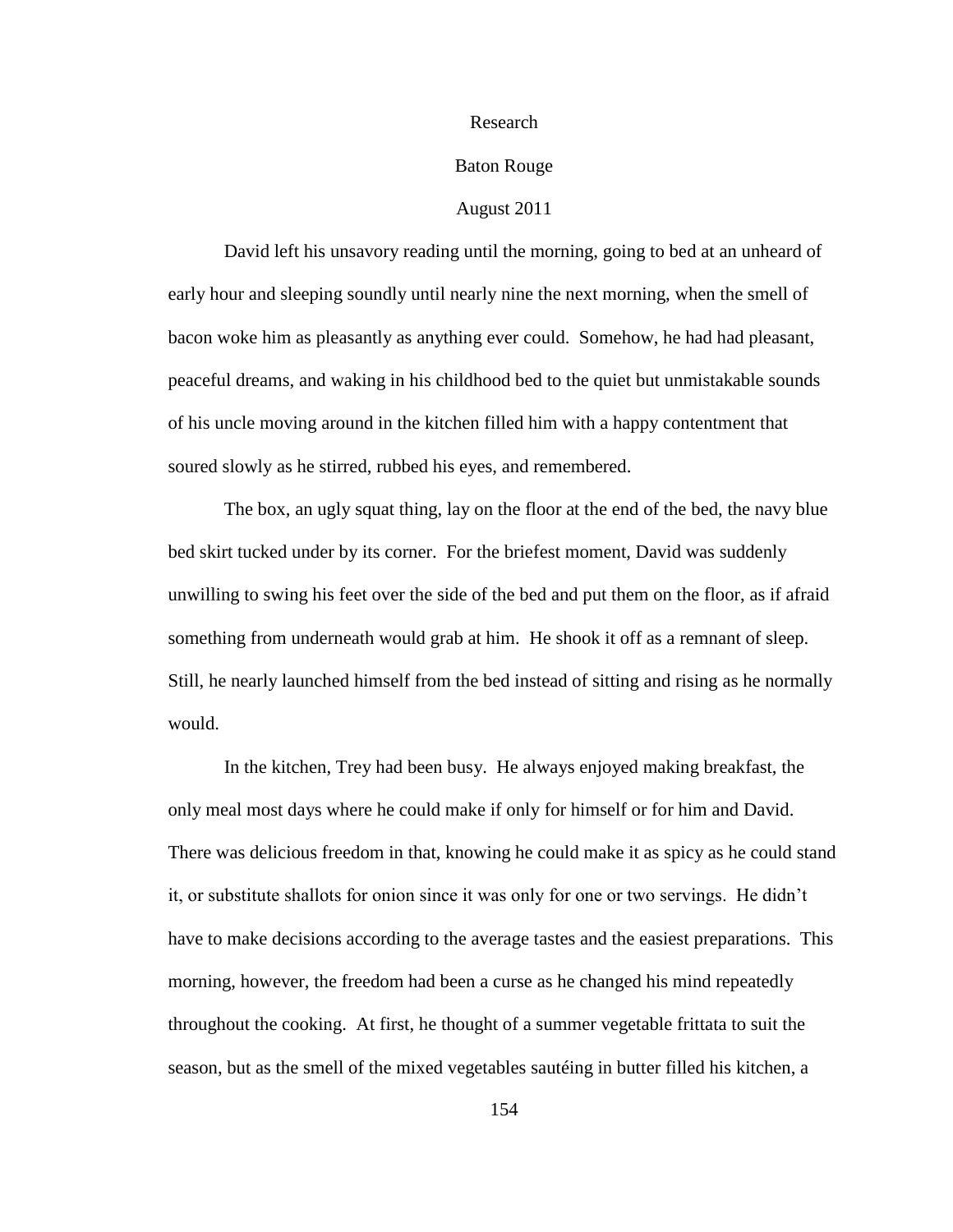#### Research

# Baton Rouge

## August 2011

David left his unsavory reading until the morning, going to bed at an unheard of early hour and sleeping soundly until nearly nine the next morning, when the smell of bacon woke him as pleasantly as anything ever could. Somehow, he had had pleasant, peaceful dreams, and waking in his childhood bed to the quiet but unmistakable sounds of his uncle moving around in the kitchen filled him with a happy contentment that soured slowly as he stirred, rubbed his eyes, and remembered.

The box, an ugly squat thing, lay on the floor at the end of the bed, the navy blue bed skirt tucked under by its corner. For the briefest moment, David was suddenly unwilling to swing his feet over the side of the bed and put them on the floor, as if afraid something from underneath would grab at him. He shook it off as a remnant of sleep. Still, he nearly launched himself from the bed instead of sitting and rising as he normally would.

In the kitchen, Trey had been busy. He always enjoyed making breakfast, the only meal most days where he could make if only for himself or for him and David. There was delicious freedom in that, knowing he could make it as spicy as he could stand it, or substitute shallots for onion since it was only for one or two servings. He didn"t have to make decisions according to the average tastes and the easiest preparations. This morning, however, the freedom had been a curse as he changed his mind repeatedly throughout the cooking. At first, he thought of a summer vegetable frittata to suit the season, but as the smell of the mixed vegetables sautéing in butter filled his kitchen, a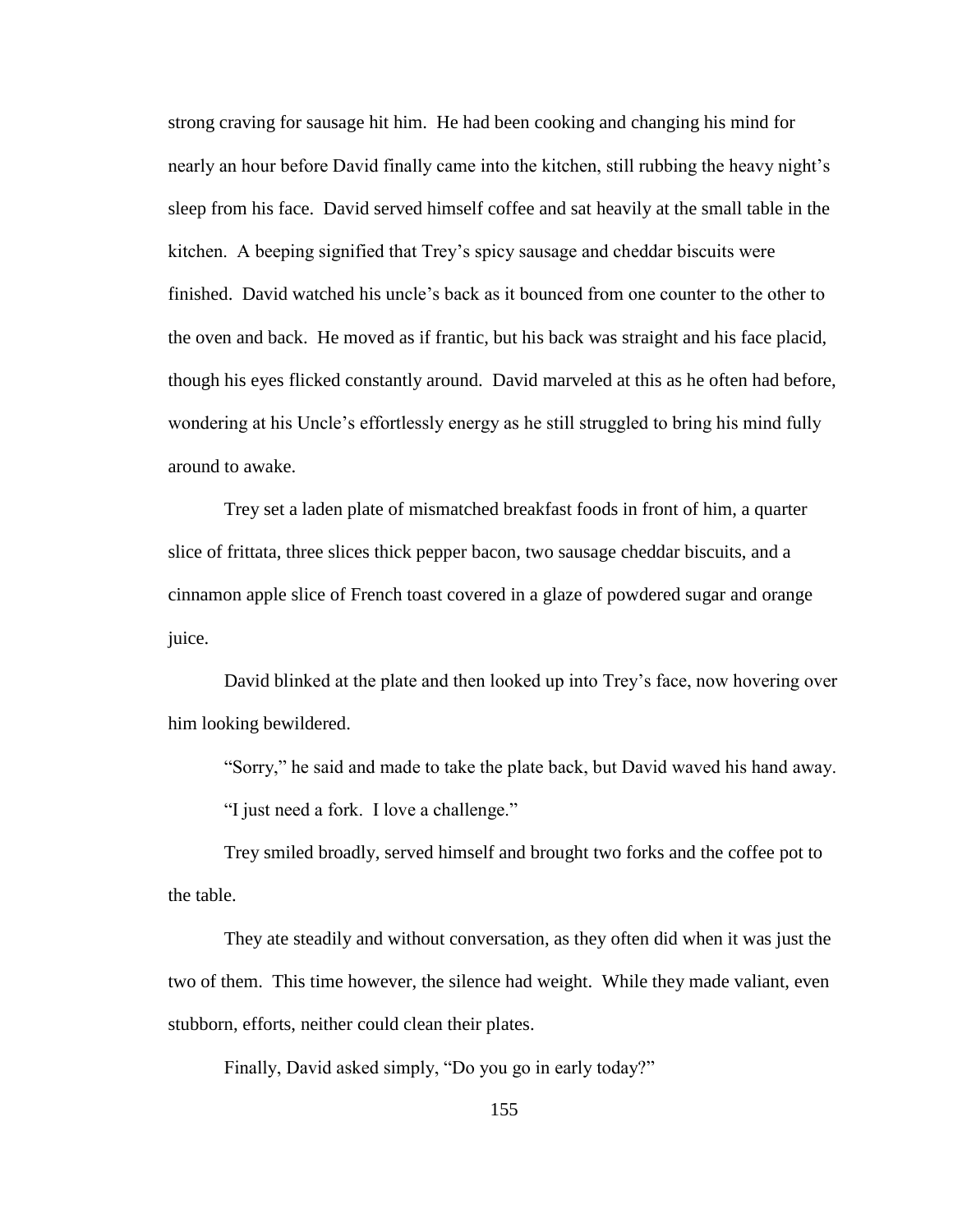strong craving for sausage hit him. He had been cooking and changing his mind for nearly an hour before David finally came into the kitchen, still rubbing the heavy night's sleep from his face. David served himself coffee and sat heavily at the small table in the kitchen. A beeping signified that Trey"s spicy sausage and cheddar biscuits were finished. David watched his uncle"s back as it bounced from one counter to the other to the oven and back. He moved as if frantic, but his back was straight and his face placid, though his eyes flicked constantly around. David marveled at this as he often had before, wondering at his Uncle"s effortlessly energy as he still struggled to bring his mind fully around to awake.

Trey set a laden plate of mismatched breakfast foods in front of him, a quarter slice of frittata, three slices thick pepper bacon, two sausage cheddar biscuits, and a cinnamon apple slice of French toast covered in a glaze of powdered sugar and orange juice.

David blinked at the plate and then looked up into Trey"s face, now hovering over him looking bewildered.

"Sorry," he said and made to take the plate back, but David waved his hand away.

"I just need a fork. I love a challenge."

Trey smiled broadly, served himself and brought two forks and the coffee pot to the table.

They ate steadily and without conversation, as they often did when it was just the two of them. This time however, the silence had weight. While they made valiant, even stubborn, efforts, neither could clean their plates.

Finally, David asked simply, "Do you go in early today?"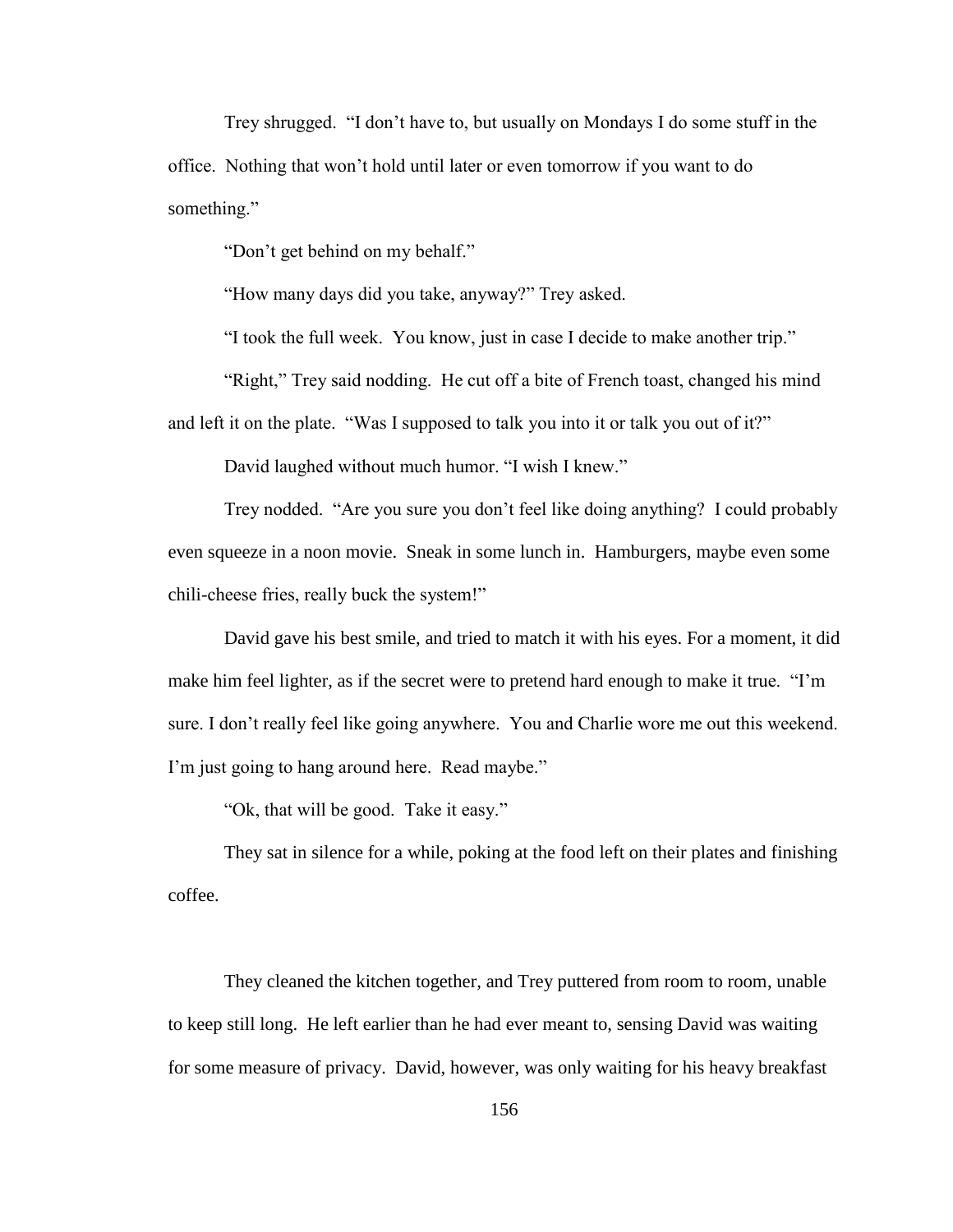Trey shrugged. "I don"t have to, but usually on Mondays I do some stuff in the office. Nothing that won"t hold until later or even tomorrow if you want to do something."

"Don"t get behind on my behalf."

"How many days did you take, anyway?" Trey asked.

"I took the full week. You know, just in case I decide to make another trip."

"Right," Trey said nodding. He cut off a bite of French toast, changed his mind and left it on the plate. "Was I supposed to talk you into it or talk you out of it?"

David laughed without much humor. "I wish I knew."

Trey nodded. "Are you sure you don"t feel like doing anything? I could probably even squeeze in a noon movie. Sneak in some lunch in. Hamburgers, maybe even some chili-cheese fries, really buck the system!"

David gave his best smile, and tried to match it with his eyes. For a moment, it did make him feel lighter, as if the secret were to pretend hard enough to make it true. "I"m sure. I don"t really feel like going anywhere. You and Charlie wore me out this weekend. I'm just going to hang around here. Read maybe."

"Ok, that will be good. Take it easy."

They sat in silence for a while, poking at the food left on their plates and finishing coffee.

They cleaned the kitchen together, and Trey puttered from room to room, unable to keep still long. He left earlier than he had ever meant to, sensing David was waiting for some measure of privacy. David, however, was only waiting for his heavy breakfast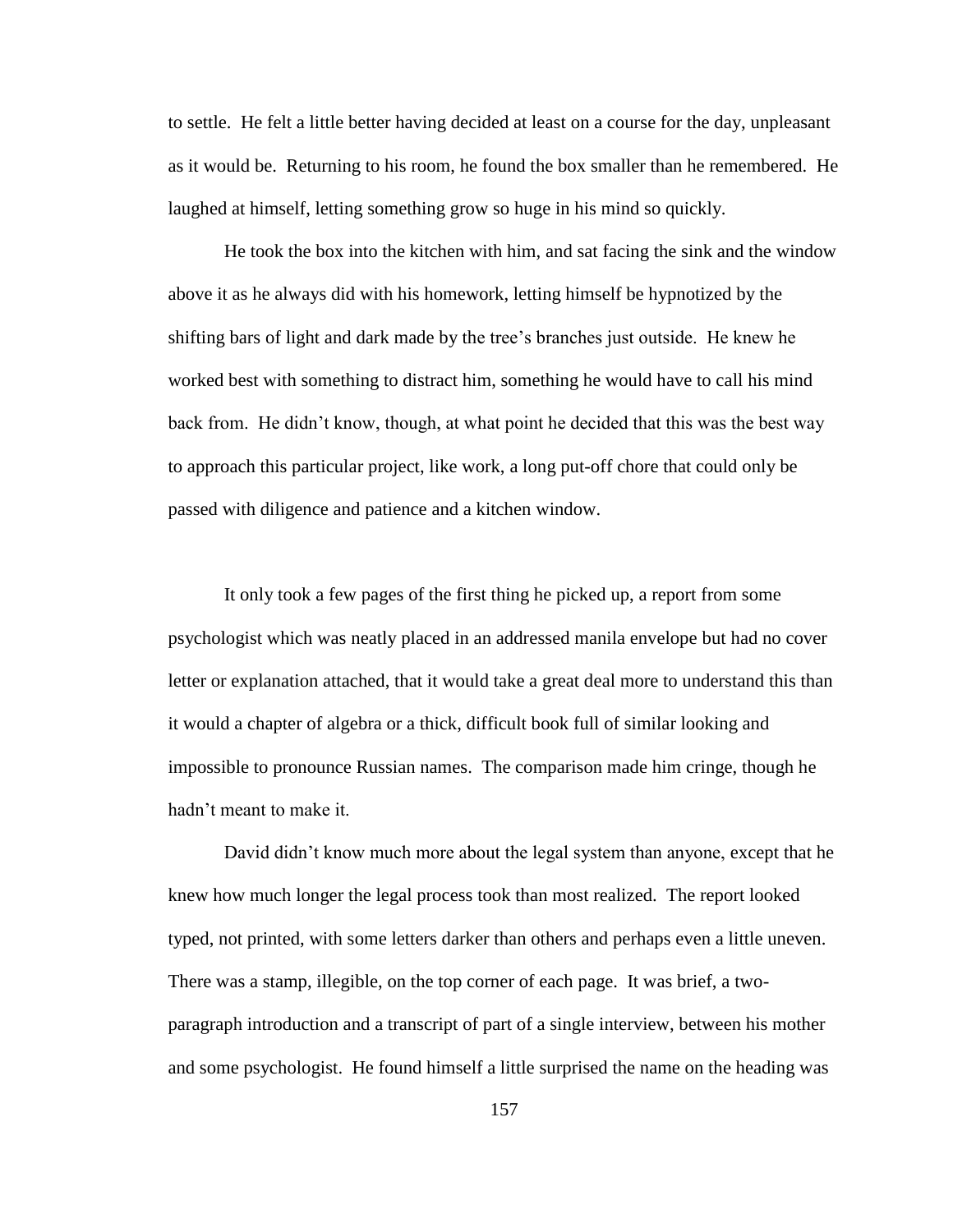to settle. He felt a little better having decided at least on a course for the day, unpleasant as it would be. Returning to his room, he found the box smaller than he remembered. He laughed at himself, letting something grow so huge in his mind so quickly.

He took the box into the kitchen with him, and sat facing the sink and the window above it as he always did with his homework, letting himself be hypnotized by the shifting bars of light and dark made by the tree"s branches just outside. He knew he worked best with something to distract him, something he would have to call his mind back from. He didn"t know, though, at what point he decided that this was the best way to approach this particular project, like work, a long put-off chore that could only be passed with diligence and patience and a kitchen window.

It only took a few pages of the first thing he picked up, a report from some psychologist which was neatly placed in an addressed manila envelope but had no cover letter or explanation attached, that it would take a great deal more to understand this than it would a chapter of algebra or a thick, difficult book full of similar looking and impossible to pronounce Russian names. The comparison made him cringe, though he hadn"t meant to make it.

David didn"t know much more about the legal system than anyone, except that he knew how much longer the legal process took than most realized. The report looked typed, not printed, with some letters darker than others and perhaps even a little uneven. There was a stamp, illegible, on the top corner of each page. It was brief, a twoparagraph introduction and a transcript of part of a single interview, between his mother and some psychologist. He found himself a little surprised the name on the heading was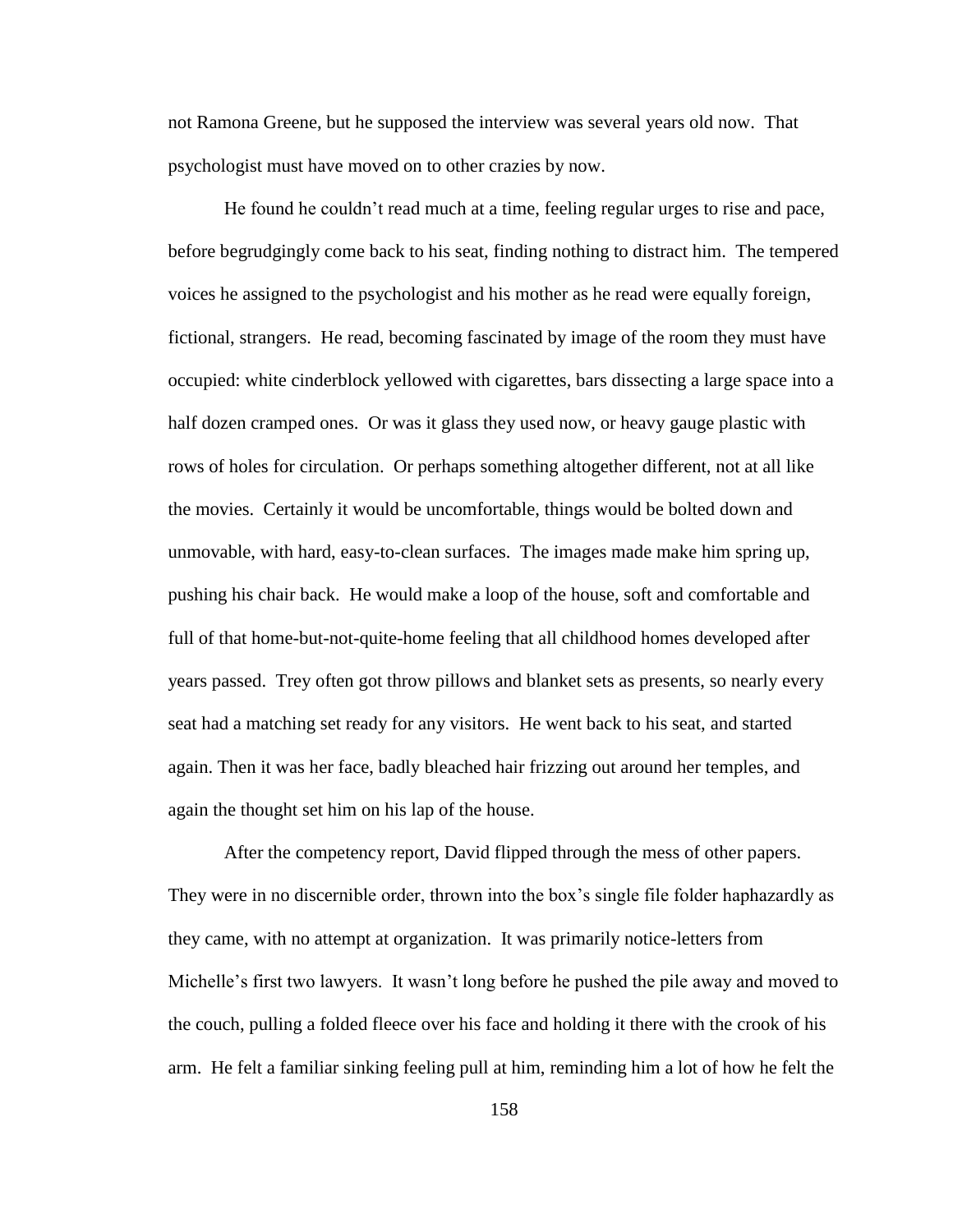not Ramona Greene, but he supposed the interview was several years old now. That psychologist must have moved on to other crazies by now.

He found he couldn"t read much at a time, feeling regular urges to rise and pace, before begrudgingly come back to his seat, finding nothing to distract him. The tempered voices he assigned to the psychologist and his mother as he read were equally foreign, fictional, strangers. He read, becoming fascinated by image of the room they must have occupied: white cinderblock yellowed with cigarettes, bars dissecting a large space into a half dozen cramped ones. Or was it glass they used now, or heavy gauge plastic with rows of holes for circulation. Or perhaps something altogether different, not at all like the movies. Certainly it would be uncomfortable, things would be bolted down and unmovable, with hard, easy-to-clean surfaces. The images made make him spring up, pushing his chair back. He would make a loop of the house, soft and comfortable and full of that home-but-not-quite-home feeling that all childhood homes developed after years passed. Trey often got throw pillows and blanket sets as presents, so nearly every seat had a matching set ready for any visitors. He went back to his seat, and started again. Then it was her face, badly bleached hair frizzing out around her temples, and again the thought set him on his lap of the house.

After the competency report, David flipped through the mess of other papers. They were in no discernible order, thrown into the box"s single file folder haphazardly as they came, with no attempt at organization. It was primarily notice-letters from Michelle"s first two lawyers. It wasn"t long before he pushed the pile away and moved to the couch, pulling a folded fleece over his face and holding it there with the crook of his arm. He felt a familiar sinking feeling pull at him, reminding him a lot of how he felt the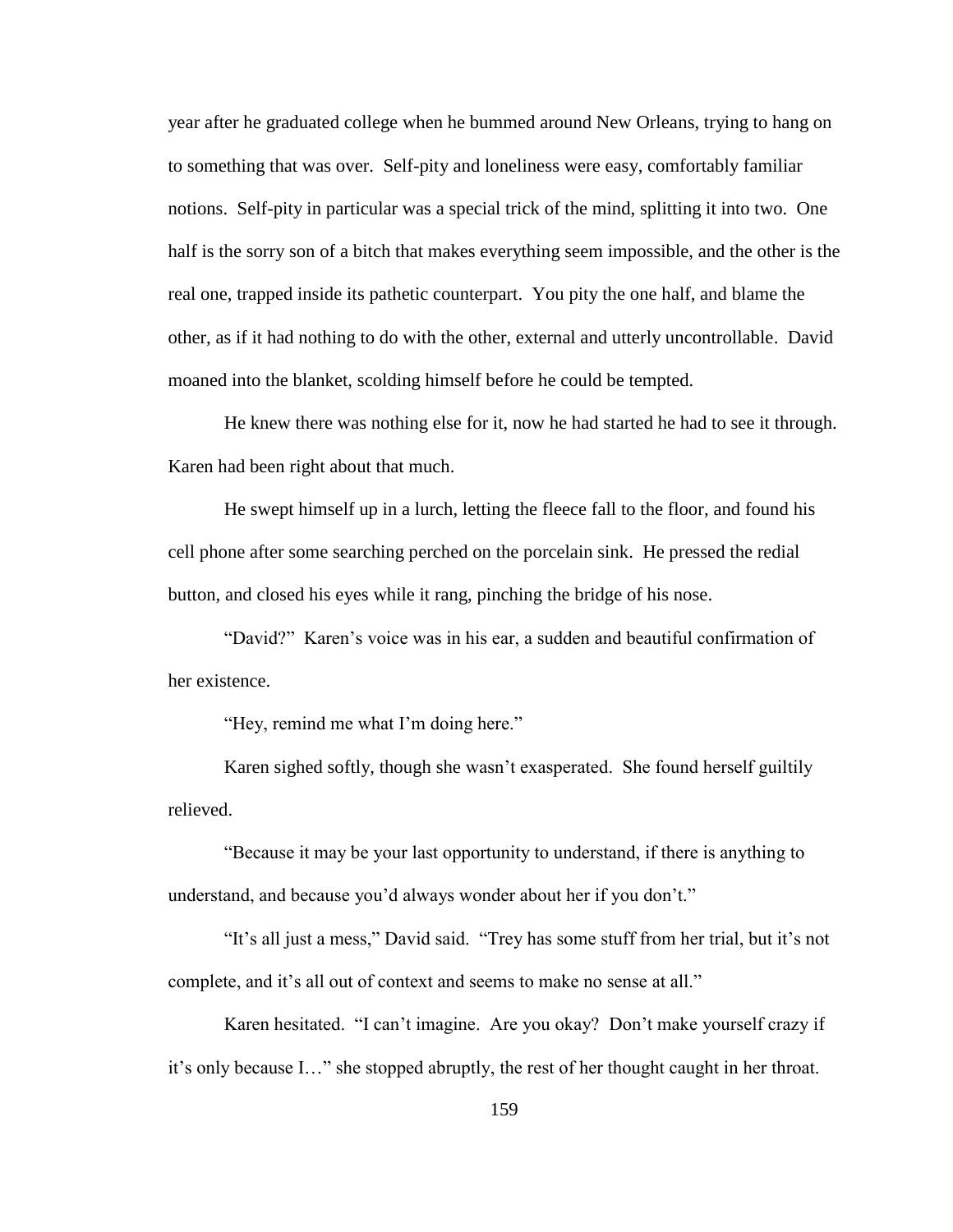year after he graduated college when he bummed around New Orleans, trying to hang on to something that was over. Self-pity and loneliness were easy, comfortably familiar notions. Self-pity in particular was a special trick of the mind, splitting it into two. One half is the sorry son of a bitch that makes everything seem impossible, and the other is the real one, trapped inside its pathetic counterpart. You pity the one half, and blame the other, as if it had nothing to do with the other, external and utterly uncontrollable. David moaned into the blanket, scolding himself before he could be tempted.

He knew there was nothing else for it, now he had started he had to see it through. Karen had been right about that much.

He swept himself up in a lurch, letting the fleece fall to the floor, and found his cell phone after some searching perched on the porcelain sink. He pressed the redial button, and closed his eyes while it rang, pinching the bridge of his nose.

"David?" Karen"s voice was in his ear, a sudden and beautiful confirmation of her existence.

"Hey, remind me what I"m doing here."

Karen sighed softly, though she wasn"t exasperated. She found herself guiltily relieved.

"Because it may be your last opportunity to understand, if there is anything to understand, and because you'd always wonder about her if you don't."

"It"s all just a mess," David said. "Trey has some stuff from her trial, but it"s not complete, and it's all out of context and seems to make no sense at all."

Karen hesitated. "I can"t imagine. Are you okay? Don"t make yourself crazy if it"s only because I…" she stopped abruptly, the rest of her thought caught in her throat.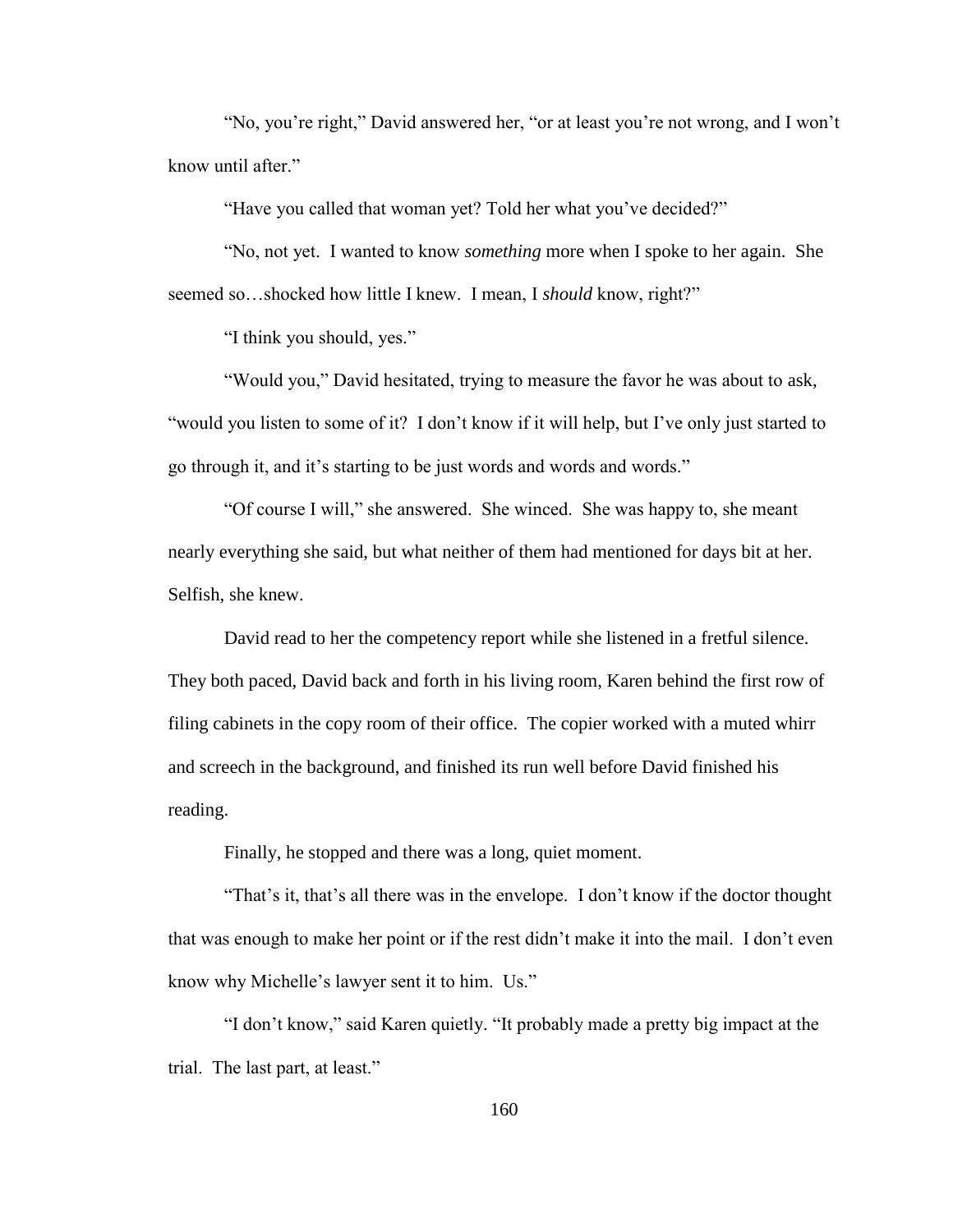"No, you"re right," David answered her, "or at least you"re not wrong, and I won"t know until after."

"Have you called that woman yet? Told her what you've decided?"

"No, not yet. I wanted to know *something* more when I spoke to her again. She seemed so…shocked how little I knew. I mean, I *should* know, right?"

"I think you should, yes."

"Would you," David hesitated, trying to measure the favor he was about to ask, "would you listen to some of it? I don"t know if it will help, but I"ve only just started to go through it, and it's starting to be just words and words and words."

"Of course I will," she answered. She winced. She was happy to, she meant nearly everything she said, but what neither of them had mentioned for days bit at her. Selfish, she knew.

David read to her the competency report while she listened in a fretful silence. They both paced, David back and forth in his living room, Karen behind the first row of filing cabinets in the copy room of their office. The copier worked with a muted whirr and screech in the background, and finished its run well before David finished his reading.

Finally, he stopped and there was a long, quiet moment.

"That"s it, that"s all there was in the envelope. I don"t know if the doctor thought that was enough to make her point or if the rest didn"t make it into the mail. I don"t even know why Michelle"s lawyer sent it to him. Us."

"I don"t know," said Karen quietly. "It probably made a pretty big impact at the trial. The last part, at least."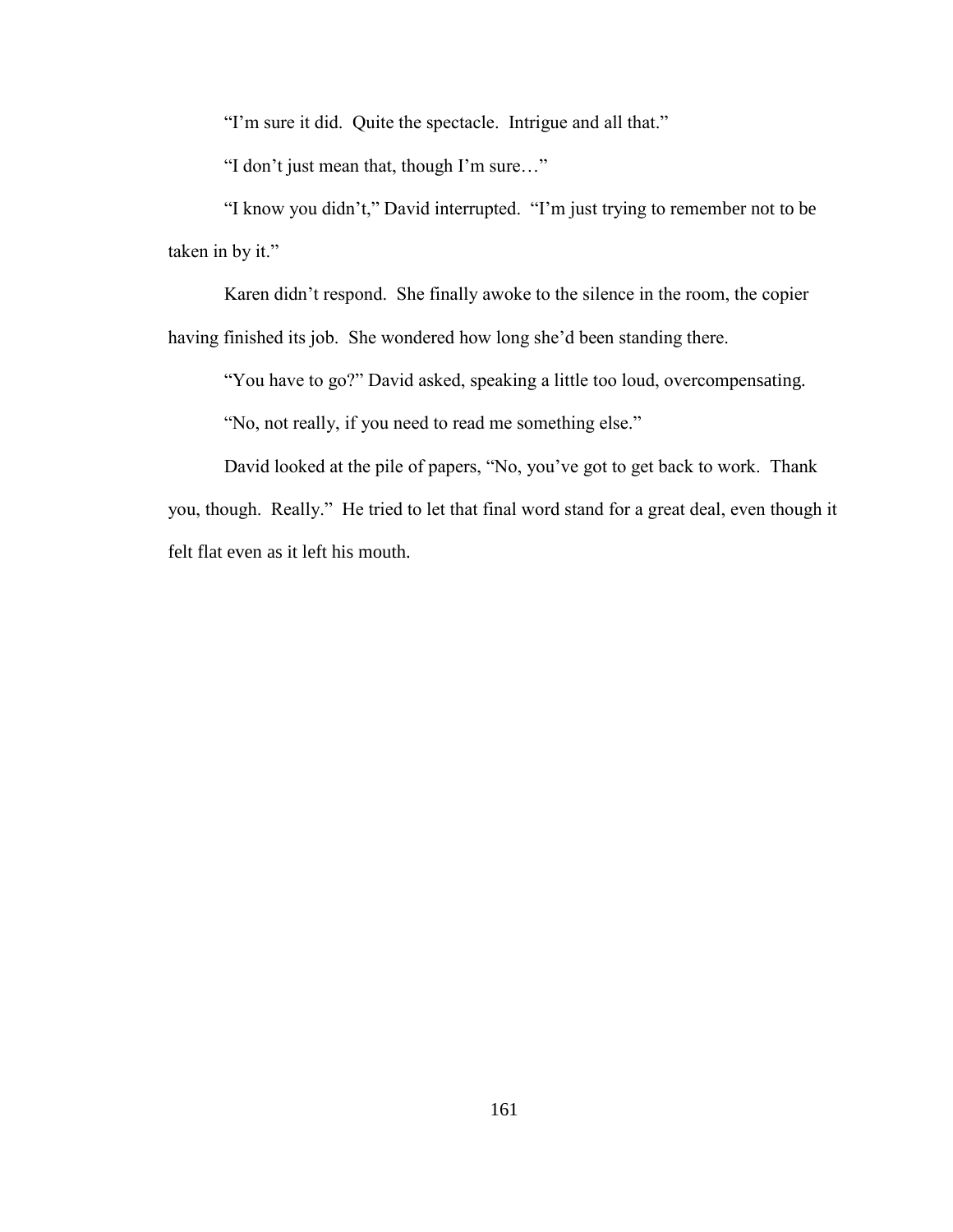"I'm sure it did. Quite the spectacle. Intrigue and all that."

"I don"t just mean that, though I"m sure…"

"I know you didn"t," David interrupted. "I"m just trying to remember not to be taken in by it."

Karen didn"t respond. She finally awoke to the silence in the room, the copier

having finished its job. She wondered how long she"d been standing there.

"You have to go?" David asked, speaking a little too loud, overcompensating.

"No, not really, if you need to read me something else."

David looked at the pile of papers, "No, you"ve got to get back to work. Thank you, though. Really." He tried to let that final word stand for a great deal, even though it felt flat even as it left his mouth.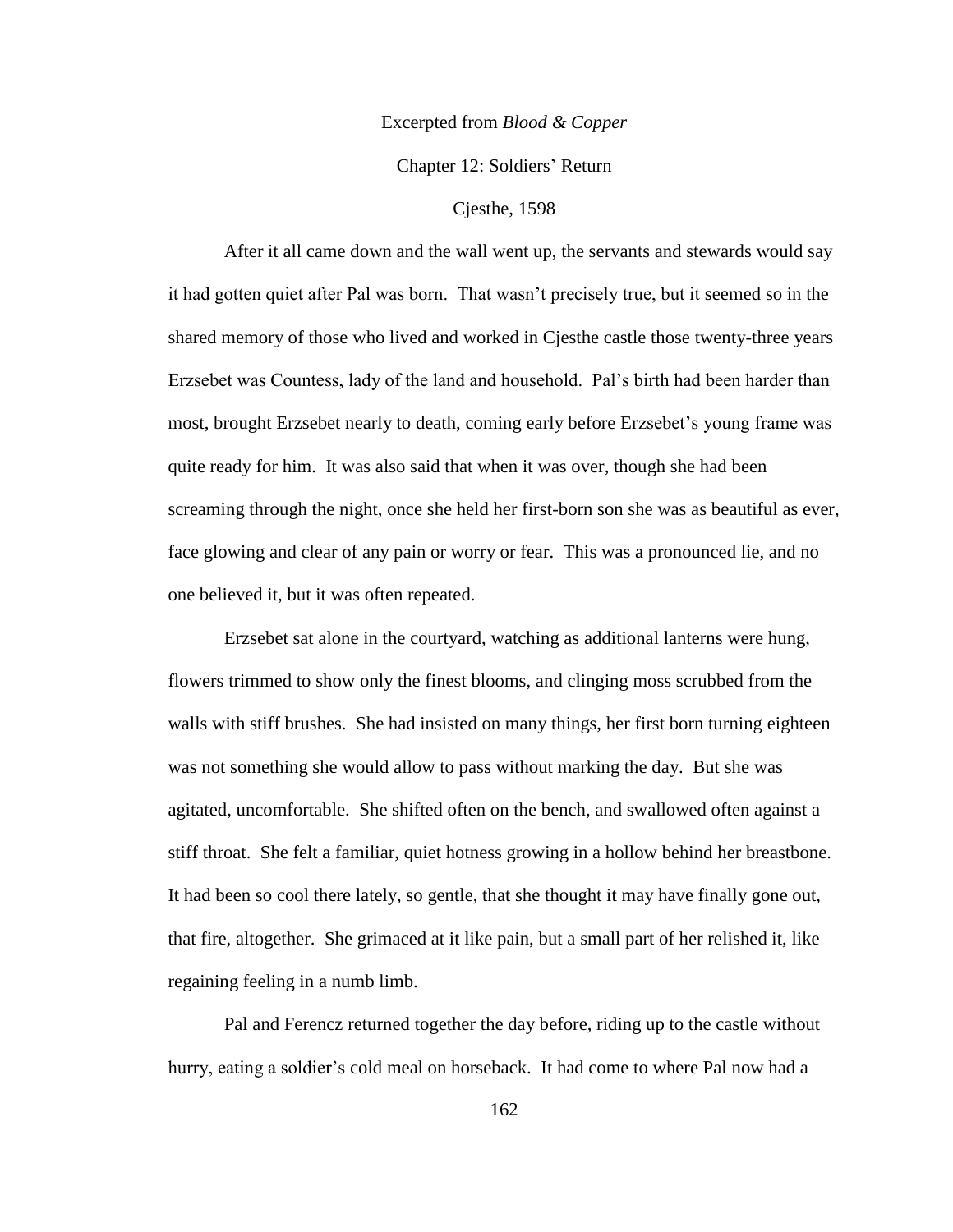### Excerpted from *Blood & Copper*

Chapter 12: Soldiers" Return

## Cjesthe, 1598

After it all came down and the wall went up, the servants and stewards would say it had gotten quiet after Pal was born. That wasn"t precisely true, but it seemed so in the shared memory of those who lived and worked in Cjesthe castle those twenty-three years Erzsebet was Countess, lady of the land and household. Pal"s birth had been harder than most, brought Erzsebet nearly to death, coming early before Erzsebet's young frame was quite ready for him. It was also said that when it was over, though she had been screaming through the night, once she held her first-born son she was as beautiful as ever, face glowing and clear of any pain or worry or fear. This was a pronounced lie, and no one believed it, but it was often repeated.

Erzsebet sat alone in the courtyard, watching as additional lanterns were hung, flowers trimmed to show only the finest blooms, and clinging moss scrubbed from the walls with stiff brushes. She had insisted on many things, her first born turning eighteen was not something she would allow to pass without marking the day. But she was agitated, uncomfortable. She shifted often on the bench, and swallowed often against a stiff throat. She felt a familiar, quiet hotness growing in a hollow behind her breastbone. It had been so cool there lately, so gentle, that she thought it may have finally gone out, that fire, altogether. She grimaced at it like pain, but a small part of her relished it, like regaining feeling in a numb limb.

Pal and Ferencz returned together the day before, riding up to the castle without hurry, eating a soldier's cold meal on horseback. It had come to where Pal now had a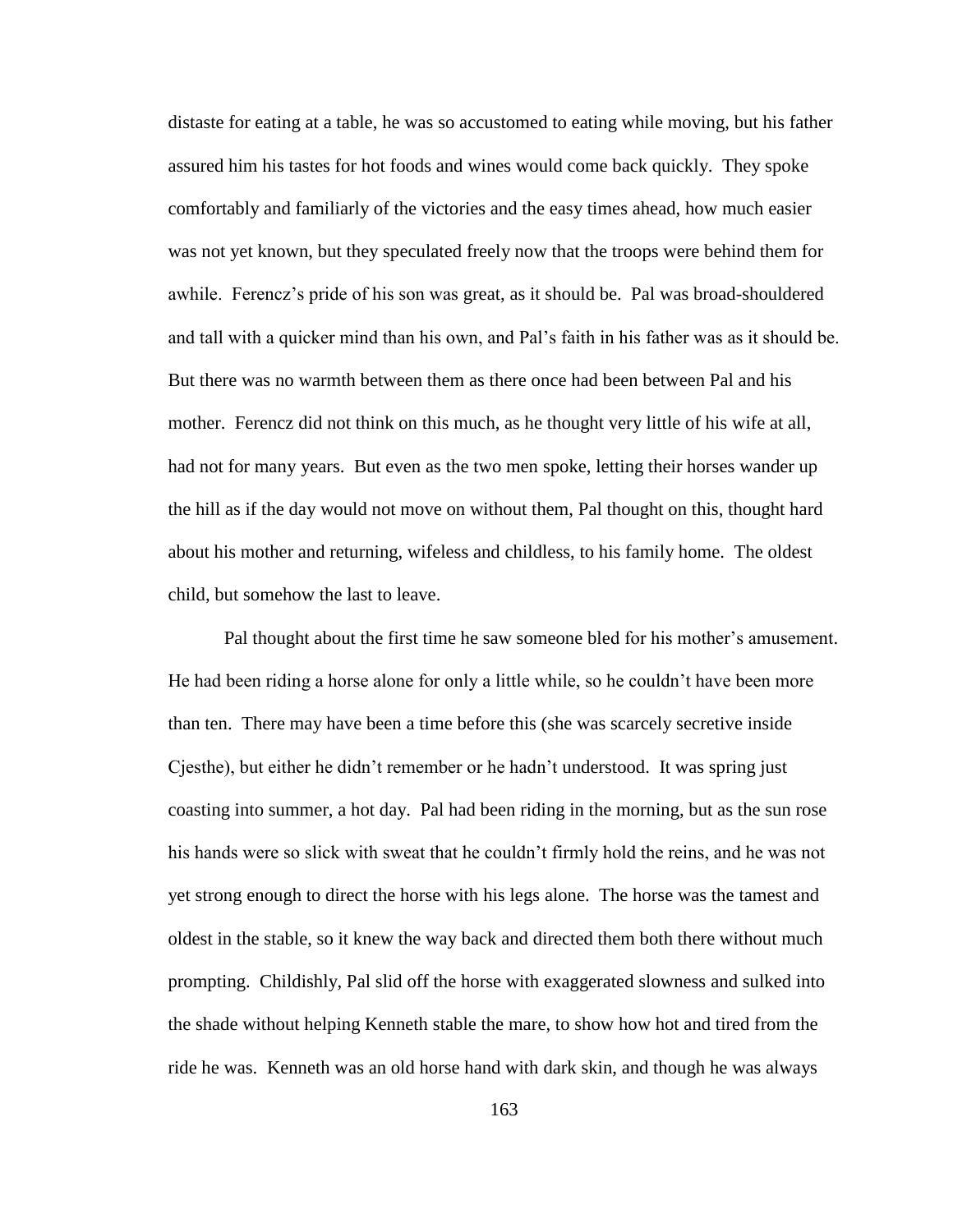distaste for eating at a table, he was so accustomed to eating while moving, but his father assured him his tastes for hot foods and wines would come back quickly. They spoke comfortably and familiarly of the victories and the easy times ahead, how much easier was not yet known, but they speculated freely now that the troops were behind them for awhile. Ferencz"s pride of his son was great, as it should be. Pal was broad-shouldered and tall with a quicker mind than his own, and Pal"s faith in his father was as it should be. But there was no warmth between them as there once had been between Pal and his mother. Ferencz did not think on this much, as he thought very little of his wife at all, had not for many years. But even as the two men spoke, letting their horses wander up the hill as if the day would not move on without them, Pal thought on this, thought hard about his mother and returning, wifeless and childless, to his family home. The oldest child, but somehow the last to leave.

Pal thought about the first time he saw someone bled for his mother's amusement. He had been riding a horse alone for only a little while, so he couldn"t have been more than ten. There may have been a time before this (she was scarcely secretive inside Cjesthe), but either he didn"t remember or he hadn"t understood. It was spring just coasting into summer, a hot day. Pal had been riding in the morning, but as the sun rose his hands were so slick with sweat that he couldn"t firmly hold the reins, and he was not yet strong enough to direct the horse with his legs alone. The horse was the tamest and oldest in the stable, so it knew the way back and directed them both there without much prompting. Childishly, Pal slid off the horse with exaggerated slowness and sulked into the shade without helping Kenneth stable the mare, to show how hot and tired from the ride he was. Kenneth was an old horse hand with dark skin, and though he was always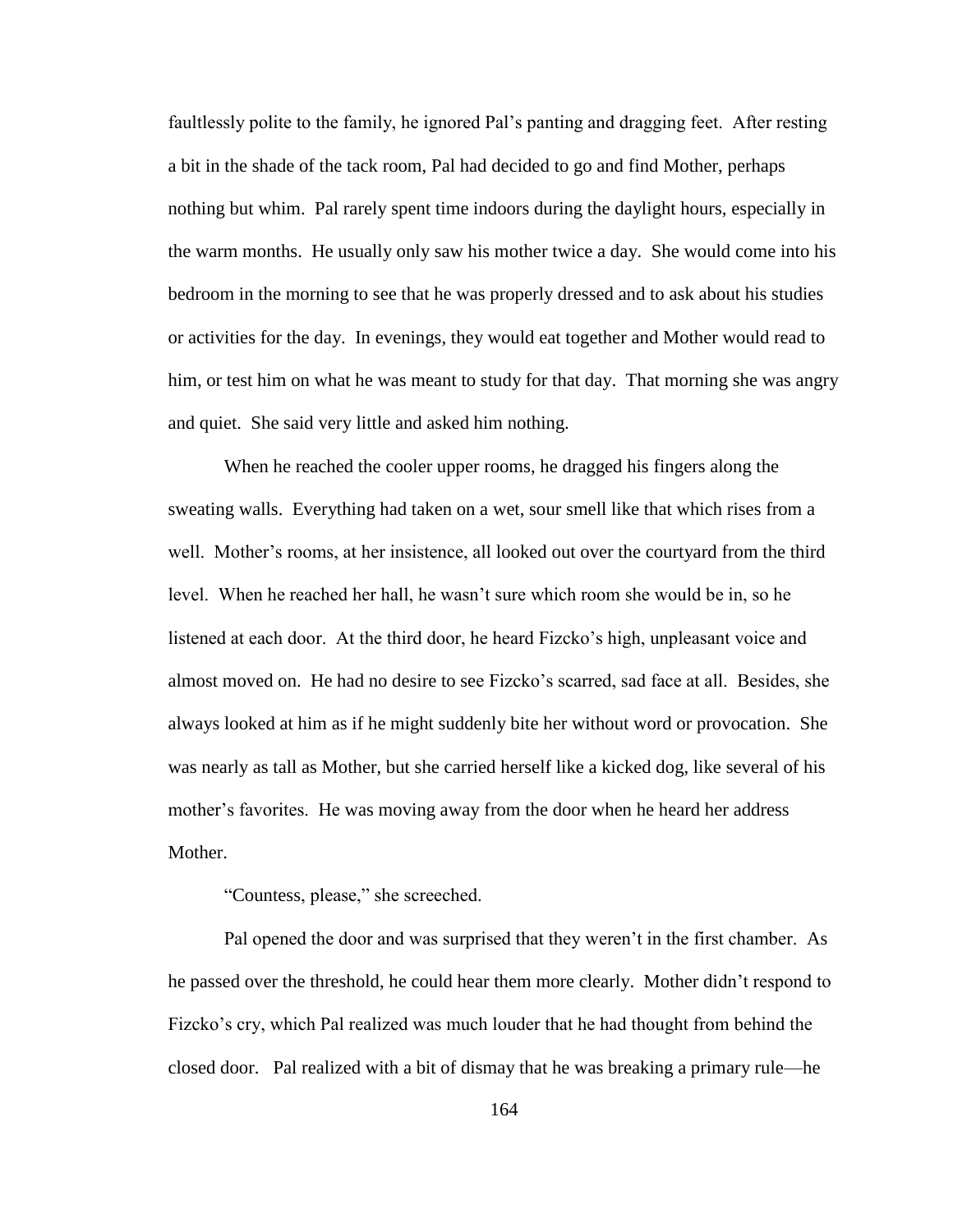faultlessly polite to the family, he ignored Pal"s panting and dragging feet. After resting a bit in the shade of the tack room, Pal had decided to go and find Mother, perhaps nothing but whim. Pal rarely spent time indoors during the daylight hours, especially in the warm months. He usually only saw his mother twice a day. She would come into his bedroom in the morning to see that he was properly dressed and to ask about his studies or activities for the day. In evenings, they would eat together and Mother would read to him, or test him on what he was meant to study for that day. That morning she was angry and quiet. She said very little and asked him nothing.

When he reached the cooler upper rooms, he dragged his fingers along the sweating walls. Everything had taken on a wet, sour smell like that which rises from a well. Mother's rooms, at her insistence, all looked out over the courtyard from the third level. When he reached her hall, he wasn"t sure which room she would be in, so he listened at each door. At the third door, he heard Fizcko"s high, unpleasant voice and almost moved on. He had no desire to see Fizcko"s scarred, sad face at all. Besides, she always looked at him as if he might suddenly bite her without word or provocation. She was nearly as tall as Mother, but she carried herself like a kicked dog, like several of his mother's favorites. He was moving away from the door when he heard her address Mother.

# "Countess, please," she screeched.

Pal opened the door and was surprised that they weren't in the first chamber. As he passed over the threshold, he could hear them more clearly. Mother didn"t respond to Fizcko"s cry, which Pal realized was much louder that he had thought from behind the closed door. Pal realized with a bit of dismay that he was breaking a primary rule—he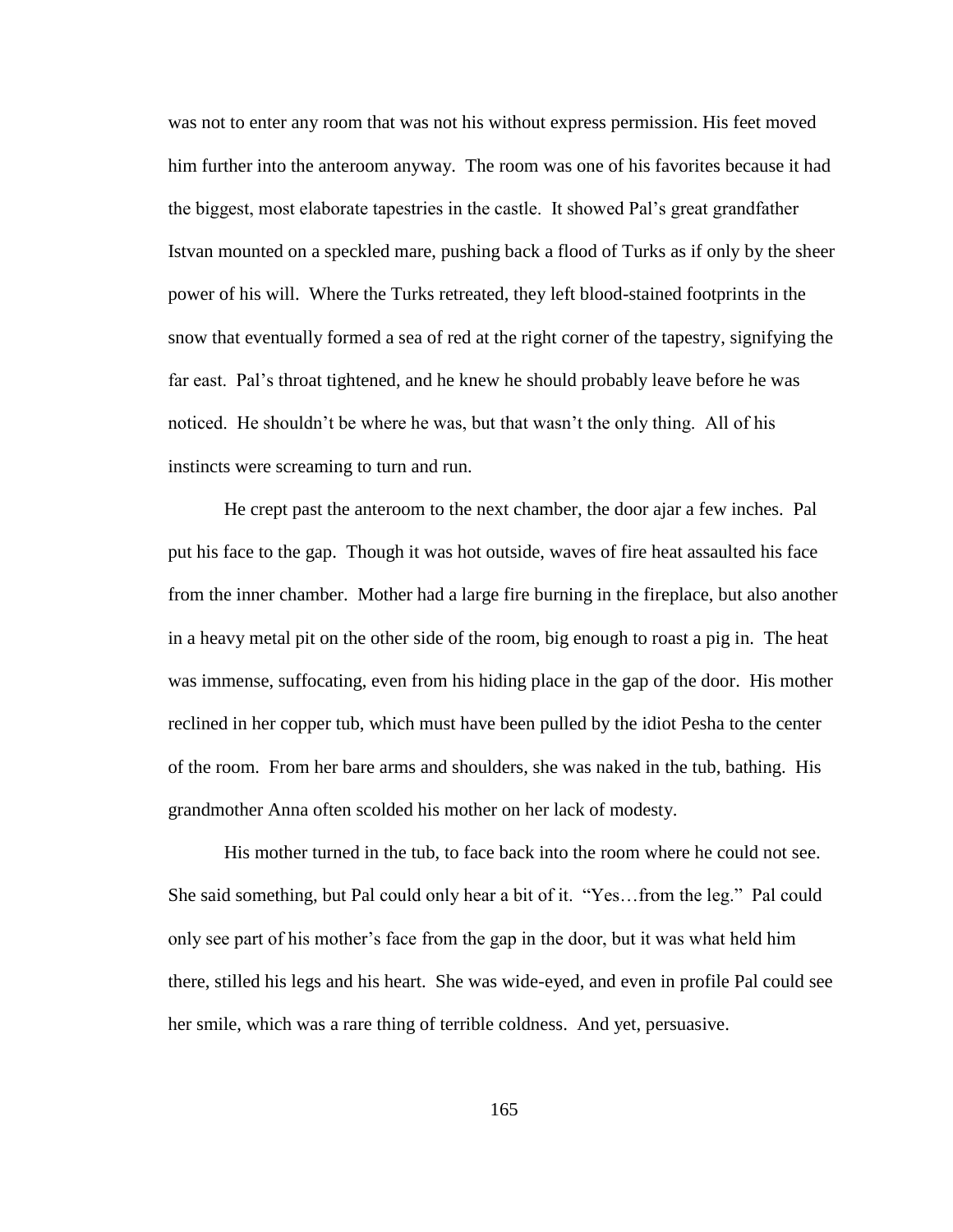was not to enter any room that was not his without express permission. His feet moved him further into the anteroom anyway. The room was one of his favorites because it had the biggest, most elaborate tapestries in the castle. It showed Pal"s great grandfather Istvan mounted on a speckled mare, pushing back a flood of Turks as if only by the sheer power of his will. Where the Turks retreated, they left blood-stained footprints in the snow that eventually formed a sea of red at the right corner of the tapestry, signifying the far east. Pal"s throat tightened, and he knew he should probably leave before he was noticed. He shouldn"t be where he was, but that wasn"t the only thing. All of his instincts were screaming to turn and run.

He crept past the anteroom to the next chamber, the door ajar a few inches. Pal put his face to the gap. Though it was hot outside, waves of fire heat assaulted his face from the inner chamber. Mother had a large fire burning in the fireplace, but also another in a heavy metal pit on the other side of the room, big enough to roast a pig in. The heat was immense, suffocating, even from his hiding place in the gap of the door. His mother reclined in her copper tub, which must have been pulled by the idiot Pesha to the center of the room. From her bare arms and shoulders, she was naked in the tub, bathing. His grandmother Anna often scolded his mother on her lack of modesty.

His mother turned in the tub, to face back into the room where he could not see. She said something, but Pal could only hear a bit of it. "Yes…from the leg." Pal could only see part of his mother"s face from the gap in the door, but it was what held him there, stilled his legs and his heart. She was wide-eyed, and even in profile Pal could see her smile, which was a rare thing of terrible coldness. And yet, persuasive.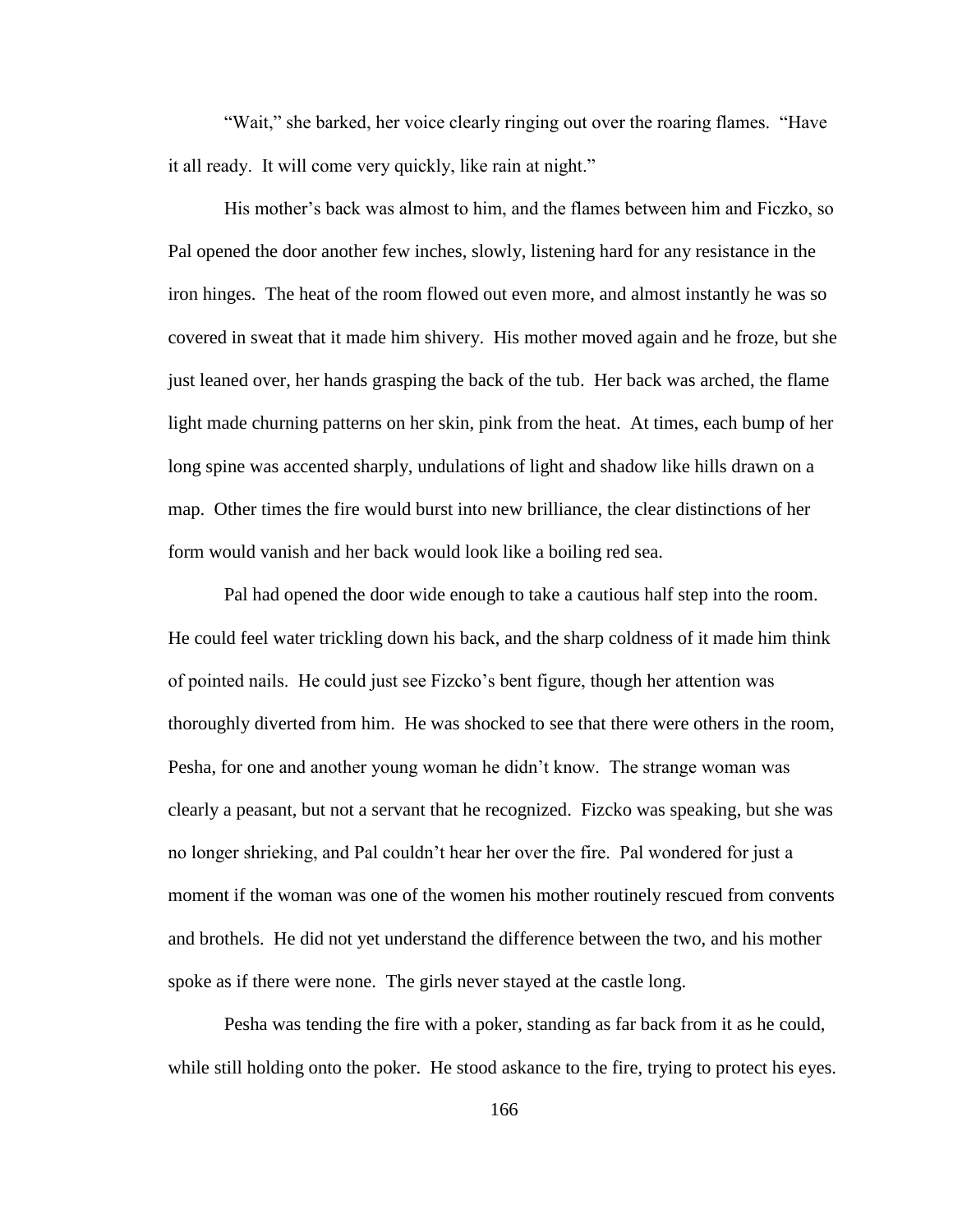"Wait," she barked, her voice clearly ringing out over the roaring flames. "Have it all ready. It will come very quickly, like rain at night."

His mother"s back was almost to him, and the flames between him and Ficzko, so Pal opened the door another few inches, slowly, listening hard for any resistance in the iron hinges. The heat of the room flowed out even more, and almost instantly he was so covered in sweat that it made him shivery. His mother moved again and he froze, but she just leaned over, her hands grasping the back of the tub. Her back was arched, the flame light made churning patterns on her skin, pink from the heat. At times, each bump of her long spine was accented sharply, undulations of light and shadow like hills drawn on a map. Other times the fire would burst into new brilliance, the clear distinctions of her form would vanish and her back would look like a boiling red sea.

Pal had opened the door wide enough to take a cautious half step into the room. He could feel water trickling down his back, and the sharp coldness of it made him think of pointed nails. He could just see Fizcko"s bent figure, though her attention was thoroughly diverted from him. He was shocked to see that there were others in the room, Pesha, for one and another young woman he didn"t know. The strange woman was clearly a peasant, but not a servant that he recognized. Fizcko was speaking, but she was no longer shrieking, and Pal couldn"t hear her over the fire. Pal wondered for just a moment if the woman was one of the women his mother routinely rescued from convents and brothels. He did not yet understand the difference between the two, and his mother spoke as if there were none. The girls never stayed at the castle long.

Pesha was tending the fire with a poker, standing as far back from it as he could, while still holding onto the poker. He stood askance to the fire, trying to protect his eyes.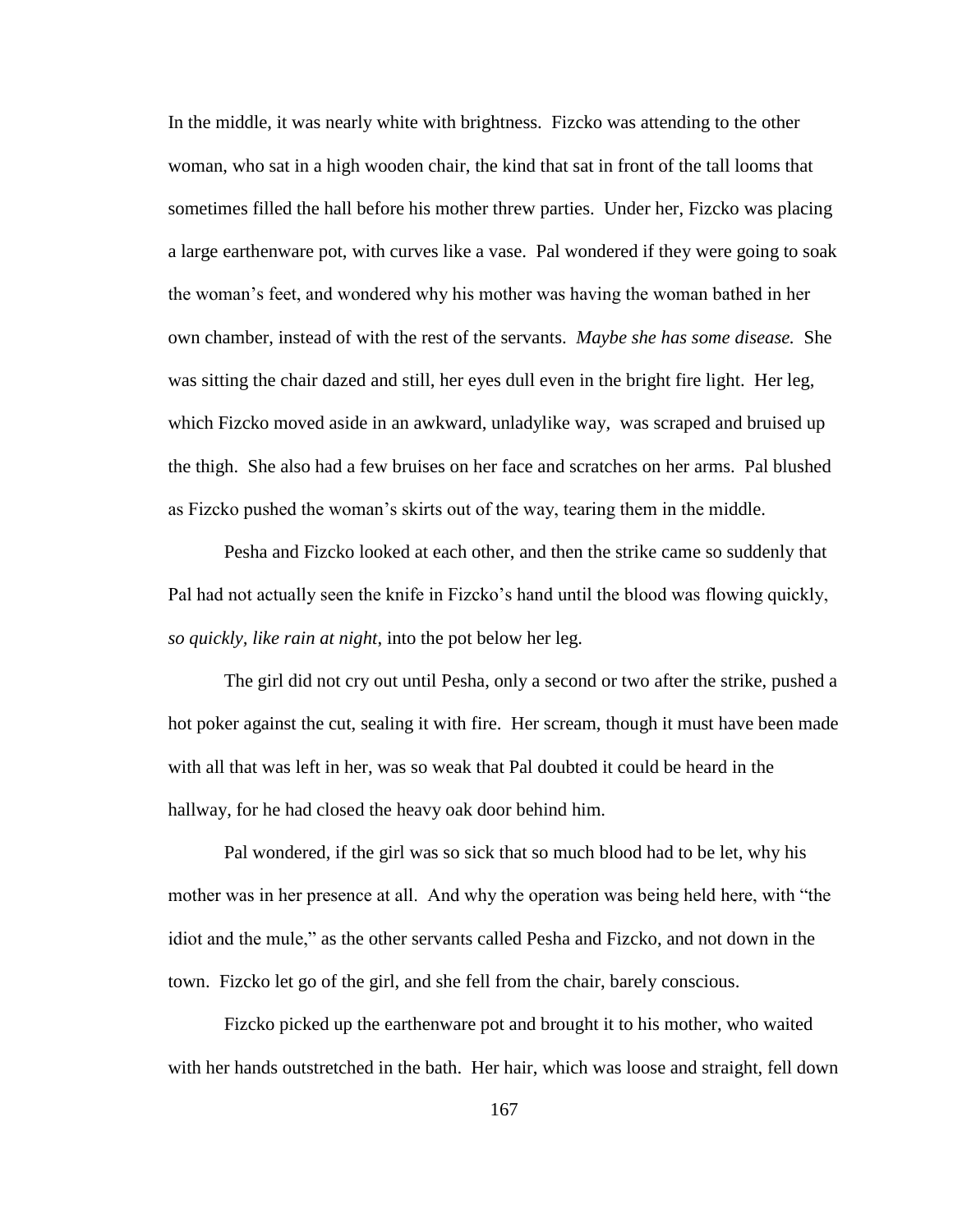In the middle, it was nearly white with brightness. Fizcko was attending to the other woman, who sat in a high wooden chair, the kind that sat in front of the tall looms that sometimes filled the hall before his mother threw parties. Under her, Fizcko was placing a large earthenware pot, with curves like a vase. Pal wondered if they were going to soak the woman"s feet, and wondered why his mother was having the woman bathed in her own chamber, instead of with the rest of the servants. *Maybe she has some disease.* She was sitting the chair dazed and still, her eyes dull even in the bright fire light. Her leg, which Fizcko moved aside in an awkward, unladylike way, was scraped and bruised up the thigh. She also had a few bruises on her face and scratches on her arms. Pal blushed as Fizcko pushed the woman"s skirts out of the way, tearing them in the middle.

Pesha and Fizcko looked at each other, and then the strike came so suddenly that Pal had not actually seen the knife in Fizcko"s hand until the blood was flowing quickly, *so quickly, like rain at night*, into the pot below her leg.

The girl did not cry out until Pesha, only a second or two after the strike, pushed a hot poker against the cut, sealing it with fire. Her scream, though it must have been made with all that was left in her, was so weak that Pal doubted it could be heard in the hallway, for he had closed the heavy oak door behind him.

Pal wondered, if the girl was so sick that so much blood had to be let, why his mother was in her presence at all. And why the operation was being held here, with "the idiot and the mule," as the other servants called Pesha and Fizcko, and not down in the town. Fizcko let go of the girl, and she fell from the chair, barely conscious.

Fizcko picked up the earthenware pot and brought it to his mother, who waited with her hands outstretched in the bath. Her hair, which was loose and straight, fell down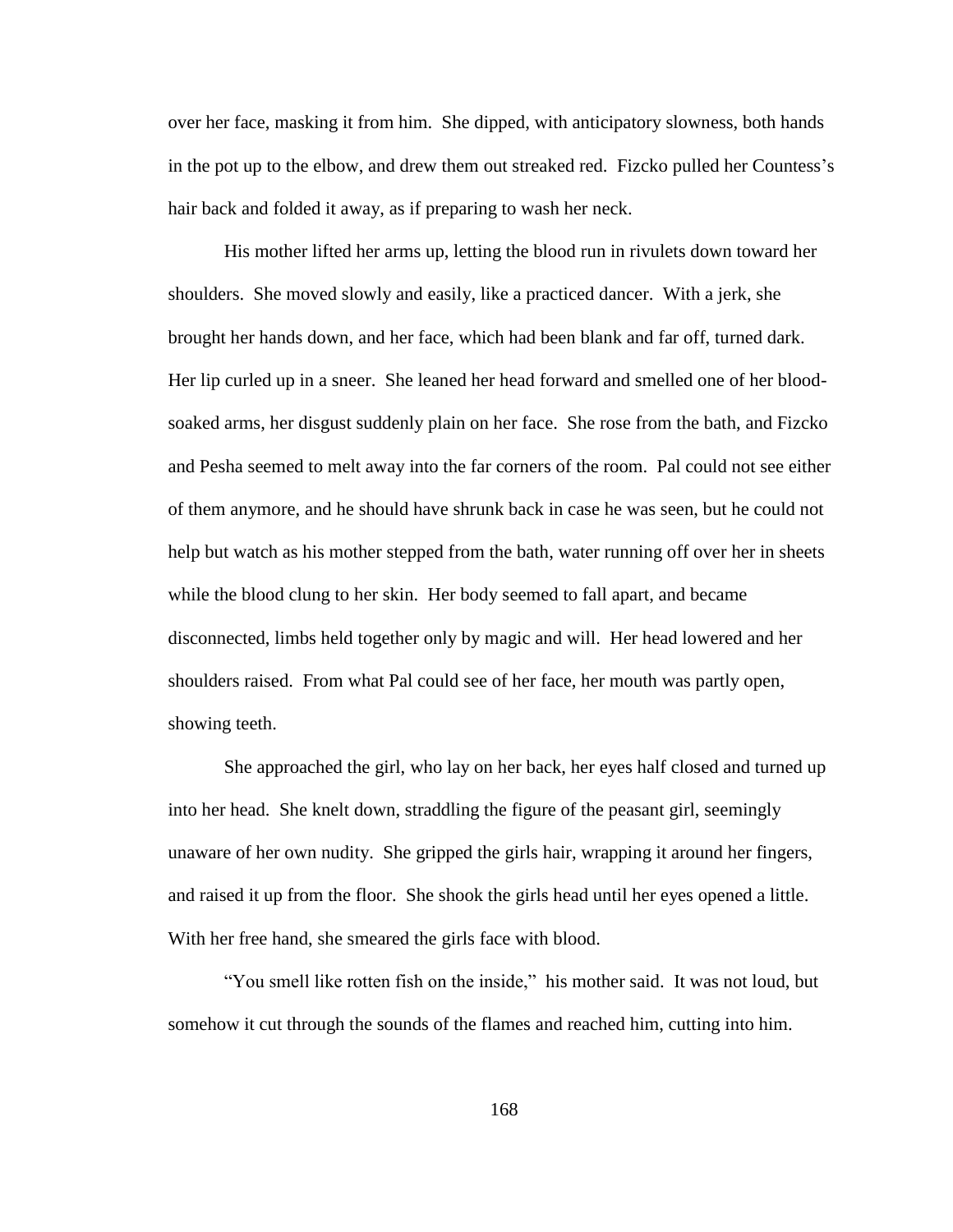over her face, masking it from him. She dipped, with anticipatory slowness, both hands in the pot up to the elbow, and drew them out streaked red. Fizcko pulled her Countess"s hair back and folded it away, as if preparing to wash her neck.

His mother lifted her arms up, letting the blood run in rivulets down toward her shoulders. She moved slowly and easily, like a practiced dancer. With a jerk, she brought her hands down, and her face, which had been blank and far off, turned dark. Her lip curled up in a sneer. She leaned her head forward and smelled one of her bloodsoaked arms, her disgust suddenly plain on her face. She rose from the bath, and Fizcko and Pesha seemed to melt away into the far corners of the room. Pal could not see either of them anymore, and he should have shrunk back in case he was seen, but he could not help but watch as his mother stepped from the bath, water running off over her in sheets while the blood clung to her skin. Her body seemed to fall apart, and became disconnected, limbs held together only by magic and will. Her head lowered and her shoulders raised. From what Pal could see of her face, her mouth was partly open, showing teeth.

She approached the girl, who lay on her back, her eyes half closed and turned up into her head. She knelt down, straddling the figure of the peasant girl, seemingly unaware of her own nudity. She gripped the girls hair, wrapping it around her fingers, and raised it up from the floor. She shook the girls head until her eyes opened a little. With her free hand, she smeared the girls face with blood.

"You smell like rotten fish on the inside," his mother said. It was not loud, but somehow it cut through the sounds of the flames and reached him, cutting into him.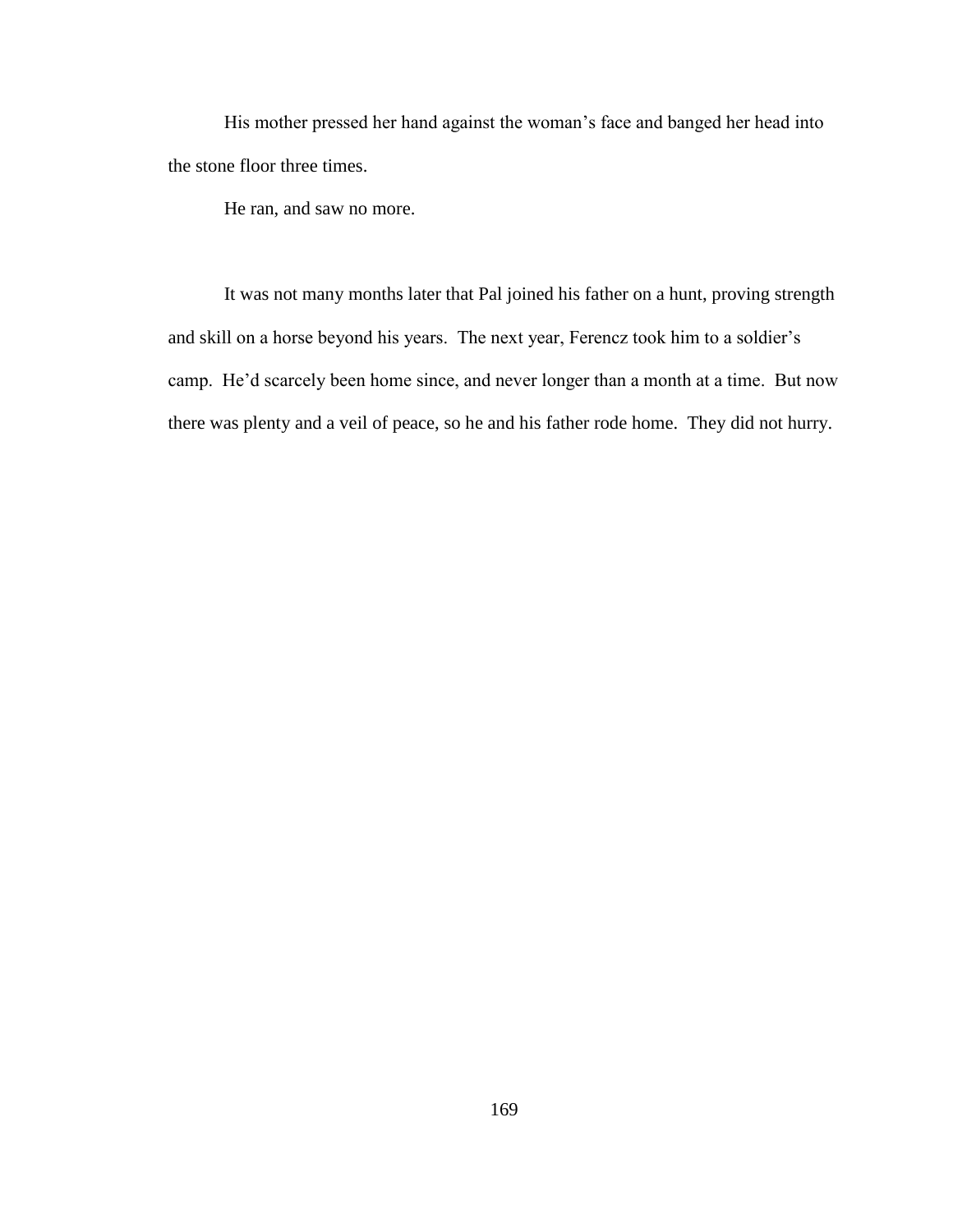His mother pressed her hand against the woman's face and banged her head into the stone floor three times.

He ran, and saw no more.

It was not many months later that Pal joined his father on a hunt, proving strength and skill on a horse beyond his years. The next year, Ferencz took him to a soldier"s camp. He"d scarcely been home since, and never longer than a month at a time. But now there was plenty and a veil of peace, so he and his father rode home. They did not hurry.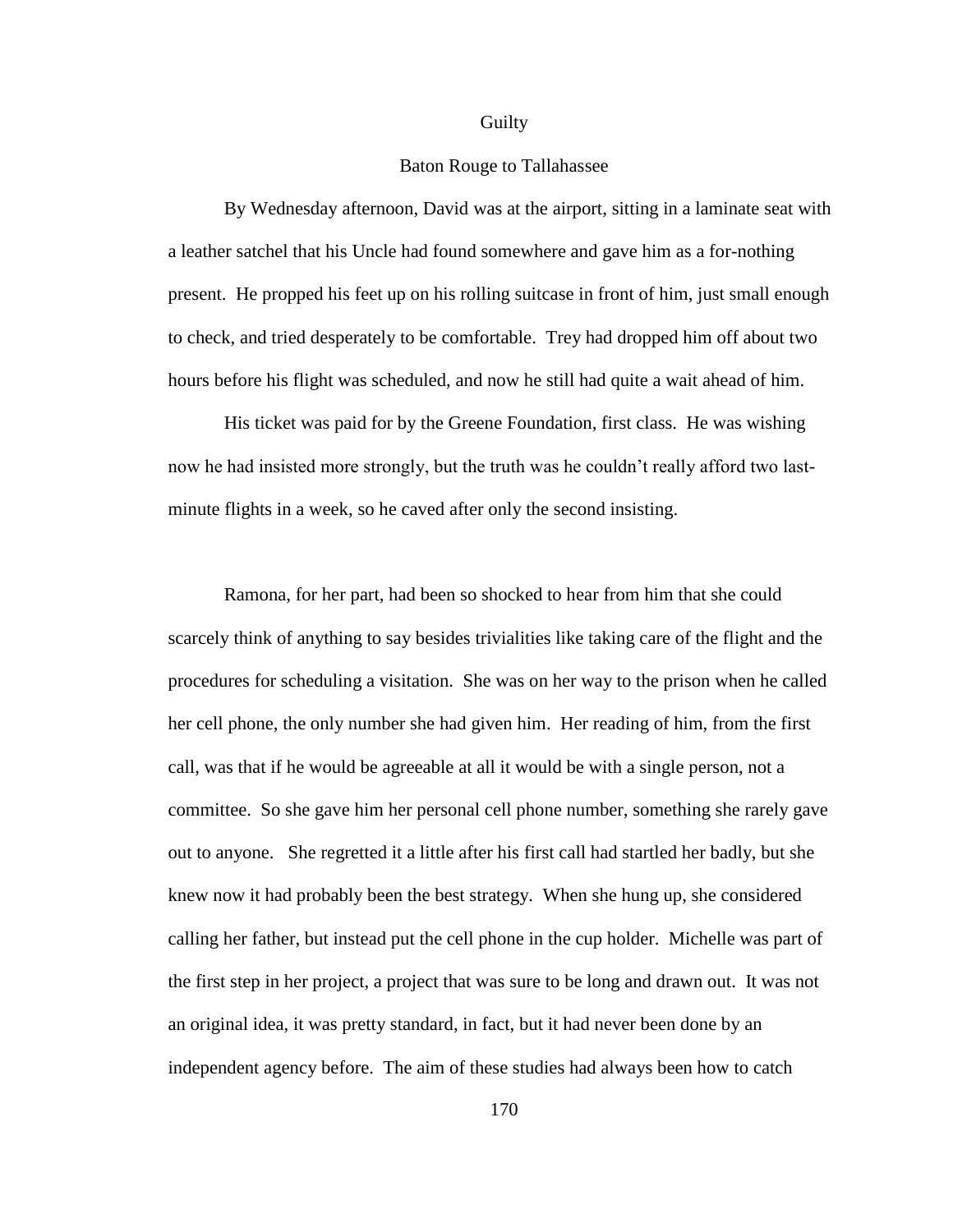#### **Guilty**

# Baton Rouge to Tallahassee

By Wednesday afternoon, David was at the airport, sitting in a laminate seat with a leather satchel that his Uncle had found somewhere and gave him as a for-nothing present. He propped his feet up on his rolling suitcase in front of him, just small enough to check, and tried desperately to be comfortable. Trey had dropped him off about two hours before his flight was scheduled, and now he still had quite a wait ahead of him.

His ticket was paid for by the Greene Foundation, first class. He was wishing now he had insisted more strongly, but the truth was he couldn"t really afford two lastminute flights in a week, so he caved after only the second insisting.

Ramona, for her part, had been so shocked to hear from him that she could scarcely think of anything to say besides trivialities like taking care of the flight and the procedures for scheduling a visitation. She was on her way to the prison when he called her cell phone, the only number she had given him. Her reading of him, from the first call, was that if he would be agreeable at all it would be with a single person, not a committee. So she gave him her personal cell phone number, something she rarely gave out to anyone. She regretted it a little after his first call had startled her badly, but she knew now it had probably been the best strategy. When she hung up, she considered calling her father, but instead put the cell phone in the cup holder. Michelle was part of the first step in her project, a project that was sure to be long and drawn out. It was not an original idea, it was pretty standard, in fact, but it had never been done by an independent agency before. The aim of these studies had always been how to catch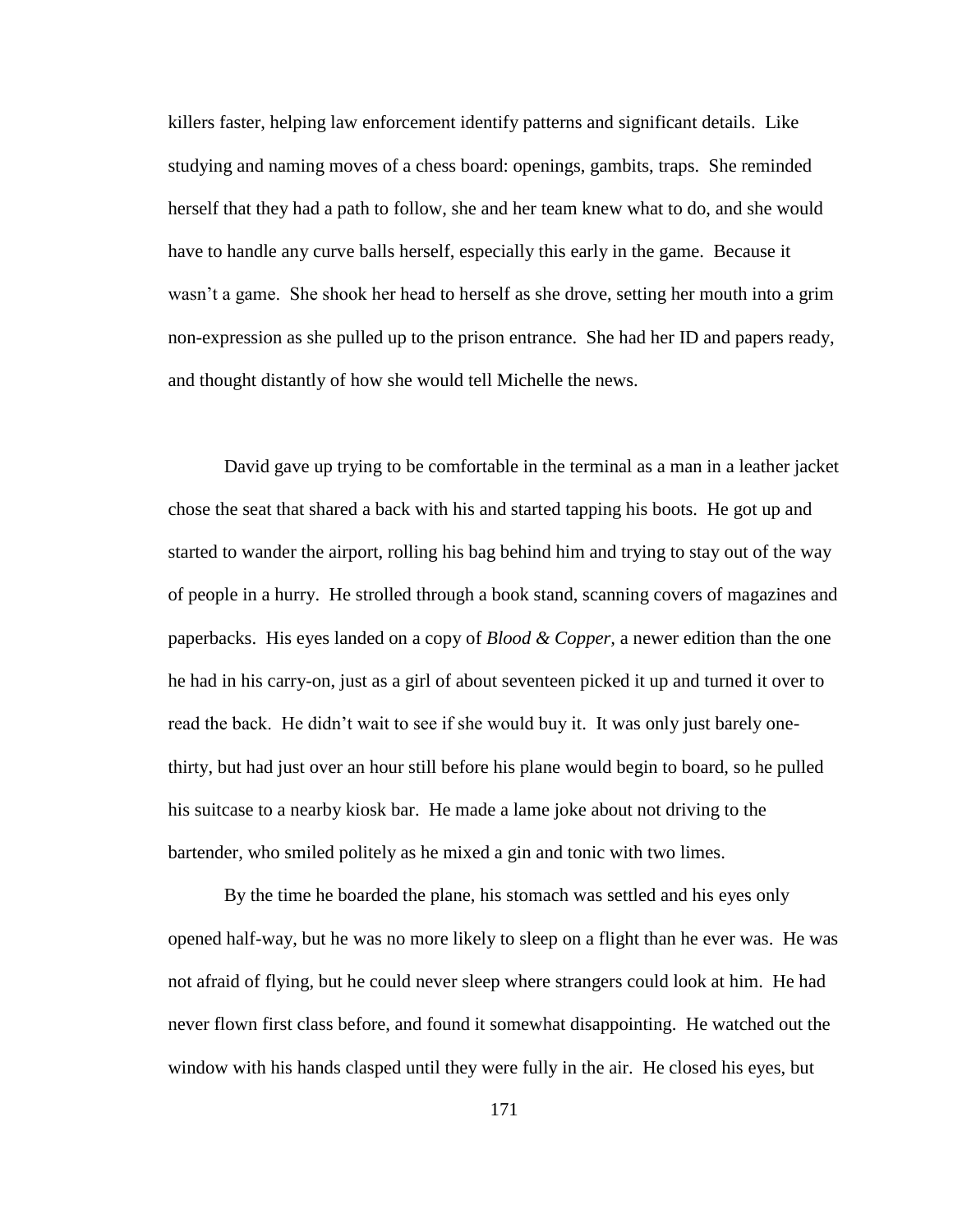killers faster, helping law enforcement identify patterns and significant details. Like studying and naming moves of a chess board: openings, gambits, traps. She reminded herself that they had a path to follow, she and her team knew what to do, and she would have to handle any curve balls herself, especially this early in the game. Because it wasn"t a game. She shook her head to herself as she drove, setting her mouth into a grim non-expression as she pulled up to the prison entrance. She had her ID and papers ready, and thought distantly of how she would tell Michelle the news.

David gave up trying to be comfortable in the terminal as a man in a leather jacket chose the seat that shared a back with his and started tapping his boots. He got up and started to wander the airport, rolling his bag behind him and trying to stay out of the way of people in a hurry. He strolled through a book stand, scanning covers of magazines and paperbacks. His eyes landed on a copy of *Blood & Copper,* a newer edition than the one he had in his carry-on, just as a girl of about seventeen picked it up and turned it over to read the back. He didn"t wait to see if she would buy it. It was only just barely onethirty, but had just over an hour still before his plane would begin to board, so he pulled his suitcase to a nearby kiosk bar. He made a lame joke about not driving to the bartender, who smiled politely as he mixed a gin and tonic with two limes.

By the time he boarded the plane, his stomach was settled and his eyes only opened half-way, but he was no more likely to sleep on a flight than he ever was. He was not afraid of flying, but he could never sleep where strangers could look at him. He had never flown first class before, and found it somewhat disappointing. He watched out the window with his hands clasped until they were fully in the air. He closed his eyes, but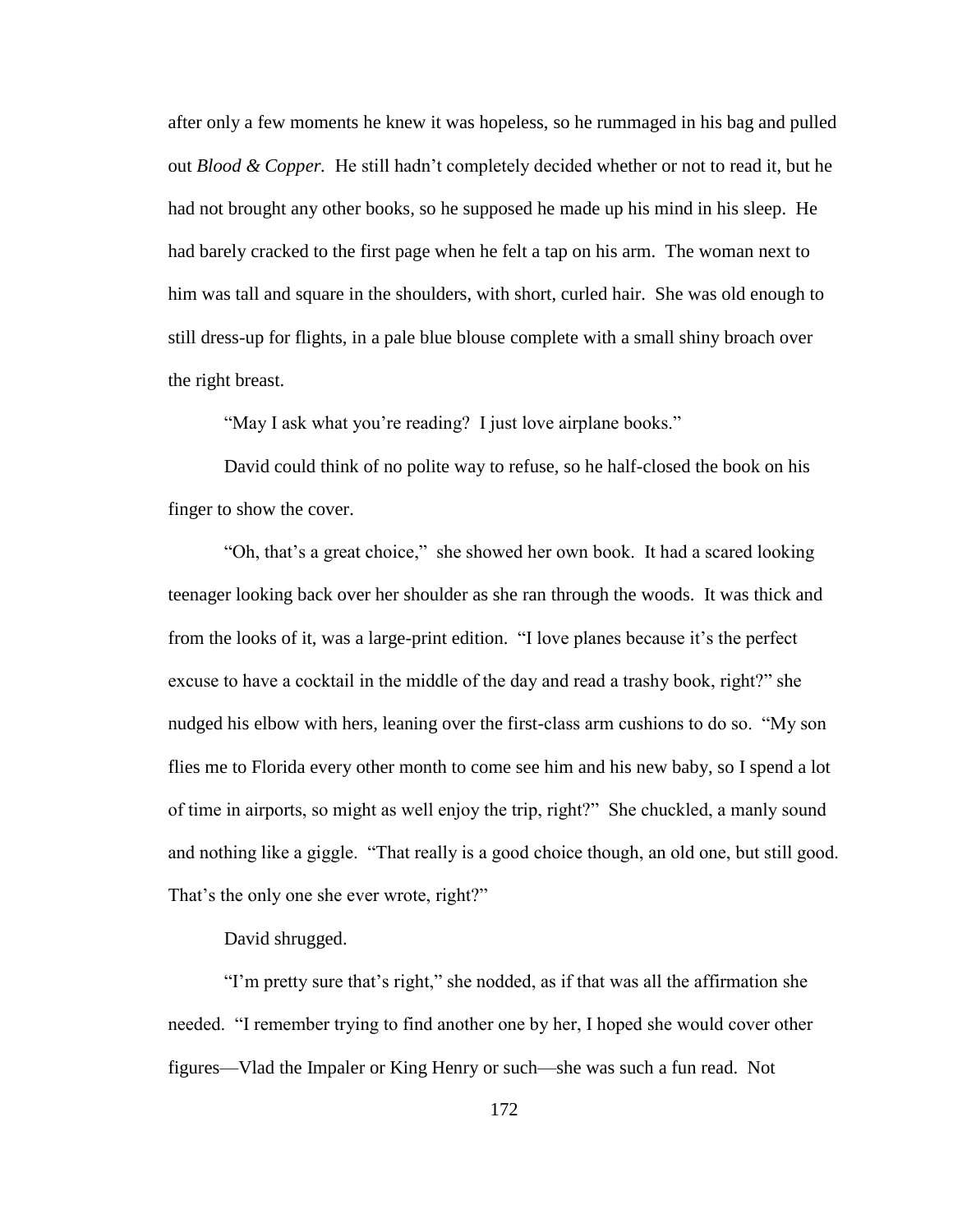after only a few moments he knew it was hopeless, so he rummaged in his bag and pulled out *Blood & Copper.* He still hadn"t completely decided whether or not to read it, but he had not brought any other books, so he supposed he made up his mind in his sleep. He had barely cracked to the first page when he felt a tap on his arm. The woman next to him was tall and square in the shoulders, with short, curled hair. She was old enough to still dress-up for flights, in a pale blue blouse complete with a small shiny broach over the right breast.

"May I ask what you're reading? I just love airplane books."

David could think of no polite way to refuse, so he half-closed the book on his finger to show the cover.

"Oh, that's a great choice," she showed her own book. It had a scared looking teenager looking back over her shoulder as she ran through the woods. It was thick and from the looks of it, was a large-print edition. "I love planes because it's the perfect excuse to have a cocktail in the middle of the day and read a trashy book, right?" she nudged his elbow with hers, leaning over the first-class arm cushions to do so. "My son flies me to Florida every other month to come see him and his new baby, so I spend a lot of time in airports, so might as well enjoy the trip, right?" She chuckled, a manly sound and nothing like a giggle. "That really is a good choice though, an old one, but still good. That's the only one she ever wrote, right?"

David shrugged.

"I"m pretty sure that"s right," she nodded, as if that was all the affirmation she needed. "I remember trying to find another one by her, I hoped she would cover other figures—Vlad the Impaler or King Henry or such—she was such a fun read. Not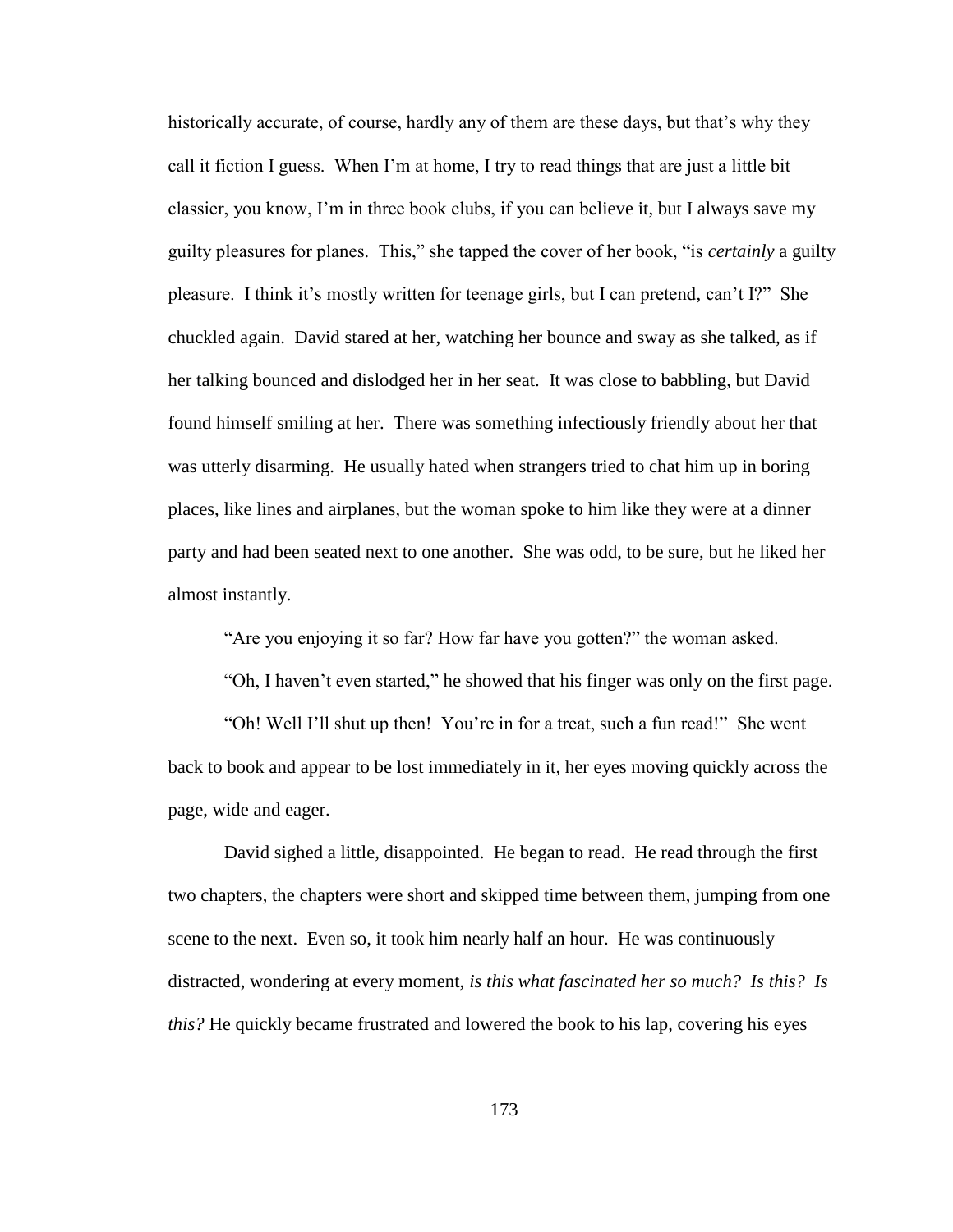historically accurate, of course, hardly any of them are these days, but that's why they call it fiction I guess. When I"m at home, I try to read things that are just a little bit classier, you know, I"m in three book clubs, if you can believe it, but I always save my guilty pleasures for planes. This," she tapped the cover of her book, "is *certainly* a guilty pleasure. I think it"s mostly written for teenage girls, but I can pretend, can"t I?" She chuckled again. David stared at her, watching her bounce and sway as she talked, as if her talking bounced and dislodged her in her seat. It was close to babbling, but David found himself smiling at her. There was something infectiously friendly about her that was utterly disarming. He usually hated when strangers tried to chat him up in boring places, like lines and airplanes, but the woman spoke to him like they were at a dinner party and had been seated next to one another. She was odd, to be sure, but he liked her almost instantly.

"Are you enjoying it so far? How far have you gotten?" the woman asked.

"Oh, I haven"t even started," he showed that his finger was only on the first page.

"Oh! Well I"ll shut up then! You"re in for a treat, such a fun read!" She went back to book and appear to be lost immediately in it, her eyes moving quickly across the page, wide and eager.

David sighed a little, disappointed. He began to read. He read through the first two chapters, the chapters were short and skipped time between them, jumping from one scene to the next. Even so, it took him nearly half an hour. He was continuously distracted, wondering at every moment, *is this what fascinated her so much? Is this? Is this?* He quickly became frustrated and lowered the book to his lap, covering his eyes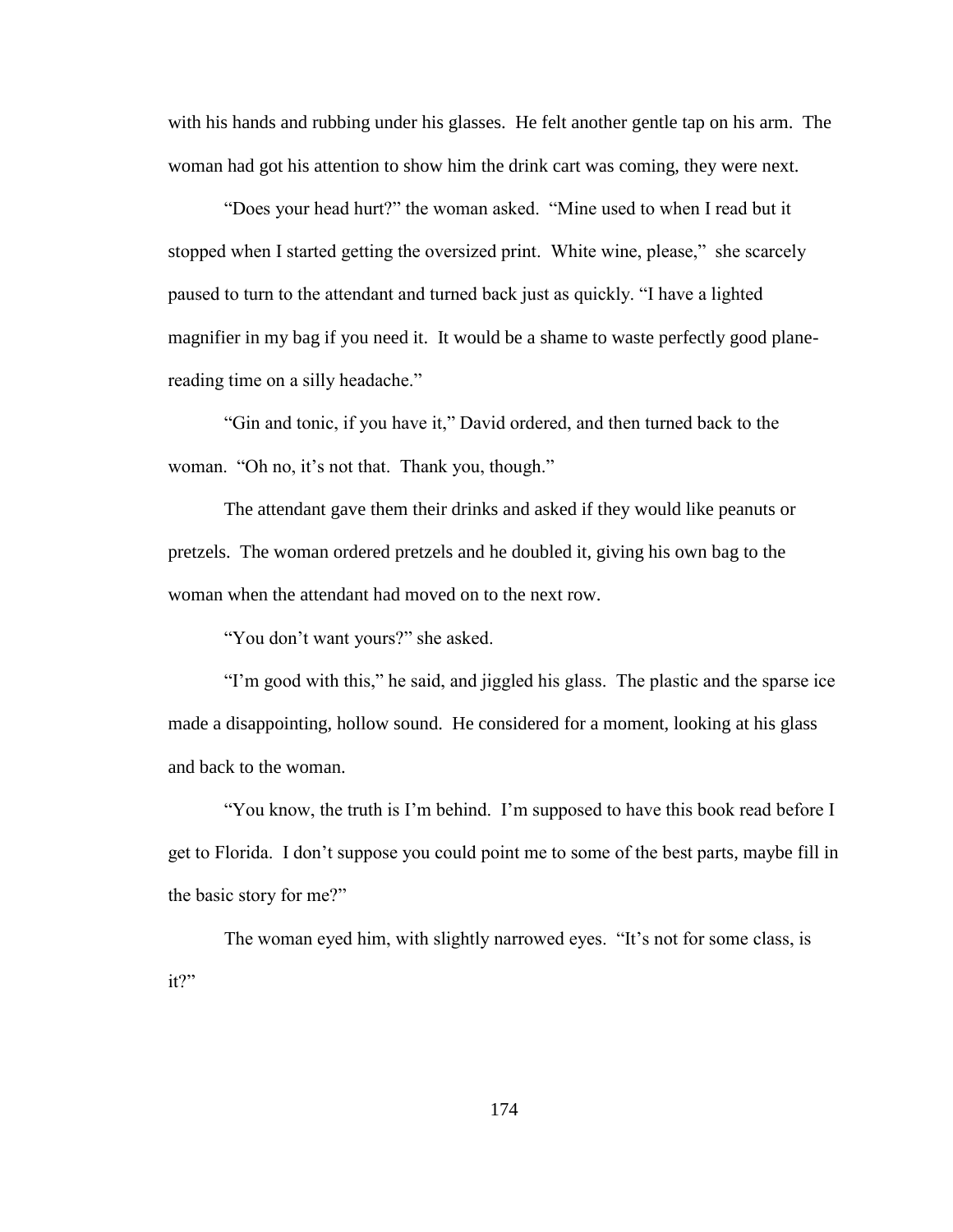with his hands and rubbing under his glasses. He felt another gentle tap on his arm. The woman had got his attention to show him the drink cart was coming, they were next.

"Does your head hurt?" the woman asked. "Mine used to when I read but it stopped when I started getting the oversized print. White wine, please," she scarcely paused to turn to the attendant and turned back just as quickly. "I have a lighted magnifier in my bag if you need it. It would be a shame to waste perfectly good planereading time on a silly headache."

"Gin and tonic, if you have it," David ordered, and then turned back to the woman. "Oh no, it's not that. Thank you, though."

The attendant gave them their drinks and asked if they would like peanuts or pretzels. The woman ordered pretzels and he doubled it, giving his own bag to the woman when the attendant had moved on to the next row.

"You don"t want yours?" she asked.

"I"m good with this," he said, and jiggled his glass. The plastic and the sparse ice made a disappointing, hollow sound. He considered for a moment, looking at his glass and back to the woman.

"You know, the truth is I"m behind. I"m supposed to have this book read before I get to Florida. I don"t suppose you could point me to some of the best parts, maybe fill in the basic story for me?"

The woman eyed him, with slightly narrowed eyes. "It's not for some class, is it?"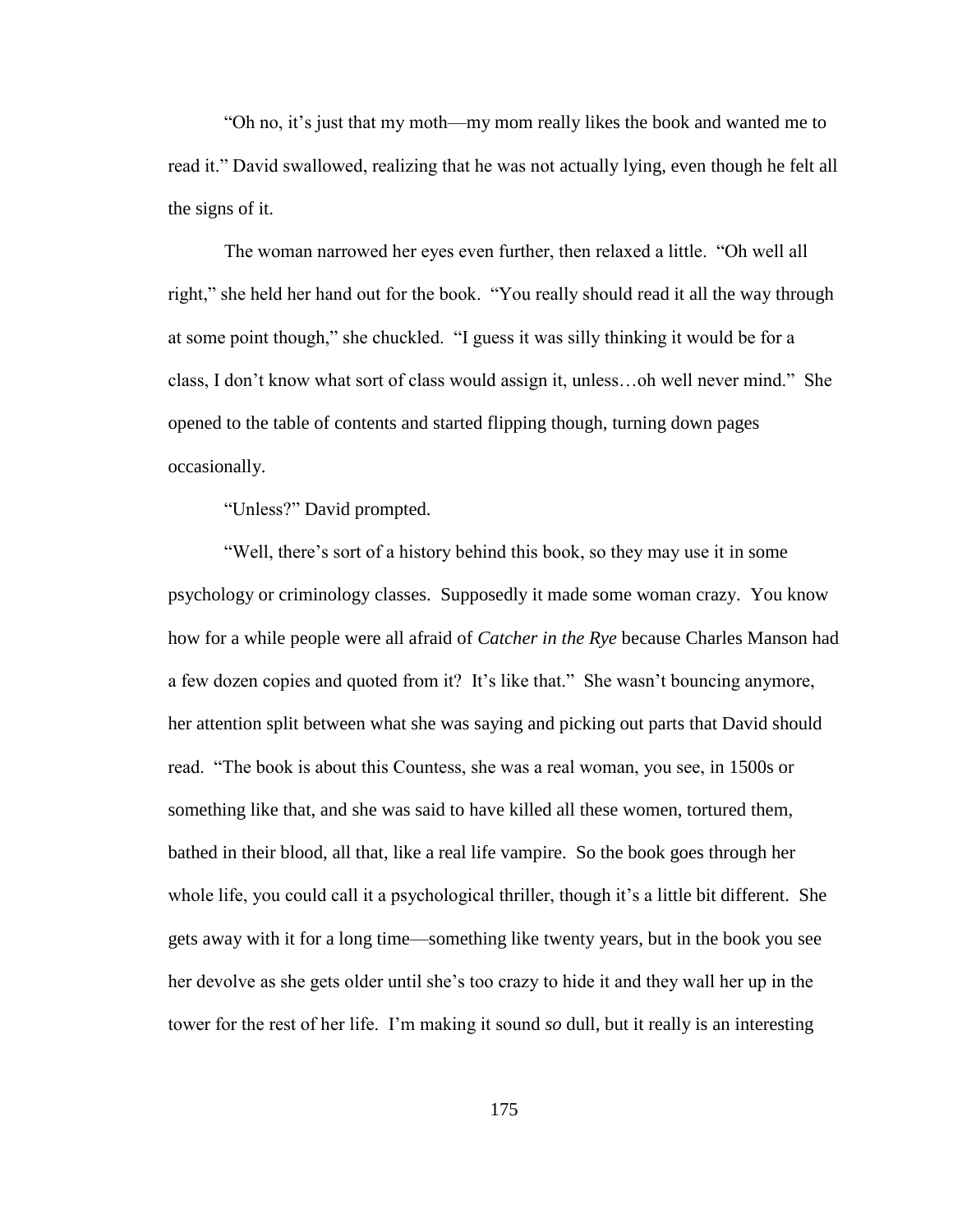"Oh no, it"s just that my moth—my mom really likes the book and wanted me to read it." David swallowed, realizing that he was not actually lying, even though he felt all the signs of it.

The woman narrowed her eyes even further, then relaxed a little. "Oh well all right," she held her hand out for the book. "You really should read it all the way through at some point though," she chuckled. "I guess it was silly thinking it would be for a class, I don"t know what sort of class would assign it, unless…oh well never mind." She opened to the table of contents and started flipping though, turning down pages occasionally.

"Unless?" David prompted.

"Well, there's sort of a history behind this book, so they may use it in some psychology or criminology classes. Supposedly it made some woman crazy. You know how for a while people were all afraid of *Catcher in the Rye* because Charles Manson had a few dozen copies and quoted from it? It's like that." She wasn't bouncing anymore, her attention split between what she was saying and picking out parts that David should read. "The book is about this Countess, she was a real woman, you see, in 1500s or something like that, and she was said to have killed all these women, tortured them, bathed in their blood, all that, like a real life vampire. So the book goes through her whole life, you could call it a psychological thriller, though it's a little bit different. She gets away with it for a long time—something like twenty years, but in the book you see her devolve as she gets older until she"s too crazy to hide it and they wall her up in the tower for the rest of her life. I"m making it sound *so* dull, but it really is an interesting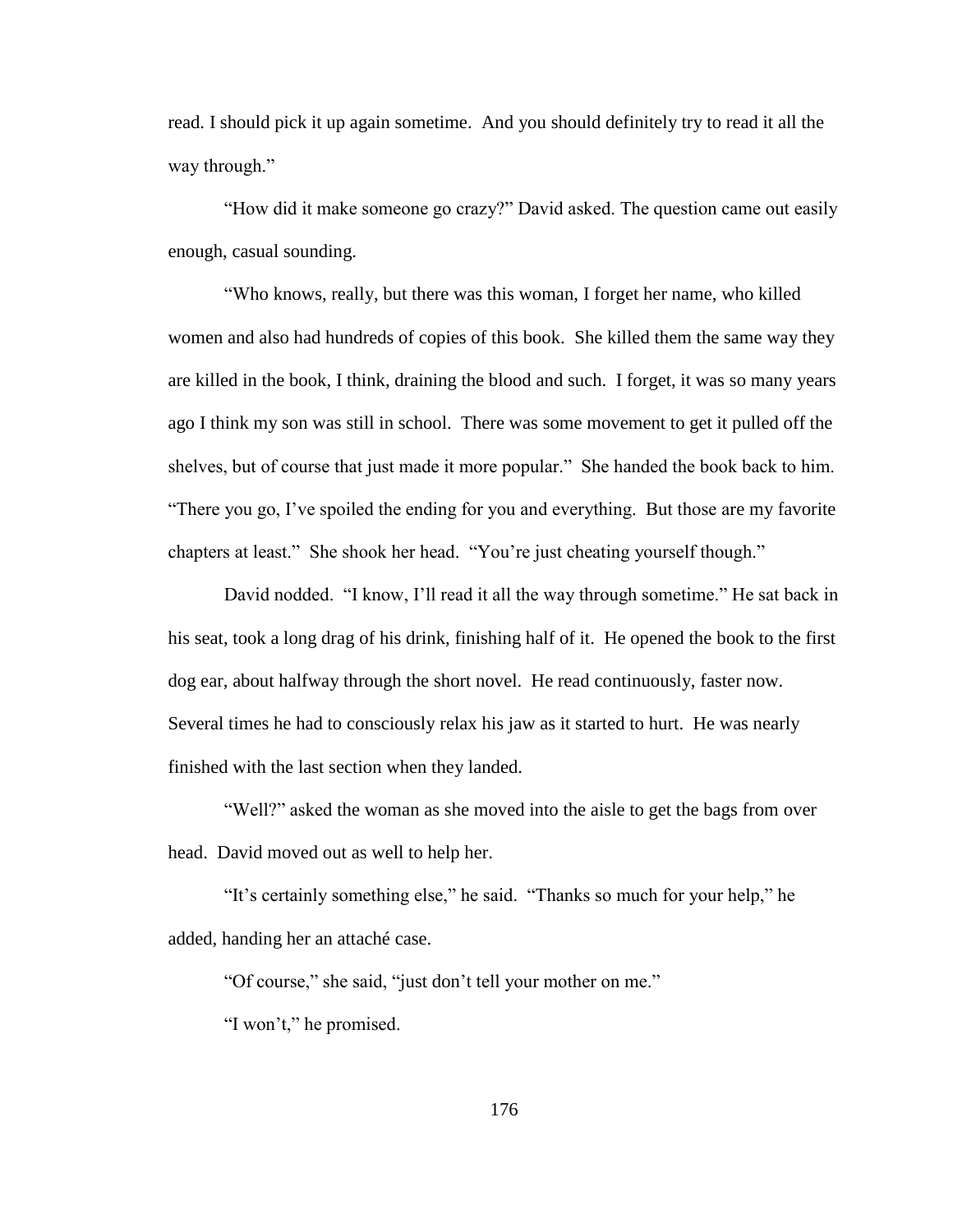read. I should pick it up again sometime. And you should definitely try to read it all the way through."

"How did it make someone go crazy?" David asked. The question came out easily enough, casual sounding.

"Who knows, really, but there was this woman, I forget her name, who killed women and also had hundreds of copies of this book. She killed them the same way they are killed in the book, I think, draining the blood and such. I forget, it was so many years ago I think my son was still in school. There was some movement to get it pulled off the shelves, but of course that just made it more popular." She handed the book back to him. "There you go, I"ve spoiled the ending for you and everything. But those are my favorite chapters at least." She shook her head. "You"re just cheating yourself though."

David nodded. "I know, I"ll read it all the way through sometime." He sat back in his seat, took a long drag of his drink, finishing half of it. He opened the book to the first dog ear, about halfway through the short novel. He read continuously, faster now. Several times he had to consciously relax his jaw as it started to hurt. He was nearly finished with the last section when they landed.

"Well?" asked the woman as she moved into the aisle to get the bags from over head. David moved out as well to help her.

"It"s certainly something else," he said. "Thanks so much for your help," he added, handing her an attaché case.

"Of course," she said, "just don"t tell your mother on me."

"I won't," he promised.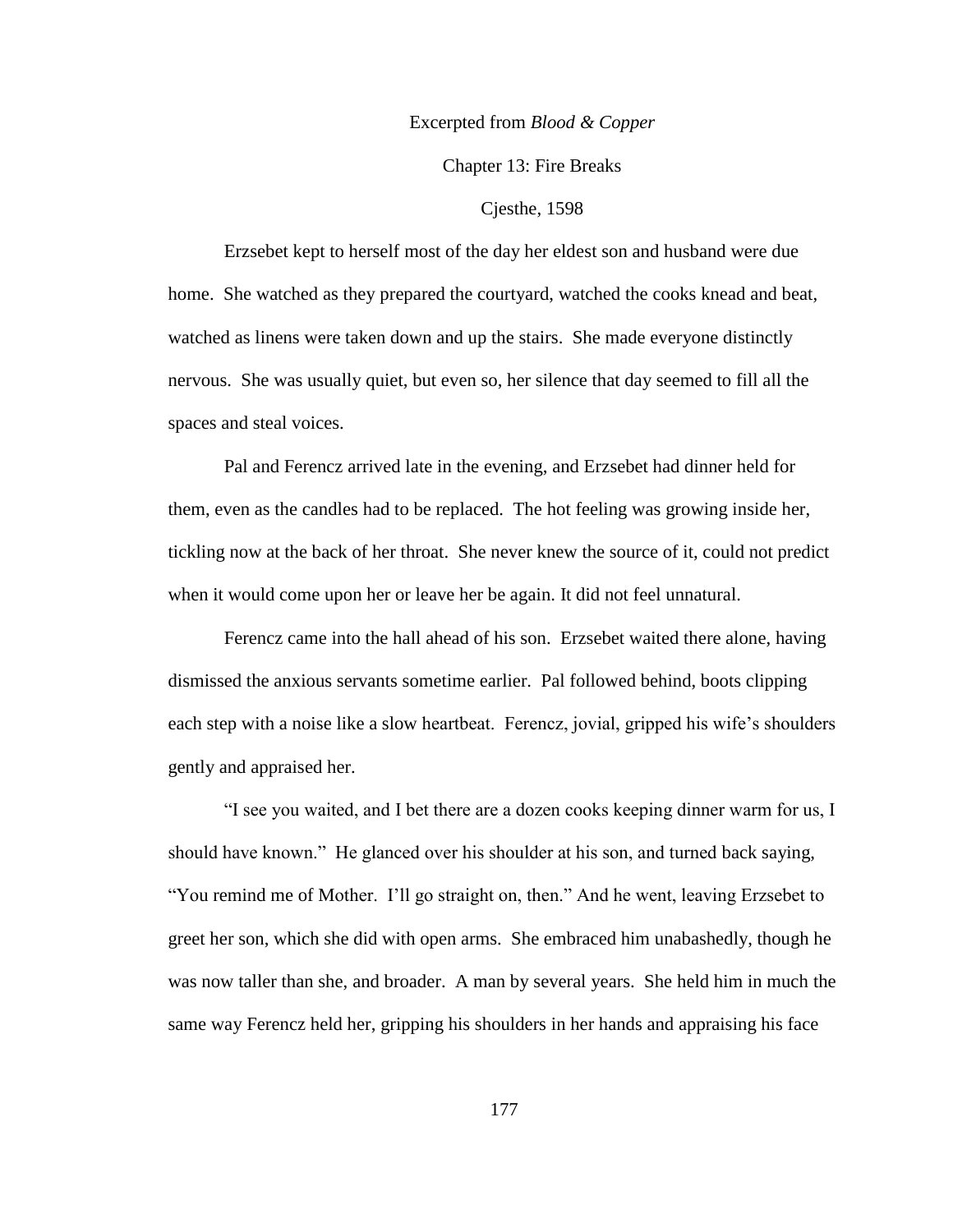### Excerpted from *Blood & Copper*

Chapter 13: Fire Breaks

### Cjesthe, 1598

Erzsebet kept to herself most of the day her eldest son and husband were due home. She watched as they prepared the courtyard, watched the cooks knead and beat, watched as linens were taken down and up the stairs. She made everyone distinctly nervous. She was usually quiet, but even so, her silence that day seemed to fill all the spaces and steal voices.

Pal and Ferencz arrived late in the evening, and Erzsebet had dinner held for them, even as the candles had to be replaced. The hot feeling was growing inside her, tickling now at the back of her throat. She never knew the source of it, could not predict when it would come upon her or leave her be again. It did not feel unnatural.

Ferencz came into the hall ahead of his son. Erzsebet waited there alone, having dismissed the anxious servants sometime earlier. Pal followed behind, boots clipping each step with a noise like a slow heartbeat. Ferencz, jovial, gripped his wife's shoulders gently and appraised her.

"I see you waited, and I bet there are a dozen cooks keeping dinner warm for us, I should have known." He glanced over his shoulder at his son, and turned back saying, "You remind me of Mother. I"ll go straight on, then." And he went, leaving Erzsebet to greet her son, which she did with open arms. She embraced him unabashedly, though he was now taller than she, and broader. A man by several years. She held him in much the same way Ferencz held her, gripping his shoulders in her hands and appraising his face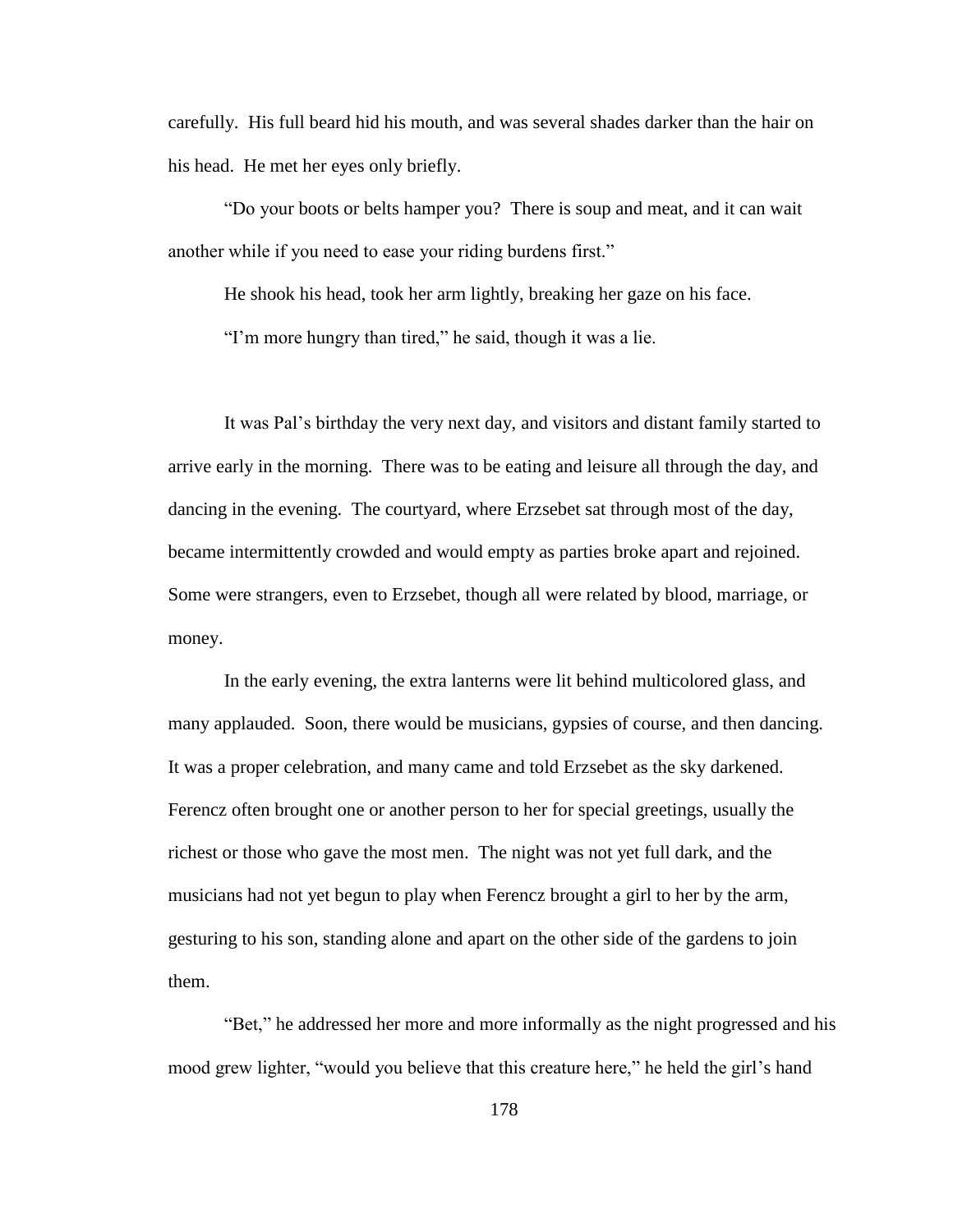carefully. His full beard hid his mouth, and was several shades darker than the hair on his head. He met her eyes only briefly.

"Do your boots or belts hamper you? There is soup and meat, and it can wait another while if you need to ease your riding burdens first."

He shook his head, took her arm lightly, breaking her gaze on his face.

"I'm more hungry than tired," he said, though it was a lie.

It was Pal"s birthday the very next day, and visitors and distant family started to arrive early in the morning. There was to be eating and leisure all through the day, and dancing in the evening. The courtyard, where Erzsebet sat through most of the day, became intermittently crowded and would empty as parties broke apart and rejoined. Some were strangers, even to Erzsebet, though all were related by blood, marriage, or money.

In the early evening, the extra lanterns were lit behind multicolored glass, and many applauded. Soon, there would be musicians, gypsies of course, and then dancing. It was a proper celebration, and many came and told Erzsebet as the sky darkened. Ferencz often brought one or another person to her for special greetings, usually the richest or those who gave the most men. The night was not yet full dark, and the musicians had not yet begun to play when Ferencz brought a girl to her by the arm, gesturing to his son, standing alone and apart on the other side of the gardens to join them.

"Bet," he addressed her more and more informally as the night progressed and his mood grew lighter, "would you believe that this creature here," he held the girl's hand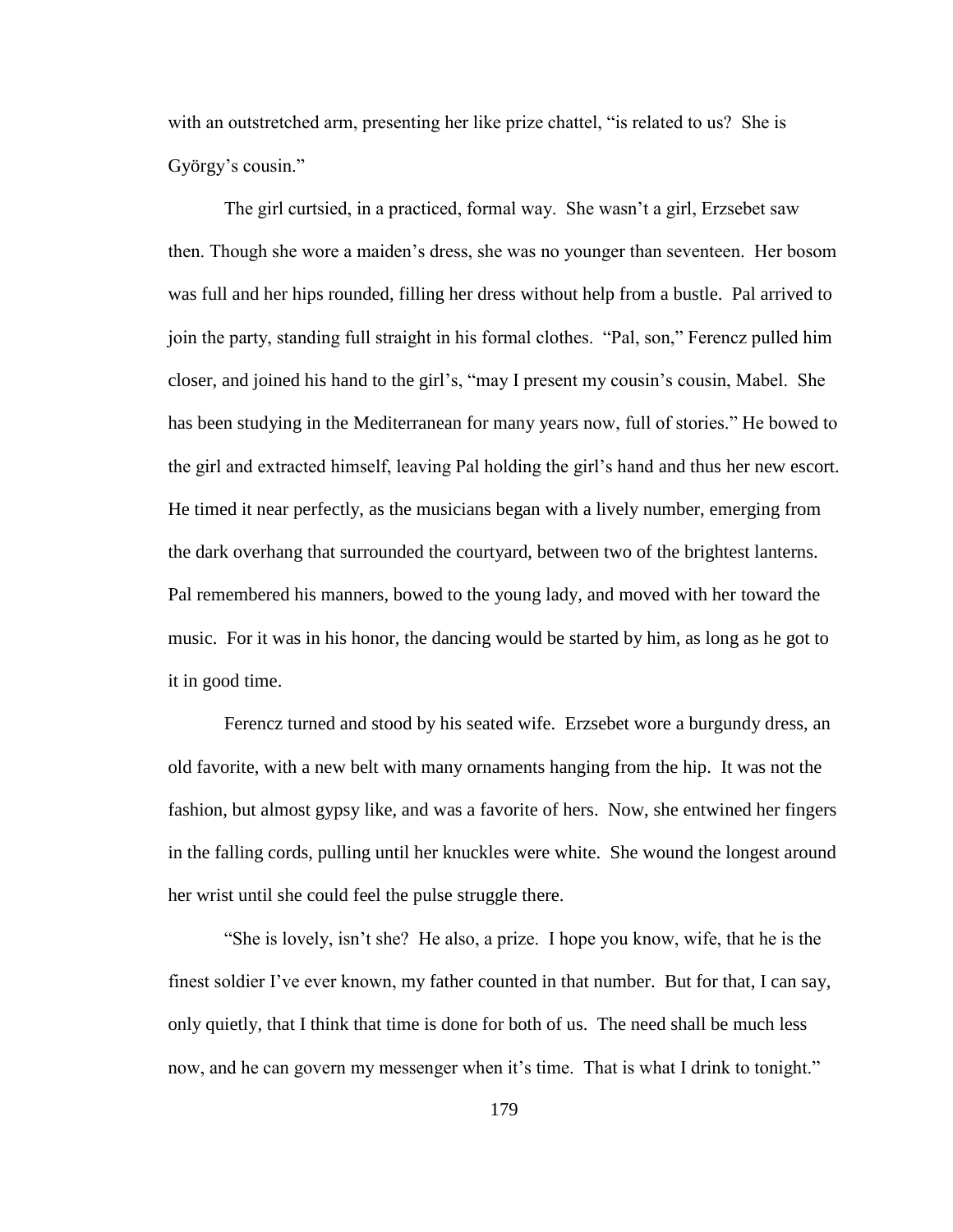with an outstretched arm, presenting her like prize chattel, "is related to us? She is György's cousin."

The girl curtsied, in a practiced, formal way. She wasn't a girl, Erzsebet saw then. Though she wore a maiden"s dress, she was no younger than seventeen. Her bosom was full and her hips rounded, filling her dress without help from a bustle. Pal arrived to join the party, standing full straight in his formal clothes. "Pal, son," Ferencz pulled him closer, and joined his hand to the girl"s, "may I present my cousin"s cousin, Mabel. She has been studying in the Mediterranean for many years now, full of stories." He bowed to the girl and extracted himself, leaving Pal holding the girl"s hand and thus her new escort. He timed it near perfectly, as the musicians began with a lively number, emerging from the dark overhang that surrounded the courtyard, between two of the brightest lanterns. Pal remembered his manners, bowed to the young lady, and moved with her toward the music. For it was in his honor, the dancing would be started by him, as long as he got to it in good time.

Ferencz turned and stood by his seated wife. Erzsebet wore a burgundy dress, an old favorite, with a new belt with many ornaments hanging from the hip. It was not the fashion, but almost gypsy like, and was a favorite of hers. Now, she entwined her fingers in the falling cords, pulling until her knuckles were white. She wound the longest around her wrist until she could feel the pulse struggle there.

"She is lovely, isn"t she? He also, a prize. I hope you know, wife, that he is the finest soldier I"ve ever known, my father counted in that number. But for that, I can say, only quietly, that I think that time is done for both of us. The need shall be much less now, and he can govern my messenger when it's time. That is what I drink to tonight."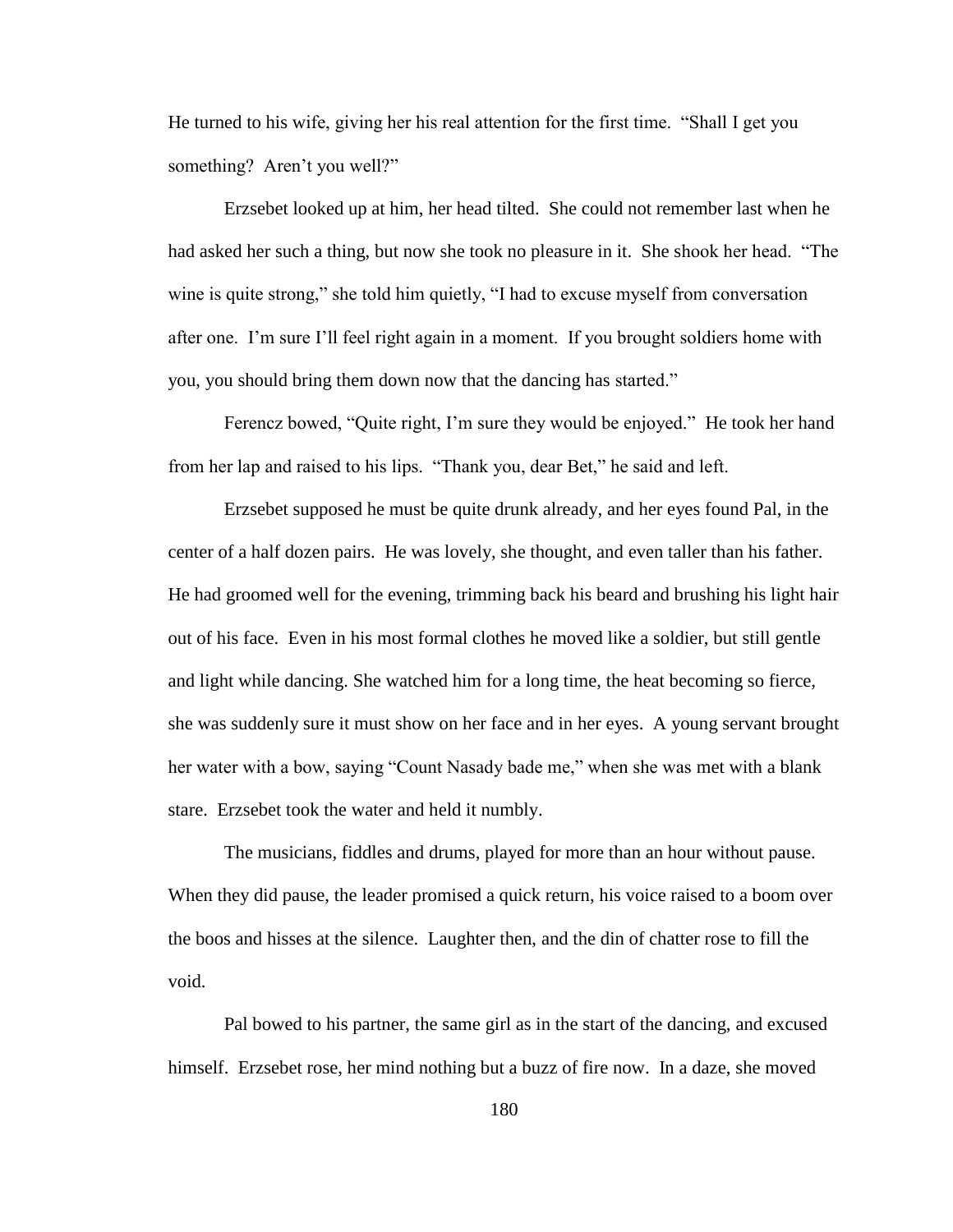He turned to his wife, giving her his real attention for the first time. "Shall I get you something? Aren't you well?"

Erzsebet looked up at him, her head tilted. She could not remember last when he had asked her such a thing, but now she took no pleasure in it. She shook her head. "The wine is quite strong," she told him quietly, "I had to excuse myself from conversation after one. I"m sure I"ll feel right again in a moment. If you brought soldiers home with you, you should bring them down now that the dancing has started."

Ferencz bowed, "Quite right, I'm sure they would be enjoyed." He took her hand from her lap and raised to his lips. "Thank you, dear Bet," he said and left.

Erzsebet supposed he must be quite drunk already, and her eyes found Pal, in the center of a half dozen pairs. He was lovely, she thought, and even taller than his father. He had groomed well for the evening, trimming back his beard and brushing his light hair out of his face. Even in his most formal clothes he moved like a soldier, but still gentle and light while dancing. She watched him for a long time, the heat becoming so fierce, she was suddenly sure it must show on her face and in her eyes. A young servant brought her water with a bow, saying "Count Nasady bade me," when she was met with a blank stare. Erzsebet took the water and held it numbly.

The musicians, fiddles and drums, played for more than an hour without pause. When they did pause, the leader promised a quick return, his voice raised to a boom over the boos and hisses at the silence. Laughter then, and the din of chatter rose to fill the void.

Pal bowed to his partner, the same girl as in the start of the dancing, and excused himself. Erzsebet rose, her mind nothing but a buzz of fire now. In a daze, she moved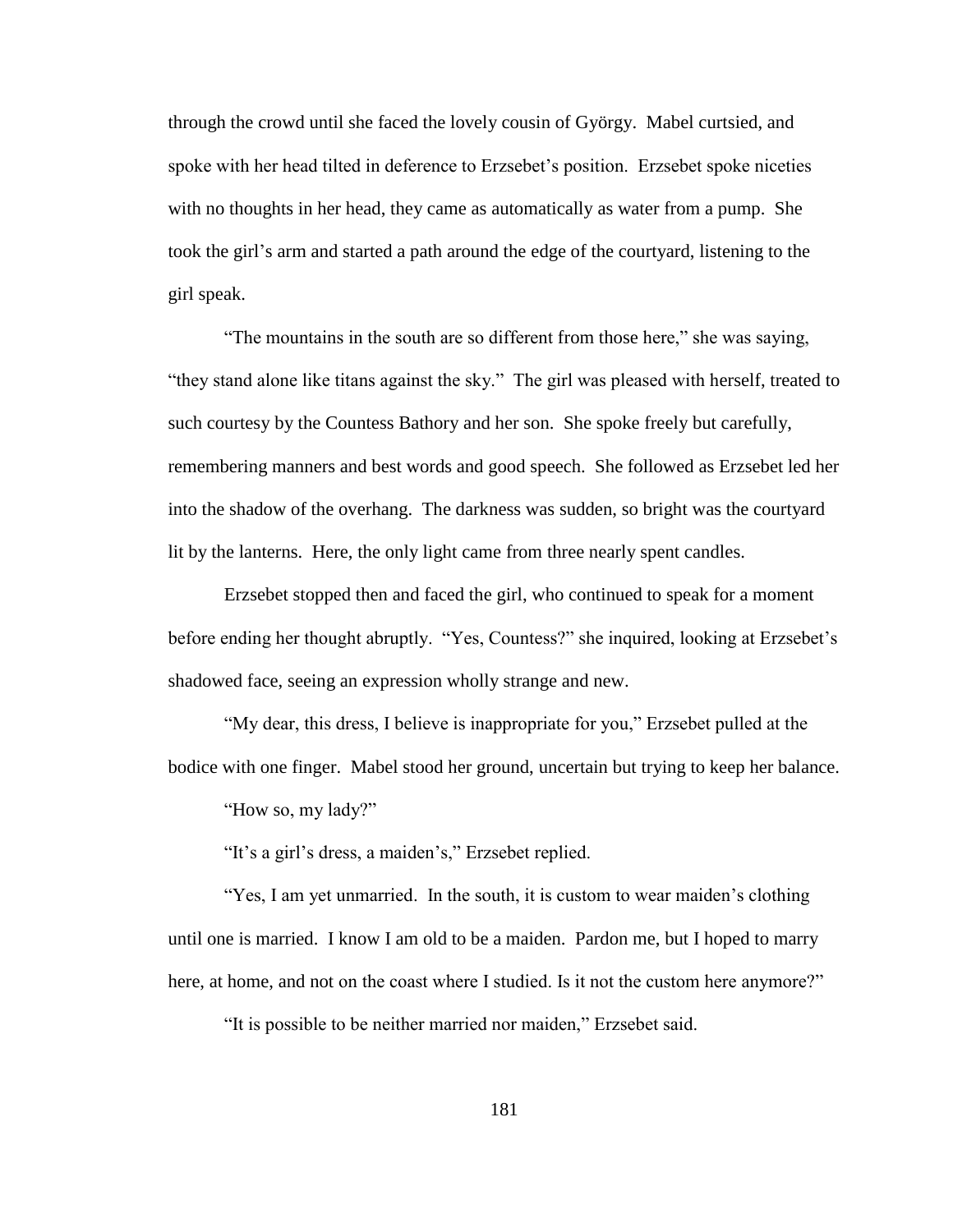through the crowd until she faced the lovely cousin of György. Mabel curtsied, and spoke with her head tilted in deference to Erzsebet's position. Erzsebet spoke niceties with no thoughts in her head, they came as automatically as water from a pump. She took the girl"s arm and started a path around the edge of the courtyard, listening to the girl speak.

"The mountains in the south are so different from those here," she was saying, "they stand alone like titans against the sky." The girl was pleased with herself, treated to such courtesy by the Countess Bathory and her son. She spoke freely but carefully, remembering manners and best words and good speech. She followed as Erzsebet led her into the shadow of the overhang. The darkness was sudden, so bright was the courtyard lit by the lanterns. Here, the only light came from three nearly spent candles.

Erzsebet stopped then and faced the girl, who continued to speak for a moment before ending her thought abruptly. "Yes, Countess?" she inquired, looking at Erzsebet's shadowed face, seeing an expression wholly strange and new.

"My dear, this dress, I believe is inappropriate for you," Erzsebet pulled at the bodice with one finger. Mabel stood her ground, uncertain but trying to keep her balance.

"How so, my lady?"

"It's a girl's dress, a maiden's," Erzsebet replied.

"Yes, I am yet unmarried. In the south, it is custom to wear maiden's clothing until one is married. I know I am old to be a maiden. Pardon me, but I hoped to marry here, at home, and not on the coast where I studied. Is it not the custom here anymore?"

"It is possible to be neither married nor maiden," Erzsebet said.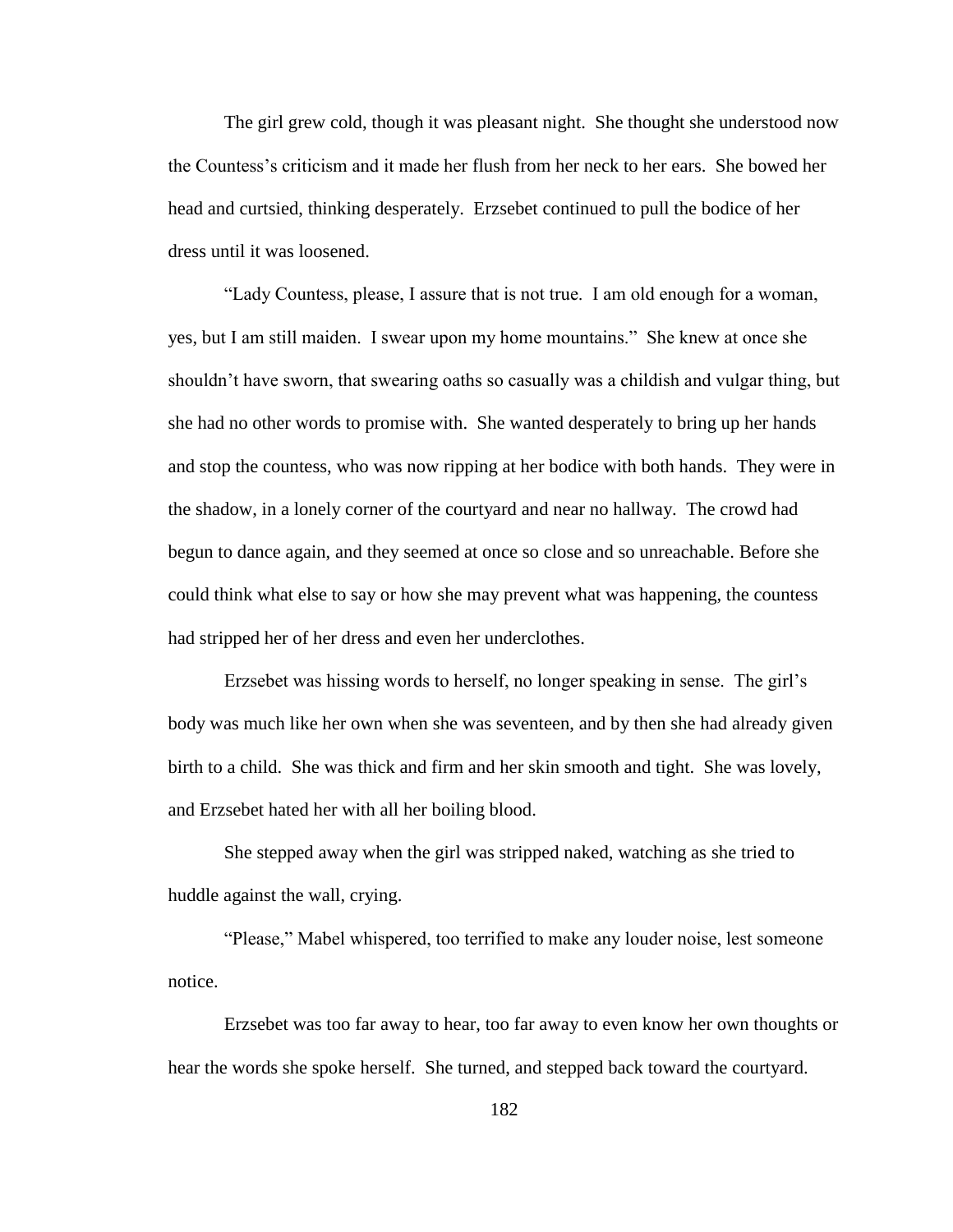The girl grew cold, though it was pleasant night. She thought she understood now the Countess"s criticism and it made her flush from her neck to her ears. She bowed her head and curtsied, thinking desperately. Erzsebet continued to pull the bodice of her dress until it was loosened.

"Lady Countess, please, I assure that is not true. I am old enough for a woman, yes, but I am still maiden. I swear upon my home mountains." She knew at once she shouldn"t have sworn, that swearing oaths so casually was a childish and vulgar thing, but she had no other words to promise with. She wanted desperately to bring up her hands and stop the countess, who was now ripping at her bodice with both hands. They were in the shadow, in a lonely corner of the courtyard and near no hallway. The crowd had begun to dance again, and they seemed at once so close and so unreachable. Before she could think what else to say or how she may prevent what was happening, the countess had stripped her of her dress and even her underclothes.

Erzsebet was hissing words to herself, no longer speaking in sense. The girl"s body was much like her own when she was seventeen, and by then she had already given birth to a child. She was thick and firm and her skin smooth and tight. She was lovely, and Erzsebet hated her with all her boiling blood.

She stepped away when the girl was stripped naked, watching as she tried to huddle against the wall, crying.

"Please," Mabel whispered, too terrified to make any louder noise, lest someone notice.

Erzsebet was too far away to hear, too far away to even know her own thoughts or hear the words she spoke herself. She turned, and stepped back toward the courtyard.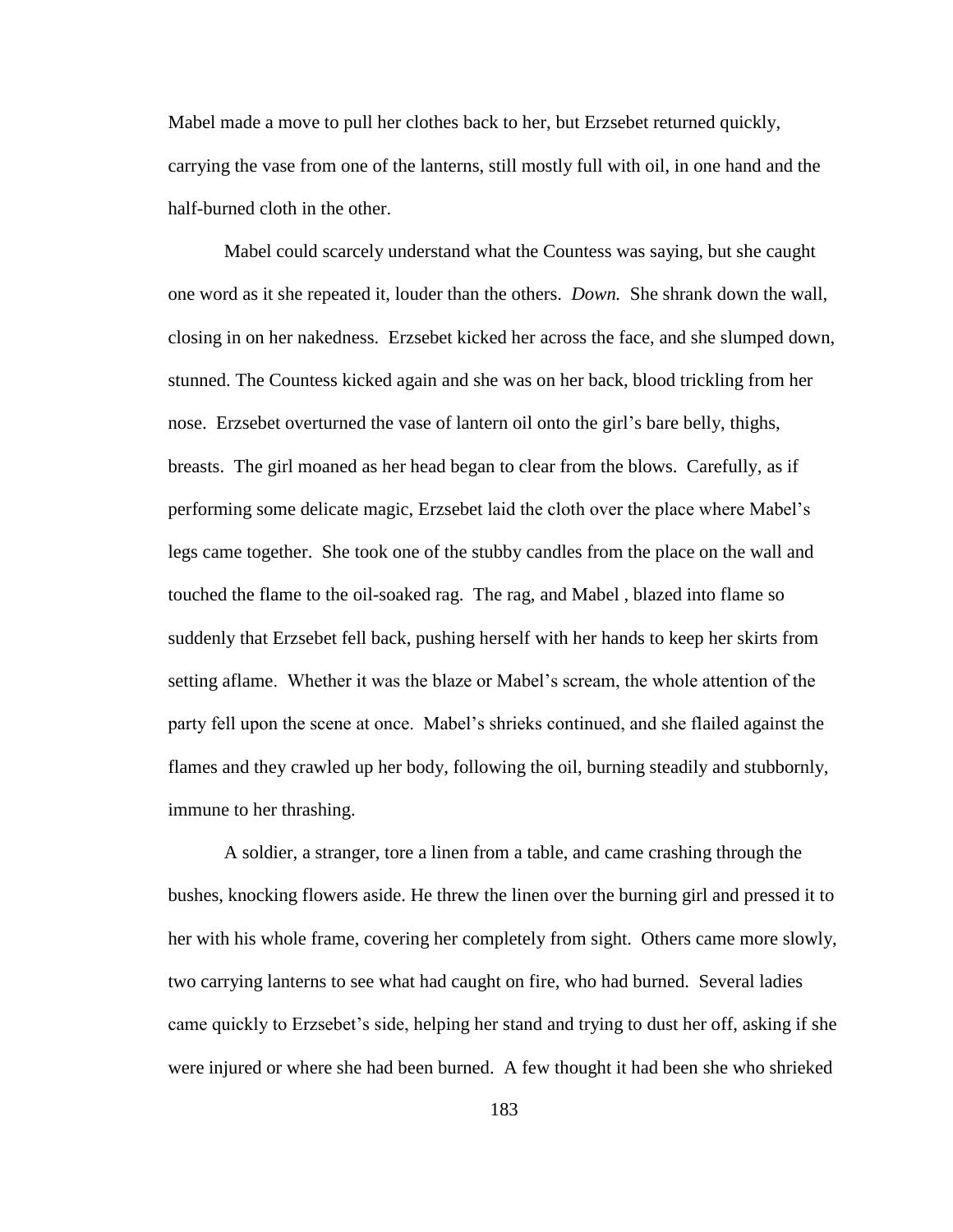Mabel made a move to pull her clothes back to her, but Erzsebet returned quickly, carrying the vase from one of the lanterns, still mostly full with oil, in one hand and the half-burned cloth in the other.

Mabel could scarcely understand what the Countess was saying, but she caught one word as it she repeated it, louder than the others. *Down.* She shrank down the wall, closing in on her nakedness. Erzsebet kicked her across the face, and she slumped down, stunned. The Countess kicked again and she was on her back, blood trickling from her nose. Erzsebet overturned the vase of lantern oil onto the girl"s bare belly, thighs, breasts. The girl moaned as her head began to clear from the blows. Carefully, as if performing some delicate magic, Erzsebet laid the cloth over the place where Mabel"s legs came together. She took one of the stubby candles from the place on the wall and touched the flame to the oil-soaked rag. The rag, and Mabel , blazed into flame so suddenly that Erzsebet fell back, pushing herself with her hands to keep her skirts from setting aflame. Whether it was the blaze or Mabel"s scream, the whole attention of the party fell upon the scene at once. Mabel"s shrieks continued, and she flailed against the flames and they crawled up her body, following the oil, burning steadily and stubbornly, immune to her thrashing.

A soldier, a stranger, tore a linen from a table, and came crashing through the bushes, knocking flowers aside. He threw the linen over the burning girl and pressed it to her with his whole frame, covering her completely from sight. Others came more slowly, two carrying lanterns to see what had caught on fire, who had burned. Several ladies came quickly to Erzsebet"s side, helping her stand and trying to dust her off, asking if she were injured or where she had been burned. A few thought it had been she who shrieked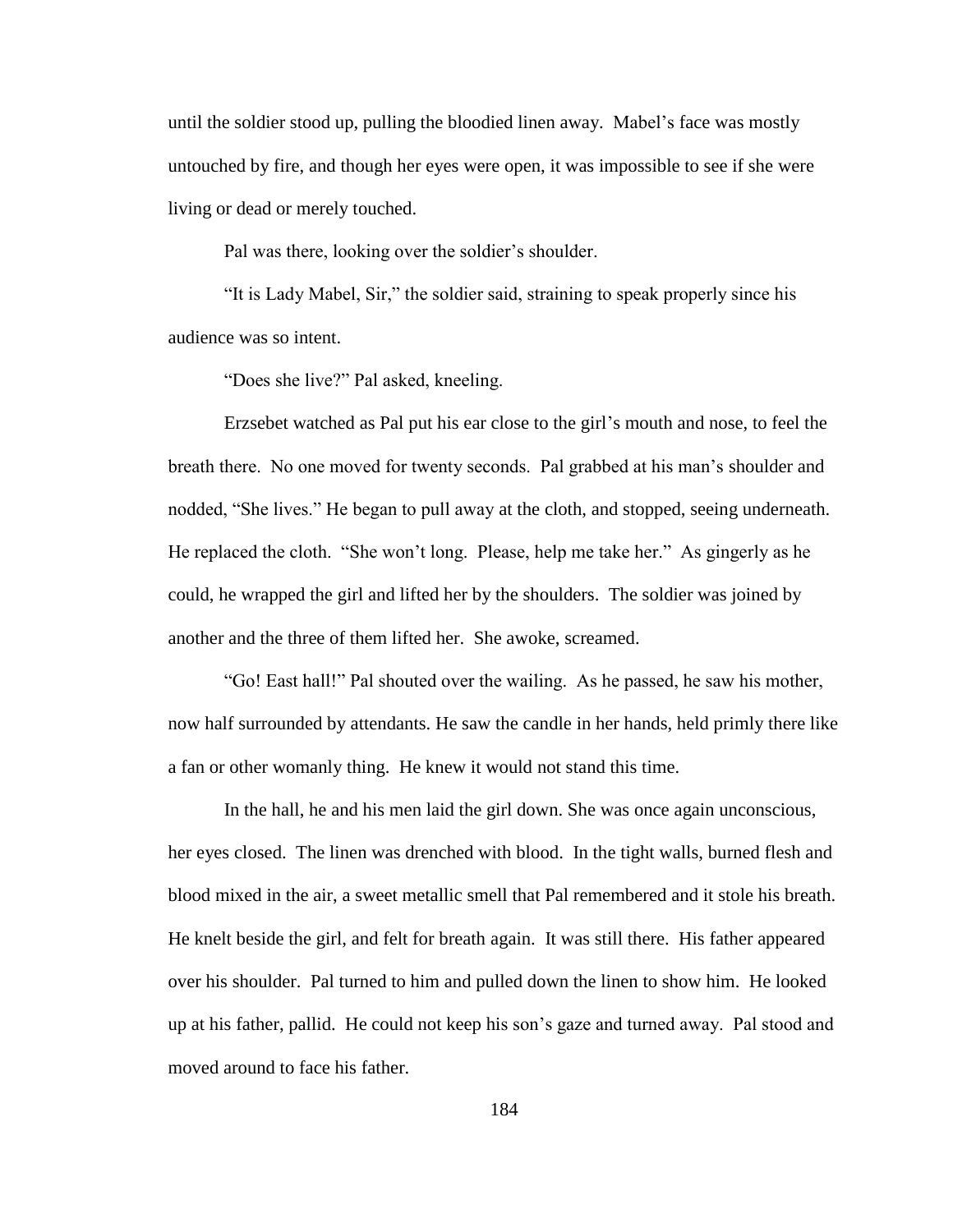until the soldier stood up, pulling the bloodied linen away. Mabel"s face was mostly untouched by fire, and though her eyes were open, it was impossible to see if she were living or dead or merely touched.

Pal was there, looking over the soldier's shoulder.

"It is Lady Mabel, Sir," the soldier said, straining to speak properly since his audience was so intent.

"Does she live?" Pal asked, kneeling.

Erzsebet watched as Pal put his ear close to the girl"s mouth and nose, to feel the breath there. No one moved for twenty seconds. Pal grabbed at his man"s shoulder and nodded, "She lives." He began to pull away at the cloth, and stopped, seeing underneath. He replaced the cloth. "She won"t long. Please, help me take her." As gingerly as he could, he wrapped the girl and lifted her by the shoulders. The soldier was joined by another and the three of them lifted her. She awoke, screamed.

"Go! East hall!" Pal shouted over the wailing. As he passed, he saw his mother, now half surrounded by attendants. He saw the candle in her hands, held primly there like a fan or other womanly thing. He knew it would not stand this time.

In the hall, he and his men laid the girl down. She was once again unconscious, her eyes closed. The linen was drenched with blood. In the tight walls, burned flesh and blood mixed in the air, a sweet metallic smell that Pal remembered and it stole his breath. He knelt beside the girl, and felt for breath again. It was still there. His father appeared over his shoulder. Pal turned to him and pulled down the linen to show him. He looked up at his father, pallid. He could not keep his son"s gaze and turned away. Pal stood and moved around to face his father.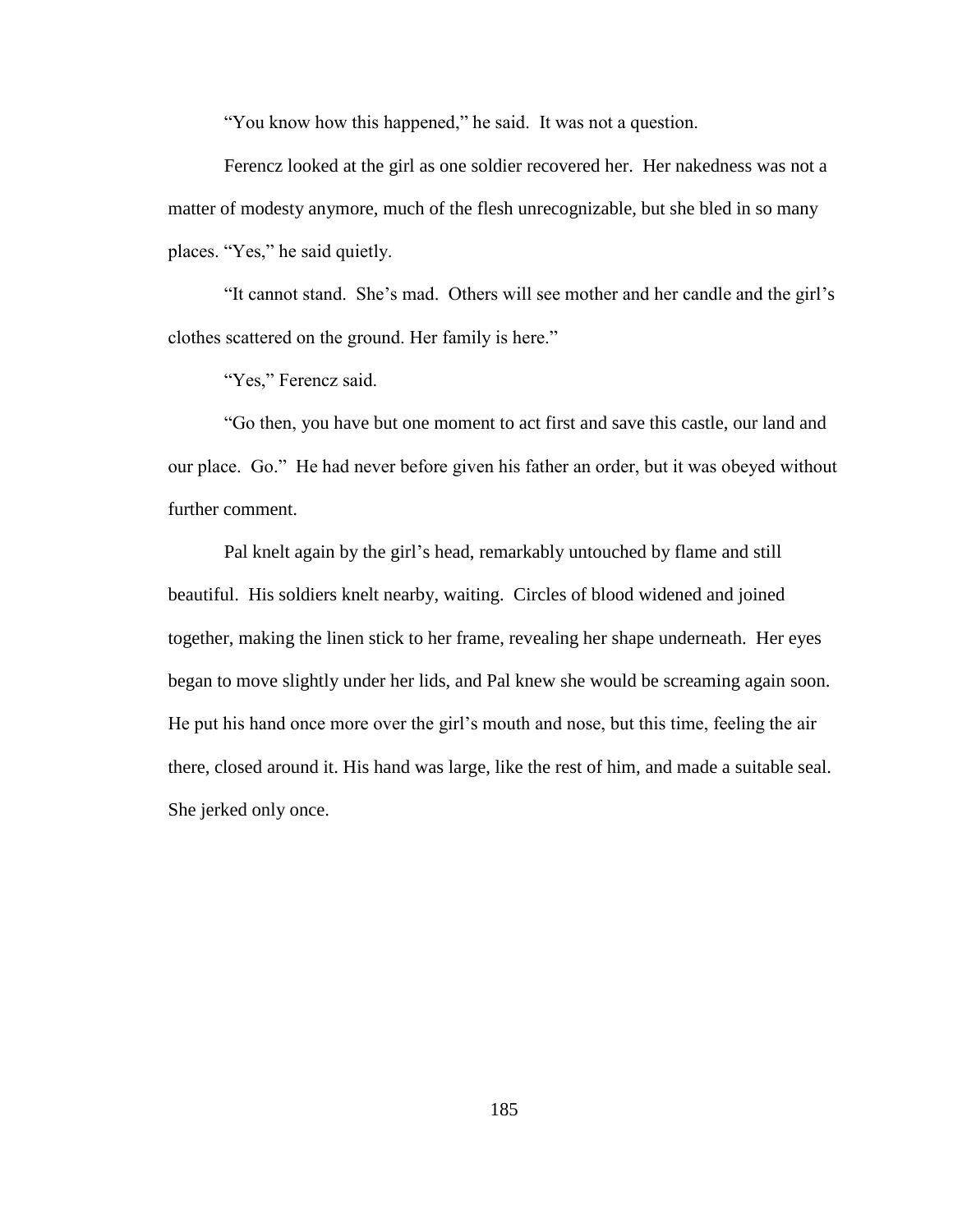"You know how this happened," he said. It was not a question.

Ferencz looked at the girl as one soldier recovered her. Her nakedness was not a matter of modesty anymore, much of the flesh unrecognizable, but she bled in so many places. "Yes," he said quietly.

"It cannot stand. She"s mad. Others will see mother and her candle and the girl"s clothes scattered on the ground. Her family is here."

"Yes," Ferencz said.

"Go then, you have but one moment to act first and save this castle, our land and our place. Go." He had never before given his father an order, but it was obeyed without further comment.

Pal knelt again by the girl"s head, remarkably untouched by flame and still beautiful. His soldiers knelt nearby, waiting. Circles of blood widened and joined together, making the linen stick to her frame, revealing her shape underneath. Her eyes began to move slightly under her lids, and Pal knew she would be screaming again soon. He put his hand once more over the girl"s mouth and nose, but this time, feeling the air there, closed around it. His hand was large, like the rest of him, and made a suitable seal. She jerked only once.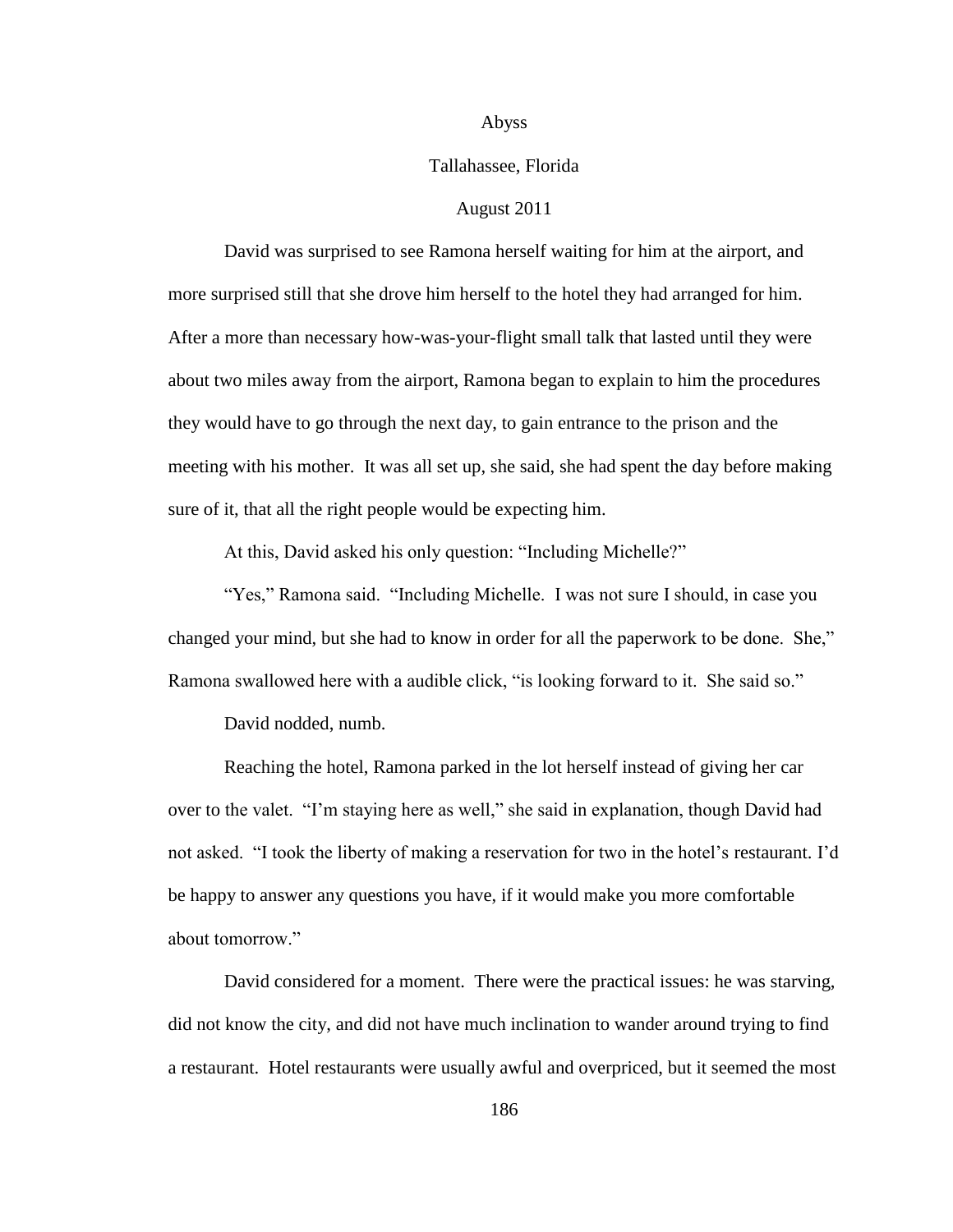#### Abyss

# Tallahassee, Florida

# August 2011

David was surprised to see Ramona herself waiting for him at the airport, and more surprised still that she drove him herself to the hotel they had arranged for him. After a more than necessary how-was-your-flight small talk that lasted until they were about two miles away from the airport, Ramona began to explain to him the procedures they would have to go through the next day, to gain entrance to the prison and the meeting with his mother. It was all set up, she said, she had spent the day before making sure of it, that all the right people would be expecting him.

At this, David asked his only question: "Including Michelle?"

"Yes," Ramona said. "Including Michelle. I was not sure I should, in case you changed your mind, but she had to know in order for all the paperwork to be done. She," Ramona swallowed here with a audible click, "is looking forward to it. She said so."

David nodded, numb.

Reaching the hotel, Ramona parked in the lot herself instead of giving her car over to the valet. "I"m staying here as well," she said in explanation, though David had not asked. "I took the liberty of making a reservation for two in the hotel"s restaurant. I"d be happy to answer any questions you have, if it would make you more comfortable about tomorrow."

David considered for a moment. There were the practical issues: he was starving, did not know the city, and did not have much inclination to wander around trying to find a restaurant. Hotel restaurants were usually awful and overpriced, but it seemed the most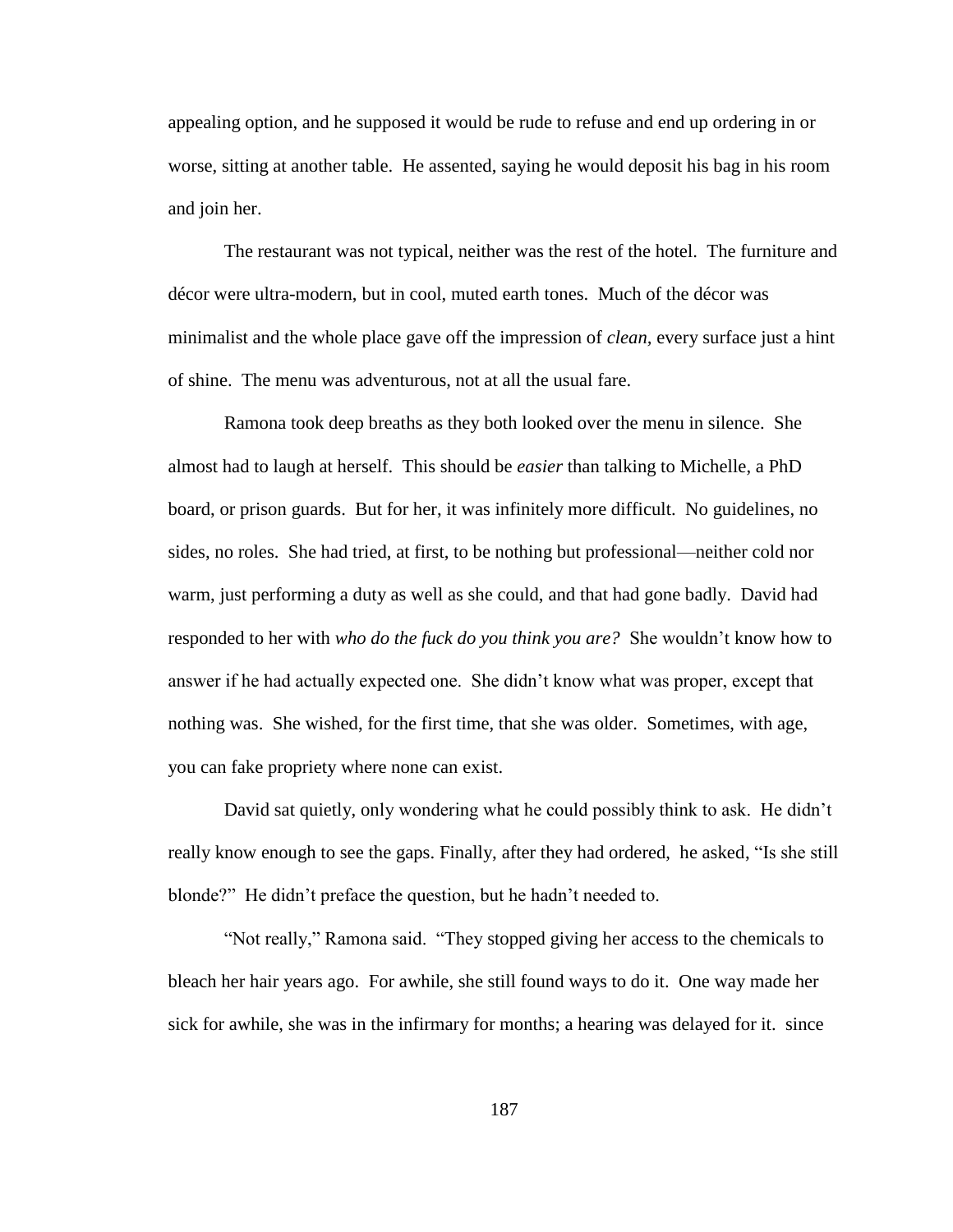appealing option, and he supposed it would be rude to refuse and end up ordering in or worse, sitting at another table. He assented, saying he would deposit his bag in his room and join her.

The restaurant was not typical, neither was the rest of the hotel. The furniture and décor were ultra-modern, but in cool, muted earth tones. Much of the décor was minimalist and the whole place gave off the impression of *clean,* every surface just a hint of shine. The menu was adventurous, not at all the usual fare.

Ramona took deep breaths as they both looked over the menu in silence. She almost had to laugh at herself. This should be *easier* than talking to Michelle, a PhD board, or prison guards. But for her, it was infinitely more difficult. No guidelines, no sides, no roles. She had tried, at first, to be nothing but professional—neither cold nor warm, just performing a duty as well as she could, and that had gone badly. David had responded to her with *who do the fuck do you think you are?* She wouldn"t know how to answer if he had actually expected one. She didn"t know what was proper, except that nothing was. She wished, for the first time, that she was older. Sometimes, with age, you can fake propriety where none can exist.

David sat quietly, only wondering what he could possibly think to ask. He didn't really know enough to see the gaps. Finally, after they had ordered, he asked, "Is she still blonde?" He didn"t preface the question, but he hadn"t needed to.

"Not really," Ramona said. "They stopped giving her access to the chemicals to bleach her hair years ago. For awhile, she still found ways to do it. One way made her sick for awhile, she was in the infirmary for months; a hearing was delayed for it. since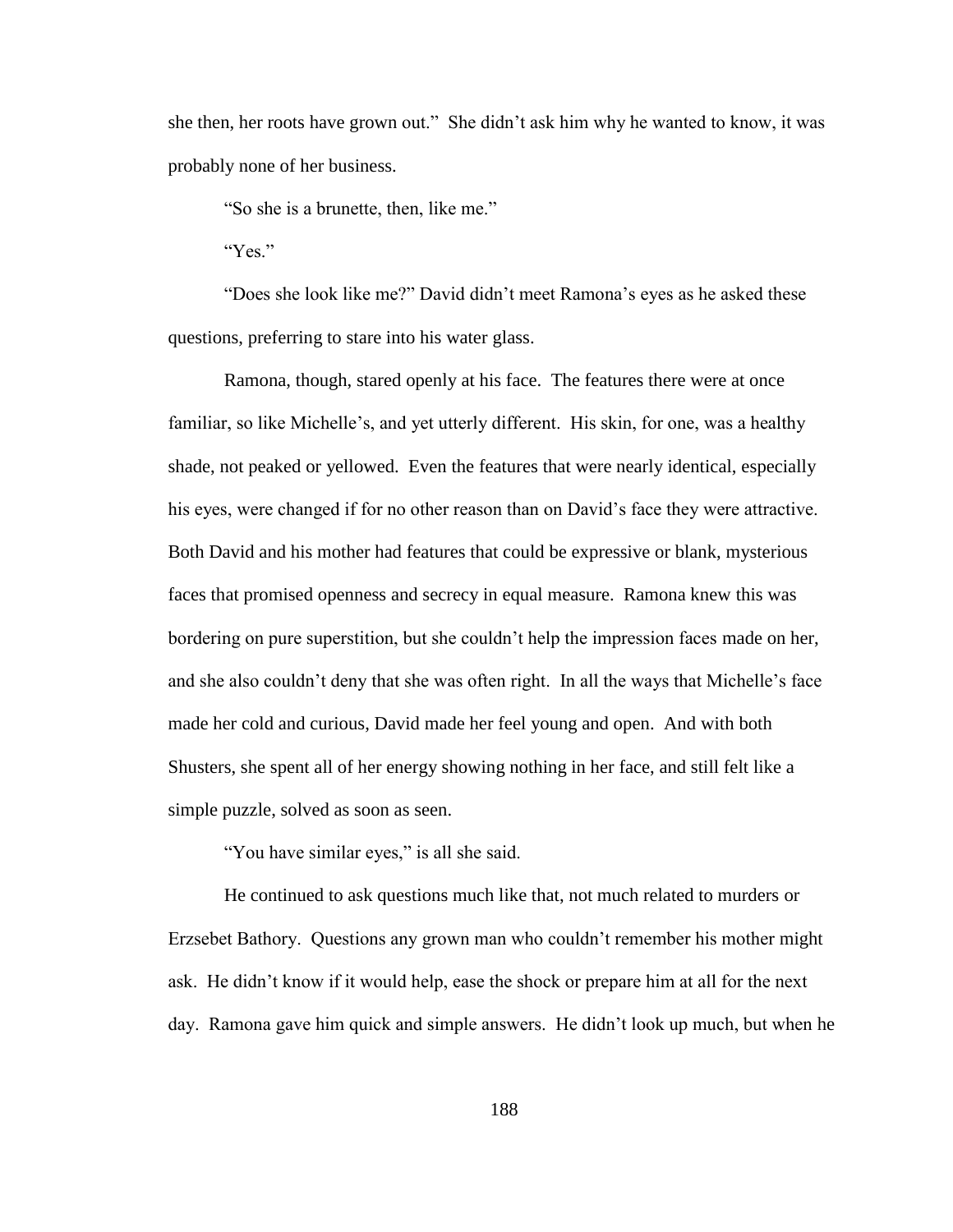she then, her roots have grown out." She didn"t ask him why he wanted to know, it was probably none of her business.

"So she is a brunette, then, like me."

"Yes"

"Does she look like me?" David didn"t meet Ramona"s eyes as he asked these questions, preferring to stare into his water glass.

Ramona, though, stared openly at his face. The features there were at once familiar, so like Michelle's, and yet utterly different. His skin, for one, was a healthy shade, not peaked or yellowed. Even the features that were nearly identical, especially his eyes, were changed if for no other reason than on David"s face they were attractive. Both David and his mother had features that could be expressive or blank, mysterious faces that promised openness and secrecy in equal measure. Ramona knew this was bordering on pure superstition, but she couldn"t help the impression faces made on her, and she also couldn"t deny that she was often right. In all the ways that Michelle"s face made her cold and curious, David made her feel young and open. And with both Shusters, she spent all of her energy showing nothing in her face, and still felt like a simple puzzle, solved as soon as seen.

"You have similar eyes," is all she said.

He continued to ask questions much like that, not much related to murders or Erzsebet Bathory. Questions any grown man who couldn"t remember his mother might ask. He didn"t know if it would help, ease the shock or prepare him at all for the next day. Ramona gave him quick and simple answers. He didn"t look up much, but when he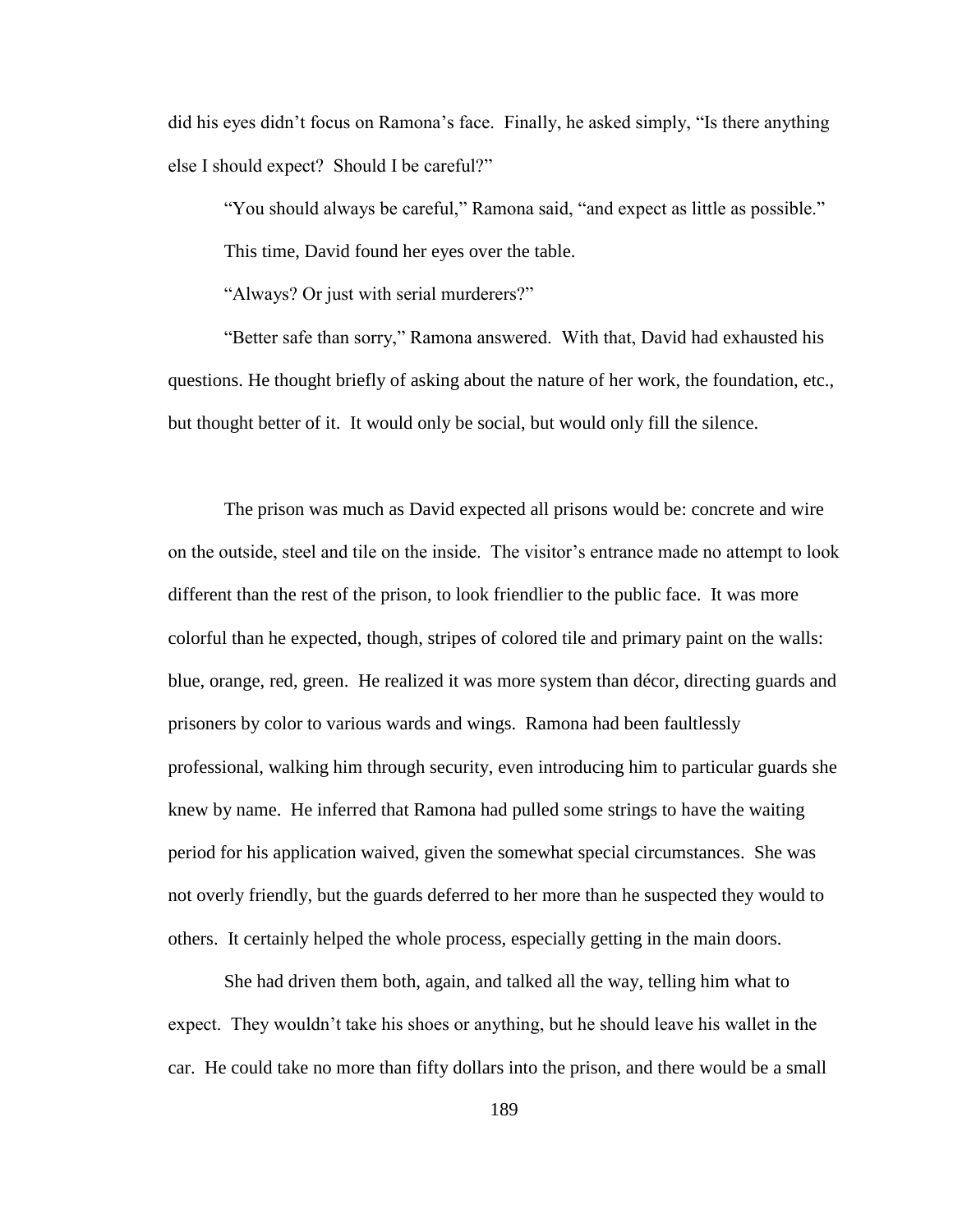did his eyes didn"t focus on Ramona"s face. Finally, he asked simply, "Is there anything else I should expect? Should I be careful?"

"You should always be careful," Ramona said, "and expect as little as possible."

This time, David found her eyes over the table.

"Always? Or just with serial murderers?"

"Better safe than sorry," Ramona answered. With that, David had exhausted his questions. He thought briefly of asking about the nature of her work, the foundation, etc., but thought better of it. It would only be social, but would only fill the silence.

The prison was much as David expected all prisons would be: concrete and wire on the outside, steel and tile on the inside. The visitor"s entrance made no attempt to look different than the rest of the prison, to look friendlier to the public face. It was more colorful than he expected, though, stripes of colored tile and primary paint on the walls: blue, orange, red, green. He realized it was more system than décor, directing guards and prisoners by color to various wards and wings. Ramona had been faultlessly professional, walking him through security, even introducing him to particular guards she knew by name. He inferred that Ramona had pulled some strings to have the waiting period for his application waived, given the somewhat special circumstances. She was not overly friendly, but the guards deferred to her more than he suspected they would to others. It certainly helped the whole process, especially getting in the main doors.

She had driven them both, again, and talked all the way, telling him what to expect. They wouldn"t take his shoes or anything, but he should leave his wallet in the car. He could take no more than fifty dollars into the prison, and there would be a small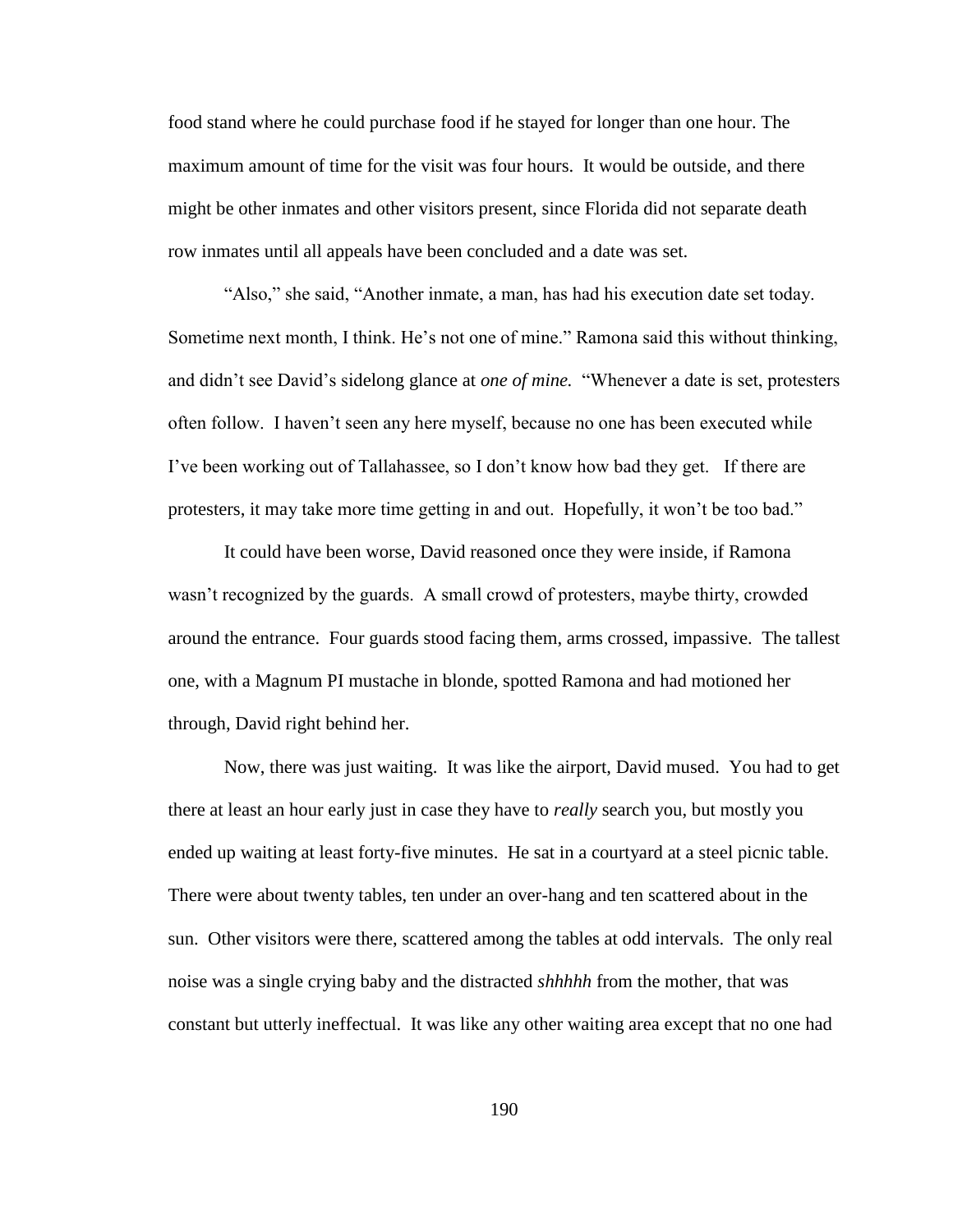food stand where he could purchase food if he stayed for longer than one hour. The maximum amount of time for the visit was four hours. It would be outside, and there might be other inmates and other visitors present, since Florida did not separate death row inmates until all appeals have been concluded and a date was set.

"Also," she said, "Another inmate, a man, has had his execution date set today. Sometime next month, I think. He"s not one of mine." Ramona said this without thinking, and didn"t see David"s sidelong glance at *one of mine.* "Whenever a date is set, protesters often follow. I haven"t seen any here myself, because no one has been executed while I"ve been working out of Tallahassee, so I don"t know how bad they get. If there are protesters, it may take more time getting in and out. Hopefully, it won"t be too bad."

It could have been worse, David reasoned once they were inside, if Ramona wasn't recognized by the guards. A small crowd of protesters, maybe thirty, crowded around the entrance. Four guards stood facing them, arms crossed, impassive. The tallest one, with a Magnum PI mustache in blonde, spotted Ramona and had motioned her through, David right behind her.

Now, there was just waiting. It was like the airport, David mused. You had to get there at least an hour early just in case they have to *really* search you, but mostly you ended up waiting at least forty-five minutes. He sat in a courtyard at a steel picnic table. There were about twenty tables, ten under an over-hang and ten scattered about in the sun. Other visitors were there, scattered among the tables at odd intervals. The only real noise was a single crying baby and the distracted *shhhhh* from the mother, that was constant but utterly ineffectual. It was like any other waiting area except that no one had

190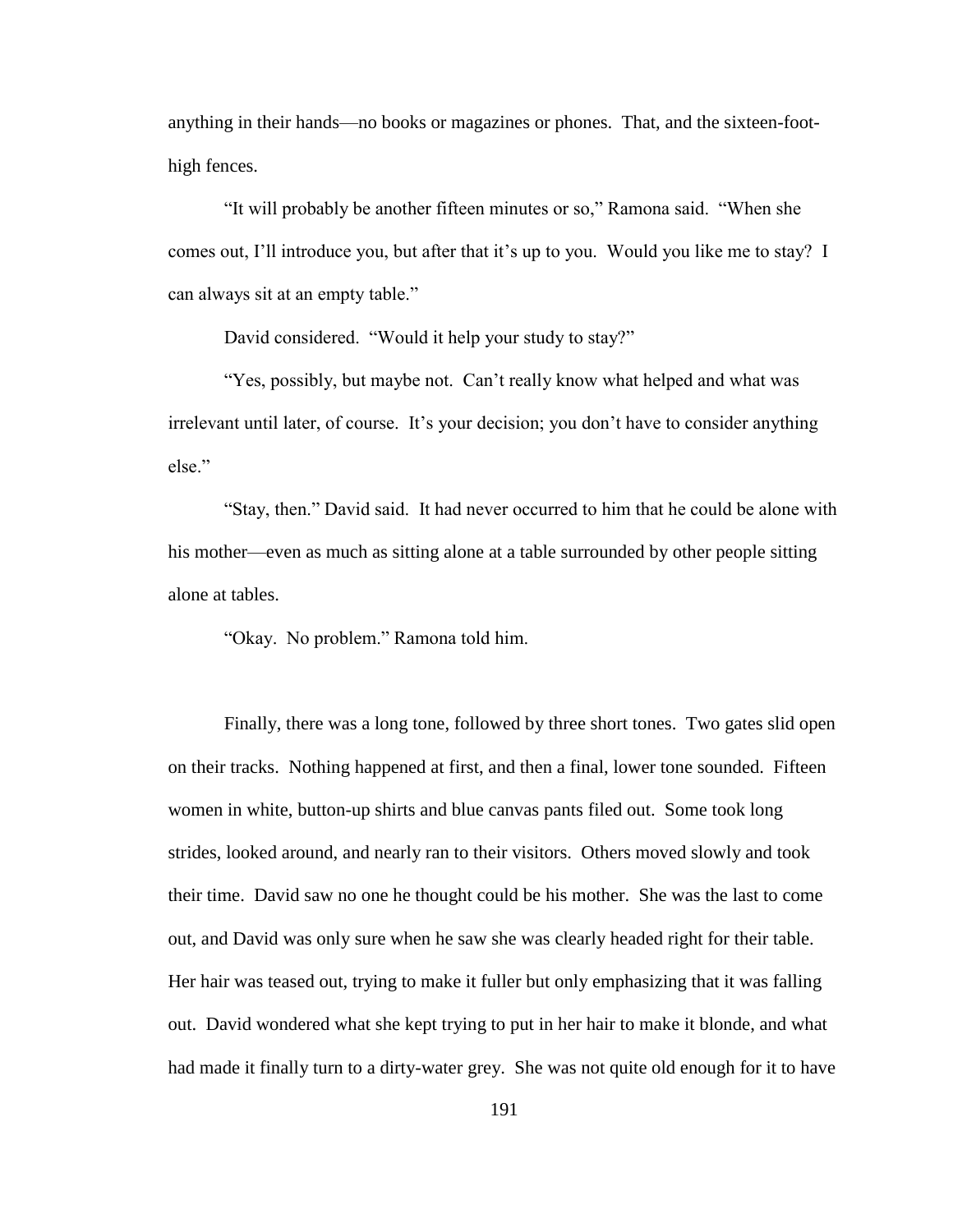anything in their hands—no books or magazines or phones. That, and the sixteen-foothigh fences.

"It will probably be another fifteen minutes or so," Ramona said. "When she comes out, I'll introduce you, but after that it's up to you. Would you like me to stay? I can always sit at an empty table."

David considered. "Would it help your study to stay?"

"Yes, possibly, but maybe not. Can"t really know what helped and what was irrelevant until later, of course. It"s your decision; you don"t have to consider anything else."

"Stay, then." David said. It had never occurred to him that he could be alone with his mother—even as much as sitting alone at a table surrounded by other people sitting alone at tables.

"Okay. No problem." Ramona told him.

Finally, there was a long tone, followed by three short tones. Two gates slid open on their tracks. Nothing happened at first, and then a final, lower tone sounded. Fifteen women in white, button-up shirts and blue canvas pants filed out. Some took long strides, looked around, and nearly ran to their visitors. Others moved slowly and took their time. David saw no one he thought could be his mother. She was the last to come out, and David was only sure when he saw she was clearly headed right for their table. Her hair was teased out, trying to make it fuller but only emphasizing that it was falling out. David wondered what she kept trying to put in her hair to make it blonde, and what had made it finally turn to a dirty-water grey. She was not quite old enough for it to have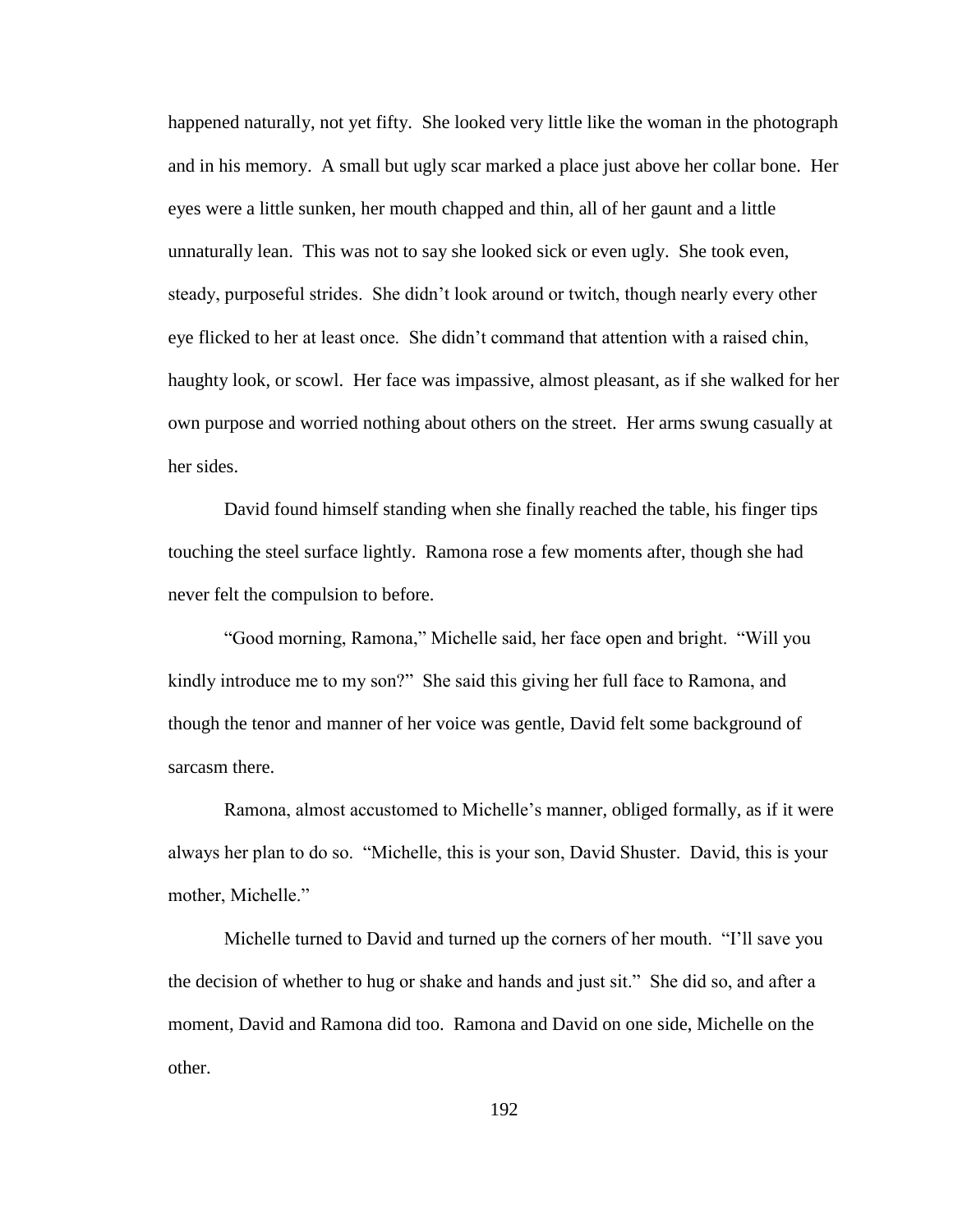happened naturally, not yet fifty. She looked very little like the woman in the photograph and in his memory. A small but ugly scar marked a place just above her collar bone. Her eyes were a little sunken, her mouth chapped and thin, all of her gaunt and a little unnaturally lean. This was not to say she looked sick or even ugly. She took even, steady, purposeful strides. She didn"t look around or twitch, though nearly every other eye flicked to her at least once. She didn"t command that attention with a raised chin, haughty look, or scowl. Her face was impassive, almost pleasant, as if she walked for her own purpose and worried nothing about others on the street. Her arms swung casually at her sides.

David found himself standing when she finally reached the table, his finger tips touching the steel surface lightly. Ramona rose a few moments after, though she had never felt the compulsion to before.

"Good morning, Ramona," Michelle said, her face open and bright. "Will you kindly introduce me to my son?" She said this giving her full face to Ramona, and though the tenor and manner of her voice was gentle, David felt some background of sarcasm there.

Ramona, almost accustomed to Michelle"s manner, obliged formally, as if it were always her plan to do so. "Michelle, this is your son, David Shuster. David, this is your mother, Michelle."

Michelle turned to David and turned up the corners of her mouth. "I"ll save you the decision of whether to hug or shake and hands and just sit." She did so, and after a moment, David and Ramona did too. Ramona and David on one side, Michelle on the other.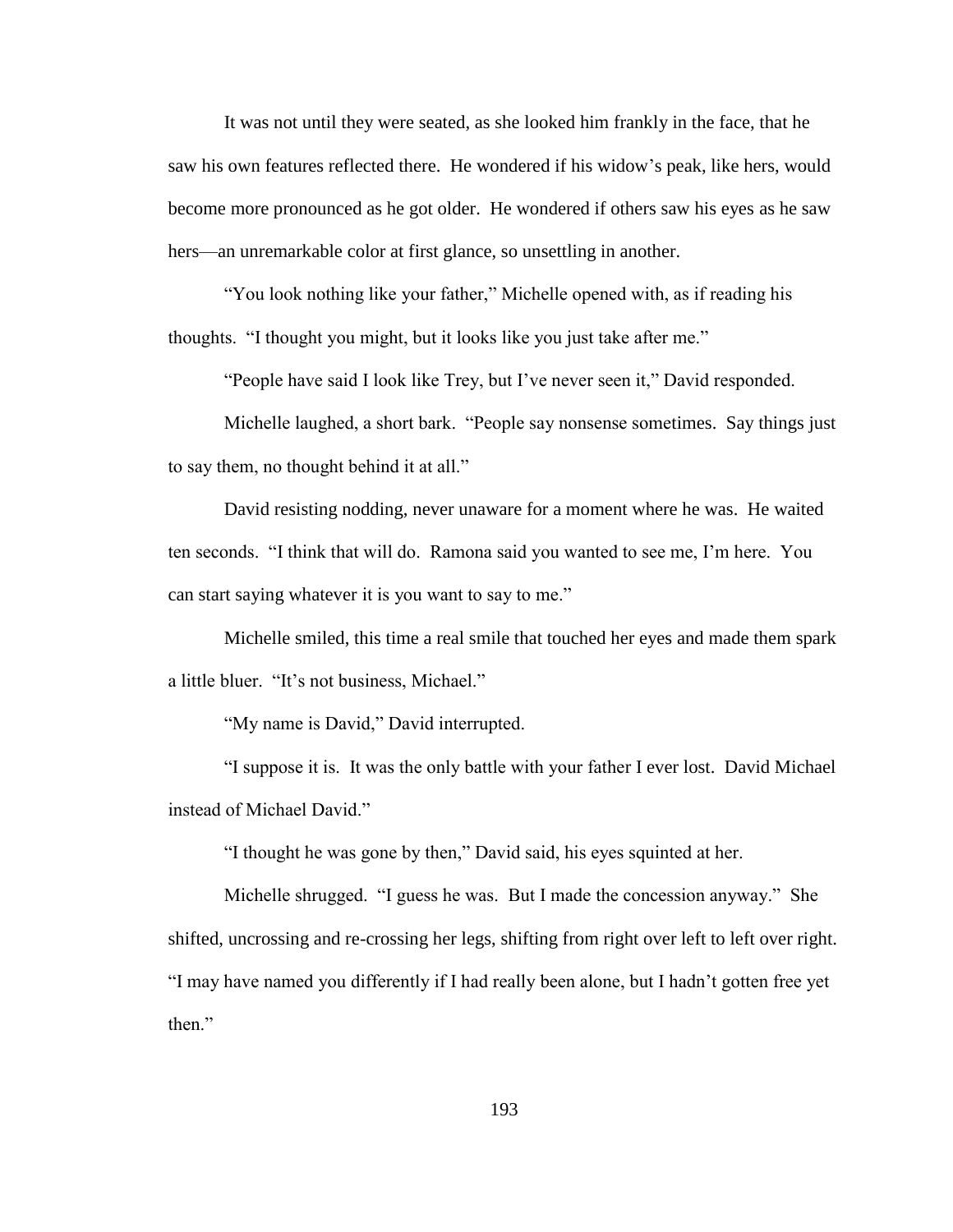It was not until they were seated, as she looked him frankly in the face, that he saw his own features reflected there. He wondered if his widow"s peak, like hers, would become more pronounced as he got older. He wondered if others saw his eyes as he saw hers—an unremarkable color at first glance, so unsettling in another.

"You look nothing like your father," Michelle opened with, as if reading his thoughts. "I thought you might, but it looks like you just take after me."

"People have said I look like Trey, but I"ve never seen it," David responded.

Michelle laughed, a short bark. "People say nonsense sometimes. Say things just to say them, no thought behind it at all."

David resisting nodding, never unaware for a moment where he was. He waited ten seconds. "I think that will do. Ramona said you wanted to see me, I"m here. You can start saying whatever it is you want to say to me."

Michelle smiled, this time a real smile that touched her eyes and made them spark a little bluer. "It"s not business, Michael."

"My name is David," David interrupted.

"I suppose it is. It was the only battle with your father I ever lost. David Michael instead of Michael David."

"I thought he was gone by then," David said, his eyes squinted at her.

Michelle shrugged. "I guess he was. But I made the concession anyway." She shifted, uncrossing and re-crossing her legs, shifting from right over left to left over right. "I may have named you differently if I had really been alone, but I hadn"t gotten free yet then<sup>"</sup>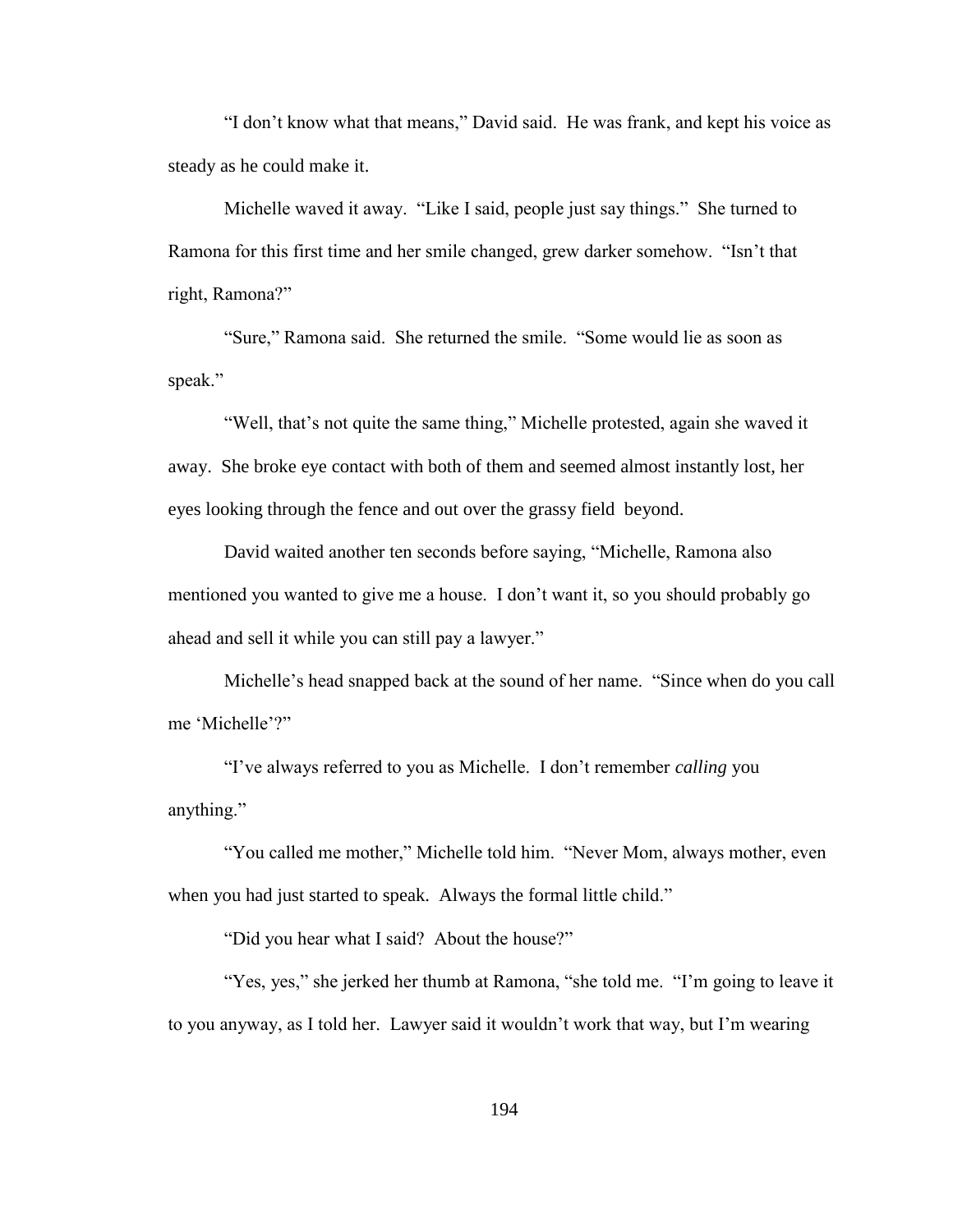"I don"t know what that means," David said. He was frank, and kept his voice as steady as he could make it.

Michelle waved it away. "Like I said, people just say things." She turned to Ramona for this first time and her smile changed, grew darker somehow. "Isn"t that right, Ramona?"

"Sure," Ramona said. She returned the smile. "Some would lie as soon as speak."

"Well, that's not quite the same thing," Michelle protested, again she waved it away. She broke eye contact with both of them and seemed almost instantly lost, her eyes looking through the fence and out over the grassy field beyond.

David waited another ten seconds before saying, "Michelle, Ramona also mentioned you wanted to give me a house. I don"t want it, so you should probably go ahead and sell it while you can still pay a lawyer."

Michelle"s head snapped back at the sound of her name. "Since when do you call me "Michelle"?"

"I"ve always referred to you as Michelle. I don"t remember *calling* you anything."

"You called me mother," Michelle told him. "Never Mom, always mother, even when you had just started to speak. Always the formal little child."

"Did you hear what I said? About the house?"

"Yes, yes," she jerked her thumb at Ramona, "she told me. "I"m going to leave it to you anyway, as I told her. Lawyer said it wouldn"t work that way, but I"m wearing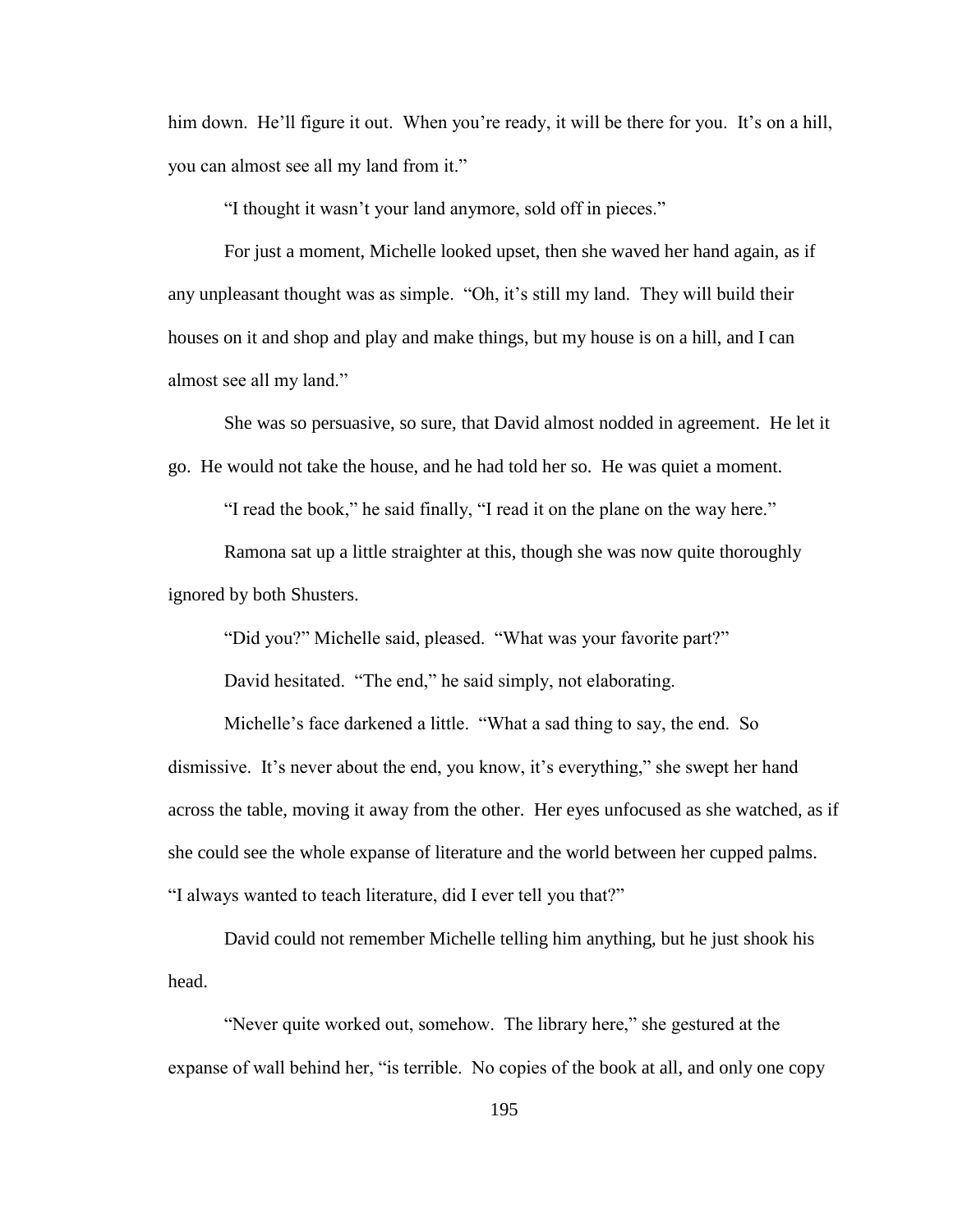him down. He'll figure it out. When you're ready, it will be there for you. It's on a hill, you can almost see all my land from it."

"I thought it wasn"t your land anymore, sold off in pieces."

For just a moment, Michelle looked upset, then she waved her hand again, as if any unpleasant thought was as simple. "Oh, it's still my land. They will build their houses on it and shop and play and make things, but my house is on a hill, and I can almost see all my land."

She was so persuasive, so sure, that David almost nodded in agreement. He let it go. He would not take the house, and he had told her so. He was quiet a moment.

"I read the book," he said finally, "I read it on the plane on the way here."

Ramona sat up a little straighter at this, though she was now quite thoroughly ignored by both Shusters.

"Did you?" Michelle said, pleased. "What was your favorite part?"

David hesitated. "The end," he said simply, not elaborating.

Michelle"s face darkened a little. "What a sad thing to say, the end. So dismissive. It's never about the end, you know, it's everything," she swept her hand across the table, moving it away from the other. Her eyes unfocused as she watched, as if she could see the whole expanse of literature and the world between her cupped palms. "I always wanted to teach literature, did I ever tell you that?"

David could not remember Michelle telling him anything, but he just shook his head.

"Never quite worked out, somehow. The library here," she gestured at the expanse of wall behind her, "is terrible. No copies of the book at all, and only one copy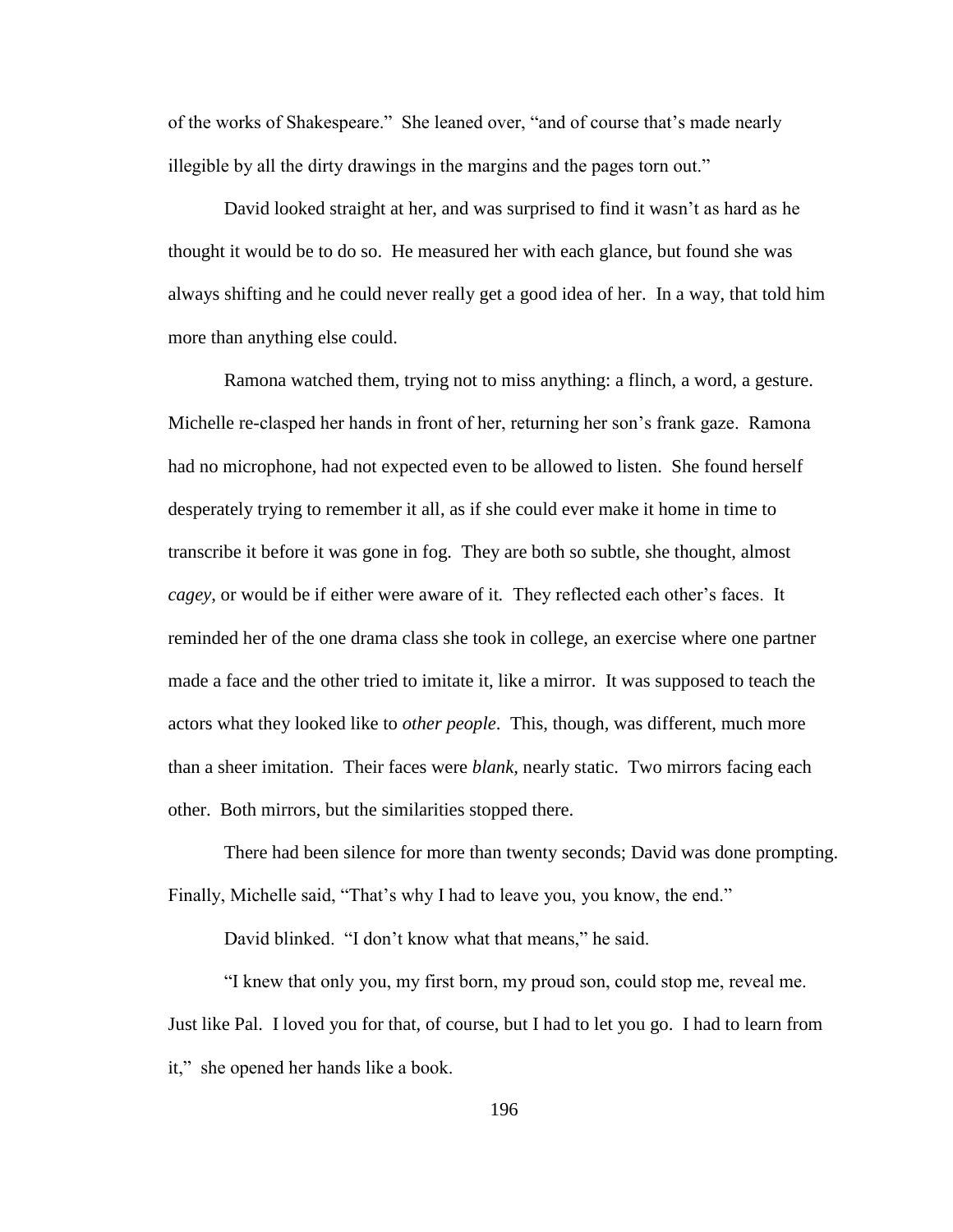of the works of Shakespeare." She leaned over, "and of course that"s made nearly illegible by all the dirty drawings in the margins and the pages torn out."

David looked straight at her, and was surprised to find it wasn't as hard as he thought it would be to do so. He measured her with each glance, but found she was always shifting and he could never really get a good idea of her. In a way, that told him more than anything else could.

Ramona watched them, trying not to miss anything: a flinch, a word, a gesture. Michelle re-clasped her hands in front of her, returning her son"s frank gaze. Ramona had no microphone, had not expected even to be allowed to listen. She found herself desperately trying to remember it all, as if she could ever make it home in time to transcribe it before it was gone in fog. They are both so subtle, she thought, almost *cagey*, or would be if either were aware of it. They reflected each other's faces. It reminded her of the one drama class she took in college, an exercise where one partner made a face and the other tried to imitate it, like a mirror. It was supposed to teach the actors what they looked like to *other people*. This, though, was different, much more than a sheer imitation. Their faces were *blank,* nearly static. Two mirrors facing each other. Both mirrors, but the similarities stopped there.

There had been silence for more than twenty seconds; David was done prompting. Finally, Michelle said, "That's why I had to leave you, you know, the end."

David blinked. "I don't know what that means," he said.

"I knew that only you, my first born, my proud son, could stop me, reveal me. Just like Pal. I loved you for that, of course, but I had to let you go. I had to learn from it," she opened her hands like a book.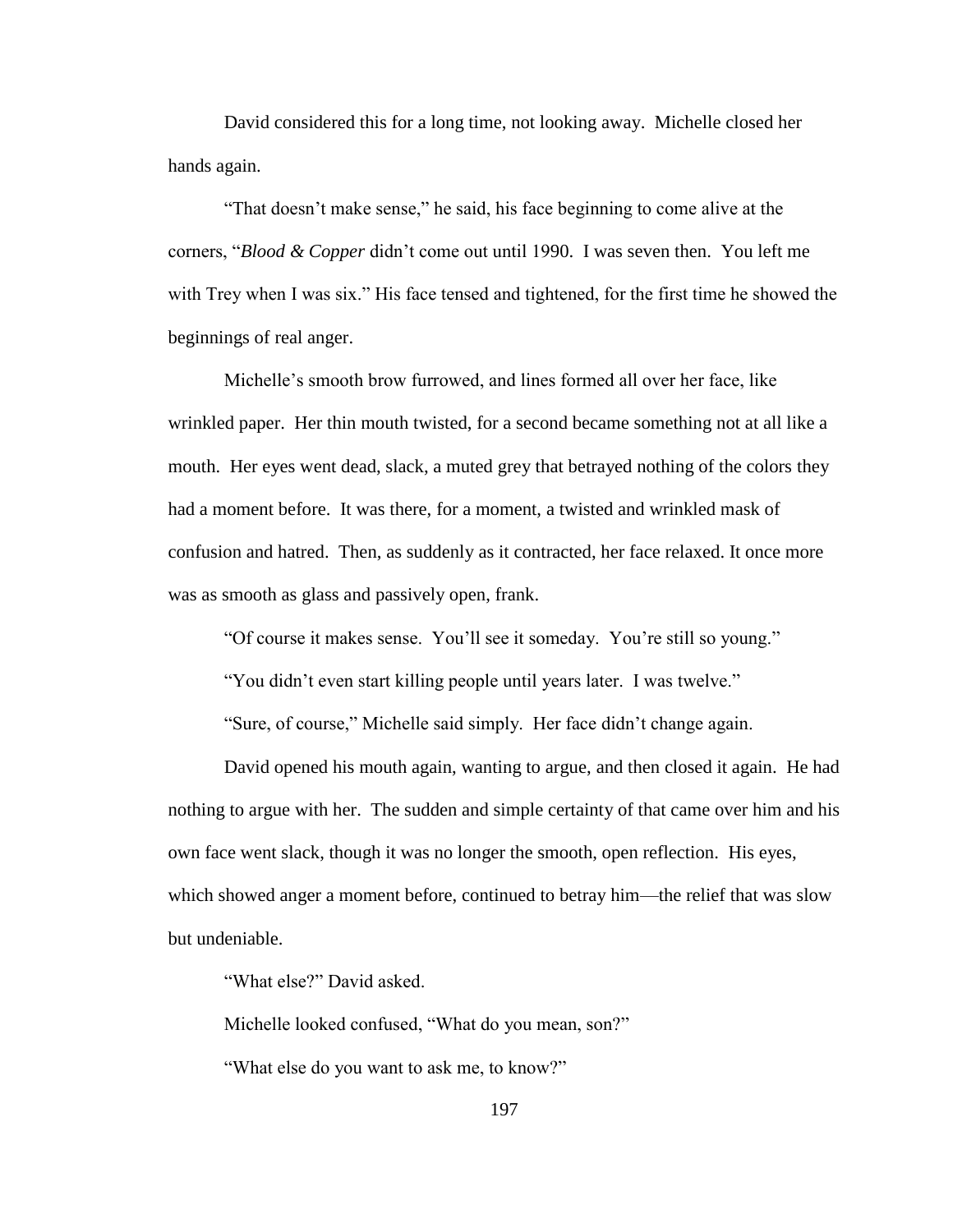David considered this for a long time, not looking away. Michelle closed her hands again.

"That doesn"t make sense," he said, his face beginning to come alive at the corners, "*Blood & Copper* didn"t come out until 1990. I was seven then. You left me with Trey when I was six." His face tensed and tightened, for the first time he showed the beginnings of real anger.

Michelle"s smooth brow furrowed, and lines formed all over her face, like wrinkled paper. Her thin mouth twisted, for a second became something not at all like a mouth. Her eyes went dead, slack, a muted grey that betrayed nothing of the colors they had a moment before. It was there, for a moment, a twisted and wrinkled mask of confusion and hatred. Then, as suddenly as it contracted, her face relaxed. It once more was as smooth as glass and passively open, frank.

"Of course it makes sense. You"ll see it someday. You"re still so young."

"You didn"t even start killing people until years later. I was twelve."

"Sure, of course," Michelle said simply. Her face didn"t change again.

David opened his mouth again, wanting to argue, and then closed it again. He had nothing to argue with her. The sudden and simple certainty of that came over him and his own face went slack, though it was no longer the smooth, open reflection. His eyes, which showed anger a moment before, continued to betray him—the relief that was slow but undeniable.

"What else?" David asked.

Michelle looked confused, "What do you mean, son?"

"What else do you want to ask me, to know?"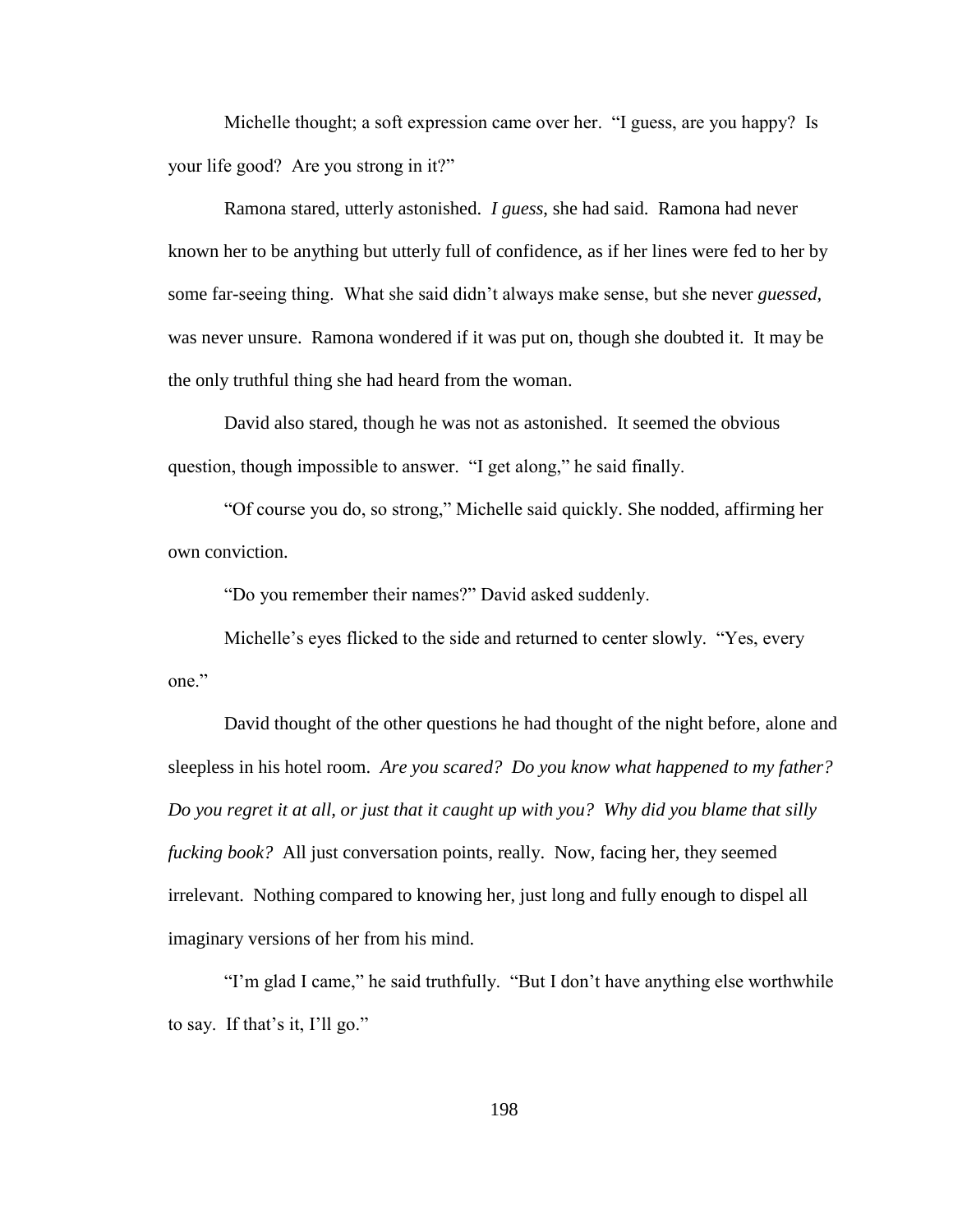Michelle thought; a soft expression came over her. "I guess, are you happy? Is your life good? Are you strong in it?"

Ramona stared, utterly astonished. *I guess*, she had said. Ramona had never known her to be anything but utterly full of confidence, as if her lines were fed to her by some far-seeing thing. What she said didn"t always make sense, but she never *guessed,*  was never unsure. Ramona wondered if it was put on, though she doubted it. It may be the only truthful thing she had heard from the woman.

David also stared, though he was not as astonished. It seemed the obvious question, though impossible to answer. "I get along," he said finally.

"Of course you do, so strong," Michelle said quickly. She nodded, affirming her own conviction.

"Do you remember their names?" David asked suddenly.

Michelle's eyes flicked to the side and returned to center slowly. "Yes, every one."

David thought of the other questions he had thought of the night before, alone and sleepless in his hotel room. *Are you scared? Do you know what happened to my father? Do you regret it at all, or just that it caught up with you? Why did you blame that silly fucking book?* All just conversation points, really. Now, facing her, they seemed irrelevant. Nothing compared to knowing her, just long and fully enough to dispel all imaginary versions of her from his mind.

"I"m glad I came," he said truthfully. "But I don"t have anything else worthwhile to say. If that's it, I'll go."